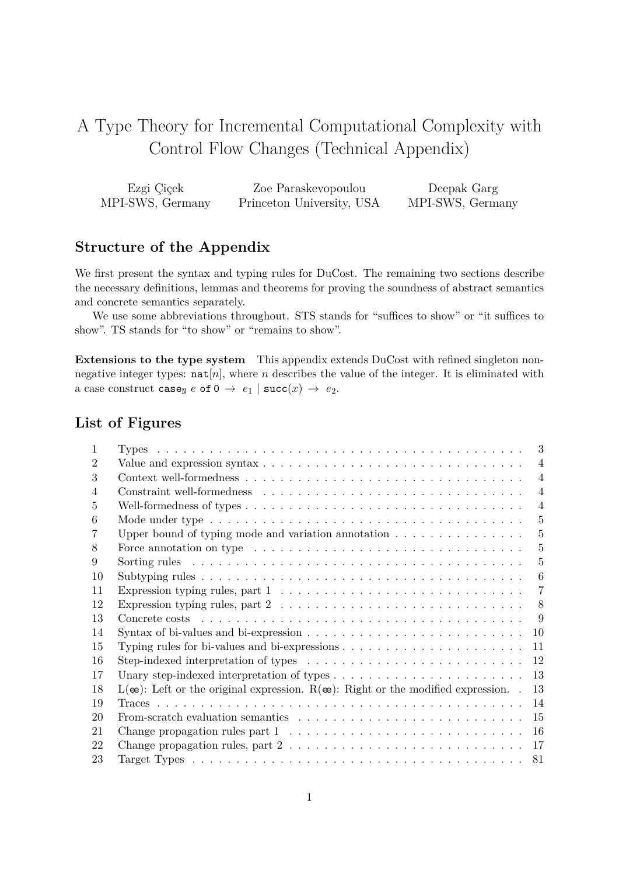# A Type Theory for Incremental Computational Complexity with Control Flow Changes (Technical Appendix)

| Ezgi Çiçek       | Zoe Paraskevopoulou       | Deepak Garg      |
|------------------|---------------------------|------------------|
| MPI-SWS, Germany | Princeton University, USA | MPI-SWS, Germany |

# **Structure of the Appendix**

We first present the syntax and typing rules for DuCost. The remaining two sections describe the necessary definitions, lemmas and theorems for proving the soundness of abstract semantics and concrete semantics separately.

We use some abbreviations throughout. STS stands for "suffices to show" or "it suffices to show". TS stands for "to show" or "remains to show".

**Extensions to the type system** This appendix extends DuCost with refined singleton nonnegative integer types:  $\text{nat}[n]$ , where *n* describes the value of the integer. It is eliminated with a case construct case<sub>N</sub>  $e$  of  $0 \rightarrow e_1$  | succ(*x*)  $\rightarrow e_2$ .

# **List of Figures**

| Т.             |                                                                                                                 | 3              |
|----------------|-----------------------------------------------------------------------------------------------------------------|----------------|
| $\overline{2}$ |                                                                                                                 | $\overline{4}$ |
| 3              |                                                                                                                 | $\overline{4}$ |
| 4              |                                                                                                                 | $\overline{4}$ |
| $\frac{5}{2}$  |                                                                                                                 | $\overline{4}$ |
| 6              |                                                                                                                 | 5              |
|                | Upper bound of typing mode and variation annotation $\dots \dots \dots \dots \dots$                             | $\overline{5}$ |
| 8              | Force annotation on type $\dots \dots \dots \dots \dots \dots \dots \dots \dots \dots \dots \dots \dots$        | 5              |
| 9              |                                                                                                                 | 5              |
| 10             |                                                                                                                 | 6              |
| 11             | Expression typing rules, part $1 \ldots \ldots \ldots \ldots \ldots \ldots \ldots \ldots \ldots \ldots$         | 7              |
| 12             | Expression typing rules, part 2 $\ldots \ldots \ldots \ldots \ldots \ldots \ldots \ldots \ldots \ldots$         | 8              |
| 13             |                                                                                                                 | 9              |
| 14             |                                                                                                                 | 10             |
| 15             |                                                                                                                 | 11             |
| 16             |                                                                                                                 | 12             |
| 17             |                                                                                                                 | 13             |
| 18             | $L(\mathbf{\omega})$ : Left or the original expression. $R(\mathbf{\omega})$ : Right or the modified expression | 13             |
| 19             |                                                                                                                 | 14             |
| 20             |                                                                                                                 | 15             |
| 21             | Change propagation rules part $1, \ldots, \ldots, \ldots, \ldots, \ldots, \ldots, \ldots, \ldots$               | 16             |
| 22             | Change propagation rules, part $2 \ldots \ldots \ldots \ldots \ldots \ldots \ldots \ldots \ldots \ldots$        | 17             |
| 23             |                                                                                                                 | 81             |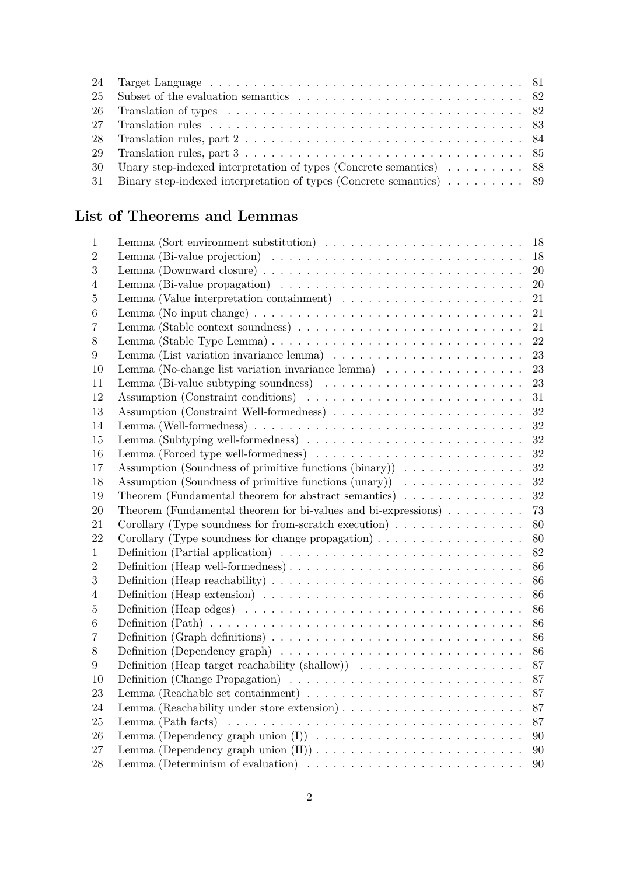| 26 Translation of types $\ldots \ldots \ldots \ldots \ldots \ldots \ldots \ldots \ldots \ldots \ldots \ldots \ldots$ 82 |  |
|-------------------------------------------------------------------------------------------------------------------------|--|
|                                                                                                                         |  |
|                                                                                                                         |  |
|                                                                                                                         |  |
| 30 Unary step-indexed interpretation of types (Concrete semantics) 88                                                   |  |
| 31 Binary step-indexed interpretation of types (Concrete semantics) 89                                                  |  |
|                                                                                                                         |  |

# **List of Theorems and Lemmas**

| 1                | Lemma (Sort environment substitution) $\ldots \ldots \ldots \ldots \ldots \ldots \ldots \ldots 18$             |
|------------------|----------------------------------------------------------------------------------------------------------------|
| $\overline{2}$   | Lemma (Bi-value projection) $\ldots \ldots \ldots \ldots \ldots \ldots \ldots \ldots \ldots$<br>18             |
| 3                | 20                                                                                                             |
| 4                | Lemma (Bi-value propagation) $\ldots \ldots \ldots \ldots \ldots \ldots \ldots \ldots \ldots$<br>20            |
| 5                | Lemma (Value interpretation containment) $\dots \dots \dots \dots \dots \dots \dots$<br>21                     |
| 6                | Lemma (No input change) $\dots \dots \dots \dots \dots \dots \dots \dots \dots \dots \dots \dots$<br>21        |
| 7                | 21                                                                                                             |
| 8                | 22                                                                                                             |
| 9                | 23                                                                                                             |
| 10               | Lemma (No-change list variation invariance lemma) $\ldots \ldots \ldots \ldots \ldots$<br>23                   |
| 11               | Lemma (Bi-value subtyping soundness) $\ldots \ldots \ldots \ldots \ldots \ldots \ldots$<br>23                  |
| 12               | Assumption (Constraint conditions) $\ldots \ldots \ldots \ldots \ldots \ldots \ldots \ldots$<br>31             |
| 13               | Assumption (Constraint Well-formedness)<br>32                                                                  |
| 14               | 32                                                                                                             |
| 15               | Lemma (Subtyping well-formedness) $\ldots \ldots \ldots \ldots \ldots \ldots \ldots \ldots$<br>32              |
| 16               | Lemma (Forced type well-formedness) $\dots \dots \dots \dots \dots \dots \dots \dots \dots$<br>32              |
| 17               | Assumption (Soundness of primitive functions $(binary)$ )<br>32                                                |
| 18               | Assumption (Soundness of primitive functions $(unary)$ )<br>32                                                 |
| 19               | Theorem (Fundamental theorem for abstract semantics) $\ldots \ldots \ldots \ldots$<br>32                       |
| 20               | Theorem (Fundamental theorem for bi-values and bi-expressions) $\ldots \ldots \ldots$<br>73                    |
| 21               | Corollary (Type soundness for from-scratch execution) $\ldots \ldots \ldots \ldots$<br>80                      |
| 22               | Corollary (Type soundness for change propagation) $\ldots \ldots \ldots \ldots \ldots$<br>80                   |
| 1                | Definition (Partial application) $\ldots \ldots \ldots \ldots \ldots \ldots \ldots \ldots \ldots$<br>82        |
| $\overline{2}$   | Definition (Heap well-formedness)<br>86                                                                        |
| 3                | Definition (Heap reachability) $\ldots \ldots \ldots \ldots \ldots \ldots \ldots \ldots \ldots \ldots$<br>86   |
| $\overline{4}$   | Definition (Heap extension) $\ldots \ldots \ldots \ldots \ldots \ldots \ldots \ldots \ldots \ldots$<br>86      |
| 5                | 86                                                                                                             |
| 6                | 86                                                                                                             |
| 7                | Definition (Graph definitions) $\ldots \ldots \ldots \ldots \ldots \ldots \ldots \ldots \ldots \ldots$<br>86   |
| $8\,$            | 86                                                                                                             |
| $\boldsymbol{9}$ | Definition (Heap target reachability (shallow)) $\ldots \ldots \ldots \ldots \ldots \ldots$<br>87              |
| 10               | 87                                                                                                             |
| 23               | Lemma (Reachable set containment) $\dots \dots \dots \dots \dots \dots \dots \dots \dots \dots$<br>87          |
| 24               | 87                                                                                                             |
| 25               | Lemma $(Path facts) \dots \dots \dots \dots \dots \dots \dots \dots \dots \dots \dots \dots \dots \dots$<br>87 |
| 26               | 90                                                                                                             |
|                  |                                                                                                                |
| 27               | 90                                                                                                             |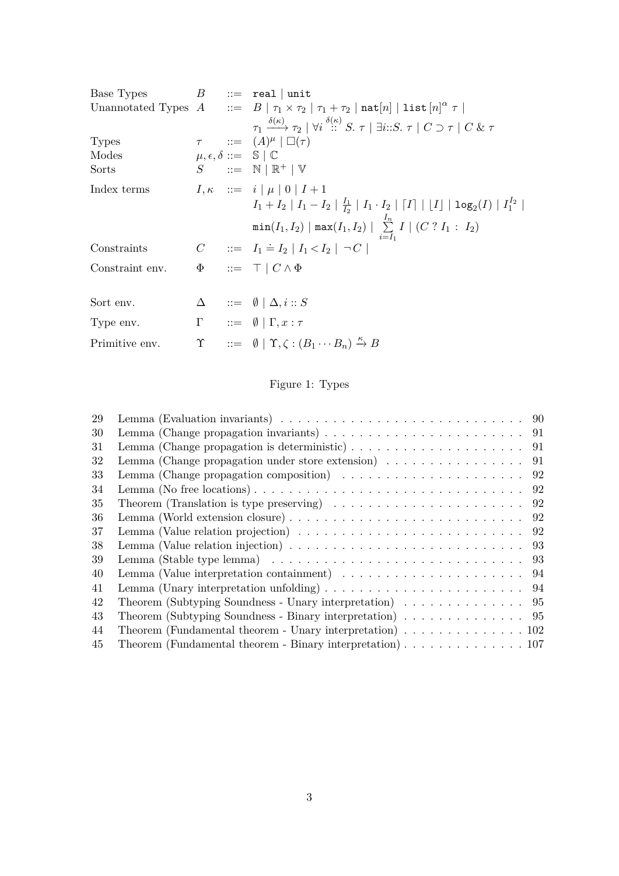| Base Types      |  | $B$ ::= real   unit                                                                                                                                                        |
|-----------------|--|----------------------------------------------------------------------------------------------------------------------------------------------------------------------------|
|                 |  | Unannotated Types $A$ ::= $B   \tau_1 \times \tau_2   \tau_1 + \tau_2   \text{nat}[n]   \text{list } [n]^{\alpha} \tau  $                                                  |
|                 |  | $\tau_1 \xrightarrow{\delta(\kappa)} \tau_2 \mid \forall i \stackrel{\delta(\kappa)}{\therefore} S. \tau \mid \exists i \colon S. \tau \mid C \supset \tau \mid C \& \tau$ |
| <b>Types</b>    |  | $\tau$ ::= $(A)^{\mu}$ $\Box(\tau)$                                                                                                                                        |
| Modes           |  | $\mu, \epsilon, \delta ::= \mathbb{S} \mid \mathbb{C}$                                                                                                                     |
| Sorts           |  | $S$ ::= $N \mid \mathbb{R}^+ \mid V$                                                                                                                                       |
| Index terms     |  | $I, \kappa$ ::= $i   \mu   0   I + 1$                                                                                                                                      |
|                 |  | $I_1 + I_2   I_1 - I_2   \frac{I_1}{I_2}   I_1 \cdot I_2   [I]   [I]   \log_2(I)   I_1^{I_2}  $                                                                            |
|                 |  | $min(I_1, I_2)   max(I_1, I_2)   \sum_{i=I_1}^{I_n} I   (C ? I_1 : I_2)$                                                                                                   |
| Constraints     |  | $C$ ::= $I_1 \doteq I_2   I_1 < I_2   \neg C$                                                                                                                              |
| Constraint env. |  | $\Phi$ ::= $\top$   $C \wedge \Phi$                                                                                                                                        |
|                 |  |                                                                                                                                                                            |
| Sort env.       |  | $\Delta$ ::= $\emptyset \mid \Delta, i :: S$                                                                                                                               |
| Type env.       |  | $\Gamma \qquad ::= \quad \emptyset \mid \Gamma, x : \tau$                                                                                                                  |
| Primitive env.  |  | $\Upsilon$ ::= $\emptyset$   $\Upsilon, \zeta : (B_1 \cdots B_n) \stackrel{\kappa}{\rightarrow} B$                                                                         |
|                 |  |                                                                                                                                                                            |

# Figure 1: Types

<span id="page-2-0"></span>

| 29 | Lemma (Evaluation invariants) $\ldots \ldots \ldots \ldots \ldots \ldots \ldots \ldots \ldots \ldots \ldots$    |
|----|-----------------------------------------------------------------------------------------------------------------|
| 30 | Lemma (Change propagation invariants) $\ldots \ldots \ldots \ldots \ldots \ldots \ldots \ldots \ldots$          |
| 31 | Lemma (Change propagation is deterministic) $\ldots \ldots \ldots \ldots \ldots \ldots \ldots$ 91               |
| 32 | Lemma (Change propagation under store extension) $\ldots \ldots \ldots \ldots \ldots$<br>91                     |
| 33 | Lemma (Change propagation composition) $\ldots \ldots \ldots \ldots \ldots \ldots \ldots$<br>92                 |
| 34 | Lemma (No free locations) $\dots \dots \dots \dots \dots \dots \dots \dots \dots \dots \dots \dots \dots$<br>92 |
| 35 | 92<br>Theorem (Translation is type preserving) $\ldots \ldots \ldots \ldots \ldots \ldots \ldots$               |
| 36 | 92                                                                                                              |
| 37 | Lemma (Value relation projection) $\ldots \ldots \ldots \ldots \ldots \ldots \ldots \ldots \ldots$<br>92        |
| 38 | Lemma (Value relation injection) $\ldots \ldots \ldots \ldots \ldots \ldots \ldots \ldots \ldots$<br>93         |
| 39 | Lemma (Stable type lemma) $\ldots \ldots \ldots \ldots \ldots \ldots \ldots \ldots \ldots \ldots$<br>93         |
| 40 | Lemma (Value interpretation containment) $\dots \dots \dots \dots \dots \dots \dots$<br>94                      |
| 41 | Lemma (Unary interpretation unfolding) $\ldots \ldots \ldots \ldots \ldots \ldots \ldots \ldots \ldots$ 94      |
| 42 | Theorem (Subtyping Soundness - Unary interpretation) 95                                                         |
| 43 |                                                                                                                 |
| 44 | Theorem (Fundamental theorem - Unary interpretation) $\ldots \ldots \ldots \ldots \ldots 102$                   |
| 45 | Theorem (Fundamental theorem - Binary interpretation) $\ldots \ldots \ldots \ldots \ldots \ldots 107$           |
|    |                                                                                                                 |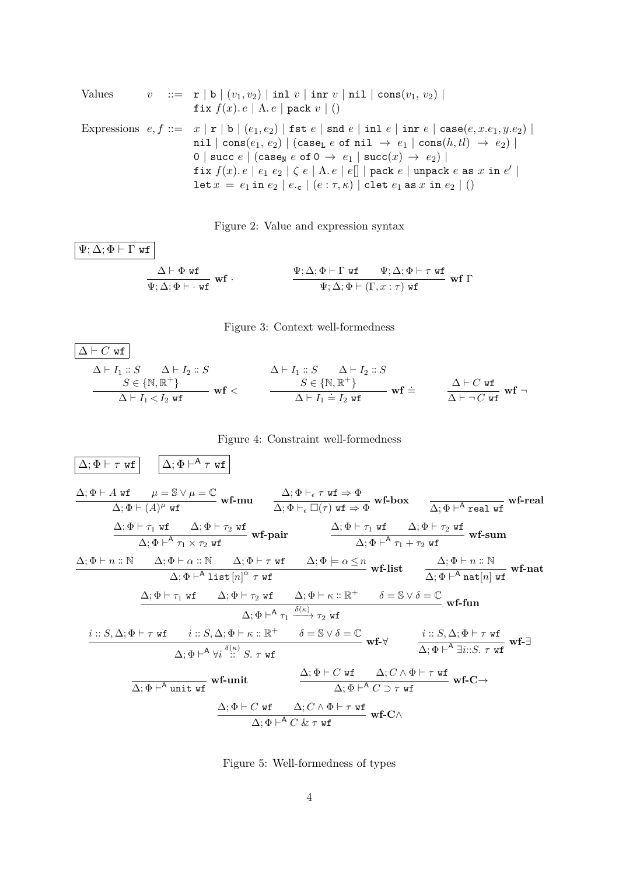Values 
$$
v ::= \mathbf{r} | \mathbf{b} | (v_1, v_2) | \mathbf{in} \mathbf{1} v | \mathbf{in} \mathbf{r} v | \mathbf{ni} | \mathbf{cons}(v_1, v_2) |
$$
  
\nfix  $f(x) \cdot e | \Lambda \cdot e | \mathbf{pack} \mathbf{v} | ()$   
\nExpressions  $e, f ::= x | \mathbf{r} | \mathbf{b} | (e_1, e_2) | \mathbf{fst} \mathbf{e} | \mathbf{snd} \mathbf{e} | \mathbf{in} \mathbf{1} e | \mathbf{in} \mathbf{r} e | \mathbf{case}(e, x.e_1, y.e_2) |$   
\n $\mathbf{ni} | \mathbf{cons}(e_1, e_2) | (\mathbf{case}_\mathbf{L} \mathbf{e} \mathbf{of} \mathbf{ni} \rightarrow e_1 | \mathbf{cons}(h, tl) \rightarrow e_2) |$   
\n $0 | \mathbf{succ} \mathbf{e} | (\mathbf{case}_\mathbf{N} \mathbf{e} \mathbf{of} \mathbf{0} \rightarrow e_1 | \mathbf{succ}(x) \rightarrow e_2) |$   
\nfix  $f(x) \cdot e | e_1 e_2 | \zeta \mathbf{e} | \Lambda \cdot e | e[] | \mathbf{pack} \mathbf{e} | \mathbf{unpack} \mathbf{e} \mathbf{as} x \mathbf{in} e' |$   
\nlet  $x = e_1 \mathbf{in} \mathbf{e}_2 | e \cdot \mathbf{c} | (e : \tau, \kappa) | \mathbf{clet} \mathbf{e}_1 \mathbf{as} x \mathbf{in} \mathbf{e}_2 | ()$ 

Figure 2: Value and expression syntax

<span id="page-3-1"></span><span id="page-3-0"></span>
$$
\begin{array}{c}\n\Psi; \Delta; \Phi \vdash \Gamma \text{ wf} \\
\hline\n\frac{\Delta \vdash \Phi \text{ wf}}{\Psi; \Delta; \Phi \vdash \cdot \text{ wf}} \text{wf} \cdot \frac{\Psi; \Delta; \Phi \vdash \Gamma \text{ wf}}{\Psi; \Delta; \Phi \vdash (\Gamma, x : \tau) \text{ wf}} \text{wf} \Gamma\n\end{array}
$$



$$
\begin{array}{|c|c|c|c|}\hline\Delta \vdash C \text{ wf} \\ \Delta \vdash I_1 :: S & \Delta \vdash I_2 :: S & \Delta \vdash I_1 :: S & \Delta \vdash I_2 :: S \\ & S \in \{\mathbb{N}, \mathbb{R}^+\} & S \in \{\mathbb{N}, \mathbb{R}^+\} & \text{wf} \in \\\hline \Delta \vdash I_1 < I_2 \text{ wf} & \text{wf} \in \\\hline \end{array}
$$

## Figure 4: Constraint well-formedness

<span id="page-3-2"></span>

| $\Delta; \Phi \vdash \tau \text{ wf}$ | $\Delta; \Phi \vdash A \tau \text{ wf}$  |                                           |                                                                   |                                                                                                                                                                                                                                                                                                                                                                                                                                                                                                                                                                                                                                                                                                                                                                                                                                                                                                                                                                                                                                                                                                                                                                                                                                                                       |
|---------------------------------------|------------------------------------------|-------------------------------------------|-------------------------------------------------------------------|-----------------------------------------------------------------------------------------------------------------------------------------------------------------------------------------------------------------------------------------------------------------------------------------------------------------------------------------------------------------------------------------------------------------------------------------------------------------------------------------------------------------------------------------------------------------------------------------------------------------------------------------------------------------------------------------------------------------------------------------------------------------------------------------------------------------------------------------------------------------------------------------------------------------------------------------------------------------------------------------------------------------------------------------------------------------------------------------------------------------------------------------------------------------------------------------------------------------------------------------------------------------------|
| $\Delta; \Phi \vdash A \text{ wf}$    | $\mu = \mathbb{S} \vee \mu = \mathbb{C}$ | $\mathbf{wf} \cdot \mathbf{m} \mathbf{u}$ | $\Delta; \Phi \vdash_{\epsilon} \tau \text{ wf} \Rightarrow \Phi$ | $\mathbf{wf} \cdot \mathbf{b} \text{ or } \mathbf{b} \text{ or } \mathbf{b} \text{ or } \mathbf{b} \text{ or } \mathbf{b} \text{ or } \mathbf{b} \text{ or } \mathbf{c} \text{ or } \mathbf{d} \text{ or } \mathbf{d} \text{ or } \mathbf{d} \text{ or } \mathbf{d} \text{ or } \mathbf{d} \text{ or } \mathbf{d} \text{ or } \mathbf{d} \text{ or } \mathbf{d} \text{ or } \mathbf{d} \text{ or } \mathbf{d} \text{ or } \mathbf{d} \text{ or } \mathbf{d} \text{ or } \mathbf{d} \text{ or } \mathbf{d} \text{ or } \mathbf{d} \text{ or } \mathbf{d} \text{ or } \mathbf{d} \text{ or } \mathbf{d} \text{ or } \mathbf{d} \text{ or } \mathbf{d} \text{ or } \mathbf{d} \text{ or } \mathbf{d} \text{ or } \mathbf{d} \text{ or } \mathbf{d} \text{ or } \mathbf{d} \text{ or } \mathbf{d} \text{ or } \mathbf{d} \text{ or } \mathbf{d} \text{ or } \mathbf{d} \text{ or } \mathbf{d} \text{ or } \mathbf{d} \text{ or } \mathbf{d} \text{ or } \mathbf{d} \text{ or } \mathbf{d} \text{ or } \mathbf{d} \text{ or } \mathbf{d} \text{ or } \mathbf{d} \text{ or } \mathbf{d} \text{ or } \mathbf{d} \text{ or } \mathbf{d} \text{ or } \mathbf{d} \text{ or } \mathbf{d} \text{ or } \mathbf{d} \text{ or } \mathbf{d} \text{ or } \mathbf{d} \text{ or } \math$ |

<span id="page-3-3"></span>Figure 5: Well-formedness of types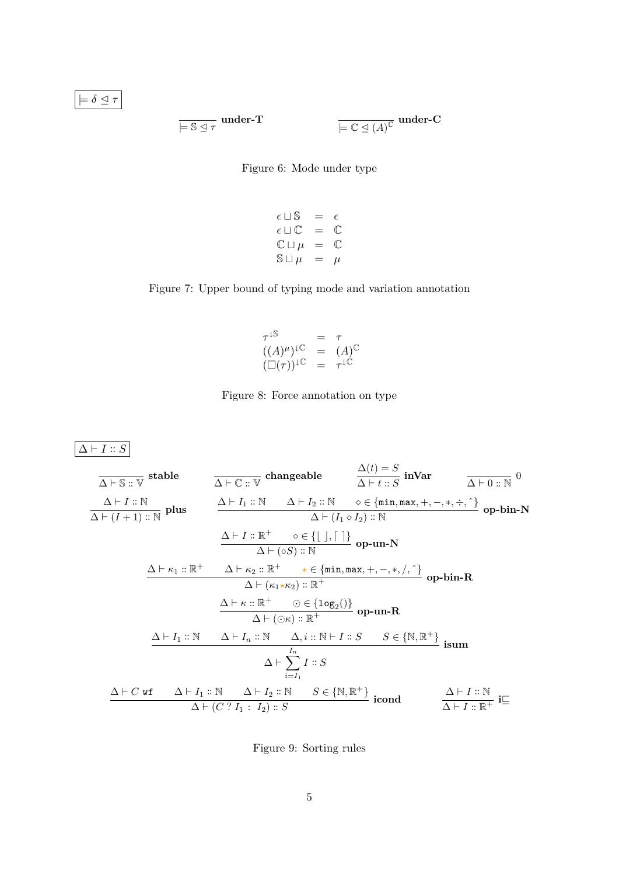<span id="page-4-0"></span> $\models \delta \trianglelefteq \tau$ 

$$
\overline{\models S \unlhd \tau} \text{ under-} \mathbf{T} \qquad \qquad \overline{\models C \unlhd (A)^{\mathbb{C}}} \text{ under-} \mathbf{C}
$$

Figure 6: Mode under type

$$
\epsilon \sqcup S = \epsilon
$$
  
\n
$$
\epsilon \sqcup C = C
$$
  
\n
$$
C \sqcup \mu = C
$$
  
\n
$$
S \sqcup \mu = \mu
$$

# <span id="page-4-1"></span>Figure 7: Upper bound of typing mode and variation annotation

$$
\tau^{\downarrow S} = \tau
$$
  
\n
$$
((A)^{\mu})^{\downarrow C} = (A)^{C}
$$
  
\n
$$
(\Box(\tau))^{\downarrow C} = \tau^{\downarrow C}
$$

Figure 8: Force annotation on type

<span id="page-4-2"></span> $\boxed{\Delta \vdash I :: S}$ 

| $\Delta$ + S :: V       | stable                  | $\Delta$ + C :: V                                                       | changeable              | $\Delta$ + t :: S       | inVar                                                                         | $\Delta$ + 0 :: N               |                                 |                                 |                         |                         |                         |                         |                         |                         |                         |                         |                                      |
|-------------------------|-------------------------|-------------------------------------------------------------------------|-------------------------|-------------------------|-------------------------------------------------------------------------------|---------------------------------|---------------------------------|---------------------------------|-------------------------|-------------------------|-------------------------|-------------------------|-------------------------|-------------------------|-------------------------|-------------------------|--------------------------------------|
| $\Delta$ + t :: N       | $\Delta$ + t $I_2$ :: N | $\diamond$ ∈ {min,max, +, -, *, ÷, $\hat{\cdot}$ } of $\Delta$ + 0 :: N | $\Delta$ + t $I_1$ :: N | $\Delta$ + t $I_2$ :: N | $\diamond$ ∈ {min,max, +, -, *, ÷, $\hat{\cdot}$ } of $\Delta$ + t $I_1$ :: N | $\Delta$ + t $I_1$ ∘ $I_2$ :: N | $\Delta$ + t $I_1$ ∘ $I_2$ :: N | $\Delta$ + t $I_1$ ∘ $I_2$ :: N | $\Delta$ + t $I_2$ :: N | $\Delta$ + t $I_2$ :: R | $\Delta$ + t $I_2$ :: R | $\Delta$ + t $I_2$ :: R | $\Delta$ + t $I_2$ :: R | $\Delta$ + t $I_2$ :: R | $\Delta$ + t $I_2$ :: R | $\Delta$ + t $I_2$ :: S | $\Delta$ ∈ {N, R <sup>+</sup> } isum |
| $\Delta$ + t $I_1$ :: N | $\Delta$ + t $I_2$ :: N | $\Delta$ + t $I_2$ :: S                                                 |                         |                         |                                                                               |                                 |                                 |                                 |                         |                         |                         |                         |                         |                         |                         |                         |                                      |
| $\Delta$ + t $I_1$ :: N | $\Delta$ + t $I_2$ :: N | $S$ ∈ {N, R <sup>+</sup> } is                                           |                         |                         |                                                                               |                                 |                                 |                                 |                         |                         |                         |                         |                         |                         |                         |                         |                                      |

<span id="page-4-3"></span>Figure 9: Sorting rules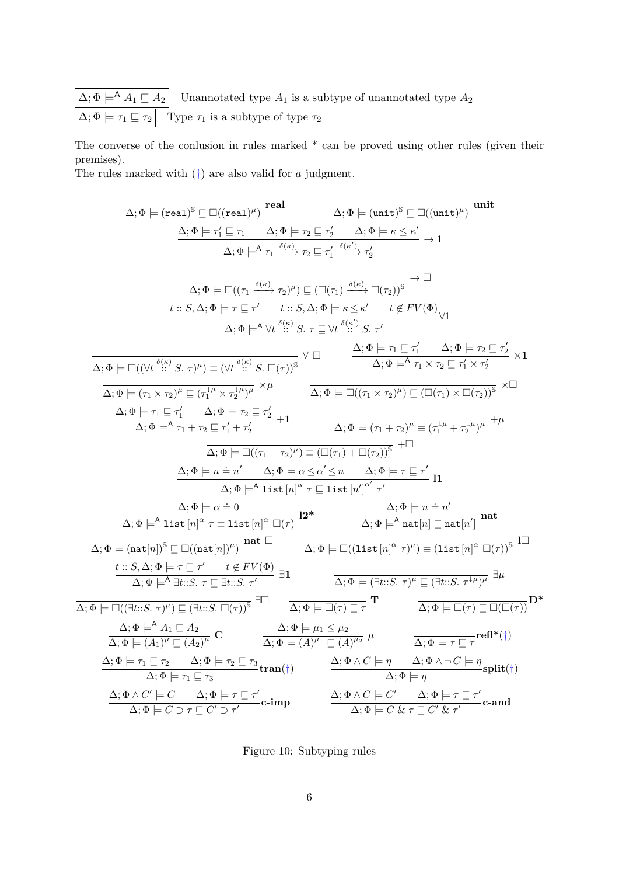$\Delta$ ;  $\Phi \models^{\mathsf{A}} A_1 \sqsubseteq A_2$  Unannotated type  $A_1$  is a subtype of unannotated type  $A_2$  $\overline{\Delta; \Phi \models \tau_1 \sqsubseteq \tau_2}$  Type  $\tau_1$  is a subtype of type  $\tau_2$ 

The converse of the conlusion in rules marked  $*$  can be proved using other rules (given their premises). The rules marked with (†) are also valid for *a* judgment.

 $\overline{\Delta; \Phi \models (\texttt{real})^\mathbb{S} \sqsubseteq \Box((\texttt{real})^\mu)}$   $\textbf{real}$  $\overline{\Delta; \Phi \models (\text{unit})^\mathbb{S} \sqsubseteq \Box ((\text{unit})^\mu)}$  unit  $\Delta; \Phi \models \tau_1' \sqsubseteq \tau_1 \qquad \Delta; \Phi \models \tau_2 \sqsubseteq \tau_2' \qquad \Delta; \Phi \models \kappa \leq \kappa'$  $\Delta; \Phi \models^{\mathsf{A}} \tau_1 \xrightarrow{\delta(\kappa)} \tau_2 \sqsubseteq \tau_1'$  $\xrightarrow{\delta(\kappa')}$   $\tau'_2$  $\rightarrow$  1  $\Delta; \Phi \models \Box ((\tau_1 \xrightarrow{\delta(\kappa)} \tau_2)^\mu) \sqsubseteq (\Box(\tau_1) \xrightarrow{\delta(\kappa)} \Box(\tau_2))^\mathbb{S}$  $\rightarrow \Box$  $t :: S, \Delta; \Phi \models \tau \sqsubseteq \tau'$   $t :: S, \Delta; \Phi \models \kappa \leq \kappa'$   $t \notin FV(\Phi)$  $\Delta; \Phi \models^{\mathsf{A}} \forall t \stackrel{\delta(\kappa)}{\cdots} S. \ \tau \sqsubseteq \forall t \stackrel{\delta(\kappa')}{\cdots} S. \ \tau'$ ∀1  $\Delta; \Phi \models \Box((\forall t \stackrel{\delta(\kappa)}{::} S. \tau)^\mu) \equiv (\forall t \stackrel{\delta(\kappa)}{::} S. \Box(\tau))^{\mathbb{S}}$  $\forall \Box$   $\Delta; \Phi \models \tau_1 \sqsubseteq \tau_1'$   $\Delta; \Phi \models \tau_2 \sqsubseteq \tau_2'$  $\Delta; \Phi \models^{\mathsf{A}} \tau_1 \times \tau_2 \sqsubseteq \tau_1' \times \tau_2'$ ×**1**  $\overline{\Delta;\Phi \models (\tau_1 \times \tau_2)^{\mu} \sqsubseteq (\tau_1^{\downarrow \mu} \times \tau_2^{\downarrow \mu})^{\mu}} \times \mu$   $\overline{\Delta;\Phi \models \Box((\tau_1 \times \tau_2)^{\mu}) \sqsubseteq (\Box(\tau_1) \times \Box(\tau_2))^{\mathbb{S}}} \times \Box$  $\Delta; \Phi \models \tau_1 \sqsubseteq \tau_1' \qquad \Delta; \Phi \models \tau_2 \sqsubseteq \tau_2'$  $\Delta; \Phi \models^{\mathsf{A}} \tau_1 + \tau_2 \sqsubseteq \tau_1' + \tau_2'$  $+1$   $\Delta; \Phi \models (\tau_1 + \tau_2)^{\mu} \equiv (\tau_1^{\mu} + \tau_2^{\mu})^{\mu}$   $+ \mu$  $\overline{\Delta; \Phi \models \Box((\tau_1 + \tau_2)^{\mu}) \equiv (\Box(\tau_1) + \Box(\tau_2))^{\mathbb{S}}}$  +  $\Box$  $\Delta; \Phi \models n = n'$   $\Delta; \Phi \models \alpha \leq \alpha' \leq n$   $\Delta; \Phi \models \tau \sqsubseteq \tau'$  $\frac{1}{\Delta$ ; Φ  $\models^A$  list  $[n]^\alpha$  *τ* ⊆ list  $[n']^{\alpha'}$  *τ'*  $\Delta; \Phi \models \alpha \stackrel{.}{=} 0$  $\Delta; \Phi \models \alpha = 0$ <br>  $\Delta; \Phi \models^A \text{list } [n]^\alpha \tau \equiv \text{list } [n]^\alpha \square(\tau)$ <br>  $\Omega^*$ <br>  $\Delta; \Phi \models^A \text{nat}[n] \sqsubseteq n$  $\overline{\Delta; \Phi \models^{\mathsf{A}} \mathtt{nat}[n] \sqsubseteq \mathtt{nat}[n']}$  nat  $\overline{\Delta; \Phi \models (\texttt{nat}[n])^\mathbb{S} \sqsubseteq \Box((\texttt{nat}[n])^\mu)} \text{\; nat\;} \Box \qquad \qquad \overline{\Delta; \Phi \models \Box((\texttt{list}[n]^\alpha \ \tau)^\mu) \equiv (\texttt{list}[n]^\alpha \ \Box(\tau))^\mathbb{S}} \text{\;}\Pi$  $t :: S, \Delta; \Phi \models \tau \sqsubseteq \tau'$   $t \not\in FV(\Phi)$  $\overline{\Delta; \Phi \models^{\mathsf{A}} \exists t::S. \tau \sqsubseteq \exists t::S. \tau'}$   $\exists 1$   $\overline{\Delta; \Phi \models (\exists t::S. \tau)^{\mu} \sqsubseteq (\exists t::S. \tau^{\downarrow \mu})^{\mu}}$   $\exists \mu$  $\overline{\Delta; \Phi \models \Box((\exists t::S. \tau)^{\mu}) \sqsubseteq (\exists t::S. \Box(\tau))^{S}} \exists \Box \qquad \overline{\Delta; \Phi \models \Box(\tau) \sqsubseteq \tau} \mathbf{T} \qquad \qquad \overline{\Delta; \Phi \models \Box(\tau) \sqsubseteq \Box(\Box(\tau))} \mathbf{D}^{*}$  $\Delta; \Phi \models^{\mathsf{A}} A_1 \sqsubseteq A_2$  $\frac{\Delta; \Phi \models^{\mathsf{A}} A_1 \sqsubseteq A_2}{\Delta; \Phi \models (A_1)^{\mu} \sqsubseteq (A_2)^{\mu}} \mathbf{C}$   $\frac{\Delta; \Phi \models \mu_1 \leq \mu_2}{\Delta; \Phi \models (A)^{\mu_1} \sqsubseteq (A_1)^{\mu_2}}$  $\overline{\Delta; \Phi \models (A)^{\mu_1} \sqsubseteq (A)^{\mu_2}} \mu$   $\overline{\Delta; \Phi \models \tau \sqsubseteq \tau}$ **refl\***(†)  $\Delta; \Phi \models \tau_1 \sqsubseteq \tau_2 \qquad \Delta; \Phi \models \tau_2 \sqsubseteq \tau_3$  $\frac{\Box \tau_2}{\triangle; \Phi \models \tau_2 \sqsubseteq \tau_3} \textbf{tran}(\dagger) \qquad \qquad \frac{\Delta; \Phi \wedge C \models \eta \qquad \Delta; \Phi \wedge \neg C \models \eta}{\triangle; \Phi \models \eta}$  $\frac{\gamma}{\Delta; \Phi \models \eta}$ split(†)  $\Delta; \Phi \wedge C' \models C \quad \Delta; \Phi \models \tau \sqsubseteq \tau'$  $\Delta; \Phi \models \tau \sqsubseteq \tau' \ \Delta; \Phi \models \tau \sqsubseteq \tau' \ \Delta; \Phi \land C \models C' \quad \Delta; \Phi \models \tau \sqsubseteq \tau' \ \Delta; \Phi \models C \supset \tau \sqsubseteq C' \supset \tau' \ \Delta; \Phi \models C \& \tau \sqsubseteq C' \& \tau'$  $\overline{\Delta; \Phi \models C \& \tau \sqsubseteq C' \& \tau'}$  **c-and** 

<span id="page-5-0"></span>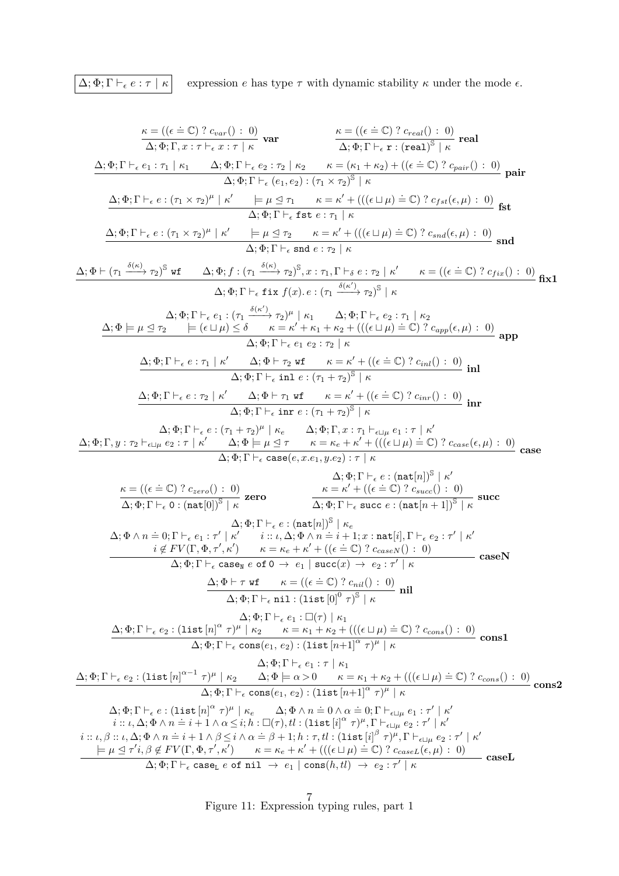$\boxed{\Delta; \Phi; \Gamma \vdash_{\epsilon} e : \tau \mid \kappa}$  expression *e* has type  $\tau$  with dynamic stability  $\kappa$  under the mode  $\epsilon$ .

*κ* = (( *.*<sup>=</sup> <sup>C</sup>) ? *<sup>c</sup>var*() : 0) ∆; Φ; Γ*, x* : *τ* ` *x* : *τ* | *κ* **var** *κ* = (( *.*<sup>=</sup> <sup>C</sup>) ? *<sup>c</sup>real*() : 0) ∆; Φ; Γ ` r : (real) S | *κ* **real** ∆; Φ; Γ ` *e*<sup>1</sup> : *τ*<sup>1</sup> | *κ*<sup>1</sup> ∆; Φ; Γ ` *e*<sup>2</sup> : *τ*<sup>2</sup> | *κ*<sup>2</sup> *κ* = (*κ*<sup>1</sup> + *κ*2) + (( *.*<sup>=</sup> <sup>C</sup>) ? *<sup>c</sup>pair*() : 0) ∆; Φ; Γ ` (*e*1*, e*2) : (*τ*<sup>1</sup> × *τ*2) S | *κ* **pair** ∆; Φ; Γ ` *e* : (*τ*<sup>1</sup> × *τ*2) *µ* | *κ* 0 |= *µ* E *τ*<sup>1</sup> *κ* = *κ* <sup>0</sup> + ((( t *µ*) *.*<sup>=</sup> <sup>C</sup>) ? *<sup>c</sup>f st*(*, µ*) : 0) ∆; Φ; Γ ` fst *e* : *τ*<sup>1</sup> | *κ* **fst** ∆; Φ; Γ ` *e* : (*τ*<sup>1</sup> × *τ*2) *µ* | *κ* 0 |= *µ* E *τ*<sup>2</sup> *κ* = *κ* <sup>0</sup> + ((( t *µ*) *.*<sup>=</sup> <sup>C</sup>) ? *<sup>c</sup>snd*(*, µ*) : 0) ∆; Φ; Γ ` snd *e* : *τ*<sup>2</sup> | *κ* **snd** ∆; Φ ` (*τ*<sup>1</sup> *δ*(*κ*) −−−→ *τ*2) S wf ∆; Φ; *f* : (*τ*<sup>1</sup> *δ*(*κ*) −−−→ *τ*2) S *, x* : *τ*1*,* Γ `*<sup>δ</sup> e* : *τ*<sup>2</sup> | *κ* <sup>0</sup> *κ* = (( *.*<sup>=</sup> <sup>C</sup>) ? *<sup>c</sup>f ix*() : 0) ∆; Φ; Γ ` fix *f*(*x*)*. e* : (*τ*<sup>1</sup> *δ*(*κ* 0 ) −−−→ *τ*2) S | *κ* **fix1** ∆; Φ; Γ ` *e*<sup>1</sup> : (*τ*<sup>1</sup> *δ*(*κ* 0 ) −−−→ *τ*2) *µ* | *κ*<sup>1</sup> ∆; Φ; Γ ` *e*<sup>2</sup> : *τ*<sup>1</sup> | *κ*<sup>2</sup> ∆; Φ |= *µ* E *τ*<sup>2</sup> |= ( t *µ*) ≤ *δ κ* = *κ* <sup>0</sup> + *κ*<sup>1</sup> + *κ*<sup>2</sup> + ((( t *µ*) *.*<sup>=</sup> <sup>C</sup>) ? *<sup>c</sup>app*(*, µ*) : 0) ∆; Φ; Γ ` *e*<sup>1</sup> *e*<sup>2</sup> : *τ*<sup>2</sup> | *κ* **app** ∆; Φ; Γ ` *e* : *τ*<sup>1</sup> | *κ* <sup>0</sup> ∆; Φ ` *τ*<sup>2</sup> wf *κ* = *κ* <sup>0</sup> + (( *.*<sup>=</sup> <sup>C</sup>) ? *<sup>c</sup>inl*() : 0) ∆; Φ; Γ ` inl *e* : (*τ*<sup>1</sup> + *τ*2) S | *κ* **inl** ∆; Φ; Γ ` *e* : *τ*<sup>2</sup> | *κ* <sup>0</sup> ∆; Φ ` *τ*<sup>1</sup> wf *κ* = *κ* <sup>0</sup> + (( *.*<sup>=</sup> <sup>C</sup>) ? *<sup>c</sup>inr*() : 0) ∆; Φ; Γ ` inr *e* : (*τ*<sup>1</sup> + *τ*2) S | *κ* **inr** ∆; Φ; Γ ` *e* : (*τ*<sup>1</sup> + *τ*2) *µ* | *κ<sup>e</sup>* ∆; Φ; Γ*, x* : *τ*<sup>1</sup> `t*<sup>µ</sup> e*<sup>1</sup> : *τ* | *κ* 0 ∆; Φ; Γ*, y* : *τ*<sup>2</sup> `t*<sup>µ</sup> e*<sup>2</sup> : *τ* | *κ* <sup>0</sup> ∆; Φ |= *µ* E *τ κ* = *κ<sup>e</sup>* + *κ* <sup>0</sup> + ((( t *µ*) *.*<sup>=</sup> <sup>C</sup>) ? *<sup>c</sup>case*(*, µ*) : 0) ∆; Φ; Γ ` case(*e, x.e*1*, y.e*2) : *τ* | *κ* **case** *κ* = (( *.*<sup>=</sup> <sup>C</sup>) ? *<sup>c</sup>zero*() : 0) ∆; Φ; Γ ` 0 : (nat[0])<sup>S</sup> | *κ* **zero** ∆; Φ; Γ ` *e* : (nat[*n*])<sup>S</sup> | *κ* 0 *κ* = *κ* <sup>0</sup> + (( *.*<sup>=</sup> <sup>C</sup>) ? *<sup>c</sup>succ*() : 0) ∆; Φ; Γ ` succ *e* : (nat[*n* + 1])<sup>S</sup> | *κ* **succ** ∆; Φ; Γ ` *e* : (nat[*n*])<sup>S</sup> | *κ<sup>e</sup>* ∆; Φ ∧ *n .*= 0; Γ ` *<sup>e</sup>*<sup>1</sup> : *<sup>τ</sup>* 0 | *κ* 0 *i* :: *ι,* ∆; Φ ∧ *n .*<sup>=</sup> *<sup>i</sup>* + 1; *<sup>x</sup>* : nat[*i*]*,* <sup>Γ</sup> ` *<sup>e</sup>*<sup>2</sup> : *<sup>τ</sup>* 0 | *κ* 0 *i* 6∈ *F V* (Γ*,* Φ*, τ* <sup>0</sup> *, κ*<sup>0</sup> ) *κ* = *κ<sup>e</sup>* + *κ* <sup>0</sup> + (( *.*<sup>=</sup> <sup>C</sup>) ? *<sup>c</sup>caseN* () : 0) ∆; Φ; Γ ` case<sup>N</sup> *e* of 0 → *e*<sup>1</sup> | succ(*x*) → *e*<sup>2</sup> : *τ* 0 | *κ* **caseN** ∆; Φ ` *τ* wf *κ* = (( *.*<sup>=</sup> <sup>C</sup>) ? *<sup>c</sup>nil*() : 0) ∆; Φ; Γ ` nil : (list [0]<sup>0</sup> *τ* ) S | *κ* **nil** ∆; Φ; Γ ` *e*<sup>1</sup> : (*τ* ) | *κ*<sup>1</sup> ∆; Φ; Γ ` *e*<sup>2</sup> : (list [*n*] *α τ* ) *µ* | *κ*<sup>2</sup> *κ* = *κ*<sup>1</sup> + *κ*<sup>2</sup> + ((( t *µ*) *.*<sup>=</sup> <sup>C</sup>) ? *<sup>c</sup>cons*() : 0) ∆; Φ; Γ ` cons(*e*1*, e*2) : (list [*n*+1]*<sup>α</sup> τ* ) *µ* | *κ* **cons1** ∆; Φ; Γ ` *e*<sup>1</sup> : *τ* | *κ*<sup>1</sup> ∆; Φ; Γ ` *e*<sup>2</sup> : (list [*n*] *α*−1 *τ* ) *µ* | *κ*<sup>2</sup> ∆; Φ |= *α >* 0 *κ* = *κ*<sup>1</sup> + *κ*<sup>2</sup> + ((( t *µ*) *.*<sup>=</sup> <sup>C</sup>) ? *<sup>c</sup>cons*() : 0) ∆; Φ; Γ ` cons(*e*1*, e*2) : (list [*n*+1]*<sup>α</sup> τ* ) *µ* | *κ* **cons2** ∆; Φ; Γ ` *e* : (list [*n*] *α τ* ) *µ* | *κ<sup>e</sup>* ∆; Φ ∧ *n .*= 0 <sup>∧</sup> *<sup>α</sup> .*= 0; Γ `t*<sup>µ</sup> <sup>e</sup>*<sup>1</sup> : *<sup>τ</sup>* 0 | *κ* 0 *i* :: *ι,* ∆; Φ ∧ *n .*<sup>=</sup> *<sup>i</sup>* + 1 <sup>∧</sup> *<sup>α</sup>* <sup>≤</sup> *<sup>i</sup>*; *<sup>h</sup>* : (*<sup>τ</sup>* )*, tl* : (list [*i*] *α τ* ) *µ ,* Γ `t*<sup>µ</sup> e*<sup>2</sup> : *τ* 0 | *κ* 0 *i* :: *ι, β* :: *ι,* ∆; Φ ∧ *n .*<sup>=</sup> *<sup>i</sup>* + 1 <sup>∧</sup> *<sup>β</sup>* <sup>≤</sup> *<sup>i</sup>* <sup>∧</sup> *<sup>α</sup> .*<sup>=</sup> *<sup>β</sup>* + 1; *<sup>h</sup>* : *τ, tl* : (list [*i*] *β τ* ) *µ ,* Γ `t*<sup>µ</sup> e*<sup>2</sup> : *τ* 0 | *κ* 0 |= *µ* E *τ* 0 *i, β* 6∈ *F V* (Γ*,* Φ*, τ* <sup>0</sup> *, κ*<sup>0</sup> ) *κ* = *κ<sup>e</sup>* + *κ* <sup>0</sup> + ((( t *µ*) *.*<sup>=</sup> <sup>C</sup>) ? *<sup>c</sup>caseL*(*, µ*) : 0) ∆; Φ; Γ ` case<sup>L</sup> *e* of nil → *e*<sup>1</sup> | cons(*h, tl*) → *e*<sup>2</sup> : *τ* 0 | *κ* **caseL**

<span id="page-6-0"></span>Figure 11: Expression typing rules, part 1 7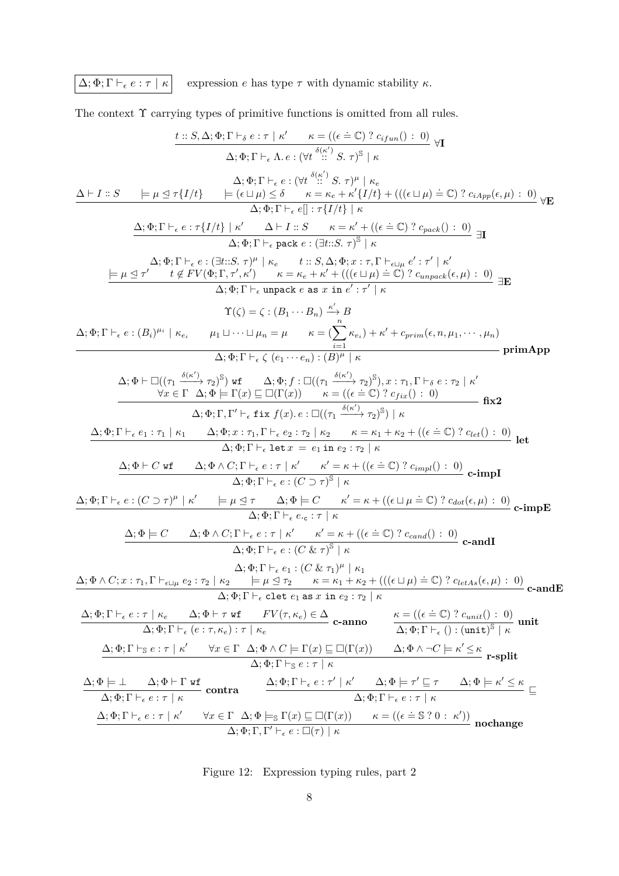$\boxed{\Delta; \Phi; \Gamma \vdash_{\epsilon} e : \tau \mid \kappa}$  expression *e* has type  $\tau$  with dynamic stability  $\kappa$ .

The context  $\Upsilon$  carrying types of primitive functions is omitted from all rules.

$$
\frac{t::S,\Delta;\Phi;\Gamma\vdash_{\epsilon}c:r| \kappa' \qquad \kappa = ((\epsilon \pm C) ? c_{ifun}() : 0)}{\Delta;\Phi;\Gamma\vdash_{\epsilon}c:(\forall t^{3} \frac{\langle \kappa \rangle}{\langle \kappa \rangle}S,\tau)^{B} | \kappa}
$$
\n
$$
\Delta \vdash I:S \qquad \models \mu \triangleq \tau\{I/t\} \qquad \models (\epsilon \sqcup \mu) \leq \delta \qquad \kappa = \kappa_{\epsilon} + \kappa'\{I/t\} + (((\epsilon \sqcup \mu) \pm C) ? c_{iAgn}(\epsilon,\mu) : 0) \forall E
$$
\n
$$
\Delta;\Phi;\Gamma\vdash_{\epsilon}c:(\forall t^{3} \frac{\langle \kappa \rangle}{\langle \kappa \rangle}S,\tau)^{\mu} | \kappa_{\epsilon}
$$
\n
$$
\Delta;\Phi;\Gamma\vdash_{\epsilon}e:\tau\{I/t\} | \kappa'| \qquad \Delta \vdash I:S \qquad \kappa = \kappa' + ((\epsilon \bot C) ? c_{pack} ) : 0) \exists \Gamma
$$
\n
$$
\Delta;\Phi;\Gamma\vdash_{\epsilon}e:(\exists t:S,\tau)^{B} | \kappa_{\epsilon} = t:S,\Delta;\Phi; \tau : \tau, \Gamma \vdash_{\epsilon} \eta_{\epsilon}c' : \tau' | \kappa'
$$
\n
$$
\frac{\Delta;\Phi;\Gamma\vdash_{\epsilon}c:(\exists t:S,\tau)^{B} | \kappa_{\epsilon} = t:S,\Delta;\Phi; \tau : \tau, \Gamma \vdash_{\epsilon} \eta_{\epsilon}c' : \tau' | \kappa'}{\Delta;\Phi;\Gamma\vdash_{\epsilon}c:(\exists t:S,\tau)^{B} | \kappa_{\epsilon} = t:S,\Delta;\Phi; \tau : \tau, \Gamma \vdash_{\epsilon} \eta_{\epsilon}c' : \tau' | \kappa'
$$
\n
$$
\Gamma(\zeta) = \zeta : (\beta_1 \cdots \beta_n) \xrightarrow{\kappa'}_{\epsilon}B
$$
\n
$$
\Gamma(\zeta) = \zeta : (\beta_1 \cdots \beta_n) \xrightarrow{\kappa'}_{\epsilon}B
$$
\n
$$
\frac{\Delta;\Phi;\Gamma\vdash_{\epsilon}c:(\beta_1)^{\mu \epsilon} | \kappa_{\epsilon} = \mu \pm \kappa = (\sum_{i=1}^{n} \kappa_{\epsilon}) + \kappa' + \epsilon_{prim}(\epsilon, \
$$

<span id="page-7-0"></span>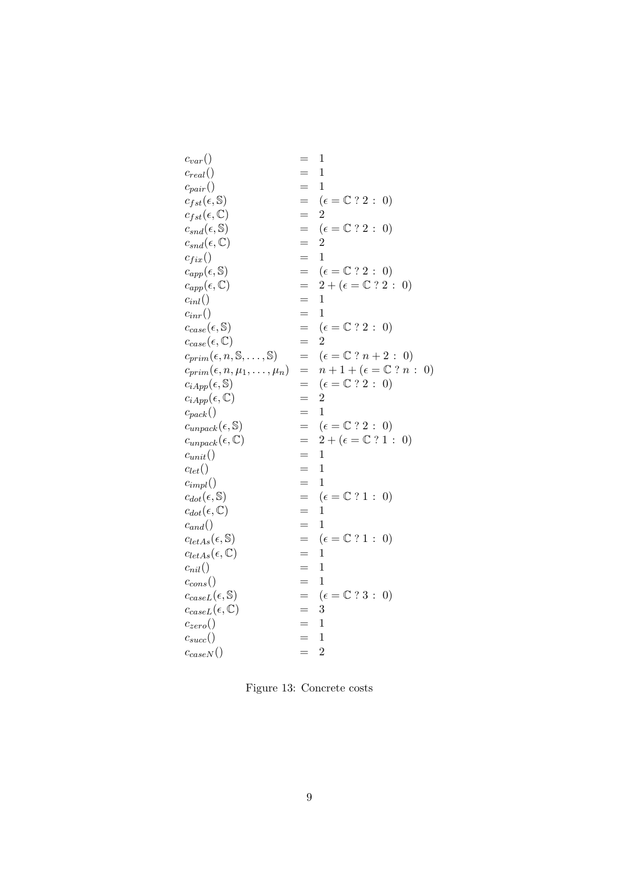| $c_{var}()$                                            |     | 1                                                                   |
|--------------------------------------------------------|-----|---------------------------------------------------------------------|
| $c_{real}()$                                           |     | $\mathbf 1$                                                         |
| $c_{pair}()$                                           | $=$ | $\overline{1}$                                                      |
| $c_{fst}(\epsilon, \mathbb{S})$                        | $=$ | $(\epsilon = \mathbb{C} ? 2:$<br>$\left( 0\right)$                  |
| $c_{fst}(\epsilon, \mathbb{C})$                        | $=$ | $\overline{2}$                                                      |
| $c_{snd}(\epsilon, \mathbb{S})$                        | $=$ | $(\epsilon = \mathbb{C} ? 2:$<br>$\left( 0\right)$                  |
| $c_{snd}(\epsilon, \mathbb{C})$                        | $=$ | $\overline{2}$                                                      |
| $c_{fix}()$                                            | $=$ | 1                                                                   |
| $c_{app}(\epsilon, \mathbb{S})$                        | $=$ | $(\epsilon = \mathbb{C} ? 2 : 0)$                                   |
| $c_{app}(\epsilon, \mathbb{C})$                        | $=$ | $2+(\epsilon = \mathbb{C} ? 2 : 0)$                                 |
| $c_{inl}()$                                            | $=$ | $\mathbf 1$                                                         |
| $c_{inr}()$                                            | $=$ | $\overline{1}$                                                      |
| $c_{case}(\epsilon, \mathbb{S})$                       | $=$ | $(\epsilon = \mathbb{C} ? 2 : 0)$                                   |
| $c_{case}(\epsilon, \mathbb{C})$                       | $=$ | $\overline{2}$                                                      |
| $c_{prim}(\epsilon, n, \mathbb{S}, \dots, \mathbb{S})$ | $=$ | $(\epsilon = \mathbb{C} ? n + 2 : 0)$                               |
| $c_{prim}(\epsilon, n, \mu_1, \ldots, \mu_n)$          | $=$ | $n+1+(\epsilon={\mathbb{C}}\stackrel{?}{.}n$ :<br>$\left( 0\right)$ |
| $c_{iApp}(\epsilon, \mathbb{S})$                       | $=$ | $(\epsilon = \mathbb{C} ? 2 : 0)$                                   |
| $c_{iApp}(\epsilon, \mathbb{C})$                       | $=$ | $\overline{2}$                                                      |
| $c_{pack}()$                                           | $=$ | $\mathbf{1}$                                                        |
| $c_{unpack}(\epsilon, \mathbb{S})$                     | $=$ | $(\epsilon = \mathbb{C} ? 2 : 0)$                                   |
| $c_{unpack}(\epsilon, \mathbb{C})$                     | $=$ | $2+(\epsilon = \mathbb{C} ? 1 : 0)$                                 |
| $c_{unit}()$                                           | $=$ | $\overline{1}$                                                      |
| $c_{let}()$                                            | $=$ | $\mathbf{1}$                                                        |
| $c_{impl}()$                                           | $=$ | 1                                                                   |
| $c_{dot}(\epsilon, \mathbb{S})$                        | $=$ | $(\epsilon = \mathbb{C} ? 1 : 0)$                                   |
| $c_{dot}(\epsilon, \mathbb{C})$                        | $=$ | $\mathbf 1$                                                         |
| $c_{and}()$                                            | $=$ | 1                                                                   |
| $c_{letAs}(\epsilon, \mathbb{S})$                      | $=$ | $(\epsilon = \mathbb{C} ? 1:$<br>$\left( 0\right)$                  |
| $c_{letAs}(\epsilon, \mathbb{C})$                      | $=$ | 1                                                                   |
| $c_{nil}()$                                            |     | $\mathbf 1$                                                         |
| $c_{cons}()$                                           | $=$ | 1                                                                   |
| $c_{caseL}(\epsilon, \mathbb{S})$                      | $=$ | $(\epsilon = \mathbb{C} ? 3:$<br>$\left( 0\right)$                  |
| $c_{caseL}(\epsilon, \mathbb{C})$                      | $=$ | 3                                                                   |
| $c_{zero}()$                                           | =   | 1                                                                   |
| $c_{succ}()$                                           | =   | 1                                                                   |
| $c_{caseN}()$                                          | $=$ | $\overline{2}$                                                      |
|                                                        |     |                                                                     |

<span id="page-8-0"></span>Figure 13: Concrete costs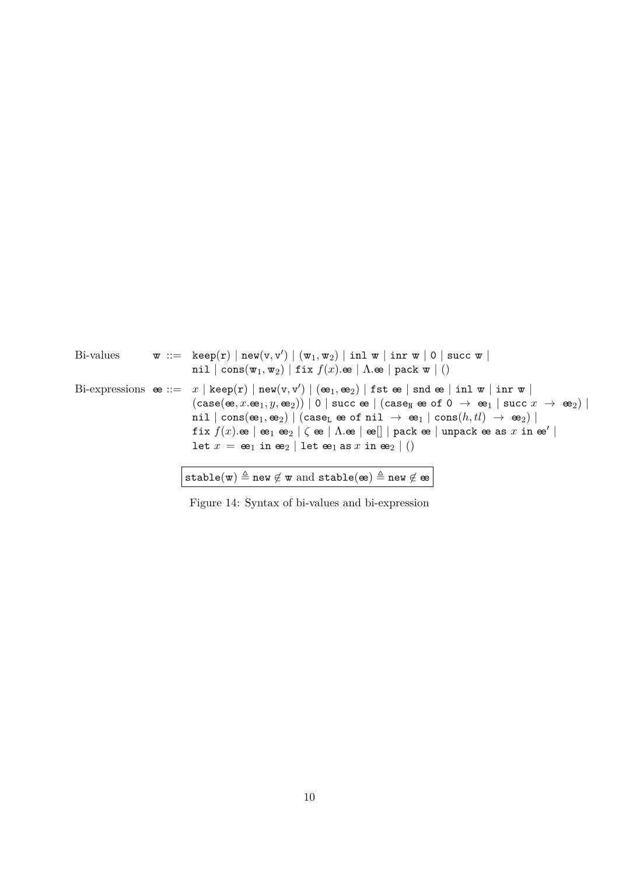| Bi-values | $\mathbf{w} := \text{keep}(r)   \text{new}(v, v')   (\mathbf{w}_1, \mathbf{w}_2)   \text{inl } \mathbf{w}   \text{inr } \mathbf{w}   0   \text{succ } \mathbf{w}  $<br>nil $  \text{ cons}(w_1, w_2)  $ fix $f(x) \text{.e }   \Lambda \text{.e }   \text{ pack } w   ()$                                                                                                                                                                                                                                                                                                                                                                                                                                                                                                                                                                                                                                                                                                                                                                                                                                                                                                                                                                              |
|-----------|--------------------------------------------------------------------------------------------------------------------------------------------------------------------------------------------------------------------------------------------------------------------------------------------------------------------------------------------------------------------------------------------------------------------------------------------------------------------------------------------------------------------------------------------------------------------------------------------------------------------------------------------------------------------------------------------------------------------------------------------------------------------------------------------------------------------------------------------------------------------------------------------------------------------------------------------------------------------------------------------------------------------------------------------------------------------------------------------------------------------------------------------------------------------------------------------------------------------------------------------------------|
|           | Bi-expressions $\mathbf{e} ::= x   \mathbf{keep(r)}   \mathbf{new}(v, v')   (\mathbf{e}_1, \mathbf{e}_2)   \mathbf{fst} \mathbf{e}   \mathbf{snd} \mathbf{e}   \mathbf{inl} \mathbf{w}   \mathbf{inr} \mathbf{w}  $<br>$(\texttt{case}(\texttt{\textbf{e}}\xspace,x.\texttt{\textbf{e}}\xspace_1,y,\texttt{\textbf{e}}\xspace_2))\mid 0\mid \texttt{succ} \; \texttt{\textbf{e}}\mid (\texttt{case}_\texttt{N} \; \texttt{\textbf{e}}\xspace \; \texttt{of} \; 0 \; \rightarrow \; \texttt{\textbf{e}}\xspace_1 \mid \texttt{succ} \; x \; \rightarrow \; \texttt{\textbf{e}}\xspace_2)\mid$<br>$\texttt{nil}\mid \texttt{cons}(\texttt{\textbf{e}}_1,\texttt{\textbf{e}}_2) \mid (\texttt{case}_\texttt{L}\texttt{\textbf{e}}\texttt{\textbf{o}}\texttt{f}\texttt{\textbf{nil}}\ \rightarrow\ \texttt{\textbf{e}}_1 \mid \texttt{cons}(h, tl)\ \rightarrow\ \texttt{\textbf{e}}_2) \mid$<br>fix $f(x)$ . $\mathfrak{e}$ $\mid$ $\mathfrak{e}_1$ $\mathfrak{e}_2$ $\mid$ $\zeta$ $\mathfrak{e}$ $\mid$ $\Lambda$ . $\mathfrak{e}$ $\mid$ $\mathfrak{e}$ $\mid$ $\mid$ $p$ ack $\mathfrak{e}$ $\mid$ unpack $\mathfrak{e}$ as $x$ in $\mathfrak{e}$ $\mid$<br>let $x = \mathbf{e}_1$ in $\mathbf{e}_2$   let $\mathbf{e}_1$ as x in $\mathbf{e}_2$   () |
|           | stable(w) $\triangleq$ new $\notin$ w and stable(ee) $\triangleq$ new $\notin$ ee                                                                                                                                                                                                                                                                                                                                                                                                                                                                                                                                                                                                                                                                                                                                                                                                                                                                                                                                                                                                                                                                                                                                                                      |

<span id="page-9-0"></span>Figure 14: Syntax of bi-values and bi-expression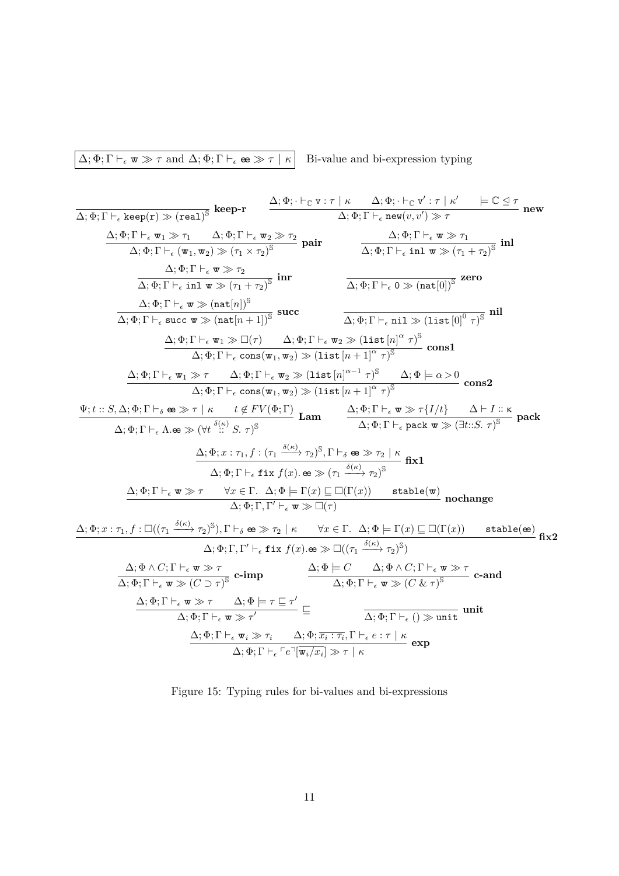$\boxed{\Delta; \Phi; \Gamma \vdash_{\epsilon} \mathbf{w} \gg \tau \text{ and } \Delta; \Phi; \Gamma \vdash_{\epsilon} \mathbf{e} \gg \tau \mid \kappa}$  Bi-value and bi-expression typing

$$
\begin{array}{c|c|c|c|c} \hline \Delta;\Phi;\Gamma\vdash_{\epsilon}\text{keep}(r)\gg(\text{real})^3 & \text{keep-r} & \Delta;\Phi;\cdot\vdash_{\mathbb{C}}\text{ v}:\tau\mid\kappa&\Delta;\Phi;\cdot\vdash_{\mathbb{C}}\text{ v}':\tau\mid\kappa'&\equiv\mathbb{C}\unlhd\tau\\ \hline \Delta;\Phi;\Gamma\vdash_{\epsilon}\text{ w}_1\gg\tau_1&\Delta;\Phi;\Gamma\vdash_{\epsilon}\text{ w}_2\gg\tau_2&\text{pair}\\ \hline \Delta;\Phi;\Gamma\vdash_{\epsilon}\text{ (w}_1,\text{ w}_2)\gg(\tau_1\times\tau_2)^3 & \text{pair}\\ \hline \Delta;\Phi;\Gamma\vdash_{\epsilon}\text{ un}\gg(\tau_1\times\tau_2)^3 & \text{inr}\\ \hline \Delta;\Phi;\Gamma\vdash_{\epsilon}\text{ un}\gg(\tau_1\times\tau_2)^3 & \text{inr}\\ \hline \Delta;\Phi;\Gamma\vdash_{\epsilon}\text{ un}\gg(\tau_1\times\tau_2)^3 & \text{inr}\\ \hline \Delta;\Phi;\Gamma\vdash_{\epsilon}\text{ un}\gg(\tau_1\times\tau_2)^3 & \text{inr}\\ \hline \Delta;\Phi;\Gamma\vdash_{\epsilon}\text{ un}\gg(\tau_1\times\tau_2)^3 & \text{inr}\\ \hline \Delta;\Phi;\Gamma\vdash_{\epsilon}\text{ un}\gg\mathbb{C}(\tau_1&\Delta;\Phi;\Gamma\vdash_{\epsilon}\text{ w}_2\gg(\text{list}\left[n]^{\alpha}\tau)^3 & \text{cons1}\\ \hline \Delta;\Phi;\Gamma\vdash_{\epsilon}\text{ un}\gg\tau&\Delta;\Phi;\Gamma\vdash_{\epsilon}\text{ un}\gg\mathbb{C})(\text{list}\left[n^{\alpha-1}\tau\right)^3&\Delta;\Phi\models\alpha\geq0\\ \hline \Delta;\Phi;\Gamma\vdash_{\epsilon}\text{ un}\gg\tau&\Delta;\Phi;\Gamma\vdash_{\epsilon}\text{ v}:\text{cons}(\text{w}_1,\text{ w}_2)\gg(\text{list}\left[n^{\alpha-1}\tau)^3&\Delta;\Phi\models\alpha\geq0\\\text{cons2}\\ \hline \Delta;\Phi;\Gamma\vdash_{\epsilon}\text{ un}\gg\tau&\Delta;\Phi;\Gamma\vdash_{\epsilon}\text{ w}_2\gg(\text{list}\left[n^{\alpha-1}\tau)^3&\Delta;\Phi\models\alpha\geq0\\\text{cons2}\\
$$

<span id="page-10-0"></span>Figure 15: Typing rules for bi-values and bi-expressions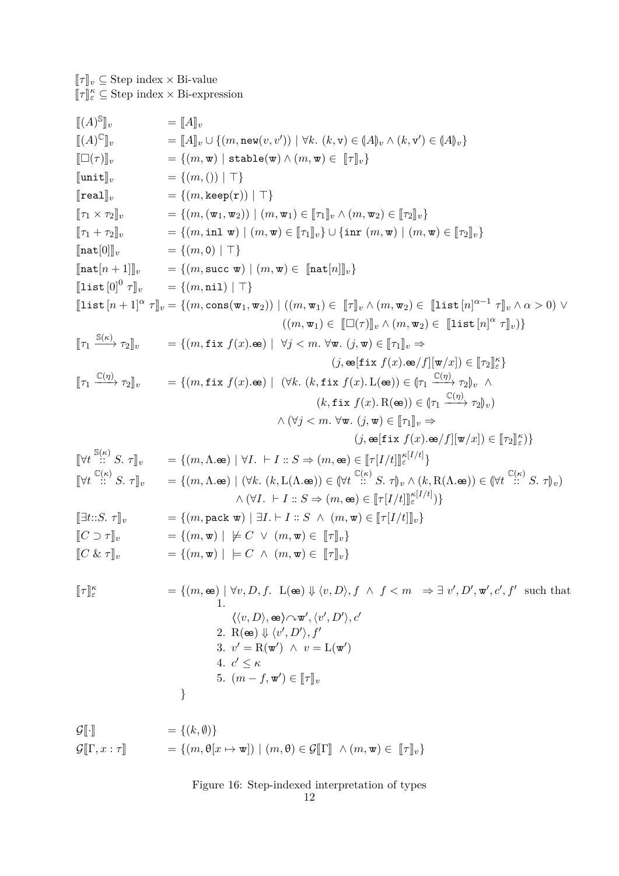$[\![\tau]\!]_v \subseteq$  Step index  $\times$  Bi-value  $[\![\tau]\!]_\varepsilon^\kappa \subseteq$  Step index  $\times$  Bi-expression

$$
[(A)^{8}]_{v} = [A]_{v} \cup \{(m, new(v, v')) \mid \forall k. (k, v) \in (A)_{v} \wedge (k, v') \in (A)_{v} \}
$$
  
\n
$$
=[(m, v)] \text{ with } \{m, w\} \in [T]_{v}\}
$$
  
\n
$$
=[(m, v)] \text{ with } \{m, w \in [T]_{v}\}
$$
  
\n
$$
=[(m, v)] \text{ with } \{m, w \in [T]_{v}\}
$$
  
\n
$$
=[(m, v)] \text{ with } \{m, w \in [T]_{v}\}
$$
  
\n
$$
=[(m, v)] \text{ with } \{m, w\} \in [T]_{v}\}
$$
  
\n
$$
=[(m, v)] \text{ with } \{m, w\} \in [T]_{v}\}
$$
  
\n
$$
=[(m, v)] \text{ with } \{m, w\} \in [T]_{v}\}
$$
  
\n
$$
=[(m, v)] \text{ with } \{m, w\} \in [T]_{v}\}
$$
  
\n
$$
=[(m, v)] \text{ with } \{m, w\} \in [T]_{v}\}
$$
  
\n
$$
=[(m, v)] \text{ with } \{m, w\} \in [T]_{v}\}
$$
  
\n
$$
=[(m, v)] \text{ with } \{m, w\} \in [T]_{v}\}
$$
  
\n
$$
=[(m, v)] \text{ with } \{m, w\} \in [T]_{v}\}
$$
  
\n
$$
=[(m, v)] \text{ with } \{m, w\} \in [T]_{v}\}
$$
  
\n
$$
=[(m, v)] \text{ with } \{m, w\} \in [T]_{v}\}
$$
  
\n
$$
=[(m, v)] \text{ with } \{m, w\} \in [T]_{v}\}
$$
  
\n
$$
=[(m, v)] \text{ with } \{m, w\} \in [T]_{v}\}
$$
  
\n
$$
=[(m, v)] \text{ with } \{m, w\} \in [T]_{v}\}
$$
  
\n
$$
=[(m, v)] \text{ with } \{m, w\} \in [T]_{v}\}
$$
  
\n
$$
=[(m, v)]
$$

<span id="page-11-0"></span>
$$
\mathcal{G}[\![\cdot]\!] \qquad \qquad = \{ (k, \emptyset) \} \n\mathcal{G}[\![\Gamma, x : \tau]\!] \qquad \qquad = \{ (m, \theta[x \mapsto \mathbf{w}]) \mid (m, \theta) \in \mathcal{G}[\![\Gamma]\!] \; \wedge (m, \mathbf{w}) \in [\![\tau]\!]_v \}
$$

Figure 16: Step-indexed interpretation of types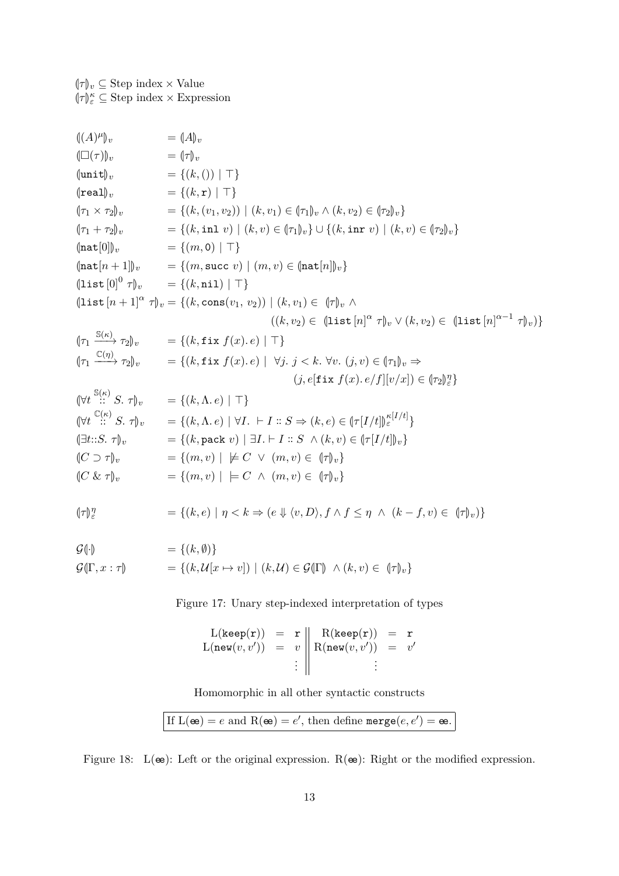| $(\! (A)\mu _v)$                                                | $= (A)_v$                                                                                                                                                                                           |
|-----------------------------------------------------------------|-----------------------------------------------------------------------------------------------------------------------------------------------------------------------------------------------------|
| $(\Box(\tau))_v$                                                | $=$ $(\tau)_v$                                                                                                                                                                                      |
| $\langle \texttt{unit} \rangle_v$                               | $= \{(k, () )   \top\}$                                                                                                                                                                             |
| $\langle$ real $\rangle_{v}$                                    | $= \{(k, {\bf r}) \mid \top\}$                                                                                                                                                                      |
| $(\tau_1 \times \tau_2)_v$                                      | $=\{(k,(v_1,v_2))   (k,v_1) \in (\tau_1)_v \wedge (k,v_2) \in (\tau_2)_v\}$                                                                                                                         |
|                                                                 | $(\tau_1 + \tau_2)_v$ = { $(k, \text{inl } v)   (k, v) \in (\tau_1)_v$ } $\cup$ { $(k, \text{inr } v)   (k, v) \in (\tau_2)_v$ }                                                                    |
| $\langle \texttt{nat}[0] \rangle_v$                             | $= \{(m, 0)   \top\}$                                                                                                                                                                               |
|                                                                 | $\ \text{nat}[n+1]\ _v = \{(m, \text{succ } v) \mid (m, v) \in \ \text{nat}[n]\ _v\}$                                                                                                               |
|                                                                 | $(\text{list } [0]^0 \tau)_v = \{(k, \texttt{nil})   \top\}$                                                                                                                                        |
|                                                                 | $(\text{list }[n+1]^{\alpha} \tau)_{v} = \{(k, \text{cons}(v_1, v_2)) \mid (k, v_1) \in (\tau)_{v} \wedge$                                                                                          |
|                                                                 | $((k, v_2) \in (\text{list } [n]^\alpha \tau)_v \vee (k, v_2) \in (\text{list } [n]^{\alpha - 1} \tau)_v)$                                                                                          |
|                                                                 | $\lim_{n \to \infty} \frac{\mathbb{S}(\kappa)}{n} \tau_2$ , $\eta_v = \{(k, \texttt{fix } f(x), e) \mid \top\}$                                                                                     |
|                                                                 | $\begin{array}{ll}\n\langle [\tau_1 \xrightarrow{\mathbb{C}(\eta)} \tau_2]_v = \{ (k, \texttt{fix } f(x). e) \mid \forall j. \ j < k. \ \forall v. \ (j, v) \in [\tau_1]_v \Rightarrow \end{array}$ |
|                                                                 | $(j, e[\texttt{fix } f(x), e/f][v/x]) \in {\tau_2}_{\epsilon}^{\eta}$                                                                                                                               |
| $(\forall t \stackrel{\mathbb{S}(\kappa)}{\ldots} S. \tau)_{v}$ | $= \{(k, \Lambda, e)   \top\}$                                                                                                                                                                      |
| $(\forall t \stackrel{\mathbb{C}(\kappa)}{\dots} S. \tau)_v$    | $=\{(k,\Lambda,e)\mid \forall I. \vdash I :: S \Rightarrow (k,e) \in \left(\frac{\pi}{I/t}\right)\right)_{\varepsilon}^{\kappa\lfloor I/t\rfloor}$                                                  |
| $\left( \exists t \colon S. \tau \right)_v$                     | = { $(k, \text{pack } v)$   $\exists I. \vdash I :: S \land (k, v) \in (\tau[I/t])_v$ }                                                                                                             |
| $(C \supset \tau)_v$                                            | $= \{(m, v) \mid \not\models C \lor (m, v) \in (\tau)_v\}$                                                                                                                                          |
| $(C \& \tau)_v$                                                 | = $\{(m, v) \mid \models C \land (m, v) \in (\uparrow\uparrow)_v\}$                                                                                                                                 |
| $\lVert \tau \rVert_{\varepsilon}^{\eta}$                       | $=\{(k,e) \mid \eta < k \Rightarrow (e \Downarrow \langle v,D \rangle, f \wedge f \leq \eta \wedge (k-f,v) \in (\Vert \tau \Vert_{v})\}$                                                            |
| $\bigcap$ $\bigcap$                                             | (1.0)                                                                                                                                                                                               |

<span id="page-12-0"></span> $\mathcal{G}(\cdot)$  = { $(k, \emptyset)$ }  $G(\Gamma, x : \tau)$  = { $(k, \mathcal{U}[x \mapsto v]) | (k, \mathcal{U}) \in \mathcal{G}(\Gamma) \land (k, v) \in (\tau)_v$ }

Figure 17: Unary step-indexed interpretation of types

$$
L(\text{keep}(r)) = r \parallel R(\text{keep}(r)) = r
$$
  
\n
$$
L(\text{new}(v, v')) = v \parallel R(\text{new}(v, v')) = v'
$$
  
\n
$$
\vdots \parallel
$$

Homomorphic in all other syntactic constructs

If 
$$
L(\mathbf{\omega}) = e
$$
 and  $R(\mathbf{\omega}) = e'$ , then define  $\text{merge}(e, e') = \mathbf{\omega}$ .

<span id="page-12-1"></span>Figure 18:  $L(\mathbf{\omega})$ : Left or the original expression.  $R(\mathbf{\omega})$ : Right or the modified expression.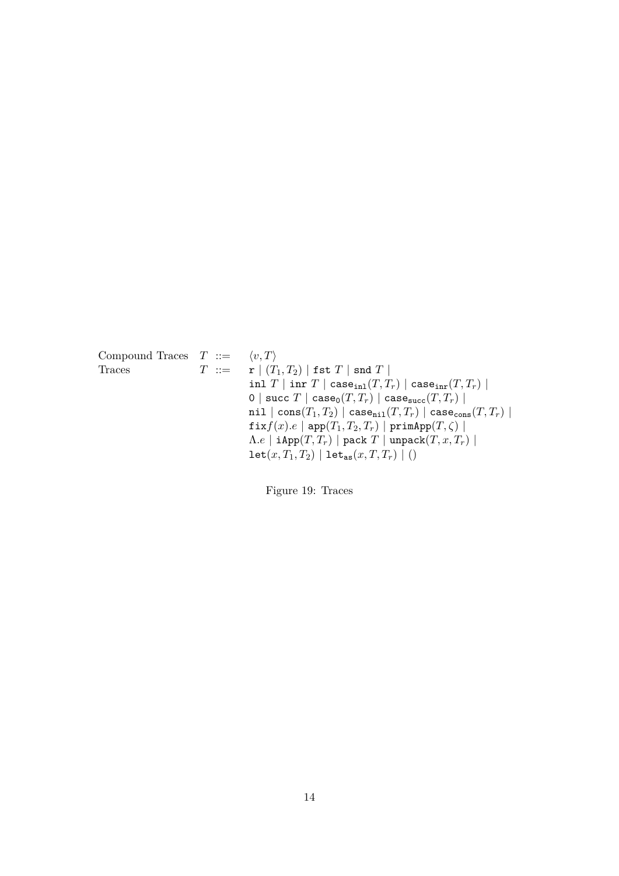<span id="page-13-0"></span>Compound Traces  $T := \langle v, T \rangle$ Traces  $T := \mathbf{r} | (T_1, T_2) | \text{fst } T | \text{snd } T |$ inl *T* | inr *T* | caseinl(*T, Tr*) | caseinr(*T, Tr*) | 0 | succ  $T \mid \text{case}_0(T, T_r) \mid \text{case}_{succ}(T, T_r) \mid$  $\texttt{nil} \mid \texttt{cons}(T_1, T_2) \mid \texttt{case}_{\texttt{nil}}(T, T_r) \mid \texttt{case}_{\texttt{cons}}(T, T_r) \mid$  $f(x)$ *.e* | app $(T_1, T_2, T_r)$  | primApp $(T, \zeta)$  |  $Λ.e$  | iApp $(T, T_r)$  | pack  $T$  | unpack $(T, x, T_r)$  |  $\texttt{let}(x, T_1, T_2) | \texttt{let}_{\texttt{as}}(x, T, T_r) | ()$ 

Figure 19: Traces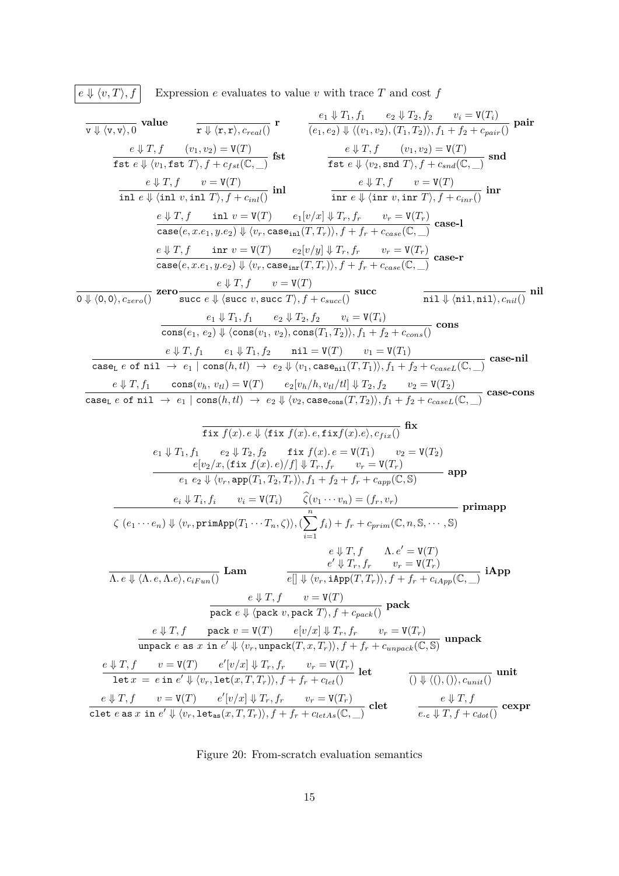$$
\boxed{e \Downarrow \langle v, T \rangle, f}
$$
 Expression *e* evaluates to value *v* with trace *T* and cost *f*

$$
\frac{\nabla \psi(x,y_0,0)}{\nabla \psi(x,y_0)} \nabla \psi(x,y_0) = \nabla \psi(x,y_0) + \nabla \psi(x,y_0)(T_1,T_2)) + \nabla \psi(x,y_0) = \nabla \psi(x,y_0) + \nabla \psi(x,y_0) = \nabla \psi(x,y_0) + \nabla \psi(x,y_0) = \nabla \psi(x,y_0) + \nabla \psi(x,y_0) = \nabla \psi(x,y_0) + \nabla \psi(x,y_0) = \nabla \psi(x,y_0) + \nabla \psi(x,y_0) = \nabla \psi(x,y_0) + \nabla \psi(x,y_0) = \nabla \psi(x,y_0) + \nabla \psi(x,y_0) = \nabla \psi(x,y_0) + \nabla \psi(x,y_0) = \nabla \psi(x,y_0) + \nabla \psi(x,y_0) = \nabla \psi(x,y_0) + \nabla \psi(x,y_0) = \nabla \psi(x,y_0) + \nabla \psi(x,y_0) = \nabla \psi(x,y_0) + \nabla \psi(x,y_0) = \nabla \psi(x,y_0) + \nabla \psi(x,y_0) = \nabla \psi(x,y_0) + \nabla \psi(x,y_0) = \nabla \psi(x,y_0) + \nabla \psi(x,y_0) = \nabla \psi(x,y_0) + \nabla \psi(x,y_0) = \nabla \psi(x,y_0) + \nabla \psi(x,y_0) = \nabla \psi(x,y_0) + \nabla \psi(x,y_0) = \nabla \psi(x,y_0) + \nabla \psi(x,y_0) = \nabla \psi(x,y_0) + \nabla \psi(x,y_0) = \nabla \psi(x,y_0) + \nabla \psi(x,y_0) = \nabla \psi(x,y_0) + \nabla \psi(x,y_0) = \nabla \psi(x,y_0) + \nabla \psi(x,y_0) = \nabla \psi(x,y_0) + \nabla \psi(x,y_0) = \nabla \psi(x,y_0) + \nabla \psi(x,y_0) = \nabla \psi(x,y_0) + \nabla \psi(x,y_0) = \nabla \psi(x,y_0) + \nabla \psi(x,y_0) = \nabla \psi(x,y_0) + \nabla \psi(x,y_0) = \nabla \
$$

<span id="page-14-0"></span>Figure 20: From-scratch evaluation semantics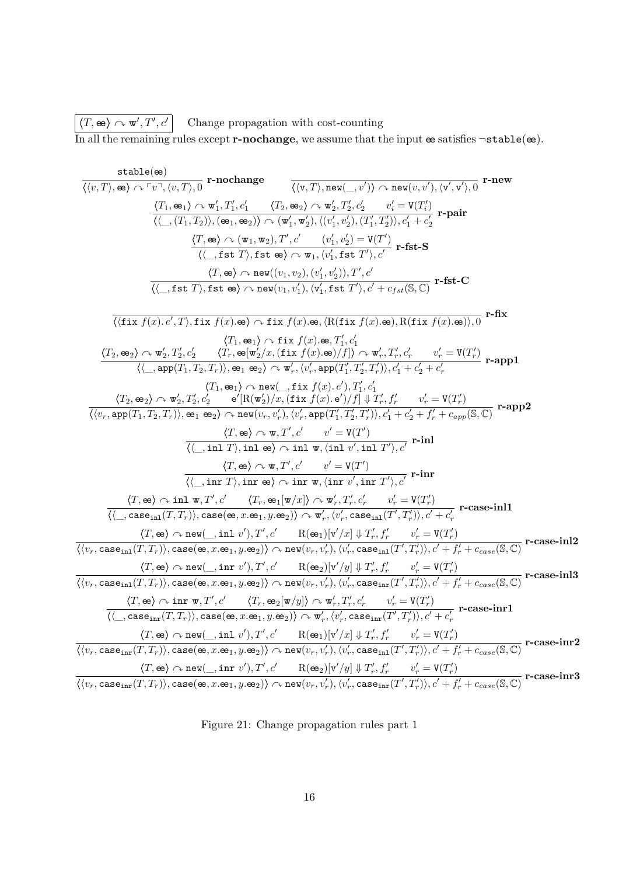$\langle T, \mathbf{e} \rangle \sim \mathbf{w}', T', c'$  Change propagation with cost-counting In all the remaining rules except **r-nochange**, we assume that the input  $\mathbf{e}$  satisfies  $\neg$  stable $(\mathbf{e})$ .

$$
\frac{\text{stable}(e)}{\langle v,T\rangle,e\rangle\wedge r(v,T),0}\ \text{r-nochange} \quad \frac{\langle \langle T,ee\rangle_{\cdot}\wedge v_{\cdot}^{*}\rangle\wedge \langle v,T\rangle_{\cdot}e\rangle\wedge \text{vec}(v,\psi')\wedge \langle v',\psi',\psi',0\rangle\wedge \text{r-neu}}{\langle \langle T,ee\rangle_{\cdot}\wedge r_{\cdot}^{*}\rangle,\langle e_{1},ee\rangle_{\cdot}\wedge \psi'_{1},T'_{1},c'_{1}\quad \langle T,ee\rangle_{\cdot}\wedge \langle w'_{1},\psi'_{2}\rangle,\langle \langle r'_{1},\psi'_{2}\rangle,\langle T'_{1},T'_{2}\rangle\rangle,\langle r'_{1},\psi'_{2}\rangle\wedge \langle T'_{1},T'_{2}\rangle\rangle\wedge \langle T'_{2}\rangle\wedge \langle T'_{2}\rangle\wedge \langle T'_{2}\rangle\wedge \langle T'_{2}\rangle\wedge \langle T'_{2}\rangle\wedge \langle T'_{2}\rangle\wedge \langle T'_{2}\rangle\wedge \langle T'_{2}\rangle\wedge \langle T'_{2}\rangle\wedge \langle T'_{2}\rangle\wedge \langle T'_{2}\rangle\wedge \langle T'_{2}\rangle\wedge \langle T'_{2}\rangle\wedge \langle T'_{2}\rangle\wedge \langle T'_{2}\rangle\wedge \langle T'_{2}\rangle\wedge \langle T'_{2}\rangle\wedge \langle T'_{2}\rangle\wedge \langle T'_{2}\rangle\wedge \langle T'_{2}\rangle\wedge \langle T'_{2}\rangle\wedge \langle T'_{2}\rangle\wedge \langle T'_{2}\rangle\wedge \langle T'_{2}\rangle\wedge \langle T'_{2}\rangle\wedge \langle T'_{2}\rangle\wedge \langle T'_{2}\rangle\wedge \langle T'_{2}\rangle\wedge \langle T'_{2}\rangle\wedge \langle T'_{2}\rangle\wedge \langle T'_{2}\rangle\wedge \langle T'_{2}\rangle\wedge \langle T'_{2}\rangle\wedge \langle T'_{2}\rangle\wedge \langle T'_{2}\rangle\wedge \langle T'_{2}\rangle\wedge \langle T'_{2}\rangle\wedge \langle T'_{2}\rangle\wedge \langle T'_{2}\rangle\wedge \langle T'_{2}\rangle\wedge \langle T'_{2}\rangle\wedge \langle T'_{2}\rangle\wedge \langle T'_{2}\rangle\wedge \langle T'_{2}\rangle\wedge \langle T'_{2}\rangle\
$$

<span id="page-15-0"></span>Figure 21: Change propagation rules part 1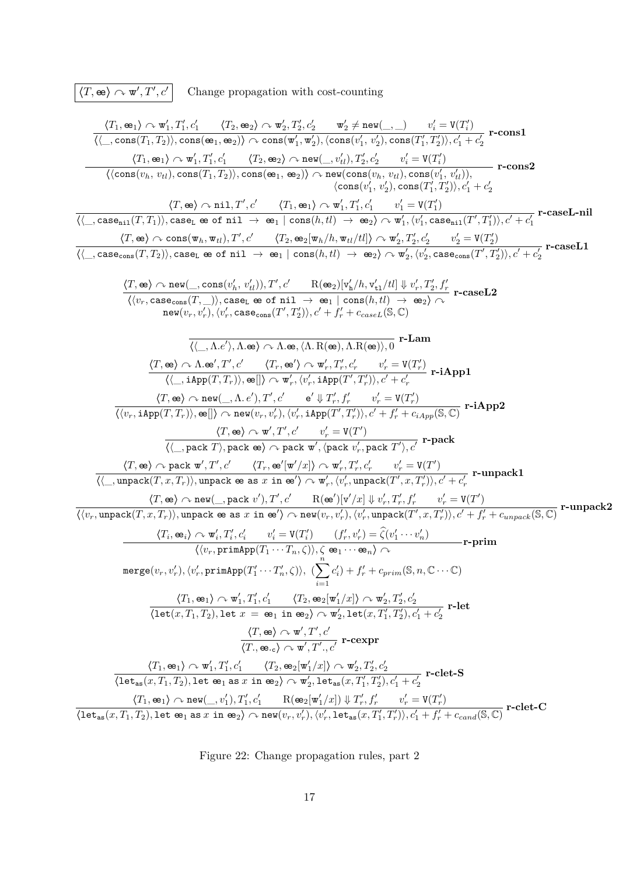$\langle T, \mathbf{e} \mathbf{e} \rangle \curvearrowright \mathbf{w}', T'$ Change propagation with cost-counting  $\langle T_1, \mathbf{e}_1 \rangle \curvearrowright \mathbf{w}'_1, T'_1, c'_1$   $\langle T_2, \mathbf{e}_2 \rangle \curvearrowright \mathbf{w}'_2, T'_2, c'_2$   $\mathbf{w}'_2 \neq \mathbf{new}(\_,\_)$   $v'_i = \mathbf{V}(T'_i)$  $\overline{\langle\langle\_\_,\mathop{\hbox{\rm cons}}(T_1,T_2)\rangle, \mathop{\hbox{\rm cons}}(\mathop{\frak{S}}_1,\mathop{\frak{S}}_2)\rangle\curvearrowright \mathop{\hbox{\rm cons}}(w_1',w_2'),\langle\mathop{\hbox{\rm cons}}(v_1',v_2'),\mathop{\hbox{\rm cons}}(T_1',T_2')\rangle, c_1'+c_2'$ **r-cons1**  $\langle T_1, \mathbf{e}_1 \rangle \curvearrowright \mathbf{w}'_1, T'_1, c'_1 \quad \quad \langle T_2, \mathbf{e}_2 \rangle \curvearrowright \mathtt{new}(\_,v'_{tl}), T'_2, c'_2 \quad \quad v'_i = \mathtt{V}(T'_i)$  $\langle \langle \text{cons}(v_h,\, v_{tl}), \text{cons}(T_1, T_2)\rangle , \text{cons}(\textbf{e}_1, \, \textbf{e}_2)\rangle \curvearrowright \text{new}(\text{cons}(v_h,\, v_{tl}), \text{cons}(v_1',\, v_{tl}')),$  $\langle \text{cons}(v_1', v_2'), \text{cons}(T_1', T_2')\rangle, c_1' + c_2'$ **r-cons2**  $\langle T, \mathbf{e} \mathbf{e} \rangle \curvearrowright \texttt{nil}, T', c' \qquad \langle T_1, \mathbf{e}_1 \rangle \curvearrowright \mathbf{w}'_1, T'_1, c'_1 \qquad v'_1 = \mathbf{V}(T'_1)$  $\overline{\langle\langle \_\_,\text{case}_{\texttt{nil}}(T, T_1)\rangle, \text{case}_{\texttt{L}}} \Leftrightarrow \texttt{of nil}\ \rightarrow\ \overline{\texttt{ee}}_1 \mid \text{cons}(h, tl) \ \rightarrow\ \overline{\texttt{ee}}_2\rangle \curvearrowright \overline{\texttt{w}}_1', \langle v_1', \text{case}_{\texttt{nil}}(T', T_1')\rangle, c' + c_1'$ **r-caseL-nil**  $\langle T, \texttt{\textup{e}} \rangle \curvearrowright \cos(\mathtt{w}_h, \mathtt{w}_t), T', c' \qquad \langle T_2, \texttt{\textup{e}}_2[\mathtt{w}_h/h, \mathtt{w}_t_l/tl] \rangle \curvearrowright \mathtt{w}'_2, T'_2, c'_2 \qquad v'_2 = \mathtt{V}(T'_2)$  $\overline{\langle\langle\_\_,\text{case}_\text{cons}(T,T_2)\rangle, \text{case}_\text{L}\text{ }\text{e}\text{ }\text{of}\text{ }\text{n}\text{i}\text{ }\text{1}\rangle}\ \rightarrow\ \overline{\text{ }}\text{e}\text{h}, t\text{l}\rangle\ \rightarrow\ \overline{\text{ }}\text{e}\text{h}\rangle\land\overline{\text{ }}\text{w}_2', \langle v_2',\text{case}_\text{cons}(T',T_2')\rangle, c'+c_2'$ **r-caseL1**  $\frac{\langle T, \textbf{e} \rangle \curvearrowright \text{new}(\_,\, \text{cons}(v_h',\, v_{tl}')), T', c' \qquad \text{R}(\textbf{e}_2)[\text{v}_\text{h}'/h, \text{v}_{\text{t}1}'/tl] \Downarrow v_r', T_2', f_r'\ \langle \langle v_r, \text{case}_\text{cons}(T, \_)\rangle, \text{case}_\text{L} \text{ ee of nil } \rightarrow \text{ ee}_1 \mid \text{cons}(h, tl) \rightarrow \text{ee}_2 \rangle \curvearrowright$  $\texttt{new}(v_r, v'_r), \langle v'_r, \texttt{case}_\texttt{cons}(T', T'_2)\rangle, c' + f'_r + c_{caseL}(\mathbb{S}, \mathbb{C})$ **r-caseL2**  $\overline{\langle\langle \_\,,\Lambda .e^\prime\rangle,\Lambda .$ œ $\rangle\curvearrowright \Lambda .$ œ $\langle\Lambda.\operatorname{R}(\textbf{e} \textbf{e}),\Lambda .\operatorname{R}(\textbf{e} \textbf{e})\rangle,0}$  **r-Lam**  $\langle T, \mathbf{e} \mathbf{e} \rangle \curvearrowright \Lambda \cdot \mathbf{e}^{\prime}, T^{\prime}, c^{\prime}$   $\langle T_r, \mathbf{e}^{\prime} \rangle \curvearrowright \mathbf{w}_r^{\prime}, T_r^{\prime}, c_r^{\prime}$   $v_r^{\prime} = \mathbf{V}(T_r^{\prime})$  $\langle \langle \_\_, \mathit{iApp(T, T_r)} \rangle, \mathit{\cong} [\rangle \curvearrowright \mathit{w}'_r, \langle v'_r, \mathit{iApp(T', T'_r)} \rangle, c' + c'_r$ **r-iApp1**  $\langle T, \textbf{\textup{e}} \rangle \curvearrowright \texttt{new}(\_, \Lambda, e'), T', c'$  **e**<sup>'</sup>  $\Downarrow T'_r, f'_r$  *v*<sub>'</sub> $r' = \texttt{V}(T'_r)$  $\frac{(\sqrt{v_r}, i_{\text{App}}(T, T_r)), \mathbf{e}]}{\langle \langle v_r, i_{\text{App}}(T, T_r) \rangle, \mathbf{e}]} \wedge \text{new}(v_r, v'_r), \langle v'_r, i_{\text{App}}(T', T'_r) \rangle, c' + f'_r + c_{i_{\text{App}}(\mathbb{S}, \mathbb{C})}$ <sup>r-iApp2</sup>  $\langle T, \textbf{e} \textbf{e} \rangle \curvearrowright \textbf{w}', T', c'$   $v_r' = \textbf{V}(T')$  $\overline{\langle \langle \_,\text{pack } T \rangle, \text{pack } \oplus \rangle \land \text{pack } \mathbf{w}', \langle \text{pack } v'_r, \text{pack } T' \rangle, c'}$  **r-pack**  $\langle T, \textbf{e} \textbf{e} \rangle \curvearrowright \texttt{pack} \ \textbf{w}', T', c' \qquad \langle T_r, \textbf{e} \textbf{e}'[\textbf{w}'/x] \rangle \curvearrowright \textbf{w}'_r, T'_r, c'_r \qquad v'_r = \texttt{V}(T')$  $\overline{\langle\langle\_\_,\text{unpack}(T,x,T_r)\rangle,}$ unpack œ as  $x$  in œ' $\rangle\curvearrowright\mathbf{w}'_r,\langle v'_r,\text{unpack}(T',x,T'_r)\rangle,c'+c'_r$ **r-unpack1**  $\langle T, \texttt{\texttt{e}}\texttt{\texttt{e}} \rangle \curvearrowright \texttt{new}(\_, \texttt{pack}\ v'), T', c' \qquad \texttt{R}(\texttt{\texttt{e}}\texttt{\texttt{e}}')[\texttt{v}'/x] \Downarrow v'_r, T'_r, f'_r \qquad v'_r = \texttt{V}(T')$  $\frac{\sqrt{2\pi\sqrt{2\pi\left(1-\frac{1}{2}\right)^2 + 2(1-\frac{1}{2}\right)^2 + 2(1-\frac{1}{2}\right)^2 + 2(1-\frac{1}{2}\right)^2 + 2(1-\frac{1}{2}\right)}}{2\sqrt{2\pi\sqrt{2\pi\left(1-\frac{1}{2}\right)^2 + 2(1-\frac{1}{2}\right)^2 + 2(1-\frac{1}{2}\sqrt{2\pi\left(1-\frac{1}{2}\right)^2 + 2(1-\frac{1}{2}\sqrt{2\pi\left(1-\frac{1}{2}\right)^2 + 2(1-\frac{1}{2}\sqrt{2\pi\left(1-\frac{1}{2}\$  $\langle T_i, \mathbf{e}_i \rangle \curvearrowright \mathbf{w}'_i, T'_i, c'_i$   $v'_i = \mathbf{V}(T'_i)$   $(f'_r, v'_r) = \hat{\zeta}(v'_1 \cdots v'_n)$  $\frac{\langle \psi_1, \psi_1 \rangle}{\langle \langle v_r, \text{primApp}(T_1 \cdots T_n, \zeta) \rangle, \zeta \otimes_1 \cdots \otimes_n \rangle}$  **r**-prim  $\mathsf{merge}(v_r, v'_r), \langle v'_r, \mathsf{primApp}(T'_1 \cdots T'_n, \zeta) \rangle, \ (\sum^n)$ *i*=1  $c'_i$  +  $f'_r$  +  $c_{prim}$  (S, n, C · · · C)  $\frac{\langle T_1,\mathbf{e}_1\rangle \curvearrowright \mathbf{w}'_1,T_1',c_1'\qquad \langle T_2,\mathbf{e}_2[\mathbf{w}'_1/x]\rangle \curvearrowright \mathbf{w}'_2,T_2',c_2'}{\langle\texttt{let}(x,T_1,T_2),\texttt{let }x\;=\; \mathbf{e}_1\;\texttt{in }\mathbf{e}_2\rangle \curvearrowright \mathbf{w}'_2,\texttt{let}(x,T_1',T_2'),c_1'+c_2'}$ **r-let**  $\langle T, \mathbf{e} \rangle \curvearrowright \mathbf{w}', T', c'$  $\frac{\sqrt{2\pi}\sqrt{2\pi}}{\sqrt{(T_1,\omega_c)^2\sqrt{w'}},T',c'}$  **r-cexpr**  $\frac{\langle T_1,\mathbf{e}_1\rangle \curvearrowright \mathbf{w}'_1,T'_1,c'_1 \quad \langle T_2,\mathbf{e}_2[\mathbf{w}'_1/x]\rangle \curvearrowright \mathbf{w}'_2,T'_2,c'_2} {\langle\texttt{let}_{\texttt{as}}(x,T_1,T_2),\texttt{let} \ \mathbf{e}_1\ \texttt{as}\ x\ \texttt{in}\ \mathbf{e}_2\rangle \curvearrowright \mathbf{w}'_2,\texttt{let}_{\texttt{as}}(x,T'_1,T'_2),c'_1+c'_2}$ **r-clet-S**  $\langle T_1,\textup{\texttt{e}}_{2}\rangle\curvearrowright\mathtt{new}(\_,v_1'),T_1',c_1'\qquad \textup{\texttt{R}}(\textup{\texttt{e}}_{2}[\textup{\texttt{w}}_1'/x])\Downarrow T_r',f_r'\qquad v_r'=\textup{\texttt{V}}(T_r')$  $\frac{1}{\langle\texttt{let}_{\texttt{as}}(x,T_1,T_2),\texttt{let}\; \texttt{e}_1\; \texttt{as}\; x\; \texttt{in}\; \texttt{e}_2\rangle \wedge \texttt{new}(v_r,v'_r), \langle v'_r,\texttt{let}_{\texttt{as}}(x,T'_1,T'_r)\rangle, c'_1+f'_r+c_{cand}(\mathbb{S},\mathbb{C})} \text{r-}{\texttt{c-}{\texttt{t-}}\; \texttt{c}}$ 

<span id="page-16-0"></span>Figure 22: Change propagation rules, part 2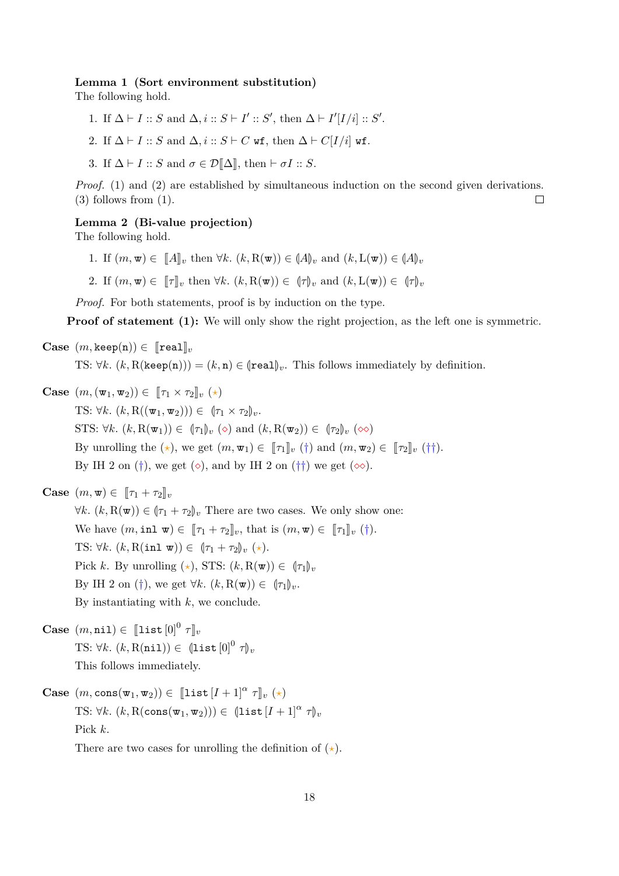#### <span id="page-17-0"></span>**Lemma 1 (Sort environment substitution)**

The following hold.

- 1. If  $\Delta \vdash I :: S$  and  $\Delta, i :: S \vdash I' :: S'$ , then  $\Delta \vdash I'[I/i] :: S'$ .
- 2. If  $\Delta \vdash I :: S$  and  $\Delta, i :: S \vdash C$  wf, then  $\Delta \vdash C[I/i]$  wf.
- 3. If  $\Delta \vdash I :: S$  and  $\sigma \in \mathcal{D}[\![\Delta]\!],$  then  $\vdash \sigma I :: S$ .

*Proof.* (1) and (2) are established by simultaneous induction on the second given derivations. (3) follows from (1).  $\Box$ 

#### <span id="page-17-1"></span>**Lemma 2 (Bi-value projection)**

The following hold.

- 1. If  $(m, \mathbf{w}) \in [A]_v$  then  $\forall k$ .  $(k, R(\mathbf{w})) \in (A)_v$  and  $(k, L(\mathbf{w})) \in (A)_v$
- 2. If  $(m, \mathbf{w}) \in [\![\tau]\!]_v$  then  $\forall k$ .  $(k, R(\mathbf{w})) \in [\![\tau]\!]_v$  and  $(k, L(\mathbf{w})) \in [\![\tau]\!]_v$

*Proof.* For both statements, proof is by induction on the type.

**Proof of statement (1):** We will only show the right projection, as the left one is symmetric.

**Case**  $(m, \text{keep}(n)) \in \llbracket \text{real} \rrbracket_v$ 

TS:  $\forall k. (k, R(\text{keep}(n))) = (k, n) \in (\text{real})_v$ . This follows immediately by definition.

**Case**  $(m, (\mathbf{w}_1, \mathbf{w}_2)) \in [\![\tau_1 \times \tau_2]\!]_v (\star)$ TS:  $\forall k. (k, R((\mathbf{w}_1, \mathbf{w}_2))) \in (\tau_1 \times \tau_2)_v$ . STS:  $\forall k. (k, R(\mathbf{w}_1)) \in (\tau_1)_v (\diamond)$  and  $(k, R(\mathbf{w}_2)) \in (\tau_2)_v (\diamond)$ By unrolling the  $(\star)$ , we get  $(m, \mathbf{w}_1) \in [\![\tau_1]\!]_v$  (†) and  $(m, \mathbf{w}_2) \in [\![\tau_2]\!]_v$  (††). By IH 2 on (†), we get  $(\diamond)$ , and by IH 2 on (††) we get  $(\diamond \diamond)$ .

**Case**  $(m, \mathbf{w}) \in [\![\tau_1 + \tau_2]\!]_v$  $\forall k. (k, R(\mathbf{w})) \in (\tau_1 + \tau_2)_v$  There are two cases. We only show one: We have  $(m, \text{inl } \mathbf{w}) \in [\![\tau_1 + \tau_2]\!]_v$ , that is  $(m, \mathbf{w}) \in [\![\tau_1]\!]_v$  (†). TS:  $\forall k. \ (k, R(\text{inl w})) \in (\tau_1 + \tau_2)_v \ (\star).$ Pick *k*. By unrolling  $(\star)$ , STS:  $(k, R(\mathbf{w})) \in (\tau_1)_v$ By IH 2 on  $(\dagger)$ , we get  $\forall k$ .  $(k, R(\mathbf{w})) \in {\lbrack \tau_1 \rbrack}_v$ .

By instantiating with *k*, we conclude.

- $\textbf{Case} \text{ } (m, \texttt{nil}) \in \text{ } \llbracket \texttt{list}[0]^0 \text{ } \tau \rrbracket_v$ TS:  $\forall k. (k, \text{R(nil)}) \in (\text{list } [0]^0 \tau)_v$ This follows immediately.
- $\textbf{Case} \ (m, \text{cons}(\mathbf{w}_1, \mathbf{w}_2)) \in \ [\![\texttt{list}\,[I+1]^{\alpha} \ \tau]\!]_v \ (\star)$ TS:  $\forall k. (k, R(\text{cons}(\mathbf{w}_1, \mathbf{w}_2))) \in (list [I + 1]^{\alpha} \tau)_v$ Pick *k*. There are two cases for unrolling the definition of  $(\star)$ .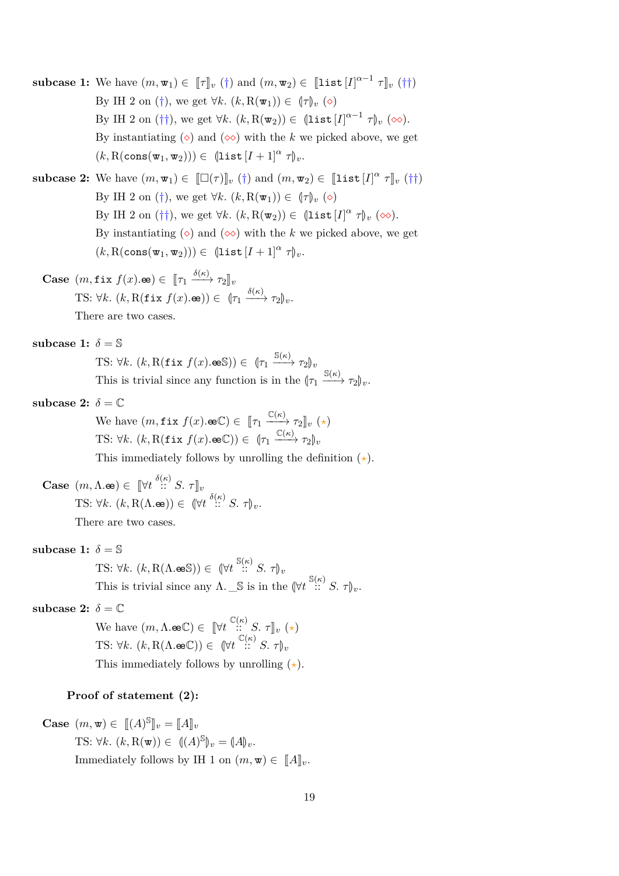**subcase 1:** We have  $(m, \mathbf{w}_1) \in [\![\tau]\!]_v$  (†) and  $(m, \mathbf{w}_2) \in [\![\texttt{list}[I]^{\alpha-1} \; \tau]\!]_v$  (††) By IH 2 on  $(\dagger)$ , we get  $\forall k$ .  $(k, R(\mathbf{w}_1)) \in (\dagger)_{\nu}$  ( $\diamond$ ) By IH 2 on  $(\dagger\dagger)$ , we get  $\forall k$ .  $(k, R(\mathbf{w}_2)) \in (\mathbf{list}[I]^{\alpha-1} \tau)_{\nu} (\infty)$ . By instantiating  $(\diamond)$  and  $(\diamond \diamond)$  with the *k* we picked above, we get  $(k, R(\text{cons}(w_1, w_2))) \in (\text{list } [I + 1]^\alpha \tau)_v.$ 

**subcase 2:** We have  $(m, \mathbf{w}_1) \in [[\Box(\tau)]]_v([\dagger)$  and  $(m, \mathbf{w}_2) \in [[\mathbf{list}[I]^\alpha \ \tau]_v([\dagger])$ By IH 2 on (†), we get  $\forall k. (k, R(\mathbf{w}_1)) \in (\tau)_v$  ( $\diamond$ ) By IH 2 on (††), we get  $\forall k$ .  $(k, R(\mathbf{w}_2)) \in (\text{list } [I]^{\alpha} \tau)_v$  ( $\infty$ ). By instantiating  $(\diamond)$  and  $(\diamond \diamond)$  with the *k* we picked above, we get  $(k, R(\text{cons}(\mathbf{w}_1, \mathbf{w}_2))) \in (\text{list}[I + 1]^\alpha \tau)_v.$ 

- **Case**  $(m, \texttt{fix } f(x). \textbf{e}) \in [\![\tau_1 \xrightarrow{\delta(\kappa)} \tau_2]\!]_v$ TS:  $\forall k. (k, R(\texttt{fix } f(x). \texttt{\textcircled{\textcircled{\textcirc}}})) \in (\tau_1 \xrightarrow{\delta(\kappa)} \tau_2)_v.$ There are two cases.
- subcase 1:  $\delta = \mathbb{S}$ 
	- TS:  $\forall k. (k, R(\texttt{fix } f(x). \texttt{es})) \in (\tau_1 \xrightarrow{S(\kappa)} \tau_2)_v$ This is trivial since any function is in the  $(\tau_1 \xrightarrow{S(\kappa)} \tau_2)_v$ .
- subcase 2:  $\delta = \mathbb{C}$

We have  $(m, \texttt{fix } f(x). \oplus \mathbb{C}) \in [\![\tau_1 \xrightarrow{\mathbb{C}(\kappa)} \tau_2]\!]_v (\star)$ TS:  $\forall k. (k, R(\texttt{fix } f(x). \oplus \mathbb{C})) \in (\tau_1 \xrightarrow{\mathbb{C}(\kappa)} \tau_2)_v$ 

This immediately follows by unrolling the definition  $(\star)$ .

- **Case**  $(m, \Lambda \cdot \mathbf{e}) \in [\forall t \stackrel{\delta(\kappa)}{\therefore} S, \tau]_v$ TS:  $\forall k. (k, \text{R}(\Lambda \cdot \mathbf{e})) \in (\forall t \stackrel{\delta(\kappa)}{\cdots} S. \tau)_v.$ There are two cases.
- subcase 1:  $\delta = \mathbb{S}$

TS:  $\forall k. (k, \text{R}(\Lambda \cdot \text{es}^s)) \in (\forall t \stackrel{\text{S}(\kappa)}{\dots} S. \tau)_v$ This is trivial since any  $\Lambda$ .  $\_\mathbb{S}$  is in the  $(\forall t \stackrel{\mathbb{S}(\kappa)}{\dots} S. \tau)_v$ .

subcase 2:  $\delta = \mathbb{C}$ 

We have  $(m, \Lambda \cdot \mathbf{e} \mathbb{C}) \in [\![ \forall t \, \frac{\mathbb{C}(\kappa)}{\mathbb{C}(\kappa)} \mathbb{S}, \tau ]\!]_v \; (\star)$ TS:  $\forall k. \ (k, \text{R}(\Lambda \cdot \text{eeC})) \in (\forall t \stackrel{\mathbb{C}(\kappa)}{\cdots} S. \ \tau)_v$ This immediately follows by unrolling  $(\star)$ .

#### **Proof of statement (2):**

Case 
$$
(m, \mathbf{w}) \in [[A]^{\mathbb{S}}]_{v} = [[A]]_{v}
$$
  
\nTS:  $\forall k. (k, \mathbf{R}(\mathbf{w})) \in ((A)^{\mathbb{S}})_{v} = (A)_{v}$ .  
\nImmediately follows by IH 1 on  $(m, \mathbf{w}) \in [[A]]_{v}$ .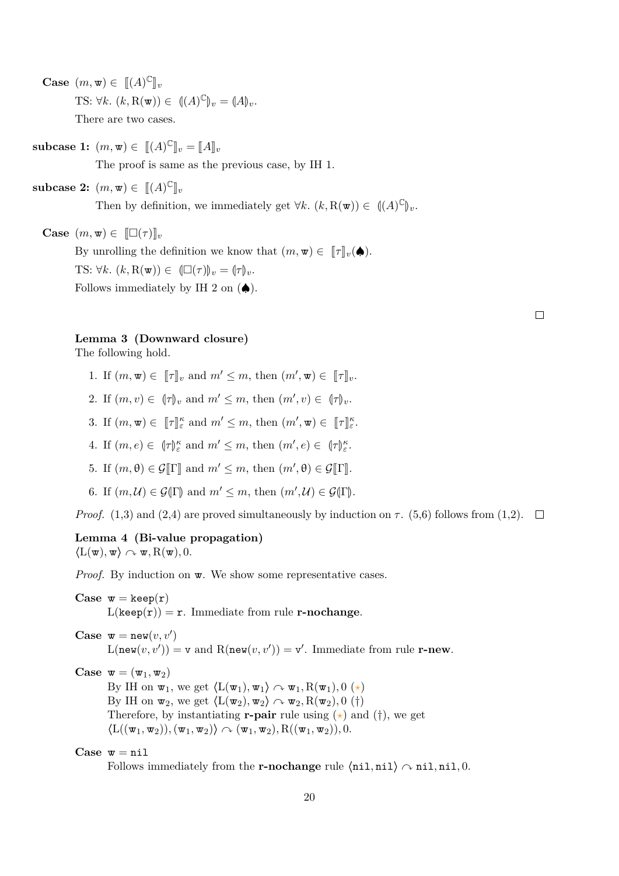**Case**  $(m, \mathbf{w}) \in [[(A)^{\mathbb{C}}]$  $\mathbb{J}v$ TS:  $\forall k. (k, R(\mathbf{w})) \in ((A)^{\mathbb{C}})_{v} = (A)_{v}.$ There are two cases.

**subcase 1:**  $(m, \mathbf{w}) \in [[(A)^{\mathbb{C}}]_v = [[A]]_v$ 

The proof is same as the previous case, by IH 1.

**subcase 2:**  $(m, \mathbf{w}) \in [[(A)^{\mathbb{C}}]_v$ 

Then by definition, we immediately get  $\forall k. (k, R(\mathbf{w})) \in ((A)^{\mathbb{C}})_{v}$ .

**Case**  $(m, \mathbf{w}) \in [\Box(\tau)]_v$ 

By unrolling the definition we know that  $(m, \mathbf{w}) \in [\![\tau]\!]_v(\spadesuit)$ . TS:  $\forall k. \ (k, R(\mathbf{w})) \in (\Box(\tau))_v = (\tau)_v.$ Follows immediately by IH 2 on  $(\spadesuit)$ .

| ۰ |  |  |
|---|--|--|
|   |  |  |
|   |  |  |

#### <span id="page-19-0"></span>**Lemma 3 (Downward closure)**

The following hold.

- 1. If  $(m, \mathbf{w}) \in [\![\tau]\!]_v$  and  $m' \leq m$ , then  $(m', \mathbf{w}) \in [\![\tau]\!]_v$ .
- 2. If  $(m, v) \in (\tau)_v$  and  $m' \leq m$ , then  $(m', v) \in (\tau)_v$ .
- 3. If  $(m, \mathbf{w}) \in [\![\tau]\!]_{\varepsilon}^{\kappa}$  and  $m' \leq m$ , then  $(m', \mathbf{w}) \in [\![\tau]\!]_{\varepsilon}^{\kappa}$ .
- 4. If  $(m, e) \in (\lbrace \tau \rbrace_{\varepsilon}^{k} \text{ and } m' \leq m, \text{ then } (m', e) \in (\lbrace \tau \rbrace_{\varepsilon}^{k}$ .
- 5. If  $(m, \theta) \in \mathcal{G}[\![\Gamma]\!]$  and  $m' \leq m$ , then  $(m', \theta) \in \mathcal{G}[\![\Gamma]\!]$ .
- 6. If  $(m, \mathcal{U}) \in \mathcal{G}(\Gamma)$  and  $m' \leq m$ , then  $(m', \mathcal{U}) \in \mathcal{G}(\Gamma)$ .

*Proof.* (1,3) and (2,4) are proved simultaneously by induction on  $\tau$ . (5,6) follows from (1,2).  $\square$ 

## <span id="page-19-1"></span>**Lemma 4 (Bi-value propagation)**  $\langle L(\mathbf{w}), \mathbf{w} \rangle \sim \mathbf{w}, R(\mathbf{w}), 0.$

*Proof.* By induction on  $\mathbf{w}$ . We show some representative cases.

**Case**  $w = \text{keep}(r)$  $L(keep(r)) = r$ . Immediate from rule **r-nochange**.

 $Case \t{w = new}(v, v')$  $L(new(v, v')) = v$  and  $R(new(v, v')) = v'$ . Immediate from rule **r-new**.

**Case**  $\mathbf{w} = (\mathbf{w}_1, \mathbf{w}_2)$ 

By IH on  $\mathbf{w}_1$ , we get  $\langle L(\mathbf{w}_1), \mathbf{w}_1 \rangle \sim \mathbf{w}_1, R(\mathbf{w}_1), 0 \ (\star)$ By IH on  $\mathbf{w}_2$ , we get  $\langle L(\mathbf{w}_2), \mathbf{w}_2 \rangle \sim \mathbf{w}_2, R(\mathbf{w}_2), 0$  (†) Therefore, by instantiating **r-pair** rule using  $(\star)$  and  $(\dagger)$ , we get  $\langle L((\mathbf{w}_1, \mathbf{w}_2)), (\mathbf{w}_1, \mathbf{w}_2) \rangle \sim (\mathbf{w}_1, \mathbf{w}_2), R((\mathbf{w}_1, \mathbf{w}_2)), 0.$ 

 $Case \t{w = nil}$ 

Follows immediately from the **r-nochange** rule  $\langle \text{nil}, \text{nil} \rangle \sim \text{nil}, \text{nil}, 0.$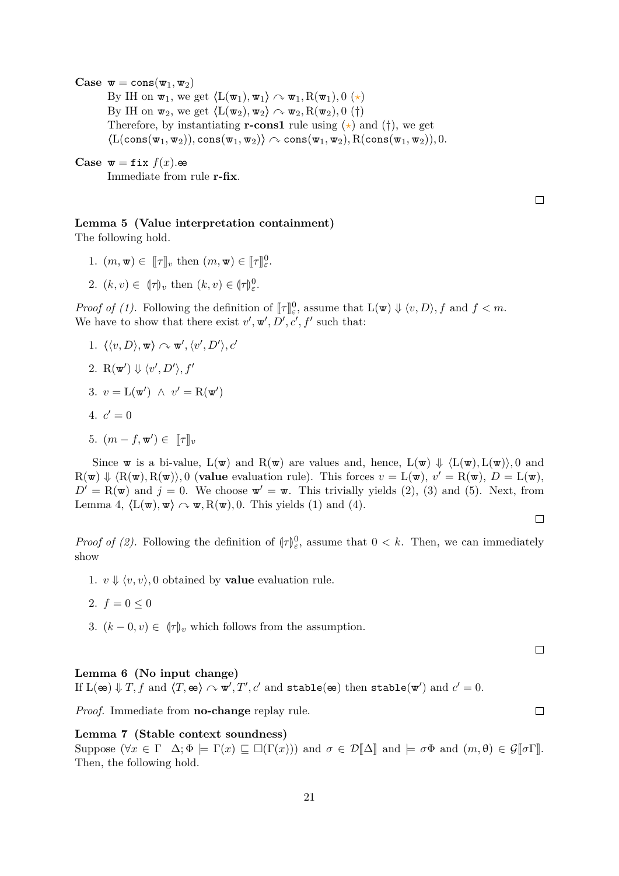**Case**  $\mathbf{w} = \text{cons}(\mathbf{w}_1, \mathbf{w}_2)$ By IH on  $\mathbf{w}_1$ , we get  $\langle L(\mathbf{w}_1), \mathbf{w}_1 \rangle \sim \mathbf{w}_1, R(\mathbf{w}_1), 0 \ (\star)$ By IH on  $\mathbf{w}_2$ , we get  $\langle L(\mathbf{w}_2), \mathbf{w}_2 \rangle \sim \mathbf{w}_2, R(\mathbf{w}_2), 0$  (†) Therefore, by instantiating **r-cons1** rule using  $(\star)$  and  $(\dagger)$ , we get  $\langle L(\text{cons}(w_1, w_2)), \text{cons}(w_1, w_2) \rangle \sim \text{cons}(w_1, w_2), R(\text{cons}(w_1, w_2)), 0.$ 

**Case**  $\mathbf{w} = \texttt{fix } f(x)$ .ee Immediate from rule **r-fix**.

 $\Box$ 

## <span id="page-20-0"></span>**Lemma 5 (Value interpretation containment)**

The following hold.

- 1.  $(m, \mathbf{w}) \in [\![\tau]\!]_v$  then  $(m, \mathbf{w}) \in [\![\tau]\!]_v^0$ .
- 2.  $(k, v) \in (\tau)_v$  then  $(k, v) \in (\tau)_\varepsilon^0$ .

*Proof of (1).* Following the definition of  $[\![\tau]\!]_c^0$ , assume that  $L(\mathbf{w}) \Downarrow \langle v, D \rangle$ , f and  $f < m$ .<br>We have to show that there exist  $v'$ ,  $\mathbf{w}'$ ,  $D'$  of  $f'$  such that. We have to show that there exist  $v', \mathbf{w}', D', c', f'$  such that:

- 1.  $\langle \langle v, D \rangle, \mathbf{w} \rangle \sim \mathbf{w}', \langle v', D' \rangle, c'$
- 2. R( $\mathbf{w}'$ )  $\Downarrow \langle v', D' \rangle, f'$
- 3.  $v = \mathcal{L}(\mathbf{w}') \land v' = \mathcal{R}(\mathbf{w}')$
- 4.  $c' = 0$
- 5.  $(m f, \mathbf{w}') \in [\![\tau]\!]_v$

Since w is a bi-value,  $L(\mathbf{w})$  and  $R(\mathbf{w})$  are values and, hence,  $L(\mathbf{w}) \Downarrow \langle L(\mathbf{w}), L(\mathbf{w}) \rangle$ , 0 and  $R(\mathbf{w}) \Downarrow \langle R(\mathbf{w}), R(\mathbf{w}) \rangle$ , 0 (**value** evaluation rule). This forces  $v = L(\mathbf{w})$ ,  $v' = R(\mathbf{w})$ ,  $D = L(\mathbf{w})$ ,  $D' = R(\mathbf{w})$  and  $j = 0$ . We choose  $\mathbf{w}' = \mathbf{w}$ . This trivially yields (2), (3) and (5). Next, from Lemma [4,](#page-19-1)  $\langle L(\mathbf{w}), \mathbf{w} \rangle \sim \mathbf{w}, R(\mathbf{w}), 0$ . This yields (1) and (4).

*Proof of (2)*. Following the definition of  $\langle \tau \rangle^0_{\varepsilon}$ , assume that  $0 < k$ . Then, we can immediately show

- 1.  $v \Downarrow \langle v, v \rangle$ , 0 obtained by **value** evaluation rule.
- 2.  $f = 0 \leq 0$
- 3.  $(k-0, v) \in (\tau)_v$  which follows from the assumption.

 $\Box$ 

 $\Box$ 

 $\Box$ 

#### <span id="page-20-1"></span>**Lemma 6 (No input change)**

If  $L(\mathbf{e}) \Downarrow T$ , f and  $\langle T, \mathbf{e} \rangle \curvearrowright \mathbf{w}', T', c'$  and stable $(\mathbf{e})$  then stable $(\mathbf{w}')$  and  $c' = 0$ .

*Proof.* Immediate from **no-change** replay rule.

#### <span id="page-20-2"></span>**Lemma 7 (Stable context soundness)**

Suppose  $(\forall x \in \Gamma \ \Delta; \Phi \models \Gamma(x) \sqsubset \Box(\Gamma(x)))$  and  $\sigma \in \mathcal{D}[\![\Delta]\!]$  and  $\models \sigma \Phi$  and  $(m, \theta) \in \mathcal{G}[\![\sigma \Gamma]\!]$ . Then, the following hold.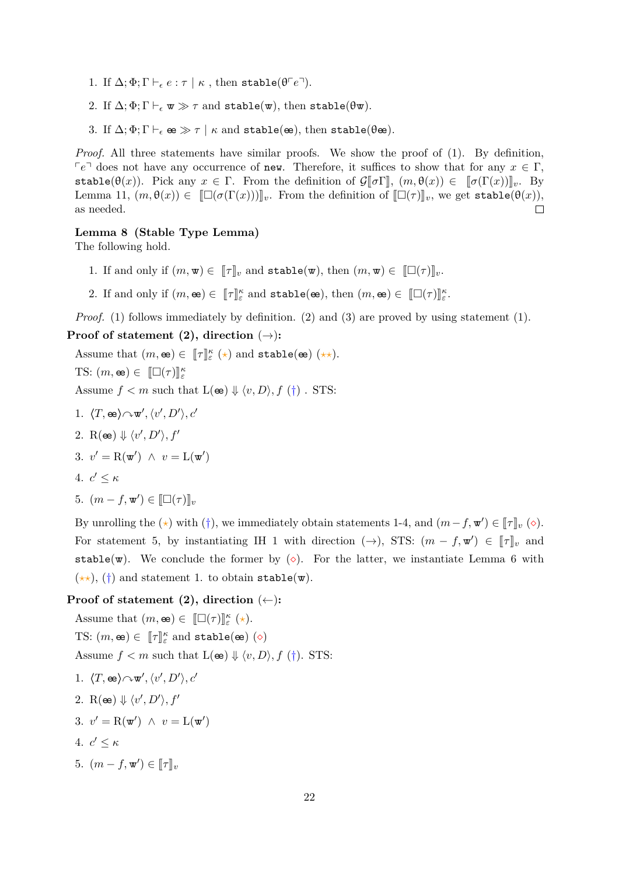- 1. If  $\Delta; \Phi; \Gamma \vdash_{\epsilon} e : \tau \mid \kappa$ , then stable( $\theta \ulcorner e \urcorner$ ).
- 2. If  $\Delta; \Phi; \Gamma \vdash_{\epsilon} \mathbf{w} \gg \tau$  and stable( $\mathbf{w}$ ), then stable( $\theta \mathbf{w}$ ).
- 3. If  $\Delta; \Phi; \Gamma \vdash_{\epsilon} \mathbf{e} \gg \tau \mid \kappa$  and stable( $\mathbf{e}$  $\mathbf{e}$ ), then stable( $\theta$  $\mathbf{e}$  $\mathbf{e}$ ).

*Proof.* All three statements have similar proofs. We show the proof of (1). By definition,  $\nabla e^{\dagger}$  does not have any occurrence of new. Therefore, it suffices to show that for any  $x \in \Gamma$ , stable( $\theta(x)$ ). Pick any  $x \in \Gamma$ . From the definition of  $\mathcal{G}[\![\sigma\Gamma]\!], (m,\theta(x)) \in [\![\sigma(\Gamma(x))] \!]_v$ . By Lemma [11,](#page-22-2)  $(m, \theta(x)) \in [[\Box(\sigma(\Gamma(x)))]]_v$ . From the definition of  $[[\Box(\tau)]_v$ , we get stable( $\theta(x)$ ), as needed. as needed.

#### <span id="page-21-0"></span>**Lemma 8 (Stable Type Lemma)**

The following hold.

- 1. If and only if  $(m, \mathbf{w}) \in [\![\tau]\!]_v$  and  $\texttt{stable}(\mathbf{w})$ , then  $(m, \mathbf{w}) \in [\![\Box(\tau)]\!]_v$ .
- 2. If and only if  $(m, \mathbf{e}) \in [\![\tau]\!]_{\varepsilon}^{\kappa}$  and  $\text{stable}(\mathbf{e}), \text{ then } (m, \mathbf{e}) \in [\![\square(\tau)]\!]_{\varepsilon}^{\kappa}$ .

*Proof.* (1) follows immediately by definition. (2) and (3) are proved by using statement (1).

#### **Proof of statement (2), direction**  $(\rightarrow)$ **:**

Assume that  $(m, \mathbf{e}) \in [\![\tau]\!]_{{\varepsilon}}^{\kappa}(\star)$  and  $\text{stable}(\mathbf{e})$   $(\star \star)$ .

TS:  $(m, \mathbf{e}) \in [[\Box(\tau)]]_{\varepsilon}^{\kappa}$ 

Assume  $f < m$  such that  $L(\mathbf{e}) \Downarrow \langle v, D \rangle, f(\dagger)$ . STS:

- 1.  $\langle T, \mathbf{e} \mathbf{e} \rangle \! \sim \! \mathbf{w}', \langle v', D' \rangle, c'$
- 2. R( $\mathbf{e}$ )  $\Downarrow \langle v', D' \rangle, f'$

$$
3. v' = R(\mathbf{w}') \land v = L(\mathbf{w}')
$$

$$
4. \, c' \le \kappa
$$

5.  $(m - f, \mathbf{w}') \in [\Box(\tau)]_v$ 

By unrolling the ( $\star$ ) with (†), we immediately obtain statements 1-4, and  $(m - f, \mathbf{w}') \in [\![\tau]\!]_v (\diamond).$ For statement 5, by instantiating IH 1 with direction  $(\rightarrow)$ , STS:  $(m - f, \mathbf{w}') \in [\![\tau]\!]_v$  and stable( $\mathbf{w}$ ). We conclude the former by ( $\diamond$ ). For the latter, we instantiate Lemma [6](#page-20-1) with  $(\star \star)$ , (†) and statement 1. to obtain stable(w).

## **Proof of statement (2), direction** (←)**:**

Assume that  $(m, \mathbf{e}) \in [\Box(\tau)]_{\varepsilon}^{k} (\star).$ TS:  $(m, \mathbf{e}) \in [\![\tau]\!]_{\varepsilon}^{\kappa}$  and stable( $\mathbf{e}$ ) ( $\diamond$ ) Assume  $f < m$  such that  $L(\mathbf{e}) \Downarrow \langle v, D \rangle, f(\dagger)$ . STS:

1. 
$$
\langle T, \infty \rangle \sim \mathbf{w}', \langle v', D' \rangle, c'
$$
  
\n2.  $\mathbf{R}(\infty) \Downarrow \langle v', D' \rangle, f'$   
\n3.  $v' = \mathbf{R}(\mathbf{w}') \land v = \mathbf{L}(\mathbf{w}')$   
\n4.  $c' \leq \kappa$   
\n5.  $(m - f, \mathbf{w}') \in [\![\tau]\!]_v$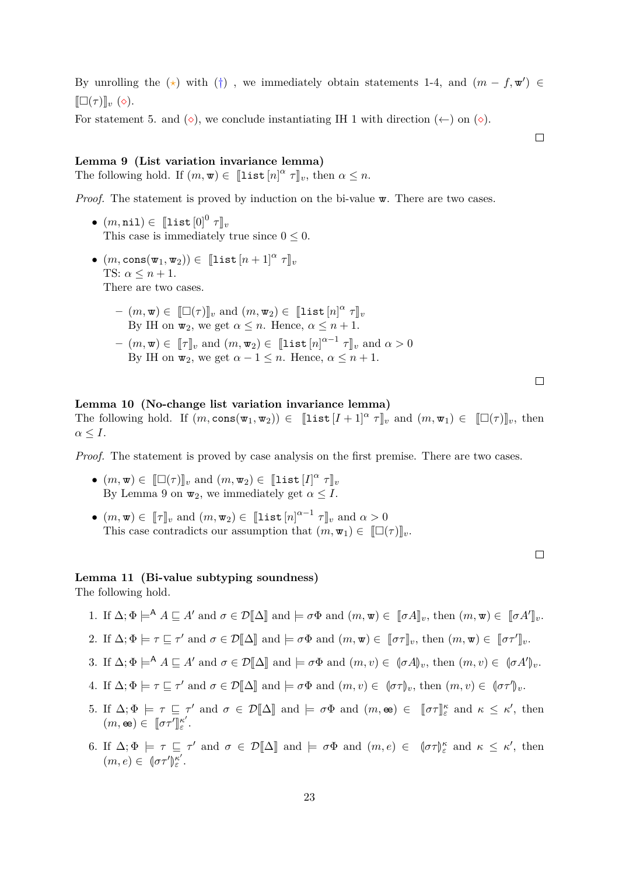By unrolling the ( $\star$ ) with (†), we immediately obtain statements 1-4, and  $(m - f, \mathbf{w}') \in$  $[\Box(\tau)]_v$  ( $\diamond$ ).

For statement 5. and  $(\diamond)$ , we conclude instantiating IH 1 with direction  $(\le)$  on  $(\diamond)$ .

#### <span id="page-22-0"></span>**Lemma 9 (List variation invariance lemma)**

The following hold. If  $(m, \mathbf{w}) \in [\![\text{list } [n]^\alpha \ \tau]\!]_v$ , then  $\alpha \leq n$ .

*Proof.* The statement is proved by induction on the bi-value  $\mathbf{w}$ . There are two cases.

- $\bullet$   $(m, \texttt{nil}) \in [\texttt{list}[0]^0 \ \tau]_v$ <br>This associal immediately This case is immediately true since  $0 \leq 0$ .
- $\bullet$   $(m, \text{cons}(\mathbf{w}_1, \mathbf{w}_2)) \in [\![\text{list}[n+1]^{\alpha} \ \tau]\!]_v$ TS:  $\alpha \leq n+1$ . There are two cases.
	- $(- (m, \mathbf{w}) \in [\![\Box(\tau)]\!]_v$  and  $(m, \mathbf{w}_2) \in [\![\mathbf{list}[n]]^\alpha \tau]\!]_v$ <br>By IH on  $\mathbf{w}_n$ , we get  $\alpha \leq n$ , Hence,  $\alpha \leq n+1$ By IH on  $\mathbf{w}_2$ , we get  $\alpha \leq n$ . Hence,  $\alpha \leq n+1$ .  $p(w, w) \in [\![\tau]\!]_v$  and  $(m, w_2) \in [\![\text{list } [n]^{\alpha-1}, \tau]\!]_v$  and  $\alpha > 0$ <br>By IH on  $\pi$ , we get  $\alpha > 1 \leq n$ . Hence,  $\alpha \leq n+1$ By IH on  $\mathbf{w}_2$ , we get  $\alpha - 1 \leq n$ . Hence,  $\alpha \leq n + 1$ .

 $\Box$ 

 $\Box$ 

<span id="page-22-1"></span>**Lemma 10 (No-change list variation invariance lemma)** The following hold. If  $(m, \text{cons}(\mathbf{w}_1, \mathbf{w}_2)) \in [\![\text{list}[I+1]^\alpha \ \tau]\!]_v$  and  $(m, \mathbf{w}_1) \in [\![\Box(\tau)]\!]_v$ , then  $\alpha \leq I$ .

*Proof.* The statement is proved by case analysis on the first premise. There are two cases.

- $(m, \mathbf{w}) \in [\![\Box(\tau)]\!]_v$  and  $(m, \mathbf{w}_2) \in [\![\mathbf{list}[I]^{\alpha} \; \tau]\!]_v$ <br>
Py Lemma 0 on  $\pi$ , we immediately get  $c \leq I$ By Lemma [9](#page-22-0) on  $\mathbf{w}_2$ , we immediately get  $\alpha \leq I$ .
- $(m, \mathbf{w}) \in [\![\tau]\!]_v$  and  $(m, \mathbf{w}_2) \in [\![\text{list } [n]^{\alpha-1} \; \tau]\!]_v$  and  $\alpha > 0$ <br>This ages contradicts our assumption that  $(m, \mathbf{w}) \in [\![\square]\!]$ This case contradicts our assumption that  $(m, \mathbf{w}_1) \in [\Box(\tau)]_v$ .

#### <span id="page-22-2"></span>**Lemma 11 (Bi-value subtyping soundness)**

The following hold.

- 1. If  $\Delta; \Phi \models^{\mathsf{A}} A \sqsubseteq A'$  and  $\sigma \in \mathcal{D}[\![\Delta]\!]$  and  $\models \sigma \Phi$  and  $(m, \mathbf{w}) \in [\![\sigma A]\!]_v$ , then  $(m, \mathbf{w}) \in [\![\sigma A']\!]_v$ .
- 2. If  $\Delta; \Phi \models \tau \sqsubseteq \tau'$  and  $\sigma \in \mathcal{D}[\![\Delta]\!]$  and  $\models \sigma \Phi$  and  $(m, \mathbf{w}) \in [\![\sigma \tau]\!]_v$ , then  $(m, \mathbf{w}) \in [\![\sigma \tau']\!]_v$ .
- 3. If  $\Delta; \Phi \models^{\mathsf{A}} A \sqsubseteq A'$  and  $\sigma \in \mathcal{D}[\![\Delta]\!]$  and  $\models \sigma \Phi$  and  $(m, v) \in (\sigma A)_{v}$ , then  $(m, v) \in (\sigma A')_{v}$ .
- 4. If  $\Delta; \Phi \models \tau \sqsubseteq \tau'$  and  $\sigma \in \mathcal{D}[\![\Delta]\!]$  and  $\models \sigma \Phi$  and  $(m, v) \in (\sigma \tau)_v$ , then  $(m, v) \in (\sigma \tau')_v$ .
- 5. If  $\Delta; \Phi \models \tau \sqsubseteq \tau'$  and  $\sigma \in \mathcal{D}[\![\Delta]\!]$  and  $\models \sigma \Phi$  and  $(m, \mathbf{e}) \in [\![\sigma \tau]\!]_{\varepsilon}^{\kappa}$  and  $\kappa \leq \kappa'$ , then  $(m, \mathbf{e}) \in [\![\sigma \tau']\!]$ *κ* 0 *ε* .
- 6. If  $\Delta; \Phi \models \tau \sqsubseteq \tau'$  and  $\sigma \in \mathcal{D}[\![\Delta]\!]$  and  $\models \sigma \Phi$  and  $(m, e) \in (\sigma \tau)_{\varepsilon}^{\kappa}$  and  $\kappa \leq \kappa'$ , then  $(m, e) \in (\sigma \tau')$ *κ* 0 *ε* .

 $\Box$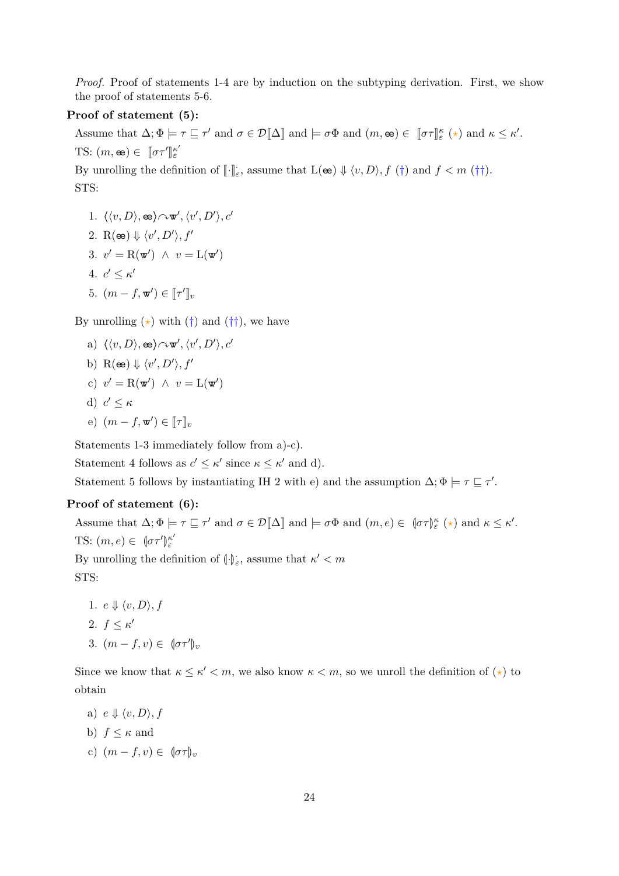*Proof.* Proof of statements 1-4 are by induction on the subtyping derivation. First, we show the proof of statements 5-6.

### **Proof of statement (5):**

Assume that  $\Delta; \Phi \models \tau \sqsubseteq \tau'$  and  $\sigma \in \mathcal{D}[\![\Delta]\!]$  and  $\models \sigma \Phi$  and  $(m, \mathbf{e}) \in [\![\sigma \tau]\!]^{\kappa}_{\varepsilon} (\star)$  and  $\kappa \leq \kappa'.$ TS:  $(m, \mathbf{e}) \in [\![\sigma \tau']\!]$ *κ* 0 *ε*

By unrolling the definition of  $\llbracket \cdot \rrbracket_{\varepsilon}$ , assume that  $L(\infty) \Downarrow \langle v, D \rangle$ ,  $f(\dagger)$  and  $f < m(\dagger\dagger)$ . STS:

1.  $\langle \langle v, D \rangle, \mathbf{e}_i \rangle \sim \mathbf{w}', \langle v', D' \rangle, c'$ 2. R( $\mathbf{e}$ )  $\Downarrow \langle v', D' \rangle, f'$ 3.  $v' = R(\mathbf{w}') \land v = L(\mathbf{w}')$ 4.  $c' \leq \kappa'$ 5.  $(m - f, \mathbf{w}') \in [\![\tau']\!]_v$ 

By unrolling  $(\star)$  with  $(\dagger)$  and  $(\dagger\dagger)$ , we have

- a)  $\langle \langle v, D \rangle, \mathbf{e}_i \rangle \sim \mathbf{w}', \langle v', D' \rangle, c'$
- b) R( $\infty$ )  $\Downarrow \langle v', D' \rangle, f'$
- c)  $v' = R(\mathbf{w}') \land v = L(\mathbf{w}')$
- d)  $c' \leq \kappa$
- e)  $(m f, \mathbf{w}') \in [\![\tau]\!]_v$

Statements 1-3 immediately follow from a)-c).

Statement 4 follows as  $c' \leq \kappa'$  since  $\kappa \leq \kappa'$  and d).

Statement 5 follows by instantiating IH 2 with e) and the assumption  $\Delta; \Phi \models \tau \sqsubseteq \tau'$ .

#### **Proof of statement (6):**

Assume that  $\Delta; \Phi \models \tau \sqsubseteq \tau'$  and  $\sigma \in \mathcal{D}[\![\Delta]\!]$  and  $\models \sigma \Phi$  and  $(m, e) \in \{\sigma \tau \}_{\varepsilon}^{\kappa} (\star)$  and  $\kappa \leq \kappa'.$ TS:  $(m, e) \in (\sigma \tau')$ *κ* 0 *ε* By unrolling the definition of  $(\cdot)_{\varepsilon}$ , assume that  $\kappa' < m$ STS:

1.  $e \Downarrow \langle v, D \rangle, f$ 2.  $f \leq \kappa'$ 3.  $(m - f, v) \in (\sigma \tau')_v$ 

Since we know that  $\kappa \leq \kappa' < m$ , we also know  $\kappa < m$ , so we unroll the definition of  $(\star)$  to obtain

- a)  $e \Downarrow \langle v, D \rangle, f$
- b)  $f \leq \kappa$  and
- c)  $(m f, v) \in (\sigma \tau)_v$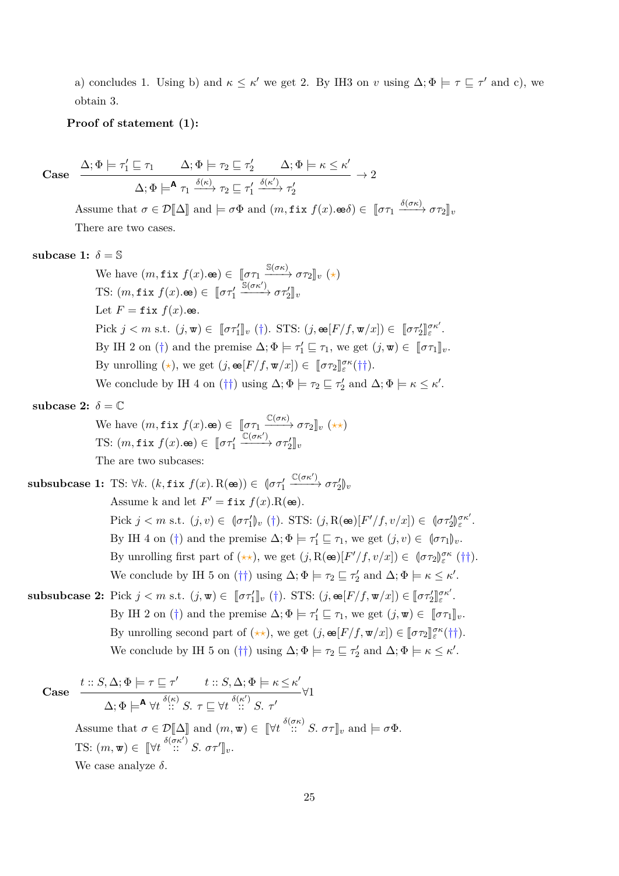a) concludes 1. Using b) and  $\kappa \leq \kappa'$  we get 2. By IH3 on *v* using  $\Delta; \Phi \models \tau \sqsubseteq \tau'$  and c), we obtain 3.

## **Proof of statement (1):**

Case 
$$
\frac{\Delta; \Phi \models \tau_1' \sqsubseteq \tau_1 \qquad \Delta; \Phi \models \tau_2 \sqsubseteq \tau_2' \qquad \Delta; \Phi \models \kappa \leq \kappa'}{\Delta; \Phi \models^{\mathbf{A}} \tau_1 \xrightarrow{\delta(\kappa)} \tau_2 \sqsubseteq \tau_1' \xrightarrow{\delta(\kappa')} \tau_2'} \rightarrow 2
$$

Assume that  $\sigma \in \mathcal{D}[\![\Delta]\!]$  and  $\models \sigma \Phi$  and  $(m, \texttt{fix } f(x). \texttt{se}\delta) \in [\![\sigma \tau_1 \xrightarrow{\delta(\sigma \kappa)} \sigma \tau_2]\!]_v$ There are two cases.

subcase 1:  $\delta = \mathbb{S}$ 

We have  $(m, \text{fix } f(x). \oplus) \in [\![\sigma \tau_1 \xrightarrow{\mathbb{S}(\sigma \kappa)} \sigma \tau_2 \rrbracket_v (\star)$ TS:  $(m, \texttt{fix } f(x). \texttt{\textcircled{\textcirc}}) \in [\![ \sigma \tau'_1 ]\!]$  $\frac{\mathbb{S}(\sigma\kappa')}{\rightarrow} \sigma\tau_2^{\prime}$ <sub>*v*</sub> Let  $F = \text{fix } f(x)$ .ee. Pick  $j < m$  s.t.  $(j, \mathbf{w}) \in [\![\sigma \tau'_1]\!]_v$  (†). STS:  $(j, \mathbf{e}\in [F/f, \mathbf{w}/x]) \in [\![\sigma \tau'_2]\!]$ *σκ*<sup>0</sup> *ε* . By IH 2 on (†) and the premise  $\Delta; \Phi \models \tau'_1 \sqsubseteq \tau_1$ , we get  $(j, \mathbf{w}) \in [\![\sigma \tau_1]\!]_v$ . By unrolling  $(\star)$ , we get  $(j, \mathbf{e} [F/f, \mathbf{w}/x]) \in [\![\sigma \tau_2]\!]_{\varepsilon}^{\sigma \kappa}(\dagger \dagger).$ We conclude by IH 4 on (††) using  $\Delta; \Phi \models \tau_2 \sqsubseteq \tau_2'$  and  $\Delta; \Phi \models \kappa \leq \kappa'.$ 

subcase 2:  $\delta = \mathbb{C}$ 

We have 
$$
(m, \text{fix } f(x). \text{es}) \in [\![\sigma\tau_1 \xrightarrow{\mathbb{C}(\sigma\kappa)} \sigma\tau_2]\!]_v \; (\star\star)
$$
  
TS:  $(m, \text{fix } f(x). \text{es}) \in [\![\sigma\tau'_1 \xrightarrow{\mathbb{C}(\sigma\kappa')} \sigma\tau'_2]\!]_v$ 

The are two subcases:

**subsubcase 1:** TS:  $\forall k$ .  $(k, \texttt{fix } f(x), R(\texttt{e})) \in [\sigma \tau_1]$  $\xrightarrow{\mathbb{C}(\sigma\kappa')} \sigma\tau_2'$ <sub>*v*</sub> Assume k and let  $F' = \text{fix } f(x) \cdot R(\mathbf{e})$ . Pick  $j < m$  s.t.  $(j, v) \in \left(\sigma \tau_1' \right)_v (\dagger)$ . STS:  $(j, R(\infty)[F'/f, v/x]) \in \left(\sigma \tau_2' \right)$ *σκ*<sup>0</sup> *ε* . By IH 4 on (†) and the premise  $\Delta; \Phi \models \tau_1' \sqsubseteq \tau_1$ , we get  $(j, v) \in (\sigma \tau_1)_v$ . By unrolling first part of  $(\star \star)$ , we get  $(j, R(\mathbf{e})[F'/f, v/x]) \in (\sigma \tau_2)_{\varepsilon}^{\sigma \kappa}$  (††). We conclude by IH 5 on (††) using  $\Delta; \Phi \models \tau_2 \sqsubseteq \tau_2'$  and  $\Delta; \Phi \models \kappa \leq \kappa'.$ **subsubcase 2:** Pick  $j < m$  s.t.  $(j, \mathbf{w}) \in [\![\sigma \tau_1']\!]_v$  (†). STS:  $(j, \mathbf{e} [F/f, \mathbf{w}/x]) \in [\![\sigma \tau_2']\!]$ *σκ*<sup>0</sup> *ε* .

By IH 2 on (†) and the premise  $\Delta; \Phi \models \tau'_1 \sqsubseteq \tau_1$ , we get  $(j, \mathbf{w}) \in [\![\sigma \tau_1]\!]_v$ . By unrolling second part of  $(\star \star)$ , we get  $(j, \mathbf{e} [F/f, \mathbf{w}/x]) \in [\![\sigma \tau_2]\!]_{\varepsilon}^{\sigma \kappa}(\dagger \dagger).$ We conclude by IH 5 on ( $\dagger\dagger$ ) using  $\Delta; \Phi \models \tau_2 \sqsubseteq \tau_2'$  and  $\Delta; \Phi \models \kappa \leq \kappa'.$ 

Case 
$$
\frac{t::S, \Delta; \Phi \models \tau \sqsubseteq \tau' \qquad t::S, \Delta; \Phi \models \kappa \leq \kappa'}{\Delta; \Phi \models^{\mathbf{A}} \forall t \stackrel{\delta(\kappa)}{::} S. \ \tau \sqsubseteq \forall t \stackrel{\delta(\kappa')}{::} S. \ \tau'}
$$
  
Assume that  $\sigma \in \mathcal{D}[\![\Delta]\!]$  and  $(m, \mathbf{w}) \in [\![\forall t \stackrel{\delta(\sigma \kappa)}{::} S. \ \sigma \tau]\!]_v$  and  $\models \sigma \Phi$ .  
TS:  $(m, \mathbf{w}) \in [\![\forall t \stackrel{\delta(\sigma \kappa')}{::} S. \ \sigma \tau']\!]_v$ .  
We case analyze  $\delta$ .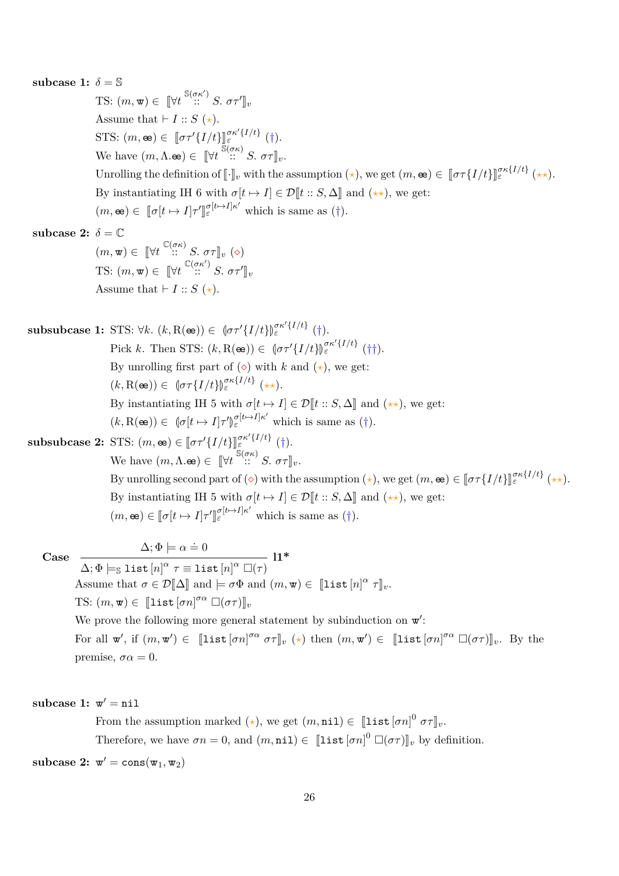**subcase 1:**  $\delta = \mathbb{S}$ TS:  $(m, \mathbf{w}) \in [\forall t \stackrel{\mathbb{S}(\sigma \kappa')}{\cdots} S. \ \sigma \tau']_v$ Assume that  $\vdash I :: S (\star)$ . STS:  $(m, \mathbf{e}) \in [\![\sigma \tau' \{I/t\}]\!]_{\varepsilon}^{\sigma \kappa' \{I/t\}}$  (†). We have  $(m, \Lambda \bullet \bullet) \in [\![\forall t \!]^{\mathfrak{F}(\sigma \kappa)} \ S. \ \sigma \tau]\!]_v.$ Unrolling the definition of  $[\![\cdot]\!]_v$  with the assumption  $(\star)$ , we get  $(m, \mathbf{e}) \in [\![\sigma \tau\{I/t\}]\!]_{\varepsilon}^{\sigma \kappa \{I/t\}} (\star \star).$ By instantiating IH 6 with  $\sigma[t \mapsto I] \in \mathcal{D}[t :: S, \Delta]$  and  $(\star \star)$ , we get:  $(m, \mathbf{e}) \in [\![\sigma[t \mapsto I]\!] \tau'$ l<br>I  $\sigma_{\varepsilon}^{[t \mapsto I] \kappa'}$  which is same as (†). subcase 2:  $\delta = \mathbb{C}$  $(m, \mathbf{w}) \in \left[ \mathbb{V}t \right. \stackrel{\mathbb{C}(\sigma\kappa)}{\cdots} S. \sigma\tau \rbrack_{v} (\diamond)$ TS:  $(m, \mathbf{w}) \in [\forall t \stackrel{\mathbb{C}(\sigma \kappa')}{\cdots} S. \sigma \tau']_v$ Assume that  $\vdash I :: S (\star)$ . **subsubcase 1:** STS:  $\forall k$ .  $(k, R(\mathbf{e})) \in \left[\sigma \tau' \{I/t\}\right]_{\varepsilon}^{\sigma \kappa' \{I/t\}}$  (†). Pick *k*. Then STS:  $(k, R(\mathbf{e})) \in \left(\sigma \tau' \{I/t\}\right)_{\varepsilon}^{\sigma \kappa' \{I/t\}}$  (††). By unrolling first part of  $\circ$ ) with *k* and  $\star$ ), we get:  $(k, R(\mathbf{e})) \in [\sigma \tau \{I/t\}]_{\varepsilon}^{\sigma \kappa \{I/t\}}(\star \star).$ By instantiating IH 5 with  $\sigma[t \mapsto I] \in \mathcal{D}[t : S, \Delta]$  and  $(\star \star)$ , we get:  $(k, R(\mathbf{e})) \in [\sigma[t \mapsto I] \tau']_{\varepsilon}^{\sigma[t \mapsto I] \kappa'}$  which is same as (†). M **subsubcase 2:** STS:  $(m, \omega) \in [\![\sigma \tau' \{I/t\}]\!]_{\varepsilon}^{\sigma \kappa' \{I/t\}}$  (†). We have  $(m, \Lambda \bullet \bullet) \in [\![ \forall t \!]^{\mathbb{S}(\sigma \kappa)} \ S. \ \sigma \tau ]\!]_v.$ By unrolling second part of  $(\diamond)$  with the assumption  $(\star)$ , we get  $(m, \mathbf{e}) \in [\![\sigma \tau\{I/t\}]\!]_{\varepsilon}^{\sigma \kappa \{I/t\}} (\star \star).$ By instantiating IH 5 with  $\sigma[t \mapsto I] \in \mathcal{D}[t : S, \Delta]$  and  $(\star \star)$ , we get:  $(m, \mathbf{e}) \in [\![\sigma[t \mapsto I]\!]$ l<br>I  $\sigma_{\varepsilon}^{[t \mapsto I] \kappa'}$  which is same as (†). **Case**  $\Delta; \Phi \models \alpha \doteq 0$  $\Delta; \Phi \models_{\mathbb{S}} \text{list}\left[n\right]^{\alpha} \tau \equiv \text{list}\left[n\right]^{\alpha} \; \Box(\tau)$ **l1\*** Assume that  $\sigma \in \mathcal{D}[\![\Delta]\!]$  and  $\models \sigma \Phi$  and  $(m, \mathbf{w}) \in [\![\texttt{list}[n]^\alpha \ \tau]\!]_v$ . TS:  $(m, \mathbf{w}) \in [\![\texttt{list}[\sigma n]^{\sigma \alpha} \; \Box(\sigma \tau)]\!]_v$ We prove the following more general statement by subinduction on  $\mathbf{w}'$ : For all  $\mathbf{w}'$ , if  $(m, \mathbf{w}') \in [\![\texttt{list}[\sigma n]^{\sigma \alpha} \ \sigma \tau]\!]_v \ (\star) \ \text{then} \ (m, \mathbf{w}') \in [\![\texttt{list}[\sigma n]^{\sigma \alpha} \ \Box (\sigma \tau)]\!]_v$ . By the premise,  $\sigma \alpha = 0$ . subcase 1:  $\mathbf{w}' = \texttt{nil}$ From the assumption marked ( $\star$ ), we get  $(m, \texttt{nil}) \in [\![\texttt{list}[\sigma n]]^0 \ \sigma \tau]\!]_v$ .

Therefore, we have  $\sigma n = 0$ , and  $(m, \texttt{nil}) \in [\![\texttt{list}[\sigma n]]^0 \; \Box(\sigma \tau)]\!]_v$  by definition.

**subcase 2:**  $\mathbf{w}' = \text{cons}(\mathbf{w}_1, \mathbf{w}_2)$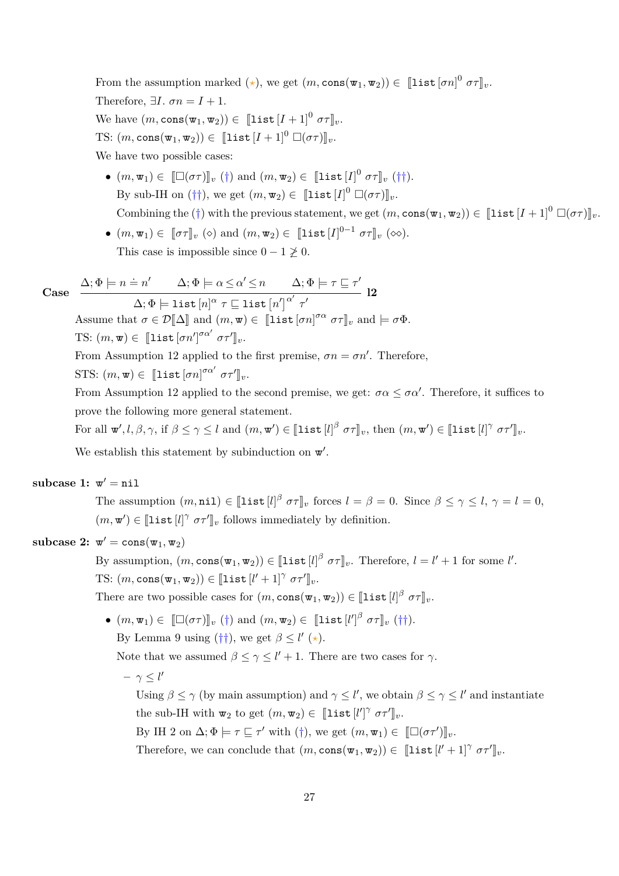From the assumption marked ( $\star$ ), we get  $(m, \text{cons}(\mathbf{w}_1, \mathbf{w}_2)) \in [\![\text{list}[\sigma n]]^0 \ \sigma \tau]\!]_v$ . Therefore,  $\exists I. \ \sigma n = I + 1.$ We have  $(m, \text{cons}(\mathbf{w}_1, \mathbf{w}_2)) \in [\![\texttt{list}[I+1]\!]^0 \ \sigma \tau]\!]_v.$ TS:  $(m, \text{cons}(\mathbf{w}_1, \mathbf{w}_2)) \in [\text{list } [I + 1]^0 \; \Box(\sigma \tau)]_v.$ We have two possible cases:

- $\bullet$   $(m, \mathbf{w}_1) \in [\Box(\sigma\tau)]_v$  (†) and  $(m, \mathbf{w}_2) \in [\mathbf{list}[I]^0 \ \sigma\tau]_v$  (††). By sub-IH on  $(\dagger\dagger)$ , we get  $(m, \mathbf{w}_2) \in [\![\mathtt{list}[I]]^0 \; \Box(\sigma\tau)]\!]_v$ . Combining the  $(\dagger)$  with the previous statement, we get  $(m, \text{cons}(\mathbf{w}_1, \mathbf{w}_2)) \in [\text{list } [I + 1]^0 \; \Box(\sigma \tau)]_v$ .
- $(m, \mathbf{w}_1) \in [\![\sigma \tau]\!]_v \ (\diamond)$  and  $(m, \mathbf{w}_2) \in [\![\mathtt{list}[I]\!]^{0-1} \ \sigma \tau]\!]_v \ (\diamond\diamond).$ This case is impossible since  $0 - 1 \nless 0$ .

Case 
$$
\Delta; \Phi \models n = n' \Delta; \Phi \models \alpha \leq \alpha' \leq n \Delta; \Phi \models \tau \sqsubseteq \tau'
$$
  
 $\Delta; \Phi \models \text{list } [n]^{\alpha} \tau \sqsubseteq \text{list } [n']^{\alpha'} \tau'$  12

Assume that  $\sigma \in \mathcal{D}[\![\Delta]\!]$  and  $(m, \mathbf{w}) \in [\![\text{list}[\sigma n]^{\sigma \alpha} \ \sigma \tau]\!]_v$  and  $\models \sigma \Phi$ . TS:  $(m, \mathbf{w}) \in [\![\mathtt{list}[\sigma n']^{\sigma \alpha'} \ \sigma \tau']\!]_v.$ 

From Assumption [12](#page-30-0) applied to the first premise,  $\sigma n = \sigma n'$ . Therefore,

STS:  $(m, \mathbf{w}) \in [\text{list} [\sigma n]^{\sigma \alpha'} \ \sigma \tau']_v.$ 

From Assumption [12](#page-30-0) applied to the second premise, we get:  $\sigma \alpha \leq \sigma \alpha'$ . Therefore, it suffices to prove the following more general statement.

For all 
$$
\mathbf{w}', l, \beta, \gamma
$$
, if  $\beta \leq \gamma \leq l$  and  $(m, \mathbf{w}') \in [\![\mathbf{list}[l]\!]^\beta \ \sigma \tau]\!]_v$ , then  $(m, \mathbf{w}') \in [\![\mathbf{list}[l]\!]^\gamma \ \sigma \tau']\!]_v$ .

We establish this statement by subinduction on  $\mathbf{w}'$ .

# **subcase 1:**  $\mathbf{w}' = \texttt{nil}$

The assumption  $(m, \text{nil}) \in [\![\text{list } [l]\!]^\beta \ \sigma \tau \!]_v$  forces  $l = \beta = 0$ . Since  $\beta \leq \gamma \leq l$ ,  $\gamma = l = 0$ ,  $(m, \mathbf{w}') \in [\![\mathtt{list}\, [l]^\gamma \; \sigma \tau']\!]_v$  follows immediately by definition.

# **subcase 2:**  $\mathbf{w}' = \text{cons}(\mathbf{w}_1, \mathbf{w}_2)$

By assumption,  $(m, \text{cons}(\mathbf{w}_1, \mathbf{w}_2)) \in [\![\text{list } [l]^{\beta} \ \sigma \tau]\!]_v$ . Therefore,  $l = l' + 1$  for some  $l'$ . TS:  $(m, \text{cons}(\mathbf{w}_1, \mathbf{w}_2)) \in [\![\texttt{list}\,[l'+1]^\gamma \ \sigma \tau']\!]_v.$ 

There are two possible cases for  $(m, \text{cons}(\mathbf{w}_1, \mathbf{w}_2)) \in [\![\texttt{list}[l]\!]^\beta \ \sigma \tau]\!]_v.$ 

 $\bullet$   $(m, \mathbf{w}_1) \in [\![\Box(\sigma\tau)]\!]_v$  (†) and  $(m, \mathbf{w}_2) \in [\![\mathtt{list}[l']^\beta \ \sigma\tau]\!]_v$  (††).

By Lemma [9](#page-22-0) using  $(\dagger \dagger)$ , we get  $\beta \leq l'$  ( $\star$ ).

Note that we assumed  $\beta \leq \gamma \leq l' + 1$ . There are two cases for  $\gamma$ .

 $- \gamma \leq l'$ 

Using  $\beta \leq \gamma$  (by main assumption) and  $\gamma \leq l'$ , we obtain  $\beta \leq \gamma \leq l'$  and instantiate the sub-IH with  $\mathbf{w}_2$  to get  $(m, \mathbf{w}_2) \in [\![\texttt{list}[l']\!]^\gamma \ \sigma \tau']\!]_v$ .

By IH 2 on  $\Delta; \Phi \models \tau \sqsubseteq \tau'$  with (†), we get  $(m, \mathbf{w}_1) \in [[\Box(\sigma \tau')]_v$ .

Therefore, we can conclude that  $(m, \text{cons}(\mathbf{w}_1, \mathbf{w}_2)) \in [\![\text{list} [l' + 1]^\gamma \ \sigma \tau']\!]_v.$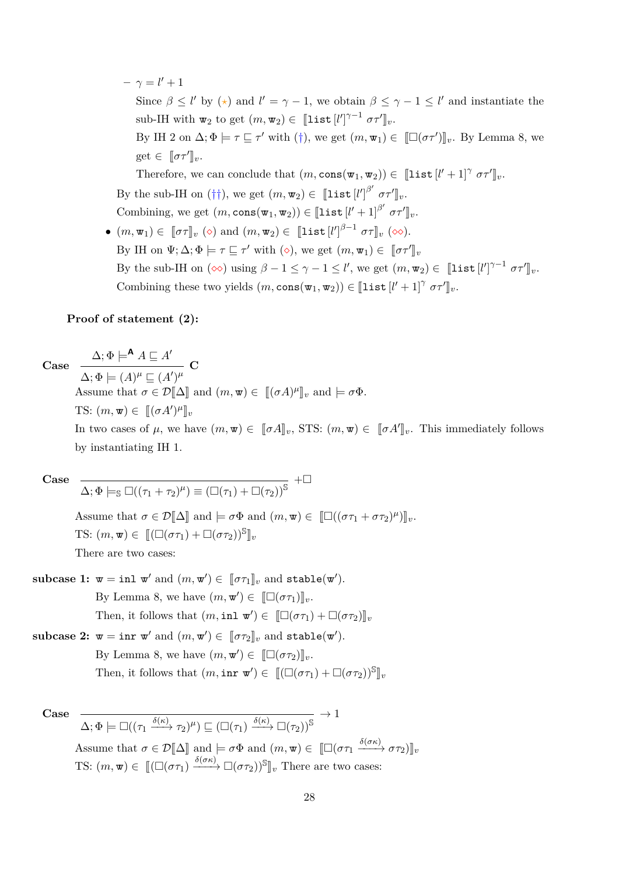- $\gamma = l' + 1$ Since  $\beta \leq l'$  by  $(\star)$  and  $l' = \gamma - 1$ , we obtain  $\beta \leq \gamma - 1 \leq l'$  and instantiate the  $\text{sub-IH with } \mathbf{w}_2 \text{ to get } (m, \mathbf{w}_2) \in [\![\texttt{list}[l']^{\gamma-1} \ \sigma \tau']\!]_v.$ By IH 2 on  $\Delta; \Phi \models \tau \sqsubseteq \tau'$  with (†), we get  $(m, \mathbf{w}_1) \in [[\Box(\sigma \tau')]_v$ . By Lemma [8,](#page-21-0) we  $\text{get} \in [\![\sigma \tau']\!]_v.$ Therefore, we can conclude that  $(m, \text{cons}(\mathbf{w}_1, \mathbf{w}_2)) \in [\![\text{list} [l'+1]^\gamma \ \sigma \tau']\!]_v.$ By the sub-IH on (††), we get  $(m, \mathbf{w}_2) \in [\![\texttt{list}[l']\!]^{\beta'} \sigma \tau']\!]_v.$ Combining, we get  $(m, \text{cons}(\mathbf{w}_1, \mathbf{w}_2)) \in [\![\mathtt{list}[l'+1]^{\beta'} \ \sigma \tau']\!]_v.$
- $(m, \mathbf{w}_1) \in [\![\sigma \tau]\!]_v \; (\diamond) \text{ and } (m, \mathbf{w}_2) \in [\![\texttt{list}\left[l'\right]^{\beta-1} \; \sigma \tau]\!]_v \; (\diamond \diamond).$ By IH on  $\Psi$ ;  $\Delta$ ;  $\Phi \models \tau \sqsubseteq \tau'$  with  $(\diamond)$ , we get  $(m, \mathbf{w}_1) \in [\![\sigma \tau']\!]_v$ By the sub-IH on  $(\infty)$  using  $\beta - 1 \leq \gamma - 1 \leq l'$ , we get  $(m, \mathbf{w}_2) \in [\![\texttt{list}[l']^{\gamma-1} \ \sigma \tau']\!]_v$ . Combining these two yields  $(m, \text{cons}(\mathbf{w}_1, \mathbf{w}_2)) \in [\![\text{list } [l'+1]^\gamma \ \sigma \tau']\!]_v.$

#### **Proof of statement (2):**

 $\Delta; \Phi \models^{\mathsf{A}} A \sqsubseteq A'$ 

**Case**

 $\overline{\Delta; \Phi \models (A)^{\mu} \sqsubseteq (A')^{\mu}}$  **C** 

Assume that  $\sigma \in \mathcal{D}[\![\Delta]\!]$  and  $(m, \mathbf{w}) \in [[(\sigma A)^{\mu}]]_v$  and  $\models \sigma \Phi$ . TS:  $(m, \mathbf{w}) \in [[(\sigma A')^{\mu}]]$ 

In two cases of  $\mu$ , we have  $(m, \mathbf{w}) \in [\![\sigma A]\!]_v$ , STS:  $(m, \mathbf{w}) \in [\![\sigma A']\!]_v$ . This immediately follows by instantiating IH 1.

**Case**

$$
\overline{\Delta; \Phi \models_{\mathbb{S}} \Box((\tau_1 + \tau_2)^{\mu}) \equiv (\Box(\tau_1) + \Box(\tau_2))^{\mathbb{S}}} + \Box
$$

Assume that  $\sigma \in \mathcal{D}[\![\Delta]\!]$  and  $\models \sigma \Phi$  and  $(m, \mathbf{w}) \in [\![\Box((\sigma \tau_1 + \sigma \tau_2)^{\mu})]\!]_v$ . TS:  $(m, \mathbf{w}) \in [[(\Box(\sigma\tau_1) + \Box(\sigma\tau_2))]^S]_v$ There are two cases:

 $\textbf{subcase 1: } \mathbf{w} = \textbf{inl} \mathbf{w}' \text{ and } (m, \mathbf{w}') \in [\![\sigma \tau_1]\!]_v \text{ and } \textbf{stable}(\mathbf{w}').$ By Lemma [8,](#page-21-0) we have  $(m, \mathbf{w}') \in [\![\Box(\sigma\tau_1)]\!]_v$ . Then, it follows that  $(m, \text{inl } \mathbf{w}') \in [\Box(\sigma \tau_1) + \Box(\sigma \tau_2)]_v$ 

 $\textbf{subcase 2: } \mathbf{w} = \textbf{inr} \; \mathbf{w}' \; \text{and} \; (m, \mathbf{w}') \in [\![\sigma \tau_2]\!]_v \; \text{and} \; \texttt{stable}(\mathbf{w}').$ 

By Lemma [8,](#page-21-0) we have  $(m, \mathbf{w}') \in [\![\Box(\sigma\tau_2)]\!]_v$ . Then, it follows that  $(m, \text{inr } \mathbf{w}') \in [[(\Box(\sigma \tau_1) + \Box(\sigma \tau_2))^{\mathbb{S}}]_v$ 

**Case**

 $\Delta; \Phi \models \Box ((\tau_1 \xrightarrow{\delta(\kappa)} \tau_2)^\mu) \sqsubseteq (\Box (\tau_1) \xrightarrow{\delta(\kappa)} \Box (\tau_2) )^\mathbb{S}$  $\rightarrow$  1 Assume that  $\sigma \in \mathcal{D}[\![\Delta]\!]$  and  $\models \sigma \Phi$  and  $(m, \mathbf{w}) \in [\![\Box(\sigma \tau_1 \xrightarrow{\delta(\sigma \kappa)} \sigma \tau_2)]\!]_v$ TS:  $(m, \mathbf{w}) \in [[(\Box(\sigma\tau_1) \xrightarrow{\delta(\sigma\kappa)} \Box(\sigma\tau_2))^{\mathbb{S}}]_v$  There are two cases: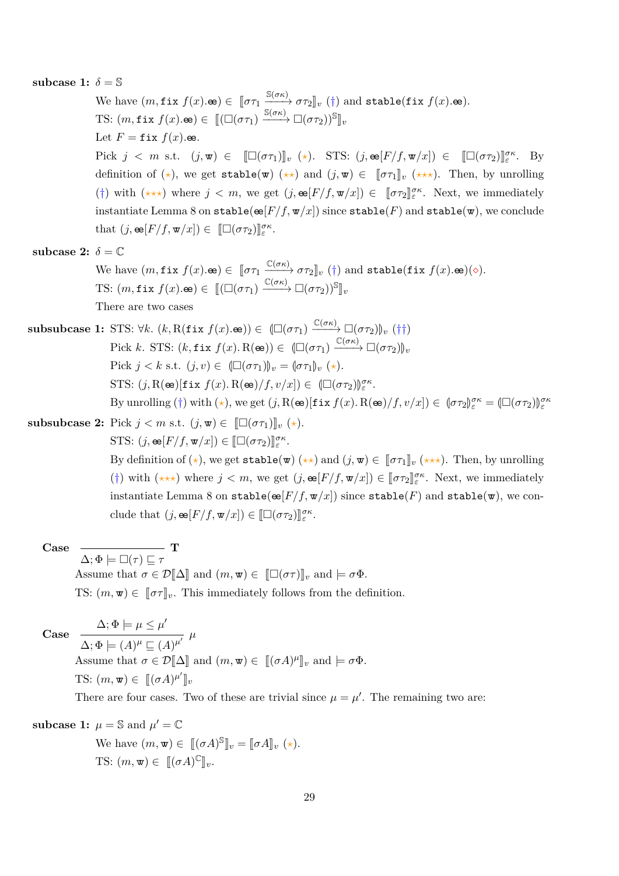**subcase 1:**  $\delta = \mathbb{S}$ 

We have  $(m, \texttt{fix } f(x). \Leftrightarrow) \in [\![\sigma \tau_1 \xrightarrow{\mathbb{S}(\sigma \kappa)} \sigma \tau_2]\!]_v (\dagger)$  and stable(fix  $f(x). \Leftrightarrow)$ . TS:  $(m, \texttt{fix } f(x). \texttt{e}) \in [[(\Box(\sigma\tau_1) \xrightarrow{\mathbb{S}(\sigma\kappa)} \Box(\sigma\tau_2))^{\mathbb{S}}]_v$ Let  $F = \text{fix } f(x)$ .ee. Pick  $j < m$  s.t.  $(j, \mathbf{w}) \in [\Box(\sigma\tau_1)]_v (\star)$ . STS:  $(j, \mathbf{e} [F/f, \mathbf{w}/x]) \in [\Box(\sigma\tau_2)]_{{\varepsilon}}^{\sigma\kappa}$ . By definition of ( $\star$ ), we get stable( $\mathbf{w}$ ) ( $\star\star$ ) and  $(j,\mathbf{w}) \in [\![\sigma\tau_1]\!]_v$  ( $\star\star\star$ ). Then, by unrolling (†) with  $(\star \star \star)$  where  $j < m$ , we get  $(j, \mathbf{e} [F/f, \mathbf{w}/x]) \in [\![\sigma \tau_2]\!]_{\varepsilon}^{\sigma \kappa}$ . Next, we immediately instantiate Lemma [8](#page-21-0) on stable( $\mathfrak{E}(F/f, \mathfrak{w}/x)$ ) since stable(*F*) and stable( $\mathfrak{w}$ ), we conclude that  $(j, \mathbf{e}[F/f, \mathbf{w}/x]) \in [\![\Box(\sigma\tau_2)]\!]_{\varepsilon}^{\sigma\kappa}$ .

subcase 2:  $\delta = \mathbb{C}$ 

We have  $(m, \texttt{fix } f(x). \texttt{\textcircled{\textcircled{\textcirc}}} \in [\![\sigma\tau_1\!\! \xrightarrow{\mathbb{C}(\sigma\kappa)} \sigma\tau_2]\!]_v$  (†) and stable(fix  $f(x). \texttt{\textcircled{\textcircled{\textcirc}}}$ )( $\diamond$ ). TS:  $(m, \text{fix } f(x).$   $\omega) \in [[(\Box(\sigma \tau_1) \xrightarrow{\mathbb{C}(\sigma \kappa)} \Box(\sigma \tau_2))^{\mathbb{S}}]_v$ There are two cases

 $\textbf{subsubcase 1:} \text{STS: } \forall k. \ (k, \text{R}(\texttt{fix } f(x). \texttt{e})) \in (\Box(\sigma \tau_1) \xrightarrow{\mathbb{C}(\sigma \kappa)} \Box(\sigma \tau_2))_v \ (\dagger\dagger)$ Pick *k*. STS:  $(k, \text{fix } f(x) \cdot R(\mathbf{e})) \in (\Box(\sigma\tau_1) \xrightarrow{\mathbb{C}(\sigma\kappa)} \Box(\sigma\tau_2))_v$ Pick  $j < k$  s.t.  $(j, v) \in (\Box(\sigma \tau_1))_v = (\sigma \tau_1)_v$  (\*). STS:  $(j, R(\mathbf{e})[\text{fix } f(x), R(\mathbf{e})/f, v/x]) \in (\Box(\sigma\tau_2))_{\varepsilon}^{\sigma\kappa}$ . By unrolling (†) with ( $\star$ ), we get (*j*, **R**( $\mathbf{e}$ e)[fix  $f(x)$ . **R**( $\mathbf{e}$ e)/ $f, v/x$ ])  $\in$   $(\sigma \tau_2) \mathbf{e}^{\sigma \kappa} = (\Box(\sigma \tau_2)) \mathbf{e}^{\sigma \kappa}$ 

**subsubcase 2:** Pick 
$$
j < m
$$
 s.t.  $(j, \mathbf{w}) \in [\Box(\sigma \tau_1)]_v (\star).$  STS:  $(j, \mathbf{e}[F/f, \mathbf{w}/x]) \in [\Box(\sigma \tau_2)]_{\varepsilon}^{\sigma \kappa}.$  By definition of  $(\star)$ , we get  $\mathbf{stable}(\mathbf{w})$   $(\star \star)$  and  $(j, \mathbf{w}) \in [\sigma \tau_1]_v (\star \star \star)$ . Then, by unrolling  $(\dagger)$  with  $(\star \star \star)$  where  $j < m$ , we get  $(j, \mathbf{e}[F/f, \mathbf{w}/x]) \in [\sigma \tau_2]_{\varepsilon}^{\sigma \kappa}$ . Next, we immediately instantiate Lemma 8 on  $\mathbf{stable}(\mathbf{e}[F/f, \mathbf{w}/x])$  since  $\mathbf{stable}(F)$  and  $\mathbf{stable}(\mathbf{w})$ , we conclude that  $(j, \mathbf{e}[F/f, \mathbf{w}/x]) \in [\Box(\sigma \tau_2)]_{\varepsilon}^{\sigma \kappa}.$ 

**Case**  $\Delta; \Phi \models \Box(\tau) \sqsubseteq \tau$ **T** Assume that  $\sigma \in \mathcal{D}[\![\Delta]\!]$  and  $(m, \mathbf{w}) \in [\![\Box(\sigma\tau)]\!]_v$  and  $\models \sigma\Phi$ . TS:  $(m, \mathbf{w}) \in [\![\sigma \tau]\!]_v$ . This immediately follows from the definition.

**Case**

 $\Delta; \Phi \models (A)^{\mu} \sqsubseteq (A)^{\mu'}$   $\mu'$ Assume that  $\sigma \in \mathcal{D}[\![\Delta]\!]$  and  $(m, \mathbf{w}) \in [[(\sigma A)^{\mu}]]_v$  and  $\models \sigma \Phi$ . TS:  $(m, \mathbf{w}) \in [[(\sigma A)^{\mu'}]]_v$ 

There are four cases. Two of these are trivial since  $\mu = \mu'$ . The remaining two are:

**subcase 1:**  $\mu = \mathbb{S}$  and  $\mu' = \mathbb{C}$ 

 $\Delta; \Phi \models \mu \leq \mu'$ 

We have  $(m, \mathbf{w}) \in [[(\sigma A)]^{\mathbb{S}}]_v = [\sigma A]_v \ (\star).$ TS:  $(m, \mathbf{w}) \in [[(\sigma A)^{\mathbb{C}}]_v$ .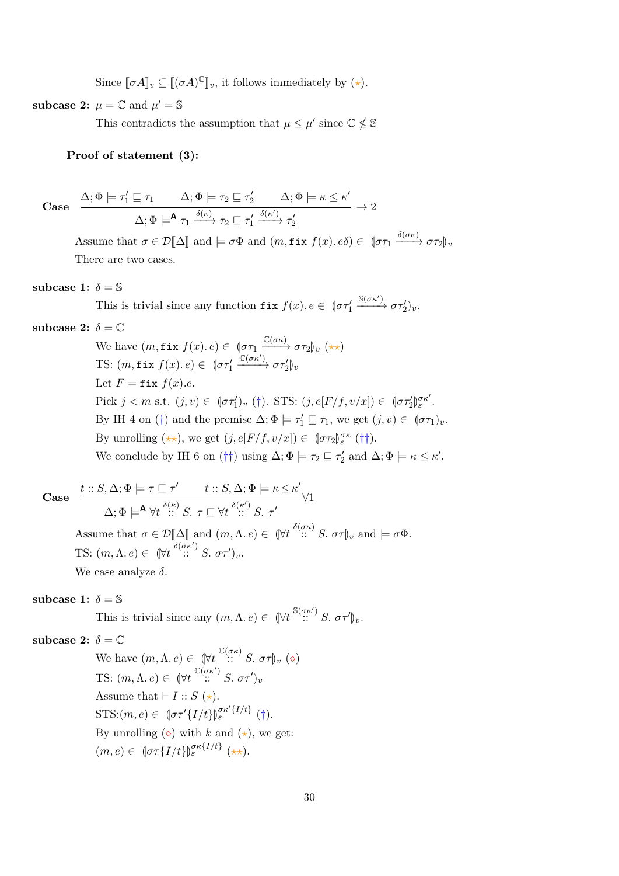Since  $[\![\sigma A]\!]_v \subseteq [[(\sigma A)^{\mathbb{C}}]\!]_v$ , it follows immediately by  $(\star)$ .

**subcase 2:**  $\mu = \mathbb{C}$  and  $\mu' = \mathbb{S}$ 

This contradicts the assumption that  $\mu \leq \mu'$  since  $\mathbb{C} \nleq \mathbb{S}$ 

### **Proof of statement (3):**

$$
\text{Case} \quad \frac{\Delta; \Phi \models \tau_1' \sqsubseteq \tau_1 \quad \Delta; \Phi \models \tau_2 \sqsubseteq \tau_2' \quad \Delta; \Phi \models \kappa \leq \kappa'}{\Delta; \Phi \models^{\mathbf{A}} \tau_1 \xrightarrow{\delta(\kappa)} \tau_2 \sqsubseteq \tau_1' \xrightarrow{\delta(\kappa')} \tau_2'} \rightarrow 2
$$

Assume that  $\sigma \in \mathcal{D}[\![\Delta]\!]$  and  $\models \sigma \Phi$  and  $(m, \text{fix } f(x) \cdot e \delta) \in (\![\sigma \tau_1 \xrightarrow{\delta(\sigma \kappa)} \sigma \tau_2]\!]_v$ There are two cases.

#### **subcase 1:**  $\delta = \mathbb{S}$

This is trivial since any function  $f$ **ix**  $f(x)$ *.*  $e \in \left[ \sigma \tau_1^{\prime} \right]$  $\xrightarrow{\mathbb{S}(\sigma\kappa')} \sigma\tau_2'\mathbb{U}_v.$ 

## subcase 2:  $\delta = \mathbb{C}$

We have  $(m, \texttt{fix } f(x) \cdot e) \in \left(\sigma \tau_1 \xrightarrow{\mathbb{C}(\sigma \kappa)} \sigma \tau_2\right)_v (\star \star)$ TS:  $(m, \texttt{fix } f(x) \text{.} e) \in \sqrt{ \sigma \tau'_1}$  $\frac{\mathbb{C}(\sigma \kappa')}{\rightarrow} \sigma \tau_2'$ <sub>*v*</sub> Let  $F = \text{fix } f(x) \cdot e$ . Pick  $j < m$  s.t.  $(j, v) \in \left[ \sigma \tau_1' \right]_v (\dagger)$ . STS:  $(j, e[F/f, v/x]) \in \left[ \sigma \tau_2' \right]$ *σκ*<sup>0</sup> *ε* . By IH 4 on (†) and the premise  $\Delta; \Phi \models \tau'_1 \sqsubseteq \tau_1$ , we get  $(j, v) \in (\sigma \tau_1)_v$ . By unrolling  $(\star \star)$ , we get  $(j, e[F/f, v/x]) \in (\sigma \tau_2)_{\varepsilon}^{\sigma \kappa}$  (††). We conclude by IH 6 on (††) using  $\Delta; \Phi \models \tau_2 \sqsubseteq \tau_2'$  and  $\Delta; \Phi \models \kappa \leq \kappa'.$ 

Case 
$$
\frac{t::S, \Delta; \Phi \models \tau \sqsubseteq \tau' \qquad t::S, \Delta; \Phi \models \kappa \leq \kappa'}{\Delta; \Phi \models^{\mathbf{A}} \forall t \stackrel{\delta(\kappa)}{::} S. \ \tau \sqsubseteq \forall t \stackrel{\delta(\kappa')}{::} S. \ \tau'}
$$
  
Assume that  $\sigma \in \mathcal{D}[\![\Delta]\!]$  and  $(m, \Lambda, e) \in (\forall t \stackrel{\delta(\sigma \kappa)}{::} S. \ \sigma \tau)_v$  and  $\models \sigma \Phi$ .  
TS:  $(m, \Lambda, e) \in (\forall t \stackrel{\delta(\sigma \kappa')}{::} S. \ \sigma \tau')_v$ .

We case analyze *δ*.

subcase 1:  $\delta = \mathbb{S}$ 

This is trivial since any  $(m, \Lambda, e) \in (\forall t \stackrel{\mathbb{S}(\sigma\kappa')}{\dots} S, \sigma\tau')_v$ .

subcase 2:  $\delta = \mathbb{C}$ 

We have  $(m, \Lambda, e) \in (\forall t \infty^{C(\sigma \kappa)} : S. \ \sigma \tau)_v \ (\diamond)$ TS:  $(m, \Lambda, e) \in (\forall t \in {\mathbb{C}} \times \sigma \kappa') S. \ \sigma \tau' \mathbb{C} \sigma$ Assume that  $\vdash I :: S (\star)$ . STS: $(m, e) \in {\sigma\tau'}\{I/t\}$  $\int_{\varepsilon}^{\sigma\kappa'}\{I/t\}$  (†). By unrolling  $(\diamond)$  with *k* and  $(\star)$ , we get:  $(m, e) \in \left\{\sigma \tau\{I/t\}\right\}_{\varepsilon}^{\sigma \kappa \{I/t\}} \left(\star \star\right).$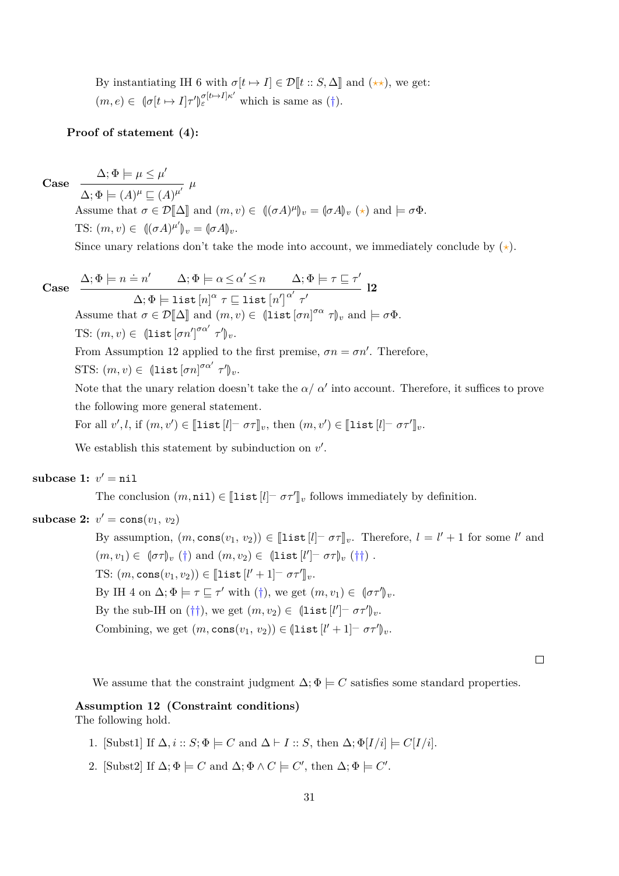By instantiating IH 6 with  $\sigma[t \mapsto I] \in \mathcal{D}[t :: S, \Delta]$  and  $(\star \star)$ , we get:  $(m, e) \in \mathbb{Q}[\sigma[t \mapsto I]\tau'$ M  $\sigma_{\varepsilon}^{[t \mapsto I] \kappa'}$  which is same as (†).

#### **Proof of statement (4):**

 $\Delta; \Phi \models \mu \leq \mu'$ 

**Case**

 $\Delta; \Phi \models (A)^{\mu} \sqsubseteq (A)^{\mu'}$   $\mu'$ Assume that  $\sigma \in \mathcal{D}[\![\Delta]\!]$  and  $(m, v) \in [(\sigma A)^\mu]_v = [\sigma A]_v (\star)$  and  $\models \sigma \Phi$ . TS:  $(m, v) \in ((\sigma A)^{\mu'}|_v = (\sigma A)_v$ .

Since unary relations don't take the mode into account, we immediately conclude by  $(\star)$ .

Case 
$$
\frac{\Delta; \Phi \models n = n' \quad \Delta; \Phi \models \alpha \leq \alpha' \leq n \quad \Delta; \Phi \models \tau \sqsubseteq \tau'}{\Delta; \Phi \models \text{list } [n]^{\alpha} \tau \sqsubseteq \text{list } [n']^{\alpha'} \tau'}
$$
Assume that  $\sigma \in \mathcal{D}[\Delta]$  and  $(m, v) \in (\text{list } [\sigma n]^{\sigma \alpha} \tau)_v$  and  $\models \sigma \Phi$ .  
TS:  $(m, v) \in (\text{list } [\sigma n']^{\sigma \alpha'} \tau')_v$ .

From Assumption [12](#page-30-0) applied to the first premise,  $\sigma n = \sigma n'$ . Therefore,

STS:  $(m, v) \in (\text{list } [\sigma n]^{\sigma \alpha'} \tau')_v.$ 

Note that the unary relation doesn't take the  $\alpha/\alpha'$  into account. Therefore, it suffices to prove the following more general statement.

For all  $v', l$ , if  $(m, v') \in [\![\texttt{list}[l] \!-\ \sigma \tau]\!]_v$ , then  $(m, v') \in [\![\texttt{list}[l] \!-\ \sigma \tau']\!]_v$ .

We establish this statement by subinduction on  $v'$ .

# $\textbf{subcase 1: } v' = \texttt{nil}$

The conclusion  $(m, \texttt{nil}) \in [\![\texttt{list}[l] \!] \; \sigma \tau^\prime]\!]_v$  follows immediately by definition.

# **subcase 2:**  $v' = \text{cons}(v_1, v_2)$

By assumption,  $(m, \text{cons}(v_1, v_2)) \in [\![\text{list } [l] - \sigma \tau]\!]_v$ . Therefore,  $l = l' + 1$  for some *l'* and  $(m, v_1) \in (\sigma \tau)_v (\dagger)$  and  $(m, v_2) \in (\text{list}[l'] - \sigma \tau)_v (\dagger \dagger).$ TS:  $(m, \text{cons}(v_1, v_2)) \in [\![\texttt{list}\,[l'+1] - \sigma \tau']\!]_v.$ By IH 4 on  $\Delta; \Phi \models \tau \sqsubseteq \tau'$  with (†), we get  $(m, v_1) \in [\sigma \tau']_v$ . By the sub-IH on  $(\dagger \dagger)$ , we get  $(m, v_2) \in (\text{list } [l'] - \sigma \tau')_v$ . Combining, we get  $(m, \text{cons}(v_1, v_2)) \in (\text{list}[l'+1] - \sigma \tau')_v$ .

 $\Box$ 

We assume that the constraint judgment  $\Delta; \Phi \models C$  satisfies some standard properties.

#### <span id="page-30-0"></span>**Assumption 12 (Constraint conditions)**

The following hold.

- 1. [Subst1] If  $\Delta$ ,  $i :: S$ ;  $\Phi \models C$  and  $\Delta \vdash I :: S$ , then  $\Delta$ ;  $\Phi[I/i] \models C[I/i]$ .
- 2. [Subst2] If  $\Delta$ ;  $\Phi \models C$  and  $\Delta$ ;  $\Phi \land C \models C'$ , then  $\Delta$ ;  $\Phi \models C'$ .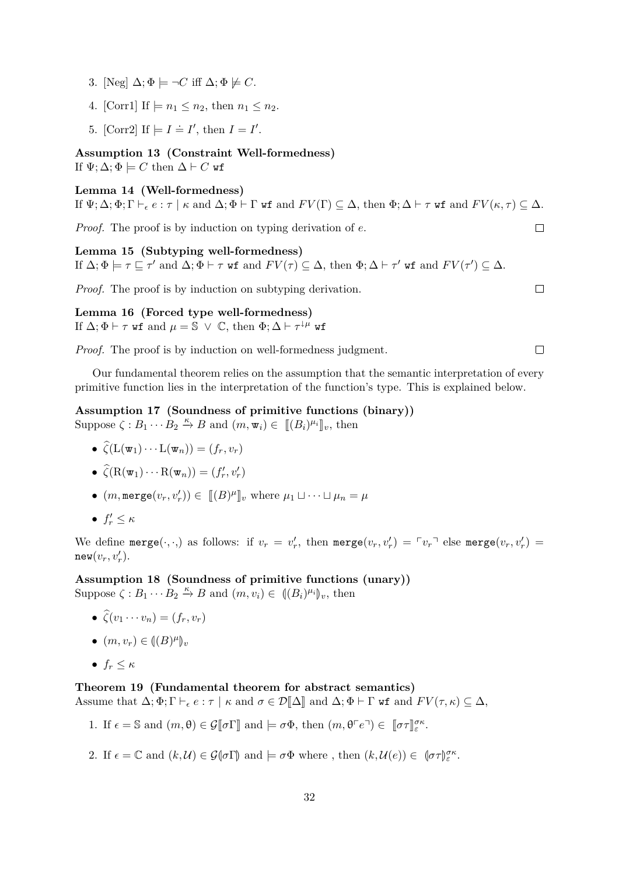- 3. [Neg]  $\Delta; \Phi \models \neg C$  iff  $\Delta; \Phi \not\models C$ .
- 4. [Corr1] If  $\models n_1 \leq n_2$ , then  $n_1 \leq n_2$ .
- 5. [Corr2] If  $\models I \doteq I'$ , then  $I = I'$ .

<span id="page-31-0"></span>**Assumption 13 (Constraint Well-formedness)** If  $\Psi$ ;  $\Delta$ ;  $\Phi \models C$  then  $\Delta \vdash C$  wf

#### <span id="page-31-1"></span>**Lemma 14 (Well-formedness)**

If  $\Psi$ ;  $\Delta$ ;  $\Phi$ ;  $\Gamma \vdash_{\epsilon} e : \tau \mid \kappa$  and  $\Delta$ ;  $\Phi \vdash \Gamma$  wf and  $FV(\Gamma) \subseteq \Delta$ , then  $\Phi$ ;  $\Delta \vdash \tau$  wf and  $FV(\kappa, \tau) \subseteq \Delta$ .

*Proof.* The proof is by induction on typing derivation of *e*.

<span id="page-31-2"></span>**Lemma 15 (Subtyping well-formedness)** If  $\Delta; \Phi \models \tau \sqsubseteq \tau'$  and  $\Delta; \Phi \vdash \tau$  wf and  $FV(\tau) \subseteq \Delta$ , then  $\Phi; \Delta \vdash \tau'$  wf and  $FV(\tau') \subseteq \Delta$ .

*Proof.* The proof is by induction on subtyping derivation.

 $\Box$ 

 $\Box$ 

<span id="page-31-3"></span>**Lemma 16 (Forced type well-formedness)** If  $\Delta; \Phi \vdash \tau$  wf and  $\mu = \mathbb{S} \vee \mathbb{C}$ , then  $\Phi; \Delta \vdash \tau^{\downarrow \mu}$  wf

*Proof.* The proof is by induction on well-formedness judgment.

 $\Box$ 

Our fundamental theorem relies on the assumption that the semantic interpretation of every primitive function lies in the interpretation of the function's type. This is explained below.

<span id="page-31-4"></span>**Assumption 17 (Soundness of primitive functions (binary))** Suppose  $\zeta : B_1 \cdots B_2 \stackrel{\kappa}{\to} B$  and  $(m, \mathbf{w}_i) \in [[(B_i)^{\mu_i}]]_v$ , then

$$
\bullet \ \widehat{\zeta}(\mathcal{L}(\mathbf{w}_1)\cdots \mathcal{L}(\mathbf{w}_n))=(f_r,v_r)
$$

$$
\bullet \ \widehat{\zeta}(\mathrm{R}(\mathbf{w}_1)\cdots\mathrm{R}(\mathbf{w}_n))=(f'_r,v'_r)
$$

- $(m, \text{merge}(v_r, v'_r)) \in [[B]^{\mu}]_v$  where  $\mu_1 \sqcup \cdots \sqcup \mu_n = \mu$
- $\bullet$   $f'_r \leq \kappa$

We define  $\text{merge}(\cdot, \cdot)$  as follows: if  $v_r = v'_r$ , then  $\text{merge}(v_r, v'_r) = \ulcorner v_r \urcorner$  else  $\text{merge}(v_r, v'_r) = \urcorner v_r$  $new(v_r, v'_r)$ .

<span id="page-31-5"></span>**Assumption 18 (Soundness of primitive functions (unary))** Suppose  $\zeta : B_1 \cdots B_2 \stackrel{\kappa}{\to} B$  and  $(m, v_i) \in ((B_i)^{\mu_i}]_v$ , then

•  $\zeta(v_1 \cdots v_n) = (f_r, v_r)$ 

$$
\bullet \ (m,v_r) \in (\![(B)^{\mu}]\!)_v
$$

•  $f_r \leq \kappa$ 

## <span id="page-31-6"></span>**Theorem 19 (Fundamental theorem for abstract semantics)**

Assume that  $\Delta; \Phi; \Gamma \vdash_{\epsilon} e : \tau \mid \kappa \text{ and } \sigma \in \mathcal{D}[\![\Delta]\!]$  and  $\Delta; \Phi \vdash \Gamma$  wf and  $FV(\tau, \kappa) \subseteq \Delta$ ,

- 1. If  $\epsilon = \mathbb{S}$  and  $(m, \theta) \in \mathcal{G}[\![\sigma\Gamma]\!]$  and  $\models \sigma\Phi$ , then  $(m, \theta \ulcorner e \urcorner) \in [\![\sigma\tau]\!]_{\varepsilon}^{\sigma\kappa}$ .
- 2. If  $\epsilon = \mathbb{C}$  and  $(k, \mathcal{U}) \in \mathcal{G}(\sigma \Gamma)$  and  $\models \sigma \Phi$  where, then  $(k, \mathcal{U}(e)) \in (\sigma \tau)_{\varepsilon}^{\sigma \kappa}$ .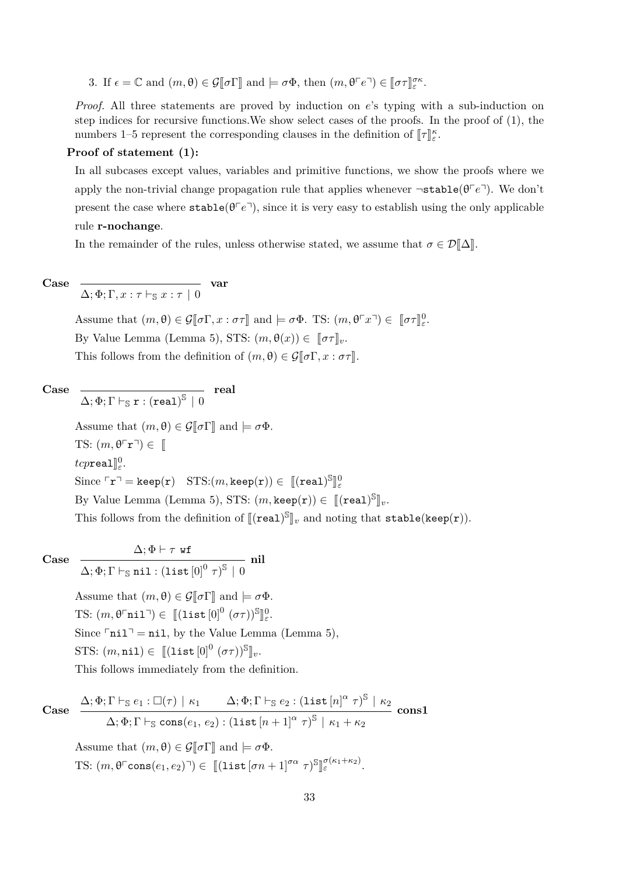3. If  $\epsilon = \mathbb{C}$  and  $(m, \theta) \in \mathcal{G}[\![\sigma\Gamma]\!]$  and  $\models \sigma\Phi$ , then  $(m, \theta \ulcorner e \urcorner) \in [\![\sigma\tau]\!]_{\varepsilon}^{\sigma\kappa}$ .

*Proof.* All three statements are proved by induction on *e*'s typing with a sub-induction on step indices for recursive functions.We show select cases of the proofs. In the proof of (1), the numbers 1–5 represent the corresponding clauses in the definition of  $[\![\tau]\!]_{\varepsilon}^{\kappa}$ .

### **Proof of statement (1):**

In all subcases except values, variables and primitive functions, we show the proofs where we apply the non-trivial change propagation rule that applies whenever  $\neg$ **stable**( $\theta \ulcorner e \urcorner$ ). We don't present the case where  $\text{stable}(\theta^{\top}e^{\top})$ , since it is very easy to establish using the only applicable rule **r-nochange**.

In the remainder of the rules, unless otherwise stated, we assume that  $\sigma \in \mathcal{D}[\Delta]$ .

Case 
$$
\frac{}{\Delta;\Phi;\Gamma,x:\tau\vdash_{\mathbb{S}}x:\tau\mid 0} \quad \text{var}
$$

Assume that  $(m, \theta) \in \mathcal{G}[\![\sigma\Gamma, x : \sigma\tau]\!]$  and  $\models \sigma\Phi$ . TS:  $(m, \theta^{\top}x^{\top}) \in [\![\sigma\tau]\!]_{{\varepsilon}}^0$ . By Value Lemma (Lemma [5\)](#page-20-0), STS:  $(m, \theta(x)) \in [\![\sigma \tau]\!]_v$ . This follows from the definition of  $(m, \theta) \in \mathcal{G}[\![\sigma\Gamma, x : \sigma\tau]\!]$ .

Case 
$$
\frac{1}{\Delta; \Phi; \Gamma \vdash_{\mathbb{S}} r : (real)^{\mathbb{S}} \mid 0}
$$
 real

Assume that  $(m, \theta) \in \mathcal{G}[\![\sigma]\!]$  and  $\models \sigma \Phi$ .

TS:  $(m, \theta^{\lceil} r^{\lceil}) \in \mathbb{I}$  ${tcpreal}$ <sup> $0$ </sup><sub> $\varepsilon$ </sub>.  $\text{Since } \ulcorner \mathbf{r} \urcorner = \texttt{keep}(\mathbf{r}) \quad \text{STS:}(m,\texttt{keep}(\mathbf{r})) \in \; \llbracket (\texttt{real})^\mathbb{S} \rrbracket^0_\varepsilon$ لا<br>س By Value Lemma (Lemma [5\)](#page-20-0), STS:  $(m, \text{keep}(\mathbf{r})) \in [[(\text{real})^{\mathbb{S}}]_{v}.$ This follows from the definition of  $[\![(\mathtt{real})^\mathbb{S}]\!]_v$  and noting that  $\mathtt{stable}(\mathtt{keep}(\mathtt{r})).$ 

**Case**

 $\Delta; \Phi \vdash \tau$  wf  $\Delta; \Phi; \Gamma \vdash_{\mathbb{S}} \mathtt{nil} : (\mathtt{list}\left[0\right]^{0} \, \tau)^{\mathbb{S}} \, \mid \, 0$ **nil**

Assume that  $(m, \theta) \in \mathcal{G}[\![\sigma]\!]$  and  $\models \sigma \Phi$ . TS:  $(m, \theta^{\sqcap} \texttt{nil}^{\sqcap}) \in [[(\texttt{list}[0]^0(\sigma\tau))^{\mathbb{S}}]]_{\varepsilon}^0$ . Since  $\lceil \text{nil} \rceil = \text{nil}$ , by the Value Lemma (Lemma [5\)](#page-20-0), STS:  $(m, \texttt{nil}) \in [[(\texttt{list}[0]^0 (\sigma \tau))^S]]_v.$ This follows immediately from the definition.

Case 
$$
\frac{\Delta; \Phi; \Gamma \vdash_{\mathbb{S}} e_1 : \Box(\tau) \mid \kappa_1 \qquad \Delta; \Phi; \Gamma \vdash_{\mathbb{S}} e_2 : (\text{list } [n]^{\alpha} \tau)^{\mathbb{S}} \mid \kappa_2}{\Delta; \Phi; \Gamma \vdash_{\mathbb{S}} \text{cons}(e_1, e_2) : (\text{list } [n+1]^{\alpha} \tau)^{\mathbb{S}} \mid \kappa_1 + \kappa_2}
$$
cons1

Assume that  $(m, \theta) \in \mathcal{G}[\![\sigma]\!]$  and  $\models \sigma \Phi$ . TS:  $(m, \theta^{\Gamma} \text{cons}(e_1, e_2)^{\top}) \in [[(\text{list} [\sigma n + 1]^{\sigma \alpha} \ \tau)^{\mathbb{S}}]$ l<br>I *σ*(*κ*1+*κ*2) *<sup>ε</sup>* .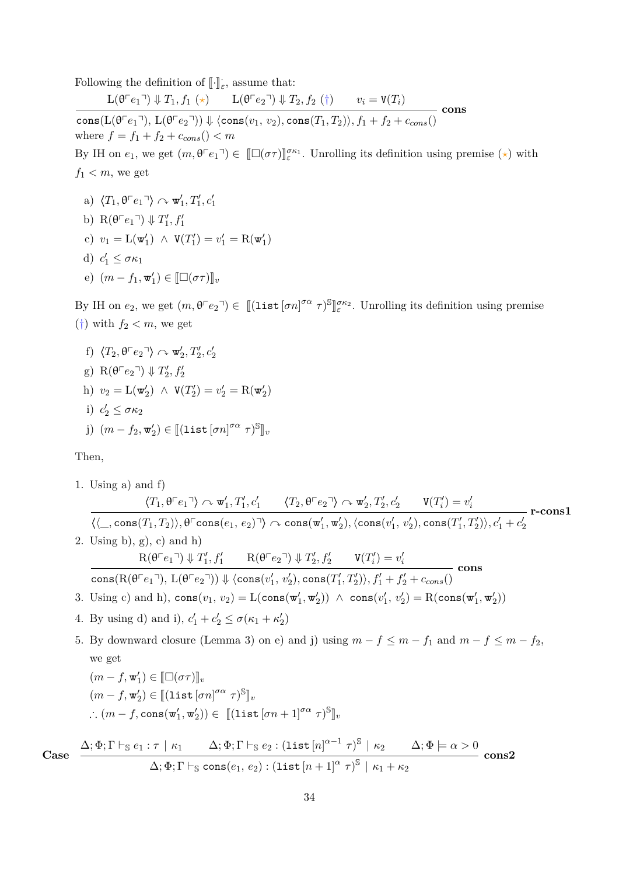Following the definition of  $\llbracket \cdot \rrbracket_{\varepsilon}$ , assume that:

 $L(\theta^{\top}e_1^{\top}) \Downarrow T_1, f_1 (\star)$   $L(\theta^{\top}e_2^{\top}) \Downarrow T_2, f_2 (\dagger)$   $v_i = V(T_i)$  $\cosh(L(\theta^{\top}e_1^{\top}), L(\theta^{\top}e_2^{\top})) \Downarrow \langle \cos(v_1, v_2), \cos(T_1, T_2) \rangle, f_1 + f_2 + c_{cons}(\theta^{\top}e_2^{\top})$ **cons** where  $f = f_1 + f_2 + c_{cons}$  ()  $< m$ By IH on  $e_1$ , we get  $(m, \theta \ulcorner e_1 \urcorner) \in [\Box(\sigma \tau)]_{\varepsilon}^{K_1}$ . Unrolling its definition using premise (\*) with  $f_1 < m$ , we get

- a)  $\langle T_1, \theta \ulcorner e_1 \urcorner \rangle \curvearrowright \mathbf{w}'_1, T'_1, c'_1$
- b)  $R(\theta \ulcorner e_1 \urcorner) \Downarrow T_1', f_1'$
- c)  $v_1 = \mathcal{L}(\mathbf{w}'_1) \land \mathbf{V}(T'_1) = v'_1 = \mathcal{R}(\mathbf{w}'_1)$
- d)  $c'_1 \leq \sigma \kappa_1$
- e)  $(m f_1, \mathbf{w}'_1) \in [\![\Box(\sigma \tau)]\!]_v$

By IH on  $e_2$ , we get  $(m, \theta \ulcorner e_2 \urcorner) \in [[\text{list} [\sigma n]^{\sigma \alpha} \tau)^{\mathbb{S}}]$ l<br>I *σκ*<sup>2</sup> *ε* . Unrolling its definition using premise  $(\dagger)$  with  $f_2 < m$ , we get

f)  $\langle T_2, \theta \lceil e_2 \rceil \rangle \curvearrowright \mathbf{w}'_2, T'_2, c'_2$ g)  $R(\theta \ulcorner e_2 \urcorner) \Downarrow T_2', f_2'$ h)  $v_2 = \mathcal{L}(\mathbf{w}'_2) \land \mathbf{V}(T'_2) = v'_2 = \mathcal{R}(\mathbf{w}'_2)$ i)  $c'_2 \leq \sigma \kappa_2$  $j)$   $(m - f_2, \mathbf{w}'_2) \in [[(\texttt{list}[\sigma n]^{\sigma \alpha} \ \tau)^{\mathbb{S}}]_v$ 

Then,

1. Using a) and f)  
\n
$$
\langle T_1, \theta^{\top}e_1 \rangle \sim \mathbf{w}'_1, T'_1, c'_1 \quad \langle T_2, \theta^{\top}e_2 \rangle \sim \mathbf{w}'_2, T'_2, c'_2 \quad \mathbf{V}(T'_i) = v'_i
$$
\n
$$
\langle \langle \_, \cos(T_1, T_2) \rangle, \theta^{\top} \cos(\epsilon_1, \epsilon_2) \rangle \sim \cos(\mathbf{w}'_1, \mathbf{w}'_2), \langle \cos(\mathbf{v}'_1, \mathbf{v}'_2) \rangle, \cos(\mathbf{r}'_1, T'_2) \rangle, c'_1 + c'_2
$$
\n2. Using b), g), c) and h)  
\n
$$
\mathbf{R}(\theta^{\top}e_1 \gamma) \downarrow T'_1, f'_1 \quad \mathbf{R}(\theta^{\top}e_2 \gamma) \downarrow T'_2, f'_2 \quad \mathbf{V}(T'_i) = v'_i
$$
\n
$$
\cos(R(\theta^{\top}e_1 \gamma), L(\theta^{\top}e_2 \gamma)) \downarrow \langle \cos(\mathbf{v}'_1, \mathbf{v}'_2) \rangle, \cos(\mathbf{r}'_1, T'_2) \rangle, f'_1 + f'_2 + c_{cons}(\mathbf{r}'_2)
$$
\n3. Using c) and h),  $\cos(\mathbf{v}_1, \mathbf{v}_2) = \mathbf{L}(\cos(\mathbf{w}'_1, \mathbf{w}'_2)) \land \cos(\mathbf{v}'_1, \mathbf{v}'_2) = \mathbf{R}(\cos(\mathbf{w}'_1, \mathbf{w}'_2))$   
\n4. By using d) and i),  $c'_1 + c'_2 \leq \sigma(\kappa_1 + \kappa'_2)$   
\n5. By downward closure (Lemma 3) on e) and j) using  $m - f \leq m - f_1$  and  $m - f \leq m - f_2$ , we get  
\n
$$
(m - f, \mathbf{w}'_1) \in [\Box(\sigma \tau)]_v
$$
\n
$$
(m - f, \mathbf{w}'_2) \in [[\text{list } [\sigma n]^{\sigma \alpha} \tau)^{\mathbb{S}}]_v
$$
\n
$$
\therefore (m - f, \cos(\mathbf{w}'_1, \mathbf{w}'_2)) \in [[\text{list } [\sigma n +
$$

34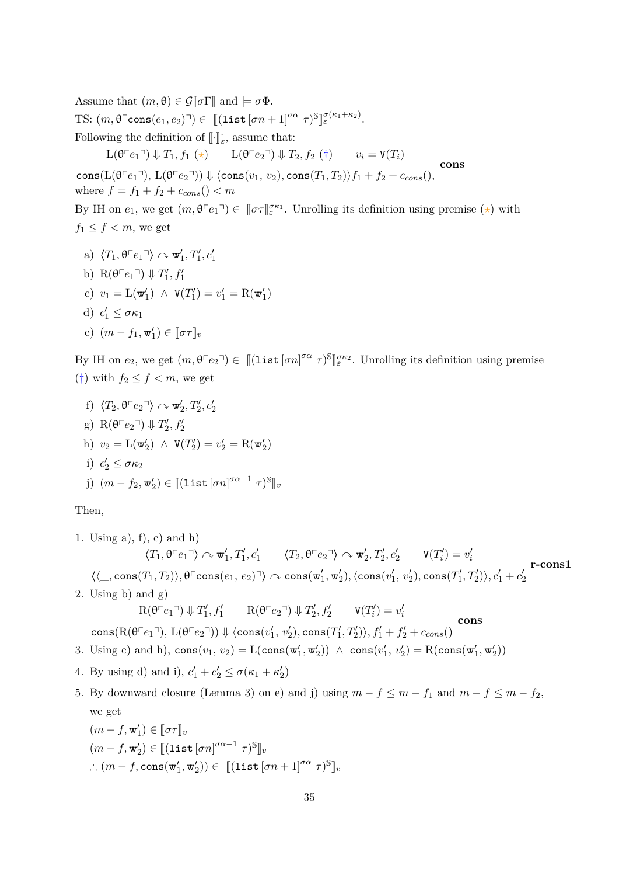Assume that  $(m, \theta) \in \mathcal{G}[\![\sigma]\!]$  and  $\models \sigma \Phi$ .  $\text{TS: } (m, \theta^{\text{T}} \text{cons}(e_1, e_2)^{\text{T}}) \in [[(\text{list } [\sigma n + 1]^{\sigma \alpha} \ \tau)^{\text{S}}]$ l<br>I *σ*(*κ*1+*κ*2) *<sup>ε</sup>* . Following the definition of  $\llbracket \cdot \rrbracket_{\varepsilon}$ , assume that:  $L(\theta^{\top}e_1^{\top}) \Downarrow T_1, f_1 (\star)$   $L(\theta^{\top}e_2^{\top}) \Downarrow T_2, f_2 (\dagger)$   $v_i = V(T_i)$ 

 $\cosh(L(\theta^{\top}e_1^{\top}), L(\theta^{\top}e_2^{\top})) \Downarrow \langle \cos(v_1, v_2), \cos(T_1, T_2) \rangle f_1 + f_2 + c_{cons}(),$ **cons** where  $f = f_1 + f_2 + c_{cons}$  ()  $< m$ 

By IH on  $e_1$ , we get  $(m, \theta^{\Gamma}e_1)^{\tilde{\sigma}} \in [\![\sigma \tau]\!]_{\varepsilon}^{\sigma \kappa_1}$ . Unrolling its definition using premise  $(\star)$  with  $f_1 \leq f \leq m$ , we get

a)  $\langle T_1, \theta \ulcorner e_1 \urcorner \rangle \curvearrowright \mathbf{w}'_1, T'_1, c'_1$ b)  $R(\theta \ulcorner e_1 \urcorner) \Downarrow T_1', f_1'$ c)  $v_1 = \mathcal{L}(\mathbf{w}'_1) \land \mathbf{V}(T'_1) = v'_1 = \mathcal{R}(\mathbf{w}'_1)$ d)  $c'_1 \leq \sigma \kappa_1$ e)  $(m - f_1, \mathbf{w}'_1) \in [\![\sigma \tau]\!]_v$ 

By IH on  $e_2$ , we get  $(m, \theta \ulcorner e_2 \urcorner) \in [[\text{list} [\sigma n]^{\sigma \alpha} \tau)^{\mathbb{S}}]$ l<br>I *σκ*<sup>2</sup> *ε* . Unrolling its definition using premise (†) with  $f_2 \leq f < m$ , we get

f) 
$$
\langle T_2, \theta^{\top} e_2 \rangle \sim \mathbf{w}'_2, T'_2, c'_2
$$
  
\ng)  $\mathbf{R}(\theta^{\top} e_2 \gamma) \Downarrow T'_2, f'_2$   
\nh)  $v_2 = \mathbf{L}(\mathbf{w}'_2) \wedge \mathbf{V}(T'_2) = v'_2 = \mathbf{R}(\mathbf{w}'_2)$   
\ni)  $c'_2 \leq \sigma \kappa_2$   
\nj)  $(m - f_2, \mathbf{w}'_2) \in [[\text{list } [\sigma n]^{\sigma \alpha - 1} \tau)^{\mathbb{S}}]_v$ 

Then,

we get

1. Using a), f), c) and h)  $\langle T_1, \theta^{\sqsubset} e_1 \urcorner \rangle \curvearrowright \mathbf{w}'_1, T'_1, c'_1$   $\langle T_2, \theta^{\sqsubset} e_2 \urcorner \rangle \curvearrowright \mathbf{w}'_2, T'_2, c'_2$   $\mathbf{V}(T'_i) = v'_i$  $\langle \langle \_,\mathop{\mathrm{cons}}(T_1,T_2)\rangle, \theta^\vdash{\mathrm{cons}}(e_1,\,e_2)^\lnot\rangle\,\sim\,\mathop{\mathrm{cons}}(\mathtt{w}_1',\mathtt{w}_2'), \langle \mathop{\mathrm{cons}}(v_1',\,v_2'),\mathop{\mathrm{cons}}(T_1',T_2')\rangle, c_1'+c_2'$ **r-cons1** 2. Using b) and g)  $R(\theta \cap e_1) \Downarrow T'_1, f'_1$   $R(\theta \cap e_2) \Downarrow T'_2, f'_2$   $V(T'_i) = v'_i$  $\text{cons}(\text{R}(\theta^{\top}e_1^{-\!\top\!}),\text{L}(\theta^{\top}e_2^{-\!\top\!}))\Downarrow \langle \text{cons}(v_1',\,v_2'), \text{cons}(T_1',T_2')\rangle , f_1' + f_2' + c_{cons}()$ **cons** 3. Using c) and h),  $\text{cons}(v_1, v_2) = \text{L}(\text{cons}(\mathbf{w}'_1, \mathbf{w}'_2)) \land \text{cons}(v'_1, v'_2) = \text{R}(\text{cons}(\mathbf{w}'_1, \mathbf{w}'_2))$ 4. By using d) and i),  $c'_1 + c'_2 \le \sigma(\kappa_1 + \kappa'_2)$ 5. By downward closure (Lemma [3\)](#page-19-0) on e) and j) using  $m - f \leq m - f_1$  and  $m - f \leq m - f_2$ ,

$$
(m - f, \mathbf{w}'_1) \in [\![\sigma \tau]\!]_v
$$
  
\n
$$
(m - f, \mathbf{w}'_2) \in [\![(\mathtt{list}[\sigma n]^{\sigma \alpha - 1} \ \tau)^{\mathbb{S}}]\!]_v
$$
  
\n
$$
\therefore (m - f, \cos(\mathbf{w}'_1, \mathbf{w}'_2)) \in [\![(\mathtt{list}[\sigma n + 1]^{\sigma \alpha} \ \tau)^{\mathbb{S}}]\!]_v
$$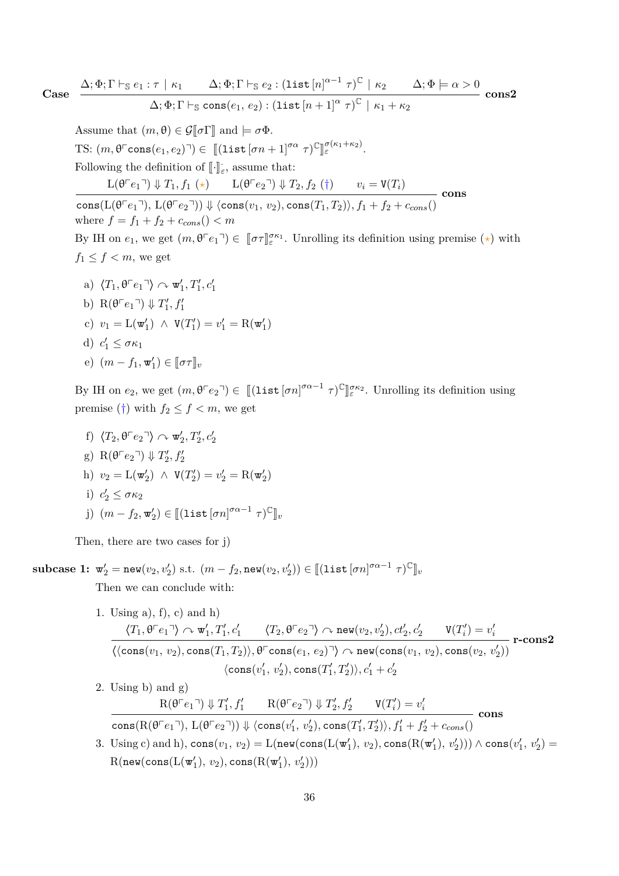Case 
$$
\frac{\Delta; \Phi; \Gamma \vdash_{\mathbb{S}} e_1 : \tau \mid \kappa_1 \qquad \Delta; \Phi; \Gamma \vdash_{\mathbb{S}} e_2 : (\text{list } [n]^{\alpha-1} \tau)^{\mathbb{C}} \mid \kappa_2 \qquad \Delta; \Phi \models \alpha > 0}{\Delta; \Phi; \Gamma \vdash_{\mathbb{S}} \text{cons}(e_1, e_2) : (\text{list } [n+1]^{\alpha} \tau)^{\mathbb{C}} \mid \kappa_1 + \kappa_2} \text{cons2}
$$

Assume that  $(m, \theta) \in \mathcal{G}[\![\sigma]\!]$  and  $\models \sigma \Phi$ .  $\text{TS: } (m, \theta^{\text{T}} \text{cons}(e_1, e_2)^{\text{T}}) \in [[(\text{list } [\sigma n + 1]^{\sigma \alpha} \ \tau)^{\mathbb{C}}]$ l<br>I *σ*(*κ*1+*κ*2) *<sup>ε</sup>* . Following the definition of  $\llbracket \cdot \rrbracket_{\varepsilon}$ , assume that:  $L(\theta^{\top}e_1^{\top}) \Downarrow T_1, f_1 (\star)$   $L(\theta^{\top}e_2^{\top}) \Downarrow T_2, f_2 (\dagger)$   $v_i = V(T_i)$ **cons**

 $\cosh(L(\theta^{\top}e_1^{\top}), L(\theta^{\top}e_2^{\top})) \Downarrow \langle \cos(v_1, v_2), \cos(T_1, T_2) \rangle, f_1 + f_2 + c_{cons}(\theta^{\top}e_2^{\top})$ where  $f = f_1 + f_2 + c_{cons}$  ()  $< m$ By IH on  $e_1$ , we get  $(m, \theta^{\lceil} e_1)^{\dagger} \in [\![\sigma \tau]\!]_{\varepsilon}^{\sigma \kappa_1}$ . Unrolling its definition using premise  $(\star)$  with  $f_1 \leq f \leq m$ , we get

a)  $\langle T_1, \theta \ulcorner e_1 \urcorner \rangle \curvearrowright \mathbf{w}'_1, T'_1, c'_1$ b)  $R(\theta \ulcorner e_1 \urcorner) \Downarrow T_1', f_1'$ c)  $v_1 = L(\mathbf{w}'_1) \land V(T'_1) = v'_1 = R(\mathbf{w}'_1)$ d)  $c'_1 \leq \sigma \kappa_1$ e)  $(m - f_1, \mathbf{w}'_1) \in [\![\sigma \tau]\!]_v$ 

By IH on  $e_2$ , we get  $(m, \theta^{\top} e_2^{\top}) \in [[\text{list}[\sigma n]^{\sigma \alpha - 1} \tau)^{\mathbb{C}}]$ l<br>I *σκ*<sup>2</sup> *ε* . Unrolling its definition using premise  $(\dagger)$  with  $f_2 \leq f \leq m$ , we get

f)  $\langle T_2, \theta \lceil e_2 \rceil \rangle \curvearrowright \mathbf{w}'_2, T'_2, c'_2$ g)  $R(\theta \ulcorner e_2 \urcorner) \Downarrow T_2', f_2'$ h)  $v_2 = L(\mathbf{w}'_2) \land V(T'_2) = v'_2 = R(\mathbf{w}'_2)$ i)  $c'_2 \leq \sigma \kappa_2$  $j)$   $(m - f_2, \mathbf{w}'_2) \in [[(\texttt{list}[\sigma n]^{\sigma \alpha - 1} \ \tau)^{\mathbb{C}}]_v$ 

Then, there are two cases for j)

 $\textbf{subcase 1: } \mathbf{w}'_2 = \textbf{new}(v_2, v'_2) \text{ s.t. } (m - f_2, \textbf{new}(v_2, v'_2)) \in [(\textbf{list} [\sigma n]^{\sigma \alpha - 1} \ \tau)^{\mathbb{C}}]_v$ Then we can conclude with:

- 1. Using a), f), c) and h)  $\langle T_1,\theta^\top e_1{}^\neg \rangle \curvearrowright \mathbf{w}'_1, T'_1, c'_1 \qquad \langle T_2,\theta^\top e_2{}^\neg \rangle \curvearrowright \mathtt{new}(v_2,v'_2), ct'_2, c'_2 \qquad \mathtt{V}(T'_i) = v'_i$  $\langle \langle \text{cons}(v_1, v_2), \text{cons}(T_1, T_2) \rangle, \theta^{\Gamma} \text{cons}(e_1, e_2)^{\Gamma} \rangle \curvearrowright \text{new}(\text{cons}(v_1, v_2), \text{cons}(v_2, v_2^{\prime}))$  $\langle \text{cons}(v_1', v_2'), \text{cons}(T_1', T_2')\rangle, c_1' + c_2'$ **r-cons2**
- 2. Using b) and g)  $R(\theta \cap e_1) \Downarrow T'_1, f'_1$   $R(\theta \cap e_2) \Downarrow T'_2, f'_2$   $V(T'_i) = v'_i$  $\cos(R(\theta^\top e_1^\top), \mathcal{L}(\theta^\top e_2^\top)) \Downarrow \langle \cos(v'_1, v'_2), \cos(T'_1, T'_2) \rangle, f'_1 + f'_2 + c_{cons}()$ **cons**
- $\text{3. Using c) and h}, \text{cons}(v_1, v_2) = \text{L}(\text{new}(\text{cons}(\text{L}(\textbf{w}'_1), v_2), \text{cons}(\text{R}(\textbf{w}'_1), v'_2))) \wedge \text{cons}(v'_1, v'_2) =$  $\text{R}(\mathop{\mathtt{new}}(\mathop{\mathtt{cons}}(\text{L}(\mathtt{w}_1'), \, v_2), \mathop{\mathtt{cons}}(\text{R}(\mathtt{w}_1'), \, v_2')))$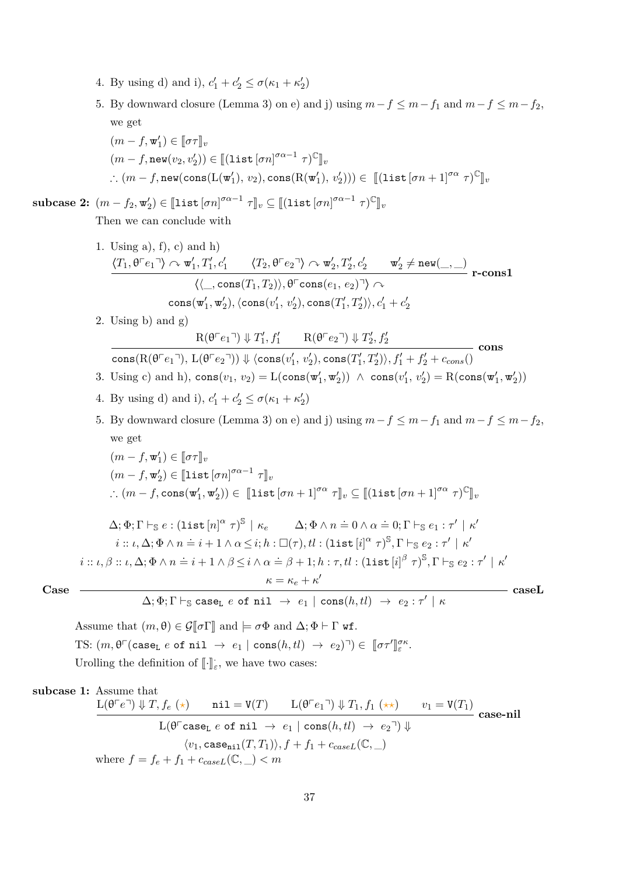- 4. By using d) and i),  $c'_1 + c'_2 \le \sigma(\kappa_1 + \kappa'_2)$
- 5. By downward closure (Lemma [3\)](#page-19-0) on e) and j) using  $m f \leq m f_1$  and  $m f \leq m f_2$ , we get
	- $(m f, \mathbf{w}'_1) \in [\![\sigma \tau]\!]_v$  $(m - f, \texttt{new}(v_2, v'_2)) \in [[\texttt{list}[\sigma n]^{\sigma \alpha - 1} \ \tau)^{\mathbb C}]]_v$ ∴  $(m - f, \text{new}(\text{cons}(\text{L}(\textbf{w}'_1), v_2), \text{cons}(\text{R}(\textbf{w}'_1), v'_2))) \in$  [[list  $[\sigma n + 1]^{\sigma \alpha} \tau)^{\mathbb{C}}]_v$

 $\textbf{subcase 2: } (m - f_2, \mathbf{w}'_2) \in [\![\texttt{list}[ \sigma n ]]^{\sigma \alpha - 1} \; \tau ]\!]_v \subseteq [\![\texttt{(list}[ \sigma n ]]^{\sigma \alpha - 1} \; \tau)^{\mathbb{C}}]\!]_v$ Then we can conclude with

- 1. Using a),  $f$ ,  $c$ ) and h)  $\langle T_1,\theta^\top e_1 \urcorner \rangle \curvearrowright \mathbf{w}'_1, T'_1, c'_1$   $\langle T_2,\theta^\top e_2 \urcorner \rangle \curvearrowright \mathbf{w}'_2, T'_2, c'_2$   $\mathbf{w}'_2 \neq \mathbf{new}(\_,\_)$  $\langle \langle \_\_ , \text{cons}(T_1, T_2) \rangle, \theta^{\Box} \text{cons}(e_1, e_2) \exists \rangle \curvearrowright$  $\text{cons}(\mathbf{w}'_1, \mathbf{w}'_2), \langle \text{cons}(v'_1, v'_2), \text{cons}(T'_1, T'_2) \rangle, c'_1 + c'_2$ **r-cons1**
- 2. Using b) and g)

$$
\mathrm{R}(\theta^{\top}e_1{}^{\top}) \Downarrow T_1', f_1' \qquad \mathrm{R}(\theta^{\top}e_2{}^{\top}) \Downarrow T_2', f_2'
$$

 $\text{cons}(\text{R}(\theta^{\top}e_1^{-\!\top\!}),\text{L}(\theta^{\top}e_2^{-\!\top\!}))\Downarrow \langle \text{cons}(v_1',\,v_2'), \text{cons}(T_1',T_2')\rangle , f_1' + f_2' + c_{cons}()$ **cons**

- 3. Using c) and h),  $\text{cons}(v_1, v_2) = \text{L}(\text{cons}(\textbf{w}'_1, \textbf{w}'_2)) \land \text{cons}(v'_1, v'_2) = \text{R}(\text{cons}(\textbf{w}'_1, \textbf{w}'_2))$
- 4. By using d) and i),  $c'_1 + c'_2 \le \sigma(\kappa_1 + \kappa'_2)$

5. By downward closure (Lemma [3\)](#page-19-0) on e) and j) using  $m - f \le m - f_1$  and  $m - f \le m - f_2$ , we get

$$
(m - f, \mathbf{w}'_1) \in [\![\sigma \tau]\!]_v
$$
  
\n
$$
(m - f, \mathbf{w}'_2) \in [\![\mathbf{list}[\sigma n]^{\sigma \alpha - 1} \tau]\!]_v
$$
  
\n
$$
\therefore (m - f, \mathbf{cons}(\mathbf{w}'_1, \mathbf{w}'_2)) \in [\![\mathbf{list}[\sigma n + 1]^{\sigma \alpha} \tau]\!]_v \subseteq [\![(\mathbf{list}[\sigma n + 1]^{\sigma \alpha} \tau)^{\mathbb{C}}]\!]_v
$$
  
\n
$$
\Delta; \Phi; \Gamma \vdash_{\mathbb{S}} e : (\mathbf{list}[\![n]\!]^\alpha \tau)^{\mathbb{S}} \mid \kappa_e \qquad \Delta; \Phi \land n \doteq 0 \land \alpha \doteq 0; \Gamma \vdash_{\mathbb{S}} e_1 : \tau' \mid \kappa'
$$
  
\n
$$
i :: \iota, \Delta; \Phi \land n \doteq i + 1 \land \alpha \leq i; h : \Box(\tau), tl : (\mathbf{list}[\![i]\!]^\alpha \tau)^{\mathbb{S}}, \Gamma \vdash_{\mathbb{S}} e_2 : \tau' \mid \kappa'
$$

 $i::\iota,\beta::\iota,\Delta; \Phi \wedge n \doteq i+1 \wedge \beta \leq i \wedge \alpha \doteq \beta+1;h:\tau,tl:(\mathtt{list}\left[i\right]^\beta \tau)^{\mathbb{S}},\Gamma \vdash_{\mathbb{S}} e_2:\tau' \,\mid\, \kappa'$  $\kappa = \kappa_e + \kappa'$ 

$$
Case -
$$

$$
\overbrace{\Delta;\Phi;\Gamma \vdash_{\mathbb{S}} \text{caseL} \hspace{0.1cm} e \hspace{0.1cm} \text{of nil} \hspace{0.1cm} \rightarrow \hspace{0.1cm} e_{1} \hspace{0.1cm} | \hspace{0.1cm} \text{cons}(h,tl) \hspace{0.1cm} \rightarrow \hspace{0.1cm} e_{2}: \tau' \hspace{0.1cm} | \hspace{0.1cm} \kappa} \hspace{2.2cm} \text{caseL}}
$$

Assume that  $(m, \theta) \in \mathcal{G}[\![\sigma]\!]$  and  $\models \sigma \Phi$  and  $\Delta; \Phi \vdash \Gamma$  wf. TS:  $(m, \theta^{\top}(\text{case}_L e \text{ of } \text{nil} \rightarrow e_1 \mid \text{cons}(h, tl) \rightarrow e_2)^{\top}) \in [\![\sigma \tau']\!]$ *σκ ε* . Urolling the definition of  $\llbracket \cdot \rrbracket_{\varepsilon}$ , we have two cases:

# **subcase 1:** Assume that

$$
\frac{\mathcal{L}(\theta^{\Gamma}e^{\gamma}) \Downarrow T, f_e(\star) \qquad \text{nil} = \text{V}(T) \qquad \mathcal{L}(\theta^{\Gamma}e_1^{\gamma}) \Downarrow T_1, f_1(\star\star) \qquad v_1 = \text{V}(T_1)}{\mathcal{L}(\theta^{\Gamma}e_1e_2 \text{ of nil } \to e_1 \mid \text{cons}(h, tl) \to e_2^{\gamma}) \Downarrow}
$$
\n
$$
\langle v_1, \text{case}_{\text{nil}}(T, T_1) \rangle, f + f_1 + c_{\text{case}} \mathcal{L}(\mathbb{C}, \_)
$$
\nwhere  $f = f_e + f_1 + c_{\text{case}} \mathcal{L}(\mathbb{C}, \_) < m$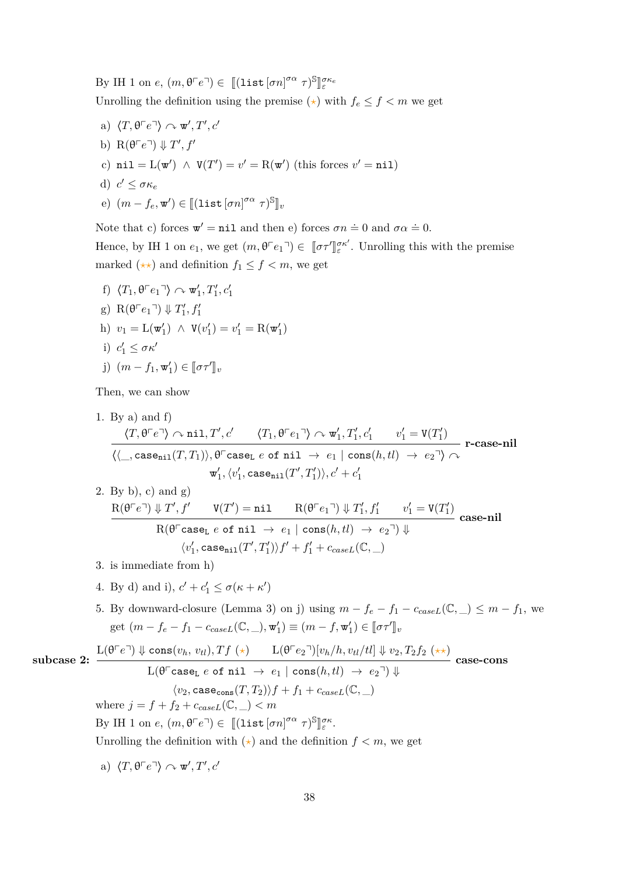By IH 1 on *e*,  $(m, \theta^{\top}e^{\top}) \in [[(\text{list } [\sigma n]^{\sigma \alpha} \ \tau)^{\mathbb{S}}]$ لا<br>ل *σκe ε* Unrolling the definition using the premise  $(\star)$  with  $f_e \leq f \leq m$  we get

- a)  $\langle T, \theta \ulcorner e \urcorner \rangle \curvearrowright \mathbf{w}', T', c'$
- b)  $R(\theta \ulcorner e \urcorner) \Downarrow T', f'$ c)  $\text{nil} = \text{L}(\mathbf{w}') \land \text{V}(T') = v' = \text{R}(\mathbf{w}') \text{ (this forces } v' = \text{nil})$
- d)  $c' \leq \sigma \kappa_e$

e) 
$$
(m - f_e, \mathbf{w}') \in [[(\text{list} [\sigma n]^{\sigma \alpha} \ \tau)^{\mathbb{S}}]_v
$$

Note that c) forces  $\mathbf{w}' = \texttt{nil}$  and then e) forces  $\sigma n \doteq 0$  and  $\sigma \alpha \doteq 0$ .

Hence, by IH 1 on  $e_1$ , we get  $(m, \theta \ulcorner e_1 \urcorner) \in [\![\sigma \tau' ]\!]$  $e^{\sigma \kappa'}$ . Unrolling this with the premise marked  $(\star \star)$  and definition  $f_1 \leq f < m$ , we get

f)  $\langle T_1, \theta \ulcorner e_1 \urcorner \rangle \curvearrowright \mathbf{w}'_1, T'_1, c'_1$ g)  $R(\theta \ulcorner e_1 \urcorner) \Downarrow T_1', f_1'$ h)  $v_1 = \mathcal{L}(\mathbf{w}'_1) \land \mathbf{V}(v'_1) = v'_1 = \mathcal{R}(\mathbf{w}'_1)$ i)  $c'_1 \leq \sigma \kappa'$ j)  $(m - f_1, \mathbf{w}'_1) \in [\![\sigma \tau']\!]_v$ 

Then, we can show

1. By a) and  $f$  $\langle T, \theta \ulcorner e \urcorner \rangle \curvearrowright \text{nil}, T', c' \qquad \langle T_1, \theta \ulcorner e_1 \urcorner \rangle \curvearrowright \text{w}'_1, T'_1, c'_1 \qquad v'_1 = \text{V}(T'_1)$  $\langle \langle \_\_\,, \text{case}_{\texttt{nil}}(T, T_1) \rangle, \theta^{\text{-}} \text{case}_{\texttt{L}} e \text{ of nil } \rightarrow e_1 \mid \text{cons}(h, tl) \rightarrow e_2 \urcorner \rangle \curvearrowright$  $\langle v_1',\langle v_1',\texttt{case}_{\texttt{nil}}(T',T'_1)\rangle, c'+c'_1\rangle$ **r-case-nil** 2. By b), c) and g)  $R(\theta \ulcorner e \urcorner) \Downarrow T', f'$   $V(T') = \texttt{nil}$   $R(\theta \ulcorner e_1 \urcorner) \Downarrow T_1', f_1'$   $v_1' = V(T_1')$  $R(\theta^{\top} \text{case}_{L} \ e \text{ of } \text{nil} \rightarrow e_{1} \ | \ \text{cons}(h, tl) \rightarrow e_{2} \ ) \ \psi$  $\langle v_1', \texttt{case}_{\texttt{nil}}(T', T'_1)\rangle f' + f_1' + c_{caseL}(\mathbb{C},\_\_)$ **case-nil** 3. is immediate from h) 4. By d) and i),  $c' + c'_1 \leq \sigma(\kappa + \kappa')$ 5. By downward-closure (Lemma [3\)](#page-19-0) on j) using  $m - f_e - f_1 - c_{caseL}(\mathbb{C}, \_) \leq m - f_1$ , we get  $(m - f_e - f_1 - c_{caseL}(\mathbb{C}, \_), \mathbf{w}'_1) \equiv (m - f, \mathbf{w}'_1) \in [\![\sigma \tau']\!]_v$ **subcase 2:**  $L(\theta^{\top}e^{\top}) \Downarrow \text{cons}(v_h, v_{tl}), Tf(\star)$   $L(\theta^{\top}e_2^{\top})[v_h/h, v_{tl}/tl] \Downarrow v_2, T_2f_2(\star \star)$  $\mathcal{L}(\theta^{\Gamma} \texttt{caseL} \ e \texttt{ of } \texttt{nil} \ \rightarrow \ e_1 \ | \ \texttt{cons}(h, tl) \ \rightarrow \ e_2 \ \bar{\ } ) \Downarrow$  $\langle v_2, \text{case}_\text{cons}(T, T_2) \rangle f + f_1 + c_{caseL}(\mathbb{C}, \ \ )$ **case-cons** where  $j = f + f_2 + c_{caseL}(\mathbb{C}, \_) < m$ By IH 1 on *e*,  $(m, \theta \ulcorner e \urcorner) \in [[(\text{list } [\sigma n]^{\sigma \alpha} \tau)^{\mathbb{S}}$ l<br>I *σκ ε* . Unrolling the definition with  $(\star)$  and the definition  $f < m$ , we get a)  $\langle T, \theta \ulcorner e \urcorner \rangle \curvearrowright \mathbf{w}', T', c'$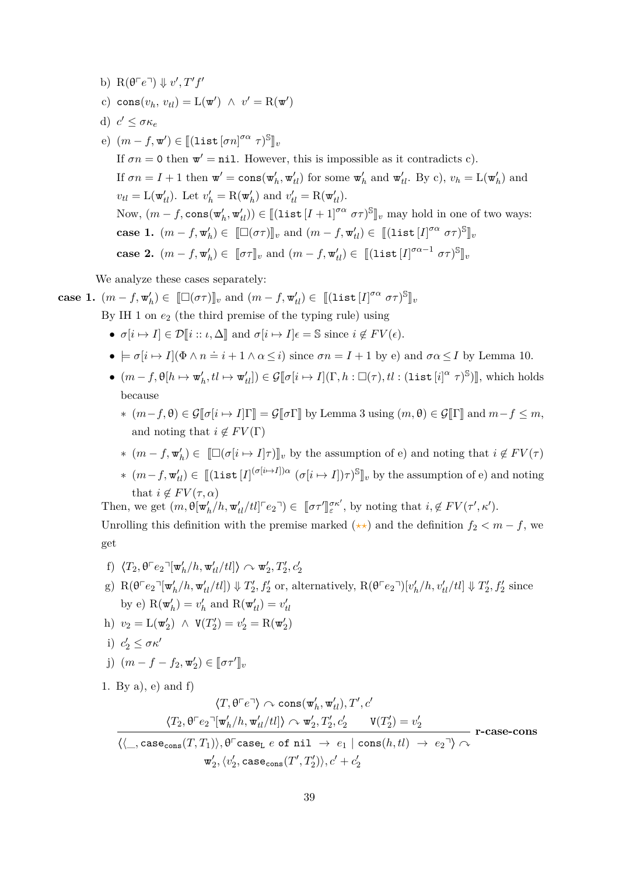c)  $\text{cons}(v_h, v_{tl}) = \text{L}(\mathbf{w}') \ \wedge \ v' = \text{R}(\mathbf{w}')$ d)  $c' \leq \sigma \kappa_e$ e)  $(m - f, \mathbf{w}') \in [(\text{list } [\sigma n]^{\sigma \alpha} \ \tau)^{\mathbb{S}}]_{v}$ If  $\sigma n = 0$  then  $\mathbf{w}' = \texttt{nil}$ . However, this is impossible as it contradicts c). If  $\sigma n = I + 1$  then  $\mathbf{w}' = \text{cons}(\mathbf{w}'_h, \mathbf{w}'_{tl})$  for some  $\mathbf{w}'_h$  and  $\mathbf{w}'_{tl}$ . By c),  $v_h = \text{L}(\mathbf{w}'_h)$  and  $v_{tl} = \mathcal{L}(\mathbf{w}'_{tl})$ . Let  $v'_h = \mathcal{R}(\mathbf{w}'_h)$  and  $v'_{tl} = \mathcal{R}(\mathbf{w}'_{tl})$ . Now,  $(m - f, \text{cons}(\mathbf{w}'_h, \mathbf{w}'_t)) \in [[\text{list } [I + 1]^{\sigma \alpha} \ \sigma \tau)^{\mathbb{S}}]_v$  may hold in one of two ways: **case 1.**  $(m - f, \mathbf{w}'_h) \in [\Box(\sigma\tau)]_v$  and  $(m - f, \mathbf{w}'_t) \in [[\text{list}[I]^{\sigma\alpha} \ \sigma\tau)^{\mathbb{S}}]_v$ **case 2.**  $(m - f, \mathbf{w}'_h) \in [\![\sigma \tau]\!]_v$  and  $(m - f, \mathbf{w}'_t) \in [[(\text{list }[I]^{\sigma \alpha - 1} \sigma \tau)]^{\mathbb{S}}]_v$ 

We analyze these cases separately:

b)  $R(\theta \ulcorner e \urcorner) \Downarrow v', T'f'$ 

**case 1.** 
$$
(m - f, \mathbf{w}'_h) \in [\![\Box(\sigma \tau)]\!]_v
$$
 and  $(m - f, \mathbf{w}'_t) \in [\![\text{(list }[I]^{\sigma \alpha} \sigma \tau)^{\mathbb{S}}]\!]_v$   
By IH 1 on  $e_2$  (the third premise of the typing rule) using

- $\sigma[i \mapsto I] \in \mathcal{D}[i :: \iota, \Delta]$  and  $\sigma[i \mapsto I] \in \mathcal{S}$  since  $i \notin FV(\epsilon)$ .
- $\bullet \models \sigma[i \mapsto I](\Phi \wedge n \doteq i + 1 \wedge \alpha \leq i)$  since  $\sigma n = I + 1$  by e) and  $\sigma \alpha \leq I$  by Lemma [10.](#page-22-0)
- $\bullet$   $(m f, \theta[h \mapsto \mathbf{w}'_h, tl \mapsto \mathbf{w}'_{tl}]) \in \mathcal{G}[\![\sigma[i \mapsto I](\Gamma, h : \Box(\tau), tl : (\text{list}[i]^{\alpha} \tau)^{\mathbb{S}})]],$  which holds because
	- $*(m-f, \theta) \in \mathcal{G}[\![\sigma[n] \rightarrow I]\!] \equiv \mathcal{G}[\![\sigma\Gamma]\!]$  by Lemma [3](#page-19-0) using  $(m, \theta) \in \mathcal{G}[\![\Gamma]\!]$  and  $m-f \leq m$ , and noting that  $i \notin FV(\Gamma)$
	- $*(m f, \mathbf{w}'_h) \in \Box(\sigma[i \mapsto I]\tau)\rrbracket_v$  by the assumption of e) and noting that  $i \notin FV(\tau)$
	- $*(m-f, \mathbf{w}'_{tl}) \in [[(\text{list}[I]^{(\sigma[i\rightarrow I])\alpha} (\sigma[i \rightarrow I])\tau)^{\mathbb{S}}]_v$  by the assumption of e) and noting that  $i \notin FV(\tau, \alpha)$

Then, we get  $(m, \theta[\mathbf{w}'_h/h, \mathbf{w}'_{tl}/tl]^{\mathsf{T}} e_2) \in [\![\sigma \tau']\!]$  $\int_{\varepsilon}^{\sigma \kappa'}$ , by noting that  $i, \notin FV(\tau', \kappa')$ .

Unrolling this definition with the premise marked  $(\star \star)$  and the definition  $f_2 < m - f$ , we get

- f)  $\langle T_2, \theta \lceil e_2 \lceil \mathbf{w}'_h/h, \mathbf{w}'_{tl}/tl \rceil \rangle \sim \mathbf{w}'_2, T'_2, c'_2$
- g)  $R(\theta \ulcorner e_2 \urcorner [\mathbf{w}'_h/h, \mathbf{w}'_{tl}/tl]) \Downarrow T'_2, f'_2 \text{ or, alternatively, } R(\theta \ulcorner e_2 \urcorner)[v'_h/h, v'_{tl}/tl] \Downarrow T'_2, f'_2 \text{ since}$ by e)  $R(\mathbf{w}'_h) = v'_h$  and  $R(\mathbf{w}'_{tl}) = v'_{tl}$
- h)  $v_2 = L(\mathbf{w}'_2) \land V(T'_2) = v'_2 = R(\mathbf{w}'_2)$
- i)  $c'_2 \leq \sigma \kappa'$
- j)  $(m f f_2, \mathbf{w}'_2) \in [\![\sigma \tau']\!]_v$

1. By a), e) and f)

$$
\langle T,\theta^\top e^\top\rangle \curvearrowright \mathop{\mathrm{cons}}(\mathbf{w}'_h,\mathbf{w}'_{tl}), T',c'\\\dfrac{\langle T_2,\theta^\top e_2^\top[\mathbf{w}'_h/h,\mathbf{w}'_{tl}/tl]\rangle \curvearrowright \mathbf{w}'_2,T'_2,c'_2} {\langle\langle\_,\mathop{\mathrm{case}}_{\mathrm{cons}}(T,T_1)\rangle,\theta^\top \mathop{\mathrm{case}}_{\mathrm{L}}} \, e \text{ of nil } \to \, e_1 \mid \mathop{\mathrm{cons}}(h,tl) \, \to \, e_2^\top\rangle \curvearrowright \\\qquad \qquad \mathbf{w}'_2,\langle v'_2,\mathop{\mathrm{case}}_{\mathrm{cons}}(T',T'_2)\rangle,c'+c'_2
$$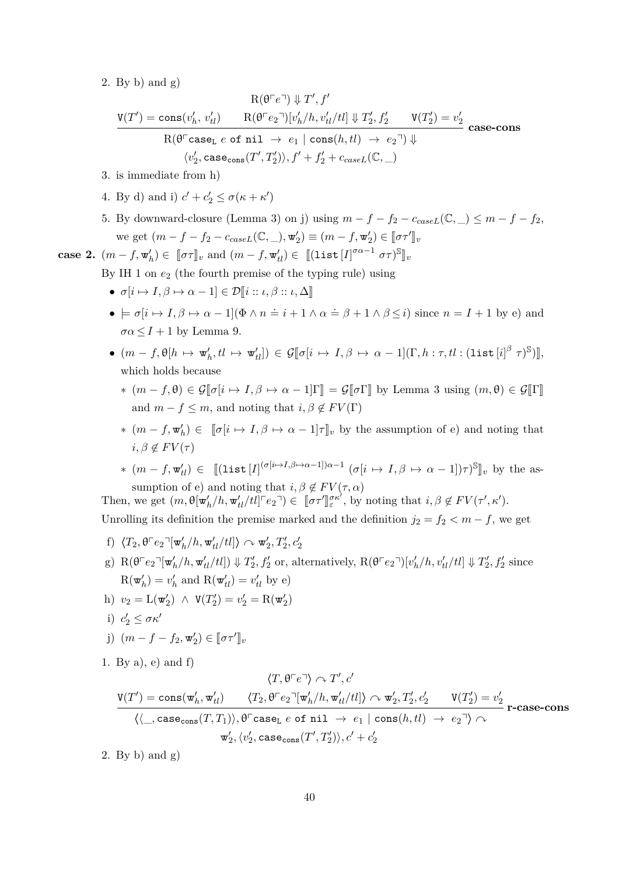2. By b) and g)

$$
\mathrm{R}(\theta^{\top}e^{\top}) \Downarrow T', f'
$$
\n
$$
\frac{\mathrm{V}(T') = \cos(v_h', v_{tl}') \qquad \mathrm{R}(\theta^{\top}e_2^{\top})[v_h'/h, v_{tl}'/tl] \Downarrow T_2', f_2' \qquad \mathrm{V}(T_2') = v_2'}{\mathrm{R}(\theta^{\top} \mathrm{case}_L \ e \ \mathrm{of} \ \mathrm{nil} \ \rightarrow \ e_1 \ | \ \mathrm{cons}(h, tl) \ \rightarrow \ e_2^{\top}) \Downarrow} \qquad \mathrm{case\text{-}cons}
$$
\n
$$
\langle v_2', \mathrm{case}_\mathrm{cons}(T', T_2')\rangle, f' + f_2' + c_{caseL}(\mathbb{C}, \_)
$$

- 3. is immediate from h)
- 4. By d) and i)  $c' + c'_2 \le \sigma(\kappa + \kappa')$
- 5. By downward-closure (Lemma [3\)](#page-19-0) on j) using  $m f f_2 c_{caseL}(\mathbb{C}, \_) \leq m f f_2$ ,  $\mathbf{w} \in \text{get} \ (m - f - f_2 - c_{caseL}(\mathbb{C}, \_), \mathbf{w}'_2) \equiv (m - f, \mathbf{w}'_2) \in [\![\sigma \tau']\!]_v$

**case 2.**  $(m - f, \mathbf{w}'_h) \in [\![\sigma \tau]\!]_v$  and  $(m - f, \mathbf{w}'_t) \in [[(\text{list }[I]^{\sigma \alpha - 1} \sigma \tau)]^{\mathbb{S}}]_v$ 

By IH 1 on  $e_2$  (the fourth premise of the typing rule) using

- $\sigma[i \mapsto I, \beta \mapsto \alpha 1] \in \mathcal{D}[i :: \iota, \beta :: \iota, \Delta]$
- $\bullet \models \sigma[i \mapsto I, \beta \mapsto \alpha 1](\Phi \wedge n \doteq i + 1 \wedge \alpha \doteq \beta + 1 \wedge \beta \leq i)$  since  $n = I + 1$  by e) and  $\sigma \alpha \leq I+1$  by Lemma [9.](#page-22-1)
- $\bullet$   $(m f, \theta[h \mapsto \mathbf{w}_h', tl \mapsto \mathbf{w}_{tl}']) \in \mathcal{G}[\![\sigma[i \mapsto I, \beta \mapsto \alpha 1](\Gamma, h : \tau, tl : (\mathtt{list}[i]^{\beta} \ \tau)^{\mathbb{S}})]],$ which holds because
	- $*(m f, \theta) \in \mathcal{G}[\![\sigma[n] \mapsto I, \beta \mapsto \alpha 1]\!] \Gamma[\!] = \mathcal{G}[\![\sigma \Gamma]\!]$  by Lemma [3](#page-19-0) using  $(m, \theta) \in \mathcal{G}[\![\Gamma]\!]$ and  $m - f \leq m$ , and noting that  $i, \beta \notin FV(\Gamma)$
	- $*(m f, \mathbf{w}'_h)$  ∈  $[\![\sigma[i \mapsto I, \beta \mapsto \alpha 1]\!]_v$  by the assumption of e) and noting that  $i, \beta \notin FV(\tau)$
	- $*(m f, \mathbf{w}'_{tl}) \in [[\text{list}[I]^{(\sigma[i \mapsto I, \beta \mapsto \alpha 1])\alpha 1} (\sigma[i \mapsto I, \beta \mapsto \alpha 1])\tau)^{\mathbb{S}}]_{v}$  by the assumption of e) and noting that  $i, \beta \notin FV(\tau, \alpha)$

Then, we get  $(m, \theta[\mathbf{w}_h'/h, \mathbf{w}_t'/t \mathbf{d}]^T e_2) \in [\![ \sigma \tau' ]\!]$  $\int_{\varepsilon}^{\sigma \kappa^{\lambda}}$ , by noting that  $i, \beta \notin FV(\tau^{\prime}, \kappa^{\prime}).$ Unrolling its definition the premise marked and the definition  $j_2 = f_2 < m - f$ , we get

$$
\text{f) } \langle T_2, \theta^\top e_2{}^\neg [\text{w}'_h/h, \text{w}'_{tl}/tl] \rangle \curvearrowright \text{w}'_2, T'_2, c'_2
$$

- g)  $R(\theta \ulcorner e_2 \urcorner [\mathbf{w}'_h/h, \mathbf{w}'_{tl}/tl]) \Downarrow T'_2, f'_2 \text{ or, alternatively, } R(\theta \ulcorner e_2 \urcorner)[v'_h/h, v'_{tl}/tl] \Downarrow T'_2, f'_2 \text{ since}$  $R(\mathbf{w}'_h) = v'_h$  and  $R(\mathbf{w}'_{tl}) = v'_{tl}$  by e)
- h)  $v_2 = L(\mathbf{w}'_2) \land V(T'_2) = v'_2 = R(\mathbf{w}'_2)$
- i)  $c'_2 \leq \sigma \kappa'$

j) 
$$
(m - f - f_2, \mathbf{w}'_2) \in [\![\sigma \tau']\!]_v
$$

1. By a), e) and f)

$$
\langle T, \theta^{\top}e^{\top} \rangle \curvearrowright T', c'
$$
\n
$$
\frac{\mathsf{V}(T') = \cos(\mathsf{w}'_h, \mathsf{w}'_{tl}) \qquad \langle T_2, \theta^{\top}e_2^{\top}[\mathsf{w}'_h/h, \mathsf{w}'_{tl}/tl] \rangle \curvearrowright \mathsf{w}'_2, T'_2, c'_2 \qquad \mathsf{V}(T'_2) = v'_2}{\langle \langle \_, \text{case}_\text{cons}(T, T_1) \rangle, \theta^{\top} \text{case}_L e \text{ of nil } \to e_1 \mid \text{cons}(h, tl) \to e_2^{\top} \rangle \curvearrowright \qquad \mathsf{r-case}_\text{cons}(T', T'_2) \rangle, c' + c'_2}
$$

2. By b) and g)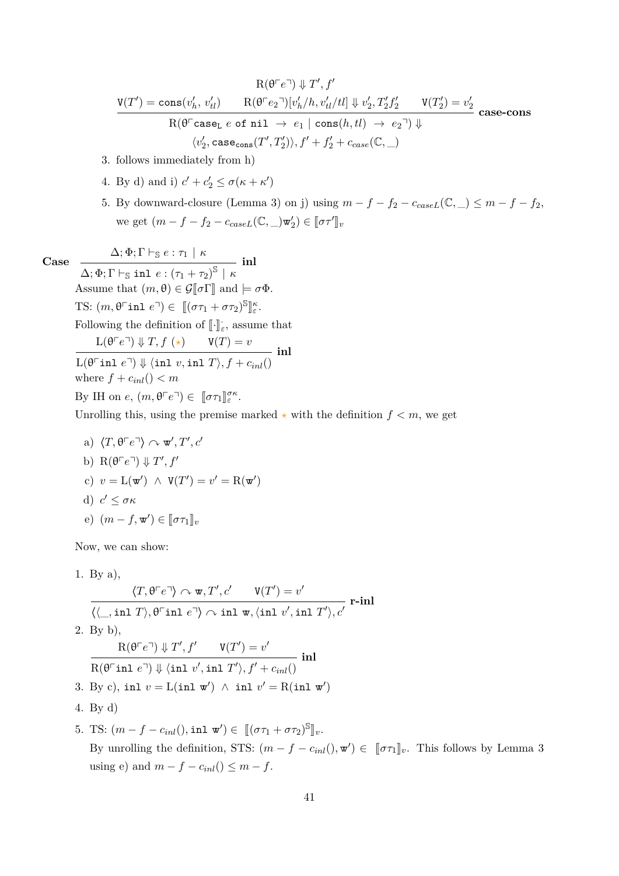$$
\mathrm{R}(\theta^{\top}e^{\top}) \Downarrow T', f'
$$
\n
$$
\frac{\mathrm{V}(T') = \mathrm{cons}(v_h', v_{tl}') \qquad \mathrm{R}(\theta^{\top}e_2^{\top})[v_h'/h, v_{tl}'/tl] \Downarrow v_2', T_2'f_2' \qquad \mathrm{V}(T_2') = v_2'}{\mathrm{R}(\theta^{\top}\mathrm{case_L}\ e\ \mathrm{of}\ \mathrm{nil}\ \to\ e_1\ |\ \mathrm{cons}(h, tl)\ \to\ e_2^{\top}) \Downarrow}
$$
\n
$$
\langle v_2', \mathrm{case_{cons}}(T', T_2')\rangle, f' + f_2' + c_{case}(\mathbb{C}, \_)
$$

- 3. follows immediately from h)
- 4. By d) and i)  $c' + c'_2 \le \sigma(\kappa + \kappa')$
- 5. By downward-closure (Lemma [3\)](#page-19-0) on j) using  $m f f_2 c_{caseL}(\mathbb{C}, \_) \leq m f f_2$ , we get  $(m - f - f_2 - c_{caseL}(\mathbb{C}, \_)\mathbf{w}'_2) \in [\![\sigma \tau']\!]_v$

**Case**  $\Delta; \Phi; \Gamma \vdash_{\mathbb{S}} e : \tau_1 \mid \kappa$ 

 $\Delta; \Phi; \Gamma \vdash_{\mathbb{S}} \texttt{inl} \,\, e : \left( \tau_1 + \tau_2 \right)^{\mathbb{S}} \,\,|\,\, \kappa$ **inl** Assume that  $(m, \theta) \in \mathcal{G}[\![\sigma]\!]$  and  $\models \sigma \Phi$ . TS:  $(m, \theta^{\top} \text{inl } e^{\top}) \in [(\sigma \tau_1 + \sigma \tau_2)^{\mathbb{S}}]$ l<br>I *κ ε* . Following the definition of  $\llbracket \cdot \rrbracket_{\varepsilon}$ , assume that  $L(\theta \ulcorner e \urcorner) \Downarrow T, f \left( \star \right) \qquad \mathsf{V}(T) = v$  $L(\theta \text{ in } e^{-1}) \Downarrow \langle \text{inl } v, \text{in } T \rangle, f + c_{inl}()$ **inl** where  $f + c_{inl}$ ()  $< m$ By IH on  $e, (m, \theta \ulcorner e \urcorner) \in [\![\sigma \tau_1]\!]_{\varepsilon}^{\sigma \kappa}$ .

Unrolling this, using the premise marked  $\star$  with the definition  $f < m$ , we get

a)  $\langle T, \theta \ulcorner e \urcorner \rangle \curvearrowright \mathbf{w}', T', c'$ b)  $R(\theta \ulcorner e \urcorner) \Downarrow T', f'$ c)  $v = L(\mathbf{w}') \land V(T') = v' = R(\mathbf{w}')$ d)  $c' \leq \sigma \kappa$ e)  $(m - f, \mathbf{w}') \in [\![\sigma \tau_1]\!]_v$ 

Now, we can show:

1. By a),  
\n
$$
\langle T, \theta^{\top}e^{\top} \rangle \curvearrowright \mathbf{w}, T', c' \qquad V(T') = v'
$$
\n
$$
\langle \langle \_, \text{inl } T \rangle, \theta^{\top} \text{inl } e^{\top} \rangle \curvearrowright \text{inl } \mathbf{w}, \langle \text{inl } v', \text{inl } T' \rangle, c'
$$
\n2. By b),  
\n
$$
R(\theta^{\top}e^{\top}) \Downarrow T', f' \qquad V(T') = v'
$$
\n
$$
\overline{R(\theta^{\top} \text{inl } e^{\top})} \Downarrow \langle \text{inl } v', \text{inl } T' \rangle, f' + c_{inl}()
$$
\n3. By c), inl  $v = L(\text{inl } \mathbf{w}') \wedge \text{inl } v' = R(\text{inl } \mathbf{w}')$   
\n4. By d)

5. TS:  $(m - f - c_{inl}(), \text{inl } \mathbf{w}') \in [[(\sigma \tau_1 + \sigma \tau_2)^S]]_v.$ By unrolling the definition, STS:  $(m - f - c_{inl}(), \mathbf{w}') \in [\![\sigma \tau_1]\!]_v$ . This follows by Lemma [3](#page-19-0) using e) and  $m - f - c_{inl}$ ()  $\leq m - f$ .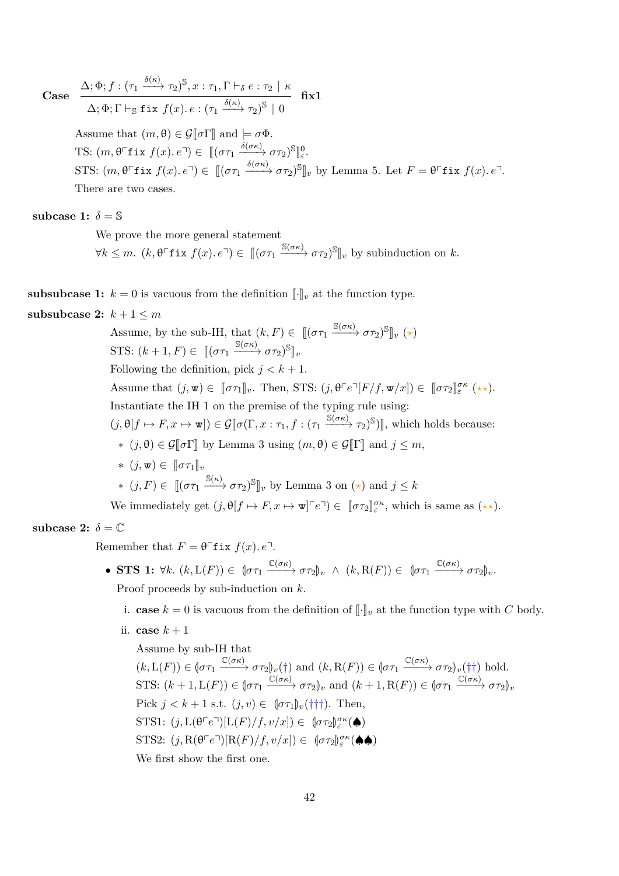**Case**

$$
\frac{\Delta; \Phi; f: (\tau_1 \xrightarrow{\delta(\kappa)} \tau_2)^{\mathbb{S}}, x: \tau_1, \Gamma \vdash_{\delta} e: \tau_2 \mid \kappa}{\Delta; \Phi; \Gamma \vdash_{\mathbb{S}} \text{fix } f(x). e: (\tau_1 \xrightarrow{\delta(\kappa)} \tau_2)^{\mathbb{S}} \mid 0} \quad \text{fix1}
$$

Assume that  $(m, \theta) \in \mathcal{G}[\![\sigma]\!]$  and  $\models \sigma \Phi$ . TS:  $(m, \theta^{\top}$ **f** ix  $f(x) \cdot e^{\top}) \in [[(\sigma \tau_1 \xrightarrow{\delta(\sigma \kappa)} \sigma \tau_2)^{\mathbb{S}}]_{\varepsilon}^0$ . STS:  $(m, \theta^{\top}$ **f** ix  $f(x)$ *.*  $e^{\top}) \in [(\sigma \tau_1 \xrightarrow{\delta(\sigma \kappa)} \sigma \tau_2)^{\mathbb{S}}]_v$  by Lemma [5.](#page-20-0) Let  $F = \theta^{\top}$ **f** ix  $f(x)$ *.*  $e^{\top}$ . There are two cases.

subcase 1:  $\delta = \mathbb{S}$ 

We prove the more general statement

 $\forall k \leq m$ .  $(k, \theta^{\top}$ **f** ix  $f(x), e^{\top}) \in [(\sigma \tau_1 \xrightarrow{\mathbb{S}(\sigma \kappa)} \sigma \tau_2)^{\mathbb{S}}]_v$  by subinduction on *k*.

**subsubcase 1:**  $k = 0$  is vacuous from the definition  $\llbracket \cdot \rrbracket_v$  at the function type.

# **subsubcase 2:**  $k+1 \leq m$

Assume, by the sub-IH, that  $(k, F) \in [(\sigma \tau_1 \xrightarrow{\mathbb{S}(\sigma \kappa)} \sigma \tau_2)^{\mathbb{S}}]_v (\star)$ STS:  $(k+1, F) \in [(\sigma \tau_1 \xrightarrow{\mathbb{S}(\sigma \kappa)} \sigma \tau_2)^{\mathbb{S}}]_v$ Following the definition, pick  $j < k + 1$ . Assume that  $(j, \mathbf{w}) \in [\![\sigma \tau_1]\!]_v$ . Then, STS:  $(j, \theta \ulcorner e \urcorner [F/f, \mathbf{w}/x]) \in [\![\sigma \tau_2]\!]_{{\varepsilon}}^{{\sigma}{\kappa}} (\star \star).$ Instantiate the IH 1 on the premise of the typing rule using:  $(j, \theta[f \mapsto F, x \mapsto \mathbf{w}]) \in \mathcal{G}[\![\sigma(\Gamma, x : \tau_1, f : (\tau_1 \xrightarrow{\mathbb{S}(\sigma\kappa)} \tau_2)^{\mathbb{S}})]],$  which holds because: ∗ (*j*,  $\theta$ ) ∈  $\mathcal{G}$ [ $\sigma$ Γ] by Lemma [3](#page-19-0) using (*m*,  $\theta$ ) ∈  $\mathcal{G}$ [Γ] and *j* ≤ *m*,  $*(i, \mathbf{w}) \in ∏στ_1 ∥<sub>v</sub>$  $*(j, F) \in [[(\sigma \tau_1 \xrightarrow{\mathbb{S}(\kappa)} \sigma \tau_2)^\mathbb{S}]_v$  by Lemma [3](#page-19-0) on  $(\star)$  and  $j \leq k$ 

We immediately get  $(j, \theta[f \mapsto F, x \mapsto \mathbf{w}]^{\tau} e^{\tau}) \in [\![\sigma \tau_2]\!]_{\varepsilon}^{\sigma \kappa}$ , which is same as  $(\star \star)$ .

## subcase 2:  $\delta = \mathbb{C}$

Remember that  $F = \theta^{\top}$ **f** ix  $f(x)$ *.*  $e^{\top}$ *.* 

- **STS 1:**  $\forall k. (k, L(F)) \in (\sigma \tau_1 \xrightarrow{\mathbb{C}(\sigma \kappa)} \sigma \tau_2)_v \land (k, R(F)) \in (\sigma \tau_1 \xrightarrow{\mathbb{C}(\sigma \kappa)} \sigma \tau_2)_v.$ Proof proceeds by sub-induction on *k*.
	- i. **case**  $k = 0$  is vacuous from the definition of  $\lbrack \cdot \rbrack_v$  at the function type with *C* body.
	- ii. **case**  $k+1$

Assume by sub-IH that  $(k, L(F)) \in [\sigma \tau_1 \xrightarrow{\mathbb{C}(\sigma \kappa)} \sigma \tau_2]_v(\dagger)$  and  $(k, R(F)) \in [\sigma \tau_1 \xrightarrow{\mathbb{C}(\sigma \kappa)} \sigma \tau_2]_v(\dagger \dagger)$  hold. STS:  $(k+1, L(F)) \in [\sigma \tau_1 \xrightarrow{\mathbb{C}(\sigma \kappa)} \sigma \tau_2]_v$  and  $(k+1, R(F)) \in [\sigma \tau_1 \xrightarrow{\mathbb{C}(\sigma \kappa)} \sigma \tau_2]_v$ Pick  $j < k+1$  s.t.  $(j, v) \in \left[\sigma \tau_1\right]_v(\dagger + \dagger)$ . Then, STS1:  $(j, L(\theta \cap e^{-\tau})[L(F)/f, v/x]) \in (\sigma \tau_2)_{\varepsilon}^{\sigma \kappa}(\spadesuit)$  $STS2: (j, R(\theta \cap e^{\top})[R(F)/f, v/x]) \in (\sigma \tau_2)_{\varepsilon}^{\sigma \kappa}(\spadesuit \spadesuit)$ We first show the first one.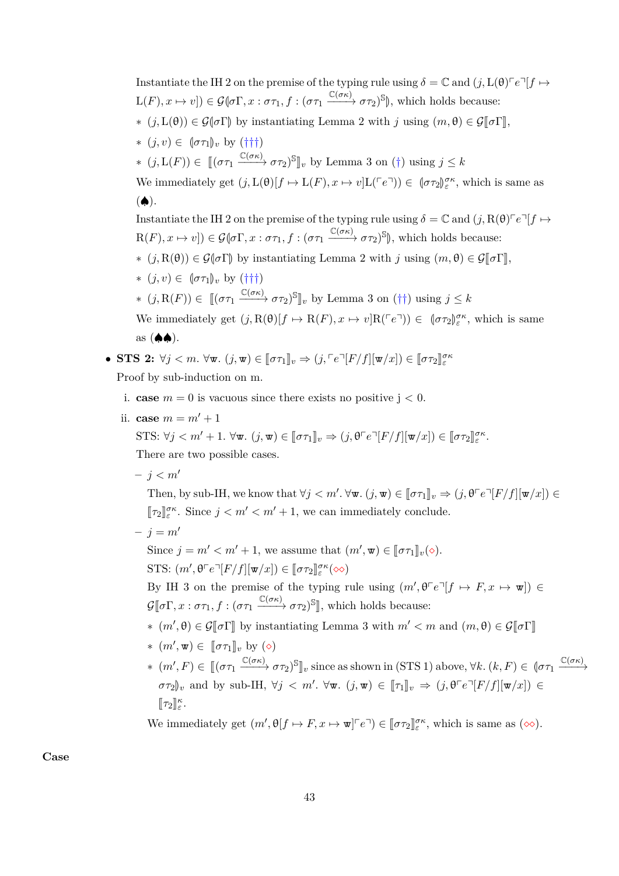Instantiate the IH 2 on the premise of the typing rule using  $\delta = \mathbb{C}$  and  $(j, L(\theta) \cap e^{\mathbb{I}}[f \mapsto$  $L(F), x \mapsto v$ ])  $\in \mathcal{G}(\sigma \Gamma, x : \sigma \tau_1, f : (\sigma \tau_1 \xrightarrow{\mathbb{C}(\sigma \kappa)} \sigma \tau_2)$ <sup>S</sup> $\|$ , which holds because:  $*(i, L(\theta)) \in \mathcal{G}(\sigma \Gamma)$  by instantiating Lemma [2](#page-17-0) with *j* using  $(m, \theta) \in \mathcal{G}(\sigma \Gamma)$ ,  $*(j, v) ∈ [στ<sub>1</sub>]<sub>v</sub> by (<sup>†</sup>†<sup>†</sup>)$ ∗  $(j, L(F)) \in [(στ₁ \xrightarrow{C(σκ)} στ₂)$ <sup>S</sup><sup>n</sup><sub>*v*</sub> by Lemma [3](#page-19-0) on (†) using  $j ≤ k$ We immediately get  $(j, L(\theta)[f \mapsto L(F), x \mapsto v]L(Fe^{\tau})) \in (\sigma \tau_2)_{\varepsilon}^{\sigma \kappa}$ , which is same as  $($ Instantiate the IH 2 on the premise of the typing rule using  $\delta = \mathbb{C}$  and  $(j, R(\theta) \in \mathbb{C}$   $|f \mapsto$  $R(F), x \mapsto v$ ])  $\in \mathcal{G}(\sigma \Gamma, x : \sigma \tau_1, f : (\sigma \tau_1 \xrightarrow{\mathbb{C}(\sigma \kappa)} \sigma \tau_2)^\mathbb{S}$ , which holds because: ∗ (*i*, R(θ)) ∈  $G$ ( $\sigma$ Γ) by instantiating Lemma [2](#page-17-0) with *j* using  $(m, θ) ∈ G$ [ $\sigma$ Γ],  $*(j, v) ∈ [στ<sub>1</sub>]<sub>v</sub> by (†††)$ ∗  $(j, R(F)) \in [[(\sigma \tau_1 \xrightarrow{\mathbb{C}(\sigma \kappa)} \sigma \tau_2)^{\mathbb{S}}]_v$  by Lemma [3](#page-19-0) on (††) using  $j \leq k$ 

We immediately get  $(j, R(\theta)[f \mapsto R(F), x \mapsto v]R(Fe^{\tau})) \in (\sigma \tau_2)_{\varepsilon}^{\sigma \kappa}$ , which is same  $\text{as } (\spadesuit \spadesuit).$ 

• STS 2: 
$$
\forall j < m
$$
.  $\forall \mathbf{w}$ .  $(j, \mathbf{w}) \in [\![\sigma \tau_1]\!]_v \Rightarrow (j, \ulcorner e \urcorner [F/f][\mathbf{w}/x]) \in [\![\sigma \tau_2]\!]_e^{\sigma \kappa}$   
Proof by sub-induction on m.

- i. **case**  $m = 0$  is vacuous since there exists no positive  $j < 0$ .
- ii. **case**  $m = m' + 1$

STS:  $\forall j < m' + 1$ .  $\forall \mathbf{w}$ *.*  $(j, \mathbf{w}) \in [\![\sigma \tau_1]\!]_v \Rightarrow (j, \theta \ulcorner e \urcorner [F/f][\![\mathbf{w}/x]\!]) \in [\![\sigma \tau_2]\!]_{{\varepsilon}}^{{\sigma} \kappa}$ . There are two possible cases.

 $- i < m'$ 

Then, by sub-IH, we know that  $\forall j < m'$ .  $\forall \mathbf{w}$ .  $(j, \mathbf{w}) \in [\![\sigma \tau_1]\!]_v \Rightarrow (j, \theta \ulcorner e \urcorner [F/f][\mathbf{w}/x]) \in$  $[\![\tau_2]\!]_{\varepsilon}^{\sigma\kappa}$ . Since  $j < m' < m' + 1$ , we can immediately conclude.

 $- i = m'$ 

Since  $j = m' < m' + 1$ , we assume that  $(m', \mathbf{w}) \in [\![\sigma \tau_1]\!]_v(\diamond).$ STS:  $(m', \theta \ulcorner e \urcorner [F/f][\mathbf{w}/x]) \in [\![\sigma \tau_2]\!]^{\sigma \kappa} (\infty)$ 

By IH 3 on the premise of the typing rule using  $(m', \theta \ulcorner e \urcorner [f \mapsto F, x \mapsto \mathbf{w}]) \in$  $\mathcal{G}[\![\sigma\Gamma, x:\sigma\tau_1, f:(\sigma\tau_1 \xrightarrow{\mathbb{C}(\sigma\kappa)} \sigma\tau_2)^\mathbb{S}]\!]$ , which holds because:

- ∗  $(m', θ) ∈ G[σΓ]$  by instantiating Lemma [3](#page-19-0) with  $m' < m$  and  $(m, θ) ∈ G[σΓ]$
- $*(m', \mathbf{w}) \in [\![\sigma \tau_1]\!]_v$  by  $(\diamond)$ <br> $\mathcal{L}(\sigma v)$
- $*(m', F) \in [[(\sigma \tau_1 \xrightarrow{\mathbb{C}(\sigma \kappa)} \sigma \tau_2)^\mathbb{S}]_v$  since as shown in (STS 1) above,  $\forall k. (k, F) \in [\sigma \tau_1 \xrightarrow{\mathbb{C}(\sigma \kappa)} \sigma \tau_2]$  $\sigma \tau_2$  *w* and by sub-IH,  $\forall j \leq m'$ .  $\forall \mathbf{w}$ .  $(j, \mathbf{w}) \in [\![\tau_1]\!]_v \Rightarrow (j, \theta \ulcorner e \urcorner [F/f][\![\mathbf{w}/x]\!]) \in$  $[\![\tau_2]\!]_{{\varepsilon}}^{\kappa}$ .

We immediately get  $(m', \theta[f \mapsto F, x \mapsto \mathbf{w}]^{\top} e^{\top}) \in [\![\sigma \tau_2]\!]^{\sigma \kappa}_{\varepsilon}$ , which is same as  $(\infty)$ .

**Case**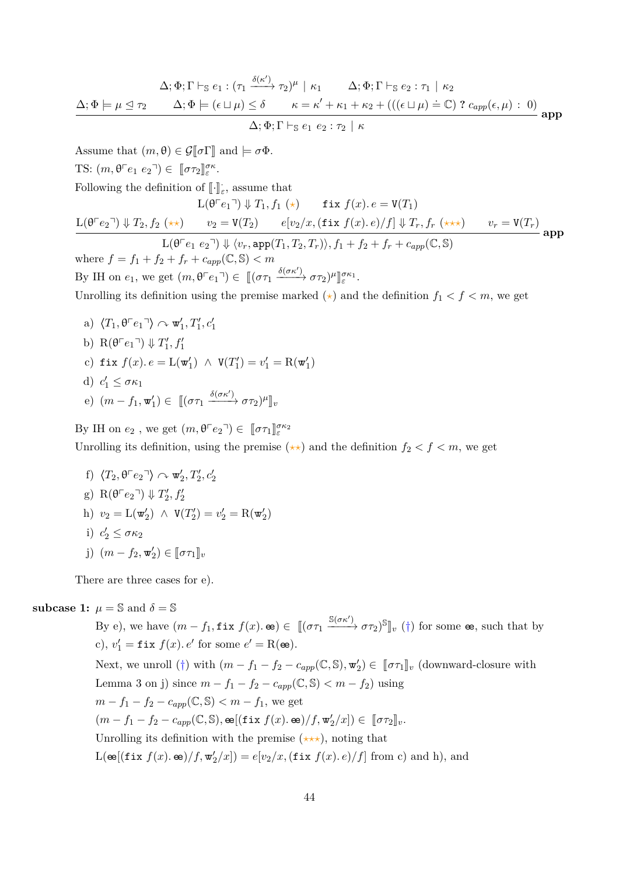$$
\Delta; \Phi; \Gamma \vdash_{\mathbb{S}} e_1 : (\tau_1 \xrightarrow{\delta(\kappa')} \tau_2)^{\mu} \mid \kappa_1 \qquad \Delta; \Phi; \Gamma \vdash_{\mathbb{S}} e_2 : \tau_1 \mid \kappa_2
$$
\n
$$
\Delta; \Phi \models \mu \trianglelefteq \tau_2 \qquad \Delta; \Phi \models (\epsilon \sqcup \mu) \leq \delta \qquad \kappa = \kappa' + \kappa_1 + \kappa_2 + (((\epsilon \sqcup \mu) \doteq \mathbb{C}) ? c_{app}(\epsilon, \mu) : 0)
$$
\n
$$
\Delta; \Phi; \Gamma \vdash_{\mathbb{S}} e_1 \ e_2 : \tau_2 \mid \kappa
$$

Assume that  $(m, \theta) \in \mathcal{G}[\![\sigma]\!]$  and  $\models \sigma \Phi$ . TS:  $(m, \theta \ulcorner e_1 \theta_2 \urcorner) \in [\![ \sigma \tau_2 ]\!]_{\varepsilon}^{\sigma \kappa}$ . Following the definition of  $\llbracket \cdot \rrbracket_{\varepsilon}$ , assume that  $L(\theta^{\top}e_1^{\top}) \Downarrow T_1, f_1 (\star)$  fix  $f(x) \cdot e = V(T_1)$  $L(\theta \cap e_2) \Downarrow T_2, f_2 (\star \star)$   $v_2 = V(T_2)$   $e[v_2/x, (\texttt{fix } f(x). e)/f] \Downarrow T_r, f_r (\star \star \star)$   $v_r = V(T_r)$  $L(\theta^{\top}e_1 \ e_2^{\top}) \Downarrow \overline{\langle v_r, \text{app}(T_1, T_2, T_r) \rangle, f_1 + f_2 + f_r + c_{amr}(\mathbb{C}, \mathbb{S})}$ **app** where  $f = f_1 + f_2 + f_r + c_{app}(\mathbb{C}, \mathbb{S}) < m$ By IH on  $e_1$ , we get  $(m, \theta \ulcorner e_1 \urcorner) \in [(\sigma \tau_1 \xrightarrow{\delta(\sigma \kappa')} \sigma \tau_2)^\mu$ l<br>I *σκ*<sup>1</sup> *ε* . Unrolling its definition using the premise marked  $(\star)$  and the definition  $f_1 < f < m$ , we get

a)  $\langle T_1, \theta \ulcorner e_1 \urcorner \rangle \curvearrowright \mathbf{w}'_1, T'_1, c'_1$ b)  $R(\theta \ulcorner e_1 \urcorner) \Downarrow T_1', f_1'$ c) fix  $f(x) \cdot e = \mathcal{L}(\mathbf{w}'_1) \; \wedge \; \mathbf{V}(T'_1) = v'_1 = \mathcal{R}(\mathbf{w}'_1)$ d)  $c'_1 \leq \sigma \kappa_1$ e)  $(m - f_1, \mathbf{w}'_1) \in [[(\sigma \tau_1 \xrightarrow{\delta(\sigma \kappa')} \sigma \tau_2)^{\mu}]]_v$ 

By IH on  $e_2$ , we get  $(m, \theta \ulcorner e_2 \urcorner) \in [\![ \sigma \tau_1 ]\!]_{\varepsilon}^{\sigma \kappa_2}$ Unrolling its definition, using the premise  $(\star \star)$  and the definition  $f_2 < f < m$ , we get

f)  $\langle T_2, \theta \lceil e_2 \rceil \rangle \curvearrowright \mathbf{w}'_2, T'_2, c'_2$ g)  $R(\theta \ulcorner e_2 \urcorner) \Downarrow T_2', f_2'$ h)  $v_2 = L(\mathbf{w}'_2) \land V(T'_2) = v'_2 = R(\mathbf{w}'_2)$ i)  $c'_2 \leq \sigma \kappa_2$  $j)$   $(m - f_2, \mathbf{w}'_2) \in [\![\sigma \tau_1]\!]_v$ 

There are three cases for e).

### **subcase 1:**  $\mu = \mathbb{S}$  and  $\delta = \mathbb{S}$

By e), we have  $(m - f_1, \texttt{fix } f(x) \cdot \texttt{e}) \in [[(\sigma \tau_1 \xrightarrow{\mathbb{S}(\sigma \kappa')} \sigma \tau_2)^{\mathbb{S}}]_v$  (†) for some  $\texttt{e}$ , such that by c),  $v'_1 = \texttt{fix } f(x)$ . *e*' for some  $e' = R(\texttt{e}e)$ . Next, we unroll (†) with  $(m - f_1 - f_2 - c_{app}(\mathbb{C}, \mathbb{S}), \mathbf{w}'_2) \in [\![\sigma \tau_1]\!]_v$  (downward-closure with Lemma [3](#page-19-0) on j) since  $m - f_1 - f_2 - c_{app}(\mathbb{C}, \mathbb{S}) < m - f_2$ ) using  $m - f_1 - f_2 - c_{app}(\mathbb{C}, \mathbb{S}) < m - f_1$ , we get  $(m - f_1 - f_2 - c_{app}(\mathbb{C}, \mathbb{S}), \mathbf{e}[(\texttt{fix } f(x), \mathbf{e})/f, \mathbf{w}'_2/x] ) \in [\![\sigma \tau_2]\!]_v.$ Unrolling its definition with the premise  $(\star \star \star)$ , noting that  $L(\mathbf{e}[(\texttt{fix } f(x), \mathbf{e})/f, \mathbf{w}'_2/x]) = e[v_2/x, (\texttt{fix } f(x), e)/f]$  from c) and h), and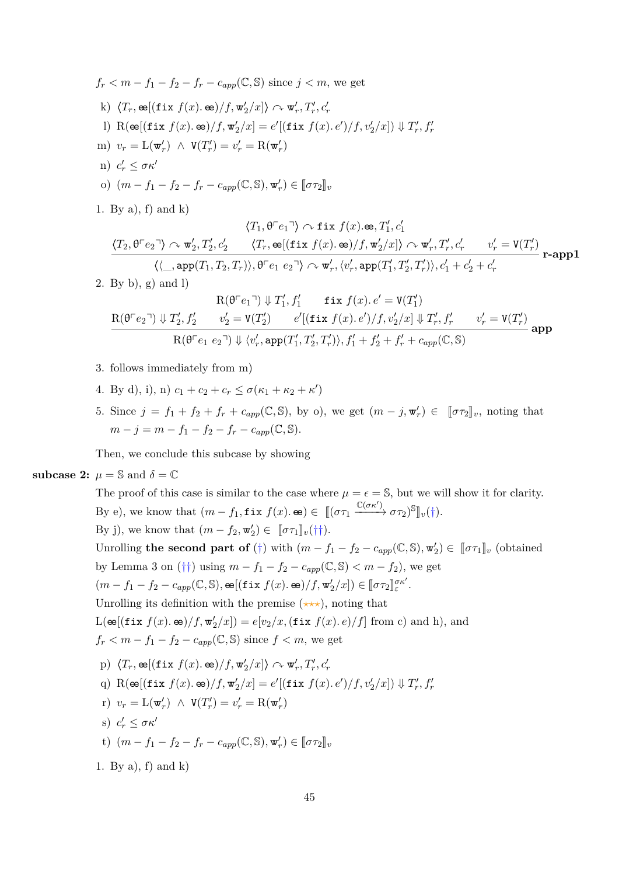$$
f_r < m - f_1 - f_2 - f_r - c_{app}(\mathbb{C}, \mathbb{S}) \text{ since } j < m, \text{ we get}
$$
\n
$$
k) \langle T_r, \mathbf{e} \left[ (\text{fix } f(x), \mathbf{e}) / f, \mathbf{w}_2' / x \right] \rangle \sim \mathbf{w}_r', T_r', c_r'
$$
\n
$$
l) \mathbf{R}(\mathbf{e} \left[ (\text{fix } f(x), \mathbf{e}) / f, \mathbf{w}_2' / x \right] = e' \left[ (\text{fix } f(x), e') / f, v_2' / x \right] \Downarrow T_r', f_r'
$$
\n
$$
m) \quad v_r = \mathbf{L}(\mathbf{w}_r') \land \mathbf{V}(T_r') = v_r' = \mathbf{R}(\mathbf{w}_r')
$$
\n
$$
n) \quad c_r' \leq \sigma \kappa'
$$
\n
$$
o) \quad (m - f_1 - f_2 - f_r - c_{app}(\mathbb{C}, \mathbb{S}), \mathbf{w}_r') \in [\sigma \tau_2]_v
$$
\n
$$
1. \text{ By a), f) \text{ and } k)
$$
\n
$$
T_r' = \mathbf{C}[\mathbf{L} \mathbf{L} \mathbf{L} \mathbf{L} \mathbf{L} \mathbf{L} \mathbf{L} \mathbf{L} \mathbf{L} \mathbf{L} \mathbf{L} \mathbf{L} \mathbf{L} \mathbf{L} \mathbf{L} \mathbf{L} \mathbf{L} \mathbf{L} \mathbf{L} \mathbf{L} \mathbf{L} \mathbf{L} \mathbf{L} \mathbf{L} \mathbf{L} \mathbf{L} \mathbf{L} \mathbf{L} \mathbf{L} \mathbf{L} \mathbf{L} \mathbf{L} \mathbf{L} \mathbf{L} \mathbf{L} \mathbf{L} \mathbf{L} \mathbf{L} \mathbf{L} \mathbf{L} \mathbf{L} \mathbf{L} \mathbf{L} \mathbf{L} \mathbf{L} \mathbf{L} \mathbf{L} \mathbf{L} \mathbf{L} \mathbf{L} \mathbf{L} \mathbf{L} \mathbf{L} \mathbf{L} \mathbf{L} \mathbf{L} \mathbf{L} \mathbf{L} \
$$

$$
\langle T_1, \theta^{\top}e_1 \cdot \rangle \sim \text{fix } f(x) \cdot \text{se}, T_1', c_1'
$$
\n
$$
\frac{\langle T_2, \theta^{\top}e_2 \cdot \rangle \sim \text{w}_2', T_2', c_2' \quad \langle T_r, \text{ee}[(\text{fix } f(x) \cdot \text{ee})/f, \text{w}_2'/x] \rangle \sim \text{w}_r', T_r', c_r' \quad v_r' = V(T_r')
$$
\n
$$
\langle \langle \_, \text{app}(T_1, T_2, T_r) \rangle, \theta^{\top}e_1 \ e_2 \cdot \rangle \sim \text{w}_r', \langle v_r', \text{app}(T_1', T_2', T_r') \rangle, c_1' + c_2' + c_r'
$$
\n
$$
\text{r-app1}
$$

2. By b), g) and l)

$$
\begin{array}{cc} \mathrm{R}(\theta^{\top}e_1^{-})\Downarrow T_1', f_1' & \text{fix } f(x).\, e'= \mathrm{V}(T_1')\\ \ & \mathrm{R}(\theta^{\top}e_2^{-})\Downarrow T_2', f_2' & v_2' = \mathrm{V}(T_2') & e'[(\texttt{fix } f(x).\, e')/f, v_2'/x]\Downarrow T_r', f_r' & v_r' = \mathrm{V}(T_r')\\ \ & \mathrm{R}(\theta^{\top}e_1 \ e_2^{-})\Downarrow \langle v_r', \mathtt{app}(T_1', T_2', T_r')\rangle, f_1' + f_2' + f_r' + c_{app}(\mathbb{C}, \mathbb{S}) \end{array} \textbf{app}
$$

- 3. follows immediately from m)
- 4. By d), i), n)  $c_1 + c_2 + c_r \le \sigma(\kappa_1 + \kappa_2 + \kappa')$
- 5. Since  $j = f_1 + f_2 + f_r + c_{app}(\mathbb{C}, \mathbb{S})$ , by o), we get  $(m j, \mathbf{w}'_r) \in [\![\sigma \tau_2]\!]_v$ , noting that  $m - j = m - f_1 - f_2 - f_r - c_{amp}(\mathbb{C}, \mathbb{S}).$

Then, we conclude this subcase by showing

### **subcase 2:**  $\mu = \mathbb{S}$  and  $\delta = \mathbb{C}$

The proof of this case is similar to the case where  $\mu = \epsilon = \mathbb{S}$ , but we will show it for clarity. By e), we know that  $(m - f_1, \texttt{fix } f(x), \texttt{\textcircled{e}}) \in [[(\sigma \tau_1 \xrightarrow{\mathbb{C}(\sigma \kappa')}\sigma \tau_2)^{\mathbb{S}}]_v(\dagger).$ By j), we know that  $(m - f_2, \mathbf{w}'_2) \in [\![\sigma \tau_1]\!]_v(\dagger\dagger).$ Unrolling **the second part of** (†) with  $(m - f_1 - f_2 - c_{app}(\mathbb{C}, \mathbb{S}), \mathbf{w}'_2) \in [\![\sigma \tau_1]\!]_v$  (obtained by Lemma [3](#page-19-0) on (††) using  $m - f_1 - f_2 - c_{app}(\mathbb{C}, \mathbb{S}) < m - f_2$ ), we get  $(m - f_1 - f_2 - c_{app}(\mathbb{C}, \mathbb{S}), \mathbf{e}[(\texttt{fix } f(x), \mathbf{e})/f, \mathbf{w}'_2/x]) \in [\![\sigma \tau_2]\!]_{\varepsilon}^{\sigma \kappa'}$ . Unrolling its definition with the premise  $(*\star\star)$ , noting that  $L(\mathbf{e}[(\texttt{fix } f(x), \mathbf{e})/f, \mathbf{w}'_2/x]) = e[v_2/x, (\texttt{fix } f(x), e)/f]$  from c) and h), and  $f_r < m - f_1 - f_2 - c_{app}(\mathbb{C}, \mathbb{S})$  since  $f < m$ , we get  $p)$   $\langle T_r, \mathbf{e}$   $[(\texttt{fix } f(x), \mathbf{e})/f, \mathbf{w}'_2/x] \rangle \sim \mathbf{w}'_r, T'_r, c'_r$ q)  $R(\mathbf{e}[(\texttt{fix } f(x), \mathbf{e})/f, \mathbf{w}'_2/x] = e'[(\texttt{fix } f(x), e')/f, v'_2/x]) \Downarrow T'_r, f'_r$  $r)$   $v_r = L(\mathbf{w}'_r) \land V(T'_r) = v'_r = R(\mathbf{w}'_r)$ s)  $c'_r \leq \sigma \kappa'$  $t)$   $(m - f_1 - f_2 - f_r - c_{app}(\mathbb{C}, \mathbb{S}), \mathbf{w}_r') \in [\![\sigma \tau_2]\!]_v$ 1. By a), f) and k)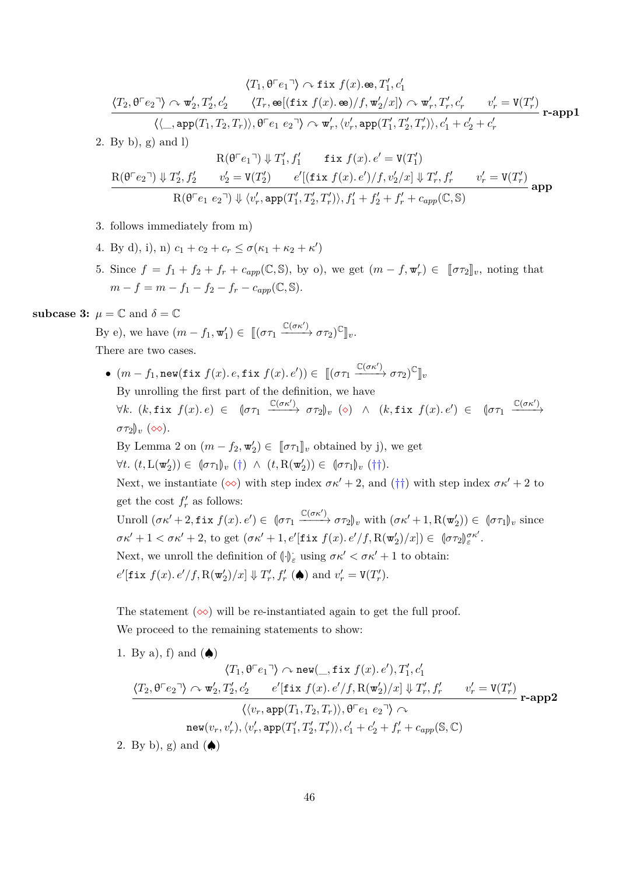$$
\langle T_1, \theta^{\top}e_1 \cdot \rangle \sim \text{fix } f(x) \cdot \text{se}, T_1', c_1'
$$
\n
$$
\frac{\langle T_2, \theta^{\top}e_2 \cdot \rangle \sim \text{w}_2', T_2', c_2' \qquad \langle T_r, \text{se}[(\text{fix } f(x) \cdot \text{se})/f, \text{w}_2'/x] \rangle \sim \text{w}_r', T_r', c_r' \qquad v_r' = \text{V}(T_r')}{\langle \langle \_, \text{app}(T_1, T_2, T_r) \rangle, \theta^{\top}e_1 \ e_2 \cdot \rangle \sim \text{w}_r', \langle v_r', \text{app}(T_1', T_2', T_r') \rangle, c_1' + c_2' + c_r'}
$$
r-app1

2. By b), g) and l)

$$
\begin{array}{cc} \mathrm{R}(\theta^{\top}e_1^{-})\Downarrow T_1', f_1' & \text{fix } f(x).\, e'= \mathrm{V}(T_1')\\ \ & \mathrm{R}(\theta^{\top}e_2^{-})\Downarrow T_2', f_2' & v_2' = \mathrm{V}(T_2') & e'[(\text{fix } f(x).\, e')/f, v_2'/x]\Downarrow T_r', f_r' & v_r' = \mathrm{V}(T_r')\\ \ & \mathrm{R}(\theta^{\top}e_1 \ e_2^{-})\Downarrow \langle v_r', \mathtt{app}(T_1', T_2', T_r')\rangle, f_1' + f_2' + f_r' + c_{app}(\mathbb{C}, \mathbb{S}) \end{array} \text{app}
$$

- 3. follows immediately from m)
- 4. By d), i), n)  $c_1 + c_2 + c_r \le \sigma(\kappa_1 + \kappa_2 + \kappa')$
- 5. Since  $f = f_1 + f_2 + f_r + c_{app}(\mathbb{C}, \mathbb{S})$ , by o), we get  $(m f, \mathbf{w}_r') \in [\![\sigma \tau_2]\!]_v$ , noting that  $m - f = m - f_1 - f_2 - f_r - c_{amp}(\mathbb{C}, \mathbb{S}).$

**subcase 3:**  $\mu = \mathbb{C}$  and  $\delta = \mathbb{C}$ 

By e), we have  $(m - f_1, \mathbf{w}'_1) \in [[(\sigma \tau_1 \xrightarrow{\mathbb{C}(\sigma \kappa')} \sigma \tau_2)^{\mathbb{C}}]_v$ . There are two cases.

 $\bullet$   $(m - f_1, \text{new}(\texttt{fix } f(x), e, \texttt{fix } f(x), e')) \in [[(\sigma \tau_1 \xrightarrow{\mathbb{C}(\sigma \kappa')} \sigma \tau_2)^{\mathbb{C}}]_v$ By unrolling the first part of the definition, we have  $\forall k. \ (k, \texttt{fix } f(x) \cdot e) \in \texttt{for} \texttt{for} \texttt{for} \texttt{for} \texttt{for} \texttt{for} \texttt{for} \texttt{for} \texttt{for} \texttt{for} \texttt{for} \texttt{for} \texttt{for} \texttt{for} \texttt{for} \texttt{for} \texttt{for} \texttt{for} \texttt{for} \texttt{for} \texttt{for} \texttt{for} \texttt{for} \texttt{for} \texttt{for} \texttt{for} \texttt{for} \texttt{for} \texttt{for} \texttt{for} \texttt{for} \texttt{for} \texttt{for$  $\sigma \tau_2$ <sub>*v*</sub> ( $\infty$ ). By Lemma [2](#page-17-0) on  $(m - f_2, \mathbf{w}'_2) \in [\![\sigma \tau_1]\!]_v$  obtained by j), we get  $\forall t. \ (t, \mathcal{L}(\mathbf{w}'_2)) \in (\sigma \tau_1)_{v} (\dagger) \ \wedge \ (t, \mathcal{R}(\mathbf{w}'_2)) \in (\sigma \tau_1)_{v} (\dagger).$ Next, we instantiate ( $\infty$ ) with step index  $\sigma \kappa' + 2$ , and ( $\dagger \dagger$ ) with step index  $\sigma \kappa' + 2$  to get the cost  $f'_r$  as follows: Unroll  $(\sigma \kappa' + 2, \texttt{fix } f(x), e') \in (\sigma \tau_1 \xrightarrow{\mathbb{C}(\sigma \kappa')} \sigma \tau_2)_v$  with  $(\sigma \kappa' + 1, R(\mathbf{w}'_2)) \in (\sigma \tau_1)_v$  since  $\sigma \kappa' + 1 < \sigma \kappa' + 2$ , to get  $(\sigma \kappa' + 1, e'[\textbf{fix } f(x), e'/f, R(\mathbf{w}'_2)/x]) \in [\sigma \tau_2]_{\varepsilon}^{\sigma \kappa'}.$ Next, we unroll the definition of  $(\cdot)_{\varepsilon}$  using  $\sigma \kappa' < \sigma \kappa' + 1$  to obtain:  $e'$ **[fix**  $f(x) \cdot e'/f$ , R(**w**<sup>'</sup><sub>2</sub>)/x]  $\Downarrow T'_{r}$ ,  $f'_{r}$  ( $\spadesuit$ ) and  $v'_{r} = V(T'_{r})$ .

The statement  $(\infty)$  will be re-instantiated again to get the full proof. We proceed to the remaining statements to show:

- 1. By a), f) and  $(\spadesuit)$  $\langle T_1,\theta^\sqsubset e_1 \urcorner \rangle \curvearrowright \mathtt{new}(\_,\mathtt{fix}\; f(x).\,e'), T'_1,c'_1$  $\langle T_2,\theta^\top e_2{}^\neg \rangle \curvearrowright \mathbf{w}'_2,T'_2,c'_2 \qquad e'[\mathtt{fix}\; f(x).e'/f,\mathbf{R}(\mathbf{w}'_2)/x] \Downarrow T'_r,f'_r \qquad v'_r=\mathbf{V}(T'_r)$  $\langle \langle v_r, \text{app}(T_1, T_2, T_r) \rangle, \theta \ulcorner e_1 \ e_2 \urcorner \rangle \curvearrowright$  $\mathsf{new}(v_r, v'_r), \langle v'_r, \mathtt{app}(T'_1, T'_2, T'_r) \rangle, c'_1 + c'_2 + f'_r + c_{app}(\mathbb{S}, \mathbb{C})$ **r-app2**
- 2. By b), g) and  $(\spadesuit)$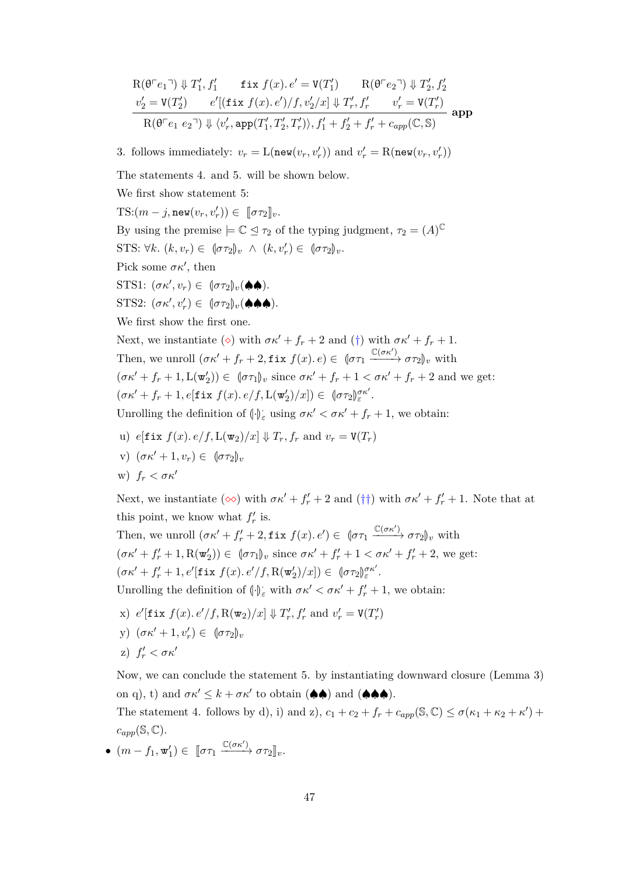$$
\begin{array}{ll}\n\mathcal{R}(\theta^{\top}e_1^{\top}) \Downarrow T_1', f_1' & \text{fix } f(x) \cdot e' = \mathcal{V}(T_1') & \mathcal{R}(\theta^{\top}e_2^{\top}) \Downarrow T_2', f_2' \\
\frac{v_2' = \mathcal{V}(T_2') & e'[(\text{fix } f(x) \cdot e')/f, v_2'/x] \Downarrow T_r', f_r' & v_r' = \mathcal{V}(T_r') \\
\hline\n\mathcal{R}(\theta^{\top}e_1 e_2^{\top}) \Downarrow \langle v_r', \text{app}(T_1', T_2', T_r')\rangle, f_1' + f_2' + f_r' + c_{app}(\mathbb{C}, \mathbb{S})\n\end{array} \text{app}
$$

3. follows immediately:  $v_r = L(\text{new}(v_r, v'_r))$  and  $v'_r = R(\text{new}(v_r, v'_r))$ 

The statements 4. and 5. will be shown below.

We first show statement 5:

 $\text{TS:}(m-j,\texttt{new}(v_r, v'_r)) \in [\![\sigma \tau_2]\!]_v.$ 

By using the premise  $\models \mathbb{C} \trianglelefteq \tau_2$  of the typing judgment,  $\tau_2 = (A)^{\mathbb{C}}$ 

STS:  $\forall k. (k, v_r) \in (\sigma \tau_2)_v \land (k, v'_r) \in (\sigma \tau_2)_v.$ 

Pick some  $\sigma \kappa'$ , then

 $\text{STS1: } (\sigma \kappa', v_r) \in \ (\sigma \tau_2)_v(\spadesuit \spadesuit).$ 

 $STS2: (\sigma \kappa', v'_r) \in (\sigma \tau_2)_v (\spadesuit \spadesuit \spadesuit).$ 

We first show the first one.

Next, we instantiate ( $\diamond$ ) with  $\sigma \kappa' + f_r + 2$  and ( $\dagger$ ) with  $\sigma \kappa' + f_r + 1$ . Then, we unroll  $(\sigma \kappa' + f_r + 2, \text{fix } f(x) \cdot e) \in (\sigma \tau_1 \xrightarrow{\mathbb{C}(\sigma \kappa')} \sigma \tau_2)_v$  with  $(\sigma \kappa' + f_r + 1, L(\mathbf{w}_2')) \in (\sigma \tau_1)_v$  since  $\sigma \kappa' + f_r + 1 < \sigma \kappa' + f_r + 2$  and we get:  $(\sigma \kappa' + f_r + 1, e[\texttt{fix } f(x), e/f, L(\mathbf{w}_2')/x]) \in [\sigma \tau_2]_{\varepsilon}^{\sigma \kappa'}.$ 

Unrolling the definition of  $\left(\cdot\right)_{\varepsilon}$  using  $\sigma \kappa' < \sigma \kappa' + f_r + 1$ , we obtain:

- u)  $e[\textbf{fix } f(x), e/f, L(\textbf{w}_2)/x] \Downarrow T_r, f_r \text{ and } v_r = V(T_r)$
- v)  $(\sigma \kappa' + 1, v_r) \in [\sigma \tau_2]_v$

w)  $f_r < \sigma \kappa'$ 

Next, we instantiate  $(\infty)$  with  $\sigma \kappa' + f'_r + 2$  and  $(\dagger \dagger)$  with  $\sigma \kappa' + f'_r + 1$ . Note that at this point, we know what  $f'_r$  is.

Then, we unroll  $(\sigma \kappa' + f'_r + 2, \text{fix } f(x) \cdot e') \in (\sigma \tau_1 \xrightarrow{\mathbb{C}(\sigma \kappa')} \sigma \tau_2)_v$  with  $(\sigma \kappa' + f'_r + 1, R(\mathbf{w}'_2)) \in (\sigma \tau_1)_v$  since  $\sigma \kappa' + f'_r + 1 < \sigma \kappa' + f'_r + 2$ , we get:  $(\sigma \kappa' + f'_r + 1, e'[\textbf{fix } f(x), e'/f, R(\mathbf{w}'_2)/x]) \in [\sigma \tau_2]_{\varepsilon}^{\sigma \kappa'}.$ 

Unrolling the definition of  $\langle \cdot \rangle_{\varepsilon}$  with  $\sigma \kappa' < \sigma \kappa' + f'_r + 1$ , we obtain:

- $\mathbf{r} = \int_{0}^{\infty} e^{t} \left[ \mathbf{f} \cdot \mathbf{x} \cdot f(x) \cdot e^{t} / f, \mathbf{R}(\mathbf{w}_2) / x \right] \sqrt{\frac{1}{r}}, \quad f'_r \text{ and } v'_r = \mathbf{V}(T'_r)$
- y)  $(\sigma \kappa' + 1, v'_r) \in (\sigma \tau_2)_v$
- z)  $f'_r < \sigma \kappa'$

Now, we can conclude the statement 5. by instantiating downward closure (Lemma [3\)](#page-19-0) on q), t) and  $\sigma \kappa' \leq k + \sigma \kappa'$  to obtain ( $\spadesuit \spadesuit$ ) and ( $\spadesuit \spadesuit \spadesuit$ ).

The statement 4. follows by d), i) and z),  $c_1 + c_2 + f_r + c_{app}(\mathbb{S}, \mathbb{C}) \le \sigma(\kappa_1 + \kappa_2 + \kappa') +$  $c_{app}(\mathbb{S}, \mathbb{C}).$ 

•  $(m - f_1, \mathbf{w}'_1) \in [\![\sigma \tau_1 \xrightarrow{\mathbb{C}(\sigma \kappa')} \sigma \tau_2]\!]_v.$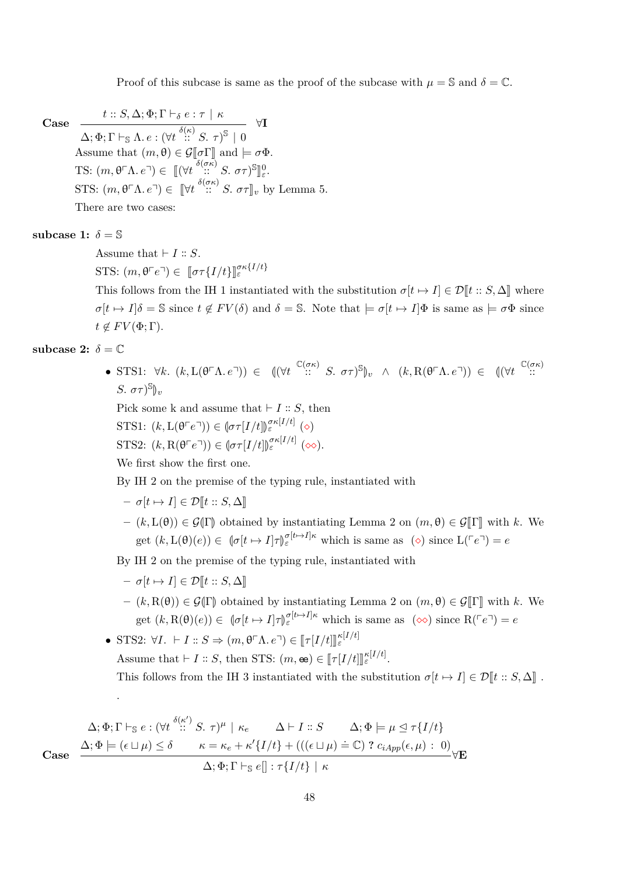Proof of this subcase is same as the proof of the subcase with  $\mu = \mathbb{S}$  and  $\delta = \mathbb{C}$ .

**Case**

 $t :: S, \Delta; \Phi; \Gamma \vdash_{\delta} e : \tau \, \mid \, \kappa$  $\Delta; \Phi ; \Gamma \vdash_{\mathbb{S}} \Lambda.\, e:(\forall t \stackrel{\delta(\kappa)}{::} S.\,\, \tau)^{\mathbb{S}} \,\,|\,\, 0$ ∀**I** Assume that  $(m, \theta) \in \mathcal{G}[\![\sigma\Gamma]\!]$  and  $\models \sigma\Phi$ . TS:  $(m, \theta^{\top} \Lambda, e^{\top}) \in [(\forall t \frac{\delta(\sigma \kappa)}{n}; S, \sigma \tau)^{\mathbb{S}}]$ l<br>I 0 *ε* . STS:  $(m, \theta \cap \Lambda \cdot e^{\eta}) \in [\forall t \stackrel{\delta(\sigma \kappa)}{\ldots} S \cdot \sigma \tau]_v$  by Lemma [5.](#page-20-0) There are two cases:

subcase 1:  $\delta = \mathbb{S}$ 

Assume that  $\vdash I :: S$ .

STS:  $(m, \theta \cap e^{\neg}) \in [\![\sigma \tau \{I/t\}]\!]^{\sigma \kappa \{I/t\}}_{\varepsilon}$ 

This follows from the IH 1 instantiated with the substitution  $\sigma[t \mapsto I] \in \mathcal{D}[t :: S, \Delta]$  where  $\sigma[t \mapsto I]\delta = \mathbb{S}$  since  $t \notin FV(\delta)$  and  $\delta = \mathbb{S}$ . Note that  $\models \sigma[t \mapsto I]\Phi$  is same as  $\models \sigma\Phi$  since  $t \notin FV(\Phi; \Gamma)$ .

subcase 2:  $\delta = \mathbb{C}$ 

• STS1: ∀*k*. (*k*, L(θ<sup>Γ</sup>Λ*. e*<sup>¬</sup>)) ∈ ((∀*t*<sup> <sup>C(σκ)</sup></sub> :: *S.* στ)<sup>S</sup>)<sub>*v*</sub> ∧ (*k*, R(θ<sup>Γ</sup>Λ*. e*<sup>¬</sup>)) ∈ ((∀*t*<sup> <sup>C(σκ</sup>)):</sup></sup> *S.*  $\sigma\tau$ <sup>S</sup> $\psi$ 

Pick some k and assume that  $\vdash I :: S$ , then

$$
\text{STS1: } (k, \mathcal{L}(\theta^\top e^\top)) \in (\![ \sigma \tau[I/t ]\!] )^{\sigma \kappa[I/t]}_{\varepsilon} (\diamond)
$$

STS2: 
$$
(k, \mathcal{R}(\mathbf{\theta} \ulcorner e \urcorner)) \in (\sigma \tau[I/t])_{\varepsilon}^{\sigma \kappa[I/t]} (\infty).
$$

We first show the first one.

By IH 2 on the premise of the typing rule, instantiated with

$$
- \sigma[t \mapsto I] \in \mathcal{D}[t :: S, \Delta]
$$

 $-(k, L(\theta)) \in \mathcal{G}(\Gamma)$  obtained by instantiating Lemma [2](#page-17-0) on  $(m, \theta) \in \mathcal{G}(\Gamma)$  with k. We get  $(k, L(\theta)(e)) \in \left( \sigma[t \mapsto I] \tau \right)_{\varepsilon}^{\sigma[t \mapsto I] \kappa}$  which is same as  $(\diamond)$  since  $L(\ulcorner e \urcorner) = e$ 

By IH 2 on the premise of the typing rule, instantiated with

$$
- \sigma[t \mapsto I] \in \mathcal{D}[t :: S, \Delta]
$$

.

 $-(k, R(\theta)) \in \mathcal{G}(\Gamma)$  obtained by instantiating Lemma [2](#page-17-0) on  $(m, \theta) \in \mathcal{G}(\Gamma)$  with k. We get  $(k, R(\theta)(e)) \in [\![\sigma[\![t \mapsto I]\!] \tau \rrbracket_{\varepsilon}^{\sigma[\![t \mapsto I]\!] \kappa}$  which is same as  $(\infty)$  since  $R(\ulcorner e \urcorner) = e$ 

• STS2:  $\forall I. \vdash I :: S \Rightarrow (m, \theta \ulcorner \Lambda. e \urcorner) \in [\![\tau [I/t]]]_{\varepsilon}^{\kappa [I/t]}$ Assume that  $\vdash I :: S$ , then STS:  $(m, \mathbf{e}) \in [\![\tau[I/t]]_{\varepsilon}^{\kappa[I/t]}.$ This follows from the IH 3 instantiated with the substitution  $\sigma[t \mapsto I] \in \mathcal{D}[t :: S, \Delta]$ .

48

$$
\Delta; \Phi; \Gamma \vdash_{\mathbb{S}} e : (\forall t \stackrel{\delta(\kappa')}{::} S. \tau)^{\mu} \mid \kappa_e \qquad \Delta \vdash I :: S \qquad \Delta; \Phi \models \mu \trianglelefteq \tau \{ I/t \}
$$
\n
$$
\Delta; \Phi \models (\epsilon \sqcup \mu) \leq \delta \qquad \kappa = \kappa_e + \kappa' \{ I/t \} + (( (\epsilon \sqcup \mu) \doteq \mathbb{C}) ? c_{iApp}(\epsilon, \mu) : 0 )
$$
\n
$$
\Delta; \Phi; \Gamma \vdash_{\mathbb{S}} e[] : \tau \{ I/t \} \mid \kappa
$$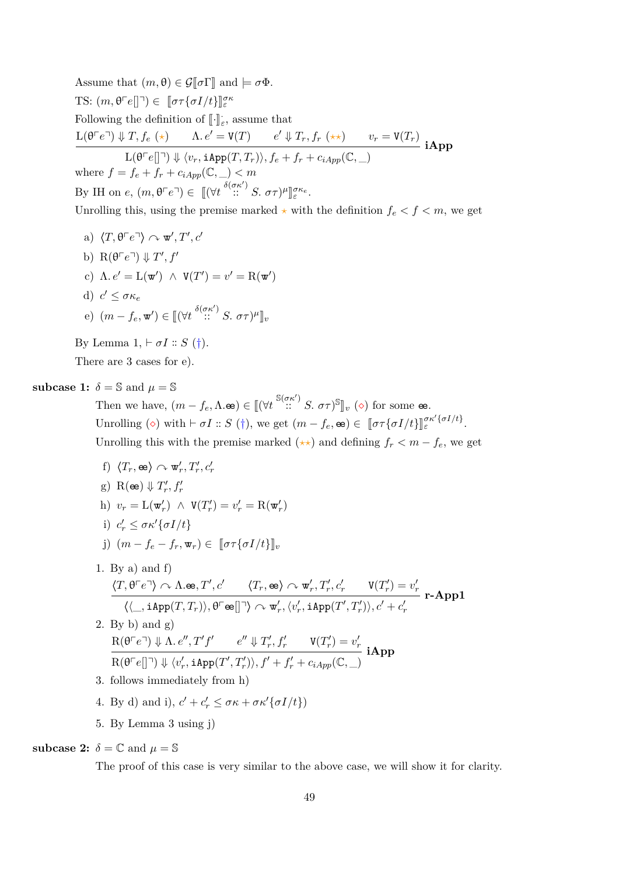Assume that  $(m, \theta) \in \mathcal{G}[\![\sigma]\!]$  and  $\models \sigma \Phi$ . TS:  $(m, \theta^{\top}e[]\tau) \in [\![\sigma\tau\{\sigma I/t\}]\!]^{\sigma\kappa}_{\varepsilon}$ Following the definition of  $\llbracket \cdot \rrbracket_{\varepsilon}$ , assume that  $L(\theta^{\top}e^{\top}) \Downarrow T, f_e(\star)$   $\Lambda. e' = V(T)$   $e' \Downarrow T_r, f_r(\star \star)$   $v_r = V(T_r)$  $L(\theta^\top e[\]^\top) \Downarrow \langle v_r, \texttt{iApp}(T, T_r) \rangle, f_e + f_r + c_{iApp}(\mathbb{C}, \_)$ **iApp** where  $f = f_e + f_r + c_{iApp}(\mathbb{C}, \_) < m$ By IH on *e*,  $(m, \theta^{\top}e^{\top}) \in [(\forall t \stackrel{\delta(\sigma\kappa')}{::} S. \sigma\tau)^{\mu}]_{\varepsilon}^{\sigma\kappa_e}$ . l<br>I

Unrolling this, using the premise marked  $\star$  with the definition  $f_e < f < m$ , we get

a) 
$$
\langle T, \theta^{\top}e^{\top} \rangle \sim \mathbf{w}', T', c'
$$
  
\nb)  $\mathbf{R}(\theta^{\top}e^{\top}) \Downarrow T', f'$   
\nc)  $\Lambda \cdot e' = \mathbf{L}(\mathbf{w}') \wedge \mathbf{V}(T') = v' = \mathbf{R}(\mathbf{w}')$   
\nd)  $c' \leq \sigma \kappa_e$   
\ne)  $(m - f_e, \mathbf{w}') \in [(\forall t \frac{\delta(\sigma \kappa')}{\cdots} S, \sigma \tau)^{\mu}]_v$ 

By Lemma  $1, \vdash \sigma I :: S$  $1, \vdash \sigma I :: S$  (†).

There are 3 cases for e).

### **subcase 1:**  $\delta = \mathbb{S}$  and  $\mu = \mathbb{S}$

Then we have,  $(m - f_e, \Lambda \cdot \mathbf{e}) \in [(\forall t \stackrel{\mathbb{S}(\sigma \kappa')}{\cdots} S, \sigma \tau)^{\mathbb{S}}]_v (\diamond)$  for some  $\mathbf{e}$ . Unrolling ( $\diamond$ ) with  $\vdash \sigma I :: S(\dagger)$ , we get  $(m - f_e, \mathbf{e}) \in [\sigma \tau {\sigma I / t}]_{\varepsilon}^{\sigma \kappa' {\sigma I / t}}$ . Unrolling this with the premise marked  $(\star \star)$  and defining  $f_r < m - f_e$ , we get

- f)  $\langle T_r, \mathbf{e} \rangle \curvearrowright \mathbf{w}'_r, T'_r, c'_r$ g)  $R(\mathbf{e}) \Downarrow T'_r, f'_r$ h)  $v_r = \mathcal{L}(\mathbf{w}'_r) \land \mathbf{V}(T'_r) = v'_r = \mathcal{R}(\mathbf{w}'_r)$ i)  $c'_r \leq \sigma \kappa' \{\sigma I/t\}$ j)  $(m - f_e - f_r, \mathbf{w}_r) \in [\![\sigma \tau \{\sigma I/t\}]\!]_v$ 1. By a) and  $f$  $\langle T, \theta \ulcorner e \urcorner \rangle \curvearrowright \Lambda \cdot \mathbf{e} \mathbf{e}, T', c' \qquad \langle T_r, \mathbf{e} \mathbf{e} \rangle \curvearrowright \mathbf{w}'_r, T'_r, c'_r \qquad \mathbf{V}(T'_r) = v'_r$  $\langle \langle \_\_, \mathtt{iApp}(T, T_r) \rangle, \theta^\sqsubset \oplus \left[ \left. \rule{0.3cm}{.0cm} \right]^\gamma \rangle \curvearrowright \mathtt{w}'_r, \langle v'_r, \mathtt{iApp}(T', T'_r) \rangle, c' + c'_r$ **r-App1**
- 2. By b) and  $g$ )  $R(\theta \cap e^{\square}) \Downarrow \Lambda$ *, e''*,  $T'f'$   $e'' \Downarrow T'_r, f'_r$   $V(T'_r) = v'_r$  $R(\theta^\top e[\]^\top) \Downarrow \langle v'_r, \texttt{iApp}(T', T'_r) \rangle, f' + f'_r + c_{iApp}(\mathbb{C}, \_)$ **iApp** 3. follows immediately from h)
- 4. By d) and i),  $c' + c'_r \leq \sigma \kappa + \sigma \kappa' \{ \sigma I/t \}$
- 5. By Lemma [3](#page-19-0) using j)

**subcase 2:**  $\delta = \mathbb{C}$  and  $\mu = \mathbb{S}$ 

The proof of this case is very similar to the above case, we will show it for clarity.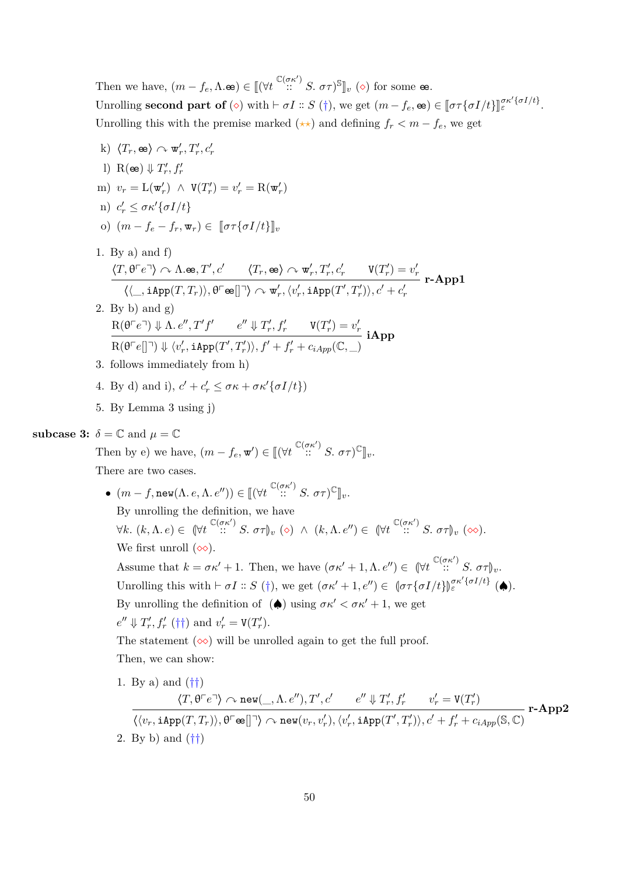Then we have,  $(m - f_e, \Lambda \cdot \mathbf{e}) \in [ (\forall t \stackrel{\mathbb{C}(\sigma \kappa')}{\cdots} S. \sigma \tau)^{\mathbb{S}} ]_v (\diamond)$  for some  $\mathbf{e}$ . Unrolling **second part of** ( $\diamond$ ) with  $\vdash \sigma I :: S(\dagger)$ , we get  $(m - f_e, \mathbf{e}) \in [\sigma \tau \{\sigma I/t\}]_{\varepsilon}^{\sigma \kappa' \{\sigma I/t\}}$ . Unrolling this with the premise marked  $(\star \star)$  and defining  $f_r < m - f_e$ , we get

- $\langle T_r, \mathbf{e} \rangle \curvearrowright \mathbf{w}'_r, T'_r, c'_r$ l) R( $\mathbf{e}$ )  $\Downarrow$   $T'_r, f'_r$  $v_r = \mathcal{L}(\mathbf{w}_r') \land \mathbf{V}(T_r') = v_r' = \mathcal{R}(\mathbf{w}_r')$ *n*)  $c'_r$  ≤ *σκ*<sup> $′$ </sup>{*σI/t*} o)  $(m - f_e - f_r, \mathbf{w}_r) \in [\![\sigma \tau \{\sigma I/t\}]\!]_v$ 1. By a) and f)  $\langle T, \theta \ulcorner e \urcorner \rangle \curvearrowright \Lambda \cdot \mathbf{e} \mathbf{e}, T', c' \qquad \langle T_r, \mathbf{e} \mathbf{e} \rangle \curvearrowright \mathbf{w}'_r, T'_r, c'_r \qquad \mathbf{V}(T'_r) = v'_r$  $\langle \langle \_\_, \mathtt{iApp}(T, T_r) \rangle, \theta^\sqsubset \oplus \left[ \left. \rule{0.3cm}{.0cm} \right]^\gamma \rangle \curvearrowright \mathtt{w}'_r, \langle v'_r, \mathtt{iApp}(T', T'_r) \rangle, c' + c'_r$ **r-App1** 2. By b) and  $g$ )  $R(\theta \cap e^{\square}) \Downarrow \Lambda$ *, e''*,  $T'f'$   $e'' \Downarrow T'_r, f'_r$   $V(T'_r) = v'_r$  $R(\theta^\top e[\]^\top) \Downarrow \langle v'_r, \texttt{iApp}(T', T'_r) \rangle, f' + f'_r + c_{iApp}(\mathbb{C}, \_)$ **iApp** 3. follows immediately from h) 4. By d) and i),  $c' + c'_r \leq \sigma \kappa + \sigma \kappa' \{ \sigma I/t \}$ 5. By Lemma [3](#page-19-0) using j) **subcase 3:**  $\delta = \mathbb{C}$  and  $\mu = \mathbb{C}$ Then by e) we have,  $(m - f_e, \mathbf{w}') \in [[(\forall t \stackrel{\mathbb{C}(\sigma \kappa')}{\cdots} S, \sigma \tau)^{\mathbb{C}}]_v$ . There are two cases. •  $(m - f, \text{new}(\Lambda, e, \Lambda, e'')) \in [[(\forall t \stackrel{\mathbb{C}(\sigma \kappa')}{\cdots} S, \sigma \tau)^{\mathbb{C}}]_{v}.$ By unrolling the definition, we have  $\forall k. (k, \Lambda, e) \in (\forall t \stackrel{\mathbb{C}(\sigma \kappa')}{\cdots} S. \sigma \tau)_{v} (\diamond) \land (k, \Lambda, e'') \in (\forall t \stackrel{\mathbb{C}(\sigma \kappa')}{\cdots} S. \sigma \tau)_{v} (\diamond\diamond).$ We first unroll  $(\infty)$ . Assume that  $k = \sigma \kappa' + 1$ . Then, we have  $(\sigma \kappa' + 1, \Lambda, e'') \in (\forall t \in (\sigma \kappa') S, \sigma \tau)_{v}$ . Unrolling this with  $\vdash \sigma I :: S(\dagger)$ , we get  $(\sigma \kappa' + 1, e'') \in [\sigma \tau {\sigma I/t}]_{\varepsilon}^{\sigma \kappa' {\sigma I/t}}$  ( $\spadesuit$ ). By unrolling the definition of  $(\spadesuit)$  using  $\sigma \kappa' < \sigma \kappa' + 1$ , we get  $e'' \Downarrow T'_r, f'_r \; (\dagger \dagger) \text{ and } v'_r = V(T'_r).$ The statement  $(\infty)$  will be unrolled again to get the full proof. Then, we can show: 1. By a) and  $(\dagger\dagger)$  $\langle T, \theta^\sqsubset e^\sqsupset \rangle \curvearrowright \mathtt{new}(\_, \Lambda, e''), T', c' \qquad e'' \Downarrow T'_r, f'_r \qquad v'_r = \mathtt{V}(T'_r)$  $\langle \langle v_r, \mathtt{iApp}(T,T_r)\rangle , \theta^\top \mathtt{\infty}[]^\neg \rangle \curvearrowright \mathtt{new}(v_r, v'_r), \langle v'_r, \mathtt{iApp}(T', T'_r)\rangle, c' + f'_r + c_{iApp}(\mathbb{S}, \mathbb{C})$ **r-App2**
	- 2. By b) and  $(\dagger\dagger)$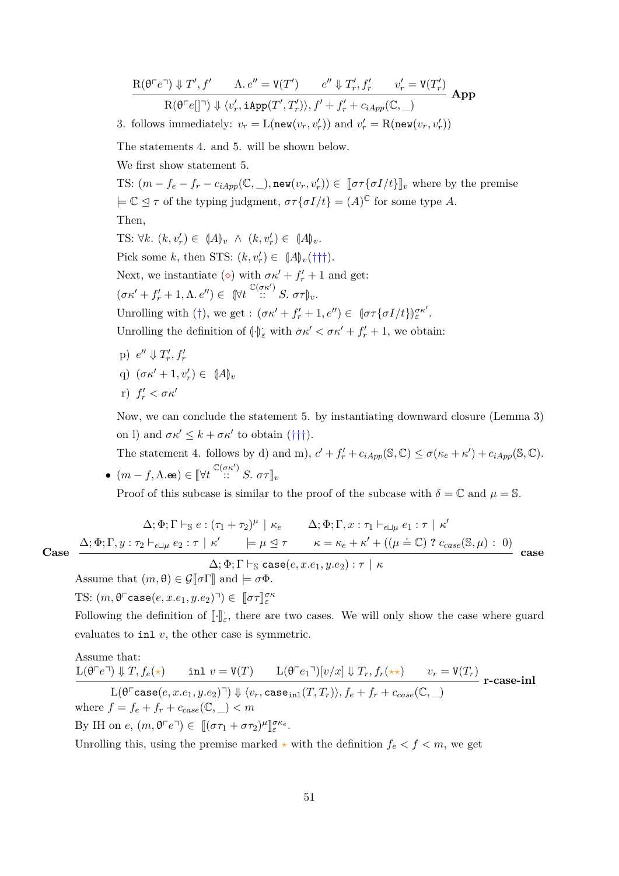$R(\theta \cap e^{\top}) \Downarrow T', f' \qquad \Lambda \cdot e'' = V(T') \qquad e'' \Downarrow T'_r, f'_r \qquad v'_r = V(T'_r)$  $R(\theta^\top e[\]^\top) \Downarrow \langle v'_r, \texttt{iApp}(T', T'_r) \rangle, f' + f'_r + c_{iApp}(\mathbb{C}, \_)$ **App**

3. follows immediately:  $v_r = L(\text{new}(v_r, v'_r))$  and  $v'_r = R(\text{new}(v_r, v'_r))$ 

The statements 4. and 5. will be shown below.

We first show statement 5.

TS:  $(m - f_e - f_r - c_{iApp}(\mathbb{C}, \_), \text{new}(v_r, v'_r)) \in [\![\sigma \tau \{\sigma I/t\}]\!]_v$  where by the premise  $\models \mathbb{C} \leq \tau$  of the typing judgment,  $\sigma \tau \{ \sigma I/t \} = (A)^{\mathbb{C}}$  for some type *A*.

Then,

TS:  $\forall k. (k, v'_r) \in (A)_{v} \land (k, v'_r) \in (A)_{v}.$ 

Pick some *k*, then STS:  $(k, v'_r) \in (A)v(\dagger\dagger\dagger).$ 

Next, we instantiate ( $\diamond$ ) with  $\sigma \kappa' + f'_r + 1$  and get:

 $(\sigma \kappa' + f'_r + 1, \Lambda, e'') \in (\forall t \stackrel{\mathbb{C}(\sigma \kappa')}{\cdots} S, \sigma \tau)_v.$ 

Unrolling with (†), we get :  $(\sigma \kappa' + f'_r + 1, e'') \in [\sigma \tau {\sigma I / t}]_{\varepsilon}^{\sigma \kappa'}.$ 

Unrolling the definition of  $\langle \cdot \rangle_{\varepsilon}$  with  $\sigma \kappa' < \sigma \kappa' + f'_r + 1$ , we obtain:

- $p) \, e'' \Downarrow T'_r, f'_r$
- q)  $(\sigma \kappa' + 1, v'_r) \in (A_v)$
- *r*)  $f'_r < \sigma \kappa'$

Now, we can conclude the statement 5. by instantiating downward closure (Lemma [3\)](#page-19-0) on l) and  $\sigma \kappa' \leq k + \sigma \kappa'$  to obtain ( $\dagger \dagger \dagger$ ).

The statement 4. follows by d) and m),  $c' + f'_r + c_{iApp}(\mathbb{S}, \mathbb{C}) \le \sigma(\kappa_e + \kappa') + c_{iApp}(\mathbb{S}, \mathbb{C})$ .  $\bullet$   $(m - f, \Lambda \cdot \mathbf{e}) \in [\forall t \stackrel{\mathbb{C}(\sigma \kappa')}{\dots} S, \sigma \tau]_v$ 

Proof of this subcase is similar to the proof of the subcase with  $\delta = \mathbb{C}$  and  $\mu = \mathbb{S}$ .

$$
\Delta; \Phi; \Gamma \vdash_{\mathbb{S}} e : (\tau_1 + \tau_2)^{\mu} \mid \kappa_e \qquad \Delta; \Phi; \Gamma, x : \tau_1 \vdash_{\epsilon \sqcup \mu} e_1 : \tau \mid \kappa'
$$
\n
$$
\mathbf{e} \quad \frac{\Delta; \Phi; \Gamma, y : \tau_2 \vdash_{\epsilon \sqcup \mu} e_2 : \tau \mid \kappa' \qquad \models \mu \trianglelefteq \tau \qquad \kappa = \kappa_e + \kappa' + ((\mu \doteq \mathbb{C}) ? c_{case}(\mathbb{S}, \mu) : 0)}{\Delta \Phi \Gamma \vdash \mathbf{e} \qquad \qquad \Delta \vdash \mathbf{e} \qquad \qquad \Delta \vdash \mathbf{e} \qquad \qquad \Delta \vdash \mathbf{e} \qquad \qquad \Delta \vdash \mathbf{e} \qquad \qquad \Delta \vdash \mathbf{e} \qquad \qquad \Delta \vdash \mathbf{e} \qquad \qquad \Delta \vdash \mathbf{e} \qquad \qquad \Delta \vdash \mathbf{e} \qquad \qquad \Delta \vdash \mathbf{e} \qquad \qquad \Delta \vdash \mathbf{e} \qquad \qquad \Delta \vdash \mathbf{e} \qquad \qquad \Delta \vdash \mathbf{e} \qquad \qquad \Delta \vdash \mathbf{e} \qquad \qquad \Delta \vdash \mathbf{e} \qquad \qquad \Delta \vdash \mathbf{e} \qquad \qquad \Delta \vdash \mathbf{e} \qquad \qquad \Delta \vdash \mathbf{e} \qquad \qquad \Delta \vdash \mathbf{e} \qquad \qquad \Delta \vdash \mathbf{e} \qquad \qquad \Delta \vdash \mathbf{e} \qquad \qquad \Delta \vdash \mathbf{e} \qquad \qquad \Delta \vdash \mathbf{e} \qquad \qquad \Delta \vdash \mathbf{e} \qquad \qquad \Delta \vdash \mathbf{e} \qquad \qquad \Delta \vdash \mathbf{e} \qquad \qquad \Delta \vdash \mathbf{e} \qquad \qquad \Delta \vdash \mathbf{e} \qquad \qquad \Delta \vdash \mathbf{e} \qquad \qquad \Delta \vdash \mathbf{e} \qquad \qquad \Delta \vdash \mathbf{e} \qquad \qquad \Delta \vdash \mathbf{e} \qquad \qquad \Delta \vdash \mathbf{e} \
$$

**Case**

 $\Delta; \Phi; \Gamma \vdash_{\mathbb{S}} \text{case}(e, x.e_1, y.e_2) : \tau \vdash \kappa$ 

Assume that  $(m, \theta) \in \mathcal{G}[\![\sigma]\!]$  and  $\models \sigma \Phi$ .

TS:  $(m, \theta^{\Gamma} \text{case}(e, x.e_1, y.e_2)^{\top}) \in [\![ \sigma \tau ]\!]_{\varepsilon}^{\sigma \kappa}$ 

Following the definition of  $[\![\cdot]\!]_{\varepsilon}$ , there are two cases. We will only show the case where guard evaluates to inl *v*, the other case is symmetric.

Assume that:  
\n
$$
L(\theta^{\Gamma}e^{\Gamma}) \Downarrow T, f_e(\star) \quad \text{in} \quad v = V(T) \quad L(\theta^{\Gamma}e_1^{\Gamma})[v/x] \Downarrow T_r, f_r(\star\star) \quad v_r = V(T_r)
$$
\n
$$
L(\theta^{\Gamma}e^{\Gamma})[\theta^{\Gamma}e^{\Gamma}] \Downarrow \langle v_r, \text{case}_\text{in1}(T, T_r) \rangle, f_e + f_r + c_{case}(\mathbb{C}, \_)
$$
\nwhere  $f = f_e + f_r + c_{case}(\mathbb{C}, \_) < m$ 

By IH on  $e, (m, \theta \ulcorner e \urcorner) \in [(\sigma \tau_1 + \sigma \tau_2)^\mu$ l<br>I *σκe ε* .

Unrolling this, using the premise marked  $\star$  with the definition  $f_e < f < m$ , we get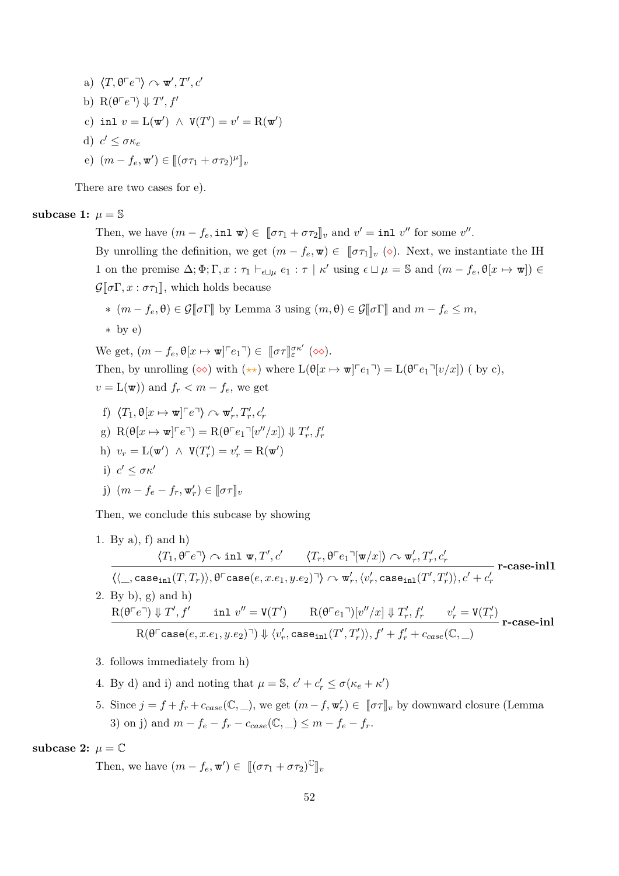a) 
$$
\langle T, \theta^\top e^\top \rangle \sim \mathbf{w}', T', c'
$$
  
b)  $\mathbf{R}(\theta^\top e^\top) \Downarrow T', f'$   
c) **inl**  $v = \mathbf{L}(\mathbf{w}') \wedge \mathbf{V}(T') = v' = \mathbf{R}(\mathbf{w}')$   
d)  $c' \leq \sigma \kappa_e$   
e)  $(m - f_e, \mathbf{w}') \in [\![(\sigma \tau_1 + \sigma \tau_2)^{\mu}]\!]_v$ 

There are two cases for e).

#### **subcase 1:**  $\mu = \mathbb{S}$

Then, we have  $(m - f_e, \text{inl } \mathbf{w}) \in [\![\sigma \tau_1 + \sigma \tau_2]\!]_v$  and  $v' = \text{inl } v''$  for some  $v''$ .

By unrolling the definition, we get  $(m - f_e, \mathbf{w}) \in [\![\sigma \tau_1]\!]_v$  ( $\diamond$ ). Next, we instantiate the IH 1 on the premise  $\Delta; \Phi; \Gamma, x : \tau_1 \vdash_{\epsilon \sqcup \mu} e_1 : \tau \mid \kappa'$  using  $\epsilon \sqcup \mu = \mathbb{S}$  and  $(m - f_e, \theta[x \mapsto \mathbf{w}]) \in$  $\mathcal{G}[\![\sigma\Gamma, x:\sigma\tau_1]\!]$ , which holds because

\* 
$$
(m - f_e, \theta) \in \mathcal{G}[\![\sigma\Gamma]\!]
$$
 by Lemma 3 using  $(m, \theta) \in \mathcal{G}[\![\sigma\Gamma]\!]$  and  $m - f_e \leq m$ ,

$$
\ast
$$
 by  $e$ 

We get,  $(m - f_e, \theta[x \mapsto \mathbf{w}]^{\top} e_1^{\top}) \in [\![\sigma \tau]\!]_{\varepsilon}^{\sigma \kappa'}(\infty)$ . Then, by unrolling  $(\infty)$  with  $(\star \star)$  where  $L(\theta[x \mapsto \mathbf{w}^{\dagger}]^c e_1^{\dagger}) = L(\theta^{\dagger} e_1^{\dagger} [v/x])$  (by c),  $v = L(\mathbf{w})$  and  $f_r < m - f_e$ , we get

- f)  $\langle T_1, \theta[x \mapsto \mathbf{w}] \cap e \rangle \sim \mathbf{w}'_r, T'_r, c'_r$
- g)  $R(\theta[x \mapsto \mathbf{w}]^{\top}e^{\top}) = R(\theta^{\top}e_1^{\top}[v''/x]) \Downarrow T'_r, f'_r$
- h)  $v_r = \mathcal{L}(\mathbf{w}') \land \mathbf{V}(T'_r) = v'_r = \mathcal{R}(\mathbf{w}')$ i)  $c' \leq \sigma \kappa'$

j) 
$$
(m - f_e - f_r, \mathbf{w}'_r) \in [\![\sigma \tau]\!]_v
$$

Then, we conclude this subcase by showing

- 1. By a), f) and h)  $\langle T_1, \theta^{\sqsubset} e^{\sqcap} \rangle \curvearrowright \text{inl} \ \ \text{w}, T', c' \qquad \langle T_r, \theta^{\sqsubset} e_1^{\sqcap} [\textbf{w}/x] \rangle \curvearrowright \textbf{w}'_r, T'_r, c'_r$  $\langle \langle \_, \texttt{case}_\texttt{inl}(T,T_r) \rangle, \theta^\top \texttt{case}(e,x.e_1,y.e_2)^\top \rangle \curvearrowright \texttt{w}'_r, \langle v'_r, \texttt{case}_\texttt{inl}(T',T'_r) \rangle, c' + c'_r$ **r-case-inl1** 2. By b), g) and h)  $R(\theta \cap e^{\top}) \Downarrow T', f'$  inl  $v'' = V(T')$   $R(\theta \cap e_1) [v''/x] \Downarrow T'_r, f'_r$   $v'_r = V(T'_r)$  $R(\theta^{\Gamma} \text{case}(e, x.e_1, y.e_2)^{\top}) \Downarrow \langle v'_r, \text{case}_\text{inl}(T', T'_r) \rangle, f' + f'_r + c_{case}(\mathbb{C}, \_)$ **r-case-inl**
- 3. follows immediately from h)
- 4. By d) and i) and noting that  $\mu = \mathbb{S}$ ,  $c' + c'_r \leq \sigma(\kappa_e + \kappa')$
- 5. Since  $j = f + f_r + c_{case}(\mathbb{C}, \_)$ , we get  $(m f, \mathbf{w}'_r) \in [\![\sigma \tau]\!]_v$  by downward closure (Lemma [3\)](#page-19-0) on j) and  $m - f_e - f_r - c_{case}(\mathbb{C}, \_) \leq m - f_e - f_r$ .

**subcase 2:**  $\mu = \mathbb{C}$ 

Then, we have  $(m - f_e, \mathbf{w}') \in [[(\sigma \tau_1 + \sigma \tau_2)^{\mathbb{C}}]_v$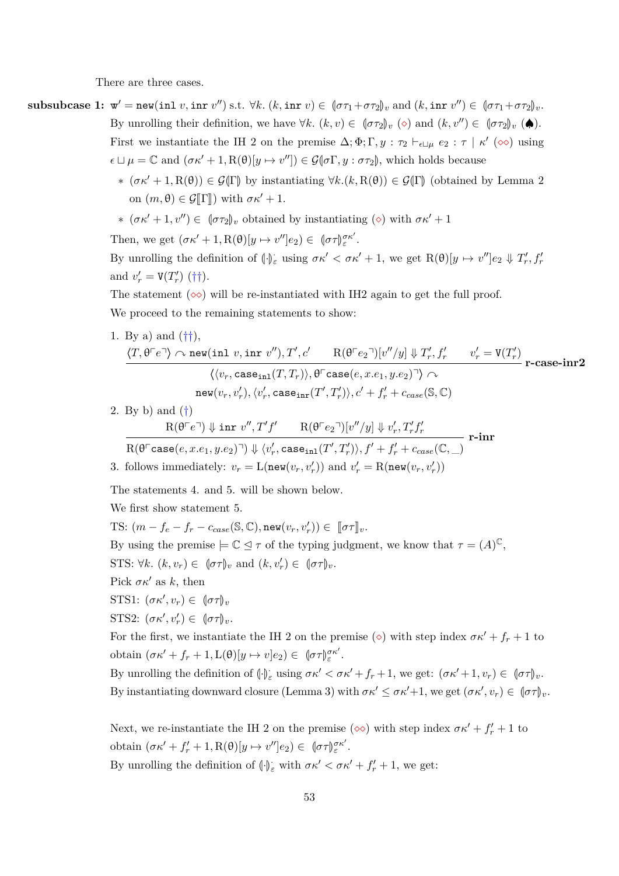There are three cases.

- **subsubcase 1:**  $\mathbf{w}' = \text{new}(\text{inl } v, \text{inr } v'')$  s.t.  $\forall k$ .  $(k, \text{inr } v) \in (\sigma\tau_1 + \sigma\tau_2)_v$  and  $(k, \text{inr } v'') \in (\sigma\tau_1 + \sigma\tau_2)_v$ . By unrolling their definition, we have  $\forall k$ .  $(k, v) \in (\sigma \tau_2)_v$  ( $\diamond$ ) and  $(k, v'') \in (\sigma \tau_2)_v$  ( $\spadesuit$ ). First we instantiate the IH 2 on the premise  $\Delta; \Phi; \Gamma, y : \tau_2 \vdash_{\epsilon \sqcup \mu} e_2 : \tau \mid \kappa' \ (\infty)$  using  $\epsilon \sqcup \mu = \mathbb{C}$  and  $(\sigma \kappa' + 1, R(\theta)[y \mapsto v'']) \in \mathcal{G}(\sigma \Gamma, y : \sigma \tau_2)$ , which holds because
	- $\ast (\sigma \kappa' + 1, R(\theta)) \in \mathcal{G}(\Gamma)$  by instantiating ∀*k*.(*k*, R( $\theta$ )) ∈  $\mathcal{G}(\Gamma)$  (obtained by Lemma [2](#page-17-0) on  $(m, \theta) \in \mathcal{G}[\![\Gamma]\!]$  with  $\sigma \kappa' + 1$ .
	- $\ast (\sigma \kappa' + 1, v'') \in (\sigma \tau_2)_v$  obtained by instantiating (◇) with  $\sigma \kappa' + 1$

Then, we get  $(\sigma \kappa' + 1, R(\theta)[y \mapsto v'']e_2) \in [\sigma \tau]_{\varepsilon}^{\sigma \kappa'}.$ 

By unrolling the definition of  $\langle \cdot \rangle_{\varepsilon}$  using  $\sigma \kappa' < \sigma \kappa' + 1$ , we get  $R(\theta)[y \mapsto v'']e_2 \Downarrow T'_r, f'_r$ and  $v'_r = V(T'_r)$  (††).

The statement  $(\infty)$  will be re-instantiated with IH2 again to get the full proof.

We proceed to the remaining statements to show:

1. By a) and  $(\dagger\dagger)$ ,

$$
\frac{\langle T, \theta^\top e^\top \rangle \curvearrowright \text{new}( \text{inl } v, \text{inr } v''), T', c' \qquad \text{R}(\theta^\top e_2^\top)[v''/y] \Downarrow T'_r, f'_r \qquad v'_r = \text{V}(T'_r)}{\langle \langle v_r, \text{case}_{\text{inl}}(T, T_r) \rangle, \theta^\top \text{case}(e, x.e_1, y.e_2)^\top \rangle \curvearrowright \qquad \text{new}(v_r, v'_r), \langle v'_r, \text{case}_{\text{inr}}(T', T'_r) \rangle, c' + f'_r + c_{case}(\mathbb{S}, \mathbb{C})}
$$

2. By b) and (†)

$$
\frac{\mathrm R(\theta\ulcorner e\urcorner)\Downarrow\mathrm{inr}\;v'',T'f'\quad \mathrm R(\theta\ulcorner e_2\urcorner)[v''/y]\Downarrow v'_r,T'_rf'_r}{\mathrm R(\theta\ulcorner \mathrm{case}(e,x.e_1,y.e_2)\urcorner)\Downarrow\langle v'_r,\mathrm{case}_{\mathrm{inl}}(T',T'_r)\rangle,f'+f'_r+c_{case}(\mathbb C,\_)}\text{r-inr}
$$
3. follows immediately: 
$$
v_r=\mathrm L(\mathrm{new}(v_r,v'_r))\text{ and }v'_r=\mathrm R(\mathrm{new}(v_r,v'_r))
$$

The statements 4. and 5. will be shown below.

We first show statement 5.

TS:  $(m - f_e - f_r - c_{case}(\mathbb{S}, \mathbb{C}), \text{new}(v_r, v'_r)) \in [\![\sigma \tau]\!]_v.$ 

By using the premise  $\models \mathbb{C} \trianglelefteq \tau$  of the typing judgment, we know that  $\tau = (A)^{\mathbb{C}}$ ,

- STS:  $\forall k. (k, v_r) \in (\sigma \tau)_v$  and  $(k, v'_r) \in (\sigma \tau)_v$ .
- Pick  $\sigma \kappa'$  as *k*, then
- STS1:  $(\sigma \kappa', v_r) \in (\sigma \tau)_v$
- STS2:  $(\sigma \kappa', v'_r) \in (\sigma \tau)_v$ .

For the first, we instantiate the IH 2 on the premise ( $\diamond$ ) with step index  $\sigma \kappa' + f_r + 1$  to obtain  $(\sigma \kappa' + f_r + 1, L(\theta)[y \mapsto v]e_2) \in [\sigma \tau]_{\varepsilon}^{\sigma \kappa'}.$ 

By unrolling the definition of  $\langle \cdot \rangle_{\varepsilon}$  using  $\sigma \kappa' < \sigma \kappa' + f_r + 1$ , we get:  $(\sigma \kappa' + 1, v_r) \in (\sigma \tau)_{\nu}$ . By instantiating downward closure (Lemma [3\)](#page-19-0) with  $\sigma \kappa' \leq \sigma \kappa' + 1$ , we get  $(\sigma \kappa', v_r) \in (\sigma \tau)_v$ .

Next, we re-instantiate the IH 2 on the premise  $(\infty)$  with step index  $\sigma \kappa' + f'_r + 1$  to obtain  $(\sigma \kappa' + f'_r + 1, R(\theta)[y \mapsto v'']e_2) \in [\sigma \tau]_{\varepsilon}^{\sigma \kappa'}.$ By unrolling the definition of  $\left(\frac{1}{c}\right)_{\varepsilon}$  with  $\sigma \kappa' < \sigma \kappa' + f'_r + 1$ , we get: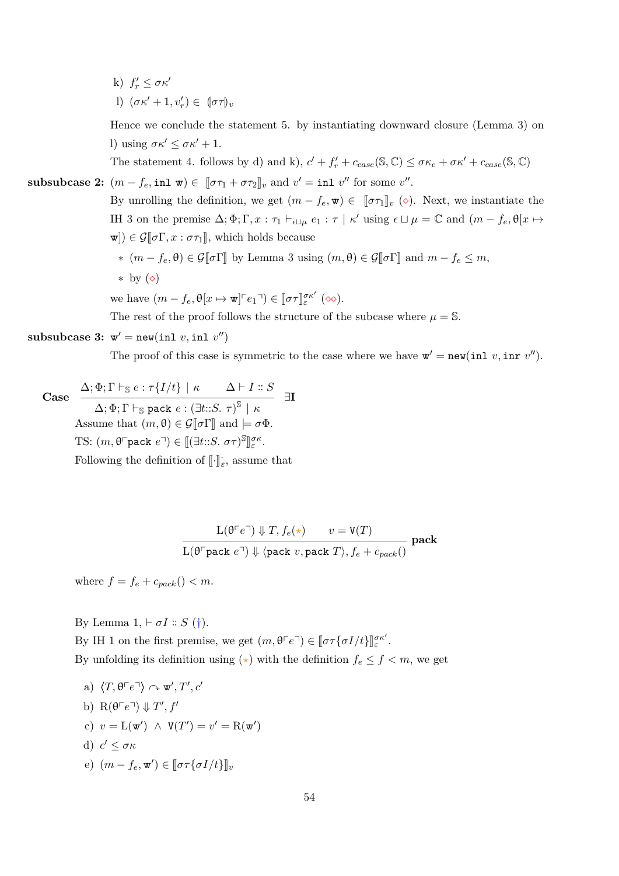k)  $f'_r \leq \sigma \kappa'$ l)  $(\sigma \kappa' + 1, v'_r) \in (\sigma \tau)_v$ 

Hence we conclude the statement 5. by instantiating downward closure (Lemma [3\)](#page-19-0) on l) using  $\sigma \kappa' \leq \sigma \kappa' + 1$ .

The statement 4. follows by d) and k),  $c' + f'_r + c_{case}(\mathbb{S}, \mathbb{C}) \leq \sigma \kappa_e + \sigma \kappa' + c_{case}(\mathbb{S}, \mathbb{C})$ 

**subsubcases 2:** 
$$
(m - f_e, \text{inl } \mathbf{w}) \in [\![\sigma \tau_1 + \sigma \tau_2]\!]_v
$$
 and  $v' = \text{inl } v''$  for some  $v''$ .

By unrolling the definition, we get  $(m - f_e, \mathbf{w}) \in [\![\sigma \tau_1]\!]_v$  ( $\diamond$ ). Next, we instantiate the IH 3 on the premise  $\Delta; \Phi; \Gamma, x : \tau_1 \vdash_{\epsilon \sqcup \mu} e_1 : \tau \mid \kappa'$  using  $\epsilon \sqcup \mu = \mathbb{C}$  and  $(m - f_e, \theta[x \mapsto \epsilon']$  $\mathbf{w}$ )  $\in \mathcal{G}[\![\sigma\Gamma, x:\sigma\tau_1]\!]$ , which holds because

∗  $(m - f_e, θ) ∈ G[σΓ]$  by Lemma [3](#page-19-0) using  $(m, θ) ∈ G[σΓ]$  and  $m - f_e ≤ m$ , ∗ by  $($ 

we have  $(m - f_e, \theta[x \mapsto \mathbf{w}]^{\tau} e_1^{\tau}) \in [\![\sigma \tau]\!]_{\varepsilon}^{\sigma \kappa'}(\infty)$ .

The rest of the proof follows the structure of the subcase where  $\mu = \mathbb{S}$ .

# $\textbf{subsubcase 3: } \mathbf{w}' = \texttt{new}(\texttt{inl } v, \texttt{inl } v'')$

The proof of this case is symmetric to the case where we have  $\mathbf{w}' = \text{new}(i \text{nl } v, i \text{nr } v'')$ .

**Case**  $\Delta; \Phi; \Gamma \vdash_{\mathbb{S}} e : \tau\{I/t\} \mid \kappa \qquad \Delta \vdash I :: S$  $\Delta; \Phi; \Gamma \vdash_{\mathbb{S}} \texttt{pack}\ e: (\exists t{::}S.\ \tau)^{\mathbb{S}} \mid \kappa$ ∃**I** Assume that  $(m, \theta) \in \mathcal{G}[\![\sigma]\!]$  and  $\models \sigma \Phi$ . TS:  $(m, \theta^{\top} \text{pack } e^{\top}) \in [[\exists t::S. \ \sigma\tau)^{\mathbb{S}}]$ l<br>I *σκ ε* .

Following the definition of  $\lbrack\! \lbrack\cdot\lbrack\! \rbrack_{\varepsilon},$  assume that

 $L(\theta \ulcorner e \urcorner) \Downarrow T, f_e(\star) \qquad v = V(T)$  $L(\theta^{\top}$ pack  $e^{\top}) \Downarrow \langle$ pack  $v,$  pack  $T \rangle, f_e + c_{pack}()$ **pack**

where  $f = f_e + c_{pack}$  ()  $< m$ .

By Lemma  $1, \vdash \sigma I :: S$  $1, \vdash \sigma I :: S$  (†). By IH 1 on the first premise, we get  $(m, \theta \ulcorner e \urcorner) \in [\![\sigma \tau \{\sigma I/t\}]_{\varepsilon}^{\sigma \kappa'}$ . By unfolding its definition using  $(\star)$  with the definition  $f_e \leq f < m$ , we get

a)  $\langle T, \theta \ulcorner e \urcorner \rangle \curvearrowright \mathbf{w}', T', c'$ b)  $R(\theta \ulcorner e \urcorner) \Downarrow T', f'$ c)  $v = L(\mathbf{w}') \land V(T') = v' = R(\mathbf{w}')$ d)  $c' \leq \sigma \kappa$  $(e)$   $(m - f_e, \mathbf{w}') \in [\![\sigma \tau \{\sigma I/t\}]\!]_v$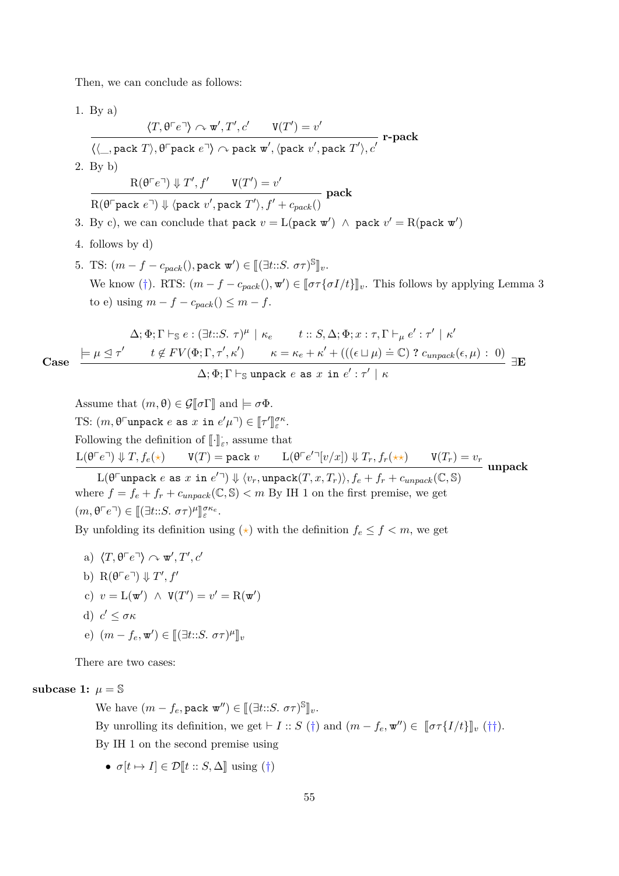Then, we can conclude as follows:

1. By a)  $\langle T, \theta \ulcorner e \urcorner \rangle \curvearrowright \mathbf{w}', T', c'$   $\qquad \mathbf{V}(T') = v'$  $\langle \langle \_\ , \text{pack } T \rangle, \theta \ulcorner \text{pack } e \urcorner \rangle \curvearrowright \text{pack } \text{w}', \langle \text{pack } v', \text{pack } T' \rangle, c'$ **r-pack** 2. By b)  $R(\theta \ulcorner e \urcorner) \Downarrow T', f' \qquad V(T') = v'$  $R(\theta \cap \text{pack } e^{\square}) \Downarrow \langle \text{pack } v', \text{pack } T' \rangle, f' + c_{pack}()$ **pack** 3. By c), we can conclude that pack  $v = L(\text{pack } w') \land \text{pack } v' = R(\text{pack } w')$ 4. follows by d) 5. TS:  $(m - f - c_{pack}(), \text{pack } \mathbf{w}') \in [[(\exists t::S. \ \sigma \tau)^{\mathbb{S}}]_{v}.$ We know (†). RTS:  $(m - f - c_{pack}(), \mathbf{w}') \in [\![\sigma \tau \{\sigma I/t\}]\!]_v$ . This follows by applying Lemma [3](#page-19-0)  $\text{to } e$ ) using  $m - f - c_{pack}$  ()  $\leq m - f$ . **Case**  $\Delta; \Phi; \Gamma \vdash_{\mathbb{S}} e : (\exists t : S. \ \tau)^{\mu} \mid \kappa_e \quad t :: S, \Delta; \Phi; x : \tau, \Gamma \vdash_{\mu} e' : \tau' \mid \kappa'$  $\models \mu \leq \tau'$   $t \notin FV(\Phi; \Gamma, \tau', \kappa')$   $\kappa = \kappa_e + \kappa' + (((\epsilon \sqcup \mu) \doteq \mathbb{C})$ ?  $c_{unpack}(\epsilon, \mu) : 0)$  $\Delta; \Phi; \Gamma \vdash_{\mathbb{S}} \mathtt{unpack}\ e\ \mathtt{as}\ x\ \mathtt{in}\ e' : \tau'\mid \kappa$ ∃**E** Assume that  $(m, \theta) \in \mathcal{G}[\![\sigma\Gamma]\!]$  and  $\models \sigma\Phi$ .

TS:  $(m, \theta^{\text{T}}$ unpack *e* as  $x \text{ in } e' \mu^{\text{T}}) \in [\![ \tau' ]\!]$ l<br>I *σκ ε* . Following the definition of  $\llbracket \cdot \rrbracket_{\varepsilon}$ , assume that  $L(\theta^\top e^\top) \Downarrow T, f_e(\star)$   $V(T) = \text{pack } v$   $L(\theta^\top e'^\top [v/x]) \Downarrow T_r, f_r(\star \star)$   $V(T_r) = v_r$  $L(\theta^{\Box}$ unpack  $e$  as  $x$  in  $e^{\prime\Box}) \Downarrow \langle v_r,$ unpack $(T, x, T_r) \rangle, f_e + f_r + c_{unpack}(\mathbb{C}, \mathbb{S})$ **unpack**

where  $f = f_e + f_r + c_{unpack}(\mathbb{C}, \mathbb{S}) < m$  By IH 1 on the first premise, we get  $(m, \theta \ulcorner e \urcorner) \in [[\exists t :: S. \ \sigma \tau)^\mu$ l<br>I *σκe ε* .

By unfolding its definition using  $(\star)$  with the definition  $f_e \leq f < m$ , we get

a)  $\langle T, \theta \ulcorner e \urcorner \rangle \curvearrowright \mathbf{w}', T', c'$ b)  $R(\theta \ulcorner e \urcorner) \Downarrow T', f'$ c)  $v = L(\mathbf{w}') \land V(T') = v' = R(\mathbf{w}')$ d)  $c' \leq \sigma \kappa$  $(e)$   $(m - f_e, \mathbf{w}') \in [[\exists t::S. \ \sigma\tau)^{\mu}]_v$ 

There are two cases:

### **subcase 1:**  $\mu = \mathbb{S}$

We have  $(m - f_e, \texttt{pack} \mathbf{w}'') \in [[(\exists t::S. \sigma \tau)^{\mathbb{S}}]_v$ . By unrolling its definition, we get  $\vdash I :: S(\dagger)$  and  $(m - f_e, \mathbf{w}'') \in [\![\sigma \tau\{I/t\}]\!]_v(\dagger\dagger).$ By IH 1 on the second premise using

•  $\sigma[t \mapsto I] \in \mathcal{D}[t : : S, \Delta]$  using  $(\dagger)$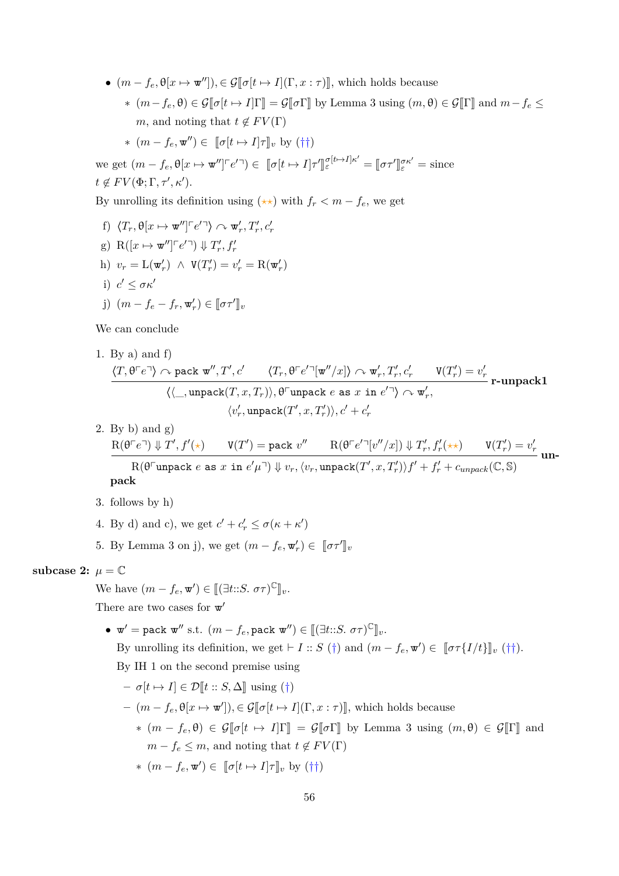- $(m f_e, \theta[x \mapsto \mathbf{w}^{\prime\prime}])$ *,*  $\in \mathcal{G}[\![\sigma[t \mapsto I](\Gamma, x : \tau)]\!]$ *,* which holds because  $*(m - f_e, \theta) \in \mathcal{G}[\![\sigma[t \mapsto I]\!] \equiv \mathcal{G}[\![\sigma\Gamma]\!]$  by Lemma [3](#page-19-0) using  $(m, \theta) \in \mathcal{G}[\![\Gamma]\!]$  and  $m - f_e \leq$ *m*, and noting that  $t \notin FV(\Gamma)$ 
	- $*(m f_e, \mathbf{w}'') \in [\![\sigma[t \mapsto I]\!] \tau \rrbracket_v$  by  $(\dagger \dagger)$

we get  $(m - f_e, \theta[x \mapsto \mathbf{w}^{\prime\prime}] \in e^{r \cdot \mathbf{a}}) \in [\![\sigma[t \mapsto I]\!] \infty$ ll.<br>L  $\int_{\varepsilon}^{\sigma[t\mapsto I]\kappa'}$  =  $\llbracket \sigma\tau' \rrbracket$  $e^{\sigma \kappa'} = \text{since}$  $t \notin FV(\Phi; \Gamma, \tau', \kappa').$ 

By unrolling its definition using  $(\star\star)$  with  $f_r < m - f_e$ , we get

f)  $\langle T_r, \theta[x \mapsto \mathbf{w}''] \, \negthinspace \ulcorner \, e' \, \urcorner \rangle \curvearrowright \mathbf{w}'_r, T'_r, c'_r$ g)  $R([x \mapsto \mathbf{w}''] \ulcorner e' \urcorner) \Downarrow T'_r, f'_r$ h)  $v_r = \mathcal{L}(\mathbf{w}'_r) \land \mathbf{V}(T'_r) = v'_r = \mathcal{R}(\mathbf{w}'_r)$ i)  $c' \leq \sigma \kappa'$ j)  $(m - f_e - f_r, \mathbf{w}'_r) \in [\![\sigma \tau']\!]_v$ 

We can conclude

1. By a) and f)  
\n
$$
\frac{\langle T, \theta^\Gamma e^\neg \rangle \curvearrowright \text{pack } \mathbf{w}'', T', c' \qquad \langle T_r, \theta^\Gamma e'^\neg[\mathbf{w}''/x] \rangle \curvearrowright \mathbf{w}'_r, T'_r, c'_r \qquad \mathbf{V}(T'_r) = v'_r}{\langle \langle \_, \text{unpack}(T, x, T_r) \rangle, \theta^\Gamma \text{unpack } e \text{ as } x \text{ in } e'^\neg \rangle \curvearrowright \mathbf{w}'_r,}
$$
\n
$$
\langle v'_r, \text{unpack}(T', x, T'_r) \rangle, c' + c'_r
$$

2. By b) and  $g$ )  $\mathrm{R}(\theta\ulcorner e\urcorner)\Downarrow T',f'(\star) \qquad \mathrm{V}(T')=\texttt{pack}\,\, v'' \qquad \mathrm{R}(\theta\ulcorner e'\urcorner[v''/x])\Downarrow T'_r, f'_r(\star\star) \qquad \mathrm{V}(T'_r)=v'_r$  $R(\theta^{\Box}$ unpack  $e$  as  $x$  in  $e'\mu^{\Box}) \Downarrow v_r, \langle v_r, \text{unpack}(T', x, T'_r) \rangle f' + f'_r + c_{unpack}(\mathbb{C}, \mathbb{S})$ **unpack**

- 3. follows by h)
- 4. By d) and c), we get  $c' + c'_r \leq \sigma(\kappa + \kappa')$
- 5. By Lemma [3](#page-19-0) on j), we get  $(m f_e, \mathbf{w}'_r) \in [\![\sigma \tau']\!]_v$

**subcase 2:**  $\mu = \mathbb{C}$ 

We have  $(m - f_e, \mathbf{w}') \in [[(\exists t::S. \ \sigma\tau)^{\mathbb{C}}]_v$ . There are two cases for  $\mathbf{w}'$ 

•  $\mathbf{w}' = \texttt{pack} \ \mathbf{w}'' \text{ s.t. } (m - f_e, \texttt{pack} \ \mathbf{w}'') \in [[(\exists t::S. \ \sigma \tau)^{\mathbb{C}}]_v.$ 

By unrolling its definition, we get  $\vdash I :: S(\dagger)$  and  $(m - f_e, \mathbf{w}') \in [\![\sigma \tau\{I/t\}]\!]_v(\dagger\dagger)$ . By IH 1 on the second premise using

 $-\sigma[t \mapsto I] \in \mathcal{D}[t : S, \Delta]$  using (†)

$$
-(m - f_e, \theta[x \mapsto \mathbf{w}']) \in \mathcal{G}[\![\sigma[t \mapsto I](\Gamma, x : \tau)]\!],
$$
 which holds because  
\n
$$
*(m - f_e, \theta) \in \mathcal{G}[\![\sigma[t \mapsto I]\Gamma]\!] = \mathcal{G}[\![\sigma\Gamma]\!]
$$
 by Lemma 3 using  $(m, \theta) \in \mathcal{G}[\![\Gamma]\!]$  and  
\n $m - f_e \leq m$ , and noting that  $t \notin FV(\Gamma)$   
\n
$$
*(m - f_e, \mathbf{w}') \in [\![\sigma[t \mapsto I]\tau]\!]_v
$$
 by  $(\dagger \dagger)$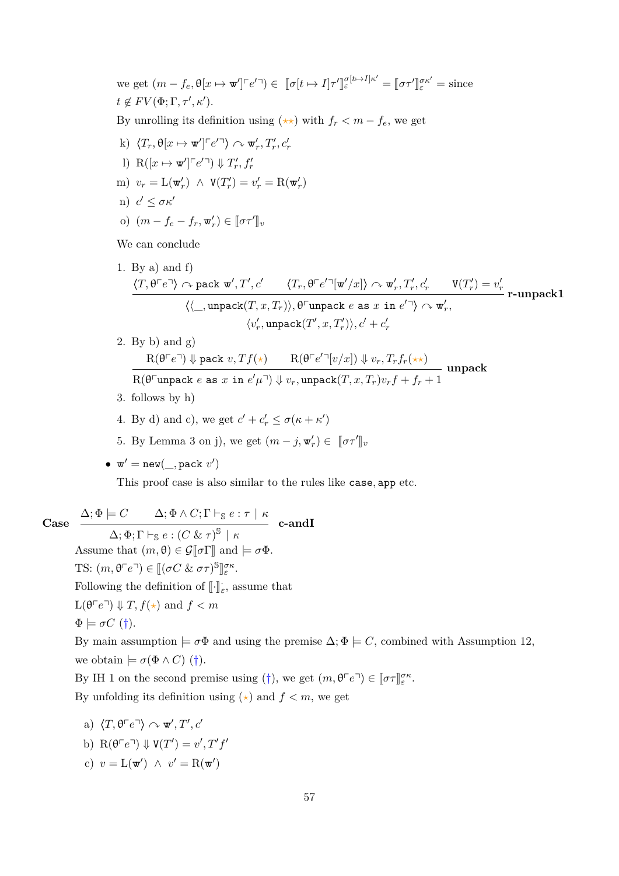we get  $(m - f_e, \theta[x \mapsto \mathbf{w}'] \ulcorner e' \urcorner) \in [\![\sigma[t \mapsto I]\!] \tau'$ l<br>I  $\int_{\varepsilon}^{\sigma[t\mapsto I]\kappa'}$  =  $\llbracket \sigma\tau' \rrbracket$  $e^{\sigma \kappa'} = \text{since}$  $t \notin FV(\Phi; \Gamma, \tau', \kappa').$ By unrolling its definition using  $(\star \star)$  with  $f_r < m - f_e$ , we get k)  $\langle T_r, \theta[x \mapsto \mathbf{w}'] \rceil e^{r} \rangle \sim \mathbf{w}'_r, T'_r, c'_r$ l)  $R([x \mapsto \mathbf{w}'] \ulcorner e' \urcorner) \Downarrow T'_r, f'_r$  $v_r = L(\mathbf{w}'_r) \land V(T'_r) = v'_r = R(\mathbf{w}'_r)$  $n)$  *c'* ≤ *σκ' o*)  $(m - f_e - f_r, w'_r) \in [\sigma \tau']_v$ 

We can conclude

1. By a) and f)  
\n
$$
\frac{\langle T, \theta^{\Gamma} e^{\Gamma} \rangle \curvearrowright \text{pack } \mathbf{w}', T', c' \qquad \langle T_r, \theta^{\Gamma} e'^{\Gamma} [\mathbf{w}'/x] \rangle \curvearrowright \mathbf{w}'_r, T'_r, c'_r \qquad \mathbf{V}(T'_r) = v'_r}{\langle \langle \_, \text{unpack}(T, x, T_r) \rangle, \theta^{\Gamma} \text{unpack } e \text{ as } x \text{ in } e'^{\Gamma} \rangle \curvearrowright \mathbf{w}'_r,}
$$
\n
$$
\langle v'_r, \text{unpack}(T', x, T'_r) \rangle, c' + c'_r
$$

- 2. By b) and g)  $R(\theta^{\top}e^{\top}) \Downarrow$  pack  $v, Tf(\star)$   $R(\theta^{\top}e'^{\top}[v/x]) \Downarrow v_r, T_rf_r(\star \star)$  $R(\theta^{\Box}$ unpack  $e$  as  $x$  in  $e'\mu^{\Box}) \Downarrow v_r$ , unpack $(T, x, T_r)v_r f + f_r + 1$ **unpack**
- 3. follows by h)
- 4. By d) and c), we get  $c' + c'_r \leq \sigma(\kappa + \kappa')$
- 5. By Lemma [3](#page-19-0) on j), we get  $(m j, \mathbf{w}'_r) \in [\![\sigma \tau']\!]_v$

$$
\bullet \ \mathbf{w}' = \mathtt{new}(\_, \mathtt{pack}\ v')
$$

This proof case is also similar to the rules like case*,* app etc.

**Case**  $\Delta; \Phi \models C$   $\Delta; \Phi \wedge C; \Gamma \vdash_{\mathbb{S}} e : \tau \mid \kappa$  $(\Delta; \Phi; \Gamma \vdash_{\mathbb{S}} e : (C \& \tau)^{\mathbb{S}} \mid \kappa)$ **c-andI** Assume that  $(m, \theta) \in \mathcal{G}[\![\sigma]\!]$  and  $\models \sigma \Phi$ . TS:  $(m, \theta \ulcorner e \urcorner) \in [(\sigma C \& \sigma \tau)^{\mathbb{S}}$ ll<br>. *σκ ε* . Following the definition of  $\lbrack\! \lbrack\cdot\lbrack\! \rbrack_{\varepsilon},$  assume that  $L(\theta \ulcorner e \urcorner) \Downarrow T$ ,  $f(\star)$  and  $f < m$  $\Phi \models \sigma C$  (†). By main assumption  $\models \sigma \Phi$  and using the premise  $\Delta; \Phi \models C$ , combined with Assumption [12,](#page-30-0) we obtain  $\models \sigma(\Phi \wedge C)$  (†). By IH 1 on the second premise using (†), we get  $(m, \theta \ulcorner e \urcorner) \in [\![\sigma \tau]\!]_{\varepsilon}^{\sigma \kappa}$ .

By unfolding its definition using  $(\star)$  and  $f < m$ , we get

- a)  $\langle T, \theta \ulcorner e \urcorner \rangle \curvearrowright \mathbf{w}', T', c'$ b)  $R(\theta \ulcorner e \urcorner) \Downarrow V(T') = v', T'f'$
- c)  $v = \mathcal{L}(\mathbf{w}') \land v' = \mathcal{R}(\mathbf{w}')$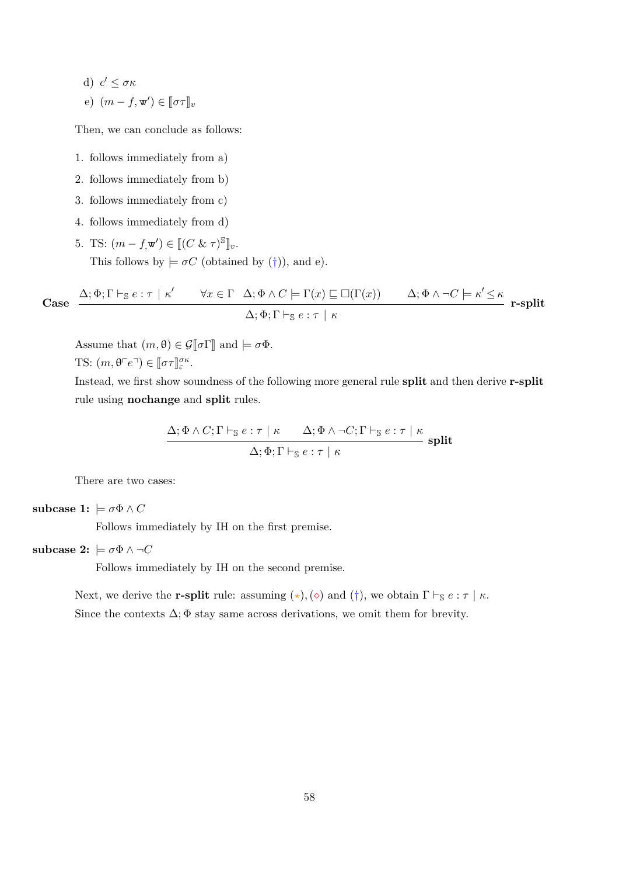d)  $c' \leq \sigma \kappa$ e)  $(m - f, \mathbf{w}') \in [\![\sigma \tau]\!]_v$ 

Then, we can conclude as follows:

- 1. follows immediately from a)
- 2. follows immediately from b)
- 3. follows immediately from c)
- 4. follows immediately from d)
- 5. TS:  $(m f, \mathbf{w}') \in [[(C \& \tau)^{\mathbb{S}}]_{v}.$ This follows by  $\models \sigma C$  (obtained by (†)), and e).

Case 
$$
\frac{\Delta; \Phi; \Gamma \vdash_{\mathbb{S}} e : \tau \mid \kappa' \qquad \forall x \in \Gamma \quad \Delta; \Phi \land C \models \Gamma(x) \sqsubseteq \Box(\Gamma(x)) \qquad \Delta; \Phi \land \neg C \models \kappa' \leq \kappa}{\Delta; \Phi; \Gamma \vdash_{\mathbb{S}} e : \tau \mid \kappa} \ \text{r-split}
$$

Assume that  $(m, \theta) \in \mathcal{G}[\![\sigma\Gamma]\!]$  and  $\models \sigma\Phi$ . TS:  $(m, \theta \ulcorner e \urcorner) \in [\![\sigma \tau]\!]_{\varepsilon}^{\sigma \kappa}$ .

Instead, we first show soundness of the following more general rule **split** and then derive **r-split** rule using **nochange** and **split** rules.

$$
\frac{\Delta; \Phi \wedge C; \Gamma \vdash_{\mathbb{S}} e : \tau \mid \kappa \qquad \Delta; \Phi \wedge \neg C; \Gamma \vdash_{\mathbb{S}} e : \tau \mid \kappa}{\Delta; \Phi; \Gamma \vdash_{\mathbb{S}} e : \tau \mid \kappa} \text{ split}
$$

There are two cases:

#### subcase 1:  $\models \sigma \Phi \wedge C$

Follows immediately by IH on the first premise.

#### **subcase 2:**  $\models \sigma \Phi \land \neg C$

Follows immediately by IH on the second premise.

Next, we derive the **r-split** rule: assuming  $(\star)$ ,  $(\diamond)$  and  $(\dagger)$ , we obtain  $\Gamma \vdash_{\mathbb{S}} e : \tau \mid \kappa$ . Since the contexts  $\Delta$ ;  $\Phi$  stay same across derivations, we omit them for brevity.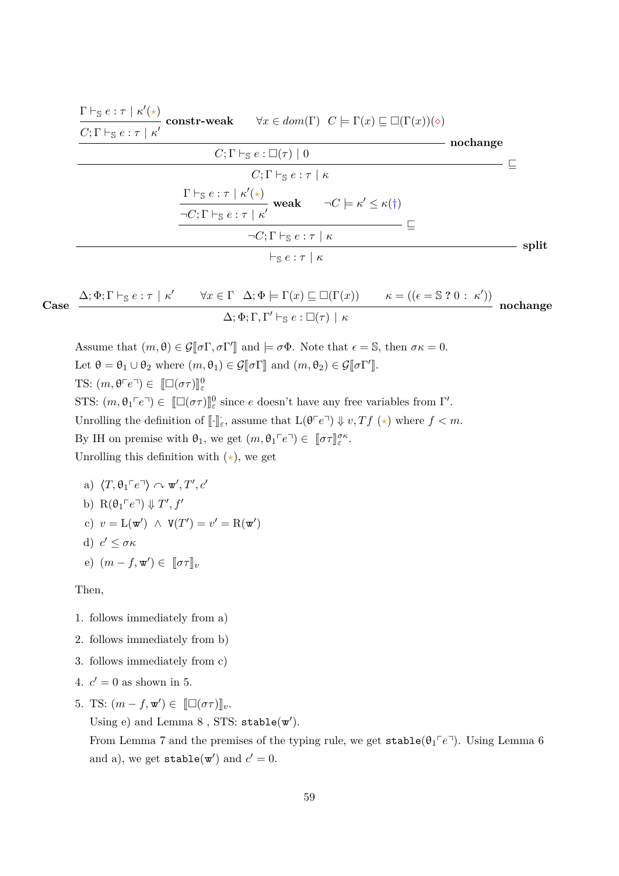| $\frac{\Gamma\vdash_{\mathbb{S}} e:\tau\mid\kappa'(\star)}{C;\Gamma\vdash_{\mathbb{S}} e:\tau\mid\kappa'}\ \text{constr-weak}\qquad\forall x\in dom(\Gamma)\ \ C\models\Gamma(x)\sqsubseteq\Box(\Gamma(x))(\diamond)$ |          |
|-----------------------------------------------------------------------------------------------------------------------------------------------------------------------------------------------------------------------|----------|
| $C; \Gamma \vdash_{\mathbb{S}} e : \Box(\tau) \mid 0$                                                                                                                                                                 | nochange |
| $C; \Gamma \vdash_{\mathbb{S}} e : \tau \mid \kappa$                                                                                                                                                                  |          |
| $\frac{\Gamma\vdash_{\mathbb{S}}e:\tau\mid\kappa'(\star)}{\neg C;\Gamma\vdash_{\mathbb{S}}e:\tau\mid\kappa'}\text{ weak}\qquad\neg C\models\kappa'\leq\kappa(\dagger)$                                                |          |
| $\neg C; \Gamma \vdash_{\mathbb{S}} e : \tau \mid \kappa$                                                                                                                                                             |          |
| $\vdash_{\mathbb{S}} e : \tau \mid \kappa$                                                                                                                                                                            | split    |

Case 
$$
\frac{\Delta; \Phi; \Gamma \vdash_{\mathbb{S}} e : \tau \mid \kappa' \qquad \forall x \in \Gamma \quad \Delta; \Phi \models \Gamma(x) \sqsubseteq \Box(\Gamma(x)) \qquad \kappa = ((\epsilon = \mathbb{S} \ ? \ 0 \ : \ \kappa'))}{\Delta; \Phi; \Gamma, \Gamma' \vdash_{\mathbb{S}} e : \Box(\tau) \mid \kappa} \quad \text{nochange}
$$

Assume that  $(m, \theta) \in \mathcal{G}[\![\sigma\Gamma, \sigma\Gamma']\!]$  and  $\models \sigma\Phi$ . Note that  $\epsilon = \mathbb{S}$ , then  $\sigma\kappa = 0$ . Let  $\theta = \theta_1 \cup \theta_2$  where  $(m, \theta_1) \in \mathcal{G}[\![\sigma\Gamma]\!]$  and  $(m, \theta_2) \in \mathcal{G}[\![\sigma\Gamma']\!]$ . TS:  $(m, \theta^{\top}e^{\top}) \in [\Box(\sigma\tau)]_{\varepsilon}^{0}$ STS:  $(m, \theta_1 \ulcorner e \urcorner) \in [\Box(\sigma \tau)]_e^0$  since *e* doesn't have any free variables from Γ'. Unrolling the definition of  $\llbracket \cdot \rrbracket_{\varepsilon}$ , assume that  $L(\theta^{\lceil} e^{\lceil} \pi) \Downarrow v, Tf \rightsquigarrow$  where  $f < m$ . By IH on premise with  $\theta_1$ , we get  $(m, \theta_1 \ulcorner e \urcorner) \in [\![\sigma \tau]\!]_{\varepsilon}^{\sigma \kappa}$ . Unrolling this definition with  $(\star)$ , we get

a)  $\langle T, \theta_1 \ulcorner e \urcorner \rangle \curvearrowright \mathbf{w}', T', c'$ b)  $R(\theta_1 \ulcorner e \urcorner) \Downarrow T', f'$ c)  $v = L(\mathbf{w}') \land V(T') = v' = R(\mathbf{w}')$ d)  $c' \leq \sigma \kappa$ e)  $(m - f, \mathbf{w}') \in [\![\sigma \tau]\!]_v$ 

Then,

- 1. follows immediately from a)
- 2. follows immediately from b)
- 3. follows immediately from c)
- 4.  $c' = 0$  as shown in 5.
- 5. TS:  $(m f, \mathbf{w}') \in [\Box(\sigma \tau)]_v$ .

Using  $e)$  and Lemma  $8$ , STS: stable $(w')$ .

From Lemma [7](#page-20-1) and the premises of the typing rule, we get  $stable(\theta_1 \in \mathbb{P})$ . Using Lemma [6](#page-20-2) and a), we get  $\texttt{stable}(\mathbf{w}')$  and  $c' = 0$ .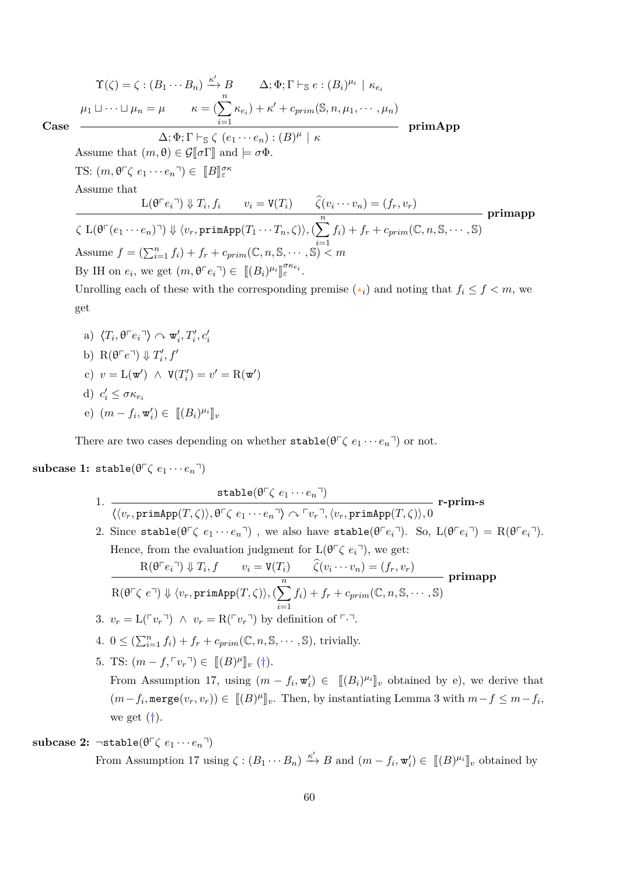**Case**  $\Upsilon(\zeta) = \zeta : (B_1 \cdots B_n) \stackrel{\kappa'}{\rightarrow} B$   $\Delta; \Phi; \Gamma \vdash_{\mathbb{S}} e : (B_i)^{\mu_i} \mid \kappa_{e_i}$  $\mu_1 \sqcup \cdots \sqcup \mu_n = \mu \qquad \kappa = (\sum^n)$ *i*=1  $\kappa_{e_i}$ ) +  $\kappa'$  +  $c_{prim}(\mathbb{S}, n, \mu_1, \cdots, \mu_n)$  $\Delta; \Phi; \Gamma \vdash_{\mathbb{S}} \zeta (e_1 \cdots e_n) : (B)^{\mu} \mid \kappa$ **primApp** Assume that  $(m, \theta) \in \mathcal{G}[\![\sigma]\!]$  and  $\models \sigma \Phi$ . TS:  $(m, \theta^{\top} \zeta \ e_1 \cdots e_n^{\top}) \in [B]_{\varepsilon}^{\sigma \kappa}$ Assume that  $L(\theta^{\top}e_i^{\top}) \Downarrow T_i, f_i \qquad v_i = V(T_i) \qquad \widehat{\zeta}(v_i \cdots v_n) = (f_r, v_r)$  $\overline{\zeta}$  L( $\theta^{\top}(e_1 \cdots e_n)$   $\exists$ )  $\Downarrow \langle v_r,$  primApp $(T_1 \cdots T_n, \zeta) \rangle$ ,  $(\sum^n_{n=1}^n \zeta)$ *i*=1  $f_i$  +  $f_r$  +  $c_{prim}(\mathbb{C}, n, \mathbb{S}, \cdots, \mathbb{S})$ **primapp** Assume  $f = (\sum_{i=1}^{n} f_i) + f_r + c_{prim}(\mathbb{C}, n, \mathbb{S}, \cdots, \mathbb{S})$   $\leq m$ By IH on  $e_i$ , we get  $(m, \theta \ulcorner e_i \urcorner) \in [[(B_i)^{\mu_i}]]_{\varepsilon}^{\sigma \kappa_{e_i}}$ . لا<br>ا Unrolling each of these with the corresponding premise  $(\star_i)$  and noting that  $f_i \leq f \leq m$ , we get

- a)  $\langle T_i, \theta \ulcorner e_i \urcorner \rangle \sim \mathbf{w}'_i, T'_i, c'_i$
- b)  $R(\theta \ulcorner e \urcorner) \Downarrow T_i', f'$
- c)  $v = L(\mathbf{w}') \land V(T'_i) = v' = R(\mathbf{w}')$
- d)  $c'_i \leq \sigma \kappa_{e_i}$
- $(e)$   $(m f_i, \mathbf{w}'_i) \in [[(B_i)^{\mu_i}]]_v$

There are two cases depending on whether  $\text{stable}(\theta^{\top}\zeta e_1 \cdots e_n^{\top})$  or not.

## $\textbf{subcase 1: stable}(\theta^{\top} \zeta \ e_1 \cdots e_n^{\top})$

1.  $\texttt{stable}(\theta^\sqcap \zeta \ e_1 \cdots e_n^\sqcap)$  $\langle \langle v_r, \text{primApp}(T, \zeta) \rangle, \theta^{\top} \zeta \ e_1 \cdots e_n^{\top} \rangle \curvearrowright \ulcorner v_r^{\top}, \langle v_r, \text{primApp}(T, \zeta) \rangle, 0$ **r-prim-s** 2. Since stable( $\theta^{\top} \zeta$   $e_1 \cdots e_n^{\top}$ ), we also have stable( $\theta^{\top} e_i^{\top}$ ). So,  $L(\theta^{\top} e_i^{\top}) = R(\theta^{\top} e_i^{\top})$ . Hence, from the evaluation judgment for  $L(\theta \subset \zeta e_i)$ , we get:  $R(\theta \cap e_i) \Downarrow T_i, f \qquad v_i = V(T_i) \qquad \widehat{\zeta}(v_i \cdots v_n) = (f_r, v_r)$  $\overline{\mathrm{R}(\theta\ulcorner\zeta\;e\urcorner)\Downarrow\langle v_r,\texttt{primApp}(T,\zeta)\rangle,(\sum^n_{\zeta\in\mathcal{C}}\mathcal{V})}$ *i*=1  $f_i$  +  $f_r$  +  $c_{prim}(\mathbb{C}, n, \mathbb{S}, \cdots, \mathbb{S})$ **primapp** 3.  $v_r = \mathcal{L}(\ulcorner v_r \urcorner) \land v_r = \mathcal{R}(\ulcorner v_r \urcorner)$  by definition of  $\ulcorner \urcorner \urcorner$ . 4.  $0 \leq (\sum_{i=1}^n f_i) + f_r + c_{prim}(\mathbb{C}, n, \mathbb{S}, \cdots, \mathbb{S}),$  trivially. 5. TS:  $(m - f, \lceil v_r \rceil) \in [[B]^{\mu}]]_v (\dagger)$ . From Assumption [17,](#page-31-0) using  $(m - f_i, \mathbf{w}'_i) \in [[(B_i)^{\mu_i}]_v$  obtained by e), we derive that  $(m - f_i, \text{merge}(v_r, v_r)) \in \llbracket (B)^{\mu} \rrbracket_v$ . Then, by instantiating Lemma [3](#page-19-0) with  $m - f \leq m - f_i$ , we get  $(\dagger)$ .

## **subcase 2:**  $\neg$ **stable**( $\theta \ulcorner \zeta e_1 \cdots e_n \urcorner$ )

From Assumption [17](#page-31-0) using  $\zeta : (B_1 \cdots B_n) \xrightarrow{\kappa'} B$  and  $(m - f_i, \mathbf{w}'_i) \in [[B]^{\mu_i}]]_v$  obtained by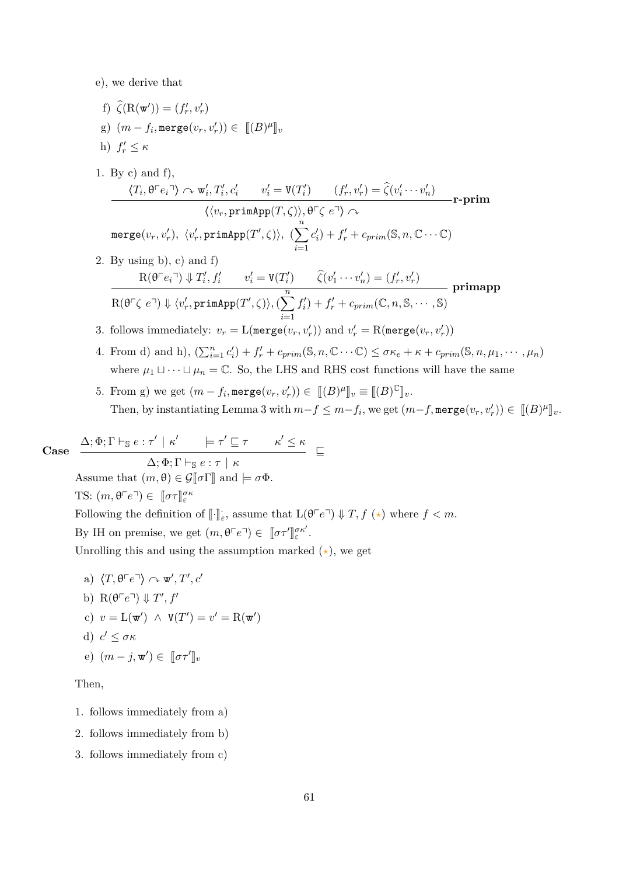e), we derive that

- f)  $\widehat{\zeta}(\mathbf{R}(\mathbf{w}')) = (f'_r, v'_r)$ g)  $(m - f_i, \text{merge}(v_r, v'_r)) \in [[B)^{\mu}]]_v$
- h)  $f'_r \leq \kappa$
- 1. By c) and f),  $\langle T_i, \theta \ulcorner e_i \urcorner \rangle \curvearrowright \mathbf{w}'_i, T'_i, c'_i \qquad v'_i = \mathbf{V}(T'_i) \qquad (f'_r, v'_r) = \hat{\zeta}(v'_i \cdots v'_n)$  $\langle \langle v_r, \text{primApp}(T, \zeta) \rangle, \theta^{\sqsubset} \zeta e^{\sqcap} \rangle \curvearrowright$  $\mathsf{merge}(v_r, v'_r), \; \langle v'_r, \mathsf{primApp}(T', \zeta) \rangle, \; (\sum^n)$  $c'_i$  +  $f'_r$  +  $c_{prim}$  (S,  $n, \mathbb{C} \cdots \mathbb{C}$ ) **r-prim**
- *i*=1 2. By using b), c) and f)  $R(\theta^{\top} e_i^{\top}) \Downarrow T'_i, f'_i \qquad v'_i = V(T'_i) \qquad \hat{\zeta}(v'_1 \cdots v'_n) = (f'_r, v'_r)$  $\overline{\mathrm{R}(\theta^{\texttt{p}}, \zeta \ e^{\texttt{q}})} \Downarrow \langle v_r', \texttt{primApp}(T', \zeta) \rangle, (\sum^{n}_{r})$  $f'_i$  +  $f'_r$  +  $c_{prim}$  ( $\mathbb{C}, n, \mathbb{S}, \cdots, \mathbb{S}$ ) **primapp**
- 3. follows immediately:  $v_r = \text{L}(\texttt{merge}(v_r, v'_r))$  and  $v'_r = \text{R}(\texttt{merge}(v_r, v'_r))$

*i*=1

- 4. From d) and h),  $(\sum_{i=1}^n c'_i) + f'_r + c_{prim}(\mathbb{S}, n, \mathbb{C} \cdots \mathbb{C}) \le \sigma \kappa_e + \kappa + c_{prim}(\mathbb{S}, n, \mu_1, \cdots, \mu_n)$ where  $\mu_1 \sqcup \cdots \sqcup \mu_n = \mathbb{C}$ . So, the LHS and RHS cost functions will have the same
- 5. From g) we get  $(m f_i, \text{merge}(v_r, v'_r)) \in [[B]^{\mu}]]_v \equiv [[B]^{\mathbb{C}}]_v.$ Then, by instantiating Lemma [3](#page-19-0) with  $m-f \leq m-f_i$ , we get  $(m-f, \text{merge}(v_r, v'_r)) \in [(B)^{\mu}]_v$ .

Case 
$$
\frac{\Delta; \Phi; \Gamma \vdash_{\mathbb{S}} e : \tau' \mid \kappa' \models \tau' \sqsubseteq \tau \qquad \kappa' \leq \kappa}{\Delta; \Phi; \Gamma \vdash_{\mathbb{S}} e : \tau \mid \kappa} \sqsubseteq
$$
  
Assume that  $(m, \theta) \in \mathcal{G}[\![\sigma\Gamma]\!]$  and  $\models \sigma\Phi$ .  
TS:  $(m, \theta^{\top}e^{\top}) \in [\![\sigma\tau]\!]_{\varepsilon}^{\sigma\kappa}$   
Following the definition of  $[\![\cdot]\!]_{\varepsilon}$ , assume that  $L(\theta^{\top}e^{\top}) \Downarrow T, f(\star)$  where  $f < m$ .

By IH on premise, we get  $(m, \theta \ulcorner e \urcorner) \in [\![ \sigma \tau' ]\!]$ *σκ*<sup>0</sup> *ε* .

Unrolling this and using the assumption marked  $(\star)$ , we get

a)  $\langle T, \theta \ulcorner e \urcorner \rangle \curvearrowright \mathbf{w}', T', c'$ b)  $R(\theta \ulcorner e \urcorner) \Downarrow T', f'$ c)  $v = L(\mathbf{w}') \land V(T') = v' = R(\mathbf{w}')$ d)  $c' \leq \sigma \kappa$ e)  $(m - j, \mathbf{w}') \in [\![\sigma \tau']\!]_v$ 

Then,

- 1. follows immediately from a)
- 2. follows immediately from b)
- 3. follows immediately from c)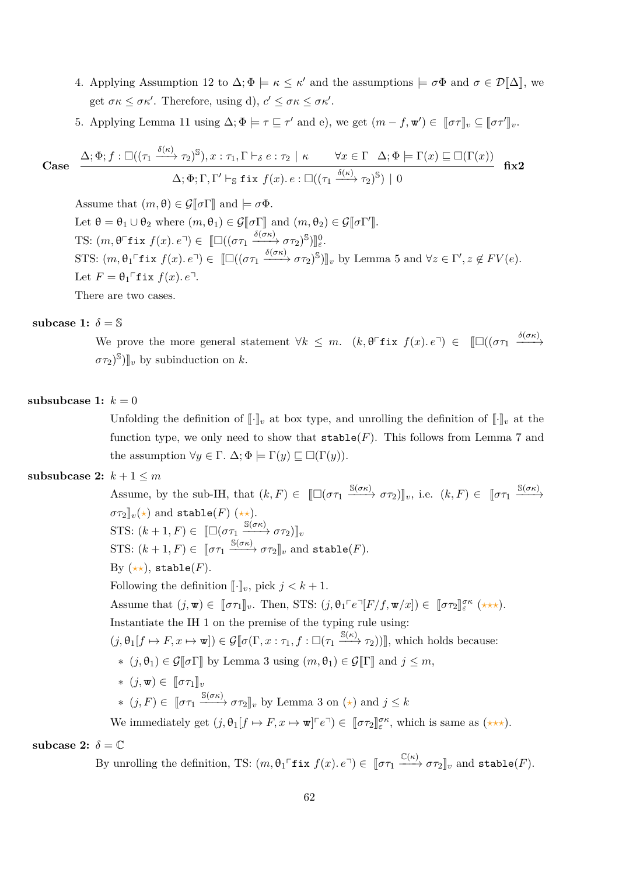- 4. Applying Assumption [12](#page-30-0) to  $\Delta; \Phi \models \kappa \leq \kappa'$  and the assumptions  $\models \sigma \Phi$  and  $\sigma \in \mathcal{D}[\![\Delta]\!]$ , we get  $\sigma \kappa \leq \sigma \kappa'$ . Therefore, using d),  $c' \leq \sigma \kappa \leq \sigma \kappa'$ .
- 5. Applying Lemma [11](#page-22-2) using  $\Delta; \Phi \models \tau \sqsubseteq \tau'$  and e), we get  $(m f, \mathbf{w}') \in [\![\sigma \tau]\!]_v \subseteq [\![\sigma \tau']\!]_v$ .

Case 
$$
\frac{\Delta; \Phi; f: \Box((\tau_1 \xrightarrow{\delta(\kappa)} \tau_2)^S), x: \tau_1, \Gamma \vdash_{\delta} e: \tau_2 \mid \kappa \qquad \forall x \in \Gamma \quad \Delta; \Phi \models \Gamma(x) \sqsubseteq \Box(\Gamma(x))}{\Delta; \Phi; \Gamma, \Gamma' \vdash_S \text{fix } f(x). e: \Box((\tau_1 \xrightarrow{\delta(\kappa)} \tau_2)^S) \mid 0} \quad \text{fix2}
$$

Assume that  $(m, \theta) \in \mathcal{G}[\![\sigma]\!]$  and  $\models \sigma \Phi$ . Let  $\theta = \theta_1 \cup \theta_2$  where  $(m, \theta_1) \in \mathcal{G}[\![\sigma\Gamma]\!]$  and  $(m, \theta_2) \in \mathcal{G}[\![\sigma\Gamma']\!]$ . TS:  $(m, \theta^{\top}$ **fix**  $f(x) \cdot e^{\top}) \in [\Box((\sigma \tau_1 \xrightarrow{\delta(\sigma \kappa)} \sigma \tau_2)^{\mathbb{S}})]_{\varepsilon}^0$ . STS:  $(m, \theta_1 \cap \textbf{fix } f(x), e^{\top}) \in [\Box((\sigma \tau_1 \xrightarrow{\delta(\sigma \kappa)} \sigma \tau_2)^{\mathbb{S}})]_v$  by Lemma [5](#page-20-0) and  $\forall z \in \Gamma', z \notin FV(e)$ . Let  $F = \theta_1 \ulcorner$  fix  $f(x)$ *.*  $e^{\eta}$ *.* 

There are two cases.

### subcase 1:  $\delta = \mathbb{S}$

We prove the more general statement  $\forall k \leq m$ .  $(k, \theta^{\top}$ **f**ix  $f(x)$ *.* $e^{\top}) \in [\Box((\sigma\tau_1 \xrightarrow{\delta(\sigma\kappa)})$  $(\sigma \tau_2)^{\mathbb{S}}$ ]<sub>*v*</sub> by subinduction on *k*.

### subsubcase 1:  $k = 0$

Unfolding the definition of  $\llbracket \cdot \rrbracket_v$  at box type, and unrolling the definition of  $\llbracket \cdot \rrbracket_v$  at the function type, we only need to show that  $\texttt{stable}(F)$ . This follows from Lemma [7](#page-20-1) and the assumption  $\forall y \in \Gamma$ .  $\Delta; \Phi \models \Gamma(y) \sqsubseteq \Box(\Gamma(y))$ .

# **subsubcase 2:**  $k + 1 \leq m$

Assume, by the sub-IH, that  $(k, F) \in [\Box(\sigma \tau_1 \xrightarrow{\mathbb{S}(\sigma \kappa)} \sigma \tau_2)]_v$ , i.e.  $(k, F) \in [\sigma \tau_1 \xrightarrow{\mathbb{S}(\sigma \kappa)}$  $\sigma \tau_2 \rrbracket_v(\star)$  and stable(*F*) ( $\star \star$ ). STS:  $(k+1, F) \in [\Box(\sigma\tau_1 \xrightarrow{\mathbb{S}(\sigma\kappa)} \sigma\tau_2)]_v$ STS:  $(k+1, F) \in [\![\sigma\tau_1 \xrightarrow{\mathbb{S}(\sigma\kappa)} \sigma\tau_2]\!]_v$  and stable(*F*). By  $(\star \star)$ , stable(*F*). Following the definition  $\lbrack \cdot \rbrack_v$ , pick  $j < k+1$ . Assume that  $(j, \mathbf{w}) \in [\![\sigma \tau_1]\!]_v$ . Then, STS:  $(j, \theta_1 \ulcorner e \urcorner [F/f, \mathbf{w}/x]) \in [\![\sigma \tau_2]\!]_{{\varepsilon}}^{{\sigma \kappa}}$  (\*\*\*). Instantiate the IH 1 on the premise of the typing rule using:  $(j, \theta_1[f \mapsto F, x \mapsto \mathbf{w}]) \in \mathcal{G}[\![\sigma(\Gamma, x : \tau_1, f : \Box(\tau_1 \xrightarrow{\mathbb{S}(\kappa)} \tau_2))]$ , which holds because: ∗  $(j, θ_1) ∈ \mathcal{G}[[\sigma \Gamma]]$  by Lemma [3](#page-19-0) using  $(m, θ_1) ∈ \mathcal{G}[[\Gamma]]$  and  $j ≤ m$ ,  $*(j, \mathbf{w}) \in ∏στ₁]_v$  $*(j, F) \in [\![\sigma \tau_1 \xrightarrow{\mathbb{S}(\sigma \kappa)} \sigma \tau_2]\!]_v$  by Lemma [3](#page-19-0) on  $(\star)$  and  $j \leq k$ We immediately get  $(j, \theta_1[f \mapsto F, x \mapsto \mathbf{w}]^{\top}e^{\top}) \in [\![\sigma\tau_2]\!]_{\varepsilon}^{\sigma\kappa}$ , which is same as  $(\star \star \star)$ .

subcase 2:  $\delta = \mathbb{C}$ 

By unrolling the definition, TS:  $(m, \theta_1 \ulcorner \textbf{fix } f(x) \ldotp e \urcorner) \in [\![\sigma \tau_1 \xrightarrow{\mathbb{C}(\kappa)} \sigma \tau_2]\!]_v$  and stable(*F*).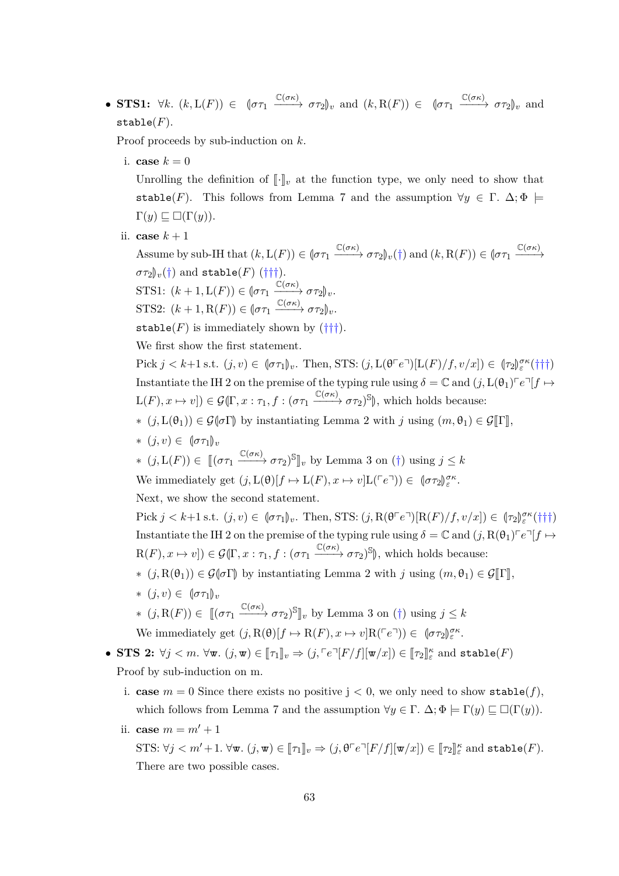• **STS1:**  $\forall k. (k, L(F)) \in (\sigma \tau_1 \xrightarrow{\mathbb{C}(\sigma \kappa)} \sigma \tau_2)_v$  and  $(k, R(F)) \in (\sigma \tau_1 \xrightarrow{\mathbb{C}(\sigma \kappa)} \sigma \tau_2)_v$  and stable(*F*).

Proof proceeds by sub-induction on *k*.

i. **case**  $k = 0$ 

Unrolling the definition of  $\llbracket \cdot \rrbracket_v$  at the function type, we only need to show that stable(*F*). This follows from Lemma [7](#page-20-1) and the assumption  $\forall y \in \Gamma$ .  $\Delta; \Phi$   $\models$  $\Gamma(y) \sqsubseteq \Box(\Gamma(y)).$ 

ii. **case**  $k+1$ 

Assume by sub-IH that  $(k, L(F)) \in (\sigma \tau_1 \xrightarrow{\mathbb{C}(\sigma \kappa)} \sigma \tau_2)_v(\dagger)$  and  $(k, R(F)) \in (\sigma \tau_1 \xrightarrow{\mathbb{C}(\sigma \kappa)} \sigma \tau_2)_v(\dagger)$  $\sigma \tau_2|v_0(t)$  and stable(*F*) ( $\dagger\dagger\dagger$ ). STS1:  $(k + 1, L(F)) \in {\sigma \tau_1} \xrightarrow{\mathbb{C}(\sigma \kappa)} {\sigma \tau_2}_{\nu}.$ STS2:  $(k + 1, R(F)) \in {\sigma \tau_1} \xrightarrow{\mathbb{C}(\sigma \kappa)} {\sigma \tau_2}_{\nu}.$ stable( $F$ ) is immediately shown by  $(\dagger\dagger\dagger)$ . We first show the first statement. Pick  $j < k+1$  s.t.  $(j, v) \in [\sigma \tau_1]_v$ . Then, STS:  $(j, L(\theta \ulcorner e \urcorner) [L(F)/f, v/x]) \in (\tau_2)_{\epsilon}^{\sigma \kappa}(\dagger \dagger \dagger)$ Instantiate the IH 2 on the premise of the typing rule using  $\delta = \mathbb{C}$  and  $(j, L(\theta_1) \cap e^{\mathbb{C}}[f \mapsto$ 

- $L(F), x \mapsto v$ ])  $\in \mathcal{G}(\Gamma, x : \tau_1, f : (\sigma \tau_1 \xrightarrow{\mathbb{C}(\sigma \kappa)} \sigma \tau_2)$ <sup>S</sup> $\|$ , which holds because:
- ∗  $(j, L(θ<sub>1</sub>)) ∈ G(σΓ)$  by instantiating Lemma [2](#page-17-0) with *j* using  $(m, θ<sub>1</sub>) ∈ G[Γ],$
- $*(i, v) ∈ ∥στ₁)_{v}$
- ∗  $(j, L(F)) \in [(στ₁ \xrightarrow{C(σκ)} στ₂)$ <sup>S</sup><sup>n</sup><sub>v</sub> by Lemma [3](#page-19-0) on (†) using  $j ≤ k$

We immediately get  $(j, L(\theta)[f \mapsto L(F), x \mapsto v]L(Fe^{\tau})) \in (\sigma \tau_2) \ell^{\sigma \kappa}$ .

Next, we show the second statement.

Pick  $j < k+1$  s.t.  $(j, v) \in (\sigma \tau_1)_v$ . Then, STS:  $(j, R(\theta \cap e^{\tau})[R(F)/f, v/x]) \in (\tau_2)_{\varepsilon}^{\sigma \kappa}(\dagger \dagger \dagger)$ Instantiate the IH 2 on the premise of the typing rule using  $\delta = \mathbb{C}$  and  $(j, R(\theta_1) \cap e^{\eta} | f \mapsto$  $R(F), x \mapsto v$ ])  $\in \mathcal{G}(\Gamma, x : \tau_1, f : (\sigma \tau_1 \xrightarrow{\mathbb{C}(\sigma \kappa)} \sigma \tau_2)$ <sup>S</sup> $\|$ , which holds because:

- $*(j, R(\theta_1)) \in \mathcal{G}(\sigma \Gamma)$  by instantiating Lemma [2](#page-17-0) with *j* using  $(m, \theta_1) \in \mathcal{G}[\Gamma]$ ,
- $*(i, v) ∈ ∥στ₁)_{v}$
- ∗  $(j, R(F)) \in [(στ₁ \xrightarrow{C(σκ)} στ₂)$ <sup>S</sup><sup>n</sup><sub>v</sub> by Lemma [3](#page-19-0) on (†) using  $j ≤ k$ We immediately get  $(j, R(\theta)[f \mapsto R(F), x \mapsto v]R(\ulcorner e \urcorner)) \in [\sigma \tau_2]_{\varepsilon}^{\sigma \kappa}.$
- **STS 2:**  $\forall j < m$ .  $\forall \mathbf{w}$ .  $(j, \mathbf{w}) \in [\![\tau_1]\!]_v \Rightarrow (j, \lceil e \rceil [F/f][\mathbf{w}/x]) \in [\![\tau_2]\!]_e^\kappa$  and  $\texttt{stable}(F)$ Proof by sub-induction on m.
	- i. **case**  $m = 0$  Since there exists no positive  $j < 0$ , we only need to show stable(*f*), which follows from Lemma [7](#page-20-1) and the assumption  $\forall y \in \Gamma$ .  $\Delta; \Phi \models \Gamma(y) \sqsubseteq \Box(\Gamma(y))$ .
	- ii. **case**  $m = m' + 1$

 $\text{STS: } \forall j < m' + 1. \ \forall \mathbf{w}. \ (j, \mathbf{w}) \in [\![\tau_1]\!]_v \Rightarrow (j, \theta^\top e^\top [F/f][\mathbf{w}/x]) \in [\![\tau_2]\!]_{{\varepsilon}}^{\kappa} \text{ and } \textsf{stable}(F).$ There are two possible cases.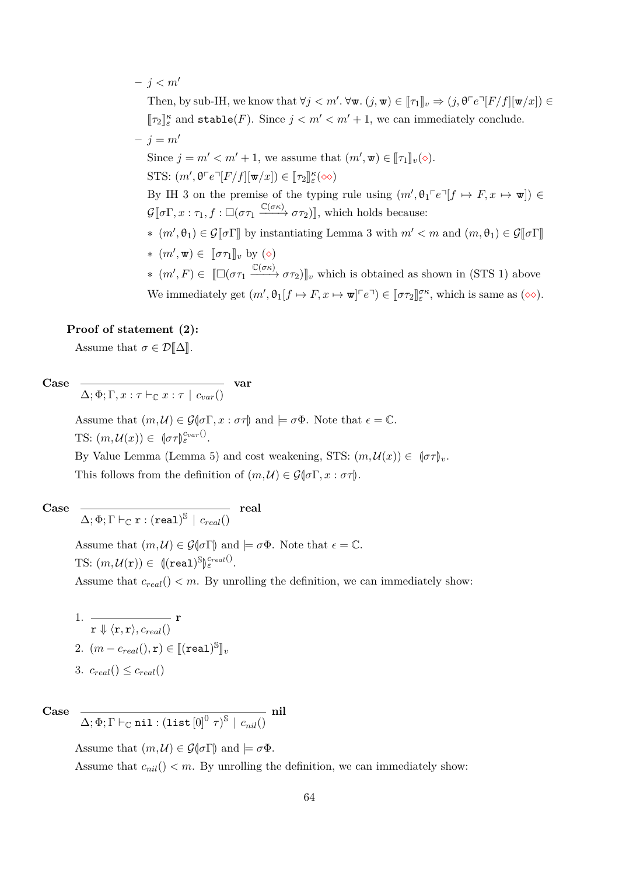$- j < m'$ Then, by sub-IH, we know that  $\forall j < m'. \forall \mathbf{w}. (j, \mathbf{w}) \in [\![\tau_1]\!]_v \Rightarrow (j, \theta \ulcorner e \urcorner [F/f][\![\mathbf{w}/x]\!]) \in$  $[\![\tau_2]\!]^{\kappa}_{\varepsilon}$  and  $\text{stable}(F)$ . Since  $j < m' < m' + 1$ , we can immediately conclude.  $- j = m'$ Since  $j = m' < m' + 1$ , we assume that  $(m', \mathbf{w}) \in [\![\tau_1]\!]_v(\diamond).$ STS:  $(m', \theta \ulcorner e \urcorner [F/f][\mathbf{w}/x]) \in [\![\tau_2]\!]^\kappa_{\varepsilon}(\infty)$ By IH 3 on the premise of the typing rule using  $(m', \theta_1 \ulcorner e \urcorner [f \mapsto F, x \mapsto \mathbf{w}]) \in$  $\mathcal{G}[\![\sigma\Gamma, x:\tau_1, f:\Box(\sigma\tau_1\xrightarrow{\mathbb{C}(\sigma\kappa)}\sigma\tau_2)]\!]$ , which holds because: ∗  $(m', θ_1) ∈ G[σΓ]$  by instantiating Lemma [3](#page-19-0) with  $m' < m$  and  $(m, θ_1) ∈ G[σΓ]$  $*(m', \mathbf{w}) \in [\![\sigma \tau_1]\!]_v$  by ⊘  $*(m', F) \in \llbracket \Box(\sigma\tau_1 \xrightarrow{\mathbb{C}(\sigma\kappa)} \sigma\tau_2) \rrbracket_v$  which is obtained as shown in (STS 1) above We immediately get  $(m', \theta_1[f \mapsto F, x \mapsto \mathbf{w}]^{\tau} e^{\tau}) \in [\![\sigma \tau_2]\!]_{\varepsilon}^{\sigma \kappa}$ , which is same as  $(\infty)$ .

### **Proof of statement (2):**

Assume that  $\sigma \in \mathcal{D}[\![\Delta]\!]$ .

**Case**

 $\Delta; \Phi; \Gamma, x : \tau \vdash_{\mathbb{C}} x : \tau \mid c_{var}()$ **var**

Assume that  $(m, \mathcal{U}) \in \mathcal{G}(\sigma \Gamma, x : \sigma \tau)$  and  $\models \sigma \Phi$ . Note that  $\epsilon = \mathbb{C}$ . TS:  $(m,\mathcal{U}(x)) \in [\sigma \tau]_{\varepsilon}^{c_{var}()}$ .

By Value Lemma (Lemma [5\)](#page-20-0) and cost weakening, STS:  $(m, \mathcal{U}(x)) \in \mathcal{U}(\sigma \tau)_{\nu}$ . This follows from the definition of  $(m, \mathcal{U}) \in \mathcal{G}(\sigma \Gamma, x : \sigma \tau)$ .

**Case**

$$
\overline{\Delta;\Phi;\Gamma\vdash_{\mathbb{C}}\mathtt{r}:(\mathtt{real})^{\mathbb{S}}\mid c_{real}()}\quad\mathbf{real}
$$

Assume that  $(m, \mathcal{U}) \in \mathcal{G}(\sigma \Gamma)$  and  $\models \sigma \Phi$ . Note that  $\epsilon = \mathbb{C}$ .  $\text{TS: } (m, \mathcal{U}(\mathbf{r})) \in \mathbb{C}(\mathbf{real})^{\mathbb{S}}$ M *creal*() *<sup>ε</sup>* . Assume that  $c_{real}$   $($   $)$   $<$   $m$ . By unrolling the definition, we can immediately show:

1. 
$$
\frac{\ }{r \Downarrow \langle r, r \rangle, c_{real}()} r
$$
  
\n2.  $(m - c_{real}(), r) \in [[(\text{real})]^S]_v$   
\n3.  $c_{real}() \leq c_{real}()$ 

**Case**  $\Delta; \Phi; \Gamma \vdash_{\mathbb{C}} \mathtt{nil} : (\mathtt{list}\left[0\right]^{0} \tau)^{\mathbb{S}} \, \mid \, c_{nil}()$ 

**nil**

Assume that  $(m, \mathcal{U}) \in \mathcal{G}(\sigma \Gamma)$  and  $\models \sigma \Phi$ . Assume that  $c_{nil}$ ()  $\lt m$ . By unrolling the definition, we can immediately show: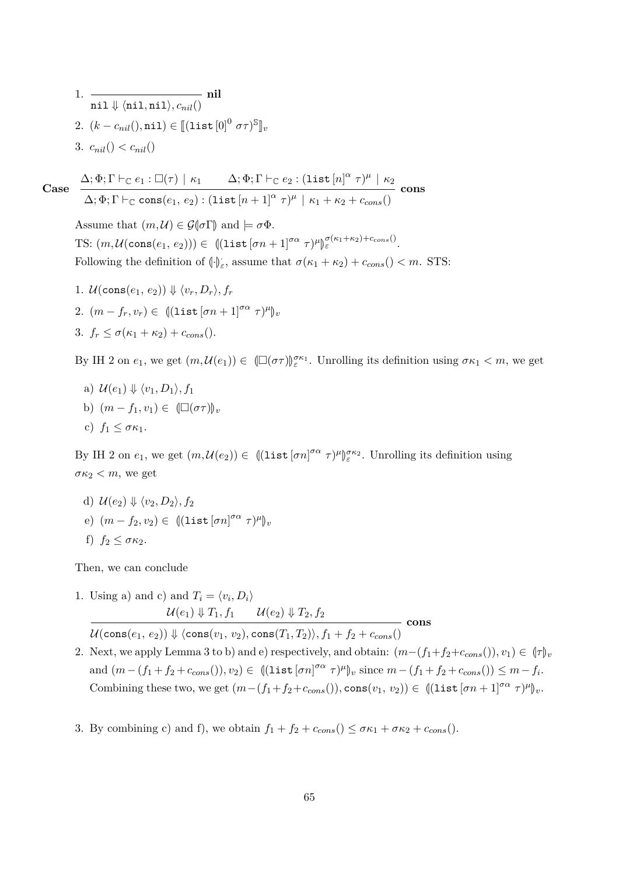1. 
$$
\frac{\text{nil } \psi \, (\text{nil}, \text{nil}), c_{nil}(\text{nil})}{\text{nil } \psi \, (\text{nil}, \text{nil}) \in [[\text{list }[0]^0 \, \sigma \tau)^{\mathbb{S}}]_v}
$$
  
2. 
$$
(k - c_{nil}(\text{nil}) \in [[\text{list }[0]^0 \, \sigma \tau)^{\mathbb{S}}]_v
$$
  
3. 
$$
c_{nil}(\text{full}) < c_{nil}(\text{full})
$$

**Case**  $\Delta; \Phi; \Gamma \vdash_{\mathbb{C}} e_1 : \Box(\tau) \,\mid\, \kappa_1 \qquad \Delta; \Phi; \Gamma \vdash_{\mathbb{C}} e_2 : (\mathtt{list}\,[n]^\alpha \;\tau)^\mu \,\mid\, \kappa_2$  $\Delta; \Phi; \Gamma \vdash_{\mathbb{C}} \text{cons}(e_1, e_2) : (\text{list } [n+1]^{\alpha} \tau)^{\mu} \mid \kappa_1 + \kappa_2 + c_{cons}()$ **cons**

Assume that  $(m, \mathcal{U}) \in \mathcal{G}(\sigma \Gamma)$  and  $\models \sigma \Phi$ . TS:  $(m, \mathcal{U}(\text{cons}(e_1, e_2))) \in ||(\text{list}[\sigma n + 1]^{\sigma \alpha} \tau)^{\mu}$ M  $\frac{\sigma(\kappa_1+\kappa_2)+c_{cons}(\kappa_1+\kappa_2)}{\varepsilon}$ . Following the definition of  $(\cdot)_{\varepsilon}$ , assume that  $\sigma(\kappa_1 + \kappa_2) + c_{cons}$   $($   $) < m$ . STS:

1.  $\mathcal{U}(\text{cons}(e_1, e_2)) \Downarrow \langle v_r, D_r \rangle, f_r$ 2.  $(m - f_r, v_r) \in ||(\text{list } [\sigma n + 1]^{\sigma \alpha} \tau)^{\mu}||_v$ 3.  $f_r \leq \sigma(\kappa_1 + \kappa_2) + c_{cons}$ ().

By IH 2 on  $e_1$ , we get  $(m, \mathcal{U}(e_1)) \in (\Box(\sigma \tau))_{\varepsilon}^{\sigma \kappa_1}$ . Unrolling its definition using  $\sigma \kappa_1 < m$ , we get

a) 
$$
\mathcal{U}(e_1) \Downarrow \langle v_1, D_1 \rangle
$$
,  $f_1$   
b)  $(m - f_1, v_1) \in (\Box(\sigma \tau))_v$   
c)  $f_1 \leq \sigma \kappa_1$ .

By IH 2 on  $e_1$ , we get  $(m, \mathcal{U}(e_2)) \in ||(\text{list } [\sigma n]^{\sigma \alpha} \tau)^{\mu}||$ M *σκ*<sup>2</sup> *ε* . Unrolling its definition using  $\sigma \kappa_2 < m$ , we get

- d)  $\mathcal{U}(e_2) \Downarrow \langle v_2, D_2 \rangle, f_2$
- $(e)$   $(m f_2, v_2) \in ||(\text{list } [\sigma n]^{\sigma \alpha} \tau)^{\mu}||_v$
- f)  $f_2 \leq \sigma \kappa_2$ .

Then, we can conclude

1. Using a) and c) and 
$$
T_i = \langle v_i, D_i \rangle
$$
  

$$
\mathcal{U}(e_1) \Downarrow T_1, f_1 \qquad \mathcal{U}(e_2) \Downarrow T_2, f_2
$$

 $U(\text{cons}(e_1, e_2)) \Downarrow \langle \text{cons}(v_1, v_2), \text{cons}(T_1, T_2) \rangle, f_1 + f_2 + c_{cons}$ 

2. Next, we apply Lemma [3](#page-19-0) to b) and e) respectively, and obtain:  $(m-(f_1+f_2+c_{cons})), v_1) \in (\tau)_v$  $\text{and } (m - (f_1 + f_2 + c_{cons}))), v_2) \in ((\text{list } [\sigma n]^{\sigma \alpha} \ \tau)^{\mu})_v \text{ since } m - (f_1 + f_2 + c_{cons}()) \leq m - f_i.$ Combining these two, we get  $(m-(f_1+f_2+c_{cons}))), \text{cons}(v_1, v_2)) \in ((\text{list } [\sigma n+1]^{\sigma \alpha} \tau)^{\mu})_v.$ 

**cons**

3. By combining c) and f), we obtain  $f_1 + f_2 + c_{cons}$  ()  $\leq \sigma \kappa_1 + \sigma \kappa_2 + c_{cons}$  ().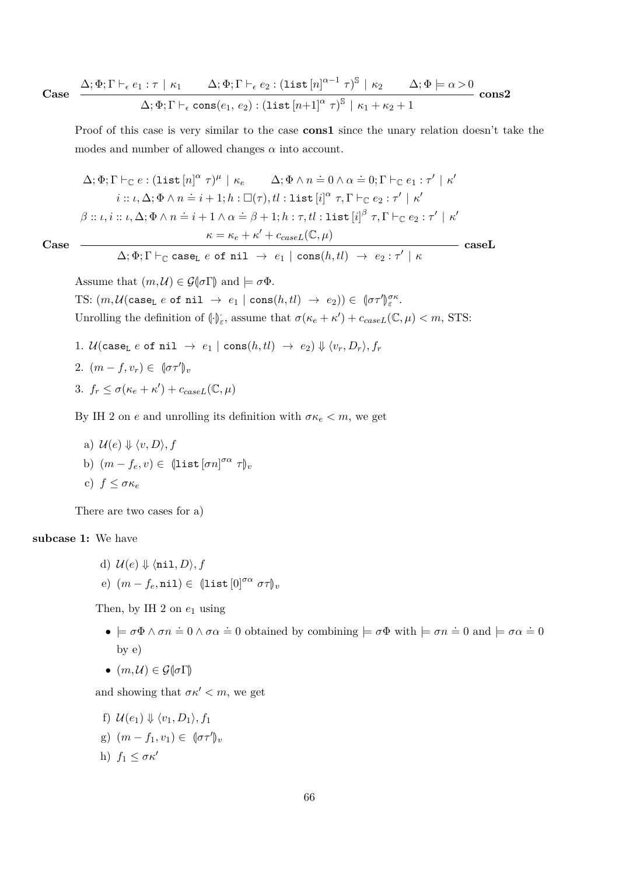Case 
$$
\frac{\Delta; \Phi; \Gamma \vdash_{\epsilon} e_1 : \tau \mid \kappa_1 \qquad \Delta; \Phi; \Gamma \vdash_{\epsilon} e_2 : (\text{list } [n]^{\alpha-1} \tau)^{\mathbb{S}} \mid \kappa_2 \qquad \Delta; \Phi \models \alpha > 0}{\Delta; \Phi; \Gamma \vdash_{\epsilon} \text{cons}(e_1, e_2) : (\text{list } [n+1]^{\alpha} \tau)^{\mathbb{S}} \mid \kappa_1 + \kappa_2 + 1}
$$
cons2

Proof of this case is very similar to the case **cons1** since the unary relation doesn't take the modes and number of allowed changes *α* into account.

$$
\Delta; \Phi; \Gamma \vdash_{\mathbb{C}} e: (\text{list } [n]^{\alpha} \tau)^{\mu} \mid \kappa_e \qquad \Delta; \Phi \wedge n \doteq 0 \wedge \alpha \doteq 0; \Gamma \vdash_{\mathbb{C}} e_1 : \tau' \mid \kappa'
$$
\n
$$
i :: \iota, \Delta; \Phi \wedge n \doteq i + 1; h : \Box(\tau), tl : \text{list } [i]^{\alpha} \tau, \Gamma \vdash_{\mathbb{C}} e_2 : \tau' \mid \kappa'
$$
\n
$$
\beta :: \iota, i :: \iota, \Delta; \Phi \wedge n \doteq i + 1 \wedge \alpha \doteq \beta + 1; h : \tau, tl : \text{list } [i]^{\beta} \tau, \Gamma \vdash_{\mathbb{C}} e_2 : \tau' \mid \kappa'
$$
\n
$$
\kappa = \kappa_e + \kappa' + c_{caseL}(\mathbb{C}, \mu)
$$
\n
$$
\Delta; \Phi; \Gamma \vdash_{\mathbb{C}} \text{case}_L e \text{ of nil } \rightarrow e_1 \mid \text{cons}(h, tl) \rightarrow e_2 : \tau' \mid \kappa
$$

**Case**

Assume that  $(m, \mathcal{U}) \in \mathcal{G}(\sigma \Gamma)$  and  $\models \sigma \Phi$ . TS:  $(m, \mathcal{U}(\text{case}_L e \text{ of nil } \rightarrow e_1 \mid \text{cons}(h, tl) \rightarrow e_2)) \in (\sigma \tau')$ *σκ ε* . Unrolling the definition of  $(\cdot)$ ; assume that  $\sigma(\kappa_e + \kappa') + c_{caseL}(\mathbb{C}, \mu) < m$ , STS:

1.  $\mathcal{U}(\text{case}_L e \text{ of nil} \rightarrow e_1 \mid \text{cons}(h, tl) \rightarrow e_2) \Downarrow \langle v_r, D_r \rangle, f_r$ 2.  $(m - f, v_r) \in (\sigma \tau')_v$ 3.  $f_r \leq \sigma(\kappa_e + \kappa') + c_{caseL}(\mathbb{C}, \mu)$ 

By IH 2 on *e* and unrolling its definition with  $\sigma \kappa_e < m$ , we get

a)  $\mathcal{U}(e) \Downarrow \langle v, D \rangle, f$ b)  $(m - f_e, v) \in (\text{list} [\sigma n]^{\sigma \alpha} \tau)_v$ c)  $f \leq \sigma \kappa_e$ 

There are two cases for a)

### **subcase 1:** We have

- d)  $\mathcal{U}(e) \Downarrow \langle \texttt{nil}, D \rangle, f$
- $(e)$   $(m f_e, \texttt{nil}) \in (\texttt{list}[0]^{\sigma \alpha} \ \sigma \tau)_v$

Then, by IH 2 on  $e_1$  using

- $\bullet \models \sigma \Phi \land \sigma n = 0 \land \sigma \alpha = 0$  obtained by combining  $\models \sigma \Phi$  with  $\models \sigma n = 0$  and  $\models \sigma \alpha = 0$ by e)
- $\bullet$   $(m,\mathcal{U}) \in \mathcal{G}(\sigma\Gamma)$

and showing that  $\sigma \kappa' < m$ , we get

- f)  $\mathcal{U}(e_1) \Downarrow \langle v_1, D_1 \rangle, f_1$
- g)  $(m f_1, v_1) \in (\sigma \tau')_v$
- h)  $f_1 \leq \sigma \kappa'$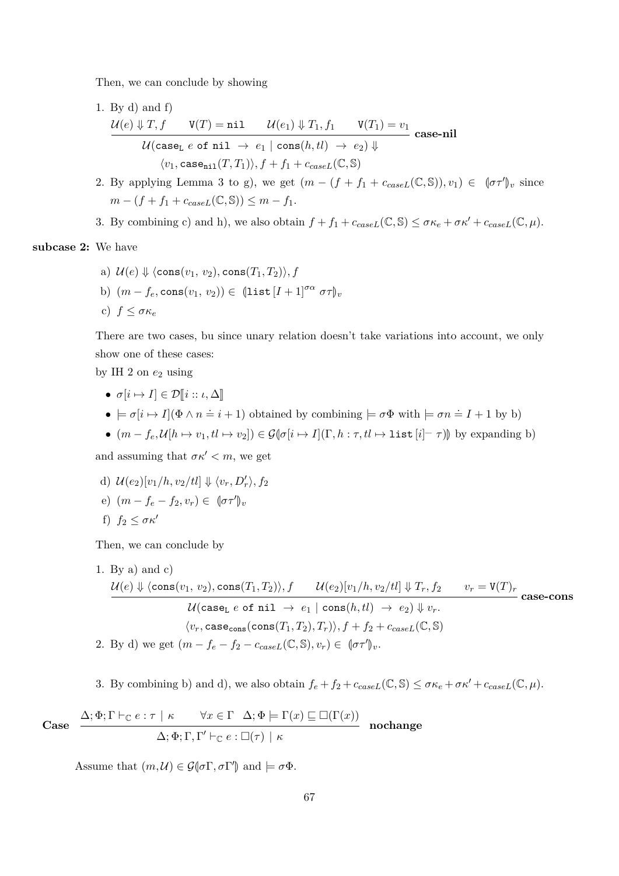Then, we can conclude by showing

- 1. By d) and f)  $\mathcal{U}(e) \Downarrow T, f \qquad \mathtt{V}(T) = \mathtt{nil} \qquad \mathcal{U}(e_1) \Downarrow T_1, f_1 \qquad \mathtt{V}(T_1) = v_1$  $\mathcal{U}(\mathtt{case_L}\; e\;\mathtt{of}\; \mathtt{nil}\; \rightarrow\; e_1 \; | \; \mathtt{cons}(h,tl)\; \rightarrow\; e_2) \Downarrow$  $\langle v_1, \text{case}_{\text{nil}}(T, T_1) \rangle, f + f_1 + c_{caseL}(\mathbb{C}, \mathbb{S})$ **case-nil**
- 2. By applying Lemma [3](#page-19-0) to g), we get  $(m (f + f_1 + c_{caseL}(\mathbb{C}, \mathbb{S}))$ ,  $v_1) \in (\sigma \tau')_v$  since  $m - (f + f_1 + c_{caseL}(\mathbb{C}, \mathbb{S})) \leq m - f_1.$
- 3. By combining c) and h), we also obtain  $f + f_1 + c_{caseL}(\mathbb{C}, \mathbb{S}) \leq \sigma \kappa_e + \sigma \kappa' + c_{caseL}(\mathbb{C}, \mu)$ .

**subcase 2:** We have

a)  $\mathcal{U}(e) \Downarrow \langle \text{cons}(v_1, v_2), \text{cons}(T_1, T_2) \rangle$ , f b)  $(m - f_e, \text{cons}(v_1, v_2)) \in (\text{list } [I + 1]^{\sigma \alpha} \sigma \tau)_v$ c)  $f \leq \sigma \kappa_e$ 

There are two cases, bu since unary relation doesn't take variations into account, we only show one of these cases:

by IH 2 on *e*<sup>2</sup> using

- $\sigma[i \mapsto I] \in \mathcal{D}[i :: \iota, \Delta]$
- $\bullet \models \sigma[i \mapsto I](\Phi \wedge n \doteq i + 1)$  obtained by combining  $\models \sigma \Phi$  with  $\models \sigma n \doteq I + 1$  by b)
- $(m f_e, \mathcal{U}[h \mapsto v_1, tl \mapsto v_2]) \in \mathcal{G}[\sigma[i \mapsto I](\Gamma, h : \tau, tl \mapsto \text{list}[i] \tau)]$  by expanding b)

and assuming that  $\sigma \kappa' < m$ , we get

d)  $\mathcal{U}(e_2)[v_1/h, v_2/tl] \Downarrow \langle v_r, D'_r \rangle, f_2$ e)  $(m - f_e - f_2, v_r) \in (\sigma \tau')_v$ f)  $f_2 < \sigma \kappa'$ 

Then, we can conclude by

- 1. By a) and  $c$ )  $\mathcal{U}(e) \Downarrow \langle \textsf{cons}(v_1, \, v_2), \textsf{cons}(T_1, T_2) \rangle, f \qquad \mathcal{U}(e_2)[v_1/h, v_2/tl] \Downarrow T_r, f_2 \qquad v_r = \mathtt{V}(T)_r$  $U(\text{case}_L e \text{ of nil} \rightarrow e_1 | \text{cons}(h, tl) \rightarrow e_2 | \text{true})$  $\langle v_r, \text{case}_\text{cons}(\text{cons}(T_1, T_2), T_r) \rangle, f + f_2 + c_{caseL}(\mathbb{C}, \mathbb{S})$ **case-cons** 2. By d) we get  $(m - f_e - f_2 - c_{caseL}(\mathbb{C}, \mathbb{S}), v_r) \in (\sigma \tau')_v$ .
- 3. By combining b) and d), we also obtain  $f_e + f_2 + c_{caseL}(\mathbb{C}, \mathbb{S}) \leq \sigma \kappa_e + \sigma \kappa' + c_{caseL}(\mathbb{C}, \mu)$ .

Case 
$$
\frac{\Delta; \Phi; \Gamma \vdash_{\mathbb{C}} e : \tau \mid \kappa \qquad \forall x \in \Gamma \quad \Delta; \Phi \models \Gamma(x) \sqsubseteq \Box(\Gamma(x))}{\Delta; \Phi; \Gamma, \Gamma' \vdash_{\mathbb{C}} e : \Box(\tau) \mid \kappa}
$$
nochange

Assume that  $(m, \mathcal{U}) \in \mathcal{G}(\sigma \Gamma, \sigma \Gamma')$  and  $\models \sigma \Phi$ .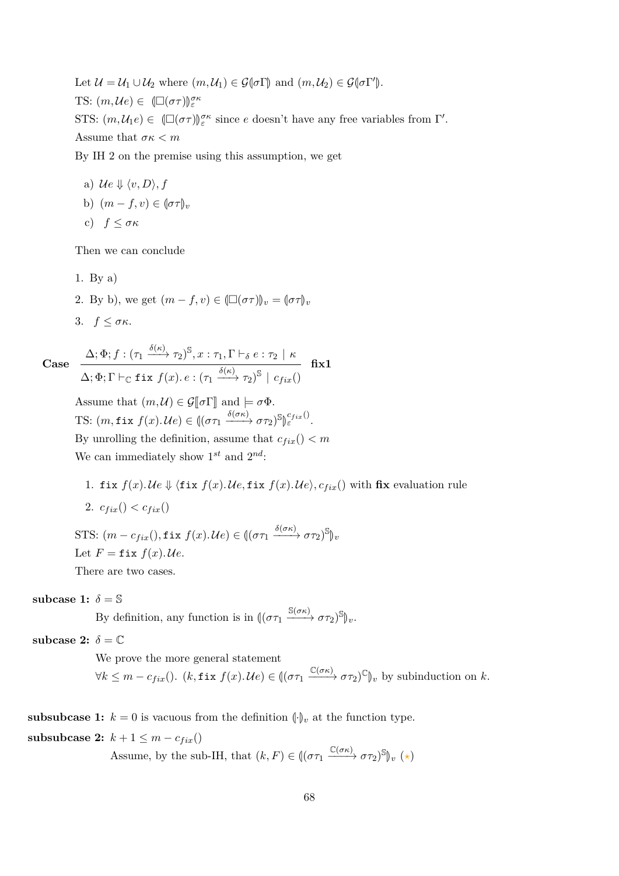Let  $\mathcal{U} = \mathcal{U}_1 \cup \mathcal{U}_2$  where  $(m, \mathcal{U}_1) \in \mathcal{G}(\sigma \Gamma)$  and  $(m, \mathcal{U}_2) \in \mathcal{G}(\sigma \Gamma')$ . TS:  $(m, \mathcal{U}e) \in (\Box(\sigma\tau))_{\varepsilon}^{\sigma\kappa}$ STS:  $(m, U_1 e) \in \Box(\sigma \tau) \mathbb{Z}^{\sigma}$  since *e* doesn't have any free variables from Γ'. Assume that *σκ < m*

By IH 2 on the premise using this assumption, we get

a) 
$$
\mathcal{U}e \Downarrow \langle v, D \rangle
$$
,  $f$   
b)  $(m - f, v) \in (\sigma \tau)_v$   
c)  $f \leq \sigma \kappa$ 

Then we can conclude

- 1. By a)
- 2. By b), we get  $(m f, v) \in (\Box(\sigma\tau))_v = (\sigma\tau)_v$
- 3. *f* ≤ *σκ*.

Case 
$$
\frac{\Delta; \Phi; f : (\tau_1 \xrightarrow{\delta(\kappa)} \tau_2)^{\mathbb{S}}, x : \tau_1, \Gamma \vdash_{\delta} e : \tau_2 \mid \kappa}{\Delta; \Phi; \Gamma \vdash_{\mathbb{C}} \text{fix } f(x) . e : (\tau_1 \xrightarrow{\delta(\kappa)} \tau_2)^{\mathbb{S}} \mid c_{fix}()} \text{fix} 1
$$

Assume that  $(m, \mathcal{U}) \in \mathcal{G}[\![\sigma]\!]$  and  $\models \sigma \Phi$ . TS:  $(m, \text{fix } f(x). \mathcal{U}e) \in ((\sigma \tau_1 \xrightarrow{\delta(\sigma \kappa)} \sigma \tau_2)^{\mathbb{S}})_{\varepsilon}^{c_{fix}()}$ . M By unrolling the definition, assume that  $c_{fix}() < m$ We can immediately show  $1^{st}$  and  $2^{nd}$ :

1. fix  $f(x)$ . Ue  $\Downarrow$  (fix  $f(x)$ . Ue, fix  $f(x)$ . Ue),  $c_{fix}$ () with fix evaluation rule 2.  $c_{fix}() < c_{fix}($  $\text{STS: } (m - c_{fix}(), \textbf{fix } f(x). \textit{Ue}) \in ((\sigma \tau_1 \xrightarrow{\delta(\sigma \kappa)} \sigma \tau_2)^\mathbb{S})_v$ 

Let 
$$
F = \text{fix } f(x)
$$
.

There are two cases.

#### subcase 1:  $\delta = \mathbb{S}$

By definition, any function is in  $((\sigma \tau_1 \xrightarrow{S(\sigma \kappa)} \sigma \tau_2)^S)_v$ .

subcase 2:  $\delta = \mathbb{C}$ 

We prove the more general statement  $\forall k \leq m - c_{fix}(\text{). } (k, \text{fix } f(x). \text{ We}) \in ((\sigma \tau_1 \xrightarrow{\mathbb{C}(\sigma \kappa)} \sigma \tau_2)^{\mathbb{C}})_v$  by subinduction on *k*.

**subsubcase 1:**  $k = 0$  is vacuous from the definition  $\left(\cdot\right)_v$  at the function type.

**subsubcase 2:**  $k + 1 \leq m - c_{fix}$ 

Assume, by the sub-IH, that  $(k, F) \in ((\sigma \tau_1 \xrightarrow{\mathbb{C}(\sigma \kappa)} \sigma \tau_2)^{\mathbb{S}})_v (\star)$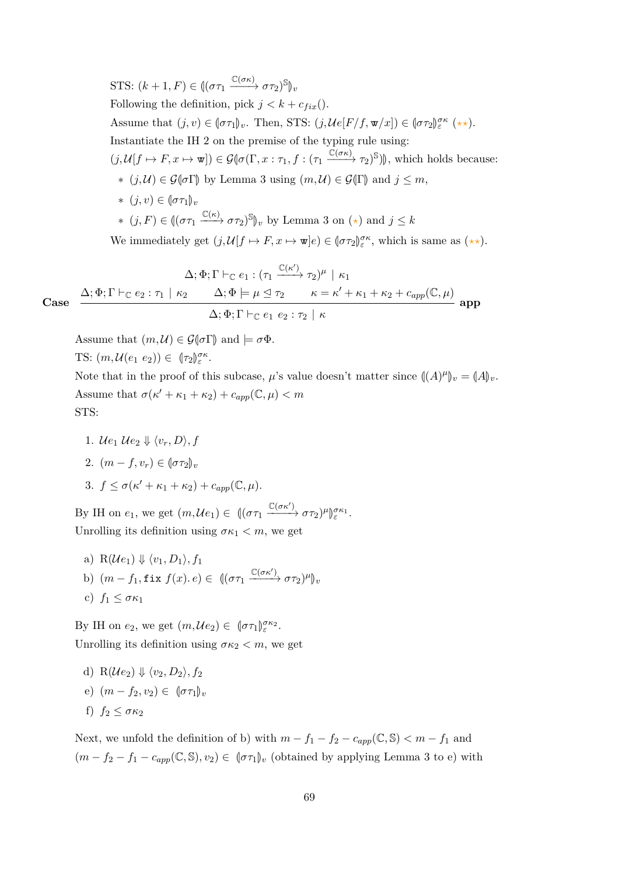STS:  $(k + 1, F) \in ((\sigma \tau_1 \xrightarrow{\mathbb{C}(\sigma \kappa)} \sigma \tau_2)^{\mathbb{S}})_v$ Following the definition, pick  $j < k + c_{fix}$ . Assume that  $(j, v) \in (\sigma \tau_1)_v$ . Then, STS:  $(j, \mathcal{U}e[F/f, \mathbf{w}/x]) \in (\sigma \tau_2)_{\varepsilon}^{\sigma \kappa}$  (\*\*). Instantiate the IH 2 on the premise of the typing rule using:  $(j,\mathcal{U}[f \mapsto F, x \mapsto \mathbf{w}]) \in \mathcal{G}(\sigma(\Gamma, x : \tau_1, f : (\tau_1 \xrightarrow{\mathbb{C}(\sigma\kappa)} \tau_2)^{\mathbb{S}}))$ , which holds because: ∗ (*j*,  $U$ ) ∈  $\mathcal{G}$ ( $\sigma$ Γ) by Lemma [3](#page-19-0) using  $(m, U) \in \mathcal{G}$ (Γ) and  $j \leq m$ ,  $*(i, v) ∈ [στ₁]_v$  $*(j, F) \in \left(\left(\sigma\tau_1 \xrightarrow{\mathbb{C}(\kappa)} \sigma\tau_2\right)^{\mathbb{S}}\right)_v$  by Lemma [3](#page-19-0) on  $(\star)$  and  $j \leq k$ We immediately get  $(j, \mathcal{U}[f \mapsto F, x \mapsto \mathbf{w}]e) \in (\sigma \tau_2)_{\varepsilon}^{\sigma \kappa}$ , which is same as  $(\star \star)$ .

**Case**  $\Delta; \Phi; \Gamma \vdash_{\mathbb{C}} e_1 : (\tau_1 \xrightarrow{\mathbb{C}(\kappa')} \tau_2)^\mu \mid \kappa_1$  $\Delta; \Phi; \Gamma \vdash_{\mathbb{C}} e_2 : \tau_1 \mid \kappa_2$   $\Delta; \Phi \models \mu \trianglelefteq \tau_2$   $\kappa = \kappa' + \kappa_1 + \kappa_2 + c_{app}(\mathbb{C}, \mu)$  $\Delta; \Phi; \Gamma \vdash_{\mathbb{C}} e_1 \ e_2 : \tau_2 \, \mid \, \kappa$ **app**

Assume that  $(m, \mathcal{U}) \in \mathcal{G}(\sigma \Gamma)$  and  $\models \sigma \Phi$ .<br>TS:  $(m, \mathcal{U}(e_1, e_2)) \in [\tau_2] \sigma^{\kappa}$ .

TS: 
$$
(m, \mathcal{U}(e_1 \ e_2)) \in (\tau_2)_{\varepsilon}^{\sigma \kappa}
$$
.

Note that in the proof of this subcase,  $\mu$ 's value doesn't matter since  $((A)^{\mu})_v = (A)_v$ . Assume that  $\sigma(\kappa' + \kappa_1 + \kappa_2) + c_{app}(\mathbb{C}, \mu) < m$ STS:

- 1.  $\mathcal{U}e_1 \mathcal{U}e_2 \Downarrow \langle v_r, D \rangle, f$
- 2.  $(m f, v_r) \in [\sigma \tau_2]_v$

3. 
$$
f \le \sigma(\kappa' + \kappa_1 + \kappa_2) + c_{app}(\mathbb{C}, \mu).
$$

By IH on  $e_1$ , we get  $(m, \mathcal{U}e_1) \in \left(\left(\sigma \tau_1 \xrightarrow{\mathbb{C}(\sigma \kappa')} \sigma \tau_2\right)^\mu\right)$ M *σκ*<sup>1</sup> *ε* . Unrolling its definition using  $\sigma \kappa_1 < m$ , we get

a)  $R(\mathcal{U}e_1) \Downarrow \langle v_1, D_1 \rangle, f_1$ b)  $(m - f_1, \texttt{fix } f(x), e) \in \left( (\sigma \tau_1 \xrightarrow{\mathbb{C}(\sigma \kappa')} \sigma \tau_2)^{\mu} \right)_v$ c)  $f_1 \leq \sigma \kappa_1$ 

By IH on  $e_2$ , we get  $(m, \mathcal{U}e_2) \in [\sigma \tau_1]_{\varepsilon}^{\sigma \kappa_2}$ . Unrolling its definition using  $\sigma \kappa_2 < m$ , we get

d) 
$$
R(\mathcal{U}e_2) \Downarrow \langle v_2, D_2 \rangle, f_2
$$
  
e)  $(m - f_2, v_2) \in (\sigma \tau_1)_v$   
f)  $f_2 \leq \sigma \kappa_2$ 

Next, we unfold the definition of b) with  $m - f_1 - f_2 - c_{app}(\mathbb{C}, \mathbb{S}) < m - f_1$  and  $(m - f_2 - f_1 - c_{app}(\mathbb{C}, \mathbb{S}), v_2) \in (\sigma \tau_1)_v$  (obtained by applying Lemma [3](#page-19-0) to e) with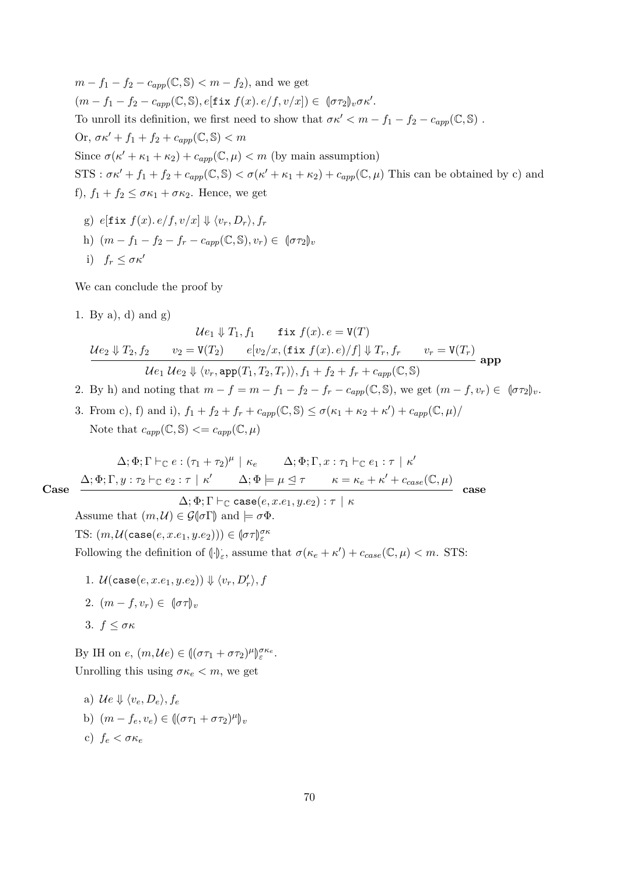*m* − *f*<sub>1</sub> − *f*<sub>2</sub> − *c*<sub>*app*</sub>( $\mathbb{C}, \mathbb{S}$ ) < *m* − *f*<sub>2</sub>), and we get  $(m - f_1 - f_2 - c_{app}(\mathbb{C}, \mathbb{S}), e[\textbf{fix } f(x), e/f, v/x]) \in \mathbb{C}[\sigma \tau_2]_v \sigma \kappa'.$ To unroll its definition, we first need to show that  $\sigma \kappa' < m - f_1 - f_2 - c_{app}(\mathbb{C}, \mathbb{S})$ . Or,  $\sigma \kappa' + f_1 + f_2 + c_{app}(\mathbb{C}, \mathbb{S}) < m$ Since  $\sigma(\kappa' + \kappa_1 + \kappa_2) + c_{app}(\mathbb{C}, \mu) < m$  (by main assumption)  $STS: \sigma \kappa' + f_1 + f_2 + c_{app}(\mathbb{C}, \mathbb{S}) < \sigma(\kappa' + \kappa_1 + \kappa_2) + c_{app}(\mathbb{C}, \mu)$  This can be obtained by c) and f),  $f_1 + f_2 \leq \sigma \kappa_1 + \sigma \kappa_2$ . Hence, we get

 $g)$   $e$ [fix  $f(x)$ *.* $e/f$ *,* $v/x$ ]  $\Downarrow \langle v_r, D_r \rangle$ *,* $f_r$ h)  $(m - f_1 - f_2 - f_r - c_{amp}(\mathbb{C}, \mathbb{S}), v_r) \in (\sigma \tau_2)_v$ i)  $f_r \leq \sigma \kappa'$ 

We can conclude the proof by

1. By a), d) and g)

$$
\mathcal{U}e_1 \Downarrow T_1, f_1 \quad \text{fix } f(x). e = \mathbf{V}(T)
$$
\n
$$
\mathcal{U}e_2 \Downarrow T_2, f_2 \qquad v_2 = \mathbf{V}(T_2) \qquad e[v_2/x, (\text{fix } f(x). e)/f] \Downarrow T_r, f_r \qquad v_r = \mathbf{V}(T_r)
$$
\n
$$
\mathcal{U}e_1 \mathcal{U}e_2 \Downarrow \langle v_r, \text{app}(T_1, T_2, T_r) \rangle, f_1 + f_2 + f_r + c_{app}(\mathbb{C}, \mathbb{S}) \qquad \text{app}
$$

- 2. By h) and noting that  $m f = m f_1 f_2 f_r c_{app}(\mathbb{C}, \mathbb{S})$ , we get  $(m f, v_r) \in (\sigma \tau_2)_v$ .
- 3. From c), f) and i),  $f_1 + f_2 + f_r + c_{app}(\mathbb{C}, \mathbb{S}) \le \sigma(\kappa_1 + \kappa_2 + \kappa') + c_{app}(\mathbb{C}, \mu)$ Note that  $c_{app}(\mathbb{C}, \mathbb{S}) \leq c_{app}(\mathbb{C}, \mu)$

$$
\Delta; \Phi; \Gamma \vdash_{\mathbb{C}} e : (\tau_1 + \tau_2)^{\mu} \mid \kappa_e \qquad \Delta; \Phi; \Gamma, x : \tau_1 \vdash_{\mathbb{C}} e_1 : \tau \mid \kappa'
$$
\nCase\n
$$
\Delta; \Phi; \Gamma, y : \tau_2 \vdash_{\mathbb{C}} e_2 : \tau \mid \kappa' \qquad \Delta; \Phi \models \mu \trianglelefteq \tau \qquad \kappa = \kappa_e + \kappa' + c_{case}(\mathbb{C}, \mu)
$$
\n
$$
\Delta; \Phi \vdash \Gamma \vdash_{\mathbb{C}} \cose(e, re_1, ye_2) : \tau \mid \kappa
$$
\ncase

$$
\Delta;\Phi;\Gamma\vdash_\mathbb{C}\texttt{case}(e,x.e_1,y.e_2):\tau\ |\ \kappa
$$

Assume that  $(m, \mathcal{U}) \in \mathcal{G}(\sigma \Gamma)$  and  $\models \sigma \Phi$ .  $\text{TS: } (m, \mathcal{U}(\texttt{case}(e, x.e_1, y.e_2))) \in (\sigma \tau)_{\varepsilon}^{\sigma \kappa}$ Following the definition of  $(\cdot)_{\varepsilon}$ , assume that  $\sigma(\kappa_e + \kappa') + c_{case}(\mathbb{C}, \mu) < m$ . STS:

1.  $\mathcal{U}(\texttt{case}(e, x.e_1, y.e_2)) \Downarrow \langle v_r, D'_r \rangle, f$ 2.  $(m - f, v_r) \in (\sigma \tau)_v$ 3. *f* ≤ *σκ*

By IH on  $e$ ,  $(m, \mathcal{U}e) \in ((\sigma \tau_1 + \sigma \tau_2)^{\mu})$ M *σκe ε* . Unrolling this using  $\sigma \kappa_e < m$ , we get

a)  $\mathcal{U}e \Downarrow \langle v_e, D_e \rangle, f_e$ b)  $(m - f_e, v_e) \in ((\sigma \tau_1 + \sigma \tau_2)^{\mu})_v$ c)  $f_e < \sigma \kappa_e$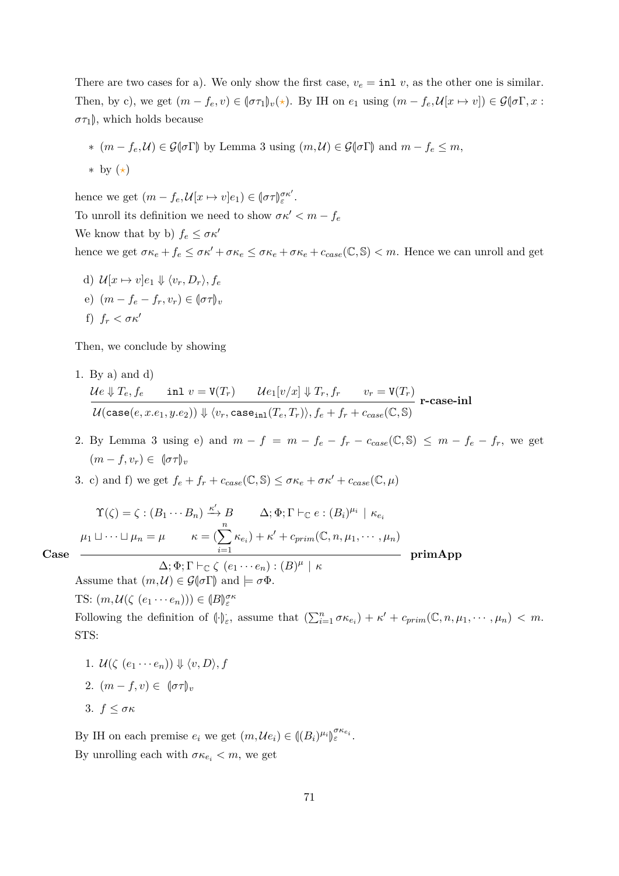There are two cases for a). We only show the first case,  $v_e = \text{inl } v$ , as the other one is similar. Then, by c), we get  $(m - f_e, v) \in (\sigma \tau_1)_v(\star)$ . By IH on  $e_1$  using  $(m - f_e, \mathcal{U}[x \mapsto v]) \in \mathcal{G}(\sigma \Gamma, x$ :  $\sigma\tau_1$ , which holds because

∗  $(m - f_e, U) \in \mathcal{G}(\sigma \Gamma)$  by Lemma [3](#page-19-0) using  $(m, U) \in \mathcal{G}(\sigma \Gamma)$  and  $m - f_e \leq m$ , ∗ by (*?*)

hence we get  $(m - f_e, \mathcal{U}[x \mapsto v]e_1) \in (\sigma \tau)_{\varepsilon}^{\sigma \kappa'}$ . To unroll its definition we need to show  $\sigma \kappa' < m - f_e$ We know that by b)  $f_e \leq \sigma \kappa'$ hence we get  $\sigma \kappa_e + f_e \leq \sigma \kappa' + \sigma \kappa_e \leq \sigma \kappa_e + \sigma \kappa_e + c_{case}(\mathbb{C}, \mathbb{S}) < m$ . Hence we can unroll and get

d)  $\mathcal{U}[x \mapsto v]e_1 \Downarrow \langle v_r, D_r \rangle, f_e$ e)  $(m - f_e - f_r, v_r) \in (\sigma \tau)_v$ f)  $f_r < \sigma \kappa'$ 

Then, we conclude by showing

- 1. By a) and d)  $\mathcal{U}e \Downarrow T_e, f_e \qquad \text{inl} \; v = \mathtt{V}(T_r) \qquad \mathcal{U}e_1[v/x] \Downarrow T_r, f_r \qquad v_r = \mathtt{V}(T_r)$  $\mathcal{U}(\mathsf{case}(e,x.e_1,y.e_2)) \Downarrow \langle v_r,\mathsf{case}_\mathtt{inl}(T_e,T_r) \rangle, f_e + f_r + c_{case}(\mathbb{C}, \mathbb{S})$ **r-case-inl**
- 2. By Lemma [3](#page-19-0) using e) and  $m f = m f_e f_r c_{case}(\mathbb{C}, \mathbb{S}) \leq m f_e f_r$ , we get  $(m - f, v_r) \in (\sigma \tau)_v$
- 3. c) and f) we get  $f_e + f_r + c_{case}(\mathbb{C}, \mathbb{S}) \leq \sigma \kappa_e + \sigma \kappa' + c_{case}(\mathbb{C}, \mu)$

$$
\Upsilon(\zeta) = \zeta : (B_1 \cdots B_n) \xrightarrow{\kappa'} B \qquad \Delta; \Phi; \Gamma \vdash_{\mathbb{C}} e : (B_i)^{\mu_i} \mid \kappa_{e_i}
$$

$$
\mu_1 \sqcup \cdots \sqcup \mu_n = \mu \qquad \kappa = (\sum_{i=1}^n \kappa_{e_i}) + \kappa' + c_{prim}(\mathbb{C}, n, \mu_1, \cdots, \mu_n)
$$

$$
\Delta; \Phi; \Gamma \vdash_{\mathbb{C}} \zeta \ (e_1 \cdots e_n) : (B)^{\mu} \mid \kappa
$$
primApp

**Case**

Assume that  $(m, \mathcal{U}) \in \mathcal{G}(\sigma \Gamma)$  and  $\models \sigma \Phi$ .

TS:  $(m, \mathcal{U}(\zeta \ (e_1 \cdots e_n))) \in (\mathcal{B})_{\varepsilon}^{\sigma \kappa}$ 

Following the definition of  $(\cdot)_{\varepsilon}$ , assume that  $(\sum_{i=1}^{n} \sigma \kappa_{e_i}) + \kappa' + c_{prim}(\mathbb{C}, n, \mu_1, \cdots, \mu_n) < m$ . STS:

- 1.  $\mathcal{U}(\zeta(e_1 \cdots e_n)) \Downarrow \langle v, D \rangle, f$ 2.  $(m - f, v) \in (\sigma \tau)_v$
- 3. *f* ≤ *σκ*

By IH on each premise  $e_i$  we get  $(m, \mathcal{U}e_i) \in ((B_i)^{\mu_i})$ M *σκei <sup>ε</sup>* . By unrolling each with  $\sigma \kappa_{e_i} < m$ , we get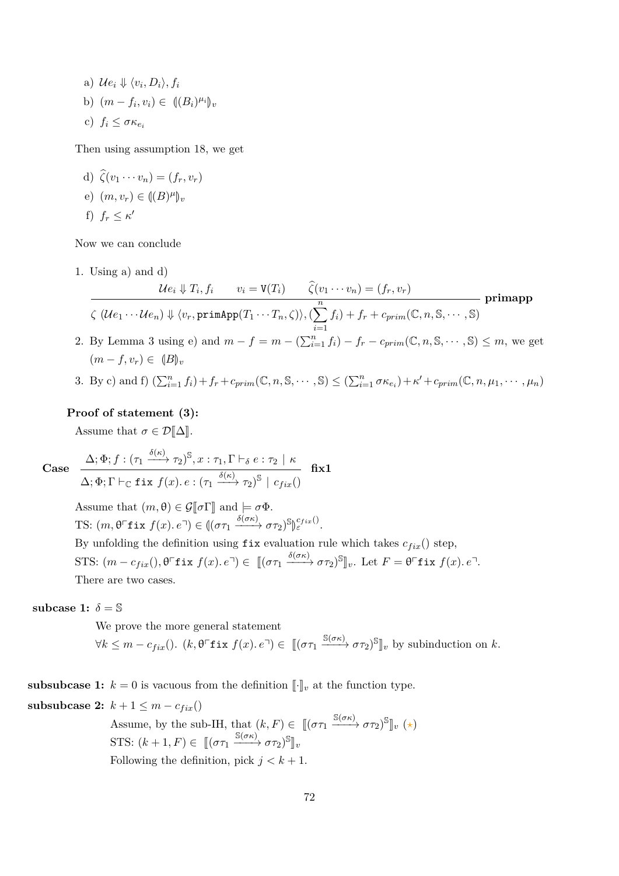a)  $\mathcal{U}e_i \Downarrow \langle v_i, D_i \rangle, f_i$ b)  $(m - f_i, v_i) \in \{(B_i)^{\mu_i}\}_v$ c)  $f_i \leq \sigma \kappa_{e_i}$ 

Then using assumption [18,](#page-31-1) we get

d)  $\hat{\zeta}(v_1 \cdots v_n) = (f_r, v_r)$ e)  $(m, v_r) \in ((B)^{\mu})_v$ f)  $f_r \leq \kappa'$ 

Now we can conclude

1. Using a) and d)

$$
\frac{\mathcal{U}e_i \Downarrow T_i, f_i \qquad v_i = \mathbf{V}(T_i) \qquad \widehat{\zeta}(v_1 \cdots v_n) = (f_r, v_r)}{\zeta (\mathcal{U}e_1 \cdots \mathcal{U}e_n) \Downarrow \langle v_r, \text{primApp}(T_1 \cdots T_n, \zeta) \rangle, (\sum_{i=1}^n f_i) + f_r + c_{prim}(\mathbb{C}, n, \mathbb{S}, \cdots, \mathbb{S})} \text{primapp}
$$

- 2. By Lemma [3](#page-19-0) using e) and  $m f = m (\sum_{i=1}^n f_i) f_r c_{prim}(\mathbb{C}, n, \mathbb{S}, \cdots, \mathbb{S}) \leq m$ , we get  $(m - f, v_r) \in (B)_{v_r}$
- 3. By c) and f)  $(\sum_{i=1}^n f_i) + f_r + c_{prim}(\mathbb{C}, n, \mathbb{S}, \cdots, \mathbb{S}) \leq (\sum_{i=1}^n \sigma \kappa_{e_i}) + \kappa' + c_{prim}(\mathbb{C}, n, \mu_1, \cdots, \mu_n)$

# **Proof of statement (3):**

Assume that  $\sigma \in \mathcal{D}[\![\Delta]\!]$ .

Case 
$$
\frac{\Delta; \Phi; f:}{\Delta \cdot \Phi \cdot \Gamma \vdash_{\sigma}}
$$

$$
\frac{\Delta; \Phi; f: (\tau_1 \xrightarrow{\delta(\kappa)} \tau_2)^{\mathbb{S}}, x: \tau_1, \Gamma \vdash_{\delta} e: \tau_2 \mid \kappa}{\Delta; \Phi; \Gamma \vdash_{\mathbb{C}} \text{fix } f(x). e: (\tau_1 \xrightarrow{\delta(\kappa)} \tau_2)^{\mathbb{S}} \mid c_{fix}()} \quad \text{fix} 1
$$

Assume that  $(m, \theta) \in \mathcal{G}[\![\sigma]\!]$  and  $\models \sigma \Phi$ . TS:  $(m, \theta^{\top}$ **f** ix  $f(x)$ *.*  $e^{\top}) \in ((\sigma \tau_1 \xrightarrow{\delta(\sigma \kappa)} \sigma \tau_2)^{\mathbb{S}})$ M *cf ix*() *<sup>ε</sup>* . By unfolding the definition using  $fix$  evaluation rule which takes  $c_{fix}$ () step,  $STS: (m - c_{fix}(), \theta^{\top}$ **f** ix  $f(x). e^{\top}) \in [(\sigma \tau_1 \xrightarrow{\delta(\sigma \kappa)} \sigma \tau_2)^{\mathbb{S}}]_v$ . Let  $F = \theta^{\top}$ **f** ix  $f(x). e^{\top}$ . There are two cases.

#### **subcase 1:**  $\delta = \mathbb{S}$

We prove the more general statement  $\forall k \leq m - c_{fix}(\text{). } (k, \theta \text{ }^{\sqsubset}$ **f** ix  $f(x)$ *.*  $e^{\sqcap}) \in [(\sigma \tau_1 \xrightarrow{\mathbb{S}(\sigma \kappa)} \sigma \tau_2)^{\mathbb{S}}]_v$  by subinduction on *k*.

**subsubcase 1:**  $k = 0$  is vacuous from the definition  $\llbracket \cdot \rrbracket_v$  at the function type.

## **subsubcase 2:**  $k + 1 \leq m - c_{fix}$

Assume, by the sub-IH, that  $(k, F) \in [(\sigma \tau_1 \xrightarrow{\mathbb{S}(\sigma \kappa)} \sigma \tau_2)^{\mathbb{S}}]_v (\star)$ STS:  $(k+1, F) \in [[(\sigma \tau_1 \xrightarrow{\mathbb{S}(\sigma \kappa)} \sigma \tau_2)^{\mathbb{S}}]_v$ Following the definition, pick  $j < k + 1$ .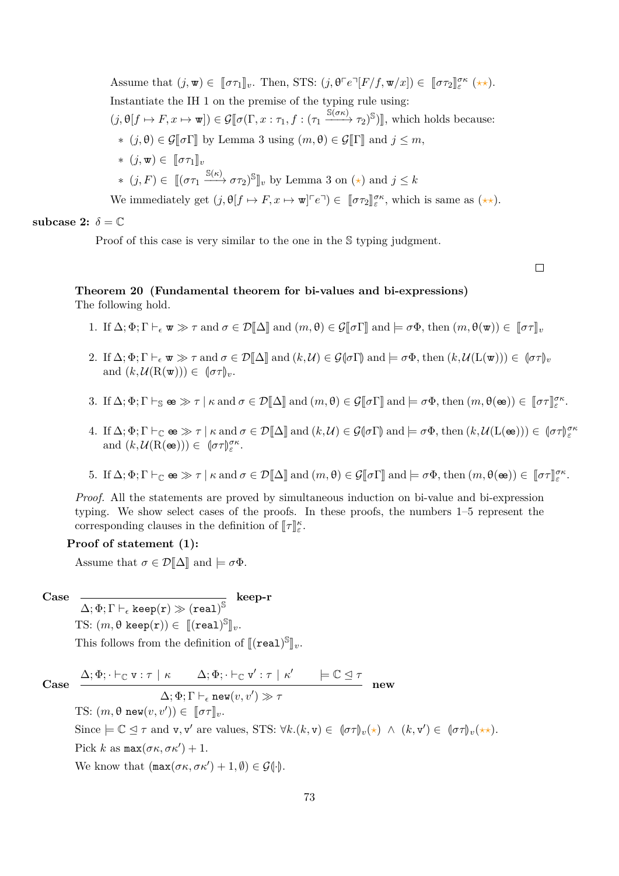Assume that  $(j, \mathbf{w}) \in [\![\sigma \tau_1]\!]_v$ . Then, STS:  $(j, \theta \ulcorner e \urcorner [F/f, \mathbf{w}/x]) \in [\![\sigma \tau_2]\!]_{{\varepsilon}}^{{\sigma}{\kappa}} (\star \star).$ Instantiate the IH 1 on the premise of the typing rule using:  $(j, \theta[f \mapsto F, x \mapsto \mathbf{w}]) \in \mathcal{G}[\![\sigma(\Gamma, x : \tau_1, f : (\tau_1 \xrightarrow{\mathbb{S}(\sigma\kappa)} \tau_2)^{\mathbb{S}})]],$  which holds because: ∗ (*j*,  $\theta$ ) ∈  $\mathcal{G}$ [ $\sigma$ Γ] by Lemma [3](#page-19-0) using (*m*,  $\theta$ ) ∈  $\mathcal{G}$ [Γ] and *j* ≤ *m*,  $*(i, \mathbf{w}) \in ∏στ_1 ∥<sub>v</sub>$  $*(j, F) \in [[(\sigma \tau_1 \xrightarrow{\mathbb{S}(\kappa)} \sigma \tau_2)^\mathbb{S}]_v$  by Lemma [3](#page-19-0) on  $(\star)$  and  $j \leq k$ We immediately get  $(j, \theta[f \mapsto F, x \mapsto \mathbf{w}]^{\tau} e^{\tau}) \in [\![\sigma \tau_2]\!]_{\varepsilon}^{\sigma \kappa}$ , which is same as  $(\star \star)$ .

subcase 2:  $\delta = \mathbb{C}$ 

Proof of this case is very similar to the one in the S typing judgment.

 $\Box$ 

#### **Theorem 20 (Fundamental theorem for bi-values and bi-expressions)** The following hold.

- 1. If  $\Delta; \Phi; \Gamma \vdash_{\epsilon} \mathbf{w} \gg \tau$  and  $\sigma \in \mathcal{D}[\![\Delta]\!]$  and  $(m, \theta) \in \mathcal{G}[\![\sigma \Gamma]\!]$  and  $\models \sigma \Phi$ , then  $(m, \theta(\mathbf{w})) \in [\![\sigma \tau]\!]_v$
- 2. If  $\Delta; \Phi; \Gamma \vdash_{\epsilon} \mathbf{w} \gg \tau$  and  $\sigma \in \mathcal{D}[\![\Delta]\!]$  and  $(k, \mathcal{U}) \in \mathcal{G}(\![\sigma \Gamma]\!]$  and  $\models \sigma \Phi$ , then  $(k, \mathcal{U}(\mathbf{L}(\mathbf{w}))) \in (\![\sigma \tau]\!]_v$ and  $(k, \mathcal{U}(\mathbf{R}(\mathbf{w}))) \in [\![\sigma \tau]\!]_v$ .
- 3. If  $\Delta; \Phi; \Gamma \vdash_{\mathbb{S}} \mathbf{e} \gg \tau \mid \kappa \text{ and } \sigma \in \mathcal{D}[\![\Delta]\!] \text{ and } (m, \theta) \in \mathcal{G}[\![\sigma \Gamma]\!] \text{ and } \models \sigma \Phi, \text{ then } (m, \theta(\mathbf{e})) \in [\![\sigma \tau]\!]_{\varepsilon}^{\sigma \kappa}.$
- 4. If  $\Delta; \Phi; \Gamma \vdash_{\mathbb{C}} \mathbf{e} \otimes \mathcal{F} \upharpoonright \kappa$  and  $\sigma \in \mathcal{D}[\![\Delta]\!]$  and  $(k, \mathcal{U}) \in \mathcal{G}(\sigma \Gamma)$  and  $\models \sigma \Phi$ , then  $(k, \mathcal{U}(\mathbf{L}(\mathbf{e})) \in (\sigma \tau) \mathcal{E}^{\sigma \kappa}$ and  $(k, \mathcal{U}(\mathbf{R}(\mathbf{e}))) \in [\sigma \tau]_{\varepsilon}^{\sigma \kappa}$ .
- 5. If  $\Delta; \Phi; \Gamma \vdash_{\mathbb{C}} \mathbf{e} \gg \tau \mid \kappa \text{ and } \sigma \in \mathcal{D}[\![\Delta]\!] \text{ and } (m, \theta) \in \mathcal{G}[\![\sigma \Gamma]\!] \text{ and } \models \sigma \Phi, \text{ then } (m, \theta(\mathbf{e})) \in [\![\sigma \tau]\!]_{\varepsilon}^{\sigma \kappa}.$

*Proof.* All the statements are proved by simultaneous induction on bi-value and bi-expression typing. We show select cases of the proofs. In these proofs, the numbers 1–5 represent the corresponding clauses in the definition of  $[\![\tau]\!]^{\kappa}_{\varepsilon}$ .

#### **Proof of statement (1):**

Assume that  $\sigma \in \mathcal{D}[\![\Delta]\!]$  and  $\models \sigma \Phi$ .

#### **Case**

 $\overline{\Delta; \Phi; \Gamma \vdash_{\epsilon} \text{keep(r)} \gg \text{(real)}^{\mathbb{S}}}$  keep-r

TS:  $(m, \theta \text{ keep}(r)) \in [[(\text{real})^{\mathbb{S}}]_v$ .

This follows from the definition of  $[\mathbf{[real)}^{\mathbb{S}}]_v$ .

**Case**  $\Delta; \Phi$ ;  $\vdash_{\mathbb{C}} \mathsf{v} : \tau \mid \kappa$   $\Delta; \Phi$ ;  $\vdash_{\mathbb{C}} \mathsf{v}' : \tau \mid \kappa'$   $\models \mathbb{C} \trianglelefteq \tau$  $\Delta; \Phi; \Gamma \vdash_{\epsilon} \texttt{new}(v, v') \gg \tau$ **new** TS:  $(m, \theta \text{ new}(v, v')) \in [\![\sigma \tau]\!]_v.$  $Since \models \mathbb{C} \trianglelefteq \tau \text{ and } \mathbf{v}, \mathbf{v}' \text{ are values, STS: } \forall k.(k, \mathbf{v}) \in (\sigma \tau)_v(\star) \land (k, \mathbf{v}') \in (\sigma \tau)_v(\star \star).$ Pick  $k$  as  $\max(\sigma \kappa, \sigma \kappa') + 1$ . We know that  $(\max(\sigma \kappa, \sigma \kappa') + 1, \emptyset) \in \mathcal{G}(\cdot)$ .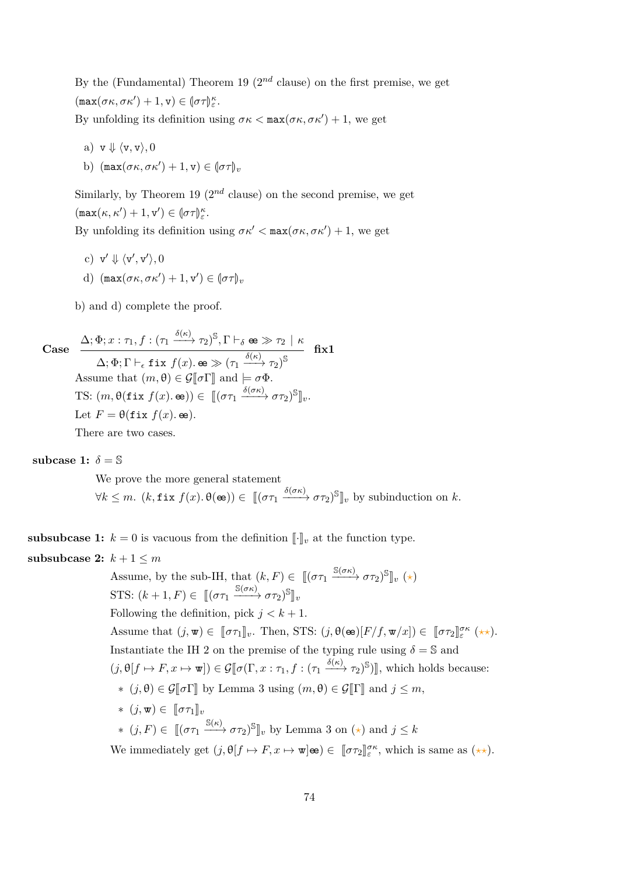By the (Fundamental) Theorem [19](#page-31-0)  $(2^{nd}$  clause) on the first premise, we get  $(\max(\sigma \kappa, \sigma \kappa') + 1, \mathbf{v}) \in (\sigma \tau)_{\varepsilon}^{\kappa}.$ 

By unfolding its definition using  $\sigma \kappa < \max(\sigma \kappa, \sigma \kappa') + 1$ , we get

- a)  $v \Downarrow \langle v, v \rangle, 0$
- b)  $(\max(\sigma \kappa, \sigma \kappa') + 1, \mathbf{v}) \in (\sigma \tau)_v$

Similarly, by Theorem [19](#page-31-0)  $(2^{nd}$  clause) on the second premise, we get  $(\max(\kappa, \kappa') + 1, \mathbf{v}') \in (\sigma \tau)_{\varepsilon}^{\kappa}.$ 

By unfolding its definition using  $\sigma \kappa' < \max(\sigma \kappa, \sigma \kappa') + 1$ , we get

- c)  $\mathbf{v}' \Downarrow \langle \mathbf{v}', \mathbf{v}' \rangle, 0$
- d)  $(\max(\sigma\kappa, \sigma\kappa') + 1, \mathbf{v}') \in (\sigma\tau)_v$

b) and d) complete the proof.

Case 
$$
\frac{\Delta; \Phi; x : \tau_1, f : (\tau_1 \xrightarrow{\delta(\kappa)} \tau_2)^S, \Gamma \vdash_{\delta} \mathbf{e} \gg \tau_2 \mid \kappa}{\Delta; \Phi; \Gamma \vdash_{\epsilon} \mathbf{fix} f(x) . \mathbf{e} \gg (\tau_1 \xrightarrow{\delta(\kappa)} \tau_2)^S} \mathbf{fix1}
$$
Assume that  $(m, \theta) \in \mathcal{G}[\![\sigma\Gamma]\!]$  and  $\models \sigma\Phi$ .  
TS:  $(m, \theta(\text{fix } f(x) . \mathbf{e})) \in [[(\sigma\tau_1 \xrightarrow{\delta(\sigma\kappa)} \sigma\tau_2)^S]_v$ .  
Let  $F = \theta(\text{fix } f(x) . \mathbf{e})$ .

There are two cases.

subcase 1:  $\delta = \mathbb{S}$ 

We prove the more general statement  $\forall k \leq m$ .  $(k, \texttt{fix } f(x), \theta(\textbf{e})) \in [[(\sigma \tau_1 \xrightarrow{\delta(\sigma \kappa)} \sigma \tau_2)^{\mathbb{S}}]_v$  by subinduction on  $k$ .

**subsubcase 1:**  $k = 0$  is vacuous from the definition  $\llbracket \cdot \rrbracket_v$  at the function type. **subsubcase 2:**  $k + 1 \leq m$ 

Assume, by the sub-IH, that  $(k, F) \in [(\sigma \tau_1 \xrightarrow{\mathbb{S}(\sigma \kappa)} \sigma \tau_2)^{\mathbb{S}}]_v (\star)$ STS:  $(k+1, F) \in [[(\sigma \tau_1 \xrightarrow{\mathbb{S}(\sigma \kappa)} \sigma \tau_2)^{\mathbb{S}}]_v$ Following the definition, pick  $j < k + 1$ . Assume that  $(j, \mathbf{w}) \in [\![\sigma \tau_1]\!]_v$ . Then, STS:  $(j, \theta(\mathbf{e})[F/f, \mathbf{w}/x]) \in [\![\sigma \tau_2]\!]_{{\varepsilon}}^{{\sigma}{\kappa}}$  (\*\*). Instantiate the IH 2 on the premise of the typing rule using  $\delta = \mathbb{S}$  and  $(j, \theta[f \mapsto F, x \mapsto \mathbf{w}]) \in \mathcal{G}[\![\sigma(\Gamma, x : \tau_1, f : (\tau_1 \xrightarrow{\delta(\kappa)} \tau_2)^{\mathbb{S}})]],$  which holds because: ∗ (*j*,  $\theta$ ) ∈  $\mathcal{G}$ [ $\sigma$ Γ] by Lemma [3](#page-19-0) using (*m*,  $\theta$ ) ∈  $\mathcal{G}$ [Γ] and *j* ≤ *m*,  $*(j, w) ∈ ∏στ₁]<sub>v</sub>$  $*(j, F) \in [[(\sigma \tau_1 \xrightarrow{\mathbb{S}(\kappa)} \sigma \tau_2)^\mathbb{S}]_v$  by Lemma [3](#page-19-0) on  $(\star)$  and  $j \leq k$ We immediately get  $(j, \theta[f \mapsto F, x \mapsto \mathbf{w}] \otimes \in [\![\sigma \tau_2]\!]_{\varepsilon}^{\sigma \kappa}$ , which is same as  $(\star \star)$ .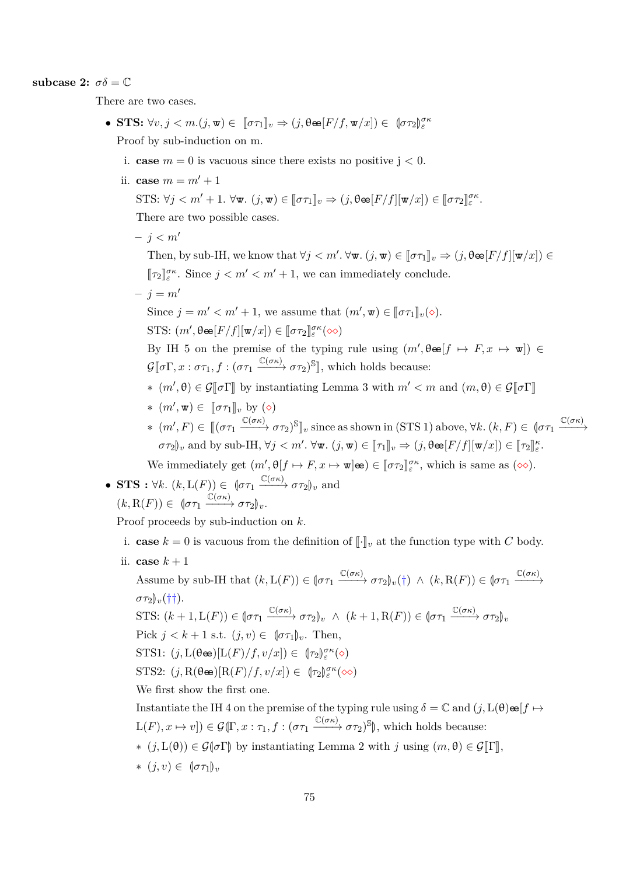subcase 2:  $\sigma \delta = \mathbb{C}$ 

There are two cases.

- $\bullet$  **STS:**  $\forall v, j < m.(j, \mathbf{w}) \in [\![\sigma \tau_1]\!]_v \Rightarrow (j, \theta \in [F/f, \mathbf{w}/x]) \in [\![\sigma \tau_2]\!]_e^{\sigma \kappa}$ Proof by sub-induction on m.
	- i. **case**  $m = 0$  is vacuous since there exists no positive  $j < 0$ .
	- ii. **case**  $m = m' + 1$

STS: 
$$
\forall j < m' + 1
$$
.  $\forall \mathbf{w}. (j, \mathbf{w}) \in [\![\sigma \tau_1]\!]_v \Rightarrow (j, \theta \mathbf{e}[F/f][\![\mathbf{w}/x]\!]) \in [\![\sigma \tau_2]\!]_{{\varepsilon}}^{{\sigma} \kappa}$ .

There are two possible cases.

 $- j < m'$ 

Then, by sub-IH, we know that  $\forall j < m'. \forall \mathbf{w}. (j, \mathbf{w}) \in [\![\sigma \tau_1]\!]_v \Rightarrow (j, \theta \mathbf{e} [F/f][\![\mathbf{w}/x]\!]) \in$  $[\![\tau_2]\!]_{\varepsilon}^{\sigma\kappa}$ . Since  $j < m' < m' + 1$ , we can immediately conclude.

 $- i = m'$ 

Since  $j = m' < m' + 1$ , we assume that  $(m', \mathbf{w}) \in [\![\sigma \tau_1]\!]_v(\diamond).$ STS:  $(m', \theta \in [F/f][\mathbf{w}/x]) \in [\![\sigma \tau_2]\!]_{\varepsilon}^{\sigma \kappa}(\infty)$ 

By IH 5 on the premise of the typing rule using  $(m', \theta \in [f \mapsto F, x \mapsto \mathbf{w}]) \in$  $\mathcal{G}[\![\sigma\Gamma, x:\sigma\tau_1, f:(\sigma\tau_1 \xrightarrow{\mathbb{C}(\sigma\kappa)} \sigma\tau_2)^\mathbb{S}]\!]$ , which holds because:

∗  $(m', \theta) \in \mathcal{G}[\![\sigma\Gamma]\!]$  by instantiating Lemma [3](#page-19-0) with  $m' < m$  and  $(m, \theta) \in \mathcal{G}[\![\sigma\Gamma]\!]$ 

$$
* \ (m', \mathbf{w}) \in \ [\![\sigma \tau_1]\!]_v \text{ by } (\diamond)
$$

 $*(m', F) \in [[(\sigma \tau_1 \xrightarrow{\mathbb{C}(\sigma \kappa)} \sigma \tau_2)^\mathbb{S}]]_v$  since as shown in (STS 1) above,  $\forall k. (k, F) \in [\sigma \tau_1 \xrightarrow{\mathbb{C}(\sigma \kappa)} \sigma \tau_2]$  $\sigma \tau_2$ )<sub>*v*</sub> and by sub-IH,  $\forall j < m'$ .  $\forall \mathbf{w}$ .  $(j, \mathbf{w}) \in [\![\tau_1]\!]_v \Rightarrow (j, \theta \mathbf{e} [F/f][\![\mathbf{w}/x]\!]) \in [\![\tau_2]\!]_s^{\kappa}$ .

We immediately get  $(m', \theta[f \mapsto F, x \mapsto \mathbf{w}] \mathbf{e}) \in [\![\sigma \tau_2]\!]_{\varepsilon}^{\sigma \kappa}$ , which is same as  $(\infty)$ .

• STS: 
$$
\forall k. (k, L(F)) \in (\sigma \tau_1 \xrightarrow{\mathbb{C}(\sigma \kappa)} \sigma \tau_2)_v
$$
 and  
 $(k, R(F)) \in (\sigma \tau_1 \xrightarrow{\mathbb{C}(\sigma \kappa)} \sigma \tau_2)_v.$ 

Proof proceeds by sub-induction on *k*.

- i. **case**  $k = 0$  is vacuous from the definition of  $\lbrack \cdot \rbrack_v$  at the function type with *C* body.
- ii. **case**  $k+1$

Assume by sub-IH that  $(k, L(F)) \in (\sigma \tau_1 \xrightarrow{\mathbb{C}(\sigma \kappa)} \sigma \tau_2)_v(\dagger) \wedge (k, R(F)) \in (\sigma \tau_1 \xrightarrow{\mathbb{C}(\sigma \kappa)}$  $\sigma \tau_2$ ,  $(\dagger \dagger)$ . STS:  $(k+1, L(F)) \in [\sigma \tau_1 \xrightarrow{\mathbb{C}(\sigma \kappa)} \sigma \tau_2]_v \land (k+1, R(F)) \in [\sigma \tau_1 \xrightarrow{\mathbb{C}(\sigma \kappa)} \sigma \tau_2]_v$ Pick  $j < k+1$  s.t.  $(j, v) \in \lbrack \sigma \tau_1 \rbrack_v$ . Then, STS1:  $(j, L(\theta \bullet)[L(F)/f, v/x]) \in (\tau_2)_{\varepsilon}^{\sigma \kappa}(\diamond)$ STS2:  $(j, R(\theta \bullet)[R(F)/f, v/x]) \in (\tau_2)_{\varepsilon}^{\sigma \kappa}(\infty)$ We first show the first one.

Instantiate the IH 4 on the premise of the typing rule using  $\delta = \mathbb{C}$  and  $(j, L(\theta) \otimes [f \mapsto$  $L(F), x \mapsto v$ ])  $\in \mathcal{G}(\Gamma, x : \tau_1, f : (\sigma \tau_1 \xrightarrow{\mathbb{C}(\sigma \kappa)} \sigma \tau_2)$ <sup>S</sup> $\|$ , which holds because:

- $*(j, L(θ)) ∈ G(σΓ)$  by instantiating Lemma [2](#page-17-0) with *j* using  $(m, θ) ∈ G[Γ],$
- $*(j, v) ∈ ∥στ₁)_{v}$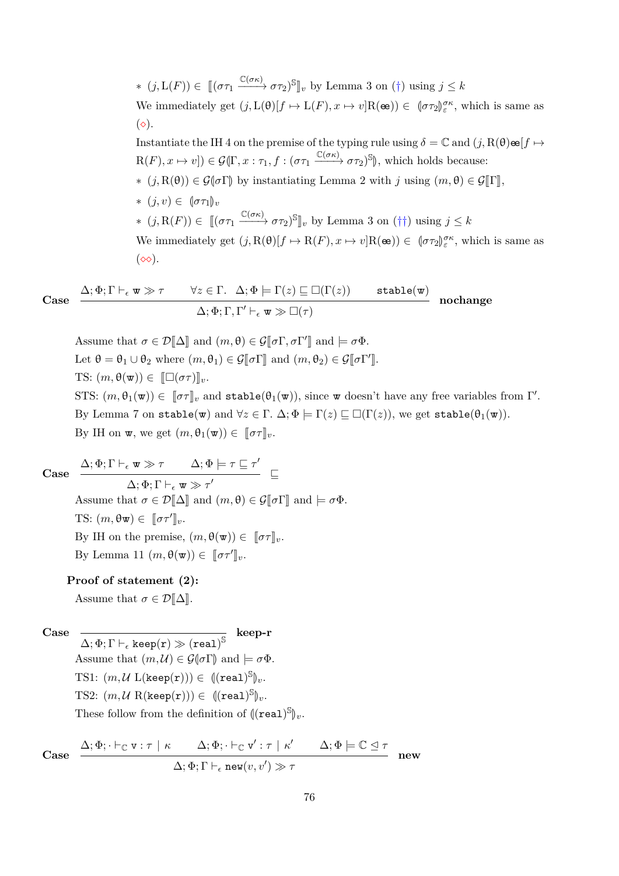∗  $(j, L(F)) \in [(στ₁ \xrightarrow{C(σκ)} στ₂)$ <sup>S</sup><sup>n</sup><sub>v</sub> by Lemma [3](#page-19-0) on (†) using  $j ≤ k$ We immediately get  $(j, L(\theta)[f \mapsto L(F), x \mapsto v]R(\mathbf{e}) \in (\sigma \tau_2)_{\varepsilon}^{\sigma \kappa}$ , which is same as  $(\diamond).$ Instantiate the IH 4 on the premise of the typing rule using  $\delta = \mathbb{C}$  and  $(j, R(\theta) \infty | f \mapsto$ 

 $R(F), x \mapsto v$ ])  $\in \mathcal{G}(\Gamma, x : \tau_1, f : (\sigma \tau_1 \xrightarrow{\mathbb{C}(\sigma \kappa)} \sigma \tau_2)$ <sup>S</sup> $\|$ , which holds because:  $*(i, R(\theta)) \in \mathcal{G}[\sigma\Gamma]$  by instantiating Lemma [2](#page-17-0) with *j* using  $(m, \theta) \in \mathcal{G}[\Gamma],$ 

 $*(j, v) ∈  ${\lbrace \sigma \tau_1 \rbrace}_v$$ ∗  $(j, R(F)) \in [[(\sigma \tau_1 \xrightarrow{\mathbb{C}(\sigma \kappa)} \sigma \tau_2)^{\mathbb{S}}]_v$  by Lemma [3](#page-19-0) on (††) using  $j \leq k$ We immediately get  $(j, R(\theta)[f \mapsto R(F), x \mapsto v]R(\mathbf{e}) \in (\sigma \tau_2)_{\varepsilon}^{\sigma \kappa}$ , which is same as  $(\infty)$ .

$$
\text{Case} \quad \frac{\Delta; \Phi; \Gamma \vdash_{\epsilon} \mathbf{w} \gg \tau \quad \forall z \in \Gamma. \ \Delta; \Phi \models \Gamma(z) \sqsubseteq \Box(\Gamma(z)) \quad \text{stable}(\mathbf{w})}{\Delta; \Phi; \Gamma, \Gamma' \vdash_{\epsilon} \mathbf{w} \gg \Box(\tau)} \ \ \text{nochange}
$$

Assume that  $\sigma \in \mathcal{D}[\![\Delta]\!]$  and  $(m, \theta) \in \mathcal{G}[\![\sigma\Gamma, \sigma\Gamma']\!]$  and  $\models \sigma\Phi$ . Let  $\theta = \theta_1 \cup \theta_2$  where  $(m, \theta_1) \in \mathcal{G}[\![\sigma\Gamma]\!]$  and  $(m, \theta_2) \in \mathcal{G}[\![\sigma\Gamma']\!]$ . TS:  $(m, \theta(\mathbf{w})) \in [\Box(\sigma\tau)]_v$ . STS:  $(m, \theta_1(\mathbf{w})) \in [\![\sigma \tau]\!]_v$  and  $\text{stable}(\theta_1(\mathbf{w}))$ , since w doesn't have any free variables from  $\Gamma'$ . By Lemma [7](#page-20-0) on stable(w) and  $\forall z \in \Gamma$ .  $\Delta; \Phi \models \Gamma(z) \sqsubseteq \Box(\Gamma(z))$ , we get stable( $\theta_1(w)$ ). By IH on **w**, we get  $(m, \theta_1(\mathbf{w})) \in [\![\sigma \tau]\!]_v$ .

**Case**

 $\Delta; \Phi; \Gamma \vdash_{\epsilon} \mathbf{w} \gg \tau$   $\Delta; \Phi \models \tau \sqsubseteq \tau'$  $\frac{1}{\Delta; \Phi; \Gamma \vdash_{\epsilon} \mathbf{w} \gg \tau'}$ Assume that  $\sigma \in \mathcal{D}[\![\Delta]\!]$  and  $(m, \theta) \in \mathcal{G}[\![\sigma\Gamma]\!]$  and  $\models \sigma\Phi$ . TS:  $(m, \theta \mathbf{w}) \in [\![\sigma \tau']\!]_v$ . By IH on the premise,  $(m, \theta(\mathbf{w})) \in [\![\sigma \tau]\!]_v$ . By Lemma [11](#page-22-0)  $(m, \theta(\mathbf{w})) \in [\![\sigma \tau']\!]_v$ .

**Proof of statement (2):**

Assume that  $\sigma \in \mathcal{D}[\![\Delta]\!]$ .

**Case**

 $\overline{\Delta; \Phi; \Gamma \vdash_{\epsilon} \text{keep}(r) \gg \text{(real)}^{\mathbb{S}}} \;\; \text{keep-r}$ Assume that  $(m, \mathcal{U}) \in \mathcal{G}(\sigma \Gamma)$  and  $\models \sigma \Phi$ . TS1:  $(m, U \ L(\text{keep}(r))) \in \ {((\text{real})^S|_v}.$ TS2:  $(m, U \ R(\text{keep}(r))) \in \ ((\text{real})^{\mathbb{S}})_{v}.$ These follow from the definition of  $(\mathbf{real})^{\mathbb{S}}|_v$ .

Case 
$$
\frac{\Delta; \Phi; \vdash_{\mathbb{C}} \mathbf{v} : \tau \mid \kappa \Delta; \Phi; \vdash_{\mathbb{C}} \mathbf{v}' : \tau \mid \kappa' \Delta; \Phi \models \mathbb{C} \trianglelefteq \tau}{\Delta; \Phi; \Gamma \vdash_{\epsilon} \text{new}(v, v') \gg \tau}
$$
new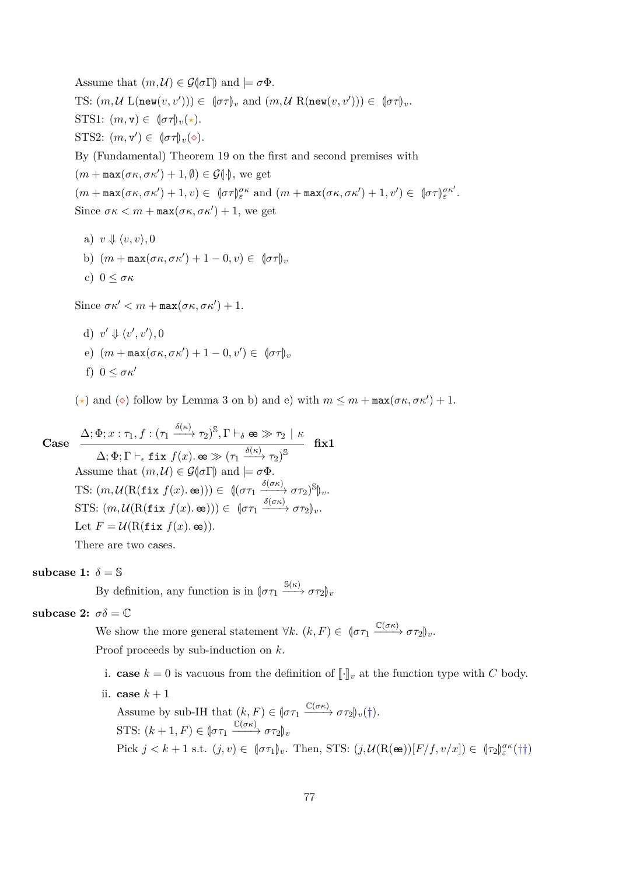Assume that  $(m, \mathcal{U}) \in \mathcal{G}(\sigma \Gamma)$  and  $\models \sigma \Phi$ . TS:  $(m, \mathcal{U} \mathsf{L}(\mathbf{new}(v, v'))) \in (\sigma \tau)_v$  and  $(m, \mathcal{U} \mathsf{R}(\mathbf{new}(v, v'))) \in (\sigma \tau)_v$ . STS1:  $(m, v) \in (\sigma \tau)_v(\star)$ . STS2:  $(m, v') \in (\sigma \tau)_v(\diamond).$ By (Fundamental) Theorem [19](#page-31-0) on the first and second premises with  $(m + \max(\sigma \kappa, \sigma \kappa') + 1, \emptyset) \in \mathcal{G}(\cdot)$ , we get  $(m + \max(\sigma \kappa, \sigma \kappa') + 1, v) \in [\sigma \tau]_{\varepsilon}^{\sigma \kappa} \text{ and } (m + \max(\sigma \kappa, \sigma \kappa') + 1, v') \in [\sigma \tau]_{\varepsilon}^{\sigma \kappa'}.$ Since  $\sigma \kappa < m + \max(\sigma \kappa, \sigma \kappa') + 1$ , we get

- a)  $v \Downarrow \langle v, v \rangle, 0$ b)  $(m + \max(\sigma \kappa, \sigma \kappa') + 1 - 0, v) \in (\sigma \tau)_v$
- c) 0 ≤ *σκ*

Since  $\sigma \kappa' < m + \max(\sigma \kappa, \sigma \kappa') + 1$ .

d) 
$$
v' \Downarrow \langle v', v' \rangle, 0
$$
  
e)  $(m + \max(\sigma \kappa, \sigma \kappa') + 1 - 0, v') \in (\sigma \tau)_v$   
f)  $0 \leq \sigma \kappa'$ 

(\*) and ( $\diamond$ ) follow by Lemma [3](#page-19-0) on b) and e) with  $m \leq m + \max(\sigma \kappa, \sigma \kappa') + 1$ .

**Case**

$$
\Delta; \Phi; x : \tau_1, f : (\tau_1 \xrightarrow{\delta(\kappa)} \tau_2)^{\mathbb{S}}, \Gamma \vdash_{\delta} \mathbf{e} \gg \tau_2 \mid \kappa
$$
\n
$$
\Delta; \Phi; \Gamma \vdash_{\epsilon} \mathbf{fix} f(x) . \mathbf{e} \gg (\tau_1 \xrightarrow{\delta(\kappa)} \tau_2)^{\mathbb{S}}
$$
\nAssume that  $(m, \mathcal{U}) \in \mathcal{G}(\sigma \Gamma)$  and  $\models \sigma \Phi$ .\nTS:  $(m, \mathcal{U}(\mathbf{R}(\mathtt{fix} f(x) . \mathbf{e})) \in ((\sigma \tau_1 \xrightarrow{\delta(\sigma \kappa)} \sigma \tau_2)^{\mathbb{S}})_v$ .\nSTS:  $(m, \mathcal{U}(\mathbf{R}(\mathtt{fix} f(x) . \mathbf{e}))) \in (\sigma \tau_1 \xrightarrow{\delta(\sigma \kappa)} \sigma \tau_2)_v$ .\nLet  $F = \mathcal{U}(\mathbf{R}(\mathtt{fix} f(x) . \mathbf{e}))$ .\nThere are two cases.

**subcase 1:**  $\delta = \mathbb{S}$ 

By definition, any function is in  $(\sigma \tau_1 \xrightarrow{S(\kappa)} \sigma \tau_2)_v$ 

subcase 2:  $\sigma \delta = \mathbb{C}$ 

We show the more general statement  $\forall k. (k, F) \in (\sigma \tau_1 \xrightarrow{\mathbb{C}(\sigma \kappa)} \sigma \tau_2)_v$ . Proof proceeds by sub-induction on *k*.

- i. **case**  $k = 0$  is vacuous from the definition of  $\llbracket \cdot \rrbracket_v$  at the function type with *C* body.
- ii. **case**  $k+1$

Assume by sub-IH that 
$$
(k, F) \in (\sigma \tau_1 \xrightarrow{\mathbb{C}(\sigma \kappa)} \sigma \tau_2)_v(\dagger)
$$
.  
\nSTS:  $(k + 1, F) \in (\sigma \tau_1 \xrightarrow{\mathbb{C}(\sigma \kappa)} \sigma \tau_2)_v$   
\nPick  $j < k + 1$  s.t.  $(j, v) \in (\sigma \tau_1)_v$ . Then, STS:  $(j, \mathcal{U}(\mathbf{R}(\mathbf{e}))[F/f, v/x]) \in (\tau_2)_{\varepsilon}^{\sigma \kappa}(\dagger \dagger)$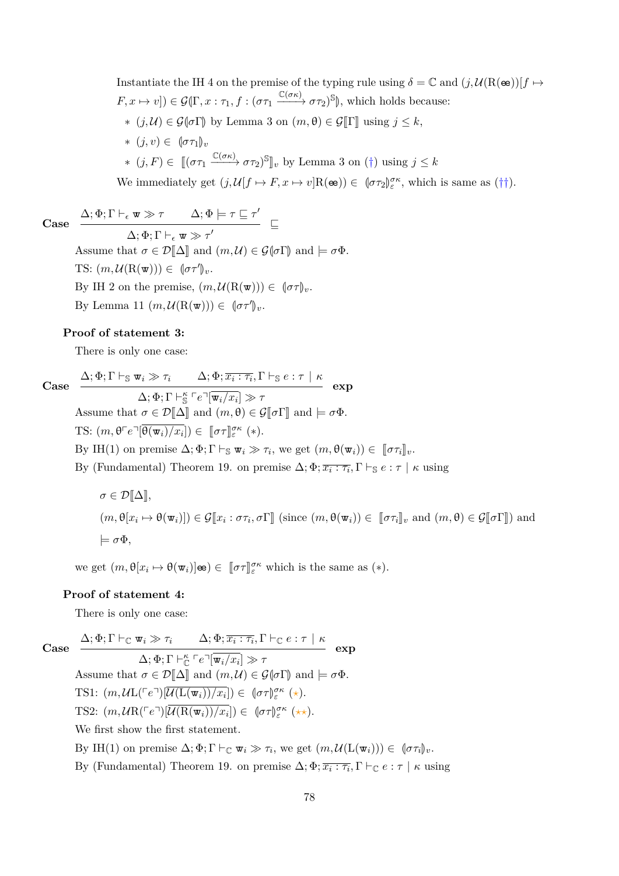Instantiate the IH 4 on the premise of the typing rule using  $\delta = \mathbb{C}$  and  $(j, \mathcal{U}(\mathbf{R}(\mathbf{e}))[f \mapsto$  $(F, x \mapsto v]) \in \mathcal{G}(\Gamma, x : \tau_1, f : (\sigma \tau_1 \xrightarrow{\mathbb{C}(\sigma \kappa)} \sigma \tau_2)^\mathbb{S}),$  which holds because:  $*(j, U) ∈ G(σΓ)$  by Lemma [3](#page-19-0) on  $(m, θ) ∈ G[Γ]$  using  $j ≤ k$ ,  $*(j, v) ∈  ${\lbrace \sigma \tau_1 \rbrace}_v$$  $*(j, F) \in [[(\sigma \tau_1 \xrightarrow{\mathbb{C}(\sigma \kappa)} \sigma \tau_2)^\mathbb{S}]_v$  by Lemma [3](#page-19-0) on (†) using  $j \leq k$ 

We immediately get  $(j, \mathcal{U}[f \mapsto F, x \mapsto v]R(\mathbf{e}) \in (\sigma \tau_2)_{\varepsilon}^{\sigma \kappa}$ , which is same as (††).

**Case**  $\Delta; \Phi; \Gamma \vdash_{\epsilon} \mathbf{w} \gg \tau$   $\Delta; \Phi \models \tau \sqsubseteq \tau'$  $\Delta; \Phi; \Gamma \vdash_{\epsilon} \mathbf{w} \gg \tau'$ Assume that  $\sigma \in \mathcal{D}[\![\Delta]\!]$  and  $(m,\mathcal{U}) \in \mathcal{G}[\![\sigma]\!]$  and  $\models \sigma \Phi$ .

TS:  $(m, \mathcal{U}(\mathbf{R}(\mathbf{w}))) \in \mathcal{L}(\sigma \tau')_v$ . By IH 2 on the premise,  $(m, \mathcal{U}(\mathbf{R}(\mathbf{w}))) \in [\![\sigma \tau]\!]_v$ . By Lemma [11](#page-22-0)  $(m, \mathcal{U}(\mathbf{R}(\mathbf{w}))) \in \phi(\sigma \tau')_v$ .

#### **Proof of statement 3:**

There is only one case:

**Case**

 $\Delta; \Phi; \Gamma \vdash_{\mathbb{S}} \mathbf{w}_i \gg \tau_i$   $\Delta; \Phi; \overline{x_i : \tau_i}, \Gamma \vdash_{\mathbb{S}} e : \tau \mid \kappa$  $\Delta; \Phi; \Gamma \vdash_{\mathbb{S}}^{\kappa} \ulcorner e \urcorner [\overline{\mathbf{w}_i}/x_i] \gg \tau$ **exp** Assume that  $\sigma \in \mathcal{D}[\![\Delta]\!]$  and  $(m, \theta) \in \mathcal{G}[\![\sigma]\!]$  and  $\models \sigma \Phi$ . TS:  $(m, \theta \ulcorner e \urcorner [\overline{\theta(\mathbf{w}_i)/x_i}]) \in [\![\sigma \tau]\!]^{\sigma \kappa}_{\varepsilon} (*)$ . By IH(1) on premise  $\Delta; \Phi; \Gamma \vdash_{\mathbb{S}} \mathbf{w}_i \gg \tau_i$ , we get  $(m, \theta(\mathbf{w}_i)) \in [\![\sigma \tau_i]\!]_v$ . By (Fundamental) Theorem [19.](#page-31-0) on premise  $\Delta; \Phi; \overline{x_i : \tau_i}, \Gamma \vdash_{\mathbb{S}} e : \tau \mid \kappa$  using

 $\sigma \in \mathcal{D}[\![\Delta]\!],$  $(m, \theta[x_i \mapsto \theta(\mathbf{w}_i)]) \in \mathcal{G}[\![x_i : \sigma \tau_i, \sigma \Gamma]\!]$  (since  $(m, \theta(\mathbf{w}_i)) \in [\![\sigma \tau_i]\!]_v$  and  $(m, \theta) \in \mathcal{G}[\![\sigma \Gamma]\!]$ ) and  $\models \sigma\Phi$ .

we get  $(m, \theta[x_i \mapsto \theta(\mathbf{w}_i)]\mathbf{\omega}) \in [\![\sigma \tau]\!]_{\varepsilon}^{\sigma \kappa}$  which is the same as  $(*)$ .

#### **Proof of statement 4:**

There is only one case:

**Case**

 $\Delta; \Phi; \Gamma \vdash_{\mathbb{C}} \mathbf{w}_{i} \gg \tau_{i}$   $\Delta; \Phi; \overline{x_{i} : \tau_{i}}, \Gamma \vdash_{\mathbb{C}} e : \tau \mid \kappa$  $\Delta; \Phi; \Gamma \vdash_{\mathbb{C}}^{\kappa} \ulcorner e \urcorner [\overline{\mathbf{w}_i}/x_i] \gg \tau$ **exp** Assume that  $\sigma \in \mathcal{D}[\Delta]$  and  $(m,\mathcal{U}) \in \mathcal{G}[\sigma]$  and  $\models \sigma \Phi$ . TS1:  $(m, U L({\ulcorner} e \urcorner)[\overline{U(L(\mathbf{w}_i))/x_i}]) \in [\sigma \tau]_{\varepsilon}^{\sigma \kappa} (\star).$ TS2:  $(m, U\mathcal{R}(\ulcorner e \urcorner))[\overline{U(\mathcal{R}(\mathbf{w}_i))/x_i}]) \in [\sigma \tau]_\varepsilon^{\sigma \kappa} (\star \star).$ We first show the first statement. By IH(1) on premise  $\Delta; \Phi; \Gamma \vdash_{\mathbb{C}} \mathbf{w}_i \gg \tau_i$ , we get  $(m, \mathcal{U}(\mathbf{L}(\mathbf{w}_i))) \in [\sigma \tau_i]_v$ . By (Fundamental) Theorem [19.](#page-31-0) on premise  $\Delta; \Phi; \overline{x_i : \tau_i}, \Gamma \vdash_{\mathbb{C}} e : \tau \mid \kappa$  using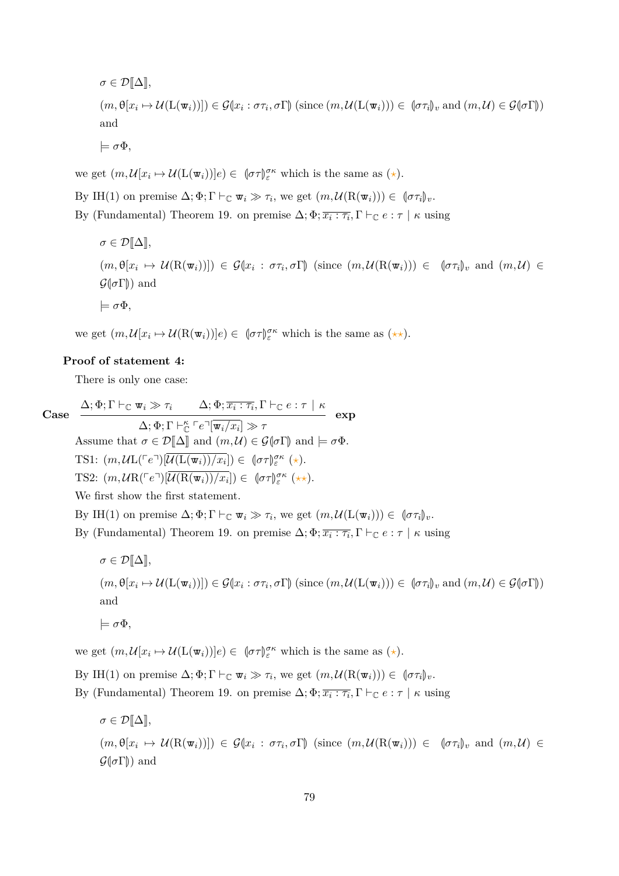$$
\sigma \in \mathcal{D}[\![\Delta]\!],
$$
  
\n
$$
(m, \theta[x_i \mapsto \mathcal{U}(\mathcal{L}(\mathbf{w}_i))]) \in \mathcal{G}[x_i : \sigma \tau_i, \sigma \Gamma]
$$
 (since  $(m, \mathcal{U}(\mathcal{L}(\mathbf{w}_i))) \in (\sigma \tau_i)_v$  and  $(m, \mathcal{U}) \in \mathcal{G}(\sigma \Gamma)$ )  
\nand  
\n
$$
\models \sigma \Phi,
$$

we get  $(m, \mathcal{U}[x_i \mapsto \mathcal{U}(\mathcal{L}(\mathbf{w}_i))]e) \in (\sigma \tau) \mathcal{E}^{\sigma \kappa}$  which is the same as  $(\star)$ .

By IH(1) on premise  $\Delta; \Phi; \Gamma \vdash_{\mathbb{C}} \mathbf{w}_i \gg \tau_i$ , we get  $(m, \mathcal{U}(\mathbf{R}(\mathbf{w}_i))) \in (\sigma \tau_i)_{\mathbf{v}}$ . By (Fundamental) Theorem [19.](#page-31-0) on premise  $\Delta; \Phi; \overline{x_i : \tau_i}, \Gamma \vdash_{\mathbb{C}} e : \tau \mid \kappa$  using

$$
\sigma \in \mathcal{D}[\![\Delta]\!],
$$
  
\n $(m, \theta[x_i \mapsto \mathcal{U}(\mathcal{R}(\mathbf{w}_i))]) \in \mathcal{G}[x_i : \sigma\tau_i, \sigma\Gamma]$  (since  $(m, \mathcal{U}(\mathcal{R}(\mathbf{w}_i))) \in (\sigma\tau_i]_v$  and  $(m, \mathcal{U}) \in \mathcal{G}(\![\sigma\Gamma]\!])$  and  
\n $\models \sigma\Phi$ ,

we get  $(m, \mathcal{U}[x_i \mapsto \mathcal{U}(\mathbf{R}(\mathbf{w}_i))]e) \in (\sigma \tau)_{\varepsilon}^{\sigma \kappa}$  which is the same as  $(\star \star)$ .

#### **Proof of statement 4:**

There is only one case:

Case 
$$
\frac{\Delta; \Phi; \Gamma \vdash_{\mathbb{C}} \mathbf{w}_{i} \gg \tau_{i} \qquad \Delta; \Phi; \overline{x_{i} : \tau_{i}}, \Gamma \vdash_{\mathbb{C}} e : \tau \mid \kappa}{\Delta; \Phi; \Gamma \vdash_{\mathbb{C}}^{\kappa} e^{-} [\overline{\mathbf{w}_{i}/x_{i}}] \gg \tau} \qquad \text{exp}
$$
Assume that  $\sigma \in \mathcal{D}[\![\Delta]\!]$  and  $(m, \mathcal{U}) \in \mathcal{G}[\![\sigma\Gamma]\!]$  and  $\models \sigma\Phi$ .  
TS1:  $(m, \mathcal{U} \mathbf{L}(\ulcorner e \urcorner) [\overline{\mathcal{U}(\mathbf{L}(\mathbf{w}_{i}))}/x_{i}]) \in (\![\sigma\tau]\!]_{\varepsilon}^{\sigma\kappa} (\star).$   
TS2:  $(m, \mathcal{U} \mathbf{R}(\ulcorner e \urcorner) [\overline{\mathcal{U}(\mathbf{R}(\mathbf{w}_{i}))}/x_{i}]) \in (\![\sigma\tau]\!]_{\varepsilon}^{\sigma\kappa} (\star\star).$ 

We first show the first statement.

By IH(1) on premise  $\Delta; \Phi; \Gamma \vdash_{\mathbb{C}} \mathbf{w}_i \gg \tau_i$ , we get  $(m, \mathcal{U}(\mathbf{L}(\mathbf{w}_i))) \in [\sigma \tau_i]_v$ .

By (Fundamental) Theorem [19.](#page-31-0) on premise  $\Delta; \Phi; \overline{x_i : \tau_i}, \Gamma \vdash_{\mathbb{C}} e : \tau \mid \kappa$  using

$$
\sigma \in \mathcal{D}[\![\Delta]\!],
$$
  
\n $(m, \theta[x_i \mapsto \mathcal{U}(\mathcal{L}(\mathbf{w}_i))]) \in \mathcal{G}(x_i : \sigma \tau_i, \sigma \Gamma)$  (since  $(m, \mathcal{U}(\mathcal{L}(\mathbf{w}_i))) \in (\sigma \tau_i)_v$  and  $(m, \mathcal{U}) \in \mathcal{G}(\sigma \Gamma)$ )  
\nand  
\n $\models \sigma \Phi$ ,

we get  $(m, \mathcal{U}[x_i \mapsto \mathcal{U}(\mathcal{L}(\mathbf{w}_i))]e) \in (\sigma \tau)_{\varepsilon}^{\sigma \kappa}$  which is the same as  $(\star)$ .

By IH(1) on premise  $\Delta; \Phi; \Gamma \vdash_{\mathbb{C}} \mathbf{w}_i \gg \tau_i$ , we get  $(m, \mathcal{U}(\mathbf{R}(\mathbf{w}_i))) \in (\sigma \tau_i)_{\mathbf{v}}$ .

By (Fundamental) Theorem [19.](#page-31-0) on premise  $\Delta; \Phi; \overline{x_i : \tau_i}, \Gamma \vdash_{\mathbb{C}} e : \tau \mid \kappa$  using

$$
\sigma \in \mathcal{D}[\![\Delta]\!],
$$
  
\n $(m, \theta[x_i \mapsto \mathcal{U}(\mathcal{R}(\mathbf{w}_i))]) \in \mathcal{G}[x_i : \sigma\tau_i, \sigma\Gamma]$  (since  $(m, \mathcal{U}(\mathcal{R}(\mathbf{w}_i))) \in (\sigma\tau_i]_v$  and  $(m, \mathcal{U}) \in \mathcal{G}(\![\sigma\Gamma]\!])$  and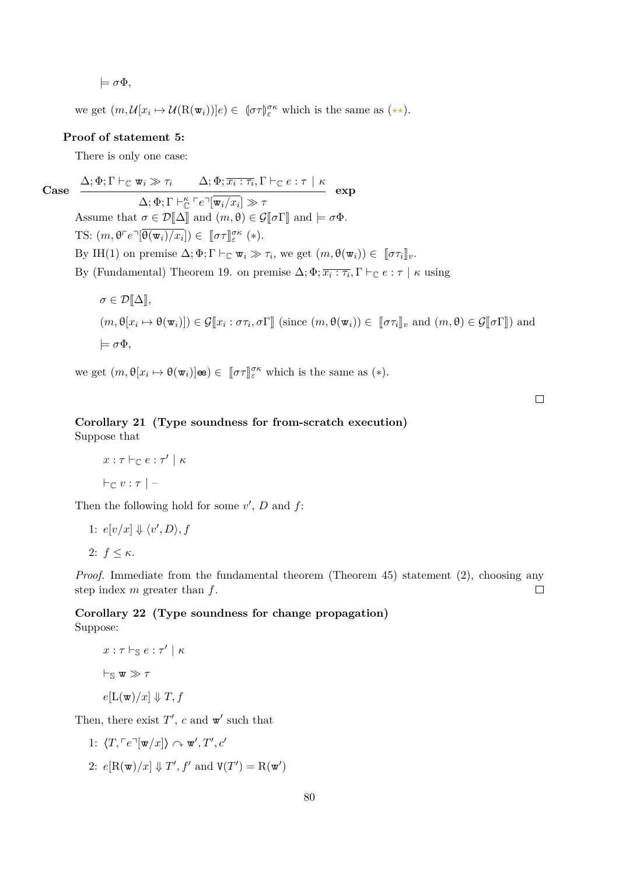$\models \sigma\Phi,$ 

we get  $(m, \mathcal{U}[x_i \mapsto \mathcal{U}(\mathbf{R}(\mathbf{w}_i))]e) \in (\sigma \tau)_{\varepsilon}^{\sigma \kappa}$  which is the same as  $(\star \star)$ .

#### **Proof of statement 5:**

There is only one case:

**Case**  $\Delta; \Phi; \Gamma \vdash_{\mathbb{C}} \mathbf{w}_{i} \gg \tau_{i}$   $\Delta; \Phi; \overline{x_{i} : \tau_{i}}, \Gamma \vdash_{\mathbb{C}} e : \tau \mid \kappa$  $\Delta; \Phi; \Gamma \vdash^{\kappa}_{\mathbb{C}} \ulcorner e \urcorner [\overline{\mathbf{w}_i}/x_i] \gg \tau$ **exp** Assume that  $\sigma \in \mathcal{D}[\![\Delta]\!]$  and  $(m, \theta) \in \mathcal{G}[\![\sigma\Gamma]\!]$  and  $\models \sigma\Phi$ . TS:  $(m, \theta \ulcorner e \urcorner [\overline{\theta(\mathbf{w}_i)/x_i}]) \in [\![\sigma \tau]\!]^{\sigma \kappa}_{\varepsilon} (*)$ . By IH(1) on premise  $\Delta; \Phi; \Gamma \vdash_{\mathbb{C}} \mathbf{w}_i \gg \tau_i$ , we get  $(m, \theta(\mathbf{w}_i)) \in [\![\sigma \tau_i]\!]_v$ . By (Fundamental) Theorem [19.](#page-31-0) on premise  $\Delta; \Phi; \overline{x_i : \tau_i}, \Gamma \vdash_{\mathbb{C}} e : \tau \mid \kappa$  using

$$
\sigma \in \mathcal{D}[\![\Delta]\!],
$$
  
 $(m, \theta[x_i \mapsto \theta(\mathbf{w}_i)]) \in \mathcal{G}[\![x_i : \sigma \tau_i, \sigma \Gamma]\!]$  (since  $(m, \theta(\mathbf{w}_i)) \in [\![\sigma \tau_i]\!]_v$  and  $(m, \theta) \in \mathcal{G}[\![\sigma \Gamma]\!])$  and  
 $\models \sigma \Phi$ ,

we get  $(m, \theta[x_i \mapsto \theta(\mathbf{w}_i)]\mathbf{\omega}) \in [\![\sigma \tau]\!]_{\varepsilon}^{\sigma \kappa}$  which is the same as  $(*)$ .

 $\Box$ 

### **Corollary 21 (Type soundness for from-scratch execution)** Suppose that

```
x: \tau \vdash_{\mathbb{C}} e: \tau' \mid \kappa\vdash_{\mathbb{C}} v : \tau | –
```
Then the following hold for some  $v'$ ,  $D$  and  $f$ :

1: 
$$
e[v/x] \Downarrow \langle v', D \rangle, f
$$
  
2:  $f \leq \kappa$ .

*Proof.* Immediate from the fundamental theorem (Theorem [45\)](#page-106-0) statement (2), choosing any step index *m* greater than *f*.  $\Box$ 

**Corollary 22 (Type soundness for change propagation)** Suppose:

$$
x : \tau \vdash_{\mathbb{S}} e : \tau' \mid \kappa
$$
  
\n
$$
\vdash_{\mathbb{S}} \mathbf{w} \gg \tau
$$
  
\n
$$
e[L(\mathbf{w})/x] \Downarrow T, f
$$

Then, there exist  $T'$ ,  $c$  and  $\mathbf{w}'$  such that

1:  $\langle T, \lceil e \rceil \mathbf{w}/x \rceil \rangle \curvearrowright \mathbf{w}', T', c'$ 2:  $e[\mathbf{R}(\mathbf{w})/x] \Downarrow T'$ ,  $f'$  and  $\mathbf{V}(T') = \mathbf{R}(\mathbf{w}')$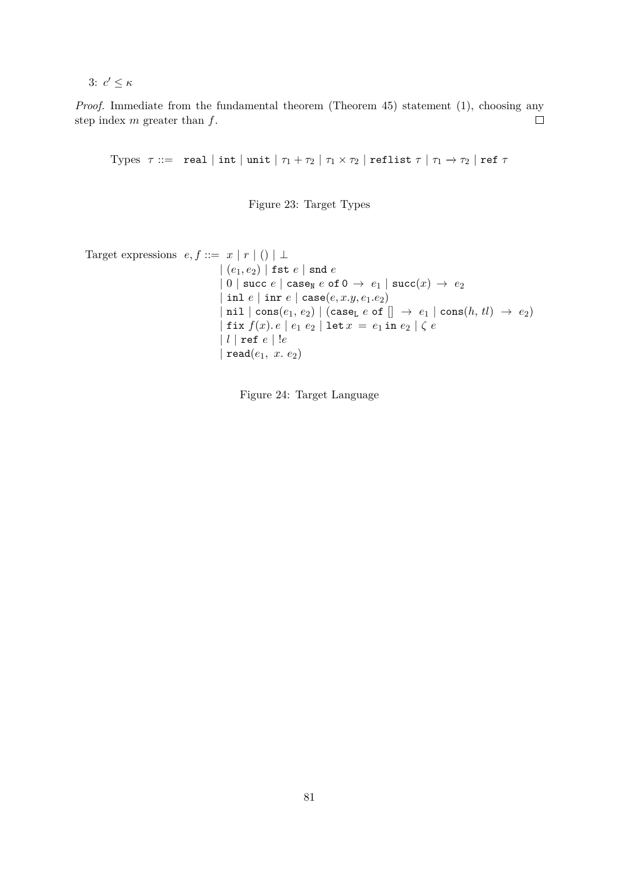3:  $c' \leq \kappa$ 

*Proof.* Immediate from the fundamental theorem (Theorem [45\)](#page-106-0) statement (1), choosing any step index *m* greater than *f*.  $\Box$ 

Types  $\tau ::=$  real | int | unit  $|\tau_1 + \tau_2| |\tau_1 \times \tau_2|$  reflist  $\tau | \tau_1 \to \tau_2 |$  ref  $\tau$ 

Figure 23: Target Types

```
Target expressions e, f ::= x | r | () | \perp| (e1, e2) | fst e | snd e
                                        | 0 | succ e | case<sub>N</sub> e of 0 \rightarrow e_1 | succ(x) \rightarrow e_2| inl e | inr e | case(e, x.y, e1.e2)
                                        |\text{nil}| \text{cons}(e_1, e_2) | (\text{case}_L e \text{ of } [] \rightarrow e_1 | \text{cons}(h, tl) \rightarrow e_2)|\text{fix } f(x) \cdot e| e_1 e_2 | \text{let } x = e_1 \text{ in } e_2 | \zeta e| l | ref e | !e
                                        | read(e1, x. e2)
```
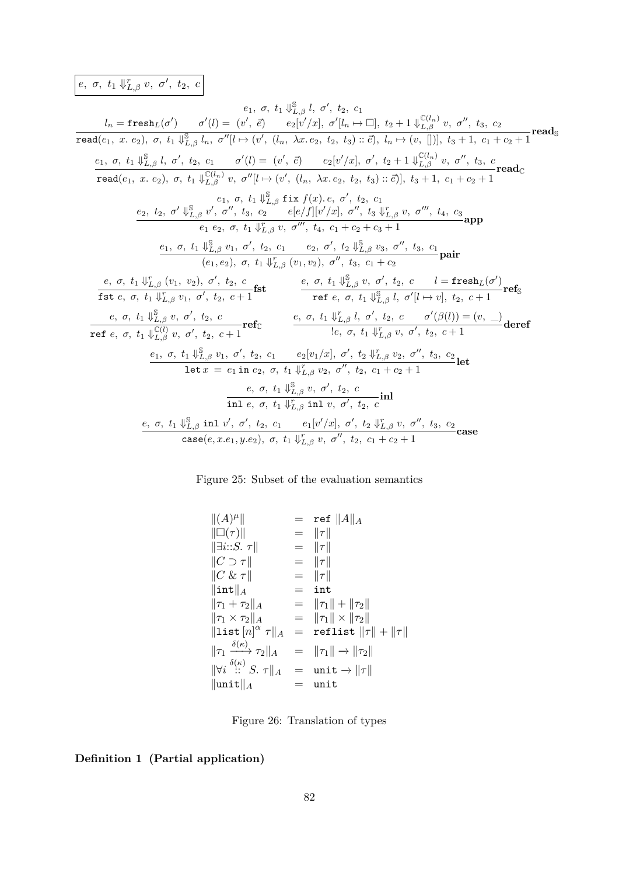## *e*,  $\sigma$ *,*  $t_1 \Downarrow_{L,\beta}^r v$ *,*  $\sigma'$ *,*  $t_2$ *, c*

$$
e_1, \sigma, t_1 \Downarrow^{\mathbb{B}}_{L,\beta} l, \sigma', t_2, c_1
$$
\n
$$
l_n = \text{freesh}_L(\sigma') \qquad \sigma'(l) = (v', \vec{e}) \qquad e_2[v'/x], \sigma'[l_n \mapsto \Box], t_2 + 1 \Downarrow^{\mathbb{C}(l_n)}_{L,\beta} v, \sigma'', t_3, c_2
$$
\n
$$
\text{read}(e_1, x, e_2), \sigma, t_1 \Downarrow^{\mathbb{S}}_{L,\beta} l_n, \sigma''[l \mapsto (v', (l_n, \lambda x, e_2, t_2, t_3) :: \vec{e}), l_n \mapsto (v, \Box]), t_3 + 1, c_1 + c_2 + 1
$$
\n
$$
\text{read}(e_1, x, e_2), \sigma, t_1 \Downarrow^{\mathbb{C}(l_n)}_{L,\beta} v, \sigma''[l \mapsto (v', (l_n, \lambda x, e_2, t_2, t_3) :: \vec{e})], t_3 + 1, c_1 + c_2 + 1
$$
\n
$$
\text{read}(e_1, x, e_2), \sigma, t_1 \Downarrow^{\mathbb{C}(l_n)}_{L,\beta} v, \sigma''[l \mapsto (v', (l_n, \lambda x, e_2, t_2, t_3) :: \vec{e})], t_3 + 1, c_1 + c_2 + 1
$$
\n
$$
e_1, \sigma, t_1 \Downarrow^{\mathbb{S}}_{L,\beta} v', \sigma'', t_3, c_2 \qquad e[e/f][v'/x], \sigma'', t_3 \Downarrow^{\mathbb{F}}_{L,\beta} v, \sigma''', t_4, c_3
$$
\n
$$
e_1 e_2, \sigma, t_1 \Downarrow^{\mathbb{C}}_{L,\beta} v, \sigma'', t_4, c_1 + c_2 + c_3 + 1
$$
\n
$$
\text{den}(e_1, e_2), \sigma, t_1 \Downarrow^{\mathbb{F}}_{L,\beta} v, \sigma'', t_4, c_1 + c_2 + c_3 + 1
$$
\n
$$
\text{den}(e_1, e_2), \sigma, t_1 \Downarrow^{\mathbb{F}}_{L,\beta} v, \sigma'', t_2, c_1 \qquad e_2, \sigma', t_2 \Downarrow^{\mathbb{F}}_{L,\beta}
$$

### Figure 25: Subset of the evaluation semantics

$$
\begin{array}{rcl}\n\|(A)^{\mu}\| & = & \mathbf{ref} \ \|A\|_A \\
\|\Box(\tau)\| & = & \|\tau\| \\
\exists i::S. \ \tau\| & = & \|\tau\| \\
\|C \supset \tau\| & = & \|\tau\| \\
\|C \& \tau\| & = & \|\tau\| \\
\|\mathbf{C} \& \tau\| & = & \|\tau\| \\
\|\mathbf{int}\|_A & = & \mathbf{int} \\
\|\tau_1 + \tau_2\|_A & = & \|\tau_1\| + \|\tau_2\| \\
\|\tau_1 \times \tau_2\|_A & = & \|\tau_1\| \times \|\tau_2\| \\
\|\mathbf{list}\left[n\right]^\alpha \tau\|_A & = & \mathbf{reflist}\left\|\tau\right\| + \|\tau\| \\
\|\tau_1 \xrightarrow{\delta(\kappa)} \tau_2\|_A & = & \|\tau_1\| \to \|\tau_2\| \\
\|\forall i \xrightarrow{\delta(\kappa)} S. \ \tau\|_A & = & \mathbf{unit} \to \|\tau\| \\
\|\mathbf{unit}\|_A & = & \mathbf{unit} \end{array}
$$

Figure 26: Translation of types

### **Definition 1 (Partial application)**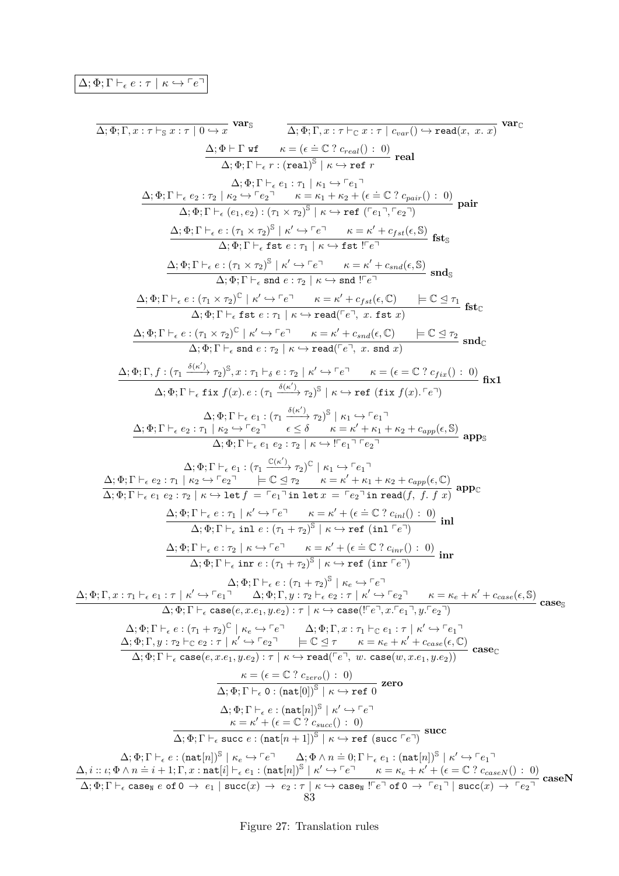# $\boxed{\Delta; \Phi; \Gamma \vdash_{\epsilon} e : \tau \mid \kappa \hookrightarrow^{\ulcorner} e \urcorner}$

∆; Φ; Γ*, x* : *τ* `<sup>S</sup> *x* : *τ* | 0 *,*→ *x* **var**<sup>S</sup> ∆; Φ; Γ*, x* : *<sup>τ</sup>* `<sup>C</sup> *<sup>x</sup>* : *<sup>τ</sup>* <sup>|</sup> *<sup>c</sup>var*() *,*<sup>→</sup> read(*x, x. x*) **var**C ∆; Φ ` Γ wf *κ* = ( *.*<sup>=</sup> <sup>C</sup> ? *<sup>c</sup>real*() : 0) ∆; Φ; Γ ` *r* : (real) S | *κ ,*→ ref *r* **real** ∆; Φ; Γ ` *e*<sup>1</sup> : *τ*<sup>1</sup> | *κ*<sup>1</sup> *,*→ p*e*1q ∆; Φ; Γ ` *e*<sup>2</sup> : *τ*<sup>2</sup> | *κ*<sup>2</sup> *,*→ p*e*2q *κ* = *κ*<sup>1</sup> + *κ*<sup>2</sup> + ( *.*<sup>=</sup> <sup>C</sup> ? *<sup>c</sup>pair*() : 0) ∆; Φ; Γ ` (*e*1*, e*2) : (*τ*<sup>1</sup> × *τ*2) S | *κ ,*→ ref (p*e*1q*,* p*e*2q) **pair** ∆; Φ; Γ ` *e* : (*τ*<sup>1</sup> × *τ*2) S | *κ* 0 *,*→ p*e*q *κ* = *κ* <sup>0</sup> + *cf st*(*,* S) ∆; Φ; Γ ` fst *e* : *τ*<sup>1</sup> | *κ ,*→ fst !p*e*q **fst**S ∆; Φ; Γ ` *e* : (*τ*<sup>1</sup> × *τ*2) S | *κ* 0 *,*→ p*e*q *κ* = *κ* <sup>0</sup> + *csnd*(*,* S) ∆; Φ; Γ ` snd *e* : *τ*<sup>2</sup> | *κ ,*→ snd !p*e*q **snd**S ∆; Φ; Γ ` *e* : (*τ*<sup>1</sup> × *τ*2) C | *κ* 0 *,*→ p*e*q *κ* = *κ* <sup>0</sup> + *cf st*(*,* C) |= C E *τ*<sup>1</sup> ∆; Φ; Γ ` fst *e* : *τ*<sup>1</sup> | *κ ,*→ read(p*e*q*, x.* fst *x*) **fst**C ∆; Φ; Γ ` *e* : (*τ*<sup>1</sup> × *τ*2) C | *κ* 0 *,*→ p*e*q *κ* = *κ* <sup>0</sup> + *csnd*(*,* C) |= C E *τ*<sup>2</sup> ∆; Φ; Γ ` snd *e* : *τ*<sup>2</sup> | *κ ,*→ read(p*e*q*, x.* snd *x*) **snd**<sup>C</sup> ∆; Φ; Γ*, f* : (*τ*<sup>1</sup> *δ*(*κ* 0 ) −−−→ *τ*2) S *, x* : *τ*<sup>1</sup> `*<sup>δ</sup> e* : *τ*<sup>2</sup> | *κ* 0 *,*→ p*e*q *κ* = ( = C ? *cf ix*() : 0) ∆; Φ; Γ ` fix *f*(*x*)*. e* : (*τ*<sup>1</sup> *δ*(*κ* 0 ) −−−→ *τ*2) S | *κ ,*→ ref (fix *f*(*x*)*.* p*e*q) **fix1** ∆; Φ; Γ ` *e*<sup>1</sup> : (*τ*<sup>1</sup> *δ*(*κ* 0 ) −−−→ *τ*2) S | *κ*<sup>1</sup> *,*→ p*e*1q ∆; Φ; Γ ` *e*<sup>2</sup> : *τ*<sup>1</sup> | *κ*<sup>2</sup> *,*→ p*e*2q ≤ *δ κ* = *κ* <sup>0</sup> + *κ*<sup>1</sup> + *κ*<sup>2</sup> + *capp*(*,* S) ∆; Φ; Γ ` *e*<sup>1</sup> *e*<sup>2</sup> : *τ*<sup>2</sup> | *κ ,*→ !p*e*1q p*e*2q **app**<sup>S</sup> ∆; Φ; Γ ` *e*<sup>1</sup> : (*τ*<sup>1</sup> C(*κ* 0 ) −−−→ *τ*2) C | *κ*<sup>1</sup> *,*→ p*e*1q ∆; Φ; Γ ` *e*<sup>2</sup> : *τ*<sup>1</sup> | *κ*<sup>2</sup> *,*→ p*e*2q |= C E *τ*<sup>2</sup> *κ* = *κ* <sup>0</sup> + *κ*<sup>1</sup> + *κ*<sup>2</sup> + *capp*(*,* C) ∆; Φ; Γ ` *e*<sup>1</sup> *e*<sup>2</sup> : *τ*<sup>2</sup> | *κ ,*→ let *f* = p*e*1q in let *x* = p*e*2q in read(*f, f. f x*) **app**<sup>C</sup> ∆; Φ; Γ ` *e* : *τ*<sup>1</sup> | *κ* 0 *,*→ p*e*q *κ* = *κ* <sup>0</sup> + ( *.*<sup>=</sup> <sup>C</sup> ? *<sup>c</sup>inl*() : 0) ∆; Φ; Γ ` inl *e* : (*τ*<sup>1</sup> + *τ*2) S | *κ ,*→ ref (inl p*e*q) **inl** ∆; Φ; Γ ` *e* : *τ*<sup>2</sup> | *κ ,*→ p*e*q *κ* = *κ* <sup>0</sup> + ( *.*<sup>=</sup> <sup>C</sup> ? *<sup>c</sup>inr*() : 0) ∆; Φ; Γ ` inr *e* : (*τ*<sup>1</sup> + *τ*2) S | *κ ,*→ ref (inr p*e*q) **inr** ∆; Φ; Γ ` *e* : (*τ*<sup>1</sup> + *τ*2) S | *κ<sup>e</sup> ,*→ p*e*q ∆; Φ; Γ*, x* : *τ*<sup>1</sup> ` *e*<sup>1</sup> : *τ* | *κ* 0 *,*→ p*e*1q ∆; Φ; Γ*, y* : *τ*<sup>2</sup> ` *e*<sup>2</sup> : *τ* | *κ* 0 *,*→ p*e*2q *κ* = *κ<sup>e</sup>* + *κ* <sup>0</sup> + *ccase*(*,* S) ∆; Φ; Γ ` case(*e, x.e*1*, y.e*2) : *τ* | *κ ,*→ case(!p*e*q*, x.*p*e*1q*, y.*p*e*2q) **case**<sup>S</sup> ∆; Φ; Γ ` *e* : (*τ*<sup>1</sup> + *τ*2) C | *κ<sup>e</sup> ,*→ p*e*q ∆; Φ; Γ*, x* : *τ*<sup>1</sup> `<sup>C</sup> *e*<sup>1</sup> : *τ* | *κ* 0 *,*→ p*e*1q ∆; Φ; Γ*, y* : *τ*<sup>2</sup> `<sup>C</sup> *e*<sup>2</sup> : *τ* | *κ* 0 *,*→ p*e*2q |= C E *τ κ* = *κ<sup>e</sup>* + *κ* <sup>0</sup> + *ccase*(*,* C) ∆; Φ; Γ ` case(*e, x.e*1*, y.e*2) : *<sup>τ</sup>* <sup>|</sup> *κ ,*<sup>→</sup> read(p*e*q*, w.* case(*w, x.e*1*, y.e*2)) **case**<sup>C</sup> *κ* = ( = C ? *czero*() : 0) ∆; Φ; Γ ` 0 : (nat[0])<sup>S</sup> | *κ ,*→ ref 0 **zero** ∆; Φ; Γ ` *e* : (nat[*n*])<sup>S</sup> | *κ* 0 *,*→ p*e*q *κ* = *κ* <sup>0</sup> + ( = C ? *csucc*() : 0) ∆; Φ; Γ ` succ *e* : (nat[*n* + 1])<sup>S</sup> | *κ ,*→ ref (succ p*e*q) **succ** ∆; Φ; Γ ` *e* : (nat[*n*])<sup>S</sup> | *κ<sup>e</sup> ,*→ p*e*q ∆; Φ ∧ *n .*= 0; Γ ` *<sup>e</sup>*<sup>1</sup> : (nat[*n*])<sup>S</sup> | *κ* 0 *,*→ p*e*1q ∆*, i* :: *ι*; Φ ∧ *n .*<sup>=</sup> *<sup>i</sup>* + 1; Γ*, x* : nat[*i*] ` *<sup>e</sup>*<sup>1</sup> : (nat[*n*])<sup>S</sup> | *κ* 0 *,*→ p*e*q *κ* = *κ<sup>e</sup>* + *κ* <sup>0</sup> + ( = C ? *ccaseN* () : 0) ∆; Φ; Γ ` case<sup>N</sup> *e* of 0 → *e*<sup>1</sup> | succ(*x*) → *e*<sup>2</sup> : *τ* | *κ ,*→ case<sup>N</sup> !p*e*q of 0 → p*e*1q | succ(*x*) → p*e*2q **caseN** 83

Figure 27: Translation rules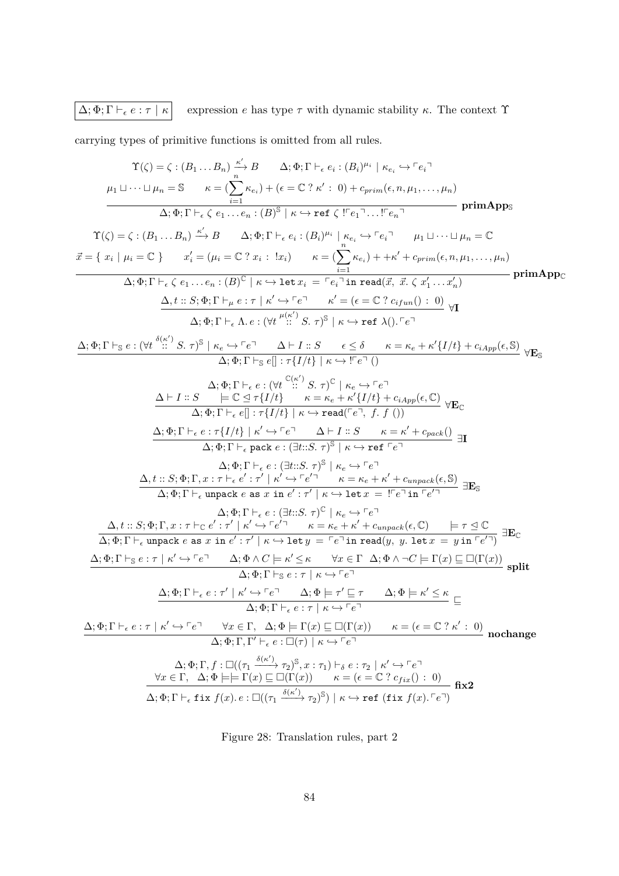# $\boxed{\Delta; \Phi; \Gamma \vdash_{\epsilon} e : \tau \mid \kappa}$  expression *e* has type  $\tau$  with dynamic stability  $\kappa$ . The context  $\Upsilon$

carrying types of primitive functions is omitted from all rules.

$$
\Upsilon(\zeta) = \zeta : (B_1...B_n) \xrightarrow{\kappa'} B \t A; \Phi; \Gamma \vdash_{\epsilon} c_i : (B_i)^{\mu_i} | \kappa_{\epsilon_i} \leftrightarrow^{\epsilon} c_i \rightharpoonup
$$
\n
$$
\mu_1 \sqcup \cdots \sqcup \mu_n = S \t \kappa = (\sum_{i=1}^{n} \kappa_{\epsilon_i}) + (\epsilon = C ? \kappa' : 0) + c_{prime}(e, n, \mu_1,..., \mu_n)
$$
\n
$$
\frac{\Delta_1 \Phi; \Gamma \vdash_{\epsilon} \epsilon_1 ... \epsilon_n : (B)^S | \kappa \leftrightarrow \text{ref } \zeta | \Gamma e_1 \rightharpoonup ... \Gamma e_n \rightharpoonup \text{primApps}
$$
\n
$$
\Upsilon(\zeta) = \zeta : (B_1...B_n) \xrightarrow{\kappa'} B \t A; \Phi; \Gamma \vdash_{\epsilon} c_i : (B_i)^{\mu_i} | \kappa_{\epsilon_i} \leftrightarrow^{\epsilon} e_i \rightharpoonup \text{lim } \mu_1 \sqcup ... \sqcup \mu_n = C
$$
\n
$$
\vec{x} = \{ x_i | \mu_i = \mathbb{C} \} \t x'_i = (\mu_i = \mathbb{C} ? x_i : \exists x_i) \t \kappa = \frac{C}{\epsilon_i} \t x_{\epsilon_i} \rightharpoonup + \kappa' + c_{prime}(e, n, \mu_1,..., \mu_n)
$$
\n
$$
\Delta_1 \Phi; \Gamma \vdash_{\epsilon} \epsilon_1 ... \epsilon_n : (B)^C | \kappa \leftrightarrow \text{let } x_i = \frac{r}{\epsilon_i} \rightharpoonup \text{lim } \text{rad}(\vec{x}, \vec{x}, \zeta | \vec{x}_1... \vec{x}_n) \rightharpoonup \text{primAppc}
$$
\n
$$
\Delta_1 \Phi; \Gamma \vdash_{\epsilon} \Delta \epsilon_1 : \nabla \{U \mid U \mid \vec{x}_1 \leftrightarrow^{\epsilon} \text{let } \Delta \} \text{tr}(\Delta \epsilon_1 \vec{x}_1 ... \vec{x}_n) \rightharpoonup \text{primAppc}
$$
\n
$$
\Delta_1 \Phi; \Gamma \vdash_{\epsilon} \Delta \epsilon_1 : \nabla \{U \mid U \mid \kappa \leftrightarrow^{\epsilon} \text{let } \Delta \} \text{tr}(\Delta \epsilon_1 \vec{x}_1 ... \vec{x}_n) \
$$

Figure 28: Translation rules, part 2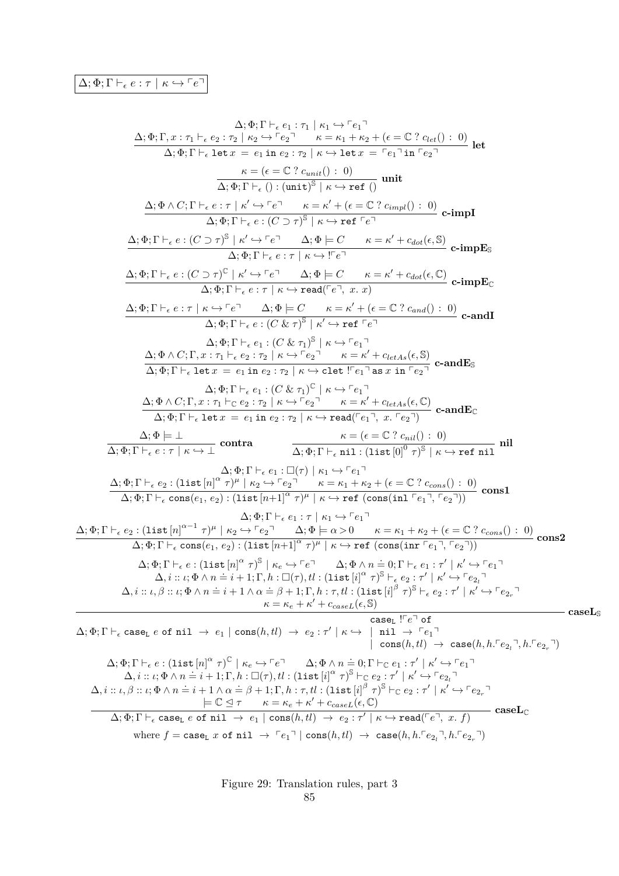$$
\Delta_1 \Phi_1 \Gamma_1, \epsilon_1 : \tau_1 \vdash_{\epsilon} e_1 : \tau_1 \vdash_{\epsilon} e_1
$$
\n
$$
\Delta_1 \Phi_1 \Gamma_1, \text{ let } x = e_1 \text{ in } e_2 \cdot \tau_2 \vdash_{\epsilon} e_1 \cdot \text{let } e_1
$$
\n
$$
\pi_1 \Phi_1 \Gamma_1, \text{ let } x = e_1 \text{ in } e_2 \cdot \tau_2 \vdash_{\epsilon} e_1 \cdot \text{let } x = e_1 \text{ in } e_1 \cdot \tau_2 \vdash_{\epsilon} e_1
$$
\n
$$
\pi_2 \Phi_1 \Gamma_1 \vdash_{\epsilon} e_1 : \text{if } e_1 \text{ in } e_2 \text{ in } e_2 \text{ in } e_2 \text{ in } e_2 \text{ in } e_2 \text{ in } e_2 \text{ in } e_2 \text{ in } e_2 \text{ in } e_2 \text{ in } e_2 \text{ in } e_2 \text{ in } e_2 \text{ in } e_2 \text{ in } e_2 \text{ in } e_2 \text{ in } e_2 \text{ in } e_2 \text{ in } e_2 \text{ in } e_2 \text{ in } e_2 \text{ in } e_2 \text{ in } e_2 \text{ in } e_2 \text{ in } e_2 \text{ in } e_2 \text{ in } e_2 \text{ in } e_2 \text{ in } e_2 \text{ in } e_2 \text{ in } e_2 \text{ in } e_2 \text{ in } e_2 \text{ in } e_2 \text{ in } e_2 \text{ in } e_2 \text{ in } e_2 \text{ in } e_2 \text{ in } e_2 \text{ in } e_2 \text{ in } e_2 \text{ in } e_2 \text{ in } e_2 \text{ in } e_2 \text{ in } e_2 \text{ in } e_2 \text{ in } e_2 \text{ in } e_2 \text{ in } e_2 \text{ in } e_2 \text{ in } e_2 \text{ in } e_2 \text{ in } e_2 \text{ in } e_2 \text{ in } e_2 \text{ in } e_2 \text{ in } e_2 \text{ in } e_2 \text{ in } e_2 \text{ in } e_2 \text{ in } e_2 \text{ in } e_2 \text{ in } e_2 \text{ in } e_2 \text{ in } e_2 \
$$

Figure 29: Translation rules, part 3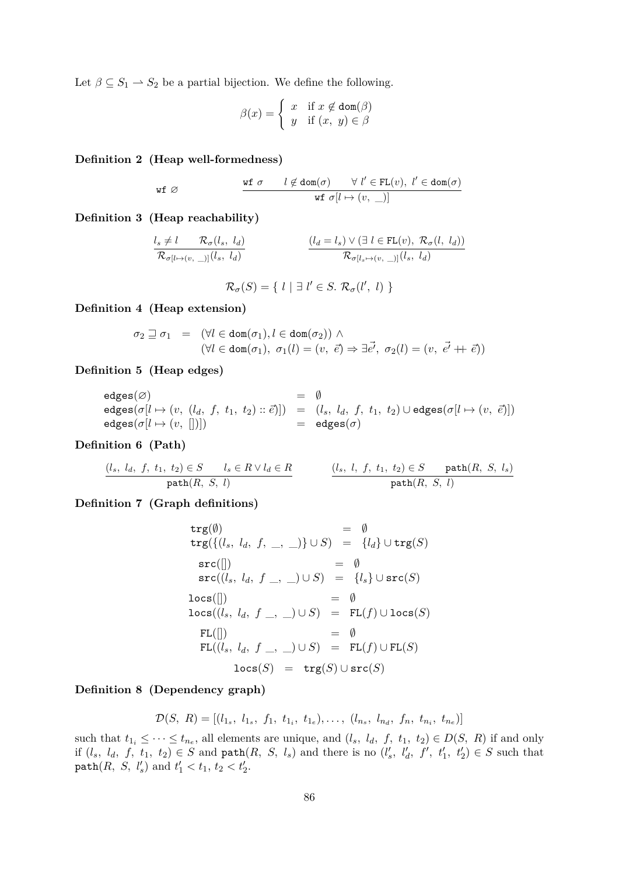Let  $\beta \subseteq S_1 \rightarrow S_2$  be a partial bijection. We define the following.

$$
\beta(x) = \begin{cases} x & \text{if } x \notin \text{dom}(\beta) \\ y & \text{if } (x, y) \in \beta \end{cases}
$$

**Definition 2 (Heap well-formedness)**

$$
\begin{array}{ccccc} \text{wf} \ \varnothing & \text{wf} \ \sigma & l \not\in \text{dom}(\sigma) & \forall \ l' \in \text{FL}(v), \ l' \in \text{dom}(\sigma) \\ & & \text{wf} \ \sigma[l \mapsto (v, \; \_)] \end{array}
$$

**Definition 3 (Heap reachability)**

$$
\frac{l_s \neq l \qquad \mathcal{R}_{\sigma}(l_s, l_d)}{\mathcal{R}_{\sigma[l \mapsto (v, \_)]}(l_s, l_d)} \qquad \qquad \frac{(l_d = l_s) \vee (\exists \ l \in FL(v), \ \mathcal{R}_{\sigma}(l, \ l_d))}{\mathcal{R}_{\sigma[l_s \mapsto (v, \_)]}(l_s, \ l_d)}
$$

 $\mathcal{R}_{\sigma}(S) = \{ l \mid \exists l' \in S. \; \mathcal{R}_{\sigma}(l', l) \}$ 

**Definition 4 (Heap extension)**

$$
\sigma_2 \sqsupseteq \sigma_1 = (\forall l \in \text{dom}(\sigma_1), l \in \text{dom}(\sigma_2)) \land (\forall l \in \text{dom}(\sigma_1), \ \sigma_1(l) = (v, \ \vec{e}) \Rightarrow \exists \vec{e'}, \ \sigma_2(l) = (v, \ \vec{e'} + \vec{e}))
$$

**Definition 5 (Heap edges)**

$$
\begin{array}{rcl} \mathsf{edges}(\varnothing) & = & \emptyset \\ \mathsf{edges}(\sigma[l \mapsto (v, (l_d, f, t_1, t_2) :: \vec{e})]) & = & (l_s, \; l_d, \; f, \; t_1, \; t_2) \cup \mathsf{edges}(\sigma[l \mapsto (v, \; \vec{e})]) \\ \mathsf{edges}(\sigma[l \mapsto (v, \;[])]) & = & \mathsf{edges}(\sigma) \end{array}
$$

**Definition 6 (Path)**

$$
\underbrace{(l_s, l_d, f, t_1, t_2) \in S \qquad l_s \in R \lor l_d \in R}_{\texttt{path}(R, S, l)} \qquad \qquad \underbrace{(l_s, l, f, t_1, t_2) \in S \qquad \texttt{path}(R, S, l_s)}_{\texttt{path}(R, S, l)}
$$

**Definition 7 (Graph definitions)**

$$
\begin{array}{rcll} \mathtt{trg}(\emptyset) & = & \emptyset \\ \mathtt{trg}(\{(l_s, l_d, f, \_, \_) \} \cup S) & = & \{l_d\} \cup \mathtt{trg}(S) \\ \mathtt{src}([]) & = & \emptyset \\ \mathtt{src}((l_s, l_d, f \_, \_) \cup S) & = & \{l_s\} \cup \mathtt{src}(S) \\ \mathtt{locs}([]) & = & \emptyset \\ \mathtt{locs}((l_s, l_d, f \_, \_) \cup S) & = & \mathtt{FL}(f) \cup \mathtt{locs}(S) \\ \mathtt{FL}([]) & = & \emptyset \\ \mathtt{FL}((l_s, l_d, f \_, \_) \cup S) & = & \mathtt{FL}(f) \cup \mathtt{FL}(S) \\ \mathtt{locs}(S) & = & \mathtt{trg}(S) \cup \mathtt{src}(S) \end{array}
$$

#### **Definition 8 (Dependency graph)**

$$
\mathcal{D}(S, R) = [(l_{1_s}, l_{1_s}, f_1, t_{1_i}, t_{1_e}), \dots, (l_{n_s}, l_{n_d}, f_n, t_{n_i}, t_{n_e})]
$$

such that  $t_{1_i} \leq \cdots \leq t_{n_e}$ , all elements are unique, and  $(l_s, l_d, f, t_1, t_2) \in D(S, R)$  if and only if  $(l_s, l_d, f, t_1, t_2) \in S$  and  $path(R, S, l_s)$  and there is no  $(l'_s, l'_d, f', t'_1, t'_2) \in S$  such that  $path(R, S, l'_s) \text{ and } t'_1 < t_1, t_2 < t'_2.$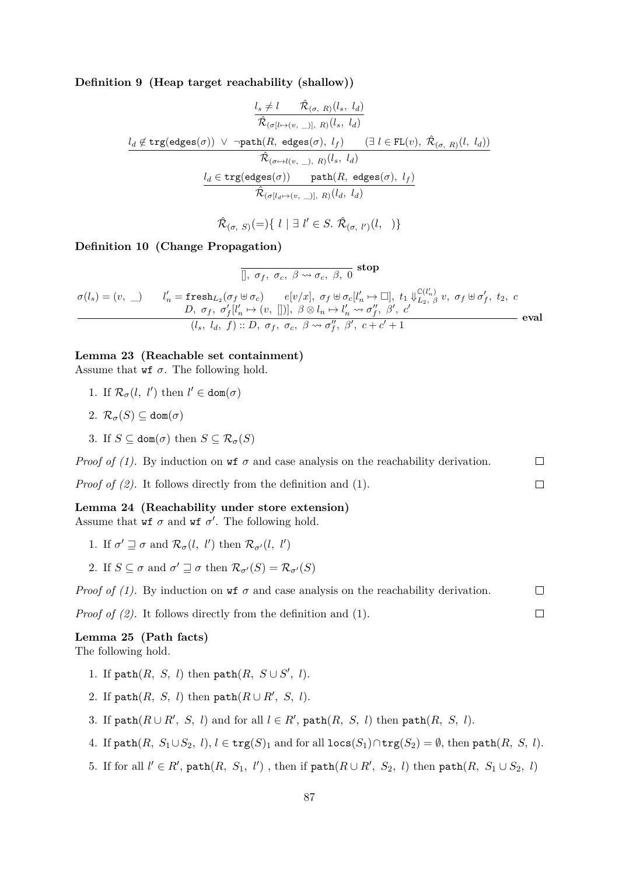**Definition 9 (Heap target reachability (shallow))**

$$
\frac{l_s \neq l \qquad \hat{\mathcal{R}}_{(\sigma,~R)}(l_s,~l_d)}{\hat{\mathcal{R}}_{(\sigma[l \mapsto (v,~\_)],~R)}(l_s,~l_d)}\\[10pt] \frac{l_d \notin \texttt{trg}(\texttt{edges}(\sigma)) ~\vee~ \neg \texttt{path}(R,~\texttt{edges}(\sigma),~l_f) \qquad (\exists~l\in \texttt{FL}(v),~\hat{\mathcal{R}}_{(\sigma,~R)}(l,~l_d))}{\hat{\mathcal{R}}_{(\sigma \mapsto l(v,~\_),~R)}(l_s,~l_d)}\\[10pt] \frac{l_d \in \texttt{trg}(\texttt{edges}(\sigma)) \qquad \texttt{path}(R,~\texttt{edges}(\sigma),~l_f)}{\hat{\mathcal{R}}_{(\sigma[l_d \mapsto (v,~\_)],~R)}(l_d,~l_d)}
$$

$$
\hat{\mathcal{R}}_{(\sigma,\ S)}(=)\{\ l \mid \exists \ l' \in S. \ \hat{\mathcal{R}}_{(\sigma,\ l')}(l,\ )\}
$$

#### **Definition 10 (Change Propagation)**

$$
\overline{[]}, \sigma_f, \sigma_c, \beta \leadsto \sigma_c, \beta, 0
$$
stop  

$$
\sigma(l_s) = (v, \_)
$$

$$
l'_n = \text{fresh}_{L_2}(\sigma_f \uplus \sigma_c) \qquad e[v/x], \sigma_f \uplus \sigma_c[l'_n \mapsto \Box], t_1 \Downarrow_{L_2, \beta}^{\mathbb{C}(l'_n)} v, \sigma_f \uplus \sigma'_f, t_2, c
$$

$$
D, \sigma_f, \sigma'_f[l'_n \mapsto (v, [])], \beta \otimes l_n \mapsto l'_n \leadsto \sigma''_f, \beta', c'
$$

$$
(l_s, l_d, f) :: D, \sigma_f, \sigma_c, \beta \leadsto \sigma''_f, \beta', c+c'+1
$$
eval

#### **Lemma 23 (Reachable set containment)**

Assume that  $\mathbf{w} \mathbf{f}$   $\sigma$ . The following hold.

- 1. If  $\mathcal{R}_{\sigma}(l, l')$  then  $l' \in \text{dom}(\sigma)$
- 2.  $\mathcal{R}_{\sigma}(S) \subset \text{dom}(\sigma)$
- 3. If  $S \subseteq \text{dom}(\sigma)$  then  $S \subseteq \mathcal{R}_{\sigma}(S)$

*Proof of (1).* By induction on  $\mathbf{w} \in \sigma$  and case analysis on the reachability derivation.  $\Box$ *Proof of (2).* It follows directly from the definition and (1).  $\Box$ **Lemma 24 (Reachability under store extension)**

Assume that  $\mathbf{w} \mathbf{f}$  *σ* and  $\mathbf{w} \mathbf{f}$  *σ*<sup>'</sup>. The following hold.

- 1. If  $\sigma' \sqsupseteq \sigma$  and  $\mathcal{R}_{\sigma}(l, l')$  then  $\mathcal{R}_{\sigma'}(l, l')$
- 2. If  $S \subseteq \sigma$  and  $\sigma' \sqsupseteq \sigma$  then  $\mathcal{R}_{\sigma'}(S) = \mathcal{R}_{\sigma'}(S)$

*Proof of (1).* By induction on **wf** 
$$
\sigma
$$
 and case analysis on the reachability derivation.  $\Box$ 

 $\Box$ 

*Proof of (2).* It follows directly from the definition and (1).

#### **Lemma 25 (Path facts)** The following hold.

- 1. If  $path(R, S, l)$  then  $path(R, S \cup S', l)$ .
- 2. If  $path(R, S, l)$  then  $path(R \cup R', S, l)$ .
- 3. If  $path(R \cup R', S, l)$  and for all  $l \in R'$ ,  $path(R, S, l)$  then  $path(R, S, l)$ .
- 4. If  $path(R, S_1 \cup S_2, l), l \in \text{trg}(S)_1$  and for all  $\text{locs}(S_1) \cap \text{trg}(S_2) = \emptyset$ , then  $path(R, S, l)$ .
- 5. If for all  $l' \in R'$ ,  $path(R, S_1, l')$ , then if  $path(R \cup R', S_2, l)$  then  $path(R, S_1 \cup S_2, l)$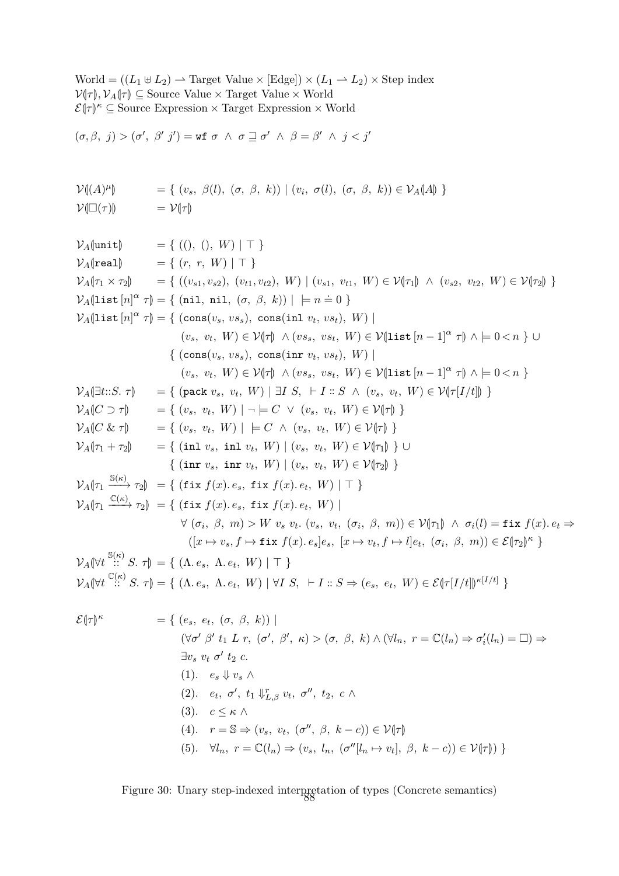$\text{World} = ((L_1 \oplus L_2) \rightarrow \text{Target Value} \times [\text{Edge}]) \times (L_1 \rightarrow L_2) \times \text{Step index}$  $V(\tau)$ ,  $V_A(\tau) \subseteq$  Source Value × Target Value × World<br> $\mathcal{L}(\tau)$ <sup>K</sup> ⊆ Source Expression × Target Expression × W  $\mathcal{E}(\tau)$ <sup>*κ*</sup>  $\subseteq$  Source Expression  $\times$  Target Expression  $\times$  World

$$
(\sigma,\beta,~j)>(\sigma',~\beta'~j')=\mathtt{wf}~\sigma~\wedge~\sigma\sqsupseteq\sigma'~\wedge~\beta=\beta'~\wedge~j
$$

$$
\mathcal{V}(\mathcal{A})^{\mu}\mathcal{V}(\mathcal{A})^{\mu}\mathcal{V}(\mathcal{A})^{\mu}\mathcal{V}(\mathcal{A})^{\mu}\mathcal{V}(\mathcal{A})^{\mu}\mathcal{V}(\mathcal{A})^{\mu}, \quad (\sigma, \beta, k)\mathcal{V}(\mathcal{A})^{\mu}\mathcal{V}(\mathcal{A})^{\mu}\mathcal{V}(\mathcal{A})^{\mu}\mathcal{V}(\mathcal{A})^{\mu}\mathcal{V}(\mathcal{A})^{\mu}\mathcal{V}(\mathcal{A})^{\mu}\mathcal{V}(\mathcal{A})^{\mu}\mathcal{V}(\mathcal{A})^{\mu}\mathcal{V}(\mathcal{A})^{\mu}\mathcal{V}(\mathcal{A})^{\mu}\mathcal{V}(\mathcal{A})^{\mu}\mathcal{V}(\mathcal{A})^{\mu}\mathcal{V}(\mathcal{A})^{\mu}\mathcal{V}(\mathcal{A})^{\mu}\mathcal{V}(\mathcal{A})^{\mu}\mathcal{V}(\mathcal{A})^{\mu}\mathcal{V}(\mathcal{A})^{\mu}\mathcal{V}(\mathcal{A})^{\mu}\mathcal{V}(\mathcal{A})^{\mu}\mathcal{V}(\mathcal{A})^{\mu}\mathcal{V}(\mathcal{A})^{\mu}\mathcal{V}(\mathcal{A})^{\mu}\mathcal{V}(\mathcal{A})^{\mu}\mathcal{V}(\mathcal{A})^{\mu}\mathcal{V}(\mathcal{A})^{\mu}\mathcal{V}(\mathcal{A})^{\mu}\mathcal{V}(\mathcal{A})^{\mu}\mathcal{V}(\mathcal{A})^{\mu}\mathcal{V}(\mathcal{A})^{\mu}\mathcal{V}(\mathcal{A})^{\mu}\mathcal{V}(\mathcal{A})^{\mu}\mathcal{V}(\mathcal{A})^{\mu}\mathcal{V}(\mathcal{A})^{\mu}\mathcal{V}(\mathcal{A})^{\mu}\mathcal{V}(\mathcal{A})^{\mu}\mathcal{V}(\mathcal{A})^{\mu}\mathcal{V}(\mathcal{A})^{\mu}\mathcal{V}(\mathcal{A})^{\mu}\mathcal{V}(\mathcal{A})^{\mu}\mathcal{V}(\mathcal{A})^{\mu}\mathcal{V}(\mathcal{A})^{\mu}\mathcal{V}(\mathcal{A})^{\mu}\mathcal{V}(\mathcal{A})^{\mu}\mathcal{V}(\mathcal{A})^{\mu
$$

$$
V_A(\text{unit}) = \{ (0, 0, W) | T \}
$$
  
\n
$$
V_A(\text{real}) = \{ (r, r, W) | T \}
$$
  
\n
$$
V_A(\text{real}) = \{ (v_{s1}, v_{s2}), (v_{t1}, v_{t2}), W) | (v_{s1}, v_{t1}, W) \in V(\tau_1) \land (v_{s2}, v_{t2}, W) \in V(\tau_2) \}
$$
  
\n
$$
V_A(\text{list } [n]^{\alpha} \tau) = \{ (\text{min}, \text{ni}, (\sigma, \beta, k)) | = n = 0 \}
$$
  
\n
$$
V_A(\text{list } [n]^{\alpha} \tau) = \{ (\cos(v_s, v_{s}s), \cos(\sin v_t, v_{st}), W) |
$$
  
\n
$$
\{ (v_s, v_t, W) \in V(\tau) \land (v_{s s}, v_{s t}, W) \in V(\text{list } [n - 1]^{\alpha} \tau) \land [n - 1]^{\alpha} \} \} \cup \{ (\cos(v_s, v_s, v_t, W) \in V(\tau_1) \land (v_{s s}, v_{s t}, W) \in V(\tau_2) \} \cup \{ (v_s, v_t, W) \in V(\tau_1) \land (v_s, v_t, W) \in V(\tau_1) \} \}
$$
  
\n
$$
V_A(\text{dist } \tau) = \{ (\text{pack } v_s, v_t, W) | \exists I S, \vdash I : S \land (v_s, v_t, W) \in V(\tau_1 | I) \}
$$
  
\n
$$
V_A(\text{C} \& \tau) = \{ (v_s, v_t, W) | = C \lor (v_s, v_t, W) \in V(\tau_1) \}
$$
  
\n
$$
V_A(\text{C} \& \tau) = \{ (v_s, v_t, W) | \in C \land (v_s, v_t, W) \in V(\tau_1) \}
$$
  
\n
$$
V_A(\text{A} \tau_1 + \tau_2) = \{ (\text{in } v_s, \text{in } W) | (v_s, v_t, W) \in V(\tau_1) \}
$$
  
\n
$$
V_A(\text{A} \tau_1 + \tau_2) = \{ (\text{in } v_s, \text{in } V) | (v_s, v_t, W) \in V(\tau_2) \}
$$
  
\n

(1). 
$$
e_s \Downarrow v_s \land
$$
  
\n(2).  $e_t, \sigma', t_1 \Downarrow^r_{L, \beta} v_t, \sigma'', t_2, c \land$   
\n(3).  $c \leq \kappa \land$   
\n(4).  $r = \mathbb{S} \Rightarrow (v_s, v_t, (\sigma'', \beta, k - c)) \in \mathcal{V}[\tau]$   
\n(5).  $\forall l_n, r = \mathbb{C}(l_n) \Rightarrow (v_s, l_n, (\sigma''[l_n \mapsto v_t], \beta, k - c)) \in \mathcal{V}(\tau])$ 

Figure 30: Unary step-indexed interpretation of types (Concrete semantics)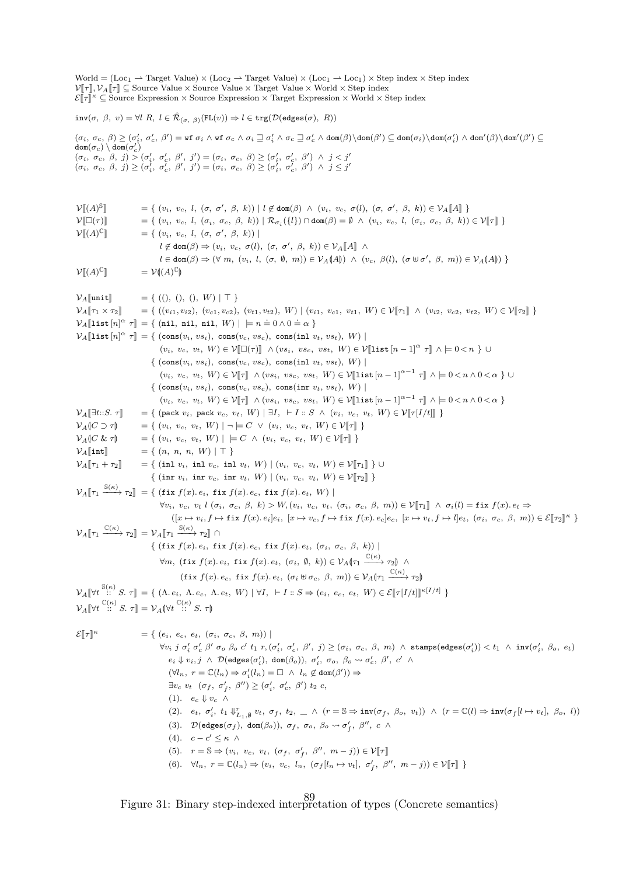World =  $(Loc_1 \rightarrow Target Value) \times (Loc_2 \rightarrow Target Value) \times (Loc_1 \rightarrow Loc_1) \times Step index \times Step index$  $V[\![\tau]\!], V_A[\![\tau]\!] \subseteq$  Source Value  $\times$  Source Value  $\times$  Target Value  $\times$  World  $\times$  Step index  $\mathcal{E}[\![\tau]\!]^{\kappa} \subseteq$  Source Expression × Source Expression × Target Expression × World × Step index  $\text{inv}(\sigma, \beta, v) = \forall l \ R, \ l \in \hat{\mathcal{R}}_{(\sigma, \beta)}(\text{FL}(v)) \Rightarrow l \in \text{trg}(\mathcal{D}(\text{edges}(\sigma), R))$  $(\sigma_i, \sigma_c, \beta) \geq (\sigma'_i, \sigma'_c, \beta') = \texttt{wt } \sigma_i \wedge \texttt{wt } \sigma_c \wedge \sigma_i \supseteq \sigma'_i \wedge \sigma_c \supseteq \sigma'_c \wedge \texttt{dom}(\beta') \subseteq \texttt{dom}(\sigma'_i) \wedge \texttt{dom}'(\beta) \setminus \texttt{dom}'(\beta') \subseteq \texttt{dom}(\sigma'_i) \wedge \texttt{dom}'(\beta') \subseteq \texttt{dom}'(\beta') \subseteq \texttt{dom}'(\beta') \subseteq \texttt{dom}'(\beta') \subseteq \texttt{dom}'(\beta') \subseteq \texttt{dom}'(\beta') \subseteq \texttt{dom}'(\beta') \subseteq \$  $\texttt{dom}(\sigma_c) \setminus \texttt{dom}(\sigma_c')$  $(\sigma_i,~\sigma_c,~\beta,~j) > (\sigma'_i,~\sigma'_c,~\beta',~j') = (\sigma_i,~\sigma_c,~\beta) \geq (\sigma'_i,~\sigma'_c,~\beta')~\wedge~j < j'$  $(\sigma_i, \sigma_c, \beta, j) \geq (\sigma_i^j, \sigma_c^j, \beta', j') = (\sigma_i, \sigma_c, \beta) \geq (\sigma_i^j, \sigma_c^j, \beta') \land j \leq j'$  $\mathcal{V}[(A)^\mathbb{S}]$  $\mathbb{J} = \{ (v_i, v_c, l, (\sigma, \sigma', \beta, k)) | l \notin \text{dom}(\beta) \land (v_i, v_c, \sigma(l), (\sigma, \sigma', \beta, k)) \in \mathcal{V}_A[\![A]\!] \}$  $\mathcal{V}[\Box(\tau)]$  = {  $(v_i, v_c, l, (\sigma_i, \sigma_c, \beta, k)) | \mathcal{R}_{\sigma_i}(\{l\}) \cap \text{dom}(\beta) = \emptyset \land (v_i, v_c, l, (\sigma_i, \sigma_c, \beta, k)) \in \mathcal{V}[\![\tau]\!]$ }  $\mathcal{V}[[(A)^{\mathbb{C}}]$  $\mathbb{E} \left[ \left( v_i, v_c, l, (\sigma, \sigma', \beta, k) \right) \right]$  $l \notin \text{dom}(\beta) \Rightarrow (v_i, v_c, \sigma(l), (\sigma, \sigma', \beta, k)) \in \mathcal{V}_A[\![A]\!] \wedge$  $l \in \text{dom}(\beta) \Rightarrow (\forall m, (v_i, l, (\sigma, \emptyset, m)) \in \mathcal{V}_A(A)) \ \wedge \ (v_c, \beta(l), (\sigma \uplus \sigma', \beta, m)) \in \mathcal{V}_A(A))$  $\mathcal{V}[[(A)]^{\mathbb{C}}$  $\mathbb{I} = \mathcal{V}(\mathfrak{A})^{\mathbb{C}}$ M  $V_A$ [|unit] = { ((), (), (),  $W$ ) | T }<br>  $V_A$ [| $\tau_1 \times \tau_2$ ] = { (( $v_{i1}, v_{i2}$ ), ( $v_{c1}, v_{c2}$ ),  $= \{ ((v_{i1}, v_{i2}), (v_{c1}, v_{c2}), (v_{t1}, v_{t2}), W) | (v_{i1}, v_{c1}, v_{t1}, W) \in \mathcal{V}[[\tau_1]] \wedge (v_{i2}, v_{c2}, v_{t2}, W) \in \mathcal{V}[[\tau_2]] \}$  $\mathcal{V}_A[\text{list } [n]^\alpha \ \tau] = \{ (\text{nil, nil, nil}, W) \mid \models n = 0 \land 0 = \alpha \}$  $V_A[\text{list } [n]^\alpha \ \tau] = \{ (\text{cons}(v_i, vs_i), \text{cons}(v_c, vs_c), \text{cons}(\text{inl } v_t, vs_t), W) \}$  $(v_i, v_c, v_t, W) \in \mathcal{V}[\Box(\tau)] \land (vs_i, vs_c, vs_t, W) \in \mathcal{V}[\text{list } [n-1]^\alpha \tau] \land \models 0 \lt n \} \cup$  $\{ (\cos(v_i, vs_i), \cos(v_c, vs_c), \cos(\text{inl} v_t, vs_t), W) \}$  $(v_i, v_c, v_t, W) \in \mathcal{V}[\![\tau]\!] \wedge (vs_i, vs_c, vs_t, W) \in \mathcal{V}[\![\texttt{list}\,[n-1]^{\alpha-1} \; \tau]\!] \wedge \models 0 \langle n \wedge 0 \langle \alpha \rangle \} \cup$  $\{ (\cos(v_i, vs_i), \cos(v_c, vs_c), \cos(\inf v_t, vs_t), W) \}$  $(v_i, v_c, v_t, W) \in \mathcal{V}[\![\tau]\!] \wedge (vs_i, vs_c, vs_t, W) \in \mathcal{V}[\![\texttt{list}\,[n-1]^{\alpha-1} \; \tau]\!] \wedge \models 0 \langle n \wedge 0 \langle \alpha \rangle$  $V_A[\exists t::S. \tau]$  = { (pack  $v_i$ , pack  $v_c$ ,  $v_t$ ,  $W$ ) |  $\exists I$ ,  $\vdash I :: S \land (v_i, v_c, v_t, W) \in \mathcal{V}[\![\tau[I/t]\!] \rbrace$ <br>  $V_A(\![C \supset \tau]\!]$  = {  $(v_i, v_c, v_t, W)$  |  $\neg \models C \lor (v_i, v_c, v_t, W) \in \mathcal{V}[\![\tau]\!] \rbrace$  $V_A(C \supset \tau)$  = {  $(v_i, v_c, v_t, W) | \neg \models C \lor (v_i, v_c, v_t, W) \in V[\![\tau]\!]$  }<br>  $V_A(C \& \tau)$  = {  $(v_i, v_c, v_t, W) | \models C \land (v_i, v_c, v_t, W) \in V[\![\tau]\!]$  }  $V_A(C \& \tau)$  = {  $(v_i, v_c, v_t, W) | \models C \land (v_i, v_c, v_t, W) \in V[\![\tau]\!]$  }<br>  $V_A[\![\text{int}]\!]$  = {  $(n, n, n, W) | \top$  }  $V_A[\![\text{int}]\!] = \{ (n, n, n, W) | \top \}$ <br>  $V_A[\![\tau_1 + \tau_2]\!] = \{ (\text{inl } v_i, \text{ inl } v_c, \text{ inl } \]$  $V = \{ (\text{inl } v_i, \text{ inl } v_c, \text{ inl } v_t, W) \mid (v_i, v_c, v_t, W) \in \mathcal{V}[\![\tau_1]\!] \}$  $\{ (\text{inr } v_i, \text{ inr } v_c, \text{ inr } v_t, W) \mid (v_i, v_c, v_t, W) \in \mathcal{V}[\![\tau_2]\!] \}$  $\mathcal{V}_A[\![\tau_1\!\!\xrightarrow{\mathbb{S}(\kappa)}\tau_2]\!] = \{ (\text{fix } f(x) \cdot e_i, \text{fix } f(x) \cdot e_c, \text{fix } f(x) \cdot e_t, W) \mid$  $\forall v_i, v_c, v_t$  l  $(\sigma_i, \sigma_c, \beta, k) > W, (v_i, v_c, v_t, (\sigma_i, \sigma_c, \beta, m)) \in \mathcal{V}[\![\tau_1]\!] \wedge \sigma_i(l) = \text{fix } f(x) \cdot e_t \Rightarrow$  $([x \mapsto v_i, f \mapsto \text{fix } f(x). e_i]e_i, [x \mapsto v_c, f \mapsto \text{fix } f(x). e_c]e_c, [x \mapsto v_t, f \mapsto l]e_t, (\sigma_i, \sigma_c, \beta, m)) \in \mathcal{E}[\![\tau_2]\!]^{\kappa}$  $\mathcal{V}_A[\![\tau_1 \xrightarrow{\mathbb{C}(\kappa)} \tau_2]\!] = \mathcal{V}_A[\![\tau_1 \xrightarrow{\mathbb{S}(\kappa)} \tau_2]\!] \cap$  $\{ (\text{fix } f(x), e_i, \text{fix } f(x), e_c, \text{fix } f(x), e_t, (\sigma_i, \sigma_c, \beta, k)) \}$  $\forall m, \text{ (fix } f(x) \text{. } e_i, \text{ fix } f(x) \text{. } e_t, \text{ ( } \sigma_i, \text{ } \emptyset, \text{ } k \text{))} \in \mathcal{V}_A(\tau_1 \xrightarrow{\mathbb{C}(\kappa)} \tau_2) \wedge \mathcal{V}_A(\tau_3 \xrightarrow{\mathbb{C}(\kappa)} \tau_4)$  $(fix f(x). e_c, fix f(x). e_t, (\sigma_i \oplus \sigma_c, \beta, m)) \in \mathcal{V}_A(r_1 \xrightarrow{\mathbb{C}(\kappa)} r_2)$  $\mathcal{V}_A[\forall t \stackrel{\mathbb{S}(\kappa)}{\sim} S. \ \tau] = \{ (\Lambda. e_i, \Lambda. e_c, \Lambda. e_t, W) \mid \forall I, \ \vdash I :: S \Rightarrow (e_i, e_c, e_t, W) \in \mathcal{E}[\![\tau[I/t]\!]^{\kappa[I/t]} \}$  $\mathcal{V}_A[\![\forall t\stackrel{\mathbb{C}(\kappa)}{\cdots} S.\ \tau]\!] = \mathcal{V}_A[\![\forall t\stackrel{\mathbb{C}(\kappa)}{\cdots} S.\ \tau]\!]$  $\mathcal{E}[\![\tau]\!]^{\kappa}$  $= \{ (e_i, e_c, e_t, (\sigma_i, \sigma_c, \beta, m)) \}$  $\forall v_i\,\,j\,\,\sigma'_i\,\,\sigma'_c\,\,\beta'\,\,\sigma_o\,\,\beta_o\,\,c'\,\,t_1\,\,r, (\sigma'_i,\,\,\sigma'_c,\,\,\beta'\!,\,j)\geq(\sigma_i,\,\,\sigma_c,\,\,\beta,\,\,m)\;\wedge\;\textrm{stamps}(\textrm{edges}(\sigma'_i))< t_1\,\,\wedge\,\, \textrm{inv}(\sigma'_i,\,\,\beta_o,\,\,e_t)$  $e_i \Downarrow v_i, j \ \wedge \ \mathcal{D}(\texttt{edges}(\sigma'_i), \ \texttt{dom}(\beta_o)), \ \sigma'_i, \ \sigma_o, \ \beta_o \leadsto \sigma'_c, \ \beta', \ c' \ \wedge$  $(\forall l_n, r = \mathbb{C}(l_n) \Rightarrow \sigma'_i(l_n) = \Box \ \land \ l_n \notin \text{dom}(\beta')) \Rightarrow$  $\exists v_c \ v_t \ (\sigma_f, \ \sigma'_f, \ \beta'') \geq (\sigma'_i, \ \sigma'_c, \ \beta') \ t_2 \ c,$ (1).  $e_c \Downarrow v_c \wedge$  $(2). \quad e_t, \; \sigma'_i, \; t_1 \Downarrow^r_{L_1, \emptyset} v_t, \; \sigma_f, \; t_2, \; \underline{\phantom{A}} \, \wedge \; (r = \mathbb{S} \Rightarrow \text{inv}(\sigma_f, \; \beta_o, \; v_t)) \; \wedge \; (r = \mathbb{C}(l) \Rightarrow \text{inv}(\sigma_f[l \mapsto v_t], \; \beta_o, \; l))$ (3)*.*  $\mathcal{D}(\text{edges}(\sigma_f), \text{ dom}(\beta_o)), \sigma_f, \sigma_o, \beta_o \leadsto \sigma'_f, \beta'', c \land$ (4).  $c - c' \leq \kappa \wedge$ (5)*.*  $r = \mathbb{S} \Rightarrow (v_i, v_c, v_t, (\sigma_f, \sigma'_f, \beta'', m - j)) \in \mathcal{V}[\![\tau]\!]$ (6).  $\forall l_n, r = \mathbb{C}(l_n) \Rightarrow (v_i, v_c, l_n, (\sigma_f[l_n \mapsto v_t], \sigma'_f, \beta'', m - j)) \in \mathcal{V}[\![\tau]\!]\}$ 

Figure 31: Binary step-indexed interpretation of types (Concrete semantics) <sup>89</sup>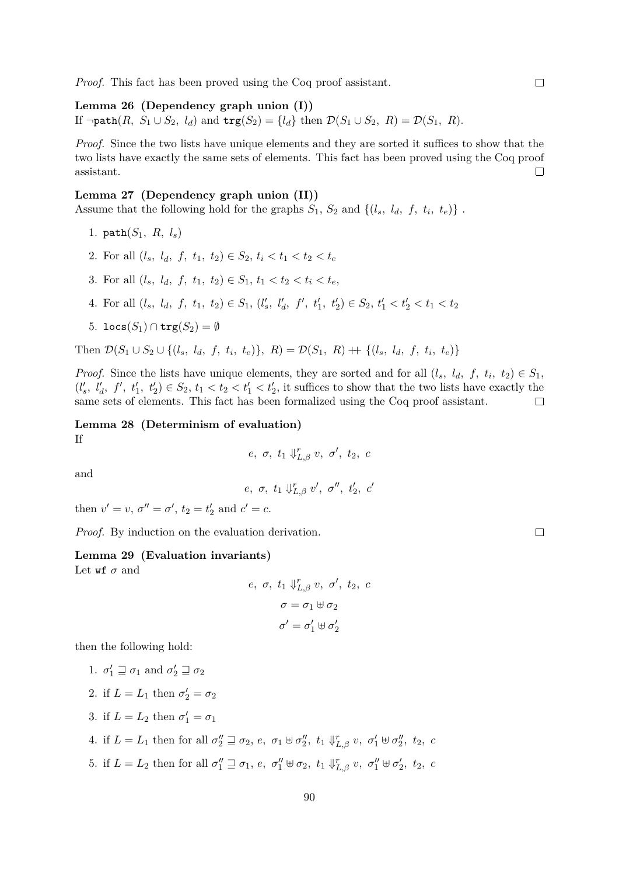*Proof.* This fact has been proved using the Coq proof assistant.

**Lemma 26 (Dependency graph union (I))** If  $\neg \text{path}(R, S_1 \cup S_2, l_d)$  and  $\text{trg}(S_2) = \{l_d\}$  then  $\mathcal{D}(S_1 \cup S_2, R) = \mathcal{D}(S_1, R)$ .

*Proof.* Since the two lists have unique elements and they are sorted it suffices to show that the two lists have exactly the same sets of elements. This fact has been proved using the Coq proof assistant.  $\Box$ 

#### **Lemma 27 (Dependency graph union (II))**

Assume that the following hold for the graphs  $S_1$ ,  $S_2$  and  $\{(l_s, l_d, f, t_i, t_e)\}$ .

- 1. path(*S*1*, R, ls*)
- 2. For all  $(l_s, l_d, f, t_1, t_2) \in S_2, t_i \le t_1 \le t_2 \le t_e$
- 3. For all  $(l_s, l_d, f, t_1, t_2) \in S_1, t_1 < t_2 < t_i < t_e$ ,
- 4. For all  $(l_s, l_d, f, t_1, t_2) \in S_1$ ,  $(l'_s, l'_d, f', t'_1, t'_2) \in S_2$ ,  $t'_1 < t'_2 < t_1 < t_2$
- 5. locs $(S_1) \cap \text{trg}(S_2) = \emptyset$

Then  $\mathcal{D}(S_1 \cup S_2 \cup \{(l_s, l_d, f, t_i, t_e)\}, R) = \mathcal{D}(S_1, R) + \{(l_s, l_d, f, t_i, t_e)\}\$ 

*Proof.* Since the lists have unique elements, they are sorted and for all  $(l_s, l_d, f, t_i, t_2) \in S_1$ ,  $(l'_s, l'_d, f', t'_1, t'_2) \in S_2$ ,  $t_1 < t_2 < t'_1 < t'_2$ , it suffices to show that the two lists have exactly the same sets of elements. This fact has been formalized using the Coq proof assistant.  $\Box$ 

<span id="page-89-1"></span>**Lemma 28 (Determinism of evaluation)** If

$$
e, \sigma, t_1 \Downarrow_{L,\beta}^r v, \sigma', t_2, c
$$

and

$$
e, \ \sigma, \ t_1 \Downarrow_{L, \beta}^r v', \ \sigma'', \ t'_2, \ c'
$$

then  $v' = v$ ,  $\sigma'' = \sigma'$ ,  $t_2 = t'_2$  and  $c' = c$ .

*Proof.* By induction on the evaluation derivation.

#### <span id="page-89-0"></span>**Lemma 29 (Evaluation invariants)**

Let  $\mathsf{wf}\ \sigma$  and

$$
e, \sigma, t_1 \Downarrow_{L,\beta}^r v, \sigma', t_2, c
$$

$$
\sigma = \sigma_1 \uplus \sigma_2
$$

$$
\sigma' = \sigma'_1 \uplus \sigma'_2
$$

then the following hold:

\n- 1. 
$$
\sigma'_1 \sqsupseteq \sigma_1
$$
 and  $\sigma'_2 \sqsupseteq \sigma_2$
\n- 2. if  $L = L_1$  then  $\sigma'_2 = \sigma_2$
\n- 3. if  $L = L_2$  then  $\sigma'_1 = \sigma_1$
\n- 4. if  $L = L_1$  then for all  $\sigma''_2 \sqsupseteq \sigma_2$ ,  $e$ ,  $\sigma_1 \uplus \sigma''_2$ ,  $t_1 \Downarrow_{L,\beta}^r v$ ,  $\sigma'_1 \uplus \sigma''_2$ ,  $t_2$ ,
\n- 5. if  $L = L_2$  then for all  $\sigma''_1 \sqsupseteq \sigma_1$ ,  $e$ ,  $\sigma''_1 \uplus \sigma_2$ ,  $t_1 \Downarrow_{L,\beta}^r v$ ,  $\sigma''_1 \uplus \sigma'_2$ ,  $t_2$ ,
\n

 $\boldsymbol{c}$ 

 $\boldsymbol{c}$ 

 $\Box$ 

 $\Box$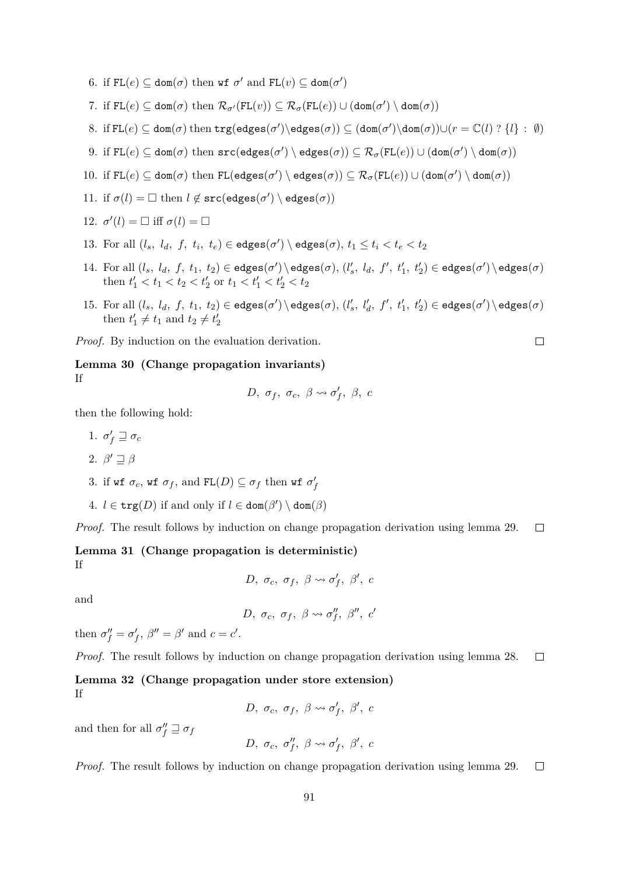- 6. if  $FL(e) \subseteq dom(\sigma)$  then wf  $\sigma'$  and  $FL(v) \subseteq dom(\sigma')$
- 7. if  $FL(e) \subseteq dom(\sigma)$  then  $\mathcal{R}_{\sigma'}(FL(v)) \subseteq \mathcal{R}_{\sigma}(FL(e)) \cup (dom(\sigma') \setminus dom(\sigma))$
- $8.$  if  $FL(e) \subseteq dom(\sigma)$  then  $trg(edges(\sigma')) \in dges(\sigma)) \subseteq (dom(\sigma'))dom(\sigma)) \cup (r = \mathbb{C}(l)$  ?  $\{l\} : \emptyset)$
- $9.$  if  $\mathtt{FL}(e) \subseteq \mathtt{dom}(\sigma)$  then  $\mathtt{src}(\mathtt{edges}(\sigma') \setminus \mathtt{edges}(\sigma)) \subseteq \mathcal{R}_\sigma(\mathtt{FL}(e)) \cup (\mathtt{dom}(\sigma') \setminus \mathtt{dom}(\sigma))$
- $10.$  if  $FL(e) \subseteq dom(\sigma)$  then  $FL(eages(\sigma') \setminus edges(\sigma)) \subseteq \mathcal{R}_{\sigma}(FL(e)) \cup (dom(\sigma') \setminus dom(\sigma))$
- 11. if  $\sigma(l) = \Box$  then  $l \notin \texttt{src}(\texttt{edges}(\sigma')) \setminus \texttt{edges}(\sigma))$
- 12.  $\sigma'(l) = \Box$  iff  $\sigma(l) = \Box$
- 13. For all  $(l_s, l_d, f, t_i, t_e) \in \text{edges}(\sigma') \setminus \text{edges}(\sigma), t_1 \leq t_i < t_e < t_2$
- 14. For all  $(l_s, l_d, f, t_1, t_2) \in edges(\sigma') \setminus edges(\sigma), (l'_s, l_d, f', t'_1, t'_2) \in edges(\sigma') \setminus edges(\sigma)$ then  $t'_1 < t_1 < t_2 < t'_2$  or  $t_1 < t'_1 < t'_2 < t_2$
- 15. For all  $(l_s, l_d, f, t_1, t_2) \in \text{edges}(\sigma') \setminus \text{edges}(\sigma), (l'_s, l'_d, f', t'_1, t'_2) \in \text{edges}(\sigma') \setminus \text{edges}(\sigma)$ then  $t'_1 \neq t_1$  and  $t_2 \neq t'_2$

 $\Box$ 

*Proof.* By induction on the evaluation derivation.

#### **Lemma 30 (Change propagation invariants)** If

$$
D, \sigma_f, \sigma_c, \beta \leadsto \sigma'_f, \beta, c
$$

then the following hold:

$$
1. \, \sigma'_f \sqsupseteq \sigma_c
$$

$$
2. \ \beta' \sqsupseteq \beta
$$

- 3. if wf  $\sigma_c$ , wf  $\sigma_f$ , and  $FL(D) \subseteq \sigma_f$  then wf  $\sigma'_f$
- 4.  $l \in \text{trg}(D)$  if and only if  $l \in \text{dom}(\beta') \setminus \text{dom}(\beta)$

*Proof.* The result follows by induction on change propagation derivation using lemma [29.](#page-89-0)  $\Box$ 

**Lemma 31 (Change propagation is deterministic)** If

$$
D, \sigma_c, \sigma_f, \beta \leadsto \sigma'_f, \beta', c
$$

and

$$
D, \sigma_c, \sigma_f, \beta \leadsto \sigma''_f, \beta'', c'
$$

then  $\sigma''_f = \sigma'_f$ ,  $\beta'' = \beta'$  and  $c = c'$ .

*Proof.* The result follows by induction on change propagation derivation using lemma 28. 
$$
\Box
$$

#### **Lemma 32 (Change propagation under store extension)** If

*D*,  $\sigma_c$ ,  $\sigma_f$ ,  $\beta \leadsto \sigma'_f$ ,  $\beta'$ , *c* 

and then for all  $\sigma''_f \sqsupseteq \sigma_f$ 

$$
D,~\sigma_c,~\sigma''_f,~\beta \leadsto \sigma'_f,~\beta',~c
$$

*Proof.* The result follows by induction on change propagation derivation using lemma [29.](#page-89-0)  $\Box$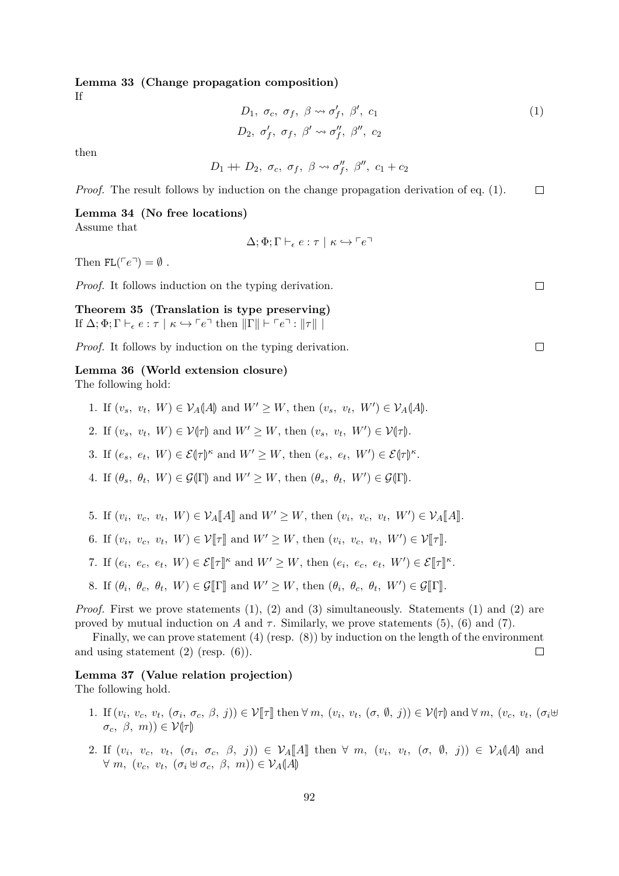# **Lemma 33 (Change propagation composition)**

If

<span id="page-91-0"></span>
$$
D_1, \sigma_c, \sigma_f, \beta \leadsto \sigma'_f, \beta', c_1
$$
  
\n
$$
D_2, \sigma'_f, \sigma_f, \beta' \leadsto \sigma''_f, \beta'', c_2
$$
 (1)

then

$$
D_1 + D_2, \sigma_c, \sigma_f, \beta \leadsto \sigma''_f, \beta'', c_1 + c_2
$$

*Proof.* The result follows by induction on the change propagation derivation of eq. 
$$
(1)
$$
.  $\Box$ 

#### **Lemma 34 (No free locations)**

Assume that

$$
\Delta; \Phi; \Gamma \vdash_{\epsilon} e : \tau \mid \kappa \hookrightarrow \ulcorner e \urcorner
$$

Then  $FL(\ulcorner e \urcorner) = \emptyset$ .

*Proof.* It follows induction on the typing derivation.

**Theorem 35 (Translation is type preserving)** If  $\Delta; \Phi; \Gamma \vdash_{\epsilon} e : \tau \mid \kappa \hookrightarrow \ulcorner e \urcorner$  then  $\Vert \Gamma \Vert \vdash \ulcorner e \urcorner : \Vert \tau \Vert \urcorner$ 

*Proof.* It follows by induction on the typing derivation.

#### <span id="page-91-1"></span>**Lemma 36 (World extension closure)**

The following hold:

- 1. If  $(v_s, v_t, W) \in V_A(A)$  and  $W' \ge W$ , then  $(v_s, v_t, W') \in V_A(A)$ .
- 2. If  $(v_s, v_t, W) \in \mathcal{V}(\tau)$  and  $W' \geq W$ , then  $(v_s, v_t, W') \in \mathcal{V}(\tau)$ .
- 3. If  $(e_s, e_t, W) \in \mathcal{E}(\tau)$ <sup>*κ*</sup> and  $W' \ge W$ , then  $(e_s, e_t, W') \in \mathcal{E}(\tau)$ <sup>*κ*</sup>.
- 4. If  $(\theta_s, \theta_t, W) \in \mathcal{G}(\Gamma)$  and  $W' \ge W$ , then  $(\theta_s, \theta_t, W') \in \mathcal{G}(\Gamma)$ .
- 5. If  $(v_i, v_c, v_t, W) \in \mathcal{V}_A[\![A]\!]$  and  $W' \geq W$ , then  $(v_i, v_c, v_t, W') \in \mathcal{V}_A[\![A]\!]$ .
- 6. If  $(v_i, v_c, v_t, W) \in \mathcal{V}[\![\tau]\!]$  and  $W' \ge W$ , then  $(v_i, v_c, v_t, W') \in \mathcal{V}[\![\tau]\!]$ .
- 7. If  $(e_i, e_c, e_t, W) \in \mathcal{E}[\![\tau]\!]^{\kappa}$  and  $W' \geq W$ , then  $(e_i, e_c, e_t, W') \in \mathcal{E}[\![\tau]\!]^{\kappa}$ .
- 8. If  $(\theta_i, \theta_c, \theta_t, W) \in \mathcal{G}[\![\Gamma]\!]$  and  $W' \geq W$ , then  $(\theta_i, \theta_c, \theta_t, W') \in \mathcal{G}[\![\Gamma]\!]$ .

*Proof.* First we prove statements (1), (2) and (3) simultaneously. Statements (1) and (2) are proved by mutual induction on *A* and  $\tau$ . Similarly, we prove statements (5), (6) and (7).

Finally, we can prove statement (4) (resp. (8)) by induction on the length of the environment and using statement  $(2)$  (resp.  $(6)$ ).  $\Box$ 

#### **Lemma 37 (Value relation projection)**

The following hold.

- 1. If  $(v_i, v_c, v_t, (\sigma_i, \sigma_c, \beta, j)) \in \mathcal{V}[\![\tau]\!]$  then  $\forall m, (v_i, v_t, (\sigma, \emptyset, j)) \in \mathcal{V}[\![\tau]\!]$  and  $\forall m, (v_c, v_t, (\sigma_i \oplus \sigma_i \land \sigma_i \oplus \sigma_i \land \sigma_i \land \sigma_i \oplus \sigma_i \land \sigma_i \land \sigma_i \land \sigma_i \oplus \sigma_i \land \sigma_i \land \sigma_i \oplus \sigma_i \land \sigma_i \oplus \sigma_i \land \sigma_i \oplus \sigma_i \land \sigma_i \oplus \sigma_i \land \sigma_i \oplus \sigma_i \$  $\sigma_c$ *, β, m*))  $\in \mathcal{V}(\tau)$
- 2. If  $(v_i, v_c, v_t, (\sigma_i, \sigma_c, \beta, j)) \in \mathcal{V}_A[\![A]\!]$  then  $\forall m$ ,  $(v_i, v_t, (\sigma, \emptyset, j)) \in \mathcal{V}_A[\![A]\!]$  and  $\forall m, (v_c, v_t, (\sigma_i \oplus \sigma_c, \beta, m)) \in \mathcal{V}_A(A)$

 $\Box$ 

 $\Box$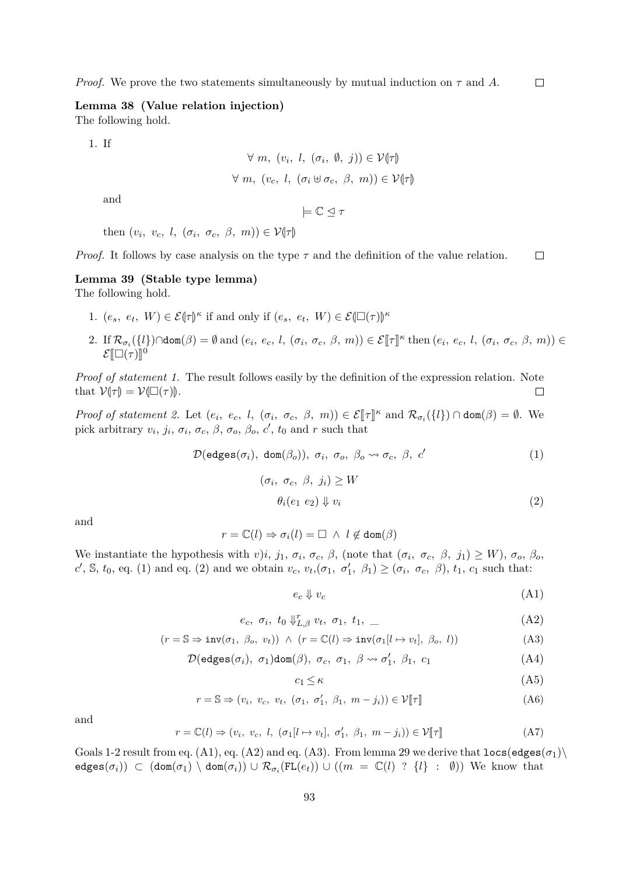$\Box$ *Proof.* We prove the two statements simultaneously by mutual induction on  $\tau$  and A.

**Lemma 38 (Value relation injection)** The following hold.

1. If

$$
\forall m, (v_i, l, (\sigma_i, \emptyset, j)) \in \mathcal{V}(\tau)
$$
  

$$
\forall m, (v_c, l, (\sigma_i \oplus \sigma_c, \beta, m)) \in \mathcal{V}(\tau)
$$

and

 $\models \mathbb{C} \triangleleft \tau$ 

then  $(v_i, v_c, l, (\sigma_i, \sigma_c, \beta, m)) \in \mathcal{V}(\tau)$ 

*Proof.* It follows by case analysis on the type *τ* and the definition of the value relation.  $\Box$ 

#### <span id="page-92-6"></span>**Lemma 39 (Stable type lemma)** The following hold.

- 1.  $(e_s, e_t, W) \in \mathcal{E}(\tau)$ <sup>*κ*</sup> if and only if  $(e_s, e_t, W) \in \mathcal{E}(\square(\tau))$ <sup>*κ*</sup>
- 2. If  $\mathcal{R}_{\sigma_i}(\{l\}) \cap \text{dom}(\beta) = \emptyset$  and  $(e_i, e_c, l, (\sigma_i, \sigma_c, \beta, m)) \in \mathcal{E}[\![\tau]\!]^{\kappa}$  then  $(e_i, e_c, l, (\sigma_i, \sigma_c, \beta, m)) \in \mathcal{E}[\![\tau]\!]$  $\mathcal{E}[\Box(\tau)]^0$

*Proof of statement 1.* The result follows easily by the definition of the expression relation. Note that  $V(\tau) = V(\square(\tau))$ .  $\Box$ 

*Proof of statement 2.* Let  $(e_i, e_c, l, (\sigma_i, \sigma_c, \beta, m)) \in \mathcal{E}[\![\tau]\!]^{\kappa}$  and  $\mathcal{R}_{\sigma_i}(\{l\}) \cap \text{dom}(\beta) = \emptyset$ . We pick arbitrary  $v_i$ ,  $j_i$ ,  $\sigma_i$ ,  $\sigma_c$ ,  $\beta$ ,  $\sigma_o$ ,  $\beta_o$ ,  $c'$ ,  $t_0$  and  $r$  such that

$$
\mathcal{D}(\text{edges}(\sigma_i), \text{ dom}(\beta_o)), \sigma_i, \sigma_o, \beta_o \leadsto \sigma_c, \beta, c'
$$
\n
$$
(\sigma_i, \sigma_c, \beta, j_i) \ge W
$$
\n
$$
\theta_i(e_1 \ e_2) \Downarrow v_i
$$
\n
$$
(2)
$$

and

$$
r = \mathbb{C}(l) \Rightarrow \sigma_i(l) = \Box \ \wedge \ l \not\in \text{dom}(\beta)
$$

We instantiate the hypothesis with *v*)*i*, *j*<sub>1</sub>,  $\sigma_i$ ,  $\sigma_c$ ,  $\beta$ , (note that  $(\sigma_i, \sigma_c, \beta, j_1) \geq W$ ),  $\sigma_o$ ,  $\beta_o$ ,  $c'$ , S,  $t_0$ , eq. [\(1\)](#page-92-0) and eq. [\(2\)](#page-92-1) and we obtain  $v_c$ ,  $v_t$ ,  $(\sigma_1, \sigma'_1, \beta_1) \geq (\sigma_i, \sigma_c, \beta)$ ,  $t_1$ ,  $c_1$  such that:

<span id="page-92-3"></span><span id="page-92-2"></span><span id="page-92-1"></span><span id="page-92-0"></span>
$$
e_c \Downarrow v_c \tag{A1}
$$

$$
e_c, \sigma_i, t_0 \Downarrow_{L,\beta}^r v_t, \sigma_1, t_1, \tag{A2}
$$

$$
(r = \mathbb{S} \Rightarrow inv(\sigma_1, \ \beta_o, \ v_t)) \ \land \ (r = \mathbb{C}(l) \Rightarrow inv(\sigma_1[l \mapsto v_t], \ \beta_o, \ l)) \tag{A3}
$$

$$
\mathcal{D}(\text{edges}(\sigma_i), \ \sigma_1)\text{dom}(\beta), \ \sigma_c, \ \sigma_1, \ \beta \leadsto \sigma'_1, \ \beta_1, \ c_1 \tag{A4}
$$

<span id="page-92-5"></span><span id="page-92-4"></span>
$$
c_1 \le \kappa \tag{A5}
$$

$$
r = \mathbb{S} \Rightarrow (v_i, v_c, v_t, (\sigma_1, \sigma'_1, \beta_1, m - j_i)) \in \mathcal{V}[\![\tau]\!]
$$
 (A6)

and

$$
r = \mathbb{C}(l) \Rightarrow (v_i, v_c, l, (\sigma_1[l \mapsto v_t], \sigma'_1, \beta_1, m - j_i)) \in \mathcal{V}[\![\tau]\!]
$$
 (A7)

Goals 1-2 result from eq. [\(A1\)](#page-92-2), eq. [\(A2\)](#page-92-3) and eq. [\(A3\)](#page-92-4). From lemma [29](#page-89-0) we derive that  $\text{locs}(\text{edges}(\sigma_1))$  $\text{edges}(\sigma_i)) \subset (\text{dom}(\sigma_1) \setminus \text{dom}(\sigma_i)) \cup \mathcal{R}_{\sigma_i}(\text{FL}(e_t)) \cup ((m = \mathbb{C}(l) \text{ ? } \{l\} \text{ : } \emptyset))$  We know that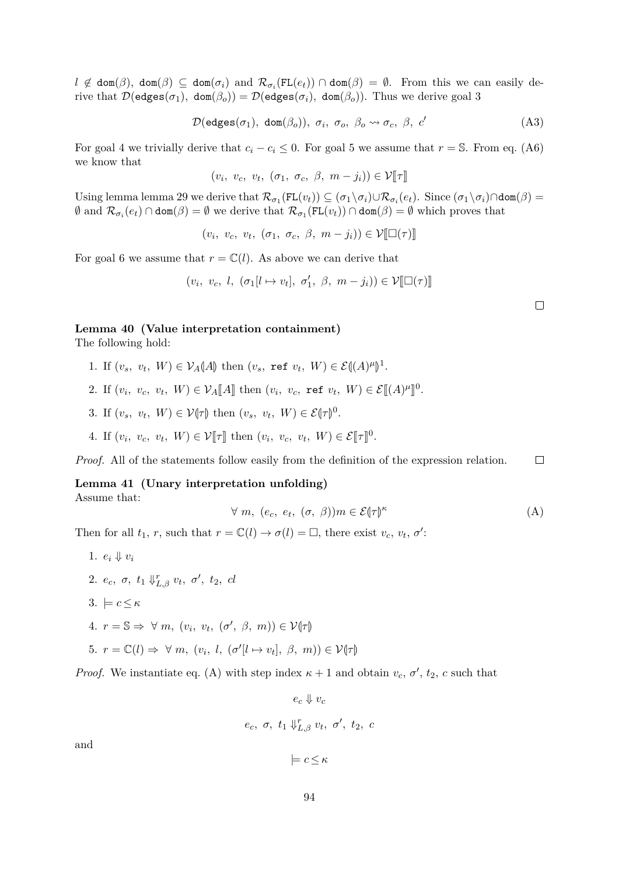$l \notin \text{dom}(\beta)$ ,  $\text{dom}(\beta) \subseteq \text{dom}(\sigma_i)$  and  $\mathcal{R}_{\sigma_i}(\text{FL}(e_t)) \cap \text{dom}(\beta) = \emptyset$ . From this we can easily derive that  $\mathcal{D}(\text{edges}(\sigma_1), \text{ dom}(\beta_o)) = \mathcal{D}(\text{edges}(\sigma_i), \text{ dom}(\beta_o)).$  Thus we derive goal 3

$$
\mathcal{D}(\text{edges}(\sigma_1), \text{ dom}(\beta_o)), \sigma_i, \sigma_o, \beta_o \rightsquigarrow \sigma_c, \beta, c'
$$
 (A3)

For goal 4 we trivially derive that  $c_i - c_i \leq 0$ . For goal 5 we assume that  $r = \mathbb{S}$ . From eq. [\(A6\)](#page-92-5) we know that

$$
(v_i, v_c, v_t, (\sigma_1, \sigma_c, \beta, m - j_i)) \in \mathcal{V}[\![\tau]\!]
$$

Using lemma lemma [29](#page-89-0) we derive that  $\mathcal{R}_{\sigma_1}(\text{FL}(v_t)) \subseteq (\sigma_1 \setminus \sigma_i) \cup \mathcal{R}_{\sigma_i}(e_t)$ . Since  $(\sigma_1 \setminus \sigma_i) \cap \text{dom}(\beta) =$  $\emptyset$  and  $\mathcal{R}_{\sigma_i}(e_t) \cap \text{dom}(\beta) = \emptyset$  we derive that  $\mathcal{R}_{\sigma_1}(\text{FL}(v_t)) \cap \text{dom}(\beta) = \emptyset$  which proves that

 $(v_i, v_c, v_t, (\sigma_1, \sigma_c, \beta, m - j_i)) \in \mathcal{V}[\Box(\tau)]$ 

For goal 6 we assume that  $r = \mathbb{C}(l)$ . As above we can derive that

$$
(v_i, v_c, l, (\sigma_1[l \mapsto v_t], \sigma'_1, \beta, m - j_i)) \in \mathcal{V}[\Box(\tau)]
$$

#### <span id="page-93-1"></span>**Lemma 40 (Value interpretation containment)**

The following hold:

- 1. If  $(v_s, v_t, W) \in \mathcal{V}_A(\mathcal{A})$  then  $(v_s, \text{ref } v_t, W) \in \mathcal{E}((\mathcal{A})^{\mu})$ M 1 .
- 2. If  $(v_i, v_c, v_t, W) \in \mathcal{V}_A[M]$  then  $(v_i, v_c, \text{ref } v_t, W) \in \mathcal{E}[(A)^{\mu}]$ l<br>I 0 .
- 3. If  $(v_s, v_t, W) \in \mathcal{V}(\tau)$  then  $(v_s, v_t, W) \in \mathcal{E}(\tau)^0$ .
- 4. If  $(v_i, v_c, v_t, W) \in \mathcal{V}[\![\tau]\!]$  then  $(v_i, v_c, v_t, W) \in \mathcal{E}[\![\tau]\!]^0$ .

 $\Box$ *Proof.* All of the statements follow easily from the definition of the expression relation.

#### **Lemma 41 (Unary interpretation unfolding)** Assume that:

$$
\forall m, (e_c, e_t, (\sigma, \beta))m \in \mathcal{E}(\tau)^{\kappa}
$$
 (A)

Then for all  $t_1$ , *r*, such that  $r = \mathbb{C}(l) \to \sigma(l) = \square$ , there exist  $v_c$ ,  $v_t$ ,  $\sigma'$ :

1.  $e_i \Downarrow v_i$ 2.  $e_c$ ,  $\sigma$ ,  $t_1 \Downarrow_{L,\beta}^r v_t$ ,  $\sigma'$ ,  $t_2$ ,  $cl$  $3. \models c \leq \kappa$ 4.  $r = \mathbb{S} \Rightarrow \forall m, (v_i, v_t, (\sigma', \beta, m)) \in \mathcal{V}(\tau)$ 5.  $r = \mathbb{C}(l) \Rightarrow \forall m, (v_i, l, (\sigma'|l \mapsto v_t], \beta, m)) \in \mathcal{V}(\tau)$ 

*Proof.* We instantiate eq. [\(A\)](#page-93-0) with step index  $\kappa + 1$  and obtain  $v_c$ ,  $\sigma'$ ,  $t_2$ ,  $c$  such that

 $e_c \Downarrow v_c$ *e<sub>c</sub>*, *σ*, *t*<sub>1</sub>  $\Downarrow_{L,\beta}^r$ *vt*, *σ*<sup>'</sup>, *t*<sub>2</sub>, *c* 

and

$$
\models c \leq \kappa
$$

<span id="page-93-0"></span>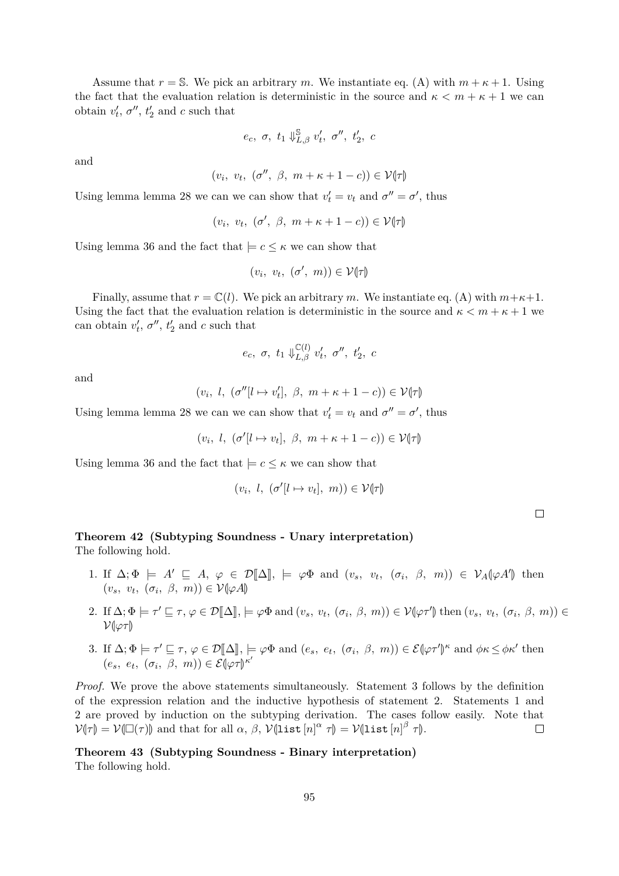Assume that  $r = S$ . We pick an arbitrary *m*. We instantiate eq. [\(A\)](#page-93-0) with  $m + \kappa + 1$ . Using the fact that the evaluation relation is deterministic in the source and  $\kappa < m + \kappa + 1$  we can obtain  $v'_t$ ,  $\sigma''$ ,  $t'_2$  and *c* such that

$$
e_c, \ \sigma, \ t_1 \Downarrow_{L,\beta}^{\mathbb{S}} v'_t, \ \sigma'', \ t'_2, \ c
$$

and

$$
(v_i, v_t, (\sigma'', \beta, m + \kappa + 1 - c)) \in \mathcal{V}(\tau)
$$

Using lemma lemma [28](#page-89-1) we can we can show that  $v'_t = v_t$  and  $\sigma'' = \sigma'$ , thus

$$
(v_i, v_t, (\sigma', \beta, m + \kappa + 1 - c)) \in \mathcal{V}(\tau)
$$

Using lemma [36](#page-91-1) and the fact that  $\mid = c \leq \kappa$  we can show that

$$
(v_i, v_t, (\sigma', m)) \in \mathcal{V}(\tau)
$$

Finally, assume that  $r = \mathbb{C}(l)$ . We pick an arbitrary *m*. We instantiate eq. [\(A\)](#page-93-0) with  $m+\kappa+1$ . Using the fact that the evaluation relation is deterministic in the source and  $\kappa < m + \kappa + 1$  we can obtain  $v'_t$ ,  $\sigma''$ ,  $t'_2$  and *c* such that

$$
e_c, \ \sigma, \ t_1 \Downarrow_{L,\beta}^{\mathbb{C}(l)} v'_t, \ \sigma'', \ t'_2, \ c
$$

and

$$
(v_i, l, (\sigma''[l \mapsto v'_t], \beta, m + \kappa + 1 - c)) \in \mathcal{V}(\tau)
$$

Using lemma lemma [28](#page-89-1) we can we can show that  $v'_t = v_t$  and  $\sigma'' = \sigma'$ , thus

$$
(v_i, l, (\sigma'[l \mapsto v_t], \beta, m + \kappa + 1 - c)) \in \mathcal{V}(\tau)
$$

Using lemma [36](#page-91-1) and the fact that  $\vert \varepsilon \vert < \kappa$  we can show that

$$
(v_i, l, (\sigma'[l \mapsto v_t], m)) \in \mathcal{V}(\tau)
$$

 $\Box$ 

# **Theorem 42 (Subtyping Soundness - Unary interpretation)**

The following hold.

- 1. If  $\Delta; \Phi \models A' \sqsubseteq A, \varphi \in \mathcal{D}[\![\Delta]\!], \models \varphi \Phi$  and  $(v_s, v_t, (\sigma_i, \beta, m)) \in \mathcal{V}_A[\varphi A']$  then  $(v_s, v_t, (\sigma_i, \beta, m)) \in \mathcal{V}(\varphi A)$
- 2. If  $\Delta; \Phi \models \tau' \sqsubseteq \tau, \varphi \in \mathcal{D}[\![\Delta]\!], \models \varphi \Phi$  and  $(v_s, v_t, (\sigma_i, \beta, m)) \in \mathcal{V}[\varphi \tau']$  then  $(v_s, v_t, (\sigma_i, \beta, m)) \in \mathcal{V}[\![v \tau' ]\!]$  $V(\varphi \tau)$
- 3. If  $\Delta; \Phi \models \tau' \sqsubseteq \tau, \varphi \in \mathcal{D}[\![\Delta]\!], \models \varphi \Phi \text{ and } (e_s, e_t, (\sigma_i, \beta, m)) \in \mathcal{E}(\varphi \tau')^{\kappa} \text{ and } \phi \kappa \leq \phi \kappa' \text{ then}$  $(e_s, e_t, (\sigma_i, \beta, m)) \in \mathcal{E}[\varphi \tau]^{\kappa'}$

*Proof.* We prove the above statements simultaneously. Statement 3 follows by the definition of the expression relation and the inductive hypothesis of statement 2. Statements 1 and 2 are proved by induction on the subtyping derivation. The cases follow easily. Note that  $\mathcal{V}(\tau) = \mathcal{V}(\square(\tau))$  and that for all  $\alpha$ ,  $\beta$ ,  $\mathcal{V}(\text{list }[n]^{\alpha} \tau) = \mathcal{V}(\text{list }[n]^{\beta} \tau).$  $\Box$ 

**Theorem 43 (Subtyping Soundness - Binary interpretation)** The following hold.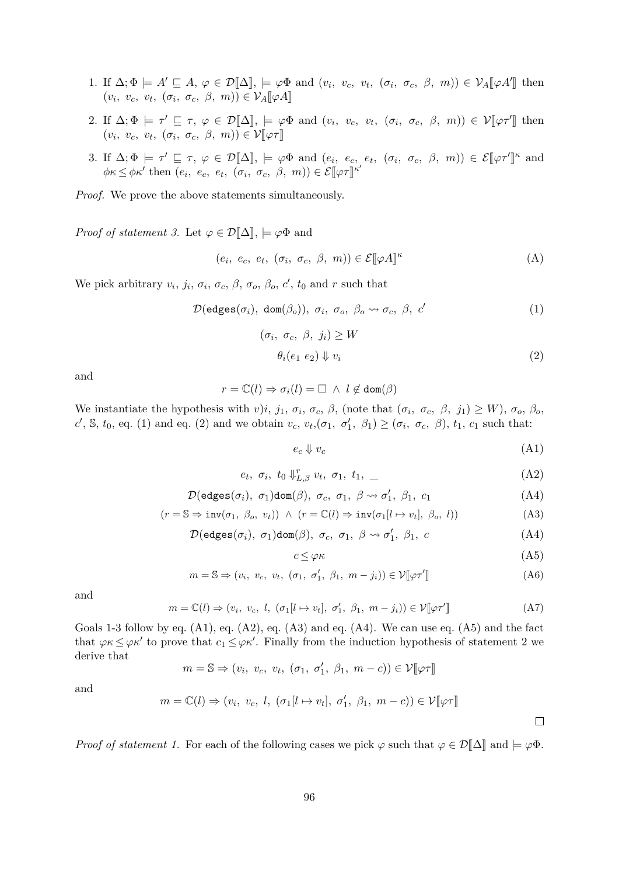- 1. If  $\Delta; \Phi \models A' \sqsubseteq A, \varphi \in \mathcal{D}[\![\Delta]\!], \models \varphi \Phi \text{ and } (v_i, v_c, v_t, (\sigma_i, \sigma_c, \beta, m)) \in \mathcal{V}_A[\![\varphi A']\!] \text{ then}$  $(v_i, v_c, v_t, (\sigma_i, \sigma_c, \beta, m)) \in \mathcal{V}_A[\![\varphi A]\!]$
- 2. If  $\Delta; \Phi \models \tau' \sqsubseteq \tau, \varphi \in \mathcal{D}[\![\Delta]\!], \models \varphi \Phi \text{ and } (v_i, v_c, v_t, (\sigma_i, \sigma_c, \beta, m)) \in \mathcal{V}[\![\varphi \tau']\!] \text{ then}$  $(v_i, v_c, v_t, (\sigma_i, \sigma_c, \beta, m)) \in \mathcal{V}[\![\varphi \tau]\!]$
- 3. If  $\Delta; \Phi \models \tau' \sqsubseteq \tau, \varphi \in \mathcal{D}[\![\Delta]\!], \models \varphi\Phi \text{ and } (e_i, e_c, e_t, (\sigma_i, \sigma_c, \beta, m)) \in \mathcal{E}[\![\varphi\tau']\!]^{\kappa} \text{ and }$  $\phi \kappa \leq \phi \kappa'$  then  $(e_i, e_c, e_t, (\sigma_i, \sigma_c, \beta, m)) \in \mathcal{E}[\![\varphi \tau]\!]^{\kappa'}$

*Proof.* We prove the above statements simultaneously.

*Proof of statement 3.* Let  $\varphi \in \mathcal{D}[\![\Delta]\!]$ ,  $\models \varphi \Phi$  and

$$
(e_i, e_c, e_t, (\sigma_i, \sigma_c, \beta, m)) \in \mathcal{E}[\varphi A]^\kappa
$$
 (A)

We pick arbitrary  $v_i$ ,  $j_i$ ,  $\sigma_i$ ,  $\sigma_c$ ,  $\beta$ ,  $\sigma_o$ ,  $\beta_o$ ,  $c'$ ,  $t_0$  and  $r$  such that

$$
\mathcal{D}(\text{edges}(\sigma_i), \text{ dom}(\beta_o)), \sigma_i, \sigma_o, \beta_o \leadsto \sigma_c, \beta, c'
$$
 (1)

$$
(\sigma_i, \sigma_c, \beta, j_i) \ge W
$$
  
\n
$$
\theta_i(e_1 \ e_2) \Downarrow v_i
$$
\n(2)

and

$$
r=\mathbb{C}(l)\Rightarrow \sigma_i(l)=\square \ \land \ l\not\in \text{dom}(\beta)
$$

We instantiate the hypothesis with *v*)*i*, *j*<sub>1</sub>,  $\sigma_i$ ,  $\sigma_c$ ,  $\beta$ , (note that  $(\sigma_i, \sigma_c, \beta, j_1) \geq W$ ),  $\sigma_o$ ,  $\beta_o$ ,  $c'$ , S,  $t_0$ , eq. [\(1\)](#page-92-0) and eq. [\(2\)](#page-95-0) and we obtain  $v_c$ ,  $v_t$ ,  $(\sigma_1, \sigma'_1, \beta_1) \geq (\sigma_i, \sigma_c, \beta)$ ,  $t_1$ ,  $c_1$  such that:

<span id="page-95-2"></span><span id="page-95-1"></span><span id="page-95-0"></span>
$$
e_c \Downarrow v_c \tag{A1}
$$

$$
e_t, \sigma_i, t_0 \Downarrow_{L,\beta}^r v_t, \sigma_1, t_1, \tag{A2}
$$

$$
\mathcal{D}(\text{edges}(\sigma_i), \ \sigma_1)\text{dom}(\beta), \ \sigma_c, \ \sigma_1, \ \beta \leadsto \sigma'_1, \ \beta_1, \ c_1 \tag{A4}
$$

$$
(r = \mathbb{S} \Rightarrow inv(\sigma_1, \ \beta_o, \ v_t)) \ \land \ (r = \mathbb{C}(l) \Rightarrow inv(\sigma_1[l \mapsto v_t], \ \beta_o, \ l)) \tag{A3}
$$

$$
\mathcal{D}(\text{edges}(\sigma_i), \ \sigma_1)\text{dom}(\beta), \ \sigma_c, \ \sigma_1, \ \beta \leadsto \sigma'_1, \ \beta_1, \ c \tag{A4}
$$

$$
c \le \varphi \kappa \tag{A5}
$$

$$
m = \mathbb{S} \Rightarrow (v_i, v_c, v_t, (\sigma_1, \sigma'_1, \beta_1, m - j_i)) \in \mathcal{V}[\varphi \tau'] \tag{A6}
$$

and

$$
m = \mathbb{C}(l) \Rightarrow (v_i, v_c, l, (\sigma_1[l \mapsto v_t], \sigma'_1, \beta_1, m - j_i)) \in \mathcal{V}[\![\varphi \tau']\!]
$$
 (A7)

Goals 1-3 follow by eq.  $(A1)$ , eq.  $(A2)$ , eq.  $(A3)$  and eq.  $(A4)$ . We can use eq.  $(A5)$  and the fact that  $\varphi \kappa \leq \varphi \kappa'$  to prove that  $c_1 \leq \varphi \kappa'$ . Finally from the induction hypothesis of statement 2 we derive that

$$
m = \mathbb{S} \Rightarrow (v_i, v_c, v_t, (\sigma_1, \sigma'_1, \beta_1, m - c)) \in \mathcal{V}[\![\varphi \tau]\!]
$$

and

$$
m = \mathbb{C}(l) \Rightarrow (v_i, v_c, l, (\sigma_1[l \mapsto v_t], \sigma'_1, \beta_1, m - c)) \in \mathcal{V}[\![\varphi \tau]\!]
$$

*Proof of statement 1.* For each of the following cases we pick  $\varphi$  such that  $\varphi \in \mathcal{D}[\![\Delta]\!]$  and  $\models \varphi \Phi$ .

<span id="page-95-5"></span><span id="page-95-4"></span><span id="page-95-3"></span> $\Box$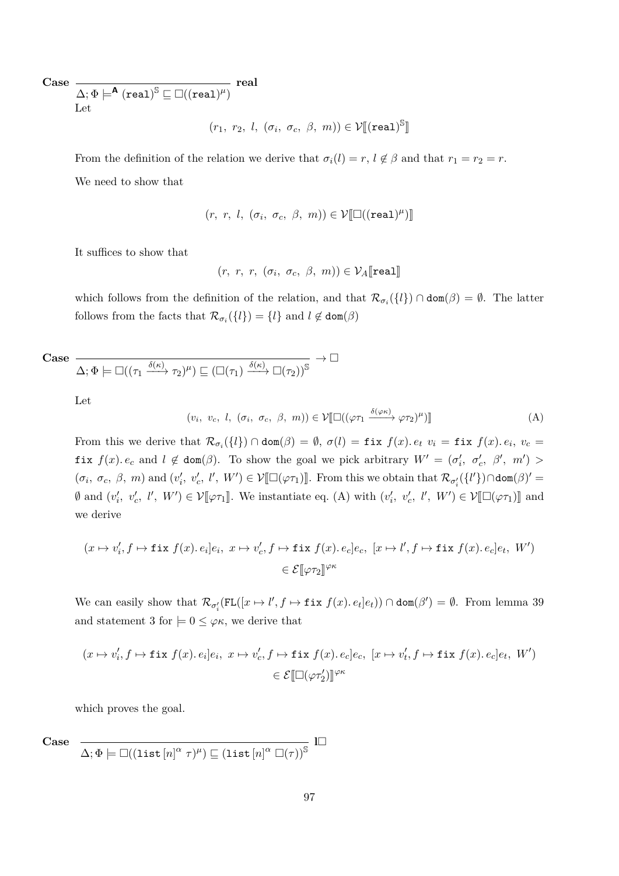**Case**

 $\Delta ;\Phi \models^\mathsf{A} (\mathtt{real})^\mathbb{S} \sqsubseteq \Box ((\mathtt{real})^\mu)$ **real**

Let

 $(r_1, r_2, l, (\sigma_i, \sigma_c, \beta, m)) \in \mathcal{V}[[(\mathtt{real})^\mathbb{S}]$ l<br>I

From the definition of the relation we derive that  $\sigma_i(l) = r, l \notin \beta$  and that  $r_1 = r_2 = r$ . We need to show that

$$
(r, r, l, (\sigma_i, \sigma_c, \beta, m)) \in \mathcal{V}[\![\Box((\mathtt{real})^{\mu})]\!]
$$

It suffices to show that

<span id="page-96-0"></span>
$$
(r, r, r, (\sigma_i, \sigma_c, \beta, m)) \in \mathcal{V}_A[\texttt{real}]
$$

which follows from the definition of the relation, and that  $\mathcal{R}_{\sigma_i}(\{l\}) \cap \text{dom}(\beta) = \emptyset$ . The latter follows from the facts that  $\mathcal{R}_{\sigma_i}(\{l\}) = \{l\}$  and  $l \notin \text{dom}(\beta)$ 

Case 
$$
\frac{}{\Delta;\Phi\models\Box((\tau_1\xrightarrow{\delta(\kappa)}\tau_2)^\mu)\sqsubseteq\left(\Box(\tau_1)\xrightarrow{\delta(\kappa)}\Box(\tau_2)\right)^\mathbb{S}}\rightarrow\Box
$$

Let

$$
(v_i, v_c, l, (\sigma_i, \sigma_c, \beta, m)) \in \mathcal{V}[\Box((\varphi \tau_1 \xrightarrow{\delta(\varphi \kappa)} \varphi \tau_2)^{\mu})]
$$
(A)

From this we derive that  $\mathcal{R}_{\sigma_i}(\{l\}) \cap \text{dom}(\beta) = \emptyset$ ,  $\sigma(l) = \text{fix } f(x)$ *.*  $e_t$   $v_i = \text{fix } f(x)$ *.*  $e_i$ ,  $v_c =$ **fix**  $f(x) \text{.} e_c$  and  $l \notin \text{dom}(\beta)$ . To show the goal we pick arbitrary  $W' = (\sigma'_i, \sigma'_c, \beta', m') >$  $(\sigma_i, \sigma_c, \beta, m)$  and  $(v'_i, v'_c, l', W') \in \mathcal{V}[\Box(\varphi \tau_1)]$ . From this we obtain that  $\mathcal{R}_{\sigma'_i}(\{l'\}) \cap \text{dom}(\beta)' =$  $\emptyset$  and  $(v'_i, v'_c, l', W') \in \mathcal{V}[\varphi \tau_1]$ . We instantiate eq. [\(A\)](#page-96-0) with  $(v'_i, v'_c, l', W') \in \mathcal{V}[\Box(\varphi \tau_1)]$  and we derive

$$
(x \mapsto v'_i, f \mapsto \text{fix } f(x). e_i]e_i, \ x \mapsto v'_c, f \mapsto \text{fix } f(x). e_c]e_c, \ [x \mapsto l', f \mapsto \text{fix } f(x). e_c]e_t, \ W' \in \mathcal{E}[\varphi \tau_2]^{\varphi \kappa}
$$

We can easily show that  $\mathcal{R}_{\sigma_i'}(FL([x \mapsto l', f \mapsto \text{fix } f(x). e_t]e_t)) \cap \text{dom}(\beta') = \emptyset$ . From lemma [39](#page-92-6) and statement 3 for  $\vert=0\leq\varphi\kappa$ , we derive that

$$
(x \mapsto v'_i, f \mapsto \text{fix } f(x). e_i]e_i, \ x \mapsto v'_c, f \mapsto \text{fix } f(x). e_c]e_c, \ [x \mapsto v'_t, f \mapsto \text{fix } f(x). e_c]e_t, \ W'
$$

$$
\in \mathcal{E}[\Box(\varphi \tau'_2)]^{\varphi \kappa}
$$

which proves the goal.

**Case**

$$
\overline{\Delta;\Phi\models\Box((\mathrm{list}\left[n\right]^{\alpha}\tau)^{\mu})\sqsubseteq\left(\mathrm{list}\left[n\right]^{\alpha}\Box(\tau)\right)^{\mathbb{S}}}\;\;\mathbb{I}\Box
$$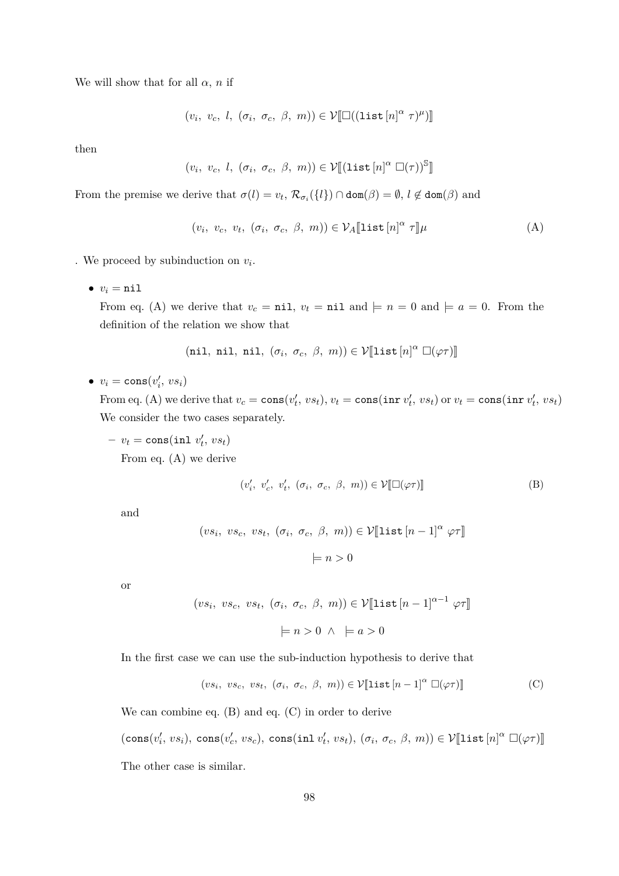We will show that for all  $\alpha$ , *n* if

$$
(v_i, v_c, l, (\sigma_i, \sigma_c, \beta, m)) \in \mathcal{V}[\Box((\mathtt{list}[n]^\alpha \tau)^\mu)]
$$

then

$$
(v_i, v_c, l, (\sigma_i, \sigma_c, \beta, m)) \in \mathcal{V}[[(\mathtt{list}[n]^\alpha \ \Box(\tau))^{\mathbb{S}}]]
$$

From the premise we derive that  $\sigma(l) = v_t$ ,  $\mathcal{R}_{\sigma_i}(\{l\}) \cap \text{dom}(\beta) = \emptyset$ ,  $l \notin \text{dom}(\beta)$  and

<span id="page-97-0"></span>
$$
(v_i, v_c, v_t, (\sigma_i, \sigma_c, \beta, m)) \in \mathcal{V}_A[\text{list}[n]^\alpha \tau] \mu \tag{A}
$$

. We proceed by subinduction on *v<sup>i</sup>* .

 $v_i = \texttt{nil}$ 

From eq. [\(A\)](#page-99-0) we derive that  $v_c = \text{nil}$ ,  $v_t = \text{nil}$  and  $\models n = 0$  and  $\models a = 0$ . From the definition of the relation we show that

(nil, nil, nil, 
$$
(\sigma_i, \sigma_c, \beta, m)) \in \mathcal{V}[\text{list}[n]^\alpha \square(\varphi \tau)]
$$

 $\bullet$   $v_i = \text{cons}(v'_i, vs_i)$ 

From eq. [\(A\)](#page-99-1) we derive that  $v_c = \cos(v'_t, vs_t), v_t = \cos(\arctan v'_t, vs_t) \text{ or } v_t = \cos(\arctan v'_t, vs_t)$ We consider the two cases separately.

 $-v_t = \text{cons}(\text{inl } v'_t, vs_t)$ From eq. [\(A\)](#page-97-0) we derive

<span id="page-97-1"></span>
$$
(v'_i, v'_c, v'_t, (\sigma_i, \sigma_c, \beta, m)) \in \mathcal{V}[\Box(\varphi \tau)] \tag{B}
$$

and

$$
(vs_i, vs_c, vs_t, (\sigma_i, \sigma_c, \beta, m)) \in \mathcal{V}[\text{list } [n-1]^\alpha \varphi \tau]
$$

$$
\models n > 0
$$

or

$$
(vs_i, vs_c, vs_t, (\sigma_i, \sigma_c, \beta, m)) \in \mathcal{V}[\text{list } [n-1]^{\alpha-1} \varphi \tau]
$$

$$
\models n > 0 \land \models a > 0
$$

In the first case we can use the sub-induction hypothesis to derive that

<span id="page-97-2"></span>
$$
(vs_i, vs_c, vs_t, (\sigma_i, \sigma_c, \beta, m)) \in \mathcal{V}[\text{list}[n-1]^\alpha \Box(\varphi \tau)] \tag{C}
$$

We can combine eq. [\(B\)](#page-97-1) and eq. [\(C\)](#page-97-2) in order to derive

 $(\text{cons}(v'_i, vs_i), \text{ cons}(v'_c, vs_c), \text{ cons}( \text{inl } v'_t, vs_t), (\sigma_i, \sigma_c, \beta, m)) \in \mathcal{V}[\![\text{list}[n]^\alpha \ \Box(\varphi \tau)]\!]$ The other case is similar.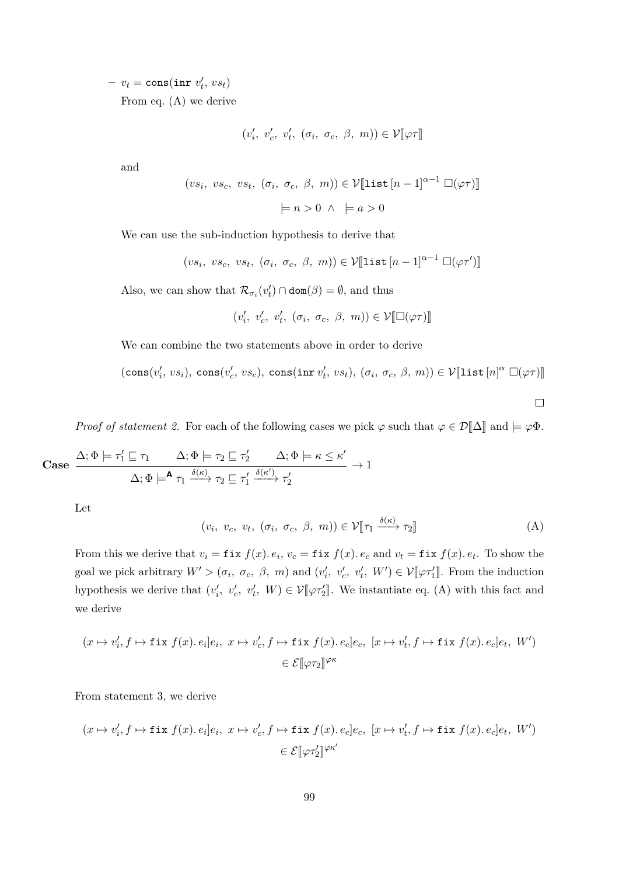$-v_t = \text{cons}(\texttt{inr} \ v'_t, \ vs_t)$ From eq. [\(A\)](#page-99-0) we derive

$$
(v'_i, v'_c, v'_t, (\sigma_i, \sigma_c, \beta, m)) \in \mathcal{V}[\![\varphi \tau]\!]
$$

and

$$
(vs_i, vs_c, vs_t, (\sigma_i, \sigma_c, \beta, m)) \in \mathcal{V}[\text{list } [n-1]^{\alpha-1} \square(\varphi\tau)]
$$

$$
\models n > 0 \land \models a > 0
$$

We can use the sub-induction hypothesis to derive that

$$
(vs_i, vs_c, vs_t, (\sigma_i, \sigma_c, \beta, m)) \in \mathcal{V}[\text{list } [n-1]^{\alpha-1} \; \Box(\varphi \tau')]
$$

Also, we can show that  $\mathcal{R}_{\sigma_i}(v'_t) \cap \text{dom}(\beta) = \emptyset$ , and thus

$$
(v'_i, v'_c, v'_t, (\sigma_i, \sigma_c, \beta, m)) \in \mathcal{V}[\Box(\varphi\tau)]
$$

We can combine the two statements above in order to derive

 $(\text{cons}(v'_i, vs_i), \text{ cons}(v'_c, vs_c), \text{ cons}( \text{inr } v'_t, vs_t), (\sigma_i, \sigma_c, \beta, m)) \in \mathcal{V}[\![\texttt{list}[n]^\alpha \ \Box(\varphi \tau)]\!]$ 

<span id="page-98-0"></span> $\Box$ 

*Proof of statement 2.* For each of the following cases we pick  $\varphi$  such that  $\varphi \in \mathcal{D}[\![\Delta]\!]$  and  $\models \varphi \Phi$ .

$$
\text{Case } \frac{\Delta; \Phi \models \tau_1' \sqsubseteq \tau_1 \qquad \Delta; \Phi \models \tau_2 \sqsubseteq \tau_2' \qquad \Delta; \Phi \models \kappa \leq \kappa'}{\Delta; \Phi \models^{\mathbf{A}} \tau_1 \xrightarrow{\delta(\kappa)} \tau_2 \sqsubseteq \tau_1' \xrightarrow{\delta(\kappa')} \tau_2'} \rightarrow 1
$$

Let

$$
(v_i, v_c, v_t, (\sigma_i, \sigma_c, \beta, m)) \in \mathcal{V}[\![\tau_1 \xrightarrow{\delta(\kappa)} \tau_2]\!]
$$
 (A)

From this we derive that  $v_i = \textbf{fix } f(x)$ *.*  $e_i$ *,*  $v_c = \textbf{fix } f(x)$ *.*  $e_c$  and  $v_t = \textbf{fix } f(x)$ *.*  $e_t$ *.* To show the goal we pick arbitrary  $W' > (\sigma_i, \sigma_c, \beta, m)$  and  $(v'_i, v'_c, v'_t, W') \in \mathcal{V}[\varphi \tau'_1]$ . From the induction hypothesis we derive that  $(v'_i, v'_c, v'_t, W) \in \mathcal{V}[\varphi \tau'_2]$ . We instantiate eq. [\(A\)](#page-98-0) with this fact and we derive

$$
(x \mapsto v_i', f \mapsto \text{fix } f(x). e_i]e_i, \ x \mapsto v_c', f \mapsto \text{fix } f(x). e_c]e_c, \ [x \mapsto v_t', f \mapsto \text{fix } f(x). e_c]e_t, \ W' \in \mathcal{E}[\varphi \tau_2]^{\varphi \kappa}
$$

From statement 3, we derive

$$
(x \mapsto v'_i, f \mapsto \text{fix } f(x). e_i]e_i, \ x \mapsto v'_c, f \mapsto \text{fix } f(x). e_c]e_c, \ [x \mapsto v'_t, f \mapsto \text{fix } f(x). e_c]e_t, \ W'
$$

$$
\in \mathcal{E}[\varphi \tau'_2]^{\varphi \kappa'}
$$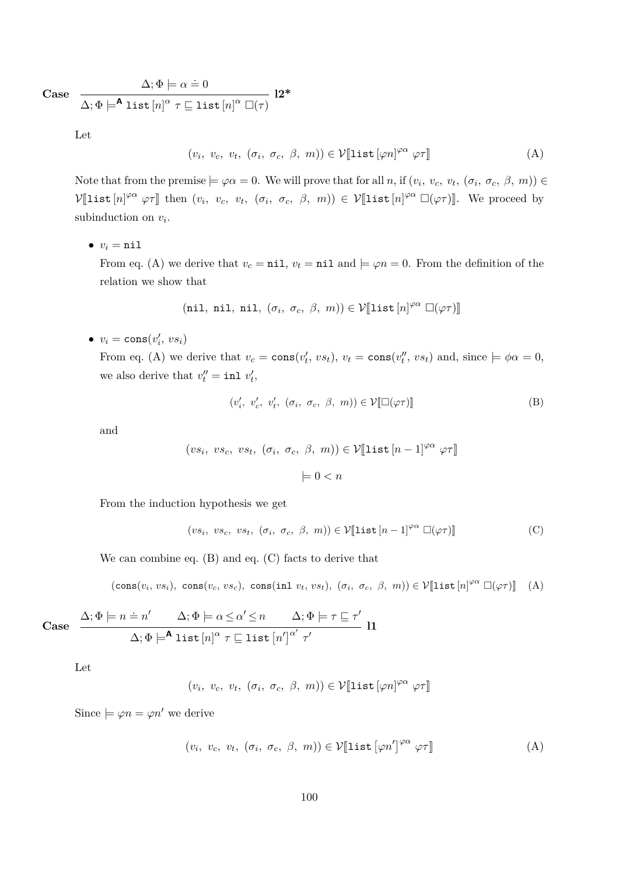**Case**

$$
\Delta; \Phi \models \alpha \doteq 0
$$
\n
$$
\Delta; \Phi \models^{\mathbf{A}} \mathrm{list}\left[n\right]^{\alpha} \tau \sqsubseteq \mathrm{list}\left[n\right]^{\alpha} \square(\tau)
$$
\n
$$
\mathbf{12*}
$$

Let

$$
(v_i, v_c, v_t, (\sigma_i, \sigma_c, \beta, m)) \in \mathcal{V}[\![\mathtt{list}[\varphi n]^{\varphi \alpha} \varphi \tau]\!]
$$
 (A)

Note that from the premise  $\models \varphi \alpha = 0$ . We will prove that for all *n*, if  $(v_i, v_c, v_t, (\sigma_i, \sigma_c, \beta, m)) \in$  $V[\text{list } [n]^{\varphi\alpha} \varphi\tau]$  then  $(v_i, v_c, v_t, (\sigma_i, \sigma_c, \beta, m)) \in V[\text{list } [n]^{\varphi\alpha} \Box(\varphi\tau)].$  We proceed by subinduction on *v<sup>i</sup>* .

 $v_i = \texttt{nil}$ 

From eq. [\(A\)](#page-99-0) we derive that  $v_c = \text{nil}$ ,  $v_t = \text{nil}$  and  $\models \varphi n = 0$ . From the definition of the relation we show that

(nil, nil, nil, 
$$
(\sigma_i, \sigma_c, \beta, m)) \in \mathcal{V}[\text{list}[n]^{\varphi\alpha} \square(\varphi\tau)]
$$

 $\bullet$   $v_i = \text{cons}(v'_i, vs_i)$ 

From eq. [\(A\)](#page-99-0) we derive that  $v_c = \cos(v'_t, vs_t)$ ,  $v_t = \cos(v''_t, vs_t)$  and, since  $\models \phi\alpha = 0$ , we also derive that  $v''_t = \text{inl } v'_t$ ,

<span id="page-99-3"></span><span id="page-99-2"></span>
$$
(v'_i, v'_c, v'_t, (\sigma_i, \sigma_c, \beta, m)) \in \mathcal{V}[\Box(\varphi \tau)] \tag{B}
$$

and

$$
(vs_i, vs_c, vs_t, (\sigma_i, \sigma_c, \beta, m)) \in \mathcal{V}[\text{list } [n-1]^{\varphi\alpha} \varphi\tau]
$$

$$
\models 0 < n
$$

From the induction hypothesis we get

<span id="page-99-0"></span>
$$
(vs_i, vs_c, vs_t, (\sigma_i, \sigma_c, \beta, m)) \in \mathcal{V}[\text{list } [n-1]^{\varphi\alpha} \; \Box(\varphi\tau)] \tag{C}
$$

We can combine eq. [\(B\)](#page-99-2) and eq. [\(C\)](#page-99-3) facts to derive that

$$
(\mathsf{cons}(v_i, vs_i), \; \mathsf{cons}(v_c, vs_c), \; \mathsf{cons}(\mathsf{inl}\; v_t, vs_t), \; (\sigma_i, \; \sigma_c, \; \beta, \; m)) \in \mathcal{V}[\![\mathsf{list}\,[n]^{\varphi\alpha} \; \Box(\varphi\tau)]\!] \tag{A}
$$

Case 
$$
\frac{\Delta; \Phi \models n = n' \quad \Delta; \Phi \models \alpha \leq \alpha' \leq n \quad \Delta; \Phi \models \tau \sqsubseteq \tau'}{\Delta; \Phi \models^{\mathbf{A}} \text{list } [n]^{\alpha} \tau \sqsubseteq \text{list } [n']^{\alpha'} \tau'}
$$
11

Let

<span id="page-99-1"></span>
$$
(v_i, v_c, v_t, (\sigma_i, \sigma_c, \beta, m)) \in \mathcal{V}[\text{list}[\varphi n]^{\varphi \alpha} \varphi \tau]
$$

Since  $\models \varphi n = \varphi n'$  we derive

$$
(v_i, v_c, v_t, (\sigma_i, \sigma_c, \beta, m)) \in \mathcal{V}[\text{list}[\varphi n']^{\varphi \alpha} \varphi \tau]]
$$
 (A)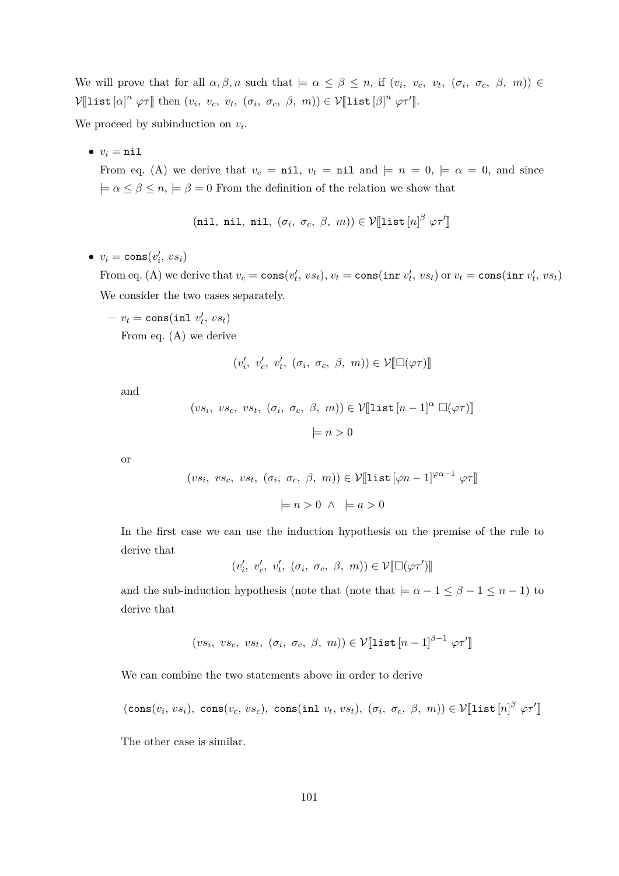We will prove that for all  $\alpha, \beta, n$  such that  $\models \alpha \leq \beta \leq n$ , if  $(v_i, v_c, v_t, (\sigma_i, \sigma_c, \beta, m)) \in$  $\mathcal{V}[\text{list}[\alpha]^n \varphi \tau]$  then  $(v_i, v_c, v_t, (\sigma_i, \sigma_c, \beta, m)) \in \mathcal{V}[\text{list}[\beta]^n \varphi \tau']$ .

We proceed by subinduction on  $v_i$ .

 $v_i = \texttt{nil}$ 

From eq. [\(A\)](#page-99-1) we derive that  $v_c = \text{nil}$ ,  $v_t = \text{nil}$  and  $\models n = 0, \models \alpha = 0$ , and since  $\models \alpha \leq \beta \leq n, \models \beta = 0$  From the definition of the relation we show that

(nil, nil, nil, 
$$
(\sigma_i, \sigma_c, \beta, m)) \in \mathcal{V}[\text{list}[n]^\beta \varphi \tau']
$$

 $v_i = \text{cons}(v'_i, vs_i)$ 

From eq. [\(A\)](#page-99-1) we derive that  $v_c = \cos(v'_t, vs_t), v_t = \cos(\arctan v'_t, vs_t) \text{ or } v_t = \cos(\arctan v'_t, vs_t)$ We consider the two cases separately.

$$
- v_t = \text{cons}( \text{inl } v'_t, v s_t)
$$
  
From eq. (A) we derive

 $(v'_i, v'_c, v'_t, (\sigma_i, \sigma_c, \beta, m)) \in \mathcal{V}[\Box(\varphi\tau)]$ 

and

$$
(vs_i, vs_c, vs_t, (\sigma_i, \sigma_c, \beta, m)) \in \mathcal{V}[\text{list } [n-1]^\alpha \Box(\varphi \tau)]
$$

$$
\models n > 0
$$

or

$$
(vs_i, vs_c, vs_t, (\sigma_i, \sigma_c, \beta, m)) \in \mathcal{V}[\text{list}[\varphi n - 1]^{\varphi \alpha - 1} \varphi \tau]
$$

$$
\models n > 0 \land \models a > 0
$$

In the first case we can use the induction hypothesis on the premise of the rule to derive that

 $(v'_i, v'_c, v'_t, (\sigma_i, \sigma_c, \beta, m)) \in \mathcal{V}[\Box(\varphi\tau')]$ 

and the sub-induction hypothesis (note that (note that  $\models \alpha - 1 \leq \beta - 1 \leq n - 1$ ) to derive that

$$
(vs_i, vs_c, vs_t, (\sigma_i, \sigma_c, \beta, m)) \in \mathcal{V}[\text{list } [n-1]^{\beta-1} \varphi \tau']
$$

We can combine the two statements above in order to derive

 $(\text{cons}(v_i, vs_i), \text{ cons}(v_c, vs_c), \text{ cons}(int v_t, vs_t), (\sigma_i, \sigma_c, \beta, m)) \in \mathcal{V}[\![\text{list}[n]^\beta \varphi \tau']\!]$ 

The other case is similar.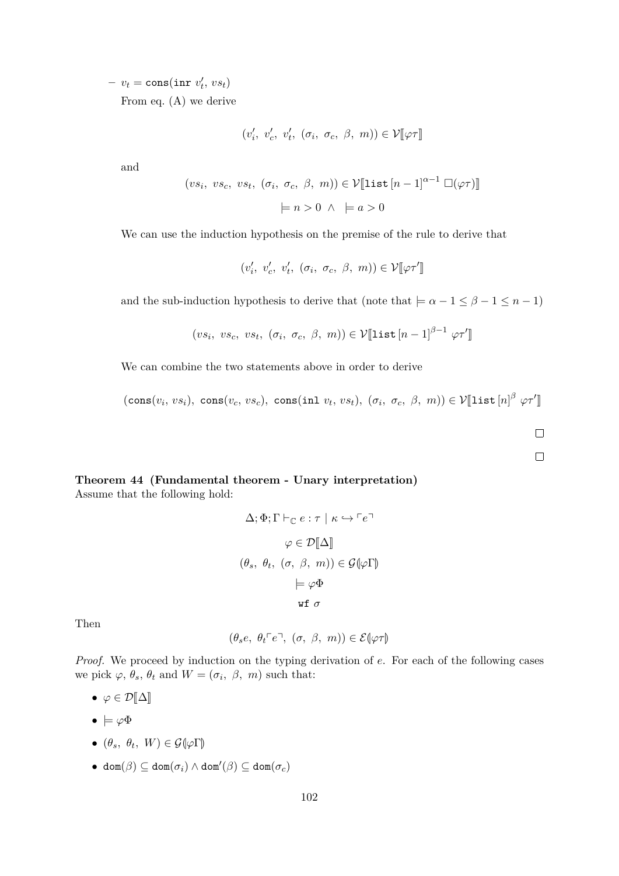$-v_t = \text{cons}(\texttt{inr} \ v'_t, \ vs_t)$ From eq. [\(A\)](#page-99-0) we derive

$$
(v'_i, v'_c, v'_t, (\sigma_i, \sigma_c, \beta, m)) \in \mathcal{V}[\![\varphi \tau]\!]
$$

and

$$
(vs_i, vs_c, vs_t, (\sigma_i, \sigma_c, \beta, m)) \in \mathcal{V}[\text{list } [n-1]^{\alpha-1} \square(\varphi\tau)]
$$

$$
\models n > 0 \land \models a > 0
$$

We can use the induction hypothesis on the premise of the rule to derive that

$$
(v'_i, v'_c, v'_t, (\sigma_i, \sigma_c, \beta, m)) \in \mathcal{V}[\![\varphi \tau']\!]
$$

and the sub-induction hypothesis to derive that (note that  $\models \alpha - 1 \leq \beta - 1 \leq n - 1$ )

$$
(vs_i, vs_c, vs_t, (\sigma_i, \sigma_c, \beta, m)) \in \mathcal{V}[\text{list } [n-1]^{\beta-1} \varphi \tau']
$$

We can combine the two statements above in order to derive

 $(\text{cons}(v_i, vs_i), \text{ cons}(v_c, vs_c), \text{ cons}(int v_t, vs_t), (\sigma_i, \sigma_c, \beta, m)) \in \mathcal{V}[\![\text{list}[n]^\beta \varphi \tau']\!]$ 

 $\Box$  $\Box$ 

#### **Theorem 44 (Fundamental theorem - Unary interpretation)**

Assume that the following hold:

$$
\Delta; \Phi; \Gamma \vdash_{\mathbb{C}} e : \tau \mid \kappa \hookrightarrow \ulcorner e \urcorner
$$
\n
$$
\varphi \in \mathcal{D}[\![\Delta]\!]
$$
\n
$$
(\theta_s, \theta_t, (\sigma, \beta, m)) \in \mathcal{G}[\![\varphi\Gamma]\!]
$$
\n
$$
\models \varphi \Phi
$$
\n
$$
\text{wf } \sigma
$$

Then

$$
(\theta_s e, \ \theta_t \ulcorner e \urcorner, \ (\sigma, \ \beta, \ m)) \in \mathcal{E}(\varphi \tau)
$$

*Proof.* We proceed by induction on the typing derivation of *e*. For each of the following cases we pick  $\varphi$ ,  $\theta_s$ ,  $\theta_t$  and  $W = (\sigma_i, \beta, m)$  such that:

- $\varphi \in \mathcal{D}[\![\Delta]\!]$
- $\bullet \models \varphi \Phi$
- $\bullet$   $(\theta_s, \theta_t, W) \in \mathcal{G}(\varphi \Gamma)$
- $\bullet$  dom $(β) ⊆ dom(σ<sub>i</sub>) ∧ dom'(β) ⊆ dom(σ<sub>c</sub>)$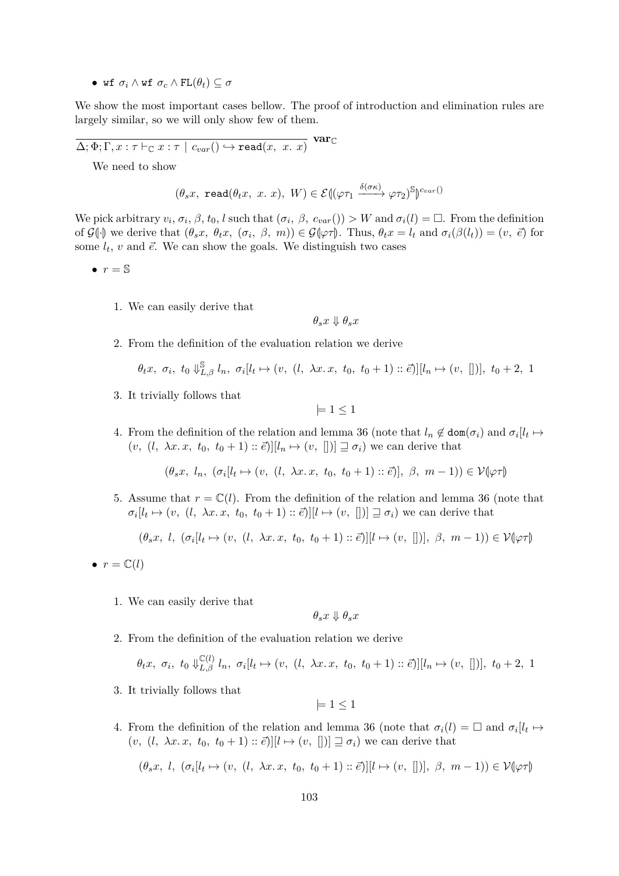• wf  $\sigma_i \wedge \text{wf } \sigma_c \wedge \text{FL}(\theta_t) \subseteq \sigma$ 

We show the most important cases bellow. The proof of introduction and elimination rules are largely similar, so we will only show few of them.

 $\Delta; \Phi ; \Gamma, x : \tau \vdash_{\mathbb{C}} x : \tau \,\mid\, c_{var}() \hookrightarrow \mathtt{read}(x,\,\,x.\,\,x)$ **var**C

We need to show

$$
(\theta_s x, \text{ read}(\theta_t x, x, x), W) \in \mathcal{E}((\varphi \tau_1 \xrightarrow{\delta(\sigma \kappa)} \varphi \tau_2)^{\mathbb{S}})^{c_{var}(x)}
$$

We pick arbitrary  $v_i$ ,  $\sigma_i$ ,  $\beta$ ,  $t_0$ ,  $l$  such that  $(\sigma_i, \beta, c_{var}()) > W$  and  $\sigma_i(l) = \Box$ . From the definition of  $\mathcal{G}(\cdot)$  we derive that  $(\theta_s x, \theta_t x, (\sigma_i, \beta, m)) \in \mathcal{G}(\varphi \tau)$ . Thus,  $\theta_t x = l_t$  and  $\sigma_i(\beta(l_t)) = (v, \vec{e})$  for some  $l_t$ ,  $v$  and  $\vec{e}$ . We can show the goals. We distinguish two cases

- $\bullet$   $r = \mathbb{S}$ 
	- 1. We can easily derive that

$$
\theta_sx\Downarrow\theta_sx
$$

2. From the definition of the evaluation relation we derive

$$
\theta_t x, \sigma_i, t_0 \Downarrow_{L,\beta}^{\mathbb{S}} l_n, \sigma_i[l_t \mapsto (v, (l, \lambda x. x, t_0, t_0 + 1) :: \vec{e})][l_n \mapsto (v, [])], t_0 + 2, 1
$$

3. It trivially follows that

 $|= 1 \leq 1$ 

4. From the definition of the relation and lemma [36](#page-91-1) (note that  $l_n \notin \text{dom}(\sigma_i)$  and  $\sigma_i[l_t \mapsto$  $(v, (l, \lambda x. x, t_0, t_0 + 1) :: \vec{e})[[l_n \mapsto (v, [])] \sqsupseteq \sigma_i)$  we can derive that

 $(\theta_s x, l_n, (\sigma_i[l_t \mapsto (v, (l, \lambda x. x, t_0, t_0 + 1) :: \vec{e})], \beta, m - 1)) \in \mathcal{V}(\varphi \tau)$ 

5. Assume that  $r = \mathbb{C}(l)$ . From the definition of the relation and lemma [36](#page-91-1) (note that  $\sigma_i[l_t \mapsto (v, (l, \lambda x. x, t_0, t_0 + 1) :: \vec{e})][l \mapsto (v, [])] \sqsupseteq \sigma_i$  we can derive that

$$
(\theta_s x, l, (\sigma_i[l_t \mapsto (v, (l, \lambda x. x, t_0, t_0 + 1) :: \vec{e})][l \mapsto (v, [])], \beta, m - 1)) \in \mathcal{V}(\varphi \tau)
$$

- $\bullet$   $r = \mathbb{C}(l)$ 
	- 1. We can easily derive that

$$
\theta_sx\Downarrow\theta_sx
$$

2. From the definition of the evaluation relation we derive

$$
\theta_t x, \sigma_i, t_0 \Downarrow_{L,\beta}^{\mathbb{C}(l)} l_n, \sigma_i[l_t \mapsto (v, (l, \lambda x. x, t_0, t_0 + 1) :: \vec{e})][l_n \mapsto (v, [])], t_0 + 2, 1
$$

3. It trivially follows that

 $|= 1 \leq 1$ 

4. From the definition of the relation and lemma [36](#page-91-1) (note that  $\sigma_i(l) = \Box$  and  $\sigma_i[l_t \mapsto$  $(v, (l, \lambda x. x, t_0, t_0 + 1) :: \vec{e})[[l \mapsto (v, [])] \sqsupseteq \sigma_i)$  we can derive that

$$
(\theta_s x, l, (\sigma_i[l_t \mapsto (v, (l, \lambda x. x, t_0, t_0 + 1) :: \vec{e})][l \mapsto (v, [])], \beta, m - 1)) \in \mathcal{V}(\varphi \tau)
$$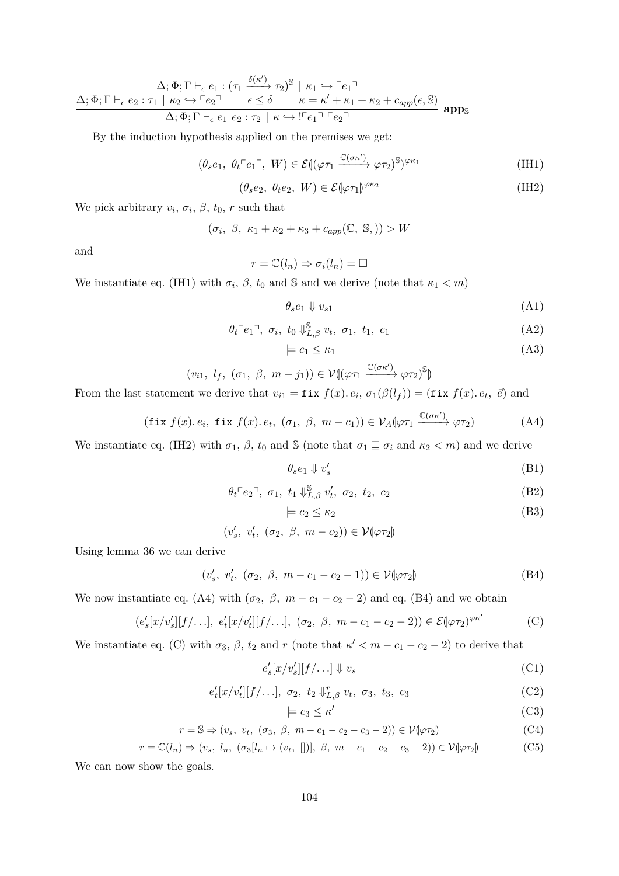$$
\Delta; \Phi; \Gamma \vdash_{\epsilon} e_1 : (\tau_1 \xrightarrow{\delta(\kappa')} \tau_2)^{\mathbb{S}} \mid \kappa_1 \hookrightarrow \ulcorner e_1 \urcorner
$$
\n
$$
\Delta; \Phi; \Gamma \vdash_{\epsilon} e_2 : \tau_1 \mid \kappa_2 \hookrightarrow \ulcorner e_2 \urcorner \qquad \epsilon \leq \delta \qquad \kappa = \kappa' + \kappa_1 + \kappa_2 + c_{app}(\epsilon, \mathbb{S})
$$
\n
$$
\Delta; \Phi; \Gamma \vdash_{\epsilon} e_1 \; e_2 : \tau_2 \mid \kappa \hookrightarrow \ulcorner e_1 \urcorner e_2 \urcorner
$$

By the induction hypothesis applied on the premises we get:

$$
(\theta_s e_1, \ \theta_t \ulcorner e_1 \urcorner, \ W) \in \mathcal{E} \left( (\varphi \tau_1 \xrightarrow{\mathbb{C}(\sigma \kappa')} \varphi \tau_2)^{\mathbb{S}} \right)^{\varphi \kappa_1} \tag{IH1}
$$

$$
(\theta_s e_2, \ \theta_t e_2, \ W) \in \mathcal{E}(\varphi \tau_1)^{\varphi \kappa_2} \tag{IH2}
$$

We pick arbitrary  $v_i$ ,  $\sigma_i$ ,  $\beta$ ,  $t_0$ ,  $r$  such that

$$
(\sigma_i, \beta, \kappa_1 + \kappa_2 + \kappa_3 + c_{app}(\mathbb{C}, \mathbb{S},)) > W
$$

and

$$
r = \mathbb{C}(l_n) \Rightarrow \sigma_i(l_n) = \square
$$

We instantiate eq. [\(IH1\)](#page-103-0) with  $\sigma_i$ ,  $\beta$ ,  $t_0$  and S and we derive (note that  $\kappa_1 < m$ )

<span id="page-103-1"></span><span id="page-103-0"></span>
$$
\theta_s e_1 \Downarrow v_{s1} \tag{A1}
$$

$$
\theta_t \ulcorner e_1 \urcorner, \ \sigma_i, \ t_0 \Downarrow_{L,\beta}^{\mathbb{S}} v_t, \ \sigma_1, \ t_1, \ c_1 \tag{A2}
$$

<span id="page-103-11"></span><span id="page-103-8"></span><span id="page-103-5"></span>
$$
\models c_1 \le \kappa_1 \tag{A3}
$$

$$
(v_{i1}, l_f, (\sigma_1, \beta, m - j_1)) \in \mathcal{V}((\varphi \tau_1 \xrightarrow{\mathbb{C}(\sigma \kappa')} \varphi \tau_2)^{\mathbb{S}})
$$

From the last statement we derive that  $v_{i1} = \textbf{fix } f(x)$ *. e<sub>i</sub>*,  $\sigma_1(\beta(l_f)) = (\textbf{fix } f(x)$ *. e<sub>t</sub>*,  $\vec{e}$ ) and

$$
(\text{fix } f(x). e_i, \text{ fix } f(x). e_t, (\sigma_1, \beta, m - c_1)) \in \mathcal{V}_A(\varphi \tau_1 \xrightarrow{\mathbb{C}(\sigma \kappa')} \varphi \tau_2) \tag{A4}
$$

We instantiate eq. [\(IH2\)](#page-103-1) with  $\sigma_1$ ,  $\beta$ ,  $t_0$  and  $\Im$  (note that  $\sigma_1 \sqsupseteq \sigma_i$  and  $\kappa_2 < m$ ) and we derive

<span id="page-103-12"></span><span id="page-103-9"></span><span id="page-103-6"></span><span id="page-103-2"></span>
$$
\theta_s e_1 \Downarrow v'_s \tag{B1}
$$

$$
\theta_t \ulcorner e_2 \urcorner, \ \sigma_1, \ t_1 \Downarrow_{L,\beta}^{\mathbb{S}} v'_t, \ \sigma_2, \ t_2, \ c_2 \tag{B2}
$$

<span id="page-103-3"></span>
$$
\models c_2 \leq \kappa_2 \tag{B3}
$$

$$
(v'_s, v'_t, (\sigma_2, \beta, m-c_2)) \in \mathcal{V}(\varphi \tau_2)
$$

Using lemma [36](#page-91-1) we can derive

$$
(v'_s, v'_t, (\sigma_2, \beta, m - c_1 - c_2 - 1)) \in \mathcal{V}(\varphi \tau_2)
$$
 (B4)

We now instantiate eq. [\(A4\)](#page-103-2) with  $(\sigma_2, \beta, m - c_1 - c_2 - 2)$  and eq. [\(B4\)](#page-103-3) and we obtain

$$
(e_s'[x/v_s'][f/\ldots], e_t'[x/v_t'][f/\ldots], (\sigma_2, \beta, m - c_1 - c_2 - 2)) \in \mathcal{E}(\varphi \tau_2)^{\varphi \kappa'} \tag{C}
$$

We instantiate eq. [\(C\)](#page-103-4) with  $\sigma_3$ ,  $\beta$ ,  $t_2$  and  $r$  (note that  $\kappa' < m - c_1 - c_2 - 2$ ) to derive that

$$
e_s'[x/v_s'][f/\ldots] \Downarrow v_s \tag{C1}
$$

$$
e'_t[x/v'_t][f/\ldots], \sigma_2, t_2 \Downarrow_{L,\beta}^r v_t, \sigma_3, t_3, c_3 \tag{C2}
$$

<span id="page-103-15"></span><span id="page-103-14"></span><span id="page-103-13"></span><span id="page-103-10"></span><span id="page-103-7"></span><span id="page-103-4"></span>
$$
\models c_3 \le \kappa' \tag{C3}
$$

$$
r = \mathbb{S} \Rightarrow (v_s, v_t, (\sigma_3, \beta, m - c_1 - c_2 - c_3 - 2)) \in \mathcal{V}(\varphi \tau_2)
$$
(C4)

$$
r = \mathbb{C}(l_n) \Rightarrow (v_s, l_n, (\sigma_3[l_n \mapsto (v_t, [])], \beta, m - c_1 - c_2 - c_3 - 2)) \in \mathcal{V}(\varphi \tau_2)
$$
 (C5)

We can now show the goals.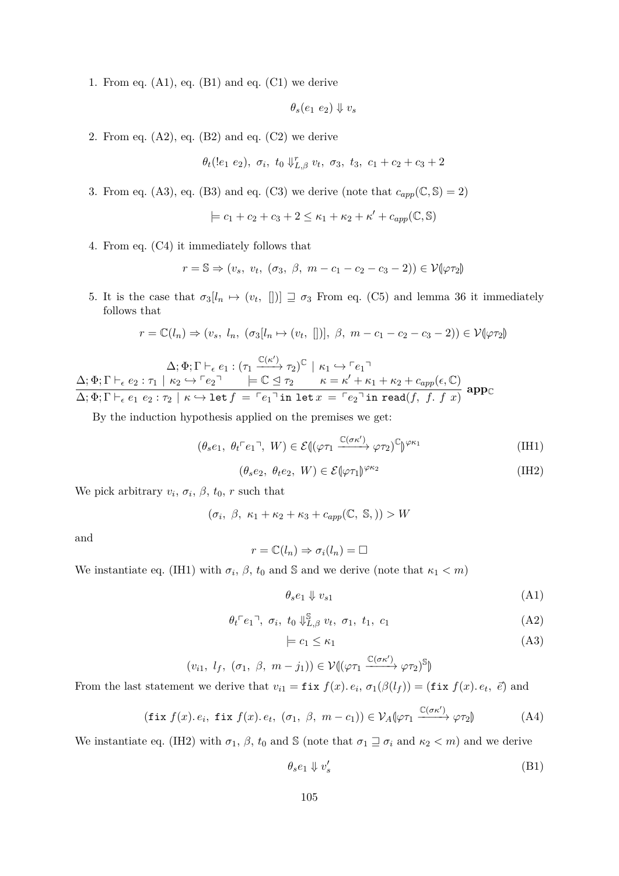1. From eq.  $(A1)$ , eq.  $(B1)$  and eq.  $(C1)$  we derive

$$
\theta_s(e_1\ e_2)\Downarrow v_s
$$

2. From eq.  $(A2)$ , eq.  $(B2)$  and eq.  $(C2)$  we derive

$$
\theta_t(\ell_1 e_2), \sigma_i, t_0 \Downarrow_{L,\beta}^r v_t, \sigma_3, t_3, c_1 + c_2 + c_3 + 2
$$

3. From eq. [\(A3\)](#page-103-11), eq. [\(B3\)](#page-103-12) and eq. [\(C3\)](#page-103-13) we derive (note that  $c_{app}(\mathbb{C}, \mathbb{S}) = 2$ )

 $\models$   $c_1 + c_2 + c_3 + 2 \leq \kappa_1 + \kappa_2 + \kappa' + c_{app}(\mathbb{C}, \mathbb{S})$ 

4. From eq. [\(C4\)](#page-103-14) it immediately follows that

 $r = \mathbb{S} \Rightarrow (v_s, v_t, (\sigma_3, \beta, m - c_1 - c_2 - c_3 - 2)) \in \mathcal{V}(\varphi \tau_2)$ 

5. It is the case that  $\sigma_3[l_n \mapsto (v_t, [])] \supseteq \sigma_3$  From eq. [\(C5\)](#page-103-15) and lemma [36](#page-91-1) it immediately follows that

$$
r = \mathbb{C}(l_n) \Rightarrow (v_s, l_n, (\sigma_3[l_n \mapsto (v_t, [])], \beta, m - c_1 - c_2 - c_3 - 2)) \in \mathcal{V}(\varphi \tau_2)
$$

 $\Delta; \Phi; \Gamma \vdash_{\epsilon} e_1 : (\tau_1 \xrightarrow{\mathbb{C}(\kappa')} \tau_2)^{\mathbb{C}} \mid \kappa_1 \hookrightarrow \ulcorner e_1 \urcorner$  $\Delta; \Phi; \Gamma \vdash_{\epsilon} e_2 : \tau_1 \mid \kappa_2 \hookrightarrow \ulcorner e_2 \urcorner \qquad \models \mathbb{C} \trianglelefteq \tau_2 \qquad \kappa = \kappa' + \kappa_1 + \kappa_2 + c_{app}(\epsilon, \mathbb{C})$  $\overline{\Delta}$ ;  $\overline{\Phi}$ ;  $\Gamma$   $\vdash$ <sub>*e*</sub>  $e_1$   $e_2$  :  $\tau_2$  |  $\kappa$   $\hookrightarrow$  let  $f = \overline{e_1}$  in let  $x = \overline{e_2}$  in read(*f, f. f x*) appc

By the induction hypothesis applied on the premises we get:

$$
(\theta_s e_1, \ \theta_t \ulcorner e_1 \urcorner, \ W) \in \mathcal{E} \left( (\varphi \tau_1 \xrightarrow{\mathbb{C}(\sigma \kappa')} \varphi \tau_2)^{\mathbb{C}} \right)^{\varphi \kappa_1} \tag{IH1}
$$

<span id="page-104-0"></span>
$$
(\theta_s e_2, \ \theta_t e_2, \ W) \in \mathcal{E}(\varphi \tau_1)^{\varphi \kappa_2} \tag{IH2}
$$

We pick arbitrary  $v_i$ ,  $\sigma_i$ ,  $\beta$ ,  $t_0$ ,  $r$  such that

$$
(\sigma_i, \beta, \kappa_1 + \kappa_2 + \kappa_3 + c_{app}(\mathbb{C}, \mathbb{S})) > W
$$

and

$$
r = \mathbb{C}(l_n) \Rightarrow \sigma_i(l_n) = \square
$$

We instantiate eq. [\(IH1\)](#page-104-0) with  $\sigma_i$ ,  $\beta$ ,  $t_0$  and S and we derive (note that  $\kappa_1 < m$ )

<span id="page-104-1"></span>
$$
\theta_s e_1 \Downarrow v_{s1} \tag{A1}
$$

$$
\theta_t \ulcorner e_1 \urcorner, \ \sigma_i, \ t_0 \Downarrow_{L,\beta}^{\mathbb{S}} v_t, \ \sigma_1, \ t_1, \ c_1 \tag{A2}
$$

<span id="page-104-6"></span><span id="page-104-5"></span><span id="page-104-3"></span>
$$
\models c_1 \le \kappa_1 \tag{A3}
$$

$$
(v_{i1}, l_f, (\sigma_1, \beta, m - j_1)) \in \mathcal{V}((\varphi \tau_1 \xrightarrow{\mathbb{C}(\sigma \kappa')} \varphi \tau_2)^{\mathbb{S}})
$$

From the last statement we derive that  $v_{i1} = \textbf{fix } f(x)$ *. e<sub>i</sub>*,  $\sigma_1(\beta(l_f)) = (\textbf{fix } f(x)$ *. e<sub>t</sub>*,  $\vec{e}$ ) and

$$
(\text{fix } f(x). e_i, \text{ fix } f(x). e_t, (\sigma_1, \beta, m - c_1)) \in \mathcal{V}_A(\varphi \tau_1 \xrightarrow{\mathbb{C}(\sigma \kappa')} \varphi \tau_2) \tag{A4}
$$

We instantiate eq. [\(IH2\)](#page-104-1) with  $\sigma_1$ ,  $\beta$ ,  $t_0$  and S (note that  $\sigma_1 \sqsupseteq \sigma_i$  and  $\kappa_2 < m$ ) and we derive

<span id="page-104-4"></span><span id="page-104-2"></span>
$$
\theta_s e_1 \Downarrow v'_s \tag{B1}
$$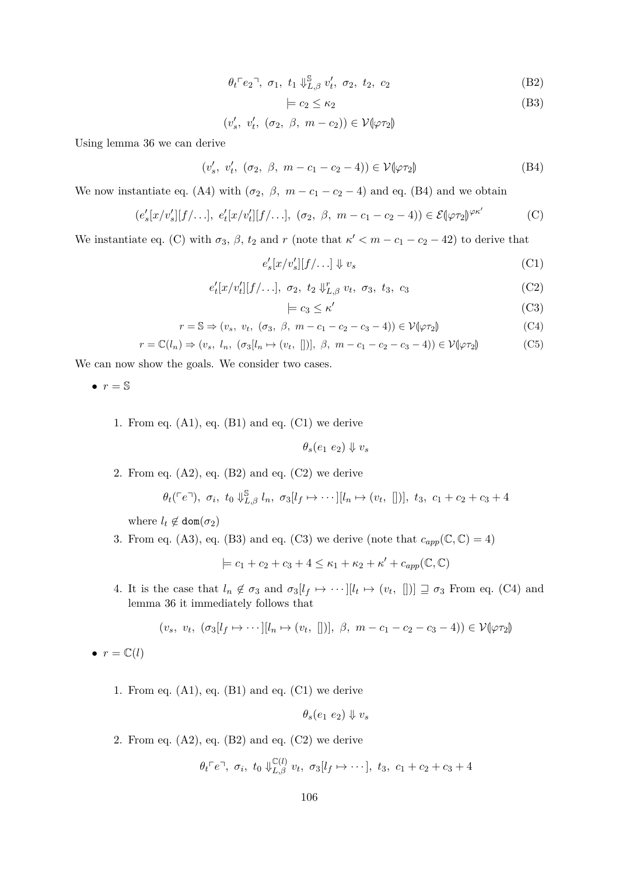$$
\theta_t \ulcorner e_2 \urcorner, \; \sigma_1, \; t_1 \Downarrow_{L,\beta}^{\mathbb{S}} v'_t, \; \sigma_2, \; t_2, \; c_2 \tag{B2}
$$

<span id="page-105-5"></span><span id="page-105-3"></span><span id="page-105-0"></span>
$$
\models c_2 \leq \kappa_2 \tag{B3}
$$

 $(v'_s, v'_t, (\sigma_2, \beta, m-c_2)) \in \mathcal{V}(\varphi \tau_2)$ 

Using lemma [36](#page-91-1) we can derive

 $(v'_s, v'_t, (\sigma_2, \beta, m - c_1 - c_2 - 4)) \in \mathcal{V}(\varphi \tau_2)$  (B4)

We now instantiate eq. [\(A4\)](#page-104-2) with  $(\sigma_2, \beta, m - c_1 - c_2 - 4)$  and eq. [\(B4\)](#page-105-0) and we obtain

$$
(e_s'[x/v_s'][f/\ldots], e_t'[x/v_t'][f/\ldots], (\sigma_2, \beta, m-c_1-c_2-4)) \in \mathcal{E}(\varphi \tau_2)^{\varphi \kappa'} \tag{C}
$$

We instantiate eq. [\(C\)](#page-105-1) with  $\sigma_3$ ,  $\beta$ ,  $t_2$  and  $r$  (note that  $\kappa' < m - c_1 - c_2 - 42$ ) to derive that

$$
e_s'[x/v_s'][f/\ldots] \Downarrow v_s \tag{C1}
$$

$$
e'_t[x/v'_t][f/\ldots], \sigma_2, t_2 \Downarrow_{L,\beta}^r v_t, \sigma_3, t_3, c_3 \tag{C2}
$$

<span id="page-105-8"></span><span id="page-105-7"></span><span id="page-105-6"></span><span id="page-105-4"></span><span id="page-105-2"></span><span id="page-105-1"></span>
$$
\models c_3 \le \kappa' \tag{C3}
$$

$$
r = \mathbb{S} \Rightarrow (v_s, v_t, (\sigma_3, \beta, m - c_1 - c_2 - c_3 - 4)) \in \mathcal{V}(\varphi \tau_2)
$$
(C4)

$$
r = \mathbb{C}(l_n) \Rightarrow (v_s, l_n, (\sigma_3[l_n \mapsto (v_t, [])], \beta, m - c_1 - c_2 - c_3 - 4)) \in \mathcal{V}(\varphi \tau_2)
$$
 (C5)

We can now show the goals. We consider two cases.

 $\bullet$   $r = \mathbb{S}$ 

1. From eq.  $(A1)$ , eq.  $(B1)$  and eq.  $(C1)$  we derive

 $\theta_s(e_1 \ e_2) \Downarrow v_s$ 

2. From eq.  $(A2)$ , eq.  $(B2)$  and eq.  $(C2)$  we derive

$$
\theta_t({\ulcorner e \urcorner}), \sigma_i, t_0 \Downarrow_{L,\beta}^S l_n, \sigma_3[l_f \mapsto \cdots][l_n \mapsto (v_t, [])], t_3, c_1 + c_2 + c_3 + 4
$$

where  $l_t \notin \text{dom}(\sigma_2)$ 

3. From eq. [\(A3\)](#page-104-6), eq. [\(B3\)](#page-105-5) and eq. [\(C3\)](#page-105-6) we derive (note that  $c_{app}(\mathbb{C}, \mathbb{C}) = 4$ )

 $\models$   $c_1 + c_2 + c_3 + 4 \leq \kappa_1 + \kappa_2 + \kappa' + c_{app}(\mathbb{C}, \mathbb{C})$ 

4. It is the case that  $l_n \notin \sigma_3$  and  $\sigma_3[l_f \mapsto \cdots][l_t \mapsto (v_t, [])] \supseteq \sigma_3$  From eq. [\(C4\)](#page-105-7) and lemma [36](#page-91-1) it immediately follows that

$$
(v_s, v_t, (\sigma_3[l_f \mapsto \cdots][l_n \mapsto (v_t, [])], \beta, m - c_1 - c_2 - c_3 - 4)) \in \mathcal{V}(\varphi \tau_2)
$$

 $\bullet$   $r = \mathbb{C}(l)$ 

1. From eq.  $(A1)$ , eq.  $(B1)$  and eq.  $(C1)$  we derive

$$
\theta_s(e_1\ e_2)\Downarrow v_s
$$

2. From eq.  $(A2)$ , eq.  $(B2)$  and eq.  $(C2)$  we derive

$$
\theta_t \in e^{\top}, \ \sigma_i, \ t_0 \Downarrow_{L,\beta}^{\mathbb{C}(l)} v_t, \ \sigma_3[l_f \mapsto \cdots], \ t_3, \ c_1 + c_2 + c_3 + 4
$$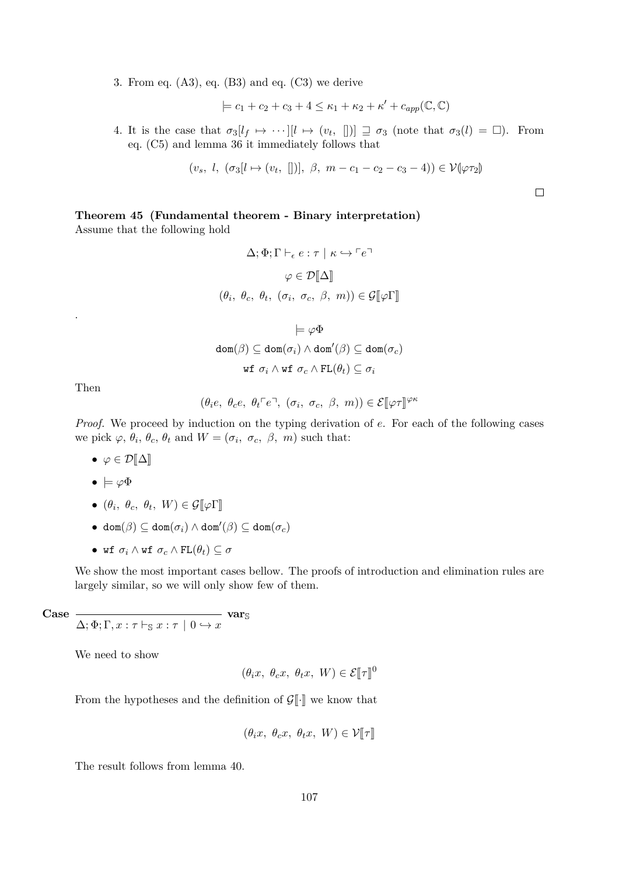3. From eq.  $(A3)$ , eq.  $(B3)$  and eq.  $(C3)$  we derive

$$
\models c_1 + c_2 + c_3 + 4 \leq \kappa_1 + \kappa_2 + \kappa' + c_{app}(\mathbb{C}, \mathbb{C})
$$

4. It is the case that  $\sigma_3[l_f \mapsto \cdots][l \mapsto (v_t, [])] \supseteq \sigma_3$  (note that  $\sigma_3(l) = \Box$ ). From eq. [\(C5\)](#page-105-8) and lemma [36](#page-91-1) it immediately follows that

$$
(v_s, l, (\sigma_3[l \mapsto (v_t, [])], \beta, m - c_1 - c_2 - c_3 - 4)) \in \mathcal{V}(\varphi \tau_2)
$$

 $\Box$ 

#### <span id="page-106-0"></span>**Theorem 45 (Fundamental theorem - Binary interpretation)**

Assume that the following hold

$$
\Delta; \Phi; \Gamma \vdash_{\epsilon} e : \tau \mid \kappa \hookrightarrow \ulcorner e \urcorner
$$
\n
$$
\varphi \in \mathcal{D}[\![\Delta]\!]
$$
\n
$$
(\theta_i, \ \theta_c, \ \theta_t, \ (\sigma_i, \ \sigma_c, \ \beta, \ m)) \in \mathcal{G}[\![\varphi \Gamma]\!]
$$
\n
$$
\models \varphi \Phi
$$
\n
$$
\text{dom}(\beta) \subseteq \text{dom}(\sigma_i) \land \text{dom}'(\beta) \subseteq \text{dom}(\sigma_c)
$$
\n
$$
\text{wf } \sigma_i \land \text{wf } \sigma_c \land \text{FL}(\theta_t) \subseteq \sigma_i
$$

Then

.

$$
(\theta_i e, \ \theta_c e, \ \theta_t \ulcorner e \urcorner, \ (\sigma_i, \ \sigma_c, \ \beta, \ m)) \in \mathcal{E}[\![\varphi \tau]\!]^{\varphi \kappa}
$$

*Proof.* We proceed by induction on the typing derivation of *e*. For each of the following cases we pick  $\varphi$ ,  $\theta_i$ ,  $\theta_c$ ,  $\theta_t$  and  $W = (\sigma_i, \sigma_c, \beta, m)$  such that:

- $\varphi \in \mathcal{D}[\![\Delta]\!]$
- |= *ϕ*Φ
- $\bullet$   $(\theta_i, \theta_c, \theta_t, W) \in \mathcal{G}[\![\varphi]\!]$
- $\bullet$  dom $(β) ⊆ dom(σ<sub>i</sub>) ∧ dom'(β) ⊆ dom(σ<sub>c</sub>)$
- wf  $\sigma_i \wedge \text{wf } \sigma_c \wedge \text{FL}(\theta_t) \subseteq \sigma$

We show the most important cases bellow. The proofs of introduction and elimination rules are largely similar, so we will only show few of them.

**Case**

 $\Delta; \Phi; \Gamma, x : \tau \vdash_{\mathbb{S}} x : \tau \mid 0 \hookrightarrow x$ **var**S

We need to show

$$
(\theta_i x, \ \theta_c x, \ \theta_t x, \ W) \in \mathcal{E}[\![\tau]\!]^0
$$

From the hypotheses and the definition of  $\mathcal{G}[\cdot]\!$  we know that

$$
(\theta_i x, \ \theta_c x, \ \theta_t x, \ W) \in \mathcal{V}[\![\tau]\!]
$$

The result follows from lemma [40.](#page-93-1)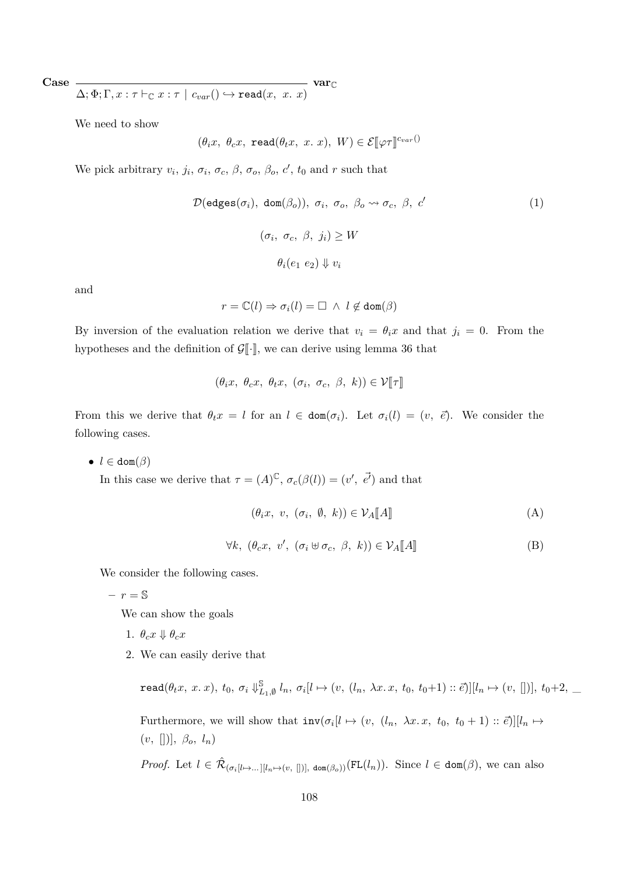**Case**

$$
\overline{\Delta;\Phi;\Gamma,x:\tau\vdash_\mathbb{C} x:\tau\mid c_{var}()\hookrightarrow \mathtt{read}(x,~x.~x)}\text{~var}_\mathbb{C}
$$

We need to show

$$
(\theta_i x, \ \theta_c x, \ \texttt{read}(\theta_t x, \ x, \ x), \ W) \in \mathcal{E}[\![\varphi \tau]\!]^{c_{var}()}
$$

We pick arbitrary  $v_i$ ,  $j_i$ ,  $\sigma_i$ ,  $\sigma_c$ ,  $\beta$ ,  $\sigma_o$ ,  $\beta_o$ ,  $c'$ ,  $t_0$  and  $r$  such that

$$
\mathcal{D}(\text{edges}(\sigma_i), \text{ dom}(\beta_o)), \sigma_i, \sigma_o, \beta_o \leadsto \sigma_c, \beta, c'
$$
\n
$$
(\sigma_i, \sigma_c, \beta, j_i) \ge W
$$
\n
$$
\theta_i(e_1 \ e_2) \Downarrow v_i
$$
\n
$$
(1)
$$

and

$$
r = \mathbb{C}(l) \Rightarrow \sigma_i(l) = \Box \ \wedge \ l \not\in \text{dom}(\beta)
$$

By inversion of the evaluation relation we derive that  $v_i = \theta_i x$  and that  $j_i = 0$ . From the hypotheses and the definition of  $\mathcal{G}[\cdot]$ , we can derive using lemma [36](#page-91-1) that

$$
(\theta_i x, \ \theta_c x, \ \theta_t x, \ (\sigma_i, \ \sigma_c, \ \beta, \ k)) \in \mathcal{V}[\![\tau]\!]
$$

From this we derive that  $\theta_t x = l$  for an  $l \in \text{dom}(\sigma_i)$ . Let  $\sigma_i(l) = (v, \bar{e})$ . We consider the following cases.

 $\bullet$  *l*  $\in$  dom( $\beta$ )

In this case we derive that  $\tau = (A)^\mathbb{C}, \sigma_c(\beta(l)) = (v', \vec{e'})$  and that

$$
(\theta_i x, v, (\sigma_i, \emptyset, k)) \in \mathcal{V}_A[\![A]\!]
$$
 (A)

$$
\forall k, \ (\theta_c x, \ v', \ (\sigma_i \oplus \sigma_c, \ \beta, \ k)) \in \mathcal{V}_A[\![A]\!] \tag{B}
$$

We consider the following cases.

 $- r = S$ 

We can show the goals

- 1.  $\theta_c x \Downarrow \theta_c x$
- 2. We can easily derive that

 $\texttt{read}(\theta_t x,~x.~x),~t_0,~\sigma_i \Downarrow^{\mathbb{S}}_L$  $\sum_{L_1, \emptyset}^{\mathbb{S}} l_n, \sigma_i[l \mapsto (v, (l_n, \lambda x. x, t_0, t_0+1) :: \vec{e})][l_n \mapsto (v, [])], t_0+2, \underline{\ }$ Furthermore, we will show that  $inv(\sigma_i[l \mapsto (v, (l_n, \lambda x.x, t_0, t_0+1) :: \vec{e})][l_n \mapsto$ (*v,* [])]*, βo, ln*)

*Proof.* Let  $l \in \hat{\mathcal{R}}_{(\sigma_i[l \mapsto \ldots][l_n \mapsto (v,[])], \text{ dom}(\beta_o))}(\text{FL}(l_n))$ . Since  $l \in \text{dom}(\beta)$ , we can also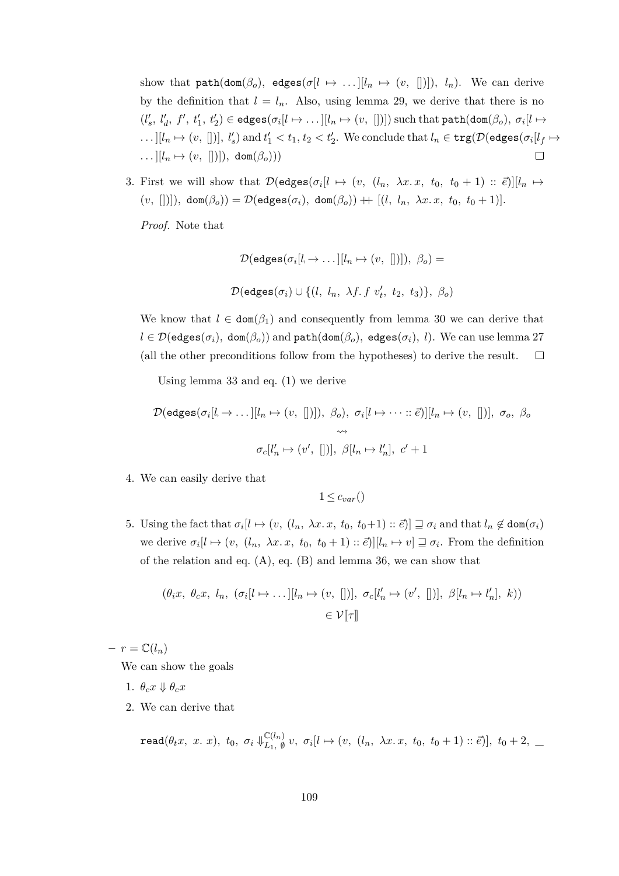show that  $path(dom(\beta_o), edges(\sigma[l \mapsto ...][l_n \mapsto (v, []))]$ ,  $l_n)$ . We can derive by the definition that  $l = l_n$ . Also, using lemma [29,](#page-89-0) we derive that there is no  $(l'_s, l'_d, f', t'_1, t'_2) \in \text{edges}(\sigma_i[l \mapsto \dots[[l_n \mapsto (v, [])])$  such that  $\texttt{path}(\texttt{dom}(\beta_o), \sigma_i[l \mapsto$  $\dots$   $[[l_n \mapsto (v, [])], l'_s)$  and  $t'_1 < t_1, t_2 < t'_2$ . We conclude that  $l_n \in \text{trg}(\mathcal{D}(\text{edges}(\sigma_i[l_f \mapsto$  $\dots$ ][ $l_n \mapsto (v, []$ ]]), dom $(\beta_o))$  $\Box$ 

3. First we will show that  $\mathcal{D}(\text{edges}(\sigma_i[t \mapsto (v, (l_n, \lambda x. x, t_0, t_0 + 1) :: \vec{e})][l_n \mapsto$  $(v, []$ )),  $\text{dom}(\beta_o)) = \mathcal{D}(\text{edges}(\sigma_i), \text{ dom}(\beta_o)) + [ (l, l_n, \lambda x. x, t_0, t_0 + 1)].$ 

*Proof.* Note that

$$
\mathcal{D}(\text{edges}(\sigma_i[l_i \to \dots][l_n \to (v, [])], \beta_o) =
$$
  

$$
\mathcal{D}(\text{edges}(\sigma_i) \cup \{(l, l_n, \lambda f. f v'_t, t_2, t_3)\}, \beta_o)
$$

We know that  $l \in \text{dom}(\beta_1)$  and consequently from lemma [30](#page-90-0) we can derive that  $l \in \mathcal{D}(\text{edges}(\sigma_i), \text{ dom}(\beta_o))$  and  $\text{path}(\text{dom}(\beta_o), \text{edges}(\sigma_i), l)$ . We can use lemma [27](#page-89-1) (all the other preconditions follow from the hypotheses) to derive the result.  $\Box$ 

Using lemma [33](#page-90-1) and eq. [\(1\)](#page-119-0) we derive

$$
\mathcal{D}(\text{edges}(\sigma_i[l_i \to \dots][l_n \to (v, [])]), \beta_o), \sigma_i[l \to \dots::\vec{e})][l_n \to (v, [])], \sigma_o, \beta_o
$$
  

$$
\leadsto
$$
  

$$
\sigma_c[l'_n \to (v', [])], \beta[l_n \to l'_n], c' + 1
$$

4. We can easily derive that

 $1 \leq c_{var}$ ()

5. Using the fact that  $\sigma_i[l \mapsto (v, (l_n, \lambda x. x, t_0, t_0+1) :: \vec{e})] \sqsupseteq \sigma_i$  and that  $l_n \notin \text{dom}(\sigma_i)$ we derive  $\sigma_i[l \mapsto (v, (l_n, \lambda x. x, t_0, t_0+1) :: \vec{e})][l_n \mapsto v] \sqsupseteq \sigma_i$ . From the definition of the relation and eq. [\(A\)](#page-109-0), eq. [\(B\)](#page-107-0) and lemma [36,](#page-91-0) we can show that

$$
(\theta_i x, \ \theta_c x, \ l_n, \ (\sigma_i[l \mapsto \dots][l_n \mapsto (v, [])], \ \sigma_c[l'_n \mapsto (v', [])], \ \beta[l_n \mapsto l'_n], \ k))
$$
  

$$
\in \mathcal{V}[\![\tau]\!]
$$

 $- r = \mathbb{C}(l_n)$ 

We can show the goals

- 1.  $\theta_c x \Downarrow \theta_c x$
- 2. We can derive that

$$
\texttt{read}(\theta_t x,~x.~x),~t_0,~\sigma_i \Downarrow_{L_1,~\emptyset}^{\mathbb{C}(l_n)} v,~\sigma_i[l \mapsto (v,~(l_n,~\lambda x.~x,~t_0,~t_0+1) :: \vec{e})],~t_0+2,~\_
$$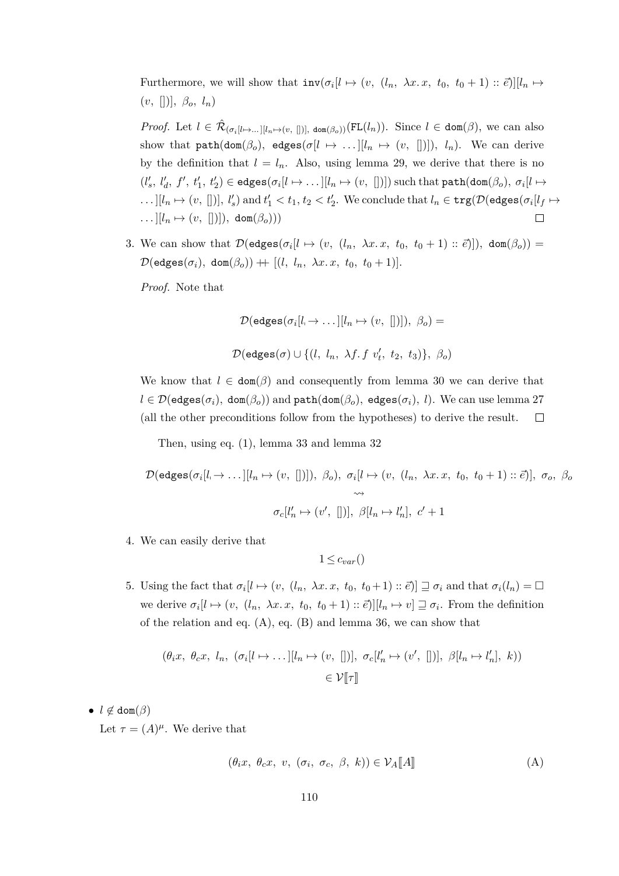Furthermore, we will show that  $inv(\sigma_i[l \mapsto (v, (l_n, \lambda x. x, t_0, t_0 + 1) :: \vec{e})][l_n \mapsto$  $(v, \Box), \beta_o, l_n)$ 

*Proof.* Let  $l \in \hat{\mathcal{R}}_{(\sigma_i[l \mapsto \ldots][l_n \mapsto (v,[])], \text{ dom}(\beta_o))}(\text{FL}(l_n))$ . Since  $l \in \text{dom}(\beta)$ , we can also show that  $path(dom(\beta_o), edges(\sigma[l \mapsto ...][l_n \mapsto (v, [])]), l_n)$ . We can derive by the definition that  $l = l_n$ . Also, using lemma [29,](#page-89-0) we derive that there is no  $(l'_s, l'_d, f', t'_1, t'_2) \in \text{edges}(\sigma_i[l \mapsto \dots[[l_n \mapsto (v, [])])$  such that  $\texttt{path}(\texttt{dom}(\beta_o), \sigma_i[l \mapsto$  $\dots$   $[[l_n \mapsto (v, [])], l'_s)$  and  $t'_1 < t_1, t_2 < t'_2$ . We conclude that  $l_n \in \text{trg}(\mathcal{D}(\text{edges}(\sigma_i[l_f \mapsto$  $\ldots$ ][ $l_n \mapsto (v, []$ ]]), dom $(\beta_o))$  $\Box$ 

3. We can show that  $\mathcal{D}(\text{edges}(\sigma_i[l \mapsto (v, (l_n, \lambda x. x, t_0, t_0+1) :: \vec{e})])$ , dom $(\beta_o))$  =  $\mathcal{D}(\texttt{edges}(\sigma_i), \texttt{dom}(\beta_o)) + [l, l_n, \lambda x. x, t_0, t_0 + 1)].$ 

*Proof.* Note that

$$
\mathcal{D}(\mathsf{edges}(\sigma_i[l_i \to \dots [[l_n \mapsto (v, [])]), \beta_o) =
$$

 $\mathcal{D}(\texttt{edges}(\sigma) \cup \{(l, l_n, \lambda f. f v'_t, t_2, t_3)\}, \beta_o)$ 

We know that  $l \in \text{dom}(\beta)$  and consequently from lemma [30](#page-90-0) we can derive that  $l \in \mathcal{D}(\texttt{edges}(\sigma_i), \texttt{dom}(\beta_o))$  and  $\texttt{path}(\texttt{dom}(\beta_o), \texttt{edges}(\sigma_i), l)$ . We can use lemma [27](#page-89-1) (all the other preconditions follow from the hypotheses) to derive the result.  $\Box$ 

Then, using eq. [\(1\)](#page-107-1), lemma [33](#page-90-1) and lemma [32](#page-90-2)

$$
\mathcal{D}(\text{edges}(\sigma_i[l_i \to \dots][l_n \mapsto (v, [])]), \beta_o), \sigma_i[l \mapsto (v, (l_n, \lambda x. x, t_0, t_0 + 1) :: \vec{e})], \sigma_o, \beta_o
$$
  

$$
\leadsto
$$
  

$$
\sigma_c[l'_n \mapsto (v', [])], \beta[l_n \mapsto l'_n], c' + 1
$$

4. We can easily derive that

<span id="page-109-0"></span>
$$
1 \leq c_{var}()
$$

5. Using the fact that  $\sigma_i[l \mapsto (v, (l_n, \lambda x. x, t_0, t_0+1) :: \vec{e})] \sqsupseteq \sigma_i$  and that  $\sigma_i(l_n) = \Box$ we derive  $\sigma_i[l \mapsto (v, (l_n, \lambda x. x, t_0, t_0+1) :: \vec{e})][l_n \mapsto v] \sqsupseteq \sigma_i$ . From the definition of the relation and eq.  $(A)$ , eq.  $(B)$  and lemma [36,](#page-91-0) we can show that

$$
(\theta_i x, \ \theta_c x, \ l_n, \ (\sigma_i[l \mapsto \dots][l_n \mapsto (v, [])], \ \sigma_c[l'_n \mapsto (v', [])], \ \beta[l_n \mapsto l'_n], \ k))
$$
  

$$
\in \mathcal{V}[\![\tau]\!]
$$

•  $l \notin \text{dom}(\beta)$ Let  $\tau = (A)^{\mu}$ . We derive that

$$
(\theta_i x, \ \theta_c x, \ v, \ (\sigma_i, \ \sigma_c, \ \beta, \ k)) \in \mathcal{V}_A[\![A]\!] \tag{A}
$$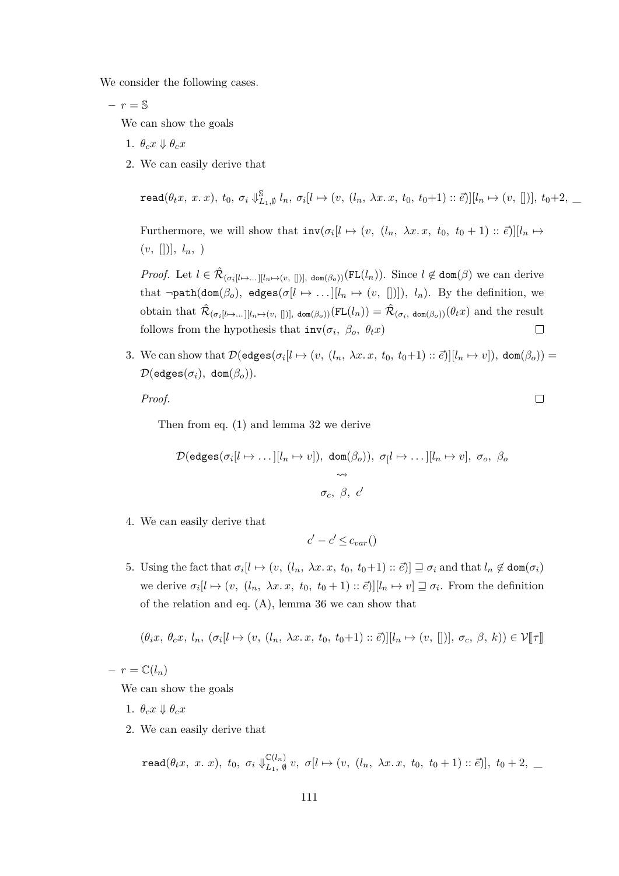We consider the following cases.

$$
-r = \mathbb{S}
$$

We can show the goals

- 1.  $\theta_c x \Downarrow \theta_c x$
- 2. We can easily derive that

 $\texttt{read}(\theta_t x,~x.~x),~t_0,~\sigma_i \Downarrow^{\mathbb{S}}_L$  $\sum_{L_1, \emptyset}^{\mathbb{S}} l_n, \sigma_i[l \mapsto (v, (l_n, \lambda x. x, t_0, t_0+1) :: \vec{e})][l_n \mapsto (v, [])], t_0+2, \underline{\ }$ 

Furthermore, we will show that  $inv(\sigma_i[l \mapsto (v, (l_n, \lambda x.x, t_0, t_0+1) :: \vec{e})][l_n \mapsto$  $(v, []), l_n, )$ 

*Proof.* Let  $l \in \hat{\mathcal{R}}_{(\sigma_i[l \mapsto \dots][l_n \mapsto (v,[])], \text{ dom}(\beta_o))}(\text{FL}(l_n))$ . Since  $l \notin \text{dom}(\beta)$  we can derive that  $\neg path(dom(\beta_o), edges(\sigma[l \rightarrow ...][l_n \rightarrow (v, [])]), l_n)$ . By the definition, we obtain that  $\hat{\mathcal{R}}_{(\sigma_i[l\mapsto \dots][l_n\mapsto (v, [n])]}$ , dom $(\beta_o))$  $(\text{FL}(l_n)) = \hat{\mathcal{R}}_{(\sigma_i, \text{ dom}(\beta_o))}(\theta_t x)$  and the result follows from the hypothesis that  $inv(\sigma_i, \beta_o, \theta_t x)$  $\Box$ 

3. We can show that  $\mathcal{D}(\text{edges}(\sigma_i[i \mapsto (v, (l_n, \lambda x. x, t_0, t_0+1) :: \vec{e})][l_n \mapsto v]), \text{ dom}(\beta_o)) =$  $\mathcal{D}(\texttt{edges}(\sigma_i), \texttt{dom}(\beta_o)).$ 

*Proof.*

Then from eq. [\(1\)](#page-107-1) and lemma [32](#page-90-2) we derive

$$
\mathcal{D}(\text{edges}(\sigma_i[l \mapsto \dots][l_n \mapsto v]), \ \text{dom}(\beta_o)), \ \sigma_l l \mapsto \dots][l_n \mapsto v], \ \sigma_o, \ \beta_o
$$

$$
\leadsto
$$

$$
\sigma_c, \ \beta, \ c'
$$

4. We can easily derive that

$$
c' - c' \leq c_{var}()
$$

5. Using the fact that  $\sigma_i[l \mapsto (v, (l_n, \lambda x. x, t_0, t_0+1) :: \vec{e})] \sqsupseteq \sigma_i$  and that  $l_n \notin \text{dom}(\sigma_i)$ we derive  $\sigma_i[l \mapsto (v, (l_n, \lambda x. x, t_0, t_0+1) :: \vec{e})][l_n \mapsto v] \sqsupseteq \sigma_i$ . From the definition of the relation and eq. [\(A\)](#page-109-0), lemma [36](#page-91-0) we can show that

$$
(\theta_i x, \theta_c x, l_n, (\sigma_i[l \mapsto (v, (l_n, \lambda x. x, t_0, t_0+1) :: \vec{e})][l_n \mapsto (v, [])], \sigma_c, \beta, k)) \in \mathcal{V}[\![\tau]\!]
$$

 $- r = \mathbb{C}(l_n)$ 

We can show the goals

- 1.  $\theta_c x \Downarrow \theta_c x$
- 2. We can easily derive that

 $\texttt{read}(\theta_t x,~x.~x),~t_0,~\sigma_i \Downarrow_{L_1=0}^{\mathbb{C}(l_n)}$  $\mathcal{L}_{L_1, \varnothing}^{(l_n)} v, \sigma[l \mapsto (v, (l_n, \lambda x. x, t_0, t_0+1) :: \vec{e})], t_0+2, \underline{\ }$ 

 $\Box$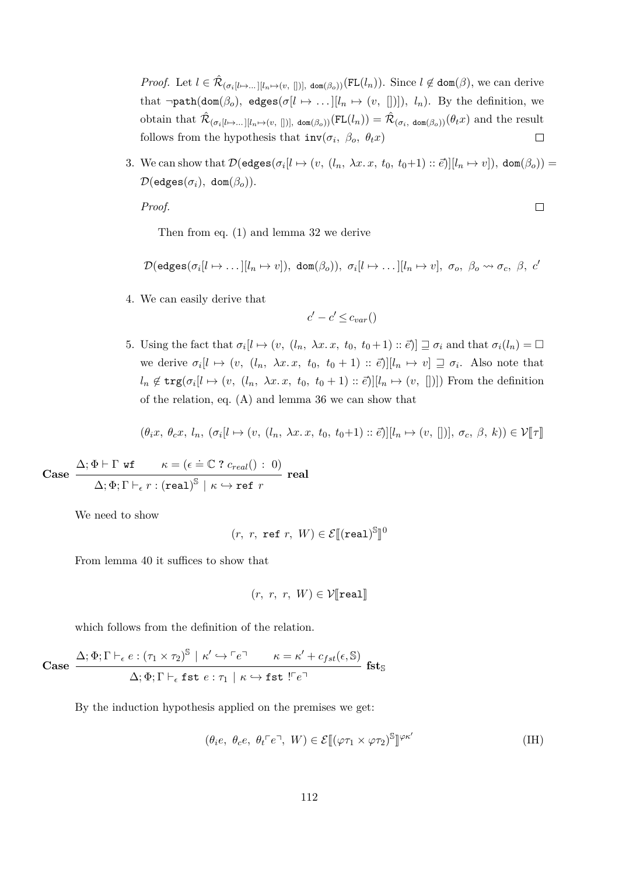*Proof.* Let  $l \in \hat{\mathcal{R}}_{(\sigma_i[l \mapsto \dots][l_n \mapsto (v,[])]}$ , dom $(\beta_0)$ )(FL $(l_n)$ ). Since  $l \notin \text{dom}(\beta)$ , we can derive that  $\neg path(dom(\beta_o), edges(\sigma[l \rightarrow ...][l_n \rightarrow (v, [])]), l_n)$ . By the definition, we obtain that  $\hat{\mathcal{R}}_{(\sigma_i[l\mapsto \dots][l_n\mapsto (v, [m])]}$ , dom $(\beta_o))$  $(\text{FL}(l_n)) = \hat{\mathcal{R}}_{(\sigma_i, \text{ dom}(\beta_o))}(\theta_t x)$  and the result  $\Box$ follows from the hypothesis that  $inv(\sigma_i, \beta_o, \theta_t x)$ 

3. We can show that  $\mathcal{D}(\text{edges}(\sigma_i[l \mapsto (v, (l_n, \lambda x. x, t_0, t_0+1) :: \vec{e})][l_n \mapsto v]), \text{ dom}(\beta_o)) =$  $\mathcal{D}(\text{edges}(\sigma_i), \text{ dom}(\beta_o)).$ 

*Proof.*

 $\Box$ 

Then from eq. [\(1\)](#page-107-1) and lemma [32](#page-90-2) we derive

$$
\mathcal{D}(\text{edges}(\sigma_i[l \mapsto \dots][l_n \mapsto v]), \text{ dom}(\beta_o)), \sigma_i[l \mapsto \dots][l_n \mapsto v], \sigma_o, \beta_o \rightsquigarrow \sigma_c, \beta, c'
$$

4. We can easily derive that

$$
c' - c' \leq c_{var}()
$$

5. Using the fact that  $\sigma_i[l \mapsto (v, (l_n, \lambda x. x, t_0, t_0+1) :: \vec{e})] \sqsupseteq \sigma_i$  and that  $\sigma_i(l_n) = \Box$ we derive  $\sigma_i[l \mapsto (v, (l_n, \lambda x. x, t_0, t_0 + 1) :: \vec{e})][l_n \mapsto v] \sqsupseteq \sigma_i$ . Also note that  $l_n \notin \text{trg}(\sigma_i[l \mapsto (v, (l_n, \lambda x. x, t_0, t_0 + 1) :: \vec{e})][l_n \mapsto (v, [])]$ ) From the definition of the relation, eq. [\(A\)](#page-109-0) and lemma [36](#page-91-0) we can show that

$$
(\theta_i x, \theta_c x, l_n, (\sigma_i[l \mapsto (v, (l_n, \lambda x. x, t_0, t_0+1) :: \vec{e})][l_n \mapsto (v, [])], \sigma_c, \beta, k)) \in \mathcal{V}[\![\tau]\!]
$$

Case 
$$
\frac{\Delta; \Phi \vdash \Gamma \text{ wt } \kappa = (\epsilon \doteq \mathbb{C} ? c_{real}( ) : 0 )}{\Delta; \Phi; \Gamma \vdash_{\epsilon} r : (real)^{\mathbb{S}} \mid \kappa \hookrightarrow \text{ref } r} \text{ real}
$$

We need to show

$$
(r, r, \text{ ref } r, W) \in \mathcal{E}[\![(\text{real})^{\mathbb{S}}]\!]^0
$$

From lemma [40](#page-93-0) it suffices to show that

<span id="page-111-0"></span>
$$
(r, r, r, W) \in \mathcal{V}[\texttt{real}]
$$

which follows from the definition of the relation.

Case 
$$
\frac{\Delta; \Phi; \Gamma \vdash_{\epsilon} e : (\tau_1 \times \tau_2)^{\mathbb{S}} \mid \kappa' \hookrightarrow \ulcorner e \urcorner \qquad \kappa = \kappa' + c_{fst}(\epsilon, \mathbb{S})}{\Delta; \Phi; \Gamma \vdash_{\epsilon} \text{fst } e : \tau_1 \mid \kappa \hookrightarrow \text{fst } !\ulcorner e \urcorner}
$$
fst

By the induction hypothesis applied on the premises we get:

$$
(\theta_i e, \ \theta_c e, \ \theta_t \ulcorner e \urcorner, \ W) \in \mathcal{E}[(\varphi \tau_1 \times \varphi \tau_2)^{\mathbb{S}}]^{\varphi \kappa'} \tag{IH}
$$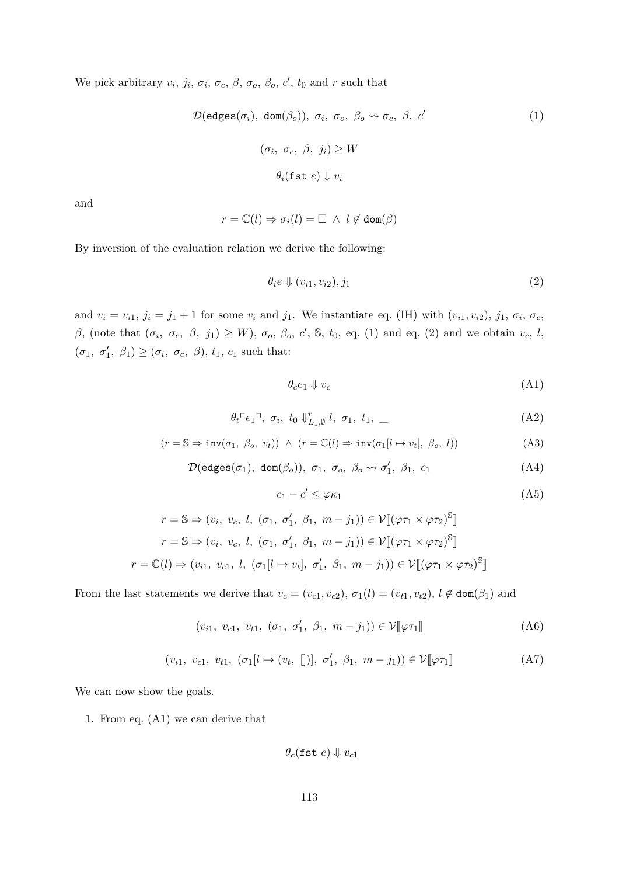We pick arbitrary  $v_i$ ,  $j_i$ ,  $\sigma_i$ ,  $\sigma_c$ ,  $\beta$ ,  $\sigma_o$ ,  $\beta_o$ ,  $c'$ ,  $t_0$  and  $r$  such that

$$
\mathcal{D}(\text{edges}(\sigma_i), \text{ dom}(\beta_o)), \sigma_i, \sigma_o, \beta_o \leadsto \sigma_c, \beta, c'
$$
\n
$$
(\sigma_i, \sigma_c, \beta, j_i) \ge W
$$
\n
$$
\theta_i(\text{fst } e) \Downarrow v_i
$$
\n
$$
(1)
$$

and

$$
r = \mathbb{C}(l) \Rightarrow \sigma_i(l) = \Box \ \land \ l \not\in \text{dom}(\beta)
$$

By inversion of the evaluation relation we derive the following:

<span id="page-112-1"></span><span id="page-112-0"></span>
$$
\theta_i e \Downarrow (v_{i1}, v_{i2}), j_1 \tag{2}
$$

and  $v_i = v_{i1}, j_i = j_1 + 1$  for some  $v_i$  and  $j_1$ . We instantiate eq. [\(IH\)](#page-111-0) with  $(v_{i1}, v_{i2}), j_1, \sigma_i, \sigma_c$ *β*, (note that  $(σ<sub>i</sub>, σ<sub>c</sub>, β, j<sub>1</sub>) \geq W$ ),  $σ<sub>o</sub>, β<sub>o</sub>, c'$ , *S*,  $t<sub>0</sub>$ , eq. [\(1\)](#page-112-0) and eq. [\(2\)](#page-112-1) and we obtain  $v<sub>c</sub>$ , *l*,  $(\sigma_1, \sigma'_1, \beta_1) \geq (\sigma_i, \sigma_c, \beta), t_1, c_1$  such that:

<span id="page-112-5"></span><span id="page-112-4"></span><span id="page-112-3"></span><span id="page-112-2"></span>
$$
\theta_c e_1 \Downarrow v_c \tag{A1}
$$

$$
\theta_t \ulcorner e_1 \urcorner, \ \sigma_i, \ t_0 \Downarrow_{L_1, \emptyset}^r l, \ \sigma_1, \ t_1, \ \_
$$
 (A2)

$$
(r = \mathbb{S} \Rightarrow inv(\sigma_1, \ \beta_o, \ v_t)) \ \land \ (r = \mathbb{C}(l) \Rightarrow inv(\sigma_1[l \mapsto v_t], \ \beta_o, \ l)) \tag{A3}
$$

$$
\mathcal{D}(\text{edges}(\sigma_1), \text{ dom}(\beta_o)), \sigma_1, \sigma_o, \beta_o \leadsto \sigma'_1, \beta_1, c_1 \tag{A4}
$$

<span id="page-112-6"></span>
$$
c_1 - c' \le \varphi \kappa_1 \tag{A5}
$$

$$
r = \mathbb{S} \Rightarrow (v_i, v_c, l, (\sigma_1, \sigma'_1, \beta_1, m - j_1)) \in \mathcal{V}[(\varphi \tau_1 \times \varphi \tau_2)^{\mathbb{S}}]
$$
  

$$
r = \mathbb{S} \Rightarrow (v_i, v_c, l, (\sigma_1, \sigma'_1, \beta_1, m - j_1)) \in \mathcal{V}[(\varphi \tau_1 \times \varphi \tau_2)^{\mathbb{S}}]
$$
  

$$
r = \mathbb{C}(l) \Rightarrow (v_{i1}, v_{c1}, l, (\sigma_1[l \mapsto v_t], \sigma'_1, \beta_1, m - j_1)) \in \mathcal{V}[(\varphi \tau_1 \times \varphi \tau_2)^{\mathbb{S}}]
$$

From the last statements we derive that  $v_c = (v_{c1}, v_{c2}), \sigma_1(l) = (v_{t1}, v_{t2}), l \notin \text{dom}(\beta_1)$  and

$$
(v_{i1}, v_{c1}, v_{t1}, (\sigma_1, \sigma'_1, \beta_1, m - j_1)) \in \mathcal{V}[\![\varphi \tau_1]\!]
$$
 (A6)

$$
(v_{i1}, v_{c1}, v_{t1}, (\sigma_1[l \mapsto (v_t, [])], \sigma'_1, \beta_1, m - j_1)) \in \mathcal{V}[\![\varphi \tau_1]\!]
$$
 (A7)

We can now show the goals.

1. From eq. [\(A1\)](#page-112-2) we can derive that

<span id="page-112-8"></span><span id="page-112-7"></span>
$$
\theta_c(\texttt{fst}\ e)\Downarrow v_{c1}
$$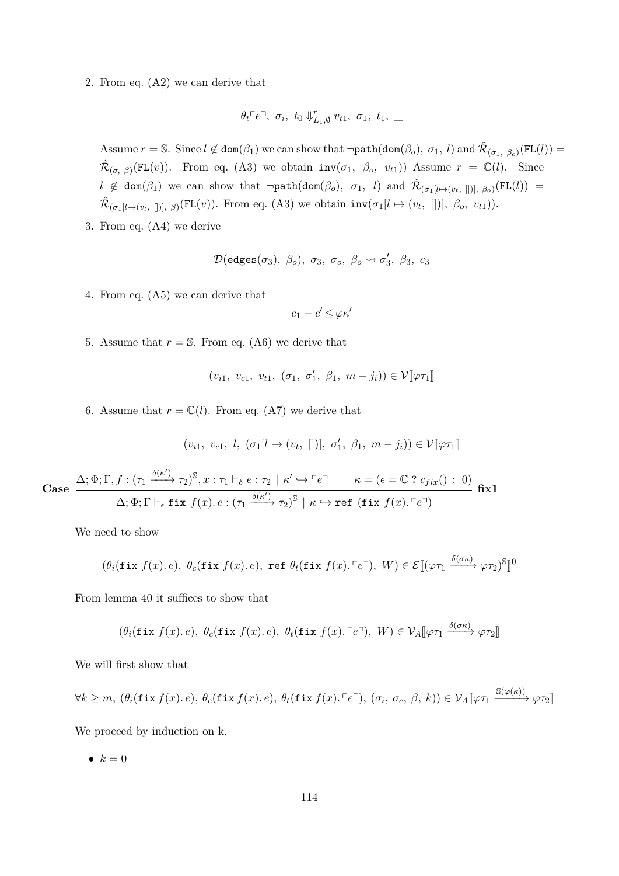2. From eq. [\(A2\)](#page-112-3) we can derive that

$$
\theta_t \ulcorner e \urcorner, \ \sigma_i, \ t_0 \Downarrow_{L_1, \emptyset}^r v_{t1}, \ \sigma_1, \ t_1, \ \_
$$

Assume  $r = \mathbb{S}$ . Since  $l \notin \text{dom}(\beta_1)$  we can show that  $\neg \text{path}(\text{dom}(\beta_o), \sigma_1, l)$  and  $\hat{\mathcal{R}}_{(\sigma_1, \beta_o)}(\text{FL}(l)) =$  $\hat{\mathcal{R}}_{(\sigma, \beta)}(FL(v))$ . From eq. [\(A3\)](#page-112-4) we obtain  $inv(\sigma_1, \beta_o, v_{t1})$  Assume  $r = \mathbb{C}(l)$ . Since  $l \notin \text{dom}(\beta_1)$  we can show that  $\neg \text{path}(\text{dom}(\beta_o), \sigma_1, l)$  and  $\hat{\mathcal{R}}_{(\sigma_1[l \mapsto (v_t, []), \beta_o)}(\text{FL}(l)) =$  $\hat{\mathcal{R}}_{(\sigma_1[l \mapsto (v_t, [])], \beta)}(FL(v))$ . From eq. [\(A3\)](#page-112-4) we obtain  $inv(\sigma_1[l \mapsto (v_t, [])], \beta_o, v_{t1})$ .

3. From eq. [\(A4\)](#page-112-5) we derive

$$
\mathcal{D}(\mathsf{edges}(\sigma_3),\;\beta_o),\;\sigma_3,\;\sigma_o,\;\beta_o\leadsto\sigma_3',\;\beta_3,\;c_3
$$

4. From eq. [\(A5\)](#page-112-6) we can derive that

$$
c_1 - c' \leq \varphi \kappa'
$$

5. Assume that  $r = S$ . From eq. [\(A6\)](#page-112-7) we derive that

$$
(v_{i1}, v_{c1}, v_{t1}, (\sigma_1, \sigma'_1, \beta_1, m-j_i)) \in \mathcal{V}[\varphi \tau_1]
$$

6. Assume that  $r = \mathbb{C}(l)$ . From eq. [\(A7\)](#page-112-8) we derive that

$$
(v_{i1}, v_{c1}, l, (\sigma_1[l \mapsto (v_t, [])], \sigma'_1, \beta_1, m - j_i)) \in \mathcal{V}[\varphi \tau_1]
$$

**fix1**

**Case**  $\Delta; \Phi; \Gamma, f: (\tau_1 \xrightarrow{\delta(\kappa')} \tau_2)^{\mathbb{S}}, x: \tau_1 \vdash_{\delta} e: \tau_2 \mid \kappa' \hookrightarrow \ulcorner e\urcorner \qquad \kappa = (\epsilon = \mathbb{C} \; ? \; c_{fix}() : 0)$  $\Delta; \Phi; \Gamma \vdash_{\epsilon} \mathtt{fix}~ f(x) .~e : (\tau_1 \xrightarrow{\delta(\kappa')} \tau_2)^{\mathbb{S}} \mid \kappa \hookrightarrow \mathtt{ref}~ (\mathtt{fix}~ f(x) . \ulcorner e \urcorner)$ 

We need to show

$$
(\theta_i(\texttt{fix } f(x), e), \ \theta_c(\texttt{fix } f(x), e), \ \texttt{ref } \theta_t(\texttt{fix } f(x), \lceil e \rceil), \ W) \in \mathcal{E}[(\varphi \tau_1 \xrightarrow{\delta(\sigma \kappa)} \varphi \tau_2)^{\mathbb{S}}]^0
$$

From lemma [40](#page-93-0) it suffices to show that

$$
(\theta_i(\texttt{fix } f(x), e), \ \theta_c(\texttt{fix } f(x), e), \ \theta_t(\texttt{fix } f(x), \ulcorner e \urcorner), \ W) \in \mathcal{V}_A[\![\varphi \tau_1 \xrightarrow{\delta(\sigma \kappa)} \varphi \tau_2]\!]
$$

We will first show that

$$
\forall k \geq m, \ (\theta_i(\texttt{fix } f(x), e), \ \theta_c(\texttt{fix } f(x), e), \ \theta_t(\texttt{fix } f(x), \lceil e \rceil), \ (\sigma_i, \ \sigma_c, \ \beta, \ k)) \in \mathcal{V}_A[\![\varphi \tau_1 \xrightarrow{\mathbb{S}(\varphi(\kappa))} \varphi \tau_2]\!]
$$

We proceed by induction on k.

•  $k = 0$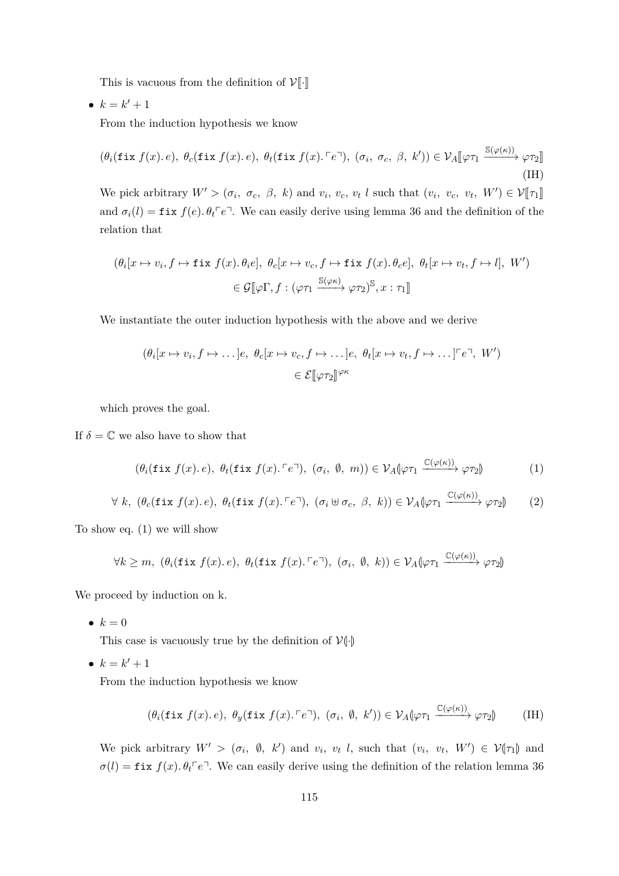This is vacuous from the definition of  $\mathcal{V}[\![\cdot]\!]$ 

•  $k = k' + 1$ 

From the induction hypothesis we know

$$
(\theta_i(\texttt{fix } f(x), e), \ \theta_c(\texttt{fix } f(x), e), \ \theta_t(\texttt{fix } f(x), \ulcorner e \urcorner), \ (\sigma_i, \ \sigma_c, \ \beta, \ k')) \in \mathcal{V}_A[\![\varphi \tau_1 \xrightarrow{\mathbb{S}(\varphi(\kappa))} \varphi \tau_2]\!]
$$
\n(IH)

We pick arbitrary  $W' > (\sigma_i, \sigma_c, \beta, k)$  and  $v_i, v_c, v_t$  *l* such that  $(v_i, v_c, v_t, W') \in \mathcal{V}[[\tau_1]]$ and  $\sigma_i(l) = \text{fix } f(e) \cdot \theta_t \in \mathbb{R}^n$ . We can easily derive using lemma [36](#page-91-0) and the definition of the relation that

$$
(\theta_i[x \mapsto v_i, f \mapsto \text{fix } f(x), \theta_i e], \ \theta_c[x \mapsto v_c, f \mapsto \text{fix } f(x), \theta_c e], \ \theta_t[x \mapsto v_t, f \mapsto l], \ W')
$$

$$
\in \mathcal{G}[\![\varphi\Gamma, f : (\varphi\tau_1 \xrightarrow{\mathbb{S}(\varphi\kappa)} \varphi\tau_2)^{\mathbb{S}}, x : \tau_1]\!]
$$

We instantiate the outer induction hypothesis with the above and we derive

$$
(\theta_i[x \mapsto v_i, f \mapsto \dots]e, \ \theta_c[x \mapsto v_c, f \mapsto \dots]e, \ \theta_t[x \mapsto v_t, f \mapsto \dots] \ulcorner e \urcorner, \ W')
$$

$$
\in \mathcal{E}[\varphi \tau_2]^{ \varphi \kappa}
$$

which proves the goal.

If  $\delta = \mathbb{C}$  we also have to show that

<span id="page-114-1"></span><span id="page-114-0"></span>
$$
(\theta_i(\texttt{fix } f(x), e), \ \theta_t(\texttt{fix } f(x), \ulcorner e \urcorner), \ (\sigma_i, \ \emptyset, \ m)) \in \mathcal{V}_A[\varphi \tau_1 \xrightarrow{\mathbb{C}(\varphi(\kappa))} \varphi \tau_2] \tag{1}
$$

$$
\forall k, (\theta_c(\texttt{fix } f(x), e), \theta_t(\texttt{fix } f(x), \ulcorner e \urcorner), (\sigma_i \uplus \sigma_c, \beta, k)) \in \mathcal{V}_A(\varphi \tau_1 \xrightarrow{\mathbb{C}(\varphi(\kappa))} \varphi \tau_2) \tag{2}
$$

To show eq. [\(1\)](#page-114-0) we will show

$$
\forall k \geq m, \ (\theta_i(\texttt{fix } f(x). e), \ \theta_t(\texttt{fix } f(x). \ulcorner e \urcorner), \ (\sigma_i, \ \emptyset, \ k)) \in \mathcal{V}_A[\varphi \tau_1 \xrightarrow{\mathbb{C}(\varphi(\kappa))} \varphi \tau_2]
$$

We proceed by induction on k.

•  $k=0$ 

This case is vacuously true by the definition of  $V(\cdot)$ 

•  $k = k' + 1$ 

From the induction hypothesis we know

$$
(\theta_i(\texttt{fix } f(x), e), \ \theta_y(\texttt{fix } f(x), \ulcorner e \urcorner), \ (\sigma_i, \ \emptyset, \ k')) \in \mathcal{V}_A(\varphi \tau_1 \xrightarrow{\mathbb{C}(\varphi(\kappa))} \varphi \tau_2) \tag{IH}
$$

We pick arbitrary  $W' > (\sigma_i, \emptyset, k')$  and  $v_i, v_t$  l, such that  $(v_i, v_t, W') \in \mathcal{V}(\tau_1)$  and  $\sigma(l) = \text{fix } f(x)$ .  $\theta_t^{\dagger} e^{\dagger}$ . We can easily derive using the definition of the relation lemma [36](#page-91-0)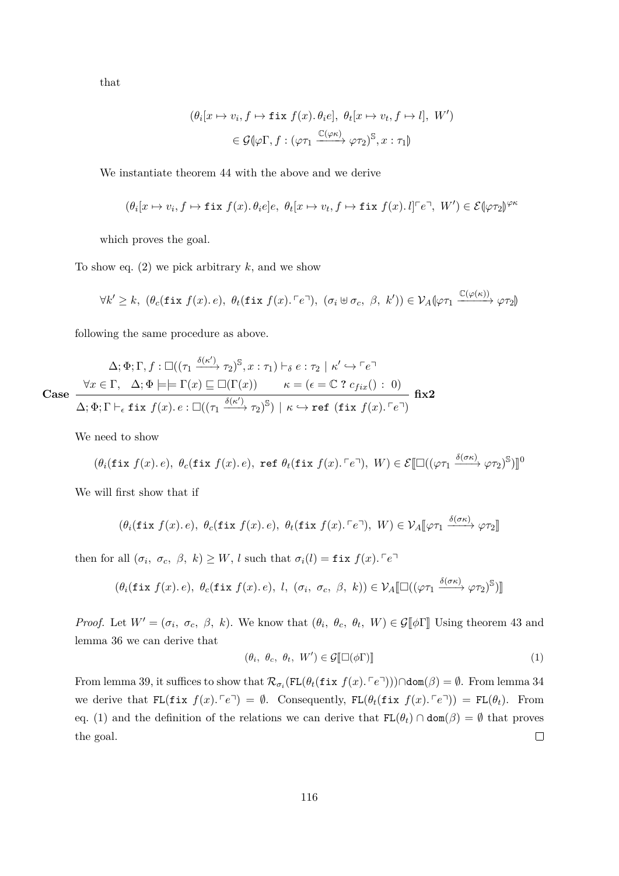that

$$
(\theta_i[x \mapsto v_i, f \mapsto \text{fix } f(x). \theta_i e], \ \theta_t[x \mapsto v_t, f \mapsto l], \ W')
$$

$$
\in \mathcal{G}(\varphi \Gamma, f : (\varphi \tau_1 \xrightarrow{\mathbb{C}(\varphi \kappa)} \varphi \tau_2)^{\mathbb{S}}, x : \tau_1)
$$

We instantiate theorem [44](#page-101-0) with the above and we derive

$$
(\theta_i[x \mapsto v_i, f \mapsto \text{fix } f(x). \theta_i e]e, \ \theta_t[x \mapsto v_t, f \mapsto \text{fix } f(x). \ I]^{\ulcorner} e^{\urcorner}, \ W') \in \mathcal{E}(\varphi \tau_2)^{\varphi \kappa}
$$

which proves the goal.

To show eq.  $(2)$  we pick arbitrary  $k$ , and we show

$$
\forall k' \geq k, \ (\theta_c(\texttt{fix } f(x), e), \ \theta_t(\texttt{fix } f(x), \ulcorner e \urcorner), \ (\sigma_i \uplus \sigma_c, \ \beta, \ k')) \in \mathcal{V}_A[\varphi \tau_1 \xrightarrow{\mathbb{C}(\varphi(\kappa))} \varphi \tau_2]
$$

following the same procedure as above.

$$
\Delta; \Phi; \Gamma, f: \Box((\tau_1 \xrightarrow{\delta(\kappa')} \tau_2)^{\mathbb{S}}, x: \tau_1) \vdash_{\delta} e: \tau_2 \mid \kappa' \hookrightarrow \ulcorner e \urcorner
$$
\n
$$
\text{Case} \quad \frac{\forall x \in \Gamma, \quad \Delta; \Phi \models \vdash \Gamma(x) \sqsubseteq \Box(\Gamma(x)) \qquad \kappa = (\epsilon = \mathbb{C} \ ? \ c_{fix}() : \ 0)}{\Delta; \Phi; \Gamma \vdash_{\epsilon} \text{fix } f(x). \ e: \Box((\tau_1 \xrightarrow{\delta(\kappa')} \tau_2)^{\mathbb{S}}) \mid \kappa \hookrightarrow \text{ref } (\text{fix } f(x). \ulcorner e \urcorner)}
$$
\n
$$
\text{fix2}
$$

We need to show

$$
(\theta_i(\texttt{fix } f(x), e), \ \theta_c(\texttt{fix } f(x), e), \ \texttt{ref } \theta_t(\texttt{fix } f(x). \ulcorner e \urcorner), \ W) \in \mathcal{E}[\Box((\varphi \tau_1 \xrightarrow{\delta(\sigma \kappa)} \varphi \tau_2)^S)]^0
$$

We will first show that if

$$
(\theta_i(\texttt{fix } f(x), e), \ \theta_c(\texttt{fix } f(x), e), \ \theta_t(\texttt{fix } f(x), \ulcorner e \urcorner), \ W) \in \mathcal{V}_A[\![\varphi \tau_1 \xrightarrow{\delta(\sigma \kappa)} \varphi \tau_2]\!]
$$

then for all  $(\sigma_i, \sigma_c, \beta, k) \geq W$ , *l* such that  $\sigma_i(l) = \text{fix } f(x)$ .  $\ulcorner e \urcorner$ 

$$
(\theta_i(\texttt{fix } f(x), e), \ \theta_c(\texttt{fix } f(x), e), \ l, (\sigma_i, \ \sigma_c, \ \beta, \ k)) \in \mathcal{V}_A[\Box((\varphi \tau_1 \xrightarrow{\delta(\sigma \kappa)} \varphi \tau_2)^{\mathbb{S}})]
$$

*Proof.* Let  $W' = (\sigma_i, \sigma_c, \beta, k)$ . We know that  $(\theta_i, \theta_c, \theta_t, W) \in \mathcal{G}[\![\phi]\!]$  Using theorem [43](#page-94-0) and lemma [36](#page-91-0) we can derive that

<span id="page-115-0"></span>
$$
(\theta_i, \ \theta_c, \ \theta_t, \ W') \in \mathcal{G}[\Box(\phi \Gamma)] \tag{1}
$$

From lemma [39,](#page-92-0) it suffices to show that  $\mathcal{R}_{\sigma_i}(\text{FL}(\theta_t(\text{fix } f(x), \lceil e^{\sigma_i}))) \cap \text{dom}(\beta) = \emptyset$ . From lemma [34](#page-91-1) we derive that  $FL(fix f(x), \lceil e^{\eta} \rceil) = \emptyset$ . Consequently,  $FL(\theta_t(fix f(x), \lceil e^{\eta} \rceil) = FL(\theta_t)$ . From eq. [\(1\)](#page-115-0) and the definition of the relations we can derive that  $FL(\theta_t) \cap dom(\beta) = \emptyset$  that proves  $\Box$ the goal.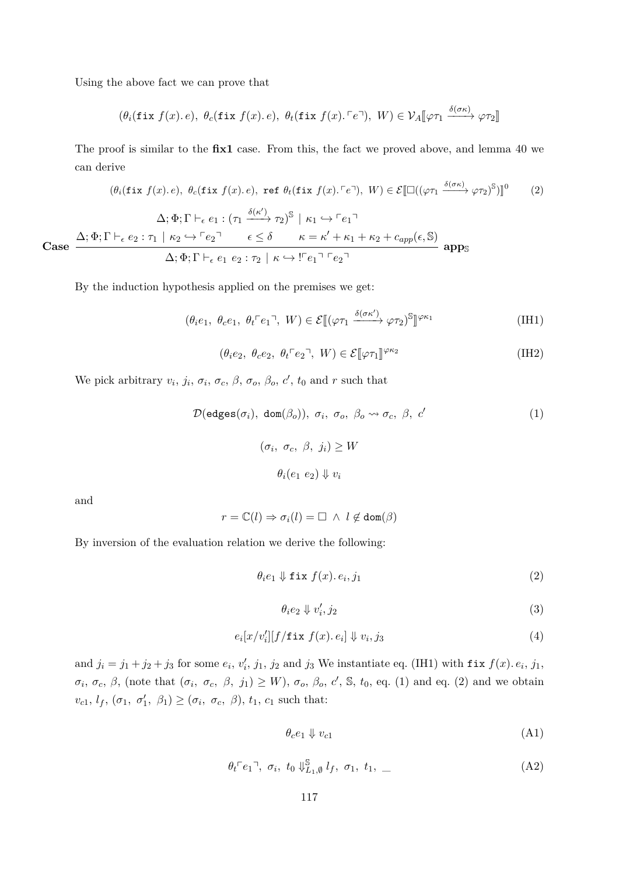Using the above fact we can prove that

$$
(\theta_i(\texttt{fix } f(x), e), \ \theta_c(\texttt{fix } f(x), e), \ \theta_t(\texttt{fix } f(x), \ulcorner e \urcorner), \ W) \in \mathcal{V}_A[\![\varphi \tau_1 \xrightarrow{\delta(\sigma \kappa)} \varphi \tau_2]\!]
$$

The proof is similar to the **fix1** case. From this, the fact we proved above, and lemma [40](#page-93-0) we can derive

$$
(\theta_i(\text{fix } f(x), e), \theta_c(\text{fix } f(x), e), \text{ref } \theta_t(\text{fix } f(x), \lceil e \rceil), W) \in \mathcal{E}[\Box((\varphi \tau_1 \xrightarrow{\delta(\sigma \kappa)} \varphi \tau_2)^{\mathbb{S}})]^0 \tag{2}
$$
\n
$$
\Delta; \Phi; \Gamma \vdash_{\epsilon} e_1 : (\tau_1 \xrightarrow{\delta(\kappa')} \tau_2)^{\mathbb{S}} \mid \kappa_1 \hookrightarrow \lceil e_1 \rceil
$$
\n
$$
\text{Case } \frac{\Delta; \Phi; \Gamma \vdash_{\epsilon} e_2 : \tau_1 \mid \kappa_2 \hookrightarrow \lceil e_2 \rceil \qquad \epsilon \leq \delta \qquad \kappa = \kappa' + \kappa_1 + \kappa_2 + c_{app}(\epsilon, \mathbb{S})}{\Delta; \Phi; \Gamma \vdash_{\epsilon} e_1 e_2 : \tau_2 \mid \kappa \hookrightarrow \lceil e_1 \rceil \lceil e_2 \rceil} \text{apps}
$$

By the induction hypothesis applied on the premises we get:

$$
(\theta_i e_1, \ \theta_c e_1, \ \theta_t \ulcorner e_1 \urcorner, \ W) \in \mathcal{E}[(\varphi \tau_1 \xrightarrow{\delta(\sigma \kappa')} \varphi \tau_2)^{\mathbb{S}}]^{ \varphi \kappa_1}
$$
 (IH1)

$$
(\theta_i e_2, \ \theta_c e_2, \ \theta_t \ulcorner e_2 \urcorner, \ W) \in \mathcal{E}[\![\varphi \tau_1]\!]^{\varphi \kappa_2} \tag{IH2}
$$

We pick arbitrary  $v_i$ ,  $j_i$ ,  $\sigma_i$ ,  $\sigma_c$ ,  $\beta$ ,  $\sigma_o$ ,  $\beta_o$ ,  $c'$ ,  $t_0$  and  $r$  such that

$$
\mathcal{D}(\text{edges}(\sigma_i), \text{ dom}(\beta_o)), \sigma_i, \sigma_o, \beta_o \leadsto \sigma_c, \beta, c'
$$
 (1)

<span id="page-116-3"></span><span id="page-116-1"></span><span id="page-116-0"></span>
$$
(\sigma_i, \sigma_c, \beta, j_i) \ge W
$$

$$
\theta_i(e_1 \ e_2) \Downarrow v_i
$$

and

$$
r = \mathbb{C}(l) \Rightarrow \sigma_i(l) = \Box \ \land \ l \not\in \text{dom}(\beta)
$$

By inversion of the evaluation relation we derive the following:

$$
\theta_i e_1 \Downarrow \text{fix } f(x). e_i, j_1 \tag{2}
$$

<span id="page-116-5"></span><span id="page-116-4"></span><span id="page-116-2"></span>
$$
\theta_i e_2 \Downarrow v_i', j_2 \tag{3}
$$

$$
e_i[x/v_i'][f/\mathtt{fix}\;f(x).e_i] \Downarrow v_i, j_3 \tag{4}
$$

and  $j_i = j_1 + j_2 + j_3$  for some  $e_i$ ,  $v'_i$ ,  $j_1$ ,  $j_2$  and  $j_3$  We instantiate eq. [\(IH1\)](#page-116-0) with fix  $f(x)$ .  $e_i$ ,  $j_1$ ,  $\sigma_i$ ,  $\sigma_c$ ,  $\beta$ , (note that  $(\sigma_i, \sigma_c, \beta, j_1) \geq W$ ),  $\sigma_o$ ,  $\beta_o$ ,  $c'$ ,  $\mathbb{S}$ ,  $t_0$ , eq. [\(1\)](#page-116-1) and eq. [\(2\)](#page-116-2) and we obtain  $v_{c1}, l_f, (\sigma_1, \sigma'_1, \beta_1) \geq (\sigma_i, \sigma_c, \beta), t_1, c_1$  such that:

<span id="page-116-7"></span><span id="page-116-6"></span>
$$
\theta_c e_1 \Downarrow v_{c1} \tag{A1}
$$

$$
\theta_t \ulcorner e_1 \urcorner, \ \sigma_i, \ t_0 \Downarrow_{L_1, \emptyset}^{\mathbb{S}} l_f, \ \sigma_1, \ t_1, \ \_
$$
 (A2)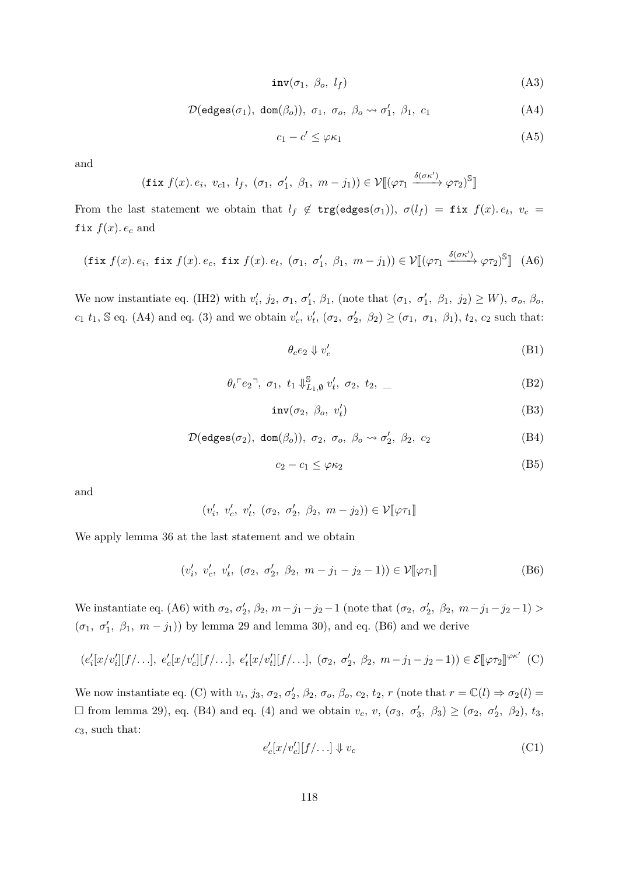$inv(\sigma_1, \beta_o, l_f)$  (A3)

$$
\mathcal{D}(\text{edges}(\sigma_1), \text{ dom}(\beta_o)), \sigma_1, \sigma_o, \beta_o \leadsto \sigma'_1, \beta_1, c_1 \tag{A4}
$$

<span id="page-117-8"></span><span id="page-117-0"></span>
$$
c_1 - c' \le \varphi \kappa_1 \tag{A5}
$$

and

$$
(\text{fix } f(x). e_i, v_{c1}, l_f, (\sigma_1, \sigma'_1, \beta_1, m - j_1)) \in \mathcal{V}[(\varphi \tau_1 \xrightarrow{\delta(\sigma \kappa')} \varphi \tau_2)^{\mathbb{S}}]
$$

From the last statement we obtain that  $l_f \notin \text{trg}(\text{edges}(\sigma_1)), \sigma(l_f) = \text{fix } f(x)$ *.*  $e_t, v_c =$ fix  $f(x)$ *. e<sub>c</sub>* and

$$
(\text{fix } f(x), e_i, \text{ fix } f(x), e_c, \text{ fix } f(x), e_t, (\sigma_1, \sigma'_1, \beta_1, m - j_1)) \in \mathcal{V}[(\varphi \tau_1 \xrightarrow{\delta(\sigma \kappa')} \varphi \tau_2)^{\mathbb{S}}] (A6)
$$

We now instantiate eq. [\(IH2\)](#page-116-3) with  $v'_i$ ,  $j_2$ ,  $\sigma_1$ ,  $\sigma'_1$ ,  $\beta_1$ , (note that  $(\sigma_1, \sigma'_1, \beta_1, j_2) \ge W$ ),  $\sigma_o$ ,  $\beta_o$ ,  $c_1$  *t*<sub>1</sub>, S eq. [\(A4\)](#page-117-0) and eq. [\(3\)](#page-116-4) and we obtain  $v'_c$ ,  $v'_t$ ,  $(\sigma_2, \sigma'_2, \beta_2) \geq (\sigma_1, \sigma_1, \beta_1)$ , *t*<sub>2</sub>, *c*<sub>2</sub> such that:

<span id="page-117-7"></span><span id="page-117-5"></span><span id="page-117-4"></span><span id="page-117-1"></span>
$$
\theta_c e_2 \Downarrow v_c' \tag{B1}
$$

$$
\theta_t \ulcorner e_2 \urcorner, \ \sigma_1, \ t_1 \Downarrow_{L_1, \emptyset}^{\mathbb{S}} v'_t, \ \sigma_2, \ t_2, \ \ldots \tag{B2}
$$

$$
inv(\sigma_2, \ \beta_o, \ v'_t) \tag{B3}
$$

$$
\mathcal{D}(\text{edges}(\sigma_2), \text{ dom}(\beta_o)), \sigma_2, \sigma_o, \beta_o \leadsto \sigma'_2, \beta_2, c_2 \tag{B4}
$$

<span id="page-117-9"></span><span id="page-117-2"></span>
$$
c_2 - c_1 \le \varphi \kappa_2 \tag{B5}
$$

and

$$
(v'_i, v'_c, v'_t, (\sigma_2, \sigma'_2, \beta_2, m - j_2)) \in \mathcal{V}[\varphi \tau_1]
$$

We apply lemma [36](#page-91-0) at the last statement and we obtain

$$
(v'_i, v'_c, v'_t, (\sigma_2, \sigma'_2, \beta_2, m - j_1 - j_2 - 1)) \in \mathcal{V}[\![\varphi \tau_1]\!]
$$
 (B6)

We instantiate eq. [\(A6\)](#page-117-1) with  $\sigma_2$ ,  $\sigma_2'$ ,  $\beta_2$ ,  $m - j_1 - j_2 - 1$  (note that  $(\sigma_2, \sigma_2', \beta_2, m - j_1 - j_2 - 1)$ )  $(\sigma_1, \sigma'_1, \beta_1, m - j_1)$  by lemma [29](#page-89-0) and lemma [30\)](#page-90-0), and eq. [\(B6\)](#page-117-2) and we derive

$$
(e'_i[x/v'_i][f/\ldots], e'_c[x/v'_c][f/\ldots], e'_t[x/v'_t][f/\ldots], (\sigma_2, \sigma'_2, \beta_2, m-j_1-j_2-1)) \in \mathcal{E}[\varphi \tau_2]^{\varphi \kappa'} (C)
$$

We now instantiate eq. [\(C\)](#page-117-3) with  $v_i$ ,  $j_3$ ,  $\sigma_2$ ,  $\sigma'_2$ ,  $\beta_2$ ,  $\sigma_o$ ,  $\beta_o$ ,  $c_2$ ,  $t_2$ ,  $r$  (note that  $r = \mathbb{C}(l) \Rightarrow \sigma_2(l)$  $\Box$  from lemma [29\)](#page-89-0), eq. [\(B4\)](#page-117-4) and eq. [\(4\)](#page-116-5) and we obtain  $v_c$ ,  $v$ ,  $(\sigma_3, \sigma'_3, \beta_3) \geq (\sigma_2, \sigma'_2, \beta_2)$ ,  $t_3$ , *c*3, such that:

<span id="page-117-6"></span><span id="page-117-3"></span>
$$
e_c'[x/v_c'][f/\ldots] \Downarrow v_c \tag{C1}
$$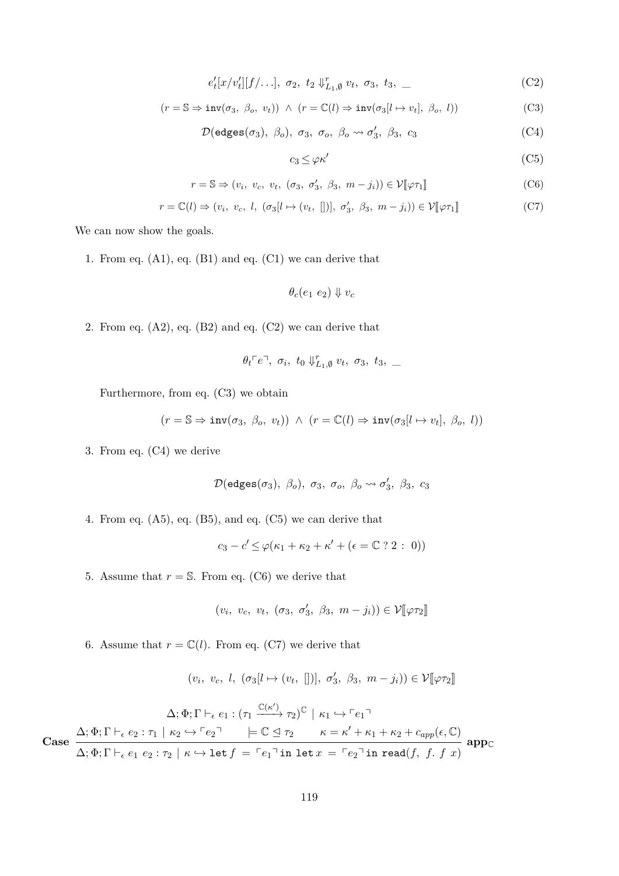$$
e'_t[x/v'_t][f/\ldots], \sigma_2, t_2 \Downarrow_{L_1,\emptyset}^r v_t, \sigma_3, t_3, \ldots \tag{C2}
$$

$$
(r = \mathbb{S} \Rightarrow inv(\sigma_3, \ \beta_o, \ v_t)) \ \land \ (r = \mathbb{C}(l) \Rightarrow inv(\sigma_3[l \mapsto v_t], \ \beta_o, \ l)) \tag{C3}
$$

 $\mathcal{D}(\text{edges}(\sigma_3), \ \beta_o), \ \sigma_3, \ \sigma_o, \ \beta_o \leadsto \sigma'_3, \ \beta_3, \ c_3$  (C4)

<span id="page-118-5"></span><span id="page-118-4"></span><span id="page-118-3"></span><span id="page-118-2"></span><span id="page-118-1"></span><span id="page-118-0"></span>
$$
c_3 \le \varphi \kappa' \tag{C5}
$$

$$
r = \mathbb{S} \Rightarrow (v_i, v_c, v_t, (\sigma_3, \sigma'_3, \beta_3, m - j_i)) \in \mathcal{V}[\![\varphi \tau_1]\!]
$$
 (C6)

$$
r = \mathbb{C}(l) \Rightarrow (v_i, v_c, l, (\sigma_3[l \mapsto (v_t, [])], \sigma'_3, \beta_3, m - j_i)) \in \mathcal{V}[\![\varphi \tau_1]\!]
$$
 (C7)

We can now show the goals.

1. From eq.  $(A1)$ , eq.  $(B1)$  and eq.  $(C1)$  we can derive that

$$
\theta_c(e_1\ e_2)\Downarrow v_c
$$

2. From eq.  $(A2)$ , eq.  $(B2)$  and eq.  $(C2)$  we can derive that

$$
\theta_t \ulcorner e \urcorner, \sigma_i, t_0 \Downarrow_{L_1, \emptyset}^r v_t, \sigma_3, t_3, \_
$$

Furthermore, from eq. [\(C3\)](#page-118-1) we obtain

$$
(r = \mathbb{S} \Rightarrow inv(\sigma_3, \ \beta_0, \ v_t)) \ \wedge \ (r = \mathbb{C}(l) \Rightarrow inv(\sigma_3[l \mapsto v_t], \ \beta_0, \ l))
$$

3. From eq. [\(C4\)](#page-118-2) we derive

$$
\mathcal{D}(\mathsf{edges}(\sigma_3),\;\beta_o),\;\sigma_3,\;\sigma_o,\;\beta_o\leadsto\sigma_3',\;\beta_3,\;c_3
$$

4. From eq. [\(A5\)](#page-117-8), eq. [\(B5\)](#page-117-9), and eq. [\(C5\)](#page-118-3) we can derive that

 $c_3 - c' \leq \varphi(\kappa_1 + \kappa_2 + \kappa' + (\epsilon = \mathbb{C} ? 2 : 0))$ 

5. Assume that  $r = S$ . From eq. [\(C6\)](#page-118-4) we derive that

$$
(v_i, v_c, v_t, (\sigma_3, \sigma'_3, \beta_3, m - j_i)) \in \mathcal{V}[\![\varphi \tau_2]\!]
$$

6. Assume that  $r = \mathbb{C}(l)$ . From eq. [\(C7\)](#page-118-5) we derive that

$$
(v_i, v_c, l, (\sigma_3[l \mapsto (v_t, [])], \sigma'_3, \beta_3, m - j_i)) \in \mathcal{V}[\varphi \tau_2]
$$

**Case**  $\Delta; \Phi; \Gamma \vdash_{\epsilon} e_1 : (\tau_1 \xrightarrow{\mathbb{C}(\kappa')} \tau_2)^{\mathbb{C}} \mid \kappa_1 \hookrightarrow \ulcorner e_1 \urcorner$  $\Delta; \Phi; \Gamma \vdash_{\epsilon} e_2 : \tau_1 \mid \kappa_2 \hookrightarrow \ulcorner e_2 \urcorner \qquad \models \mathbb{C} \trianglelefteq \tau_2 \qquad \kappa = \kappa' + \kappa_1 + \kappa_2 + c_{app}(\epsilon, \mathbb{C})$  $\Delta; \Phi; \Gamma \vdash_{\epsilon} e_1 \ e_2 : \tau_2 \ | \ \kappa \hookrightarrow \texttt{let} \ f \ = \ {}^{\sqsubset}e_1{}^{\sqcap}$  in let  $x \ = \ {}^{\sqsubset}e_2{}^{\sqcap}$  in read $(f, \ f, \ f \ x)$ **app**C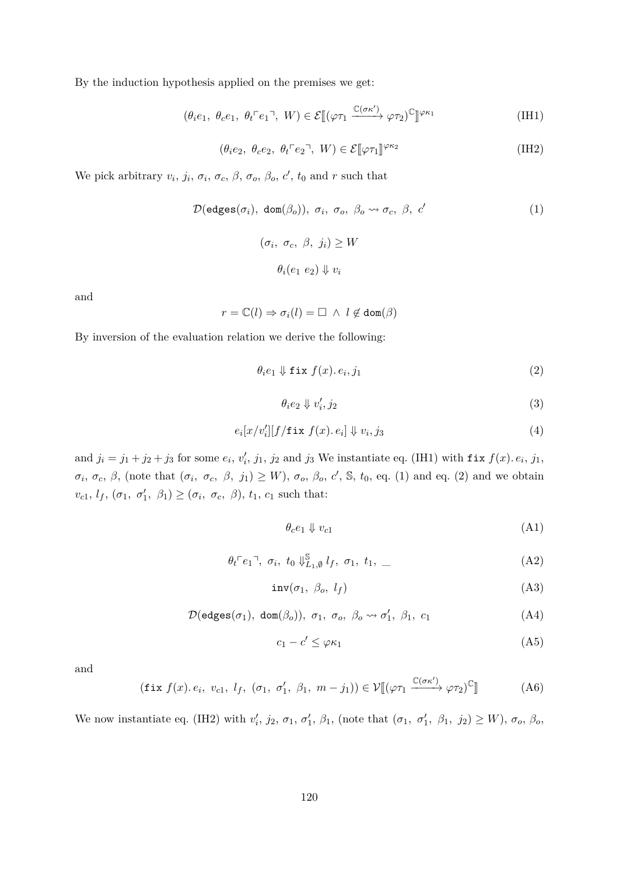By the induction hypothesis applied on the premises we get:

$$
(\theta_i e_1, \ \theta_c e_1, \ \theta_t \ulcorner e_1 \urcorner, \ W) \in \mathcal{E}[(\varphi \tau_1 \xrightarrow{\mathbb{C}(\sigma \kappa')} \varphi \tau_2)^{\mathbb{C}}]^{ \varphi \kappa_1}
$$
 (IH1)

<span id="page-119-3"></span><span id="page-119-1"></span><span id="page-119-0"></span>
$$
(\theta_i e_2, \ \theta_c e_2, \ \theta_t \ulcorner e_2 \urcorner, \ W) \in \mathcal{E}[\![\varphi \tau_1]\!]^{\varphi \kappa_2} \tag{IH2}
$$

We pick arbitrary  $v_i$ ,  $j_i$ ,  $\sigma_i$ ,  $\sigma_c$ ,  $\beta$ ,  $\sigma_o$ ,  $\beta_o$ ,  $c'$ ,  $t_0$  and  $r$  such that

$$
\mathcal{D}(\text{edges}(\sigma_i), \text{ dom}(\beta_o)), \sigma_i, \sigma_o, \beta_o \leadsto \sigma_c, \beta, c'
$$
\n
$$
(\sigma_i, \sigma_c, \beta, j_i) \ge W
$$
\n
$$
\theta_i(e_1 \ e_2) \Downarrow v_i
$$
\n
$$
(1)
$$

and

$$
r = \mathbb{C}(l) \Rightarrow \sigma_i(l) = \Box \ \wedge \ l \not\in \text{dom}(\beta)
$$

By inversion of the evaluation relation we derive the following:

$$
\theta_i e_1 \Downarrow \text{fix } f(x). e_i, j_1 \tag{2}
$$

<span id="page-119-7"></span><span id="page-119-5"></span><span id="page-119-2"></span>
$$
\theta_i e_2 \Downarrow v_i', j_2 \tag{3}
$$

$$
e_i[x/v_i'][f/\mathtt{fix}\;f(x).\;e_i] \Downarrow v_i,j_3 \tag{4}
$$

and  $j_i = j_1 + j_2 + j_3$  for some  $e_i$ ,  $v'_i$ ,  $j_1$ ,  $j_2$  and  $j_3$  We instantiate eq. [\(IH1\)](#page-119-1) with fix  $f(x)$ .  $e_i$ ,  $j_1$ ,  $\sigma_i$ ,  $\sigma_c$ ,  $\beta$ , (note that  $(\sigma_i, \sigma_c, \beta, j_1) \geq W$ ),  $\sigma_o$ ,  $\beta_o$ ,  $c'$ ,  $\mathbb{S}$ ,  $t_0$ , eq. [\(1\)](#page-119-0) and eq. [\(2\)](#page-119-2) and we obtain  $v_{c1}, l_f, (\sigma_1, \sigma'_1, \beta_1) \geq (\sigma_i, \sigma_c, \beta), t_1, c_1$  such that:

<span id="page-119-9"></span><span id="page-119-8"></span><span id="page-119-4"></span>
$$
\theta_c e_1 \Downarrow v_{c1} \tag{A1}
$$

$$
\theta_t \ulcorner e_1 \urcorner, \ \sigma_i, \ t_0 \Downarrow^{\mathbb{S}}_{L_1, \emptyset} l_f, \ \sigma_1, \ t_1, \ \_
$$
 (A2)

$$
inv(\sigma_1, \beta_o, l_f) \tag{A3}
$$

$$
\mathcal{D}(\text{edges}(\sigma_1), \text{ dom}(\beta_o)), \sigma_1, \sigma_o, \beta_o \leadsto \sigma'_1, \beta_1, c_1 \tag{A4}
$$

<span id="page-119-10"></span><span id="page-119-6"></span>
$$
c_1 - c' \le \varphi \kappa_1 \tag{A5}
$$

and

$$
(\text{fix } f(x). e_i, v_{c1}, l_f, (\sigma_1, \sigma'_1, \beta_1, m - j_1)) \in \mathcal{V}[(\varphi \tau_1 \xrightarrow{\mathbb{C}(\sigma \kappa')} \varphi \tau_2)^{\mathbb{C}}] \tag{A6}
$$

We now instantiate eq. [\(IH2\)](#page-119-3) with  $v'_i$ ,  $j_2$ ,  $\sigma_1$ ,  $\sigma'_1$ ,  $\beta_1$ , (note that  $(\sigma_1, \sigma'_1, \beta_1, j_2) \ge W$ ),  $\sigma_o$ ,  $\beta_o$ ,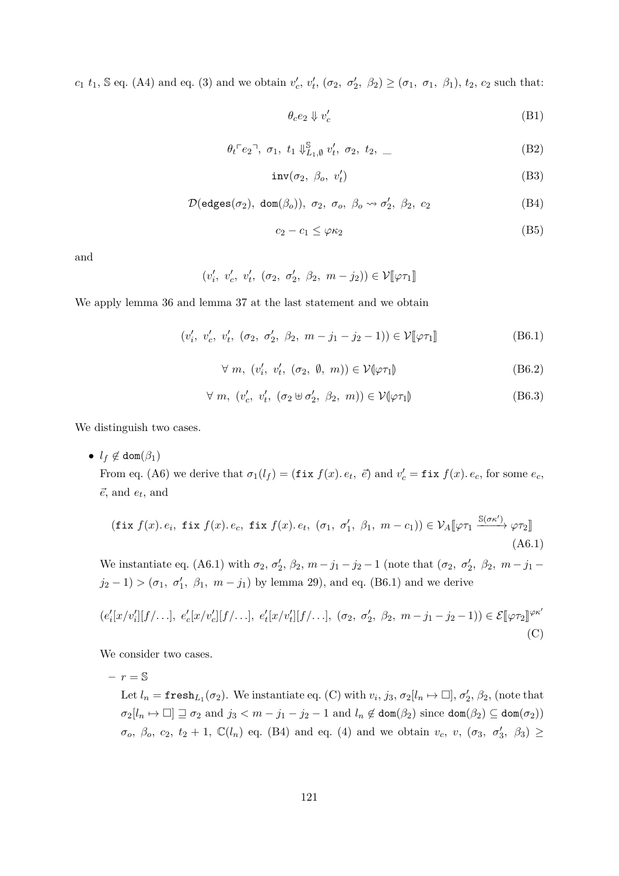$c_1$  *t*<sub>1</sub>, S eq. [\(A4\)](#page-119-4) and eq. [\(3\)](#page-119-5) and we obtain  $v'_c$ ,  $v'_t$ ,  $(\sigma_2, \sigma'_2, \beta_2) \geq (\sigma_1, \sigma_1, \beta_1)$ , *t*<sub>2</sub>, *c*<sub>2</sub> such that:

<span id="page-120-4"></span><span id="page-120-3"></span><span id="page-120-2"></span>
$$
\theta_c e_2 \Downarrow v_c' \tag{B1}
$$

$$
\theta_t \ulcorner e_2 \urcorner, \ \sigma_1, \ t_1 \Downarrow_{L_1, \emptyset}^{\mathbb{S}} v'_t, \ \sigma_2, \ t_2, \ \_
$$
 (B2)

$$
inv(\sigma_2, \ \beta_o, \ v'_t) \tag{B3}
$$

$$
\mathcal{D}(\text{edges}(\sigma_2), \text{ dom}(\beta_o)), \sigma_2, \sigma_o, \beta_o \leadsto \sigma'_2, \beta_2, c_2
$$
 (B4)

<span id="page-120-7"></span><span id="page-120-6"></span><span id="page-120-5"></span><span id="page-120-1"></span>
$$
c_2 - c_1 \le \varphi \kappa_2 \tag{B5}
$$

and

$$
(v'_i, v'_c, v'_t, (\sigma_2, \sigma'_2, \beta_2, m - j_2)) \in \mathcal{V}[\varphi \tau_1]
$$

We apply lemma [36](#page-91-0) and lemma [37](#page-91-2) at the last statement and we obtain

$$
(v'_i, v'_c, v'_t, (\sigma_2, \sigma'_2, \beta_2, m - j_1 - j_2 - 1)) \in \mathcal{V}[\![\varphi \tau_1]\!]
$$
 (B6.1)

$$
\forall m, (v'_i, v'_t, (\sigma_2, \emptyset, m)) \in \mathcal{V}(\varphi \tau_1)
$$
 (B6.2)

<span id="page-120-0"></span>
$$
\forall m, (v_c', v_t', (\sigma_2 \oplus \sigma_2', \beta_2, m)) \in \mathcal{V}(\varphi \tau_1)
$$
 (B6.3)

We distinguish two cases.

•  $l_f \notin \text{dom}(\beta_1)$ 

From eq. [\(A6\)](#page-119-6) we derive that  $\sigma_1(l_f) = (\textbf{fix } f(x), e_t, \vec{e})$  and  $v'_c = \textbf{fix } f(x), e_c$ , for some  $e_c$ ,  $\vec{e}$ , and  $e_t$ , and

$$
(\text{fix } f(x). e_i, \text{ fix } f(x). e_c, \text{ fix } f(x). e_t, (\sigma_1, \sigma'_1, \beta_1, m - c_1)) \in \mathcal{V}_A[\varphi \tau_1 \xrightarrow{\mathbb{S}(\sigma \kappa')} \varphi \tau_2]]
$$
\n(A6.1)

We instantiate eq. [\(A6.1\)](#page-120-0) with  $\sigma_2$ ,  $\sigma_2'$ ,  $\beta_2$ ,  $m - j_1 - j_2 - 1$  (note that  $(\sigma_2, \sigma_2', \beta_2, m - j_1 - j_2)$  $j_2 - 1$  > ( $\sigma_1$ ,  $\sigma'_1$ ,  $\beta_1$ ,  $m - j_1$ ) by lemma [29\)](#page-89-0), and eq. [\(B6.1\)](#page-120-1) and we derive

$$
(e'_i[x/v'_i][f/\ldots], e'_c[x/v'_c][f/\ldots], e'_t[x/v'_t][f/\ldots], (\sigma_2, \sigma'_2, \beta_2, m-j_1-j_2-1)) \in \mathcal{E}[\varphi\tau_2]^{\varphi\kappa'}(C)
$$

We consider two cases.

 $-r = S$ Let  $l_n = \texttt{fresh}_{L_1}(\sigma_2)$ . We instantiate eq. [\(C\)](#page-124-0) with  $v_i, j_3, \sigma_2[l_n \mapsto \Box], \sigma'_2, \beta_2$ , (note that  $\sigma_2[l_n \mapsto \Box] \sqsupseteq \sigma_2$  and  $j_3 < m - j_1 - j_2 - 1$  and  $l_n \notin \text{dom}(\beta_2)$  since  $\text{dom}(\beta_2) \subseteq \text{dom}(\sigma_2)$ )  $\sigma$ <sub>*o*</sub>,  $\beta$ <sub>*o*</sub>,  $c_2$ ,  $t_2 + 1$ ,  $\mathbb{C}(l_n)$  eq. [\(B4\)](#page-120-2) and eq. [\(4\)](#page-119-7) and we obtain  $v_c$ ,  $v$ ,  $(\sigma_3, \sigma'_3, \beta_3) \geq$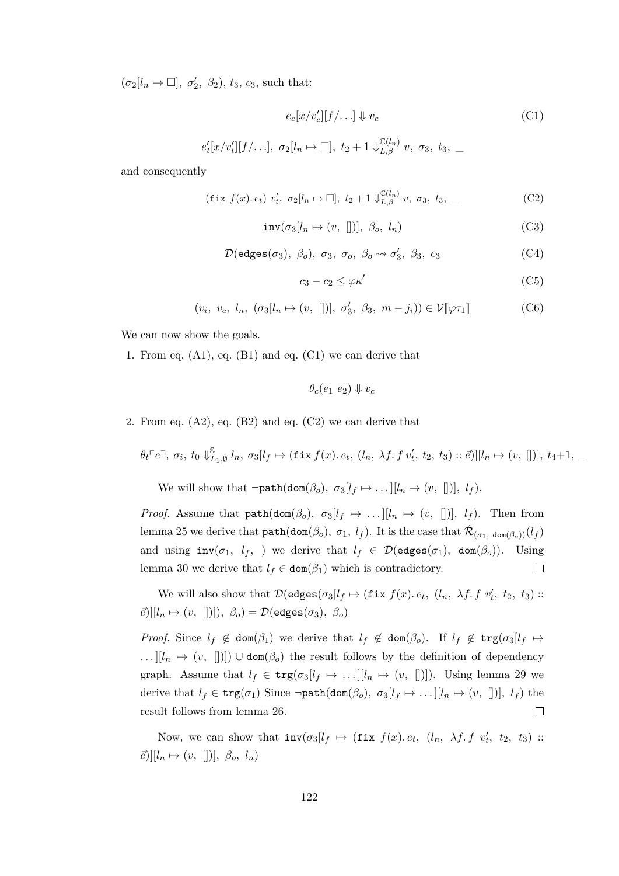$(\sigma_2[l_n \mapsto \Box], \sigma'_2, \beta_2), t_3, c_3$ , such that:

<span id="page-121-0"></span>
$$
e_c[x/v_c'][f/\ldots] \Downarrow v_c \tag{C1}
$$

 $e'_{t}[x/v'_{t}][f/\ldots], \sigma_{2}[l_{n} \mapsto \Box], t_{2}+1 \Downarrow_{L,\beta}^{\mathbb{C}(l_{n})} v, \sigma_{3}, t_{3}, \underline{\ }$ 

and consequently

$$
(\text{fix } f(x). e_t) \ v'_t, \ \sigma_2[l_n \mapsto \Box], \ t_2 + 1 \Downarrow_{L,\beta}^{\mathbb{C}(l_n)} v, \ \sigma_3, \ t_3, \ \_
$$
 (C2)

$$
inv(\sigma_3[l_n \mapsto (v, [])], \ \beta_o, \ l_n)
$$
 (C3)

$$
\mathcal{D}(\text{edges}(\sigma_3), \beta_o), \sigma_3, \sigma_o, \beta_o \rightsquigarrow \sigma'_3, \beta_3, c_3
$$
 (C4)

<span id="page-121-5"></span><span id="page-121-4"></span><span id="page-121-3"></span><span id="page-121-2"></span><span id="page-121-1"></span>
$$
c_3 - c_2 \le \varphi \kappa' \tag{C5}
$$

$$
(v_i, v_c, l_n, (\sigma_3[l_n \mapsto (v, [])], \sigma'_3, \beta_3, m - j_i)) \in \mathcal{V}[\varphi \tau_1]
$$
 (C6)

We can now show the goals.

1. From eq. [\(A1\)](#page-119-8), eq. [\(B1\)](#page-120-3) and eq. [\(C1\)](#page-121-0) we can derive that

$$
\theta_c(e_1\ e_2)\Downarrow v_c
$$

2. From eq.  $(A2)$ , eq.  $(B2)$  and eq.  $(C2)$  we can derive that

$$
\theta_t \ulcorner e \urcorner, \sigma_i, t_0 \Downarrow^{\mathbb{S}}_{L_1, \emptyset} l_n, \sigma_3[l_f \mapsto (\text{fix } f(x). e_t, (l_n, \lambda f. f v'_t, t_2, t_3) :: \vec{e})][l_n \mapsto (v, [])], t_4+1, \dots
$$

We will show that  $\neg \texttt{path}(\texttt{dom}(\beta_o), \ \sigma_3[l_f \mapsto \dots][l_n \mapsto (v, [])], \ l_f)$ .

*Proof.* Assume that  $path(dom(\beta_o), \sigma_3[l_f \mapsto ...][l_n \mapsto (v, [])]$ ,  $l_f$ ). Then from lemma [25](#page-86-0) we derive that  $path(dom(\beta_o), \sigma_1, l_f)$ . It is the case that  $\hat{\mathcal{R}}_{(\sigma_1, dom(\beta_o))}(l_f)$ and using  $inv(\sigma_1, l_f, \sigma)$  we derive that  $l_f \in \mathcal{D}(edges(\sigma_1), dom(\beta_o)).$  Using lemma [30](#page-90-0) we derive that  $l_f \in \text{dom}(\beta_1)$  which is contradictory.  $\Box$ 

We will also show that  $\mathcal{D}(\text{edges}(\sigma_3[l_f \mapsto (\texttt{fix } f(x). e_t, (l_n, \lambda f. f v'_t, t_2, t_3))$ :  $[\vec{e}]$ ][ $l_n \mapsto (v, []$ ]])*,*  $\beta_o$ ) =  $\mathcal{D}$ (edges( $\sigma_3$ )*,*  $\beta_o$ )

*Proof.* Since  $l_f \notin \text{dom}(\beta_1)$  we derive that  $l_f \notin \text{dom}(\beta_0)$ . If  $l_f \notin \text{trg}(\sigma_3[l_f \mapsto$ *...*][ $l_n$  → (*v*, [])]) ∪ dom( $\beta_o$ ) the result follows by the definition of dependency graph. Assume that  $l_f \in \text{trg}(\sigma_3[l_f \mapsto \dots][l_n \mapsto (v, [])]$ ). Using lemma [29](#page-89-0) we derive that  $l_f \in \text{trg}(\sigma_1)$  Since  $\neg \text{path}(\text{dom}(\beta_o), \sigma_3[l_f \mapsto \dots][l_n \mapsto (v, [])], l_f)$  the result follows from lemma [26.](#page-89-2)  $\Box$ 

Now, we can show that  $inv(\sigma_3[l_f \mapsto (\textbf{fix } f(x), e_t, (l_n, \lambda f.f \ v'_t, t_2, t_3))$ :  $\vec{e}$ )][ $l_n \mapsto (v, [])$ ],  $\beta_o, l_n$ )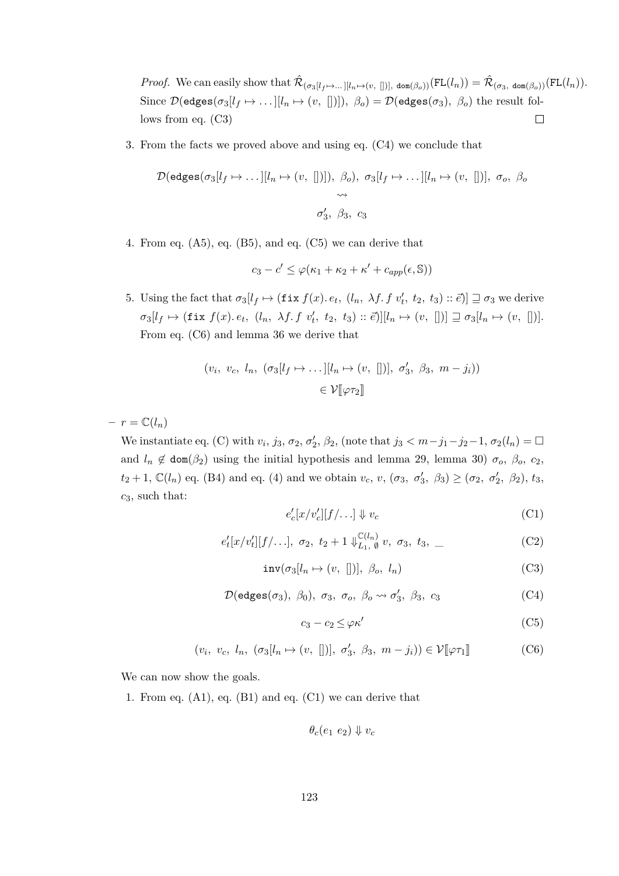*Proof.* We can easily show that  $\hat{\mathcal{R}}_{(\sigma_3[l_f\mapsto\ldots][l_n\mapsto(v,[])], \text{ dom}(\beta_o))}(\text{FL}(l_n)) = \hat{\mathcal{R}}_{(\sigma_3, \text{ dom}(\beta_o))}(\text{FL}(l_n)).$ Since  $\mathcal{D}(\text{edges}(\sigma_3[l_f \mapsto \dots][l_n \mapsto (v, []))), \ \beta_o) = \mathcal{D}(\text{edges}(\sigma_3), \ \beta_o)$  the result follows from eq. [\(C3\)](#page-121-2)  $\Box$ 

3. From the facts we proved above and using eq. [\(C4\)](#page-121-3) we conclude that

$$
\mathcal{D}(\text{edges}(\sigma_3[l_f \mapsto \dots][l_n \mapsto (v, [])]), \beta_o), \sigma_3[l_f \mapsto \dots][l_n \mapsto (v, [])], \sigma_o, \beta_o
$$
  

$$
\leadsto
$$
  

$$
\sigma'_3, \beta_3, c_3
$$

4. From eq. [\(A5\)](#page-119-10), eq. [\(B5\)](#page-120-5), and eq. [\(C5\)](#page-121-4) we can derive that

$$
c_3 - c' \le \varphi(\kappa_1 + \kappa_2 + \kappa' + c_{app}(\epsilon, \mathbb{S}))
$$

5. Using the fact that  $\sigma_3[l_f \mapsto (\texttt{fix } f(x), e_t, (l_n, \lambda f, f \, v'_t, t_2, t_3) :: \vec{e})] \sqsupseteq \sigma_3$  we derive  $\sigma_3[l_f \mapsto (\texttt{fix } f(x) \ldotp e_t, (l_n, \lambda f \ldotp f \ldotp v'_t, t_2, t_3) :: \vec{e})][l_n \mapsto (v, [])] \sqsupseteq \sigma_3[l_n \mapsto (v, [])].$ From eq. [\(C6\)](#page-121-5) and lemma [36](#page-91-0) we derive that

$$
(v_i, v_c, l_n, (\sigma_3[l_f \mapsto \dots][l_n \mapsto (v, [])], \sigma'_3, \beta_3, m - j_i))
$$
  

$$
\in \mathcal{V}[\![\varphi \tau_2]\!]
$$

 $- r = \mathbb{C}(l_n)$ 

We instantiate eq. [\(C\)](#page-124-0) with  $v_i$ ,  $j_3$ ,  $\sigma_2$ ,  $\sigma'_2$ ,  $\beta_2$ , (note that  $j_3 < m-j_1-j_2-1$ ,  $\sigma_2(l_n) = \Box$ and  $l_n \notin \text{dom}(\beta_2)$  using the initial hypothesis and lemma [29,](#page-89-0) lemma [30\)](#page-90-0)  $\sigma_o$ ,  $\beta_o$ ,  $c_2$ ,  $t_2 + 1$ ,  $\mathbb{C}(l_n)$  eq. [\(B4\)](#page-120-2) and eq. [\(4\)](#page-119-7) and we obtain  $v_c$ ,  $v$ ,  $(\sigma_3, \sigma'_3, \beta_3) \geq (\sigma_2, \sigma'_2, \beta_2)$ ,  $t_3$ , *c*3, such that:

<span id="page-122-0"></span>
$$
e_c'[x/v_c'][f/\ldots] \Downarrow v_c \tag{C1}
$$

$$
e'_t[x/v'_t][f/\ldots], \sigma_2, t_2+1 \Downarrow_{L_1, \emptyset}^{\mathbb{C}(l_n)} v, \sigma_3, t_3, \_
$$
 (C2)

$$
inv(\sigma_3[l_n \mapsto (v, [])], \ \beta_o, \ l_n)
$$
 (C3)

$$
\mathcal{D}(\text{edges}(\sigma_3), \beta_0), \sigma_3, \sigma_0, \beta_0 \rightsquigarrow \sigma'_3, \beta_3, c_3
$$
 (C4)

<span id="page-122-3"></span><span id="page-122-2"></span><span id="page-122-1"></span>
$$
c_3 - c_2 \le \varphi \kappa' \tag{C5}
$$

$$
(v_i, v_c, l_n, (\sigma_3[l_n \mapsto (v, [])], \sigma'_3, \beta_3, m - j_i)) \in \mathcal{V}[\mathcal{V} \mathcal{T}_1] \tag{C6}
$$

We can now show the goals.

1. From eq.  $(A1)$ , eq.  $(B1)$  and eq.  $(C1)$  we can derive that

$$
\theta_c(e_1\ e_2)\Downarrow v_c
$$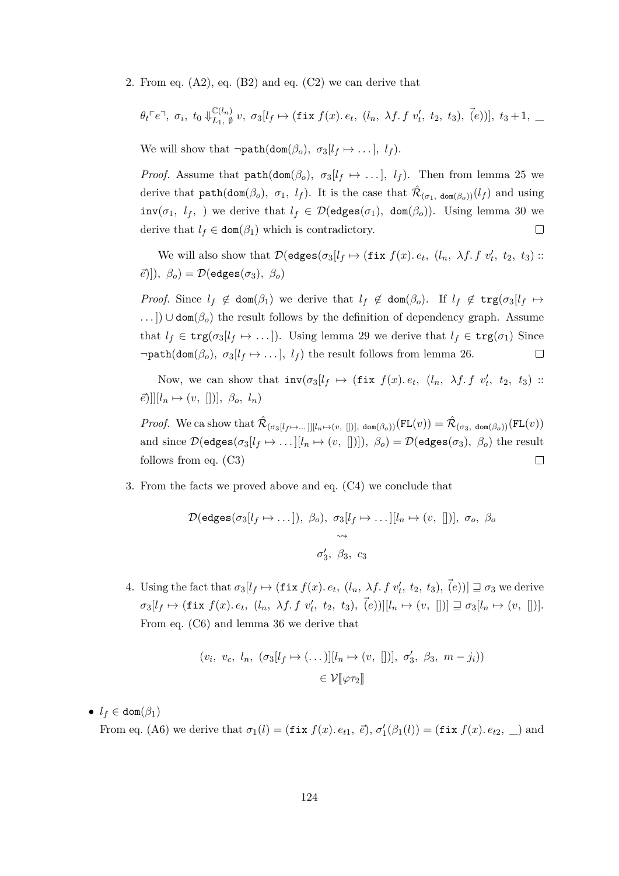2. From eq.  $(A2)$ , eq.  $(B2)$  and eq.  $(C2)$  we can derive that

$$
\theta_t^{\top}e^{-}, \sigma_i, t_0 \Downarrow_{L_1, \emptyset}^{\mathbb{C}(l_n)} v, \sigma_3[l_f \mapsto (\text{fix } f(x). e_t, (l_n, \lambda f. f v'_t, t_2, t_3), (e))], t_3+1, \_
$$

We will show that  $\neg \texttt{path}(\texttt{dom}(\beta_o), \sigma_3[l_f \mapsto \dots], l_f)$ .

*Proof.* Assume that  $path(dom(\beta_o), \sigma_3[l_f \rightarrow ...], l_f)$ . Then from lemma [25](#page-86-0) we derive that  $path(dom(\beta_o), \sigma_1, l_f)$ . It is the case that  $\hat{\mathcal{R}}_{(\sigma_1, dom(\beta_o))}(l_f)$  and using  $inv(\sigma_1, l_f, )$  we derive that  $l_f \in \mathcal{D}(edges(\sigma_1), dom(\beta_o))$ . Using lemma [30](#page-90-0) we derive that  $l_f \in \text{dom}(\beta_1)$  which is contradictory.  $\Box$ 

We will also show that  $\mathcal{D}(\text{edges}(\sigma_3[l_f \mapsto (\texttt{fix } f(x). e_t, (l_n, \lambda f. f v'_t, t_2, t_3))$ :  $\vec{e}$ )])*,*  $\beta_o$ ) =  $\mathcal{D}(\text{edges}(\sigma_3), \beta_o)$ 

*Proof.* Since  $l_f \notin \text{dom}(\beta_1)$  we derive that  $l_f \notin \text{dom}(\beta_0)$ . If  $l_f \notin \text{trg}(\sigma_3[l_f \mapsto$ *. . .* ]) ∪ dom(*βo*) the result follows by the definition of dependency graph. Assume that  $l_f \in \text{trg}(\sigma_3[l_f \mapsto \dots])$ . Using lemma [29](#page-89-0) we derive that  $l_f \in \text{trg}(\sigma_1)$  Since  $\neg \texttt{path}(\texttt{dom}(\beta_o), \sigma_3[l_f \mapsto \dots], l_f)$  the result follows from lemma [26.](#page-89-2)  $\Box$ 

Now, we can show that  $inv(\sigma_3[l_f \mapsto (\textbf{fix } f(x), e_t, (l_n, \lambda f.f \ v'_t, t_2, t_3))$ :  $\mathcal{E}[\|u_n \mapsto (v, \|)$ ],  $\beta_o, l_n$ 

*Proof.* We ca show that  $\hat{\mathcal{R}}_{(\sigma_3[l_f \mapsto \dots]][l_n \mapsto (v,[])]}$ ,  $\text{dom}(\beta_o))(\text{FL}(v)) = \hat{\mathcal{R}}_{(\sigma_3, \text{ dom}(\beta_o))}(\text{FL}(v))$ and since  $\mathcal{D}(\text{edges}(\sigma_3[l_f \mapsto \dots [[l_n \mapsto (v, [])]), \beta_o) = \mathcal{D}(\text{edges}(\sigma_3), \beta_o)$  the result follows from eq. [\(C3\)](#page-122-2)  $\Box$ 

3. From the facts we proved above and eq. [\(C4\)](#page-122-3) we conclude that

$$
\mathcal{D}(\text{edges}(\sigma_3[l_f \mapsto \dots]), \ \beta_o), \ \sigma_3[l_f \mapsto \dots][l_n \mapsto (v, [])], \ \sigma_o, \ \beta_o
$$
  

$$
\leadsto
$$
  

$$
\sigma'_3, \ \beta_3, \ c_3
$$

4. Using the fact that  $\sigma_3[l_f \mapsto (\texttt{fix } f(x) \cdot e_t, (l_n, \lambda f \cdot f \ v'_t, t_2, t_3), (e))] \sqsupseteq \sigma_3$  we derive  $\sigma_3[l_f \mapsto (\texttt{fix } f(x) \cdot e_t, (l_n, \lambda f \cdot f \ v'_t, t_2, t_3), \vec(e))] [l_n \mapsto (v, [])] \sqsupseteq \sigma_3[l_n \mapsto (v, [])].$ From eq. [\(C6\)](#page-121-5) and lemma [36](#page-91-0) we derive that

$$
(v_i, v_c, l_n, (\sigma_3[l_f \mapsto (\dots)][l_n \mapsto (v, [])], \sigma'_3, \beta_3, m - j_i))
$$
  

$$
\in \mathcal{V}[\![\varphi \tau_2]\!]
$$

 $\bullet$  *l<sub>f</sub>*  $\in$  dom( $\beta_1$ )

From eq. [\(A6\)](#page-119-6) we derive that  $\sigma_1(l) = (\textbf{fix } f(x), e_{t1}, \vec{e}), \sigma'_1(\beta_1(l)) = (\textbf{fix } f(x), e_{t2}, \vec{e})$  and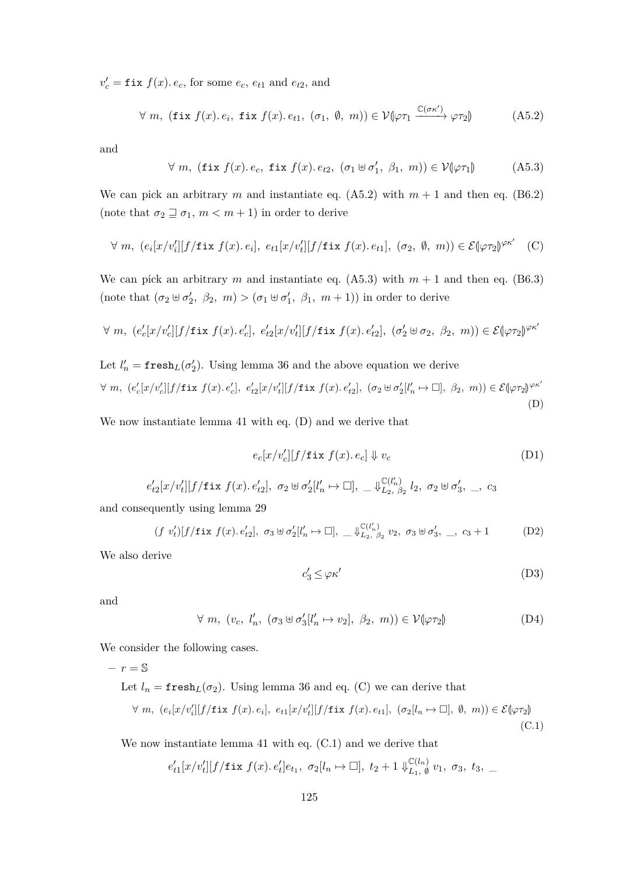$v'_c = \texttt{fix } f(x)$ *. e<sub>c</sub>*, for some *e<sub>c</sub>*, *e<sub>t1</sub>* and *e<sub>t2</sub>*, and

$$
\forall m, (\text{fix } f(x). e_i, \text{fix } f(x). e_{t1}, (\sigma_1, \emptyset, m)) \in \mathcal{V}(\varphi \tau_1 \xrightarrow{\mathbb{C}(\sigma \kappa')} \varphi \tau_2) \tag{A5.2}
$$

and

<span id="page-124-2"></span><span id="page-124-1"></span>
$$
\forall m, (\text{fix } f(x). e_c, \text{fix } f(x). e_{t2}, (\sigma_1 \uplus \sigma'_1, \beta_1, m)) \in \mathcal{V}(\varphi \tau_1)
$$
 (A5.3)

We can pick an arbitrary *m* and instantiate eq.  $(A5.2)$  with  $m + 1$  and then eq.  $(B6.2)$ (note that  $\sigma_2 \sqsupseteq \sigma_1$ ,  $m < m + 1$ ) in order to derive

$$
\forall m, (e_i[x/v_i'][f/\texttt{fix } f(x). e_i], e_{t1}[x/v_t'][f/\texttt{fix } f(x). e_{t1}], (\sigma_2, \emptyset, m)) \in \mathcal{E}(\varphi \tau_2)^{\varphi \kappa'} \quad (C)
$$

We can pick an arbitrary *m* and instantiate eq. [\(A5.3\)](#page-124-2) with  $m + 1$  and then eq. [\(B6.3\)](#page-120-7) (note that  $(\sigma_2 \oplus \sigma'_2, \ \beta_2, \ m) > (\sigma_1 \oplus \sigma'_1, \ \beta_1, \ m+1)$ ) in order to derive

$$
\forall m, (e_c'[x/v_c'][f/\texttt{fix } f(x), e_c'], e_{t2}'[x/v_t'][f/\texttt{fix } f(x), e_{t2}'], (\sigma_2' \uplus \sigma_2, \beta_2, m)) \in \mathcal{E}(\varphi \tau_2)^{\varphi \kappa'}
$$

Let 
$$
l'_n = \mathbf{fresh}_L(\sigma'_2)
$$
. Using lemma 36 and the above equation we derive  
\n $\forall m, (e'_c[x/v'_c][f/\mathbf{fix}\ f(x), e'_c], e'_{t2}[x/v'_t][f/\mathbf{fix}\ f(x), e'_{t2}], (\sigma_2 \oplus \sigma'_2[l'_n \mapsto \Box], \beta_2, m)) \in \mathcal{E}(\varphi \tau_2)^{\varphi \kappa'}$  (D)

We now instantiate lemma [41](#page-93-1) with eq. [\(D\)](#page-124-3) and we derive that

<span id="page-124-3"></span><span id="page-124-0"></span>
$$
e_c[x/v_c'][f/\text{fix }f(x). e_c] \Downarrow v_c \tag{D1}
$$

$$
e'_{t2}[x/v'_t][f/\text{fix } f(x), e'_{t2}], \sigma_2 \uplus \sigma'_2[l'_n \mapsto \Box], \quad \downarrow_{L_2, \beta_2}^{\mathbb{C}(l'_n)} l_2, \sigma_2 \uplus \sigma'_3, \quad \ldots, \quad c_3
$$

and consequently using lemma [29](#page-89-0)

$$
(f \ v'_t)[f/\text{fix } f(x) \cdot e'_{t2}], \ \sigma_3 \ \ \text{and} \ \ \sigma'_2[l'_n \mapsto \Box], \ \ \text{if} \ \ \mathbb{C}^{(l'_n)}_{L_2, \ \beta_2} \ v_2, \ \ \sigma_3 \ \ \text{if} \ \ \sigma'_3, \ \ \text{if} \ \ c_3 + 1 \tag{D2}
$$

We also derive

<span id="page-124-8"></span><span id="page-124-7"></span><span id="page-124-6"></span><span id="page-124-5"></span><span id="page-124-4"></span>
$$
c'_3 \le \varphi \kappa' \tag{D3}
$$

and

$$
\forall m, (v_c, l'_n, (\sigma_3 \oplus \sigma'_3[l'_n \mapsto v_2], \beta_2, m)) \in \mathcal{V}(\varphi \tau_2)
$$
 (D4)

We consider the following cases.

 $- r = S$ 

Let 
$$
l_n = \text{fresh}_L(\sigma_2)
$$
. Using lemma 36 and eq. (C) we can derive that  
\n $\forall m, (e_i[x/v'_i][f/\text{fix } f(x).e_i], e_{t1}[x/v'_i][f/\text{fix } f(x).e_{t1}], (\sigma_2[l_n \mapsto \Box], \emptyset, m)) \in \mathcal{E}(\varphi \tau_2)$  (C.1)

We now instantiate lemma [41](#page-93-1) with eq. [\(C.1\)](#page-124-4) and we derive that

$$
e'_{t1}[x/v'_t][f/\mathtt{fix}~f(x).~e'_t]e_{t1},~ \sigma_2[l_n \mapsto \square],~ t_2+1 \Downarrow_{L_1,~\emptyset}^{\mathbb{C}(l_n)} v_1,~ \sigma_3,~ t_3,~\_
$$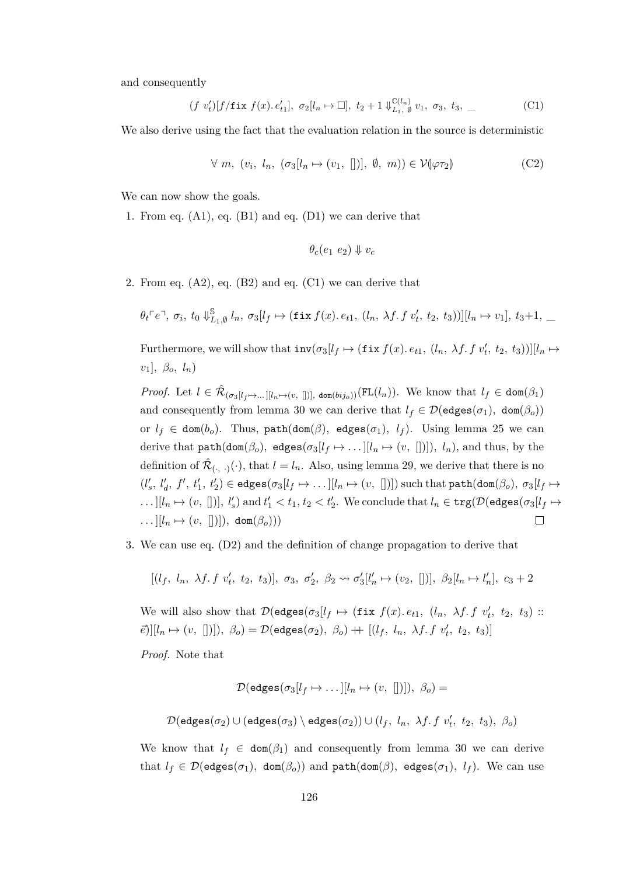and consequently

$$
(f \ v'_t)[f/\text{fix } f(x). e'_{t1}], \ \sigma_2[l_n \mapsto \Box], \ t_2 + 1 \Downarrow_{L_1, \emptyset}^{\mathbb{C}(l_n)} v_1, \ \sigma_3, \ t_3, \_
$$
 (C1)

We also derive using the fact that the evaluation relation in the source is deterministic

$$
\forall m, (v_i, l_n, (\sigma_3[l_n \mapsto (v_1, [])], \emptyset, m)) \in \mathcal{V}(\varphi \tau_2)
$$
 (C2)

We can now show the goals.

1. From eq. [\(A1\)](#page-119-8), eq. [\(B1\)](#page-120-3) and eq. [\(D1\)](#page-124-5) we can derive that

<span id="page-125-1"></span><span id="page-125-0"></span>
$$
\theta_c(e_1\ e_2)\Downarrow v_c
$$

2. From eq.  $(A2)$ , eq.  $(B2)$  and eq.  $(C1)$  we can derive that

$$
\theta_t \ulcorner e \urcorner, \sigma_i, t_0 \Downarrow^{\mathbb{S}}_{L_1, \emptyset} l_n, \sigma_3[l_f \mapsto (\text{fix } f(x). e_{t1}, (l_n, \lambda f. f v'_t, t_2, t_3))][l_n \mapsto v_1], t_3+1, \dots
$$

Furthermore, we will show that  $\text{inv}(\sigma_3[l_f \mapsto (\text{fix } f(x). e_{t1}, (l_n, \lambda f. f v'_t, t_2, t_3))][l_n \mapsto$ *v*1]*, βo, ln*)

*Proof.* Let  $l \in \hat{\mathcal{R}}_{(\sigma_3[l_f \mapsto \dots][l_n \mapsto (v,[])]}$ , dom $(bij_o))$  (FL $(l_n)$ ). We know that  $l_f \in \text{dom}(\beta_1)$ and consequently from lemma [30](#page-90-0) we can derive that  $l_f \in \mathcal{D}(\text{edges}(\sigma_1), \text{ dom}(\beta_o))$ or  $l_f \in \text{dom}(b_o)$ . Thus,  $\text{path}(\text{dom}(\beta), \text{edges}(\sigma_1), l_f)$ . Using lemma [25](#page-86-0) we can derive that  $path(dom(\beta_o), edges(\sigma_3[l_f \rightarrow ...][l_n \rightarrow (v, [])], l_n),$  and thus, by the definition of  $\hat{\mathcal{R}}_{(\cdot, \cdot)}(\cdot)$ , that  $l = l_n$ . Also, using lemma [29,](#page-89-0) we derive that there is no  $(l'_s, l'_d, f', t'_1, t'_2) \in \text{edges}(\sigma_3[l_f \mapsto \dots[[l_n \mapsto (v, [])])$  such that  $\texttt{path}(\texttt{dom}(\beta_o), \sigma_3[l_f \mapsto$  $\dots$   $[[l_n \mapsto (v, [])], l'_s)$  and  $t'_1 < t_1, t_2 < t'_2$ . We conclude that  $l_n \in \text{trg}(\mathcal{D}(\text{edges}(\sigma_3[l_f \mapsto$  $\ldots$   $[l_n \mapsto (v, [])]$ , dom $(\beta_o))$  $\Box$ 

3. We can use eq. [\(D2\)](#page-124-6) and the definition of change propagation to derive that

$$
[(l_f, l_n, \lambda f. f v'_t, t_2, t_3)], \sigma_3, \sigma'_2, \beta_2 \leadsto \sigma'_3[l'_n \mapsto (v_2, [])], \beta_2[l_n \mapsto l'_n], c_3 + 2
$$

We will also show that  $\mathcal{D}(\text{edges}(\sigma_3[l_f \mapsto (\text{fix } f(x). e_{t1}, (l_n, \lambda f.f \ v'_t, t_2, t_3))$ :  $\mathcal{E}[\mathcal{E}][[l_n \mapsto (v, [])]), \ \beta_o) = \mathcal{D}(\mathsf{edges}(\sigma_2), \ \beta_o) + \mathcal{E}[(l_f, l_n, \ \lambda f. \ f \ v'_t, \ t_2, \ t_3)]$ 

*Proof.* Note that

$$
\mathcal{D}(\mathsf{edges}(\sigma_3[l_f \mapsto \dots [[l_n \mapsto (v, [])]), \ \beta_o) =
$$
  

$$
\mathcal{D}(\mathsf{edges}(\sigma_2) \cup (\mathsf{edges}(\sigma_3) \setminus \mathsf{edges}(\sigma_2)) \cup (l_f, \ l_n, \ \lambda f. \ f \ v'_t, \ t_2, \ t_3), \ \beta_o)
$$

We know that  $l_f \in \text{dom}(\beta_1)$  and consequently from lemma [30](#page-90-0) we can derive that  $l_f \in \mathcal{D}(\text{edges}(\sigma_1), \text{ dom}(\beta_o))$  and  $\text{path}(\text{dom}(\beta), \text{edges}(\sigma_1), l_f)$ . We can use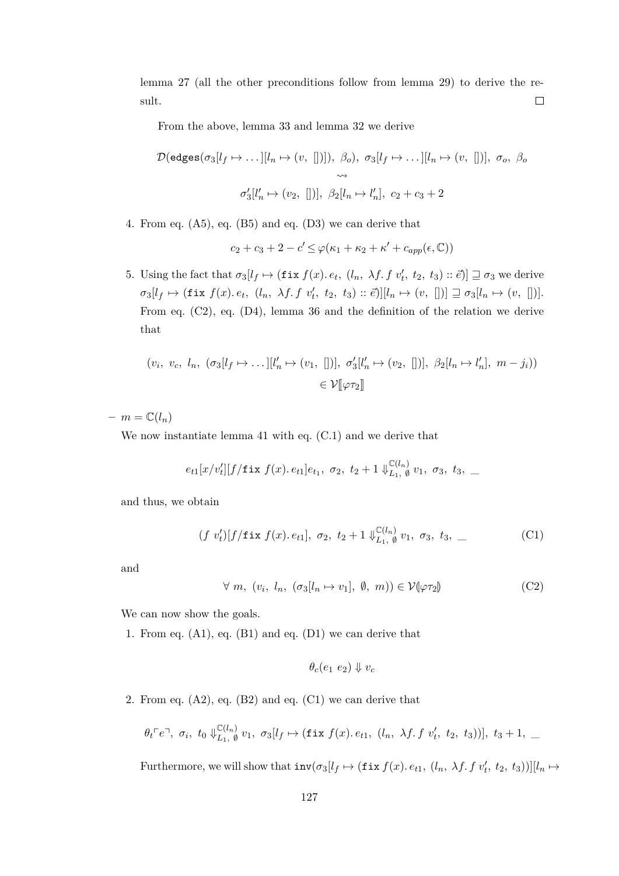lemma [27](#page-89-1) (all the other preconditions follow from lemma [29\)](#page-89-0) to derive the result.  $\Box$ 

From the above, lemma [33](#page-90-1) and lemma [32](#page-90-2) we derive

$$
\mathcal{D}(\text{edges}(\sigma_3[l_f \mapsto \dots][l_n \mapsto (v, [])]), \ \beta_o), \ \sigma_3[l_f \mapsto \dots][l_n \mapsto (v, [])], \ \sigma_o, \ \beta_o
$$

$$
\leadsto
$$

$$
\sigma_3'[l'_n \mapsto (v_2, [])], \ \beta_2[l_n \mapsto l'_n], \ c_2 + c_3 + 2
$$

4. From eq. [\(A5\)](#page-119-10), eq. [\(B5\)](#page-120-5) and eq. [\(D3\)](#page-124-7) we can derive that

$$
c_2 + c_3 + 2 - c' \le \varphi(\kappa_1 + \kappa_2 + \kappa' + c_{app}(\epsilon, \mathbb{C}))
$$

5. Using the fact that  $\sigma_3[l_f \mapsto (\texttt{fix } f(x), e_t, (l_n, \lambda f, f \, v'_t, t_2, t_3) :: \vec{e})] \sqsupseteq \sigma_3$  we derive  $\sigma_3[l_f \mapsto (\texttt{fix } f(x) \cdot e_t, (l_n, \lambda f \cdot f \cdot v'_t, t_2, t_3) :: \vec{e})][l_n \mapsto (v, [])] \sqsupseteq \sigma_3[l_n \mapsto (v, [])].$ From eq. [\(C2\)](#page-125-1), eq. [\(D4\)](#page-124-8), lemma [36](#page-91-0) and the definition of the relation we derive that

$$
(v_i, v_c, l_n, (\sigma_3[l_f \mapsto \dots][l'_n \mapsto (v_1, [])], \sigma'_3[l'_n \mapsto (v_2, [])], \beta_2[l_n \mapsto l'_n], m - j_i))
$$
  

$$
\in \mathcal{V}[\![\varphi \tau_2]\!]
$$

 $m = \mathbb{C}(l_n)$ 

We now instantiate lemma [41](#page-93-1) with eq. [\(C.1\)](#page-124-4) and we derive that

$$
e_{t1}[x/v'_t][f/\text{fix }f(x).e_{t1}]e_{t_1}, \sigma_2, t_2+1 \Downarrow_{L_1, \emptyset}^{\mathbb{C}(l_n)} v_1, \sigma_3, t_3, \_
$$

and thus, we obtain

$$
(f\ v'_t)[f/\texttt{fix } f(x).\,e_{t1}],\ \sigma_2,\ t_2+1\Downarrow_{L_1,\ \emptyset}^{\mathbb{C}(l_n)} v_1,\ \sigma_3,\ t_3,\ \_\_
$$
 (C1)

and

$$
\forall m, (v_i, l_n, (\sigma_3[l_n \mapsto v_1], \emptyset, m)) \in \mathcal{V}(\varphi \tau_2)
$$
 (C2)

We can now show the goals.

1. From eq. [\(A1\)](#page-119-8), eq. [\(B1\)](#page-120-3) and eq. [\(D1\)](#page-124-5) we can derive that

<span id="page-126-0"></span>
$$
\theta_c(e_1\ e_2)\Downarrow v_c
$$

2. From eq.  $(A2)$ , eq.  $(B2)$  and eq.  $(C1)$  we can derive that

$$
\theta_t \ulcorner e \urcorner, \; \sigma_i, \; t_0 \Downarrow_{L_1, \; \emptyset}^{\mathbb{C}(l_n)} v_1, \; \sigma_3[l_f \mapsto (\texttt{fix } f(x). e_{t1}, \; (l_n, \; \lambda f. f \; v'_t, \; t_2, \; t_3))], \; t_3 + 1, \; \_
$$

Furthermore, we will show that  $\text{inv}(\sigma_3[l_f \mapsto (\text{fix } f(x). e_{t1}, (l_n, \lambda f. f v'_t, t_2, t_3))][l_n \mapsto$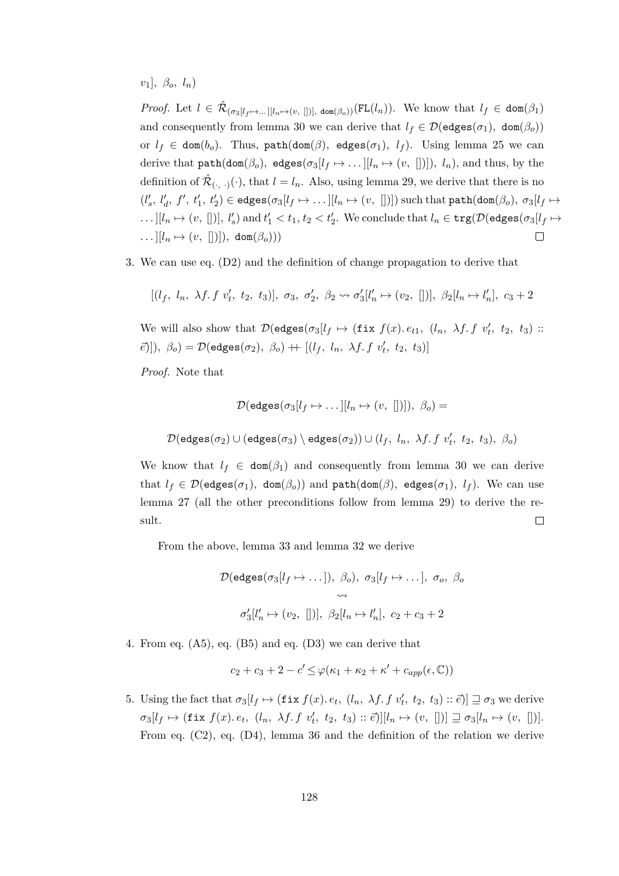$v_1$ *,*  $\beta_o$ *, l<sub>n</sub>*)

*Proof.* Let  $l \in \hat{\mathcal{R}}_{(\sigma_3[l_f \mapsto \dots][l_n \mapsto (v,[])]}$ , dom $(\beta_0)(FL(l_n))$ . We know that  $l_f \in \text{dom}(\beta_1)$ and consequently from lemma [30](#page-90-0) we can derive that  $l_f \in \mathcal{D}(\text{edges}(\sigma_1), \text{ dom}(\beta_o))$ or  $l_f \in \text{dom}(b_o)$ . Thus,  $\text{path}(\text{dom}(\beta), \text{edges}(\sigma_1), l_f)$ . Using lemma [25](#page-86-0) we can derive that  $path(dom(\beta_o), edges(\sigma_3[l_f \rightarrow ...][l_n \rightarrow (v, [])], l_n),$  and thus, by the definition of  $\hat{\mathcal{R}}_{(\cdot, \cdot)}(\cdot)$ , that  $l = l_n$ . Also, using lemma [29,](#page-89-0) we derive that there is no  $(l'_s, l'_d, f', t'_1, t'_2) \in \mathsf{edges}(\sigma_3[l_f \mapsto \dots[[l_n \mapsto (v, [])]) \text{ such that } \mathsf{path}(\mathsf{dom}(\beta_o), \sigma_3[l_f \mapsto$  $\dots$   $[[l_n \mapsto (v, [])], l'_s)$  and  $t'_1 < t_1, t_2 < t'_2$ . We conclude that  $l_n \in \texttt{trg}(\mathcal{D}(\texttt{edges}(\sigma_3[l_f \mapsto$  $\ldots$   $[l_n \mapsto (v, [])]$ , dom $(\beta_o))$  $\Box$ 

3. We can use eq. [\(D2\)](#page-124-6) and the definition of change propagation to derive that

$$
[(l_f, l_n, \lambda f. f v'_t, t_2, t_3)], \sigma_3, \sigma'_2, \beta_2 \leadsto \sigma'_3[l'_n \mapsto (v_2, [])], \beta_2[l_n \mapsto l'_n], c_3 + 2
$$

We will also show that  $\mathcal{D}(\text{edges}(\sigma_3[l_f \mapsto (\text{fix } f(x). e_{t1}, (l_n, \lambda f.f \ v'_t, t_2, t_3))$ :  $[\vec{e}]$ ]),  $\beta_o) = \mathcal{D}(\text{edges}(\sigma_2), \ \beta_o) + [(\ell_f, \ \ell_n, \ \lambda f. \ f \ v'_t, \ t_2, \ t_3)]$ 

*Proof.* Note that

$$
\mathcal{D}(\mathsf{edges}(\sigma_3[l_f \mapsto \dots [[l_n \mapsto (v, [])]), \ \beta_o) =
$$
  

$$
\mathcal{D}(\mathsf{edges}(\sigma_2) \cup (\mathsf{edges}(\sigma_3) \setminus \mathsf{edges}(\sigma_2)) \cup (l_f, \ l_n, \ \lambda f. \ f \ v'_t, \ t_2, \ t_3), \ \beta_o)
$$

We know that  $l_f \in \text{dom}(\beta_1)$  and consequently from lemma [30](#page-90-0) we can derive that  $l_f \in \mathcal{D}(\text{edges}(\sigma_1), \text{ dom}(\beta_o))$  and  $\text{path}(\text{dom}(\beta), \text{edges}(\sigma_1), l_f)$ . We can use lemma [27](#page-89-1) (all the other preconditions follow from lemma [29\)](#page-89-0) to derive the result.  $\Box$ 

From the above, lemma [33](#page-90-1) and lemma [32](#page-90-2) we derive

$$
\mathcal{D}(\text{edges}(\sigma_3[l_f \mapsto \dots]), \beta_o), \sigma_3[l_f \mapsto \dots], \sigma_o, \beta_o
$$
  

$$
\leadsto
$$
  

$$
\sigma'_3[l'_n \mapsto (v_2, [])], \beta_2[l_n \mapsto l'_n], c_2 + c_3 + 2
$$

4. From eq. [\(A5\)](#page-119-10), eq. [\(B5\)](#page-120-5) and eq. [\(D3\)](#page-124-7) we can derive that

$$
c_2 + c_3 + 2 - c' \leq \varphi(\kappa_1 + \kappa_2 + \kappa' + c_{app}(\epsilon, \mathbb{C}))
$$

5. Using the fact that  $\sigma_3[l_f \mapsto (\texttt{fix } f(x), e_t, (l_n, \lambda f, f \, v'_t, t_2, t_3) :: \vec{e})] \sqsupseteq \sigma_3$  we derive  $\sigma_3[l_f \mapsto (\texttt{fix } f(x) \cdot e_t, (l_n, \lambda f \cdot f \cdot v'_t, t_2, t_3) :: \vec{e})][l_n \mapsto (v, [])] \sqsupseteq \sigma_3[l_n \mapsto (v, [])].$ From eq. [\(C2\)](#page-125-1), eq. [\(D4\)](#page-124-8), lemma [36](#page-91-0) and the definition of the relation we derive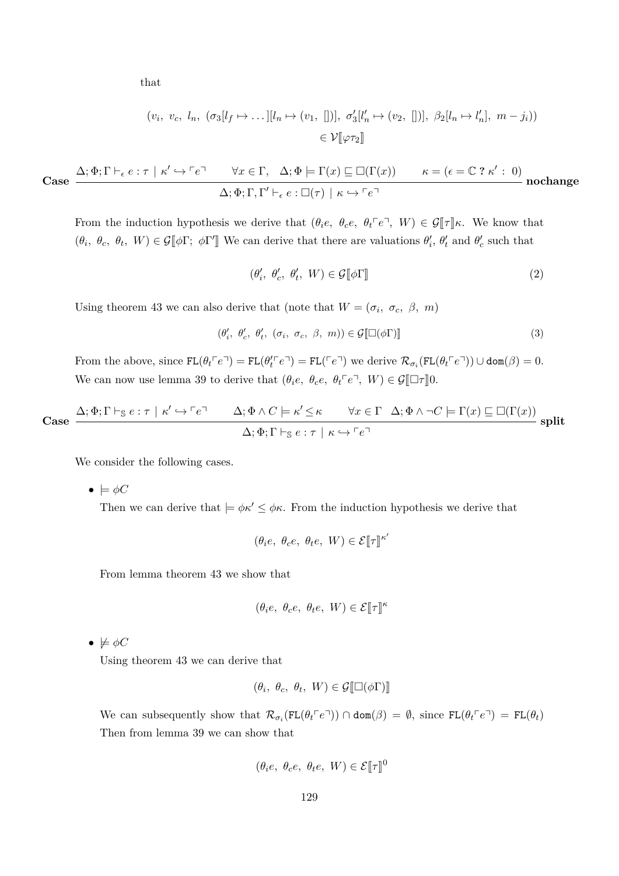that

$$
(v_i, v_c, l_n, (\sigma_3[l_f \mapsto \dots][l_n \mapsto (v_1, [])], \sigma'_3[l'_n \mapsto (v_2, [])], \beta_2[l_n \mapsto l'_n], m - j_i))
$$
  

$$
\in \mathcal{V}[\![\varphi \tau_2]\!]
$$

Case 
$$
\frac{\Delta; \Phi; \Gamma \vdash_{\epsilon} e: \tau \mid \kappa' \hookrightarrow \ulcorner e \urcorner \qquad \forall x \in \Gamma, \ \Delta; \Phi \models \Gamma(x) \sqsubseteq \Box(\Gamma(x)) \qquad \kappa = (\epsilon = \mathbb{C} ? \kappa' : 0)}{\Delta; \Phi; \Gamma, \Gamma' \vdash_{\epsilon} e: \Box(\tau) \mid \kappa \hookrightarrow \ulcorner e \urcorner}
$$
nochange

From the induction hypothesis we derive that  $(\theta_i e, \theta_c e, \theta_t e^{\sigma}, W) \in \mathcal{G}[\![\tau]\!] \kappa$ . We know that  $(\theta_i, \theta_c, \theta_t, W) \in \mathcal{G}[\![\phi]\!]$ ;  $\phi\Gamma'[\!]$  We can derive that there are valuations  $\theta'_i$ ,  $\theta'_t$  and  $\theta'_c$  such that

$$
(\theta_i', \ \theta_c', \ \theta_t', \ W) \in \mathcal{G}[\![\phi \Gamma]\!]
$$
 (2)

Using theorem [43](#page-94-0) we can also derive that (note that  $W = (\sigma_i, \sigma_c, \beta, m)$ )

$$
(\theta'_i, \ \theta'_c, \ \theta'_t, \ (\sigma_i, \ \sigma_c, \ \beta, \ m)) \in \mathcal{G}[\Box(\phi \Gamma)] \tag{3}
$$

From the above, since  $FL(\theta_t^{\prime\prime}e^{\prime}) = FL(\theta_t^{\prime\prime}e^{\prime}) = FL(\epsilon^{\prime\prime})$  we derive  $\mathcal{R}_{\sigma_i}(FL(\theta_t^{\prime\prime}e^{\prime\prime})) \cup \text{dom}(\beta) = 0$ . We can now use lemma [39](#page-92-0) to derive that  $(\theta_i e, \theta_c e, \theta_t e^{\dagger} e^{\dagger}, W) \in \mathcal{G}[\Box \tau] \cup \Box$ 

Case 
$$
\frac{\Delta; \Phi; \Gamma \vdash_{\mathbb{S}} e : \tau \mid \kappa' \hookrightarrow \ulcorner e \urcorner \qquad \Delta; \Phi \wedge C \models \kappa' \leq \kappa \qquad \forall x \in \Gamma \quad \Delta; \Phi \wedge \neg C \models \Gamma(x) \sqsubseteq \Box(\Gamma(x))}{\Delta; \Phi; \Gamma \vdash_{\mathbb{S}} e : \tau \mid \kappa \hookrightarrow \ulcorner e \urcorner}
$$
 split

We consider the following cases.

 $\bullet \models \phi C$ 

Then we can derive that  $|=\phi \kappa' \leq \phi \kappa$ . From the induction hypothesis we derive that

$$
(\theta_i e, \ \theta_c e, \ \theta_t e, \ W) \in \mathcal{E}[\![\tau]\!]^{\kappa'}
$$

From lemma theorem [43](#page-94-0) we show that

$$
(\theta_i e, \ \theta_c e, \ \theta_t e, \ W) \in \mathcal{E}[\![\tau]\!]^{\kappa}
$$

 $\bullet \not\models \phi C$ 

Using theorem [43](#page-94-0) we can derive that

$$
(\theta_i, \ \theta_c, \ \theta_t, \ W) \in \mathcal{G}[\![\Box(\phi\Gamma)]\!]
$$

We can subsequently show that  $\mathcal{R}_{\sigma_i}(\text{FL}(\theta_t \ulcorner e \urcorner)) \cap \text{dom}(\beta) = \emptyset$ , since  $\text{FL}(\theta_t \ulcorner e \urcorner) = \text{FL}(\theta_t)$ Then from lemma [39](#page-92-0) we can show that

$$
(\theta_i e, \ \theta_c e, \ \theta_t e, \ W) \in \mathcal{E}[\![\tau]\!]^0
$$